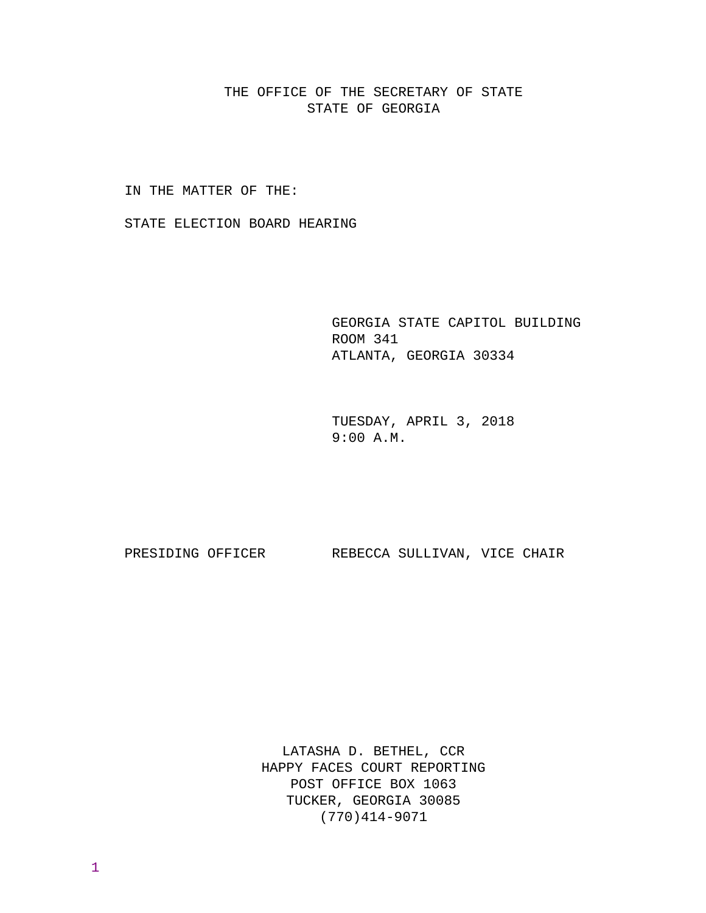THE OFFICE OF THE SECRETARY OF STATE STATE OF GEORGIA

IN THE MATTER OF THE:

STATE ELECTION BOARD HEARING

 GEORGIA STATE CAPITOL BUILDING ROOM 341 ATLANTA, GEORGIA 30334

 TUESDAY, APRIL 3, 2018 9:00 A.M.

PRESIDING OFFICER REBECCA SULLIVAN, VICE CHAIR

LATASHA D. BETHEL, CCR HAPPY FACES COURT REPORTING POST OFFICE BOX 1063 TUCKER, GEORGIA 30085 (770)414-9071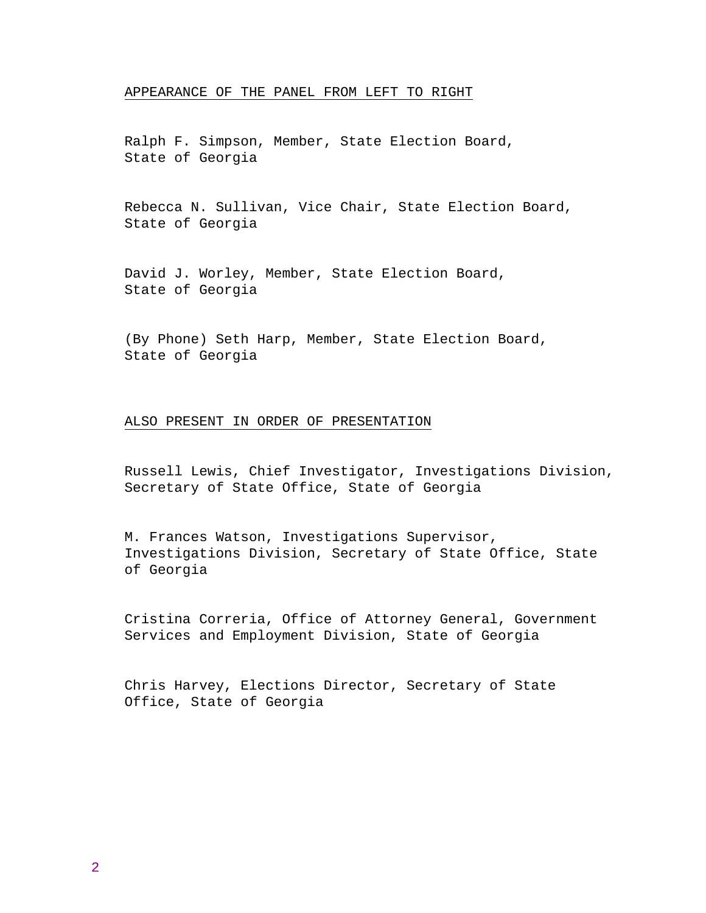# APPEARANCE OF THE PANEL FROM LEFT TO RIGHT

Ralph F. Simpson, Member, State Election Board, State of Georgia

Rebecca N. Sullivan, Vice Chair, State Election Board, State of Georgia

David J. Worley, Member, State Election Board, State of Georgia

(By Phone) Seth Harp, Member, State Election Board, State of Georgia

## ALSO PRESENT IN ORDER OF PRESENTATION

Russell Lewis, Chief Investigator, Investigations Division, Secretary of State Office, State of Georgia

M. Frances Watson, Investigations Supervisor, Investigations Division, Secretary of State Office, State of Georgia

Cristina Correria, Office of Attorney General, Government Services and Employment Division, State of Georgia

Chris Harvey, Elections Director, Secretary of State Office, State of Georgia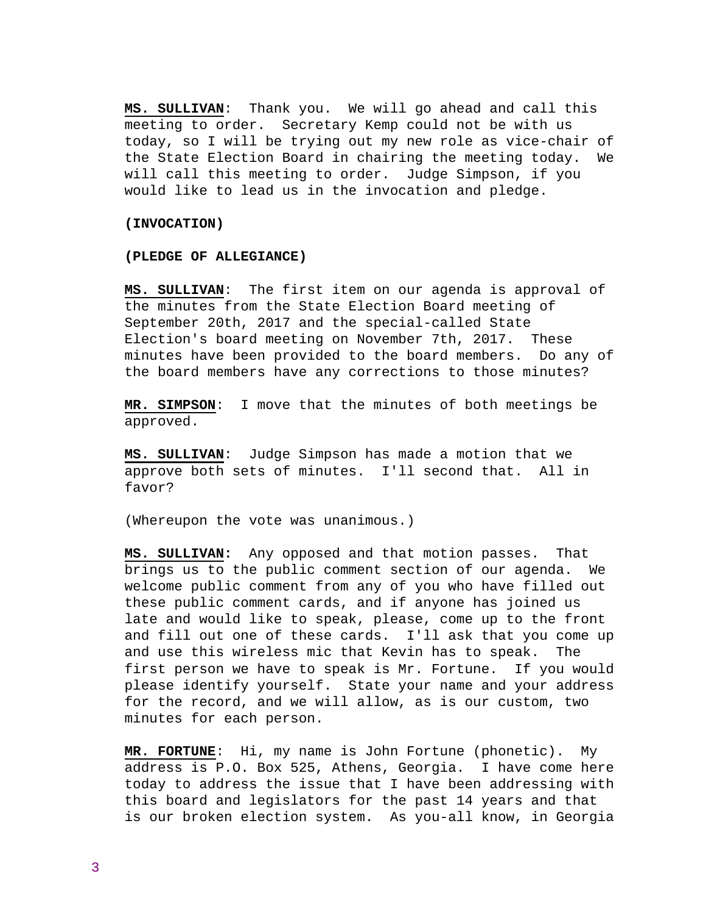**MS. SULLIVAN**: Thank you. We will go ahead and call this meeting to order. Secretary Kemp could not be with us today, so I will be trying out my new role as vice-chair of the State Election Board in chairing the meeting today. We will call this meeting to order. Judge Simpson, if you would like to lead us in the invocation and pledge.

### **(INVOCATION)**

## **(PLEDGE OF ALLEGIANCE)**

**MS. SULLIVAN**: The first item on our agenda is approval of the minutes from the State Election Board meeting of September 20th, 2017 and the special-called State Election's board meeting on November 7th, 2017. These minutes have been provided to the board members. Do any of the board members have any corrections to those minutes?

**MR. SIMPSON**: I move that the minutes of both meetings be approved.

**MS. SULLIVAN**: Judge Simpson has made a motion that we approve both sets of minutes. I'll second that. All in favor?

(Whereupon the vote was unanimous.)

**MS. SULLIVAN:** Any opposed and that motion passes. That brings us to the public comment section of our agenda. We welcome public comment from any of you who have filled out these public comment cards, and if anyone has joined us late and would like to speak, please, come up to the front and fill out one of these cards. I'll ask that you come up and use this wireless mic that Kevin has to speak. The first person we have to speak is Mr. Fortune. If you would please identify yourself. State your name and your address for the record, and we will allow, as is our custom, two minutes for each person.

**MR. FORTUNE**: Hi, my name is John Fortune (phonetic). My address is P.O. Box 525, Athens, Georgia. I have come here today to address the issue that I have been addressing with this board and legislators for the past 14 years and that is our broken election system. As you-all know, in Georgia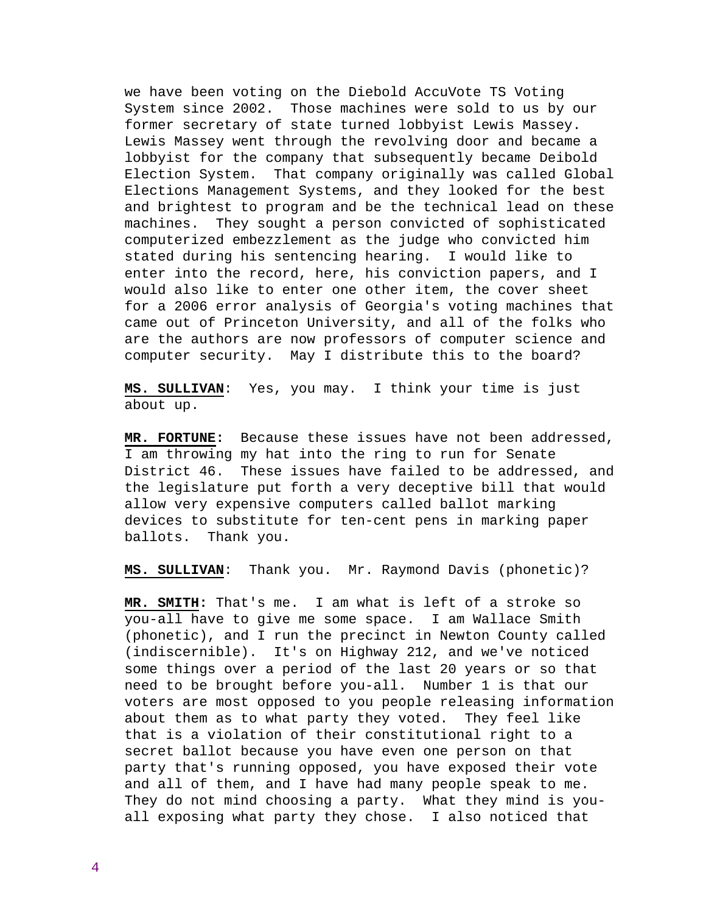we have been voting on the Diebold AccuVote TS Voting System since 2002. Those machines were sold to us by our former secretary of state turned lobbyist Lewis Massey. Lewis Massey went through the revolving door and became a lobbyist for the company that subsequently became Deibold Election System. That company originally was called Global Elections Management Systems, and they looked for the best and brightest to program and be the technical lead on these machines. They sought a person convicted of sophisticated computerized embezzlement as the judge who convicted him stated during his sentencing hearing. I would like to enter into the record, here, his conviction papers, and I would also like to enter one other item, the cover sheet for a 2006 error analysis of Georgia's voting machines that came out of Princeton University, and all of the folks who are the authors are now professors of computer science and computer security. May I distribute this to the board?

**MS. SULLIVAN**: Yes, you may. I think your time is just about up.

**MR. FORTUNE:** Because these issues have not been addressed, I am throwing my hat into the ring to run for Senate District 46. These issues have failed to be addressed, and the legislature put forth a very deceptive bill that would allow very expensive computers called ballot marking devices to substitute for ten-cent pens in marking paper ballots. Thank you.

**MS. SULLIVAN**: Thank you. Mr. Raymond Davis (phonetic)?

**MR. SMITH:** That's me. I am what is left of a stroke so you-all have to give me some space. I am Wallace Smith (phonetic), and I run the precinct in Newton County called (indiscernible). It's on Highway 212, and we've noticed some things over a period of the last 20 years or so that need to be brought before you-all. Number 1 is that our voters are most opposed to you people releasing information about them as to what party they voted. They feel like that is a violation of their constitutional right to a secret ballot because you have even one person on that party that's running opposed, you have exposed their vote and all of them, and I have had many people speak to me. They do not mind choosing a party. What they mind is youall exposing what party they chose. I also noticed that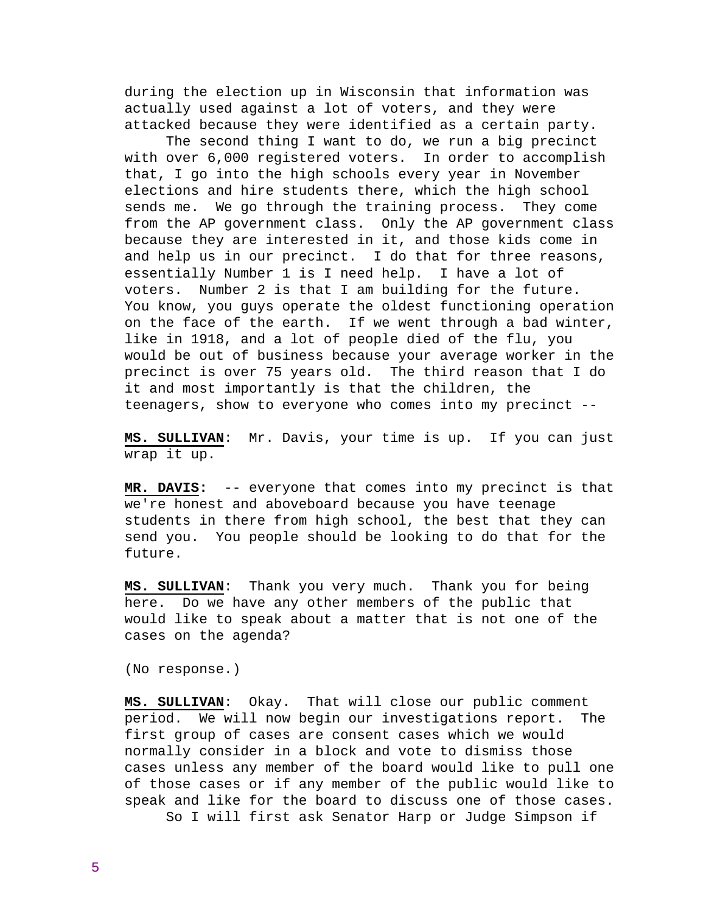during the election up in Wisconsin that information was actually used against a lot of voters, and they were attacked because they were identified as a certain party.

 The second thing I want to do, we run a big precinct with over 6,000 registered voters. In order to accomplish that, I go into the high schools every year in November elections and hire students there, which the high school sends me. We go through the training process. They come from the AP government class. Only the AP government class because they are interested in it, and those kids come in and help us in our precinct. I do that for three reasons, essentially Number 1 is I need help. I have a lot of voters. Number 2 is that I am building for the future. You know, you guys operate the oldest functioning operation on the face of the earth. If we went through a bad winter, like in 1918, and a lot of people died of the flu, you would be out of business because your average worker in the precinct is over 75 years old. The third reason that I do it and most importantly is that the children, the teenagers, show to everyone who comes into my precinct --

**MS. SULLIVAN**: Mr. Davis, your time is up. If you can just wrap it up.

**MR. DAVIS:** -- everyone that comes into my precinct is that we're honest and aboveboard because you have teenage students in there from high school, the best that they can send you. You people should be looking to do that for the future.

**MS. SULLIVAN**: Thank you very much. Thank you for being here. Do we have any other members of the public that would like to speak about a matter that is not one of the cases on the agenda?

(No response.)

**MS. SULLIVAN**: Okay. That will close our public comment period. We will now begin our investigations report. The first group of cases are consent cases which we would normally consider in a block and vote to dismiss those cases unless any member of the board would like to pull one of those cases or if any member of the public would like to speak and like for the board to discuss one of those cases. So I will first ask Senator Harp or Judge Simpson if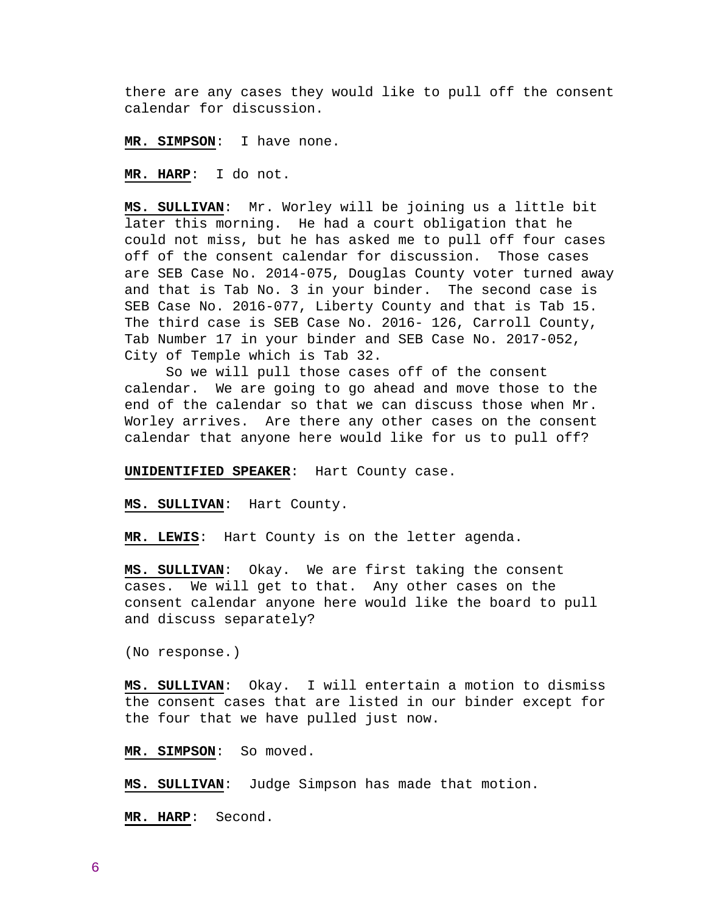there are any cases they would like to pull off the consent calendar for discussion.

**MR. SIMPSON**: I have none.

**MR. HARP**: I do not.

**MS. SULLIVAN**: Mr. Worley will be joining us a little bit later this morning. He had a court obligation that he could not miss, but he has asked me to pull off four cases off of the consent calendar for discussion. Those cases are SEB Case No. 2014-075, Douglas County voter turned away and that is Tab No. 3 in your binder. The second case is SEB Case No. 2016-077, Liberty County and that is Tab 15. The third case is SEB Case No. 2016- 126, Carroll County, Tab Number 17 in your binder and SEB Case No. 2017-052, City of Temple which is Tab 32.

 So we will pull those cases off of the consent calendar. We are going to go ahead and move those to the end of the calendar so that we can discuss those when Mr. Worley arrives. Are there any other cases on the consent calendar that anyone here would like for us to pull off?

**UNIDENTIFIED SPEAKER**: Hart County case.

**MS. SULLIVAN**: Hart County.

**MR. LEWIS**: Hart County is on the letter agenda.

**MS. SULLIVAN**: Okay. We are first taking the consent cases. We will get to that. Any other cases on the consent calendar anyone here would like the board to pull and discuss separately?

(No response.)

**MS. SULLIVAN**: Okay. I will entertain a motion to dismiss the consent cases that are listed in our binder except for the four that we have pulled just now.

**MR. SIMPSON**: So moved.

**MS. SULLIVAN**: Judge Simpson has made that motion.

**MR. HARP**: Second.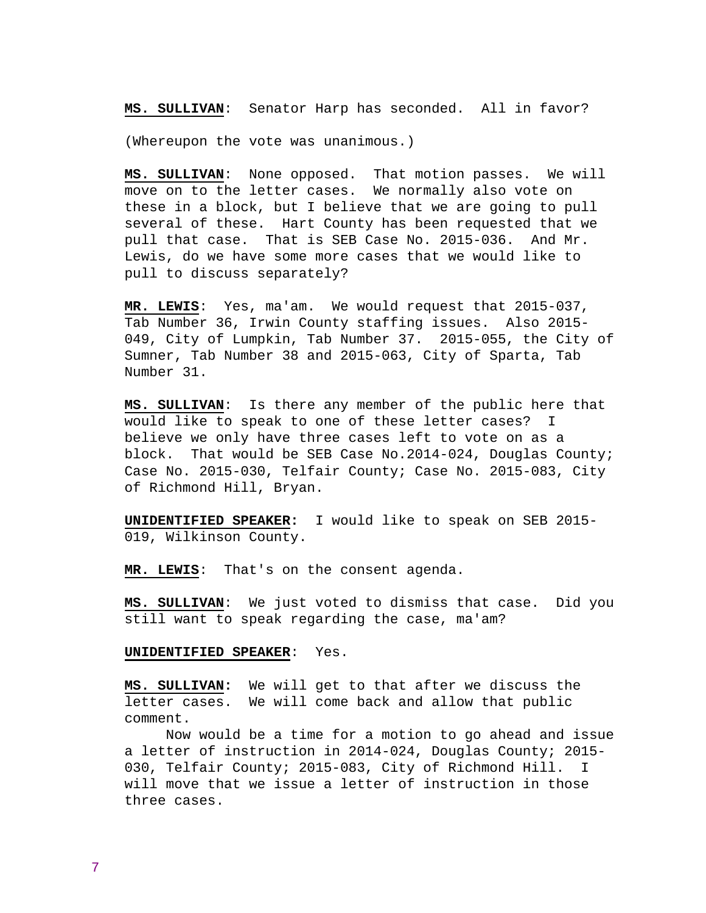**MS. SULLIVAN**: Senator Harp has seconded. All in favor?

(Whereupon the vote was unanimous.)

**MS. SULLIVAN**: None opposed. That motion passes. We will move on to the letter cases. We normally also vote on these in a block, but I believe that we are going to pull several of these. Hart County has been requested that we pull that case. That is SEB Case No. 2015-036. And Mr. Lewis, do we have some more cases that we would like to pull to discuss separately?

**MR. LEWIS**: Yes, ma'am. We would request that 2015-037, Tab Number 36, Irwin County staffing issues. Also 2015- 049, City of Lumpkin, Tab Number 37. 2015-055, the City of Sumner, Tab Number 38 and 2015-063, City of Sparta, Tab Number 31.

**MS. SULLIVAN**: Is there any member of the public here that would like to speak to one of these letter cases? I believe we only have three cases left to vote on as a block. That would be SEB Case No.2014-024, Douglas County; Case No. 2015-030, Telfair County; Case No. 2015-083, City of Richmond Hill, Bryan.

**UNIDENTIFIED SPEAKER:** I would like to speak on SEB 2015- 019, Wilkinson County.

**MR. LEWIS**: That's on the consent agenda.

**MS. SULLIVAN**: We just voted to dismiss that case. Did you still want to speak regarding the case, ma'am?

## **UNIDENTIFIED SPEAKER**: Yes.

**MS. SULLIVAN:** We will get to that after we discuss the letter cases. We will come back and allow that public comment.

 Now would be a time for a motion to go ahead and issue a letter of instruction in 2014-024, Douglas County; 2015- 030, Telfair County; 2015-083, City of Richmond Hill. I will move that we issue a letter of instruction in those three cases.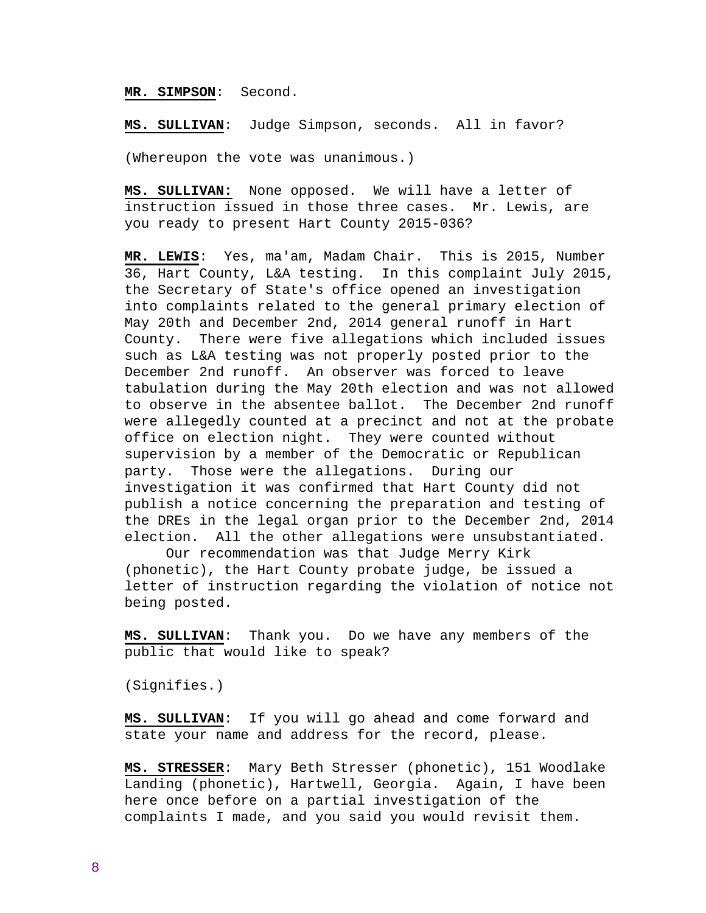### **MR. SIMPSON**: Second.

**MS. SULLIVAN**: Judge Simpson, seconds. All in favor?

(Whereupon the vote was unanimous.)

**MS. SULLIVAN:** None opposed. We will have a letter of instruction issued in those three cases. Mr. Lewis, are you ready to present Hart County 2015-036?

**MR. LEWIS**: Yes, ma'am, Madam Chair. This is 2015, Number 36, Hart County, L&A testing. In this complaint July 2015, the Secretary of State's office opened an investigation into complaints related to the general primary election of May 20th and December 2nd, 2014 general runoff in Hart County. There were five allegations which included issues such as L&A testing was not properly posted prior to the December 2nd runoff. An observer was forced to leave tabulation during the May 20th election and was not allowed to observe in the absentee ballot. The December 2nd runoff were allegedly counted at a precinct and not at the probate office on election night. They were counted without supervision by a member of the Democratic or Republican party. Those were the allegations. During our investigation it was confirmed that Hart County did not publish a notice concerning the preparation and testing of the DREs in the legal organ prior to the December 2nd, 2014 election. All the other allegations were unsubstantiated.

 Our recommendation was that Judge Merry Kirk (phonetic), the Hart County probate judge, be issued a letter of instruction regarding the violation of notice not being posted.

**MS. SULLIVAN**: Thank you. Do we have any members of the public that would like to speak?

(Signifies.)

**MS. SULLIVAN**: If you will go ahead and come forward and state your name and address for the record, please.

**MS. STRESSER**: Mary Beth Stresser (phonetic), 151 Woodlake Landing (phonetic), Hartwell, Georgia. Again, I have been here once before on a partial investigation of the complaints I made, and you said you would revisit them.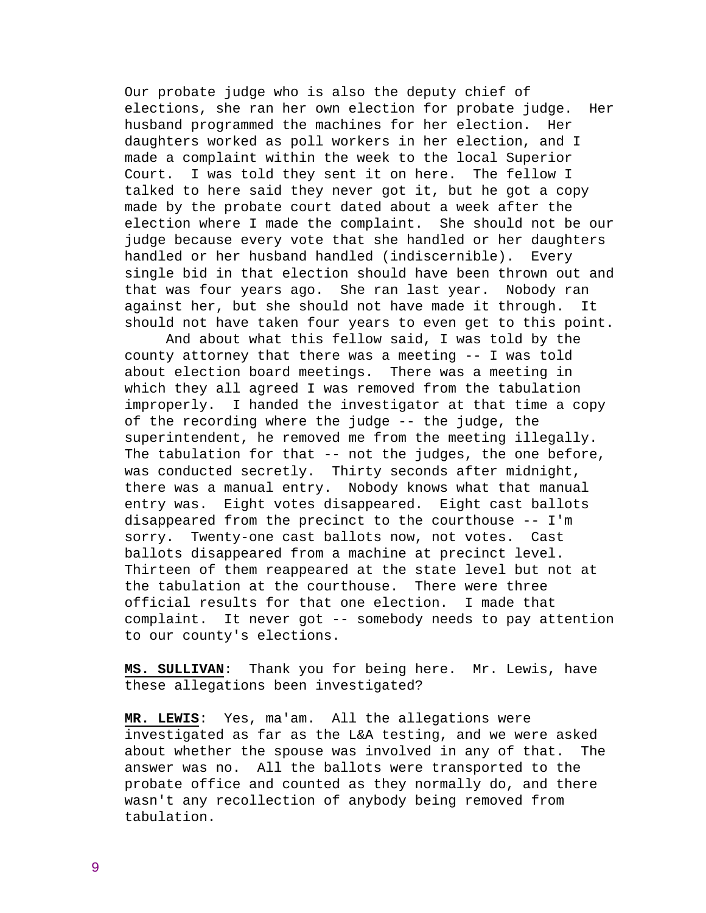Our probate judge who is also the deputy chief of elections, she ran her own election for probate judge. Her husband programmed the machines for her election. Her daughters worked as poll workers in her election, and I made a complaint within the week to the local Superior Court. I was told they sent it on here. The fellow I talked to here said they never got it, but he got a copy made by the probate court dated about a week after the election where I made the complaint. She should not be our judge because every vote that she handled or her daughters handled or her husband handled (indiscernible). Every single bid in that election should have been thrown out and that was four years ago. She ran last year. Nobody ran against her, but she should not have made it through. It should not have taken four years to even get to this point.

 And about what this fellow said, I was told by the county attorney that there was a meeting -- I was told about election board meetings. There was a meeting in which they all agreed I was removed from the tabulation improperly. I handed the investigator at that time a copy of the recording where the judge -- the judge, the superintendent, he removed me from the meeting illegally. The tabulation for that -- not the judges, the one before, was conducted secretly. Thirty seconds after midnight, there was a manual entry. Nobody knows what that manual entry was. Eight votes disappeared. Eight cast ballots disappeared from the precinct to the courthouse -- I'm sorry. Twenty-one cast ballots now, not votes. Cast ballots disappeared from a machine at precinct level. Thirteen of them reappeared at the state level but not at the tabulation at the courthouse. There were three official results for that one election. I made that complaint. It never got -- somebody needs to pay attention to our county's elections.

**MS. SULLIVAN**: Thank you for being here. Mr. Lewis, have these allegations been investigated?

**MR. LEWIS**: Yes, ma'am. All the allegations were investigated as far as the L&A testing, and we were asked about whether the spouse was involved in any of that. The answer was no. All the ballots were transported to the probate office and counted as they normally do, and there wasn't any recollection of anybody being removed from tabulation.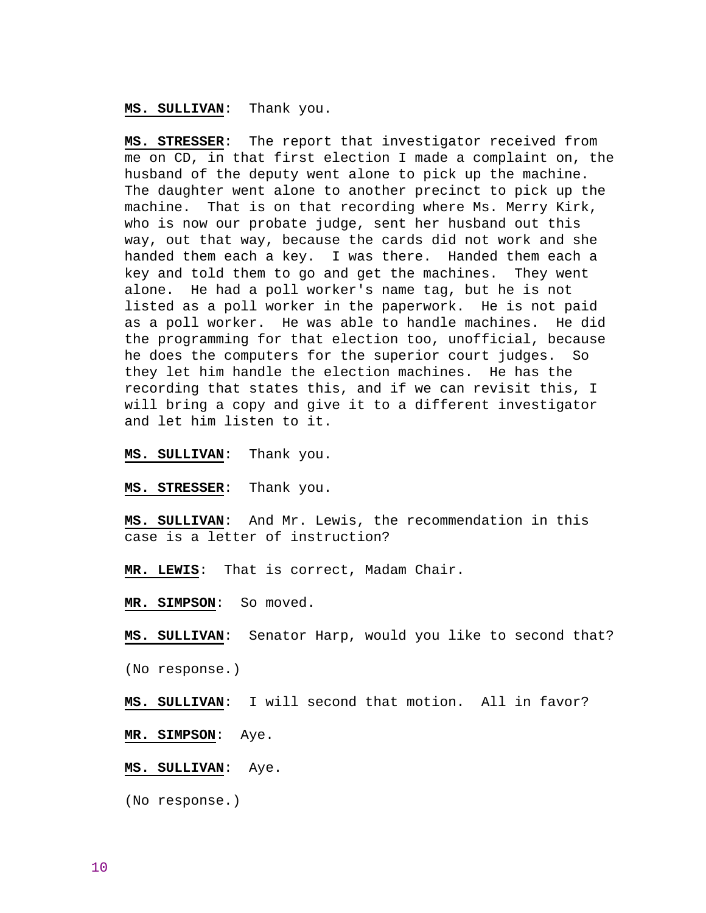**MS. SULLIVAN**: Thank you.

**MS. STRESSER**: The report that investigator received from me on CD, in that first election I made a complaint on, the husband of the deputy went alone to pick up the machine. The daughter went alone to another precinct to pick up the machine. That is on that recording where Ms. Merry Kirk, who is now our probate judge, sent her husband out this way, out that way, because the cards did not work and she handed them each a key. I was there. Handed them each a key and told them to go and get the machines. They went alone. He had a poll worker's name tag, but he is not listed as a poll worker in the paperwork. He is not paid as a poll worker. He was able to handle machines. He did the programming for that election too, unofficial, because he does the computers for the superior court judges. So they let him handle the election machines. He has the recording that states this, and if we can revisit this, I will bring a copy and give it to a different investigator and let him listen to it.

**MS. SULLIVAN**: Thank you.

**MS. STRESSER**: Thank you.

**MS. SULLIVAN**: And Mr. Lewis, the recommendation in this case is a letter of instruction?

**MR. LEWIS**: That is correct, Madam Chair.

**MR. SIMPSON**: So moved.

**MS. SULLIVAN**: Senator Harp, would you like to second that?

(No response.)

**MS. SULLIVAN**: I will second that motion. All in favor?

**MR. SIMPSON**: Aye.

**MS. SULLIVAN**: Aye.

(No response.)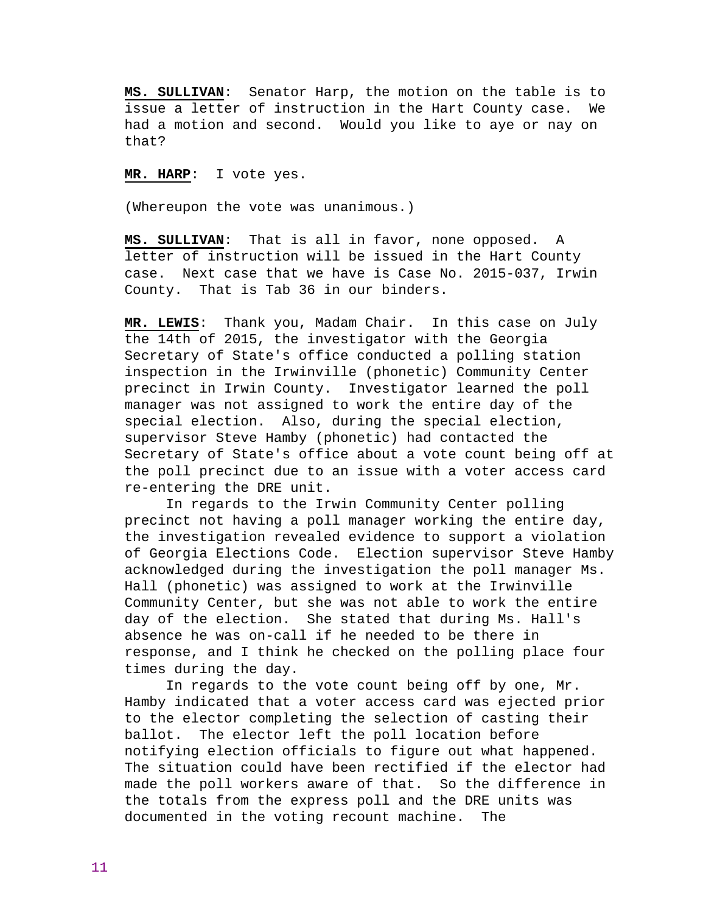**MS. SULLIVAN**: Senator Harp, the motion on the table is to issue a letter of instruction in the Hart County case. We had a motion and second. Would you like to aye or nay on that?

**MR. HARP**: I vote yes.

(Whereupon the vote was unanimous.)

**MS. SULLIVAN**: That is all in favor, none opposed. A letter of instruction will be issued in the Hart County case. Next case that we have is Case No. 2015-037, Irwin County. That is Tab 36 in our binders.

**MR. LEWIS**: Thank you, Madam Chair. In this case on July the 14th of 2015, the investigator with the Georgia Secretary of State's office conducted a polling station inspection in the Irwinville (phonetic) Community Center precinct in Irwin County. Investigator learned the poll manager was not assigned to work the entire day of the special election. Also, during the special election, supervisor Steve Hamby (phonetic) had contacted the Secretary of State's office about a vote count being off at the poll precinct due to an issue with a voter access card re-entering the DRE unit.

 In regards to the Irwin Community Center polling precinct not having a poll manager working the entire day, the investigation revealed evidence to support a violation of Georgia Elections Code. Election supervisor Steve Hamby acknowledged during the investigation the poll manager Ms. Hall (phonetic) was assigned to work at the Irwinville Community Center, but she was not able to work the entire day of the election. She stated that during Ms. Hall's absence he was on-call if he needed to be there in response, and I think he checked on the polling place four times during the day.

 In regards to the vote count being off by one, Mr. Hamby indicated that a voter access card was ejected prior to the elector completing the selection of casting their ballot. The elector left the poll location before notifying election officials to figure out what happened. The situation could have been rectified if the elector had made the poll workers aware of that. So the difference in the totals from the express poll and the DRE units was documented in the voting recount machine. The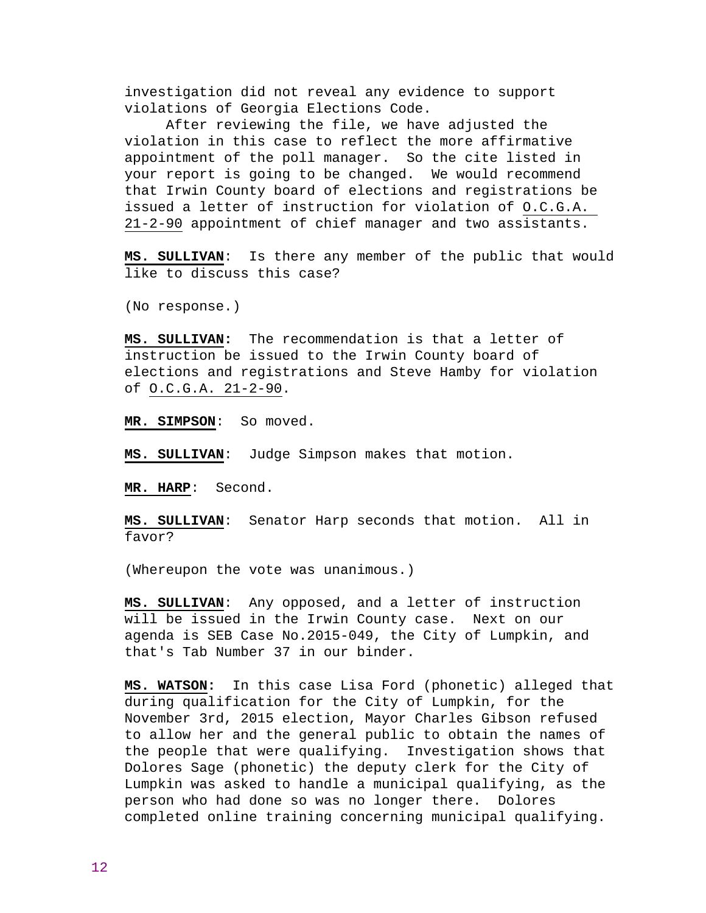investigation did not reveal any evidence to support violations of Georgia Elections Code.

 After reviewing the file, we have adjusted the violation in this case to reflect the more affirmative appointment of the poll manager. So the cite listed in your report is going to be changed. We would recommend that Irwin County board of elections and registrations be issued a letter of instruction for violation of O.C.G.A. 21-2-90 appointment of chief manager and two assistants.

**MS. SULLIVAN**: Is there any member of the public that would like to discuss this case?

(No response.)

**MS. SULLIVAN:** The recommendation is that a letter of instruction be issued to the Irwin County board of elections and registrations and Steve Hamby for violation of O.C.G.A. 21-2-90.

**MR. SIMPSON**: So moved.

**MS. SULLIVAN**: Judge Simpson makes that motion.

**MR. HARP**: Second.

**MS. SULLIVAN**: Senator Harp seconds that motion. All in favor?

(Whereupon the vote was unanimous.)

**MS. SULLIVAN**: Any opposed, and a letter of instruction will be issued in the Irwin County case. Next on our agenda is SEB Case No.2015-049, the City of Lumpkin, and that's Tab Number 37 in our binder.

**MS. WATSON:** In this case Lisa Ford (phonetic) alleged that during qualification for the City of Lumpkin, for the November 3rd, 2015 election, Mayor Charles Gibson refused to allow her and the general public to obtain the names of the people that were qualifying. Investigation shows that Dolores Sage (phonetic) the deputy clerk for the City of Lumpkin was asked to handle a municipal qualifying, as the person who had done so was no longer there. Dolores completed online training concerning municipal qualifying.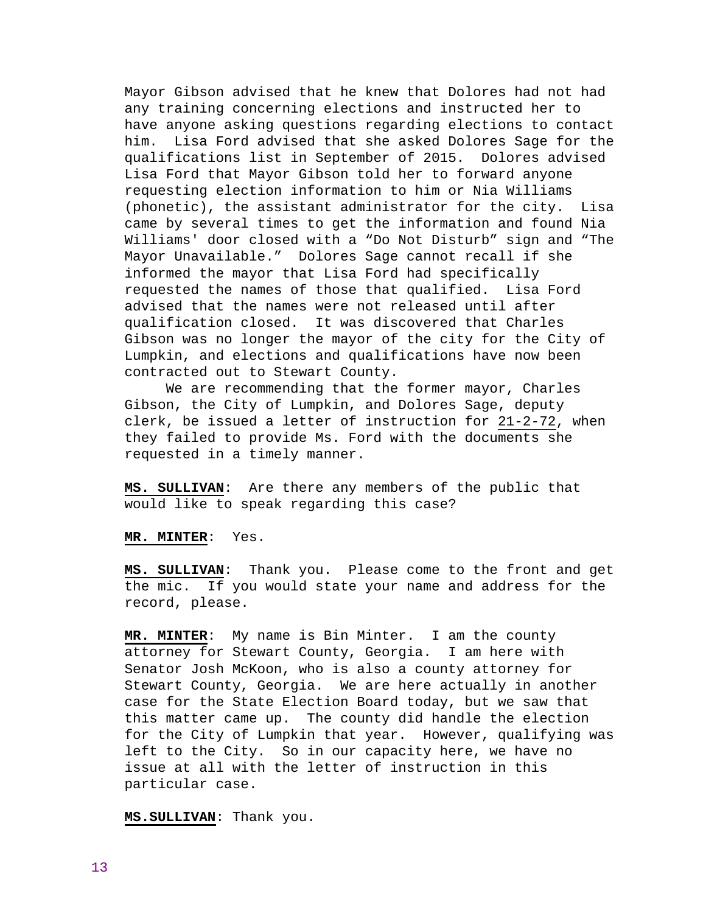Mayor Gibson advised that he knew that Dolores had not had any training concerning elections and instructed her to have anyone asking questions regarding elections to contact him. Lisa Ford advised that she asked Dolores Sage for the qualifications list in September of 2015. Dolores advised Lisa Ford that Mayor Gibson told her to forward anyone requesting election information to him or Nia Williams (phonetic), the assistant administrator for the city. Lisa came by several times to get the information and found Nia Williams' door closed with a "Do Not Disturb" sign and "The Mayor Unavailable." Dolores Sage cannot recall if she informed the mayor that Lisa Ford had specifically requested the names of those that qualified. Lisa Ford advised that the names were not released until after qualification closed. It was discovered that Charles Gibson was no longer the mayor of the city for the City of Lumpkin, and elections and qualifications have now been contracted out to Stewart County.

 We are recommending that the former mayor, Charles Gibson, the City of Lumpkin, and Dolores Sage, deputy clerk, be issued a letter of instruction for 21-2-72, when they failed to provide Ms. Ford with the documents she requested in a timely manner.

**MS. SULLIVAN**: Are there any members of the public that would like to speak regarding this case?

**MR. MINTER**: Yes.

**MS. SULLIVAN**: Thank you. Please come to the front and get the mic. If you would state your name and address for the record, please.

**MR. MINTER**: My name is Bin Minter. I am the county attorney for Stewart County, Georgia. I am here with Senator Josh McKoon, who is also a county attorney for Stewart County, Georgia. We are here actually in another case for the State Election Board today, but we saw that this matter came up. The county did handle the election for the City of Lumpkin that year. However, qualifying was left to the City. So in our capacity here, we have no issue at all with the letter of instruction in this particular case.

**MS.SULLIVAN**: Thank you.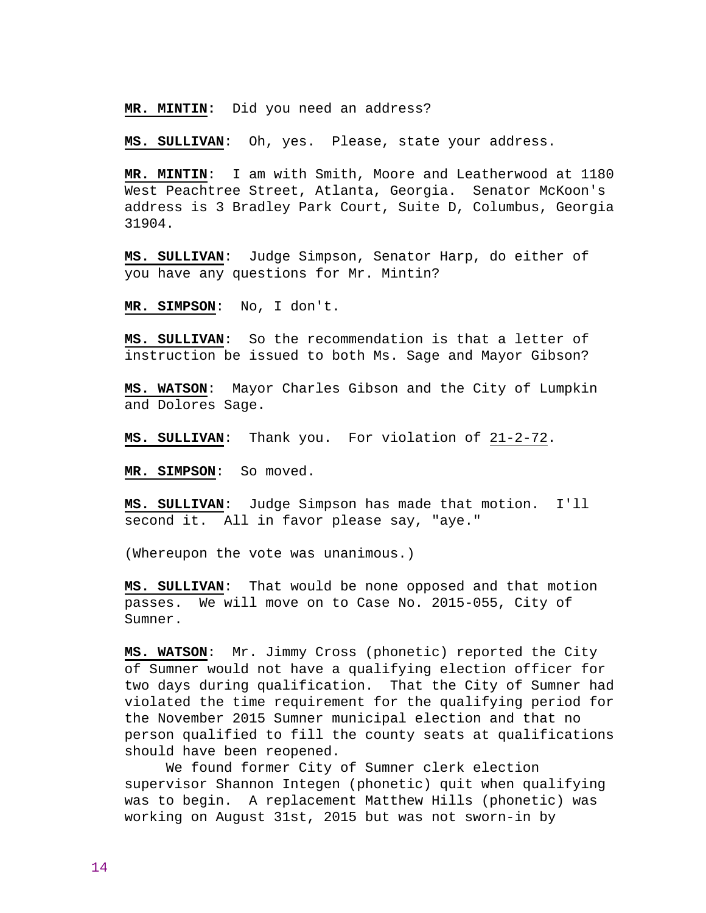**MR. MINTIN:** Did you need an address?

**MS. SULLIVAN**: Oh, yes. Please, state your address.

**MR. MINTIN**: I am with Smith, Moore and Leatherwood at 1180 West Peachtree Street, Atlanta, Georgia. Senator McKoon's address is 3 Bradley Park Court, Suite D, Columbus, Georgia 31904.

**MS. SULLIVAN**: Judge Simpson, Senator Harp, do either of you have any questions for Mr. Mintin?

**MR. SIMPSON**: No, I don't.

**MS. SULLIVAN**: So the recommendation is that a letter of instruction be issued to both Ms. Sage and Mayor Gibson?

**MS. WATSON**: Mayor Charles Gibson and the City of Lumpkin and Dolores Sage.

**MS. SULLIVAN**: Thank you. For violation of 21-2-72.

**MR. SIMPSON**: So moved.

**MS. SULLIVAN**: Judge Simpson has made that motion. I'll second it. All in favor please say, "aye."

(Whereupon the vote was unanimous.)

**MS. SULLIVAN**: That would be none opposed and that motion passes. We will move on to Case No. 2015-055, City of Sumner.

**MS. WATSON**: Mr. Jimmy Cross (phonetic) reported the City of Sumner would not have a qualifying election officer for two days during qualification. That the City of Sumner had violated the time requirement for the qualifying period for the November 2015 Sumner municipal election and that no person qualified to fill the county seats at qualifications should have been reopened.

 We found former City of Sumner clerk election supervisor Shannon Integen (phonetic) quit when qualifying was to begin. A replacement Matthew Hills (phonetic) was working on August 31st, 2015 but was not sworn-in by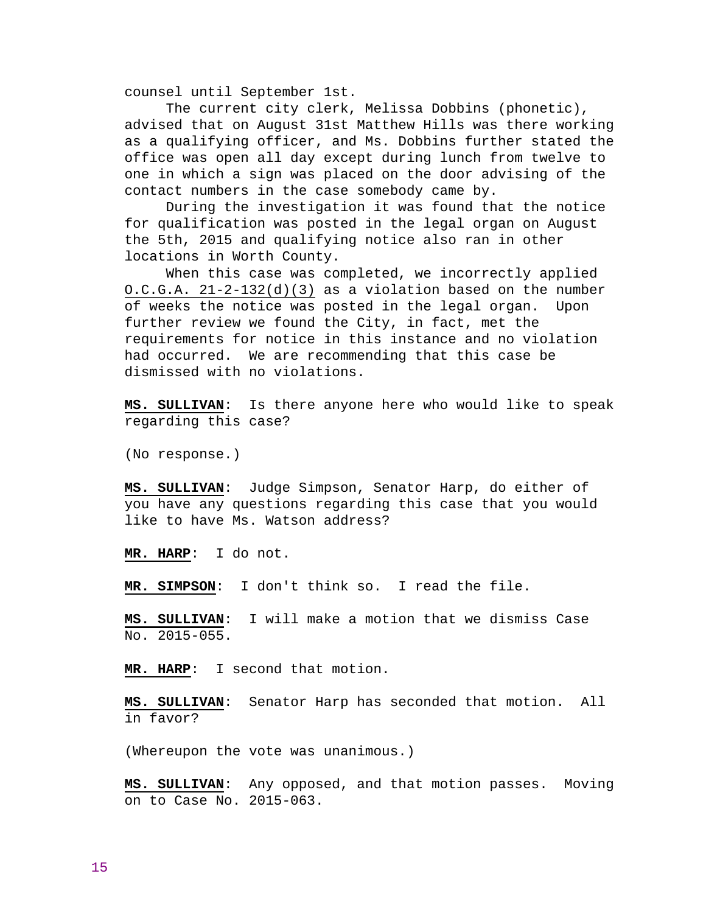counsel until September 1st.

 The current city clerk, Melissa Dobbins (phonetic), advised that on August 31st Matthew Hills was there working as a qualifying officer, and Ms. Dobbins further stated the office was open all day except during lunch from twelve to one in which a sign was placed on the door advising of the contact numbers in the case somebody came by.

 During the investigation it was found that the notice for qualification was posted in the legal organ on August the 5th, 2015 and qualifying notice also ran in other locations in Worth County.

 When this case was completed, we incorrectly applied O.C.G.A. 21-2-132(d)(3) as a violation based on the number of weeks the notice was posted in the legal organ. Upon further review we found the City, in fact, met the requirements for notice in this instance and no violation had occurred. We are recommending that this case be dismissed with no violations.

**MS. SULLIVAN**: Is there anyone here who would like to speak regarding this case?

(No response.)

**MS. SULLIVAN**: Judge Simpson, Senator Harp, do either of you have any questions regarding this case that you would like to have Ms. Watson address?

**MR. HARP**: I do not.

**MR. SIMPSON**: I don't think so. I read the file.

**MS. SULLIVAN**: I will make a motion that we dismiss Case No. 2015-055.

**MR. HARP**: I second that motion.

**MS. SULLIVAN**: Senator Harp has seconded that motion. All in favor?

(Whereupon the vote was unanimous.)

**MS. SULLIVAN**: Any opposed, and that motion passes. Moving on to Case No. 2015-063.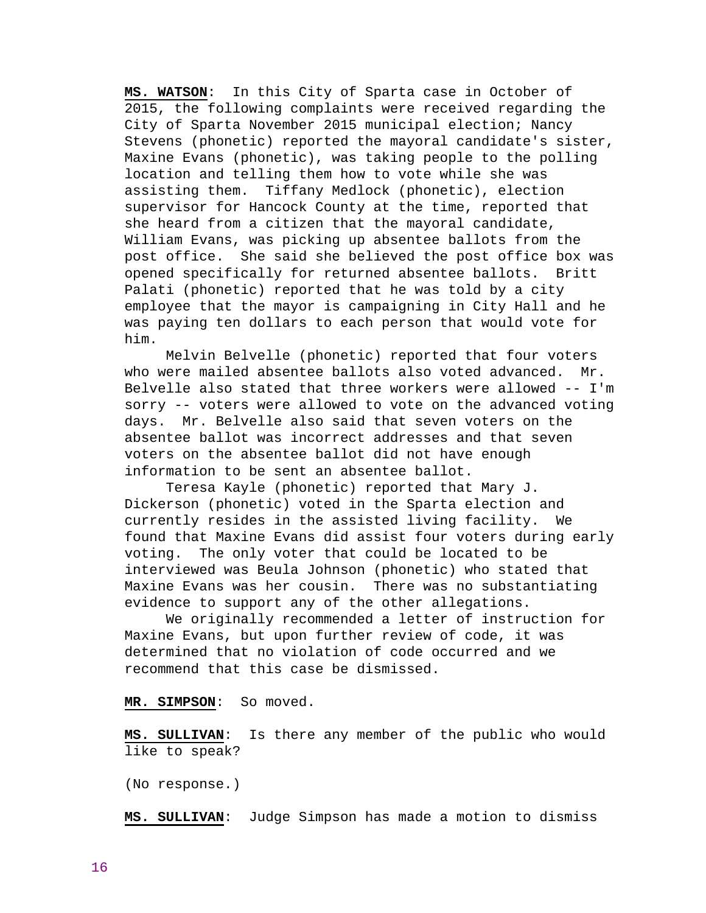**MS. WATSON**: In this City of Sparta case in October of 2015, the following complaints were received regarding the City of Sparta November 2015 municipal election; Nancy Stevens (phonetic) reported the mayoral candidate's sister, Maxine Evans (phonetic), was taking people to the polling location and telling them how to vote while she was assisting them. Tiffany Medlock (phonetic), election supervisor for Hancock County at the time, reported that she heard from a citizen that the mayoral candidate, William Evans, was picking up absentee ballots from the post office. She said she believed the post office box was opened specifically for returned absentee ballots. Britt Palati (phonetic) reported that he was told by a city employee that the mayor is campaigning in City Hall and he was paying ten dollars to each person that would vote for him.

 Melvin Belvelle (phonetic) reported that four voters who were mailed absentee ballots also voted advanced. Mr. Belvelle also stated that three workers were allowed -- I'm sorry -- voters were allowed to vote on the advanced voting days. Mr. Belvelle also said that seven voters on the absentee ballot was incorrect addresses and that seven voters on the absentee ballot did not have enough information to be sent an absentee ballot.

 Teresa Kayle (phonetic) reported that Mary J. Dickerson (phonetic) voted in the Sparta election and currently resides in the assisted living facility. We found that Maxine Evans did assist four voters during early voting. The only voter that could be located to be interviewed was Beula Johnson (phonetic) who stated that Maxine Evans was her cousin. There was no substantiating evidence to support any of the other allegations.

 We originally recommended a letter of instruction for Maxine Evans, but upon further review of code, it was determined that no violation of code occurred and we recommend that this case be dismissed.

# **MR. SIMPSON**: So moved.

**MS. SULLIVAN**: Is there any member of the public who would like to speak?

(No response.)

**MS. SULLIVAN**: Judge Simpson has made a motion to dismiss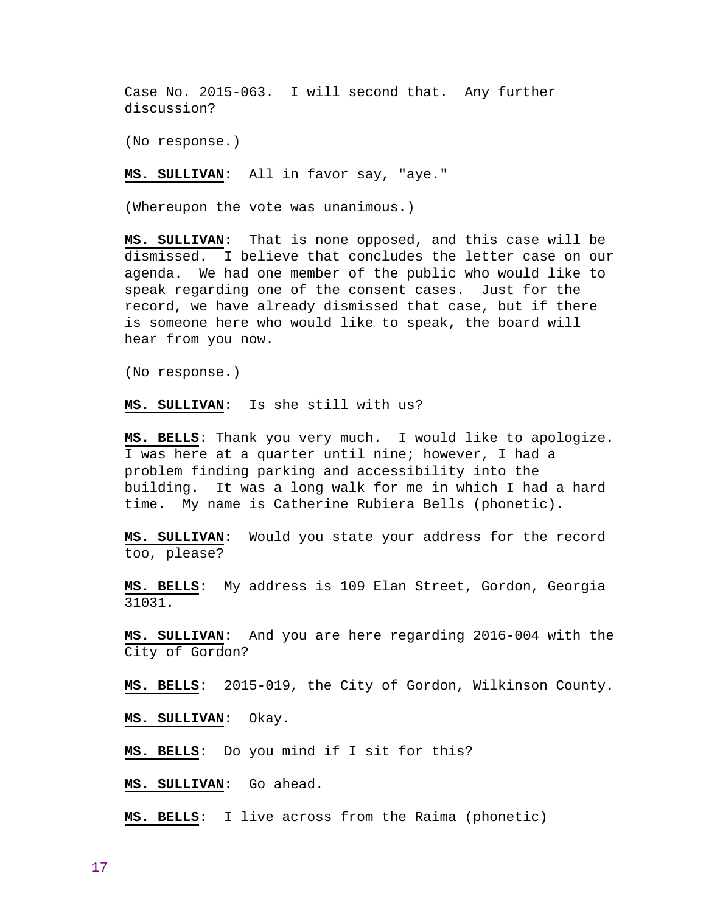Case No. 2015-063. I will second that. Any further discussion?

(No response.)

**MS. SULLIVAN**: All in favor say, "aye."

(Whereupon the vote was unanimous.)

**MS. SULLIVAN**: That is none opposed, and this case will be dismissed. I believe that concludes the letter case on our agenda. We had one member of the public who would like to speak regarding one of the consent cases. Just for the record, we have already dismissed that case, but if there is someone here who would like to speak, the board will hear from you now.

(No response.)

**MS. SULLIVAN**: Is she still with us?

**MS. BELLS**: Thank you very much. I would like to apologize. I was here at a quarter until nine; however, I had a problem finding parking and accessibility into the building. It was a long walk for me in which I had a hard time. My name is Catherine Rubiera Bells (phonetic).

**MS. SULLIVAN**: Would you state your address for the record too, please?

**MS. BELLS**: My address is 109 Elan Street, Gordon, Georgia 31031.

**MS. SULLIVAN**: And you are here regarding 2016-004 with the City of Gordon?

**MS. BELLS**: 2015-019, the City of Gordon, Wilkinson County.

**MS. SULLIVAN**: Okay.

**MS. BELLS**: Do you mind if I sit for this?

**MS. SULLIVAN**: Go ahead.

**MS. BELLS**: I live across from the Raima (phonetic)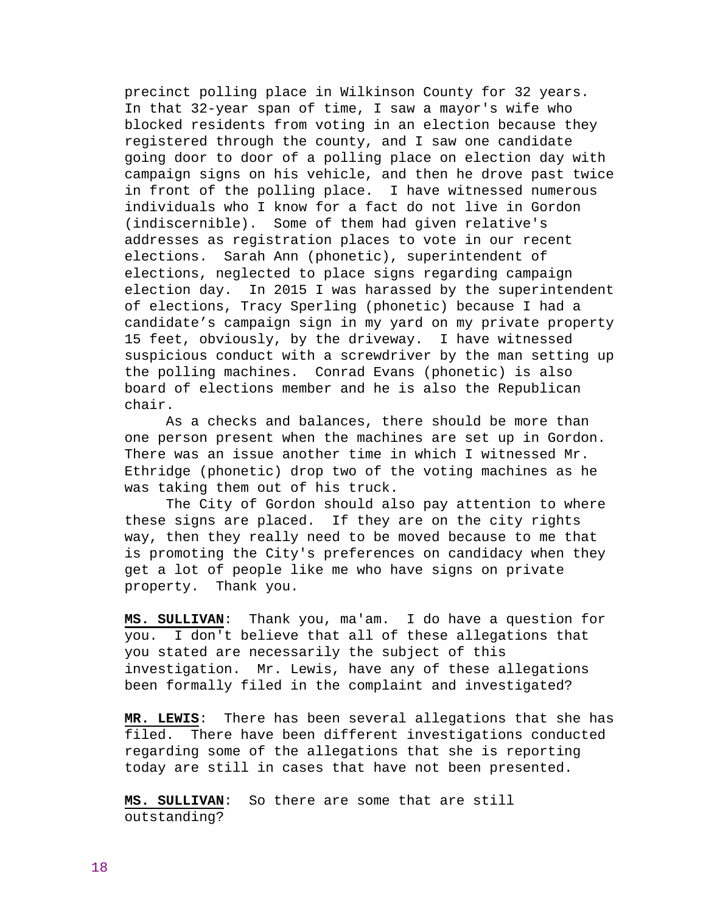precinct polling place in Wilkinson County for 32 years. In that 32-year span of time, I saw a mayor's wife who blocked residents from voting in an election because they registered through the county, and I saw one candidate going door to door of a polling place on election day with campaign signs on his vehicle, and then he drove past twice in front of the polling place. I have witnessed numerous individuals who I know for a fact do not live in Gordon (indiscernible). Some of them had given relative's addresses as registration places to vote in our recent elections. Sarah Ann (phonetic), superintendent of elections, neglected to place signs regarding campaign election day. In 2015 I was harassed by the superintendent of elections, Tracy Sperling (phonetic) because I had a candidate's campaign sign in my yard on my private property 15 feet, obviously, by the driveway. I have witnessed suspicious conduct with a screwdriver by the man setting up the polling machines. Conrad Evans (phonetic) is also board of elections member and he is also the Republican chair.

 As a checks and balances, there should be more than one person present when the machines are set up in Gordon. There was an issue another time in which I witnessed Mr. Ethridge (phonetic) drop two of the voting machines as he was taking them out of his truck.

 The City of Gordon should also pay attention to where these signs are placed. If they are on the city rights way, then they really need to be moved because to me that is promoting the City's preferences on candidacy when they get a lot of people like me who have signs on private property. Thank you.

**MS. SULLIVAN**: Thank you, ma'am. I do have a question for you. I don't believe that all of these allegations that you stated are necessarily the subject of this investigation. Mr. Lewis, have any of these allegations been formally filed in the complaint and investigated?

**MR. LEWIS**: There has been several allegations that she has filed. There have been different investigations conducted regarding some of the allegations that she is reporting today are still in cases that have not been presented.

**MS. SULLIVAN**: So there are some that are still outstanding?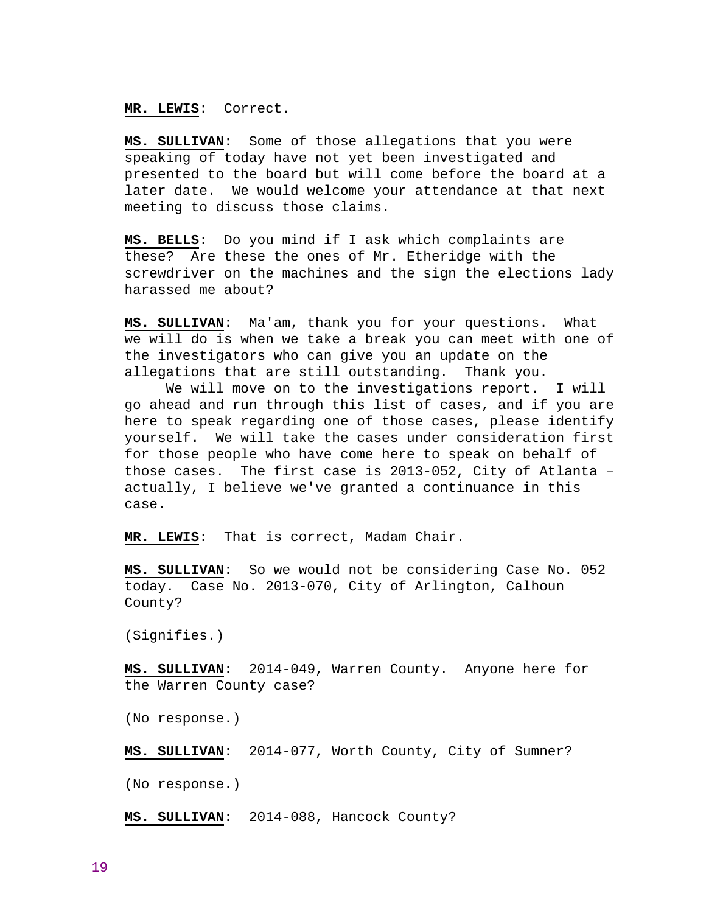## **MR. LEWIS**: Correct.

**MS. SULLIVAN**: Some of those allegations that you were speaking of today have not yet been investigated and presented to the board but will come before the board at a later date. We would welcome your attendance at that next meeting to discuss those claims.

**MS. BELLS**: Do you mind if I ask which complaints are these? Are these the ones of Mr. Etheridge with the screwdriver on the machines and the sign the elections lady harassed me about?

**MS. SULLIVAN**: Ma'am, thank you for your questions. What we will do is when we take a break you can meet with one of the investigators who can give you an update on the allegations that are still outstanding. Thank you.

 We will move on to the investigations report. I will go ahead and run through this list of cases, and if you are here to speak regarding one of those cases, please identify yourself. We will take the cases under consideration first for those people who have come here to speak on behalf of those cases. The first case is 2013-052, City of Atlanta – actually, I believe we've granted a continuance in this case.

**MR. LEWIS**: That is correct, Madam Chair.

**MS. SULLIVAN**: So we would not be considering Case No. 052 today. Case No. 2013-070, City of Arlington, Calhoun County?

(Signifies.)

**MS. SULLIVAN**: 2014-049, Warren County. Anyone here for the Warren County case?

(No response.)

**MS. SULLIVAN**: 2014-077, Worth County, City of Sumner?

(No response.)

**MS. SULLIVAN**: 2014-088, Hancock County?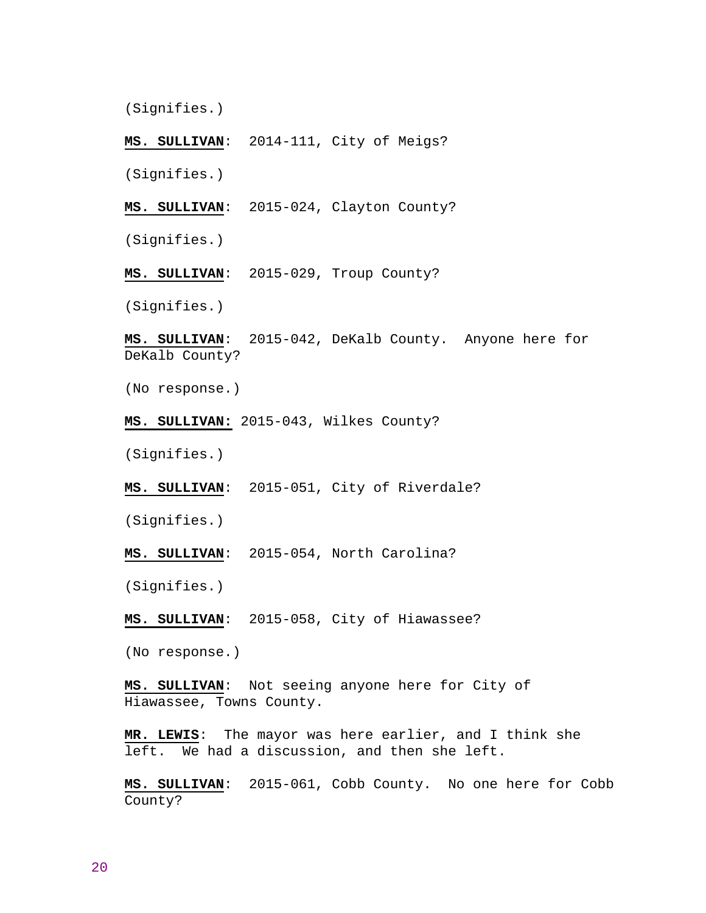(Signifies.)

**MS. SULLIVAN**: 2014-111, City of Meigs?

(Signifies.)

**MS. SULLIVAN**: 2015-024, Clayton County?

(Signifies.)

**MS. SULLIVAN**: 2015-029, Troup County?

(Signifies.)

**MS. SULLIVAN**: 2015-042, DeKalb County. Anyone here for DeKalb County?

(No response.)

**MS. SULLIVAN:** 2015-043, Wilkes County?

(Signifies.)

**MS. SULLIVAN**: 2015-051, City of Riverdale?

(Signifies.)

**MS. SULLIVAN**: 2015-054, North Carolina?

(Signifies.)

**MS. SULLIVAN**: 2015-058, City of Hiawassee?

(No response.)

**MS. SULLIVAN**: Not seeing anyone here for City of Hiawassee, Towns County.

**MR. LEWIS**: The mayor was here earlier, and I think she left. We had a discussion, and then she left.

**MS. SULLIVAN**: 2015-061, Cobb County. No one here for Cobb County?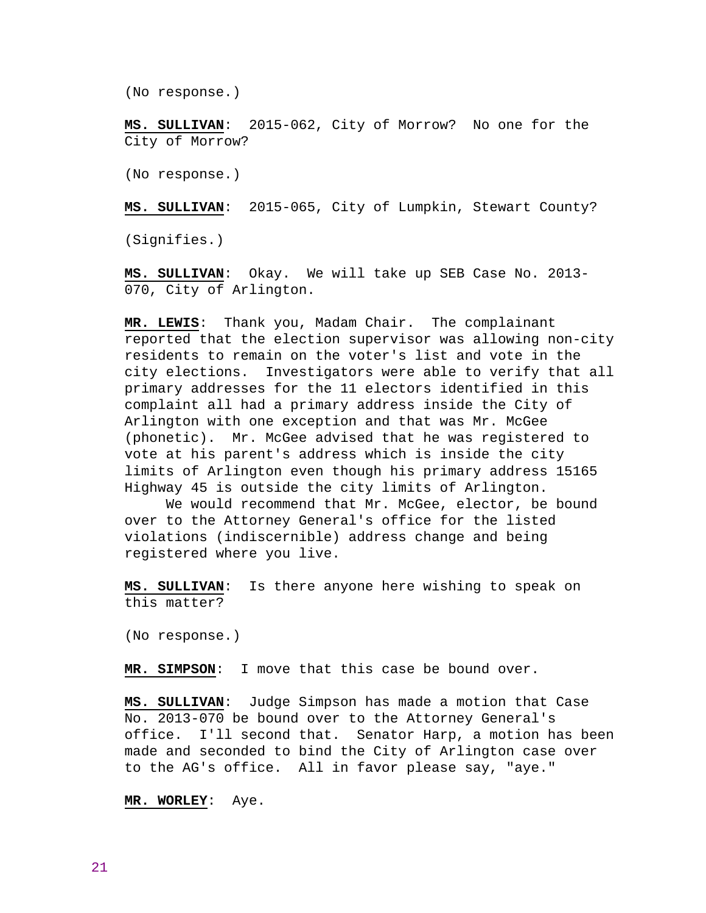(No response.)

**MS. SULLIVAN**: 2015-062, City of Morrow? No one for the City of Morrow?

(No response.)

**MS. SULLIVAN**: 2015-065, City of Lumpkin, Stewart County?

(Signifies.)

**MS. SULLIVAN**: Okay. We will take up SEB Case No. 2013- 070, City of Arlington.

**MR. LEWIS**: Thank you, Madam Chair. The complainant reported that the election supervisor was allowing non-city residents to remain on the voter's list and vote in the city elections. Investigators were able to verify that all primary addresses for the 11 electors identified in this complaint all had a primary address inside the City of Arlington with one exception and that was Mr. McGee (phonetic). Mr. McGee advised that he was registered to vote at his parent's address which is inside the city limits of Arlington even though his primary address 15165 Highway 45 is outside the city limits of Arlington.

 We would recommend that Mr. McGee, elector, be bound over to the Attorney General's office for the listed violations (indiscernible) address change and being registered where you live.

**MS. SULLIVAN**: Is there anyone here wishing to speak on this matter?

(No response.)

**MR. SIMPSON**: I move that this case be bound over.

**MS. SULLIVAN**: Judge Simpson has made a motion that Case No. 2013-070 be bound over to the Attorney General's office. I'll second that. Senator Harp, a motion has been made and seconded to bind the City of Arlington case over to the AG's office. All in favor please say, "aye."

**MR. WORLEY**: Aye.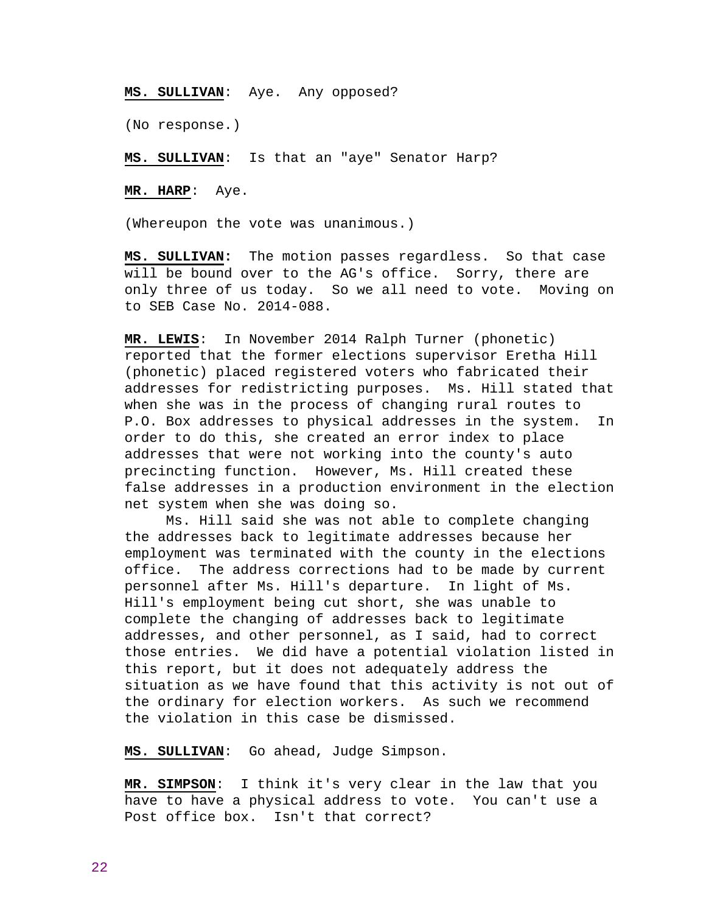**MS. SULLIVAN**: Aye. Any opposed?

(No response.)

**MS. SULLIVAN**: Is that an "aye" Senator Harp?

**MR. HARP**: Aye.

(Whereupon the vote was unanimous.)

**MS. SULLIVAN:** The motion passes regardless. So that case will be bound over to the AG's office. Sorry, there are only three of us today. So we all need to vote. Moving on to SEB Case No. 2014-088.

**MR. LEWIS**: In November 2014 Ralph Turner (phonetic) reported that the former elections supervisor Eretha Hill (phonetic) placed registered voters who fabricated their addresses for redistricting purposes. Ms. Hill stated that when she was in the process of changing rural routes to P.O. Box addresses to physical addresses in the system. In order to do this, she created an error index to place addresses that were not working into the county's auto precincting function. However, Ms. Hill created these false addresses in a production environment in the election net system when she was doing so.

 Ms. Hill said she was not able to complete changing the addresses back to legitimate addresses because her employment was terminated with the county in the elections office. The address corrections had to be made by current personnel after Ms. Hill's departure. In light of Ms. Hill's employment being cut short, she was unable to complete the changing of addresses back to legitimate addresses, and other personnel, as I said, had to correct those entries. We did have a potential violation listed in this report, but it does not adequately address the situation as we have found that this activity is not out of the ordinary for election workers. As such we recommend the violation in this case be dismissed.

**MS. SULLIVAN**: Go ahead, Judge Simpson.

**MR. SIMPSON**: I think it's very clear in the law that you have to have a physical address to vote. You can't use a Post office box. Isn't that correct?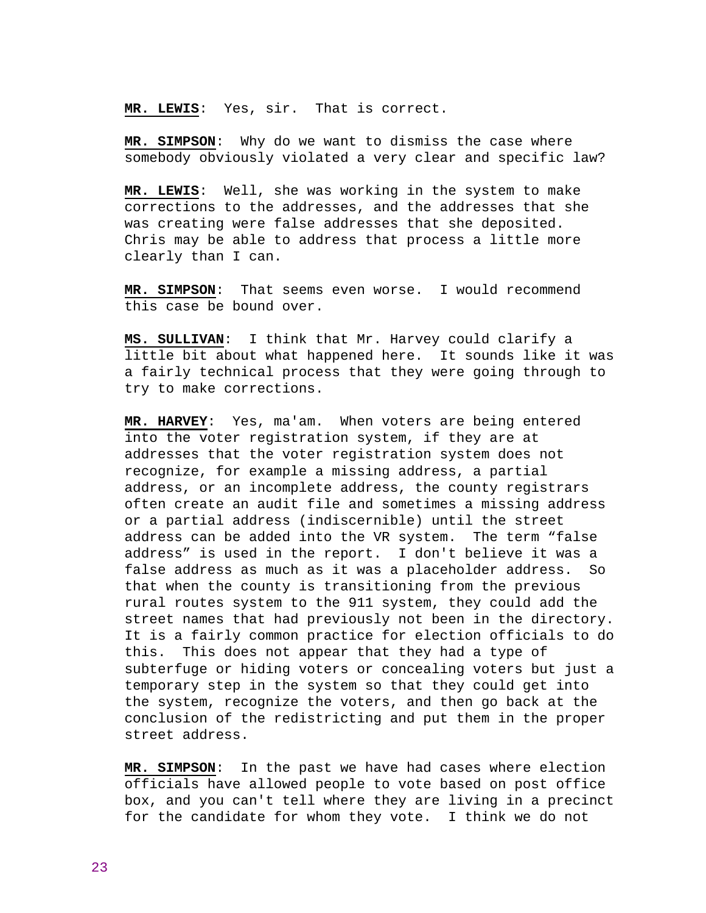**MR. LEWIS**: Yes, sir. That is correct.

**MR. SIMPSON**: Why do we want to dismiss the case where somebody obviously violated a very clear and specific law?

**MR. LEWIS**: Well, she was working in the system to make corrections to the addresses, and the addresses that she was creating were false addresses that she deposited. Chris may be able to address that process a little more clearly than I can.

**MR. SIMPSON**: That seems even worse. I would recommend this case be bound over.

**MS. SULLIVAN**: I think that Mr. Harvey could clarify a little bit about what happened here. It sounds like it was a fairly technical process that they were going through to try to make corrections.

**MR. HARVEY**: Yes, ma'am. When voters are being entered into the voter registration system, if they are at addresses that the voter registration system does not recognize, for example a missing address, a partial address, or an incomplete address, the county registrars often create an audit file and sometimes a missing address or a partial address (indiscernible) until the street address can be added into the VR system. The term "false address" is used in the report. I don't believe it was a false address as much as it was a placeholder address. So that when the county is transitioning from the previous rural routes system to the 911 system, they could add the street names that had previously not been in the directory. It is a fairly common practice for election officials to do this. This does not appear that they had a type of subterfuge or hiding voters or concealing voters but just a temporary step in the system so that they could get into the system, recognize the voters, and then go back at the conclusion of the redistricting and put them in the proper street address.

**MR. SIMPSON**: In the past we have had cases where election officials have allowed people to vote based on post office box, and you can't tell where they are living in a precinct for the candidate for whom they vote. I think we do not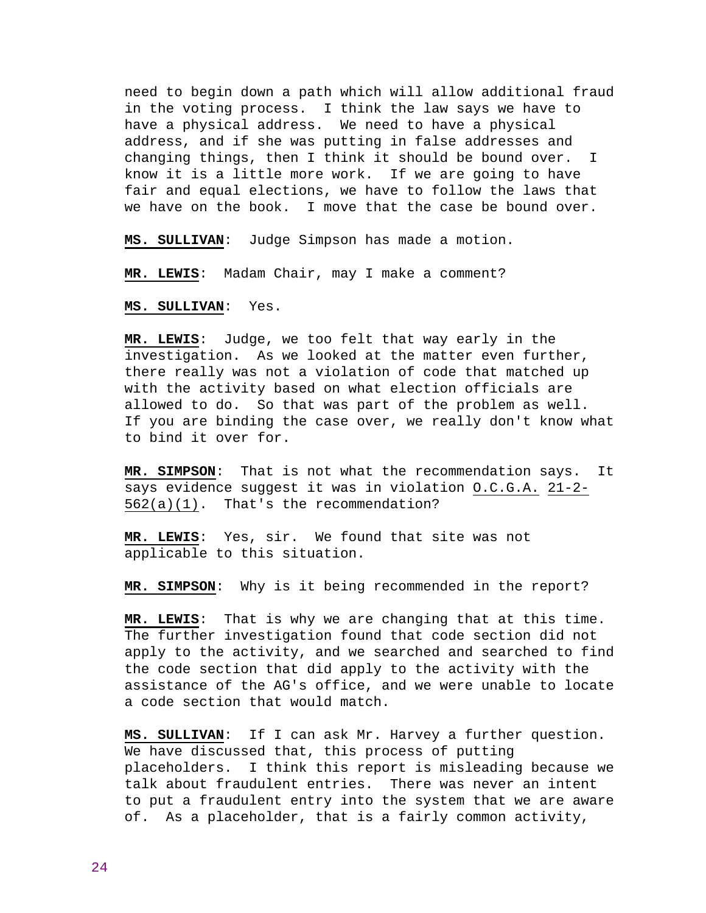need to begin down a path which will allow additional fraud in the voting process. I think the law says we have to have a physical address. We need to have a physical address, and if she was putting in false addresses and changing things, then I think it should be bound over. I know it is a little more work. If we are going to have fair and equal elections, we have to follow the laws that we have on the book. I move that the case be bound over.

**MS. SULLIVAN**: Judge Simpson has made a motion.

**MR. LEWIS**: Madam Chair, may I make a comment?

**MS. SULLIVAN**: Yes.

**MR. LEWIS**: Judge, we too felt that way early in the investigation. As we looked at the matter even further, there really was not a violation of code that matched up with the activity based on what election officials are allowed to do. So that was part of the problem as well. If you are binding the case over, we really don't know what to bind it over for.

**MR. SIMPSON**: That is not what the recommendation says. It says evidence suggest it was in violation O.C.G.A. 21-2- 562(a)(1). That's the recommendation?

**MR. LEWIS**: Yes, sir. We found that site was not applicable to this situation.

**MR. SIMPSON**: Why is it being recommended in the report?

**MR. LEWIS**: That is why we are changing that at this time. The further investigation found that code section did not apply to the activity, and we searched and searched to find the code section that did apply to the activity with the assistance of the AG's office, and we were unable to locate a code section that would match.

**MS. SULLIVAN**: If I can ask Mr. Harvey a further question. We have discussed that, this process of putting placeholders. I think this report is misleading because we talk about fraudulent entries. There was never an intent to put a fraudulent entry into the system that we are aware of. As a placeholder, that is a fairly common activity,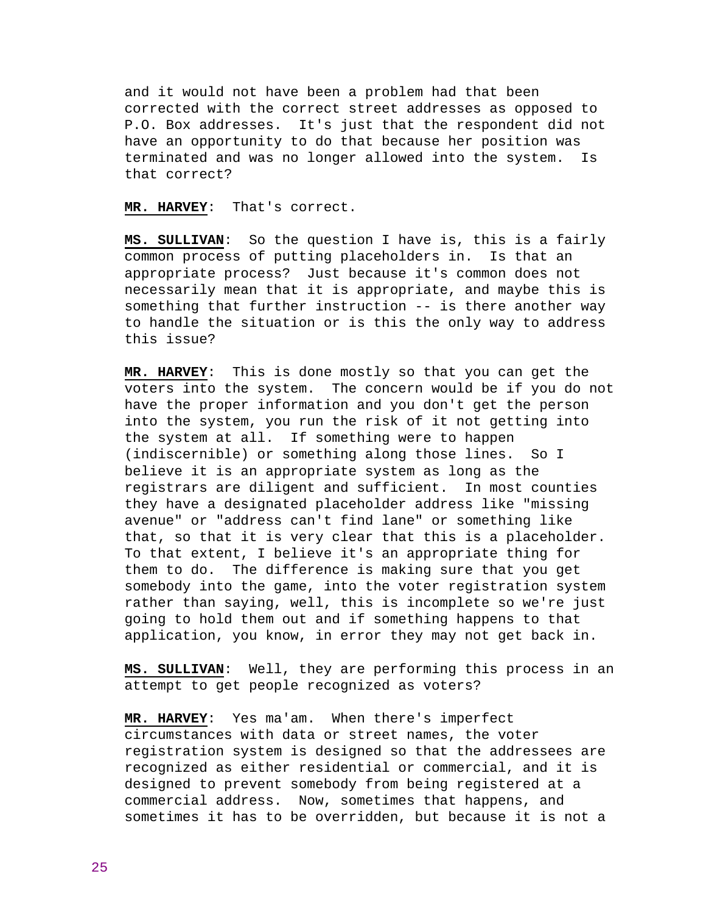and it would not have been a problem had that been corrected with the correct street addresses as opposed to P.O. Box addresses. It's just that the respondent did not have an opportunity to do that because her position was terminated and was no longer allowed into the system. Is that correct?

**MR. HARVEY**: That's correct.

**MS. SULLIVAN**: So the question I have is, this is a fairly common process of putting placeholders in. Is that an appropriate process? Just because it's common does not necessarily mean that it is appropriate, and maybe this is something that further instruction -- is there another way to handle the situation or is this the only way to address this issue?

**MR. HARVEY**: This is done mostly so that you can get the voters into the system. The concern would be if you do not have the proper information and you don't get the person into the system, you run the risk of it not getting into the system at all. If something were to happen (indiscernible) or something along those lines. So I believe it is an appropriate system as long as the registrars are diligent and sufficient. In most counties they have a designated placeholder address like "missing avenue" or "address can't find lane" or something like that, so that it is very clear that this is a placeholder. To that extent, I believe it's an appropriate thing for them to do. The difference is making sure that you get somebody into the game, into the voter registration system rather than saying, well, this is incomplete so we're just going to hold them out and if something happens to that application, you know, in error they may not get back in.

**MS. SULLIVAN**: Well, they are performing this process in an attempt to get people recognized as voters?

**MR. HARVEY**: Yes ma'am. When there's imperfect circumstances with data or street names, the voter registration system is designed so that the addressees are recognized as either residential or commercial, and it is designed to prevent somebody from being registered at a commercial address. Now, sometimes that happens, and sometimes it has to be overridden, but because it is not a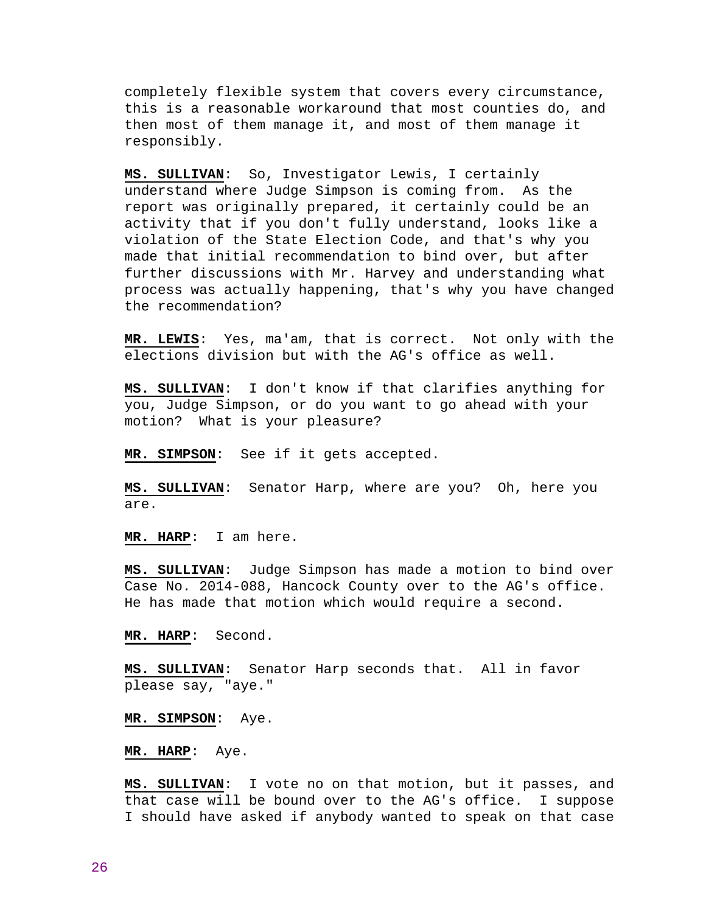completely flexible system that covers every circumstance, this is a reasonable workaround that most counties do, and then most of them manage it, and most of them manage it responsibly.

**MS. SULLIVAN**: So, Investigator Lewis, I certainly understand where Judge Simpson is coming from. As the report was originally prepared, it certainly could be an activity that if you don't fully understand, looks like a violation of the State Election Code, and that's why you made that initial recommendation to bind over, but after further discussions with Mr. Harvey and understanding what process was actually happening, that's why you have changed the recommendation?

**MR. LEWIS**: Yes, ma'am, that is correct. Not only with the elections division but with the AG's office as well.

**MS. SULLIVAN**: I don't know if that clarifies anything for you, Judge Simpson, or do you want to go ahead with your motion? What is your pleasure?

**MR. SIMPSON**: See if it gets accepted.

**MS. SULLIVAN**: Senator Harp, where are you? Oh, here you are.

**MR. HARP**: I am here.

**MS. SULLIVAN**: Judge Simpson has made a motion to bind over Case No. 2014-088, Hancock County over to the AG's office. He has made that motion which would require a second.

**MR. HARP**: Second.

**MS. SULLIVAN**: Senator Harp seconds that. All in favor please say, "aye."

**MR. SIMPSON**: Aye.

**MR. HARP**: Aye.

**MS. SULLIVAN**: I vote no on that motion, but it passes, and that case will be bound over to the AG's office. I suppose I should have asked if anybody wanted to speak on that case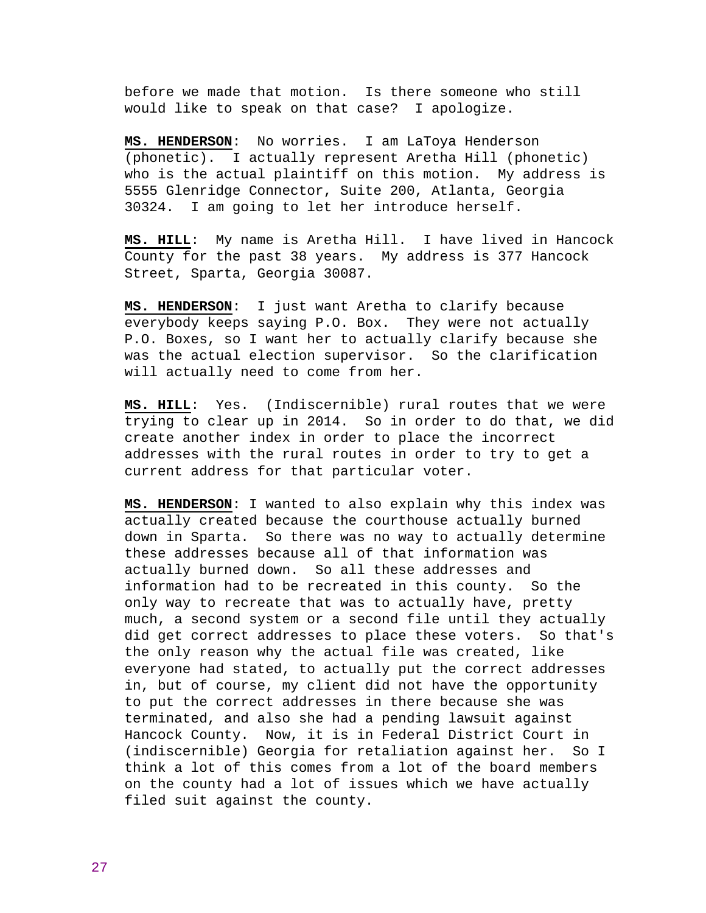before we made that motion. Is there someone who still would like to speak on that case? I apologize.

**MS. HENDERSON**: No worries. I am LaToya Henderson (phonetic). I actually represent Aretha Hill (phonetic) who is the actual plaintiff on this motion. My address is 5555 Glenridge Connector, Suite 200, Atlanta, Georgia 30324. I am going to let her introduce herself.

**MS. HILL**: My name is Aretha Hill. I have lived in Hancock County for the past 38 years. My address is 377 Hancock Street, Sparta, Georgia 30087.

**MS. HENDERSON**: I just want Aretha to clarify because everybody keeps saying P.O. Box. They were not actually P.O. Boxes, so I want her to actually clarify because she was the actual election supervisor. So the clarification will actually need to come from her.

**MS. HILL**: Yes. (Indiscernible) rural routes that we were trying to clear up in 2014. So in order to do that, we did create another index in order to place the incorrect addresses with the rural routes in order to try to get a current address for that particular voter.

**MS. HENDERSON**: I wanted to also explain why this index was actually created because the courthouse actually burned down in Sparta. So there was no way to actually determine these addresses because all of that information was actually burned down. So all these addresses and information had to be recreated in this county. So the only way to recreate that was to actually have, pretty much, a second system or a second file until they actually did get correct addresses to place these voters. So that's the only reason why the actual file was created, like everyone had stated, to actually put the correct addresses in, but of course, my client did not have the opportunity to put the correct addresses in there because she was terminated, and also she had a pending lawsuit against Hancock County. Now, it is in Federal District Court in (indiscernible) Georgia for retaliation against her. So I think a lot of this comes from a lot of the board members on the county had a lot of issues which we have actually filed suit against the county.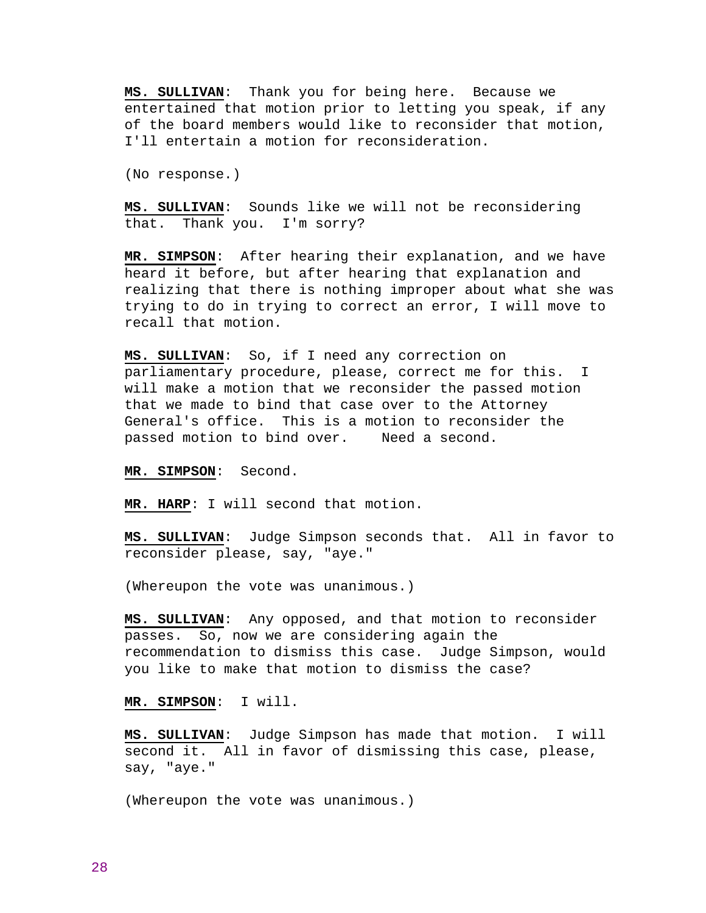**MS. SULLIVAN**: Thank you for being here. Because we entertained that motion prior to letting you speak, if any of the board members would like to reconsider that motion, I'll entertain a motion for reconsideration.

(No response.)

**MS. SULLIVAN**: Sounds like we will not be reconsidering that. Thank you. I'm sorry?

**MR. SIMPSON**: After hearing their explanation, and we have heard it before, but after hearing that explanation and realizing that there is nothing improper about what she was trying to do in trying to correct an error, I will move to recall that motion.

**MS. SULLIVAN**: So, if I need any correction on parliamentary procedure, please, correct me for this. I will make a motion that we reconsider the passed motion that we made to bind that case over to the Attorney General's office. This is a motion to reconsider the passed motion to bind over. Need a second.

**MR. SIMPSON**: Second.

**MR. HARP**: I will second that motion.

**MS. SULLIVAN**: Judge Simpson seconds that. All in favor to reconsider please, say, "aye."

(Whereupon the vote was unanimous.)

**MS. SULLIVAN**: Any opposed, and that motion to reconsider passes. So, now we are considering again the recommendation to dismiss this case. Judge Simpson, would you like to make that motion to dismiss the case?

**MR. SIMPSON**: I will.

**MS. SULLIVAN**: Judge Simpson has made that motion. I will second it. All in favor of dismissing this case, please, say, "aye."

(Whereupon the vote was unanimous.)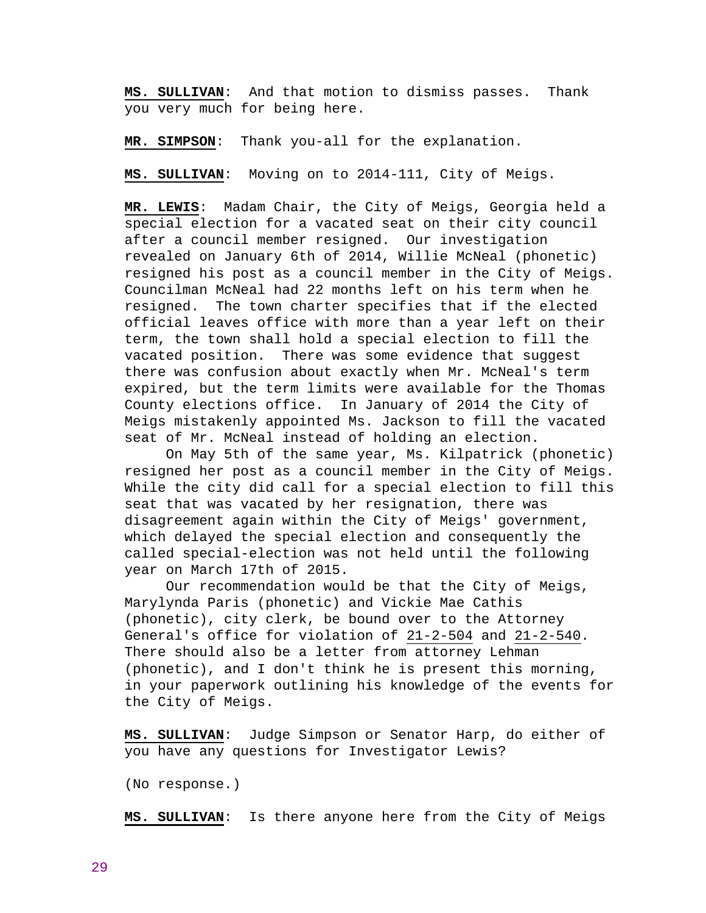**MS. SULLIVAN**: And that motion to dismiss passes. Thank you very much for being here.

**MR. SIMPSON**: Thank you-all for the explanation.

**MS. SULLIVAN**: Moving on to 2014-111, City of Meigs.

**MR. LEWIS**: Madam Chair, the City of Meigs, Georgia held a special election for a vacated seat on their city council after a council member resigned. Our investigation revealed on January 6th of 2014, Willie McNeal (phonetic) resigned his post as a council member in the City of Meigs. Councilman McNeal had 22 months left on his term when he resigned. The town charter specifies that if the elected official leaves office with more than a year left on their term, the town shall hold a special election to fill the vacated position. There was some evidence that suggest there was confusion about exactly when Mr. McNeal's term expired, but the term limits were available for the Thomas County elections office. In January of 2014 the City of Meigs mistakenly appointed Ms. Jackson to fill the vacated seat of Mr. McNeal instead of holding an election.

 On May 5th of the same year, Ms. Kilpatrick (phonetic) resigned her post as a council member in the City of Meigs. While the city did call for a special election to fill this seat that was vacated by her resignation, there was disagreement again within the City of Meigs' government, which delayed the special election and consequently the called special-election was not held until the following year on March 17th of 2015.

 Our recommendation would be that the City of Meigs, Marylynda Paris (phonetic) and Vickie Mae Cathis (phonetic), city clerk, be bound over to the Attorney General's office for violation of 21-2-504 and 21-2-540. There should also be a letter from attorney Lehman (phonetic), and I don't think he is present this morning, in your paperwork outlining his knowledge of the events for the City of Meigs.

**MS. SULLIVAN**: Judge Simpson or Senator Harp, do either of you have any questions for Investigator Lewis?

(No response.)

**MS. SULLIVAN**: Is there anyone here from the City of Meigs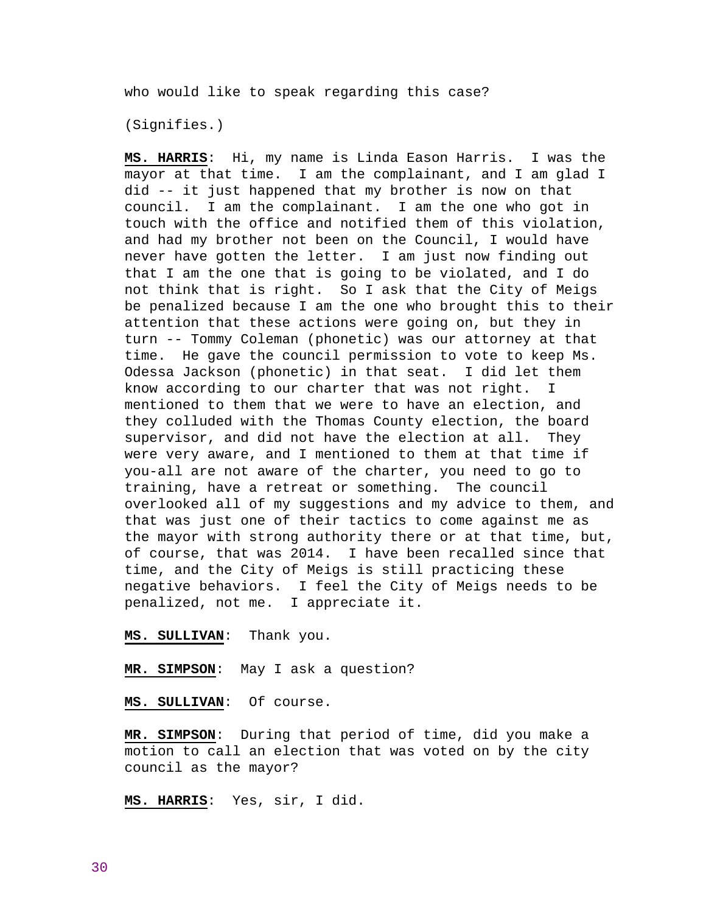who would like to speak regarding this case?

(Signifies.)

**MS. HARRIS**: Hi, my name is Linda Eason Harris. I was the mayor at that time. I am the complainant, and I am glad I did -- it just happened that my brother is now on that council. I am the complainant. I am the one who got in touch with the office and notified them of this violation, and had my brother not been on the Council, I would have never have gotten the letter. I am just now finding out that I am the one that is going to be violated, and I do not think that is right. So I ask that the City of Meigs be penalized because I am the one who brought this to their attention that these actions were going on, but they in turn -- Tommy Coleman (phonetic) was our attorney at that time. He gave the council permission to vote to keep Ms. Odessa Jackson (phonetic) in that seat. I did let them know according to our charter that was not right. I mentioned to them that we were to have an election, and they colluded with the Thomas County election, the board supervisor, and did not have the election at all. They were very aware, and I mentioned to them at that time if you-all are not aware of the charter, you need to go to training, have a retreat or something. The council overlooked all of my suggestions and my advice to them, and that was just one of their tactics to come against me as the mayor with strong authority there or at that time, but, of course, that was 2014. I have been recalled since that time, and the City of Meigs is still practicing these negative behaviors. I feel the City of Meigs needs to be penalized, not me. I appreciate it.

## **MS. SULLIVAN**: Thank you.

**MR. SIMPSON**: May I ask a question?

**MS. SULLIVAN**: Of course.

**MR. SIMPSON**: During that period of time, did you make a motion to call an election that was voted on by the city council as the mayor?

**MS. HARRIS**: Yes, sir, I did.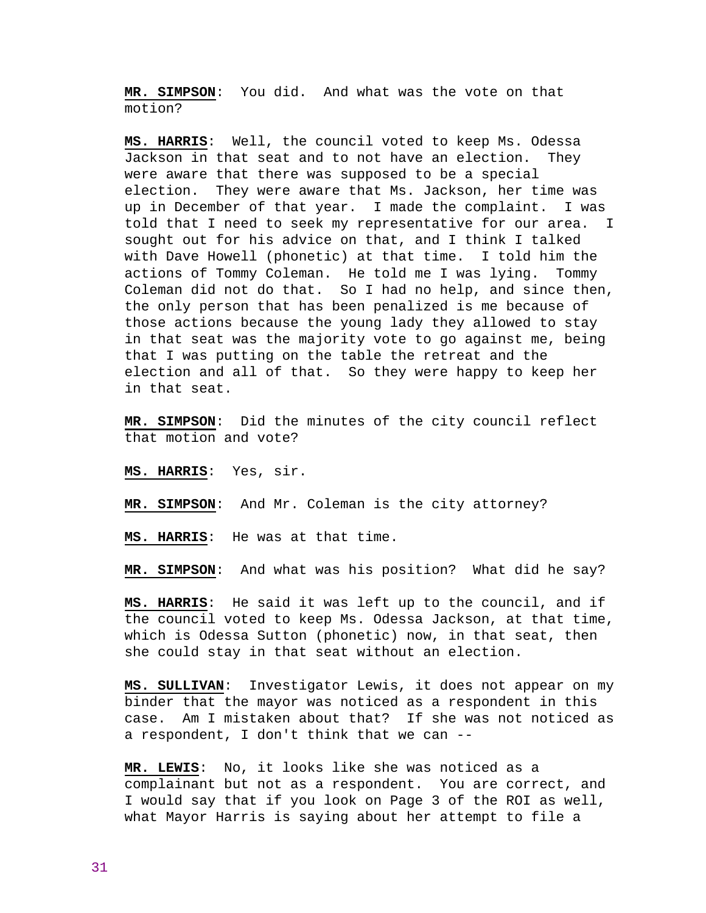**MR. SIMPSON**: You did. And what was the vote on that motion?

**MS. HARRIS**: Well, the council voted to keep Ms. Odessa Jackson in that seat and to not have an election. They were aware that there was supposed to be a special election. They were aware that Ms. Jackson, her time was up in December of that year. I made the complaint. I was told that I need to seek my representative for our area. I sought out for his advice on that, and I think I talked with Dave Howell (phonetic) at that time. I told him the actions of Tommy Coleman. He told me I was lying. Tommy Coleman did not do that. So I had no help, and since then, the only person that has been penalized is me because of those actions because the young lady they allowed to stay in that seat was the majority vote to go against me, being that I was putting on the table the retreat and the election and all of that. So they were happy to keep her in that seat.

**MR. SIMPSON**: Did the minutes of the city council reflect that motion and vote?

**MS. HARRIS**: Yes, sir.

**MR. SIMPSON**: And Mr. Coleman is the city attorney?

**MS. HARRIS**: He was at that time.

**MR. SIMPSON**: And what was his position? What did he say?

**MS. HARRIS**: He said it was left up to the council, and if the council voted to keep Ms. Odessa Jackson, at that time, which is Odessa Sutton (phonetic) now, in that seat, then she could stay in that seat without an election.

**MS. SULLIVAN**: Investigator Lewis, it does not appear on my binder that the mayor was noticed as a respondent in this case. Am I mistaken about that? If she was not noticed as a respondent, I don't think that we can --

**MR. LEWIS**: No, it looks like she was noticed as a complainant but not as a respondent. You are correct, and I would say that if you look on Page 3 of the ROI as well, what Mayor Harris is saying about her attempt to file a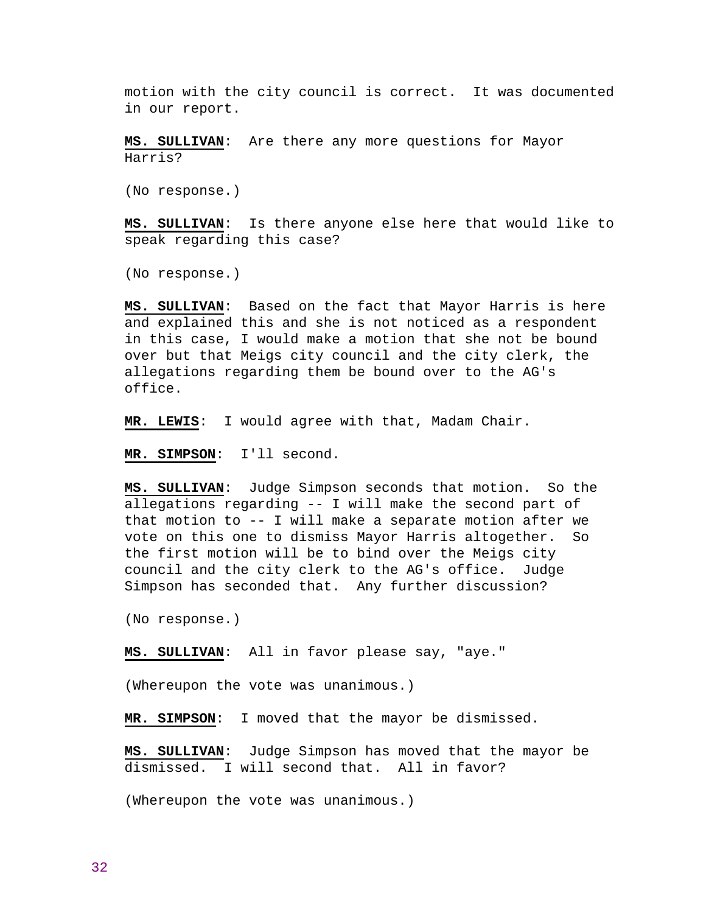motion with the city council is correct. It was documented in our report.

**MS. SULLIVAN**: Are there any more questions for Mayor Harris?

(No response.)

**MS. SULLIVAN**: Is there anyone else here that would like to speak regarding this case?

(No response.)

**MS. SULLIVAN**: Based on the fact that Mayor Harris is here and explained this and she is not noticed as a respondent in this case, I would make a motion that she not be bound over but that Meigs city council and the city clerk, the allegations regarding them be bound over to the AG's office.

**MR. LEWIS**: I would agree with that, Madam Chair.

**MR. SIMPSON**: I'll second.

**MS. SULLIVAN**: Judge Simpson seconds that motion. So the allegations regarding -- I will make the second part of that motion to -- I will make a separate motion after we vote on this one to dismiss Mayor Harris altogether. So the first motion will be to bind over the Meigs city council and the city clerk to the AG's office. Judge Simpson has seconded that. Any further discussion?

(No response.)

**MS. SULLIVAN**: All in favor please say, "aye."

(Whereupon the vote was unanimous.)

**MR. SIMPSON**: I moved that the mayor be dismissed.

**MS. SULLIVAN**: Judge Simpson has moved that the mayor be dismissed. I will second that. All in favor?

(Whereupon the vote was unanimous.)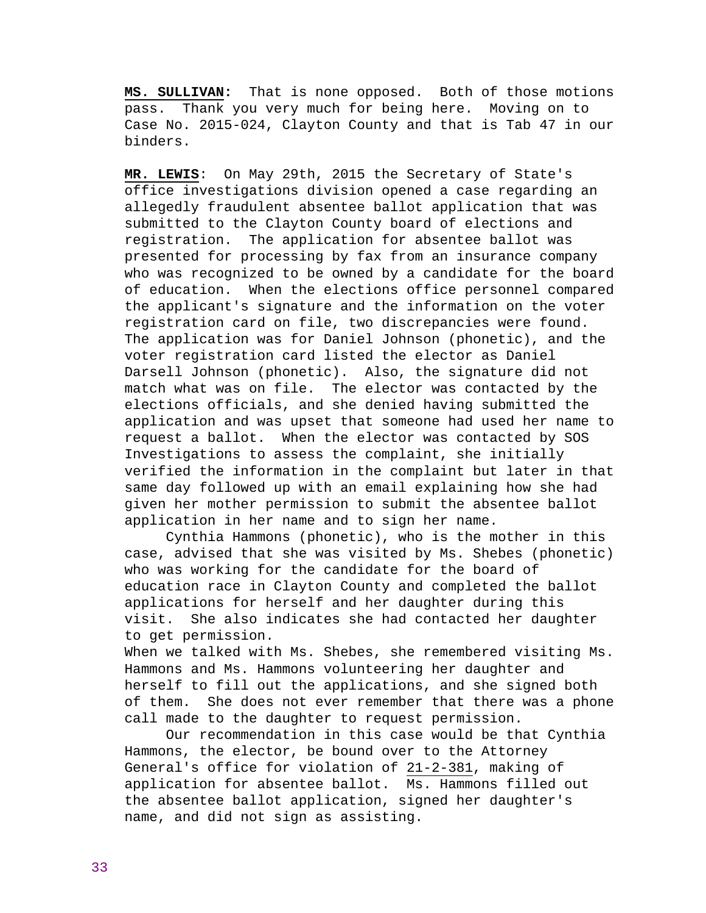**MS. SULLIVAN:** That is none opposed. Both of those motions pass. Thank you very much for being here. Moving on to Case No. 2015-024, Clayton County and that is Tab 47 in our binders.

**MR. LEWIS**: On May 29th, 2015 the Secretary of State's office investigations division opened a case regarding an allegedly fraudulent absentee ballot application that was submitted to the Clayton County board of elections and registration. The application for absentee ballot was presented for processing by fax from an insurance company who was recognized to be owned by a candidate for the board of education. When the elections office personnel compared the applicant's signature and the information on the voter registration card on file, two discrepancies were found. The application was for Daniel Johnson (phonetic), and the voter registration card listed the elector as Daniel Darsell Johnson (phonetic). Also, the signature did not match what was on file. The elector was contacted by the elections officials, and she denied having submitted the application and was upset that someone had used her name to request a ballot. When the elector was contacted by SOS Investigations to assess the complaint, she initially verified the information in the complaint but later in that same day followed up with an email explaining how she had given her mother permission to submit the absentee ballot application in her name and to sign her name.

 Cynthia Hammons (phonetic), who is the mother in this case, advised that she was visited by Ms. Shebes (phonetic) who was working for the candidate for the board of education race in Clayton County and completed the ballot applications for herself and her daughter during this visit. She also indicates she had contacted her daughter to get permission.

When we talked with Ms. Shebes, she remembered visiting Ms. Hammons and Ms. Hammons volunteering her daughter and herself to fill out the applications, and she signed both of them. She does not ever remember that there was a phone call made to the daughter to request permission.

 Our recommendation in this case would be that Cynthia Hammons, the elector, be bound over to the Attorney General's office for violation of 21-2-381, making of application for absentee ballot. Ms. Hammons filled out the absentee ballot application, signed her daughter's name, and did not sign as assisting.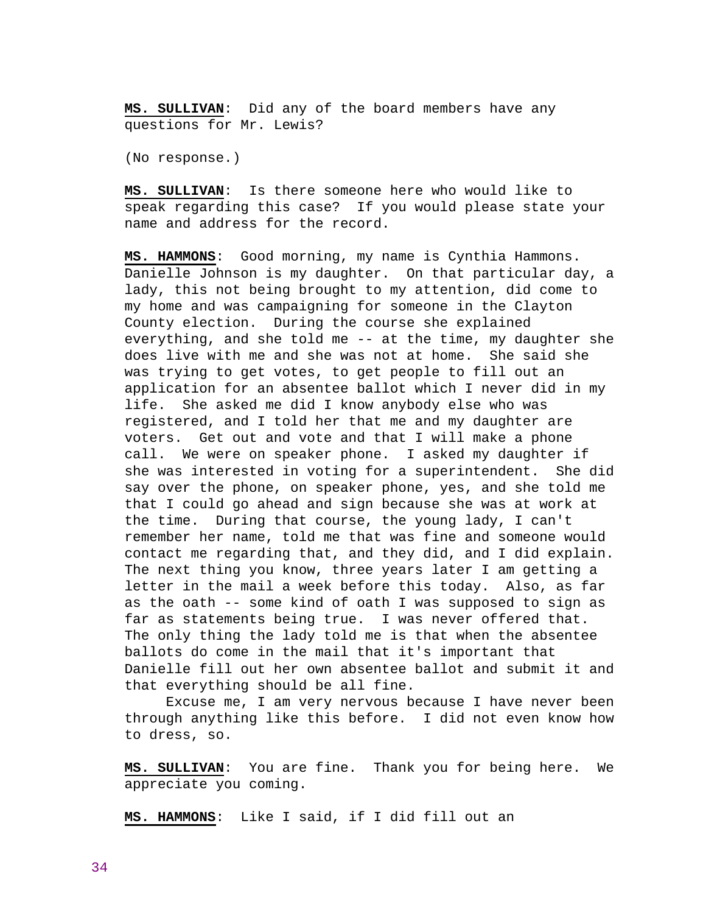**MS. SULLIVAN**: Did any of the board members have any questions for Mr. Lewis?

(No response.)

**MS. SULLIVAN**: Is there someone here who would like to speak regarding this case? If you would please state your name and address for the record.

**MS. HAMMONS**: Good morning, my name is Cynthia Hammons. Danielle Johnson is my daughter. On that particular day, a lady, this not being brought to my attention, did come to my home and was campaigning for someone in the Clayton County election. During the course she explained everything, and she told me -- at the time, my daughter she does live with me and she was not at home. She said she was trying to get votes, to get people to fill out an application for an absentee ballot which I never did in my life. She asked me did I know anybody else who was registered, and I told her that me and my daughter are voters. Get out and vote and that I will make a phone call. We were on speaker phone. I asked my daughter if she was interested in voting for a superintendent. She did say over the phone, on speaker phone, yes, and she told me that I could go ahead and sign because she was at work at the time. During that course, the young lady, I can't remember her name, told me that was fine and someone would contact me regarding that, and they did, and I did explain. The next thing you know, three years later I am getting a letter in the mail a week before this today. Also, as far as the oath -- some kind of oath I was supposed to sign as far as statements being true. I was never offered that. The only thing the lady told me is that when the absentee ballots do come in the mail that it's important that Danielle fill out her own absentee ballot and submit it and that everything should be all fine.

 Excuse me, I am very nervous because I have never been through anything like this before. I did not even know how to dress, so.

**MS. SULLIVAN**: You are fine. Thank you for being here. We appreciate you coming.

**MS. HAMMONS**: Like I said, if I did fill out an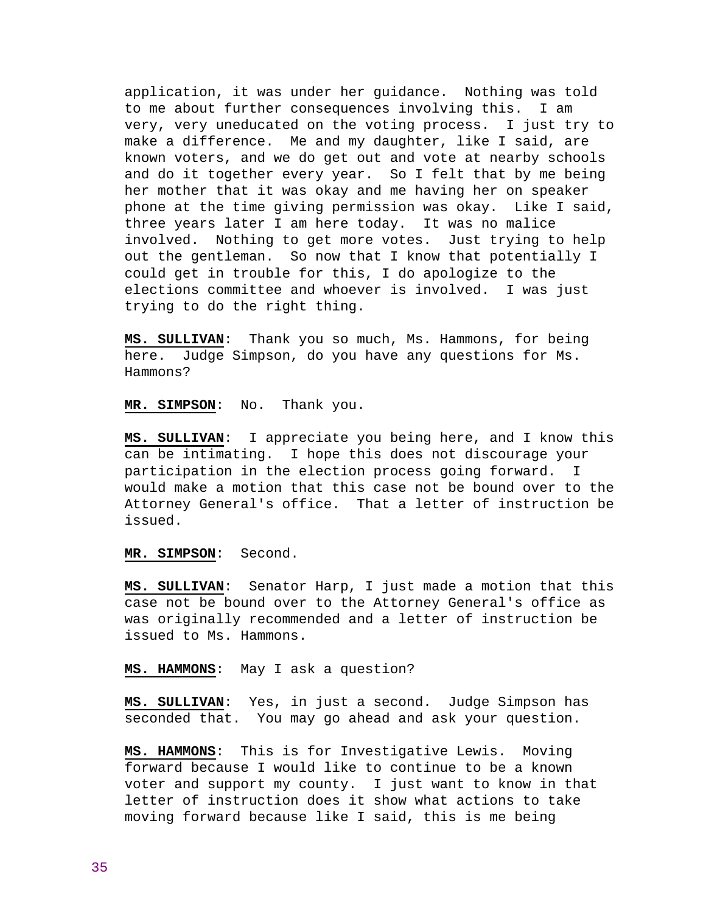application, it was under her guidance. Nothing was told to me about further consequences involving this. I am very, very uneducated on the voting process. I just try to make a difference. Me and my daughter, like I said, are known voters, and we do get out and vote at nearby schools and do it together every year. So I felt that by me being her mother that it was okay and me having her on speaker phone at the time giving permission was okay. Like I said, three years later I am here today. It was no malice involved. Nothing to get more votes. Just trying to help out the gentleman. So now that I know that potentially I could get in trouble for this, I do apologize to the elections committee and whoever is involved. I was just trying to do the right thing.

**MS. SULLIVAN**: Thank you so much, Ms. Hammons, for being here. Judge Simpson, do you have any questions for Ms. Hammons?

**MR. SIMPSON**: No. Thank you.

**MS. SULLIVAN**: I appreciate you being here, and I know this can be intimating. I hope this does not discourage your participation in the election process going forward. I would make a motion that this case not be bound over to the Attorney General's office. That a letter of instruction be issued.

### **MR. SIMPSON**: Second.

**MS. SULLIVAN**: Senator Harp, I just made a motion that this case not be bound over to the Attorney General's office as was originally recommended and a letter of instruction be issued to Ms. Hammons.

### **MS. HAMMONS**: May I ask a question?

**MS. SULLIVAN**: Yes, in just a second. Judge Simpson has seconded that. You may go ahead and ask your question.

**MS. HAMMONS**: This is for Investigative Lewis. Moving forward because I would like to continue to be a known voter and support my county. I just want to know in that letter of instruction does it show what actions to take moving forward because like I said, this is me being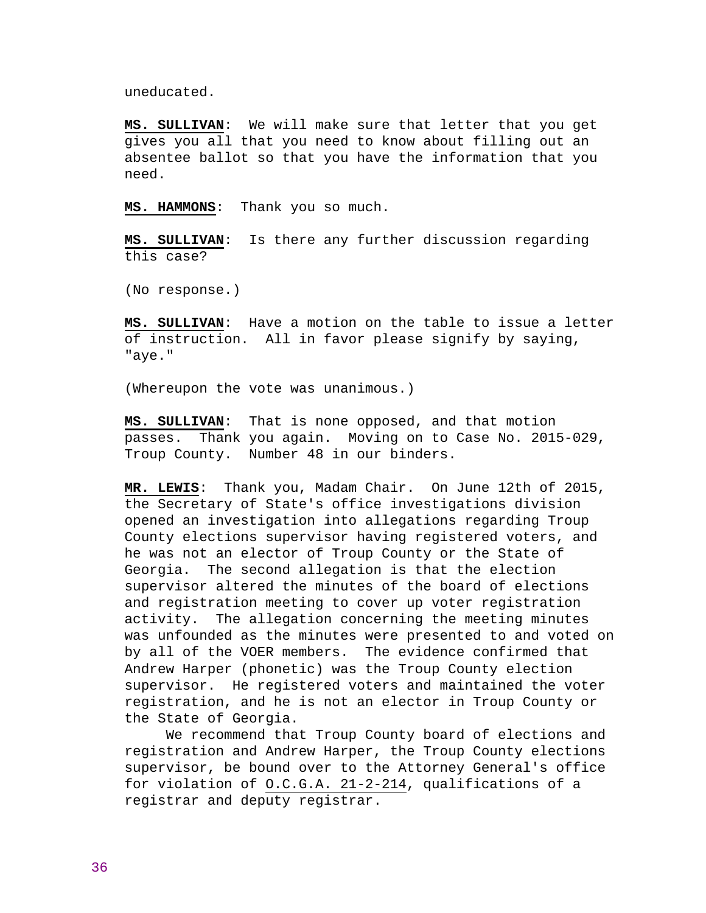uneducated.

**MS. SULLIVAN**: We will make sure that letter that you get gives you all that you need to know about filling out an absentee ballot so that you have the information that you need.

**MS. HAMMONS**: Thank you so much.

**MS. SULLIVAN**: Is there any further discussion regarding this case?

(No response.)

**MS. SULLIVAN**: Have a motion on the table to issue a letter of instruction. All in favor please signify by saying, "aye."

(Whereupon the vote was unanimous.)

**MS. SULLIVAN**: That is none opposed, and that motion passes. Thank you again. Moving on to Case No. 2015-029, Troup County. Number 48 in our binders.

**MR. LEWIS**: Thank you, Madam Chair. On June 12th of 2015, the Secretary of State's office investigations division opened an investigation into allegations regarding Troup County elections supervisor having registered voters, and he was not an elector of Troup County or the State of Georgia. The second allegation is that the election supervisor altered the minutes of the board of elections and registration meeting to cover up voter registration activity. The allegation concerning the meeting minutes was unfounded as the minutes were presented to and voted on by all of the VOER members. The evidence confirmed that Andrew Harper (phonetic) was the Troup County election supervisor. He registered voters and maintained the voter registration, and he is not an elector in Troup County or the State of Georgia.

 We recommend that Troup County board of elections and registration and Andrew Harper, the Troup County elections supervisor, be bound over to the Attorney General's office for violation of O.C.G.A. 21-2-214, qualifications of a registrar and deputy registrar.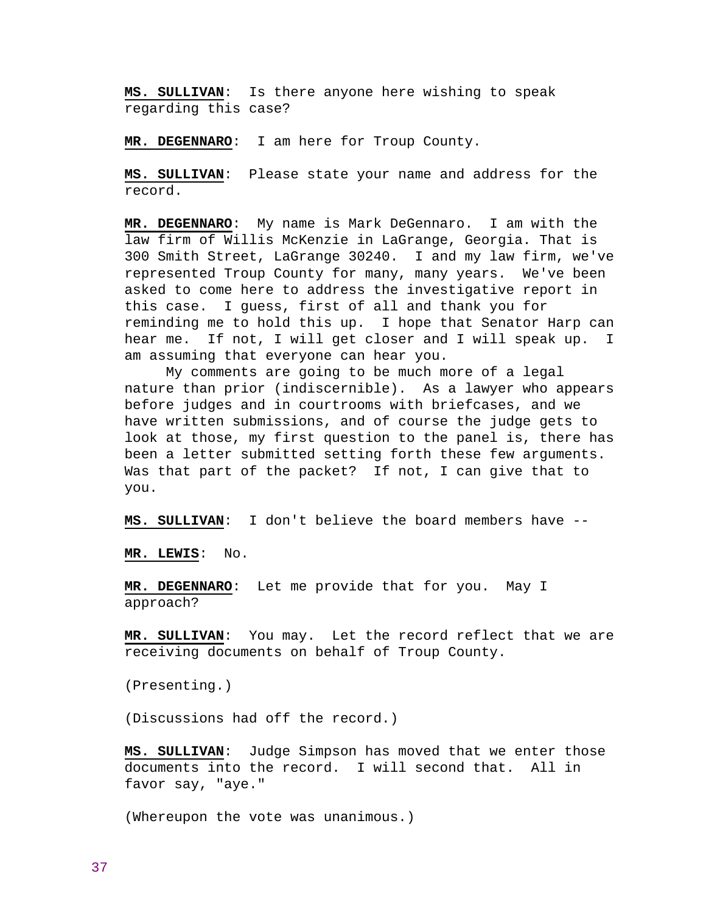**MS. SULLIVAN**: Is there anyone here wishing to speak regarding this case?

**MR. DEGENNARO**: I am here for Troup County.

**MS. SULLIVAN**: Please state your name and address for the record.

**MR. DEGENNARO**: My name is Mark DeGennaro. I am with the law firm of Willis McKenzie in LaGrange, Georgia. That is 300 Smith Street, LaGrange 30240. I and my law firm, we've represented Troup County for many, many years. We've been asked to come here to address the investigative report in this case. I guess, first of all and thank you for reminding me to hold this up. I hope that Senator Harp can hear me. If not, I will get closer and I will speak up. I am assuming that everyone can hear you.

 My comments are going to be much more of a legal nature than prior (indiscernible). As a lawyer who appears before judges and in courtrooms with briefcases, and we have written submissions, and of course the judge gets to look at those, my first question to the panel is, there has been a letter submitted setting forth these few arguments. Was that part of the packet? If not, I can give that to you.

**MS. SULLIVAN**: I don't believe the board members have --

**MR. LEWIS**: No.

**MR. DEGENNARO**: Let me provide that for you. May I approach?

**MR. SULLIVAN**: You may. Let the record reflect that we are receiving documents on behalf of Troup County.

(Presenting.)

(Discussions had off the record.)

**MS. SULLIVAN**: Judge Simpson has moved that we enter those documents into the record. I will second that. All in favor say, "aye."

(Whereupon the vote was unanimous.)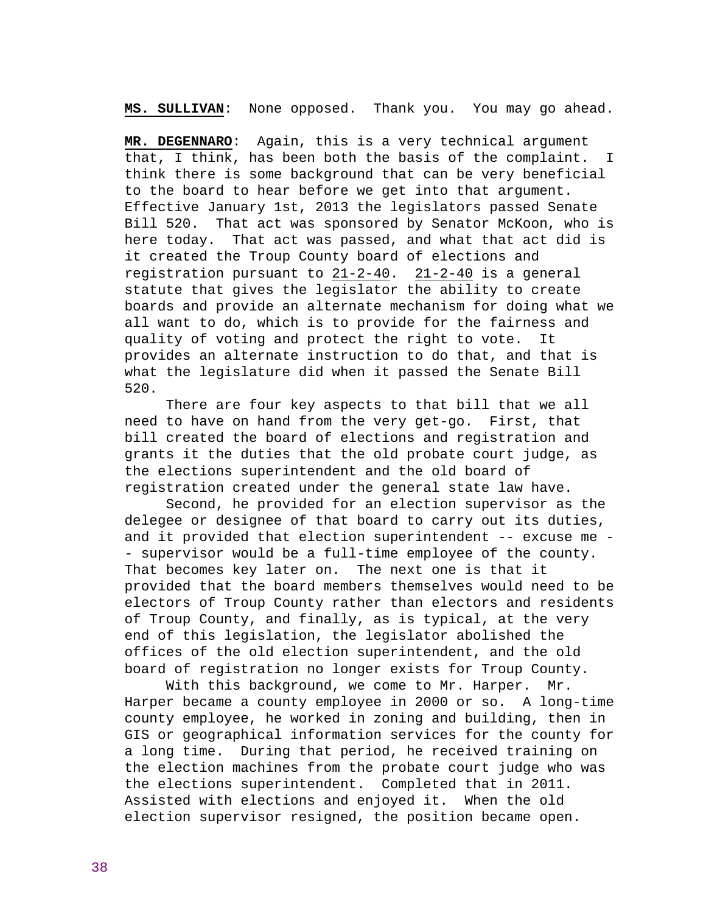**MS. SULLIVAN**: None opposed. Thank you. You may go ahead.

**MR. DEGENNARO**: Again, this is a very technical argument that, I think, has been both the basis of the complaint. I think there is some background that can be very beneficial to the board to hear before we get into that argument. Effective January 1st, 2013 the legislators passed Senate Bill 520. That act was sponsored by Senator McKoon, who is here today. That act was passed, and what that act did is it created the Troup County board of elections and registration pursuant to 21-2-40. 21-2-40 is a general statute that gives the legislator the ability to create boards and provide an alternate mechanism for doing what we all want to do, which is to provide for the fairness and quality of voting and protect the right to vote. It provides an alternate instruction to do that, and that is what the legislature did when it passed the Senate Bill 520.

 There are four key aspects to that bill that we all need to have on hand from the very get-go. First, that bill created the board of elections and registration and grants it the duties that the old probate court judge, as the elections superintendent and the old board of registration created under the general state law have.

 Second, he provided for an election supervisor as the delegee or designee of that board to carry out its duties, and it provided that election superintendent -- excuse me - - supervisor would be a full-time employee of the county. That becomes key later on. The next one is that it provided that the board members themselves would need to be electors of Troup County rather than electors and residents of Troup County, and finally, as is typical, at the very end of this legislation, the legislator abolished the offices of the old election superintendent, and the old board of registration no longer exists for Troup County.

 With this background, we come to Mr. Harper. Mr. Harper became a county employee in 2000 or so. A long-time county employee, he worked in zoning and building, then in GIS or geographical information services for the county for a long time. During that period, he received training on the election machines from the probate court judge who was the elections superintendent. Completed that in 2011. Assisted with elections and enjoyed it. When the old election supervisor resigned, the position became open.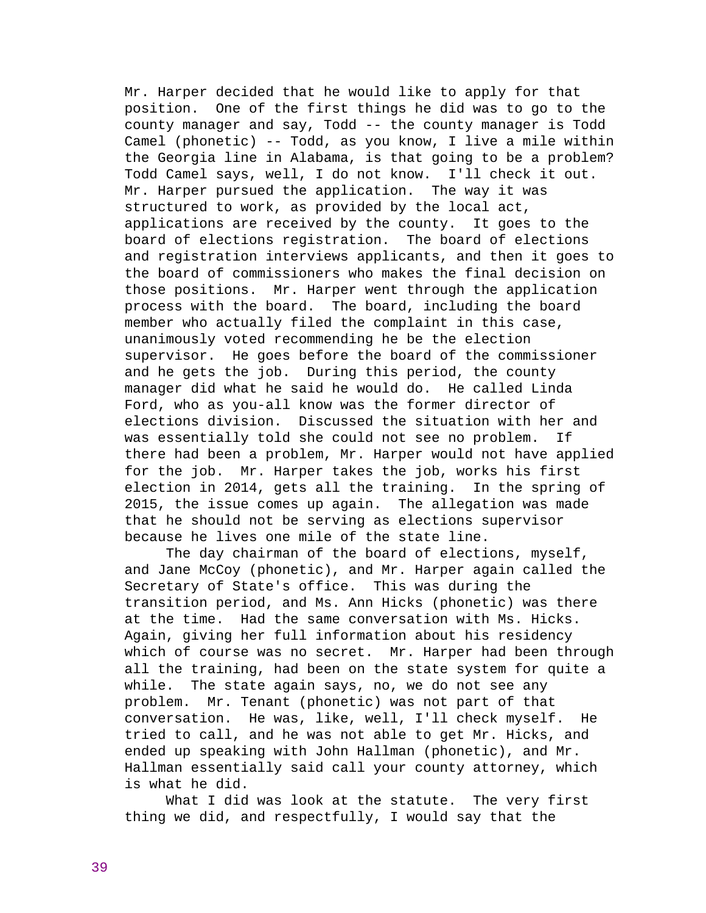Mr. Harper decided that he would like to apply for that position. One of the first things he did was to go to the county manager and say, Todd -- the county manager is Todd Camel (phonetic) -- Todd, as you know, I live a mile within the Georgia line in Alabama, is that going to be a problem? Todd Camel says, well, I do not know. I'll check it out. Mr. Harper pursued the application. The way it was structured to work, as provided by the local act, applications are received by the county. It goes to the board of elections registration. The board of elections and registration interviews applicants, and then it goes to the board of commissioners who makes the final decision on those positions. Mr. Harper went through the application process with the board. The board, including the board member who actually filed the complaint in this case, unanimously voted recommending he be the election supervisor. He goes before the board of the commissioner and he gets the job. During this period, the county manager did what he said he would do. He called Linda Ford, who as you-all know was the former director of elections division. Discussed the situation with her and was essentially told she could not see no problem. If there had been a problem, Mr. Harper would not have applied for the job. Mr. Harper takes the job, works his first election in 2014, gets all the training. In the spring of 2015, the issue comes up again. The allegation was made that he should not be serving as elections supervisor because he lives one mile of the state line.

The day chairman of the board of elections, myself, and Jane McCoy (phonetic), and Mr. Harper again called the Secretary of State's office. This was during the transition period, and Ms. Ann Hicks (phonetic) was there at the time. Had the same conversation with Ms. Hicks. Again, giving her full information about his residency which of course was no secret. Mr. Harper had been through all the training, had been on the state system for quite a while. The state again says, no, we do not see any problem. Mr. Tenant (phonetic) was not part of that conversation. He was, like, well, I'll check myself. He tried to call, and he was not able to get Mr. Hicks, and ended up speaking with John Hallman (phonetic), and Mr. Hallman essentially said call your county attorney, which is what he did.

 What I did was look at the statute. The very first thing we did, and respectfully, I would say that the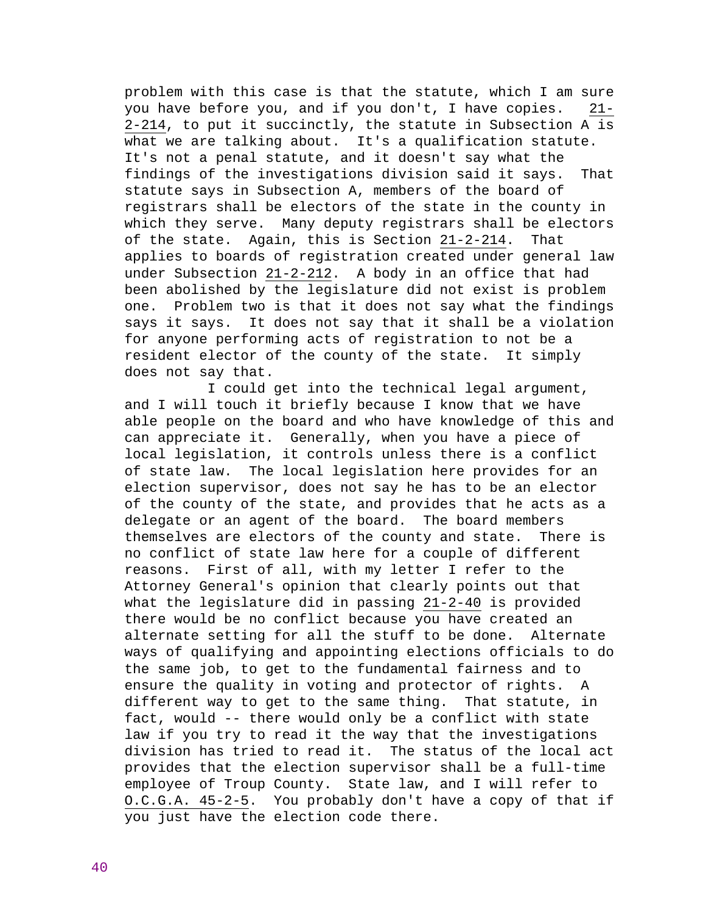problem with this case is that the statute, which I am sure you have before you, and if you don't, I have copies. 21- 2-214, to put it succinctly, the statute in Subsection A is what we are talking about. It's a qualification statute. It's not a penal statute, and it doesn't say what the findings of the investigations division said it says. That statute says in Subsection A, members of the board of registrars shall be electors of the state in the county in which they serve. Many deputy registrars shall be electors of the state. Again, this is Section 21-2-214. That applies to boards of registration created under general law under Subsection 21-2-212. A body in an office that had been abolished by the legislature did not exist is problem one. Problem two is that it does not say what the findings says it says. It does not say that it shall be a violation for anyone performing acts of registration to not be a resident elector of the county of the state. It simply does not say that.

 I could get into the technical legal argument, and I will touch it briefly because I know that we have able people on the board and who have knowledge of this and can appreciate it. Generally, when you have a piece of local legislation, it controls unless there is a conflict of state law. The local legislation here provides for an election supervisor, does not say he has to be an elector of the county of the state, and provides that he acts as a delegate or an agent of the board. The board members themselves are electors of the county and state. There is no conflict of state law here for a couple of different reasons. First of all, with my letter I refer to the Attorney General's opinion that clearly points out that what the legislature did in passing 21-2-40 is provided there would be no conflict because you have created an alternate setting for all the stuff to be done. Alternate ways of qualifying and appointing elections officials to do the same job, to get to the fundamental fairness and to ensure the quality in voting and protector of rights. A different way to get to the same thing. That statute, in fact, would -- there would only be a conflict with state law if you try to read it the way that the investigations division has tried to read it. The status of the local act provides that the election supervisor shall be a full-time employee of Troup County. State law, and I will refer to O.C.G.A. 45-2-5. You probably don't have a copy of that if you just have the election code there.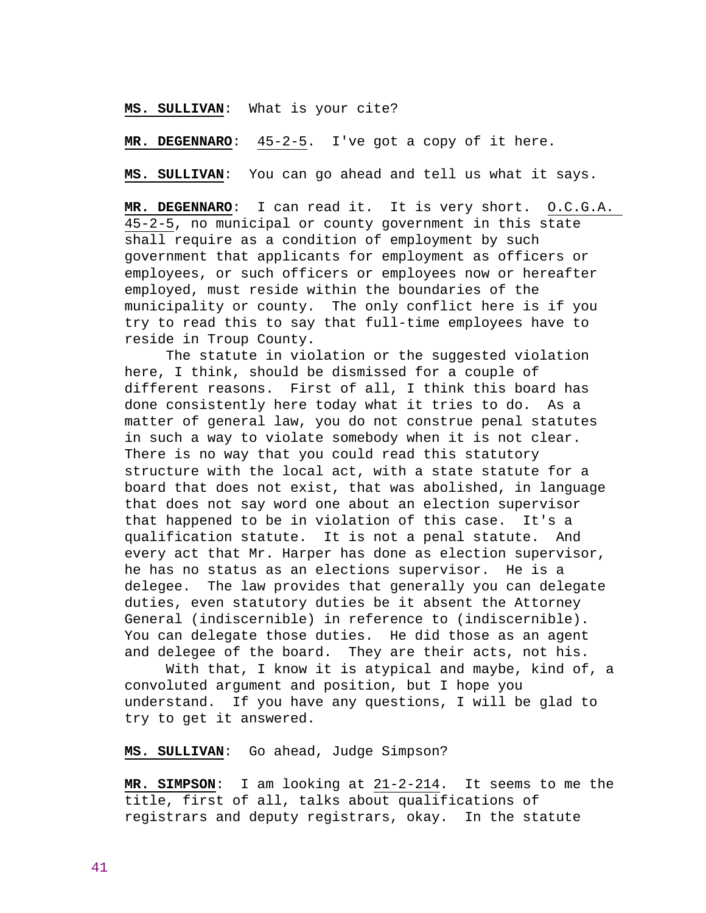**MS. SULLIVAN**: What is your cite?

**MR. DEGENNARO**: 45-2-5. I've got a copy of it here.

**MS. SULLIVAN**: You can go ahead and tell us what it says.

**MR. DEGENNARO**: I can read it. It is very short. O.C.G.A. 45-2-5, no municipal or county government in this state shall require as a condition of employment by such government that applicants for employment as officers or employees, or such officers or employees now or hereafter employed, must reside within the boundaries of the municipality or county. The only conflict here is if you try to read this to say that full-time employees have to reside in Troup County.

 The statute in violation or the suggested violation here, I think, should be dismissed for a couple of different reasons. First of all, I think this board has done consistently here today what it tries to do. As a matter of general law, you do not construe penal statutes in such a way to violate somebody when it is not clear. There is no way that you could read this statutory structure with the local act, with a state statute for a board that does not exist, that was abolished, in language that does not say word one about an election supervisor that happened to be in violation of this case. It's a qualification statute. It is not a penal statute. And every act that Mr. Harper has done as election supervisor, he has no status as an elections supervisor. He is a delegee. The law provides that generally you can delegate duties, even statutory duties be it absent the Attorney General (indiscernible) in reference to (indiscernible). You can delegate those duties. He did those as an agent and delegee of the board. They are their acts, not his.

 With that, I know it is atypical and maybe, kind of, a convoluted argument and position, but I hope you understand. If you have any questions, I will be glad to try to get it answered.

**MS. SULLIVAN**: Go ahead, Judge Simpson?

**MR. SIMPSON**: I am looking at 21-2-214. It seems to me the title, first of all, talks about qualifications of registrars and deputy registrars, okay. In the statute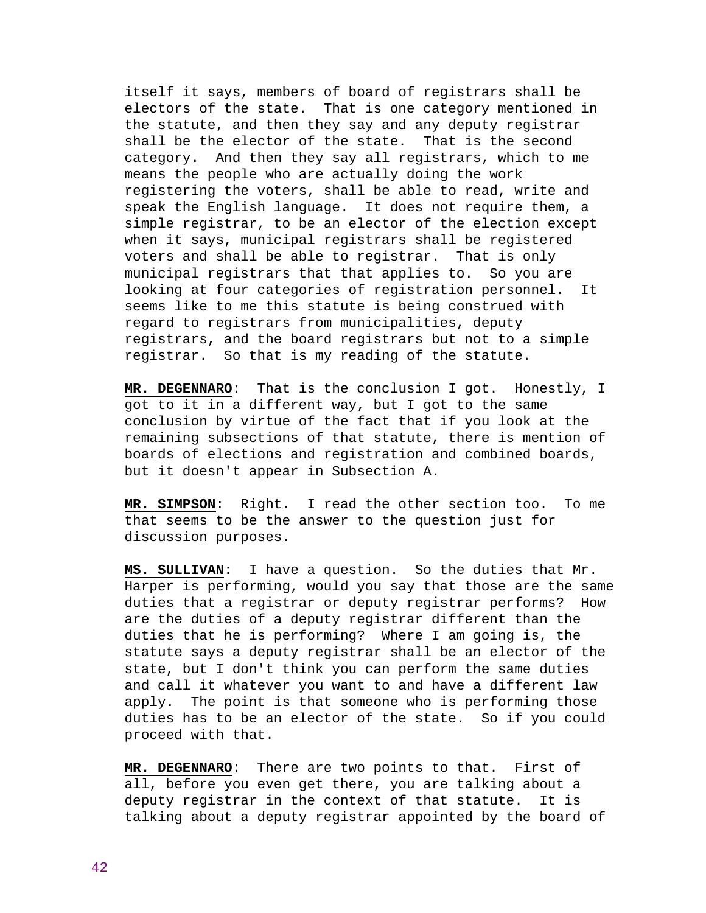itself it says, members of board of registrars shall be electors of the state. That is one category mentioned in the statute, and then they say and any deputy registrar shall be the elector of the state. That is the second category. And then they say all registrars, which to me means the people who are actually doing the work registering the voters, shall be able to read, write and speak the English language. It does not require them, a simple registrar, to be an elector of the election except when it says, municipal registrars shall be registered voters and shall be able to registrar. That is only municipal registrars that that applies to. So you are looking at four categories of registration personnel. It seems like to me this statute is being construed with regard to registrars from municipalities, deputy registrars, and the board registrars but not to a simple registrar. So that is my reading of the statute.

**MR. DEGENNARO**: That is the conclusion I got. Honestly, I got to it in a different way, but I got to the same conclusion by virtue of the fact that if you look at the remaining subsections of that statute, there is mention of boards of elections and registration and combined boards, but it doesn't appear in Subsection A.

**MR. SIMPSON**: Right. I read the other section too. To me that seems to be the answer to the question just for discussion purposes.

**MS. SULLIVAN**: I have a question. So the duties that Mr. Harper is performing, would you say that those are the same duties that a registrar or deputy registrar performs? How are the duties of a deputy registrar different than the duties that he is performing? Where I am going is, the statute says a deputy registrar shall be an elector of the state, but I don't think you can perform the same duties and call it whatever you want to and have a different law apply. The point is that someone who is performing those duties has to be an elector of the state. So if you could proceed with that.

**MR. DEGENNARO**: There are two points to that. First of all, before you even get there, you are talking about a deputy registrar in the context of that statute. It is talking about a deputy registrar appointed by the board of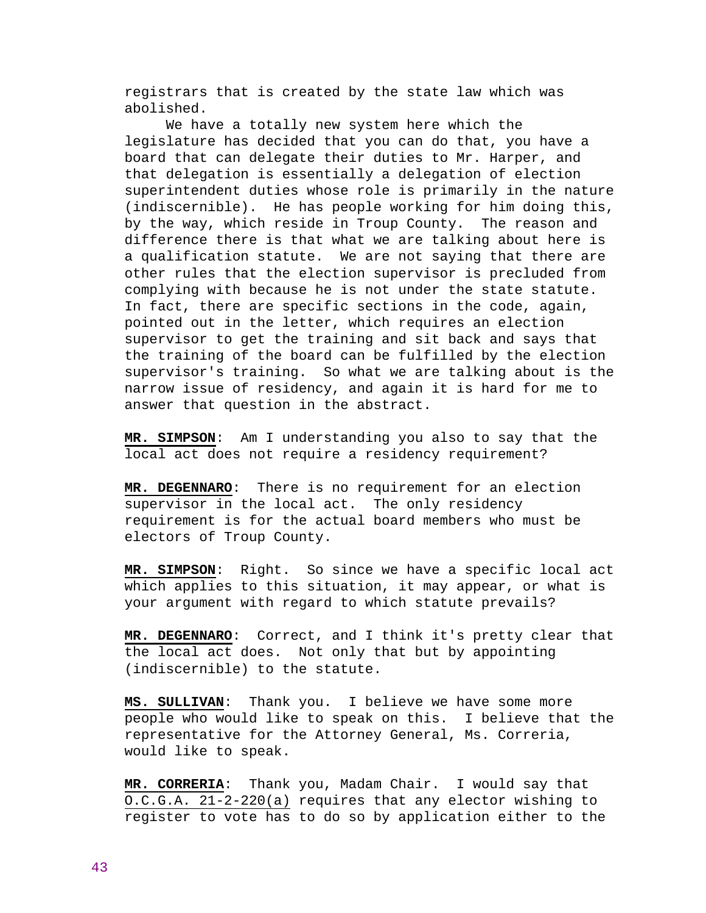registrars that is created by the state law which was abolished.

 We have a totally new system here which the legislature has decided that you can do that, you have a board that can delegate their duties to Mr. Harper, and that delegation is essentially a delegation of election superintendent duties whose role is primarily in the nature (indiscernible). He has people working for him doing this, by the way, which reside in Troup County. The reason and difference there is that what we are talking about here is a qualification statute. We are not saying that there are other rules that the election supervisor is precluded from complying with because he is not under the state statute. In fact, there are specific sections in the code, again, pointed out in the letter, which requires an election supervisor to get the training and sit back and says that the training of the board can be fulfilled by the election supervisor's training. So what we are talking about is the narrow issue of residency, and again it is hard for me to answer that question in the abstract.

**MR. SIMPSON**: Am I understanding you also to say that the local act does not require a residency requirement?

**MR. DEGENNARO**: There is no requirement for an election supervisor in the local act. The only residency requirement is for the actual board members who must be electors of Troup County.

**MR. SIMPSON**: Right. So since we have a specific local act which applies to this situation, it may appear, or what is your argument with regard to which statute prevails?

**MR. DEGENNARO**: Correct, and I think it's pretty clear that the local act does. Not only that but by appointing (indiscernible) to the statute.

**MS. SULLIVAN**: Thank you. I believe we have some more people who would like to speak on this. I believe that the representative for the Attorney General, Ms. Correria, would like to speak.

**MR. CORRERIA**: Thank you, Madam Chair. I would say that O.C.G.A. 21-2-220(a) requires that any elector wishing to register to vote has to do so by application either to the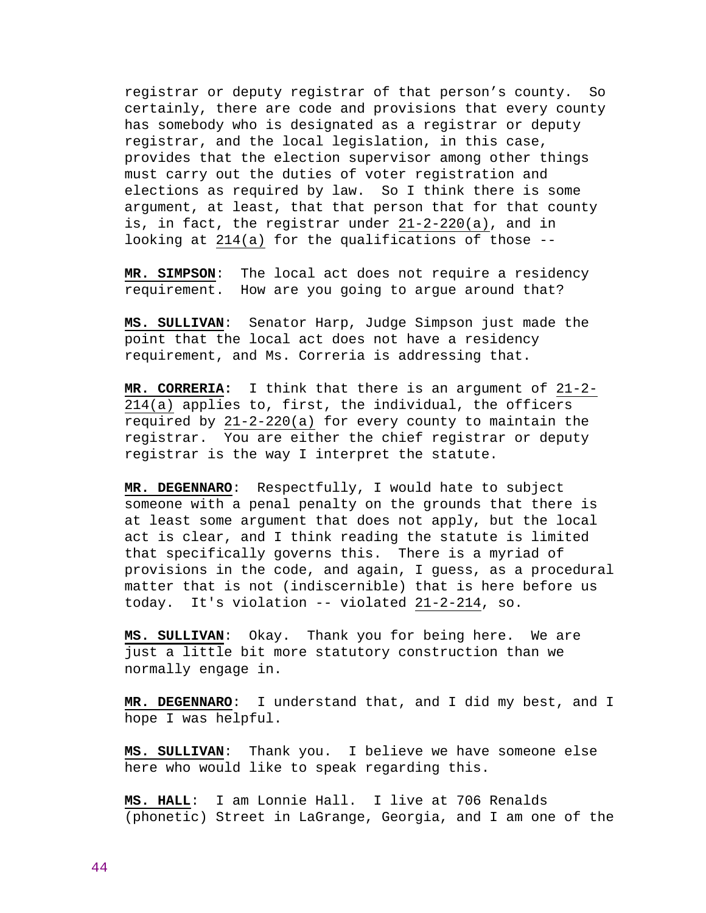registrar or deputy registrar of that person's county. So certainly, there are code and provisions that every county has somebody who is designated as a registrar or deputy registrar, and the local legislation, in this case, provides that the election supervisor among other things must carry out the duties of voter registration and elections as required by law. So I think there is some argument, at least, that that person that for that county is, in fact, the registrar under 21-2-220(a), and in looking at 214(a) for the qualifications of those --

**MR. SIMPSON**: The local act does not require a residency requirement. How are you going to argue around that?

**MS. SULLIVAN**: Senator Harp, Judge Simpson just made the point that the local act does not have a residency requirement, and Ms. Correria is addressing that.

**MR. CORRERIA:** I think that there is an argument of 21-2- 214(a) applies to, first, the individual, the officers required by  $21-2-220(a)$  for every county to maintain the registrar. You are either the chief registrar or deputy registrar is the way I interpret the statute.

**MR. DEGENNARO**: Respectfully, I would hate to subject someone with a penal penalty on the grounds that there is at least some argument that does not apply, but the local act is clear, and I think reading the statute is limited that specifically governs this. There is a myriad of provisions in the code, and again, I guess, as a procedural matter that is not (indiscernible) that is here before us today. It's violation -- violated 21-2-214, so.

**MS. SULLIVAN**: Okay. Thank you for being here. We are just a little bit more statutory construction than we normally engage in.

**MR. DEGENNARO**: I understand that, and I did my best, and I hope I was helpful.

**MS. SULLIVAN**: Thank you. I believe we have someone else here who would like to speak regarding this.

**MS. HALL**: I am Lonnie Hall. I live at 706 Renalds (phonetic) Street in LaGrange, Georgia, and I am one of the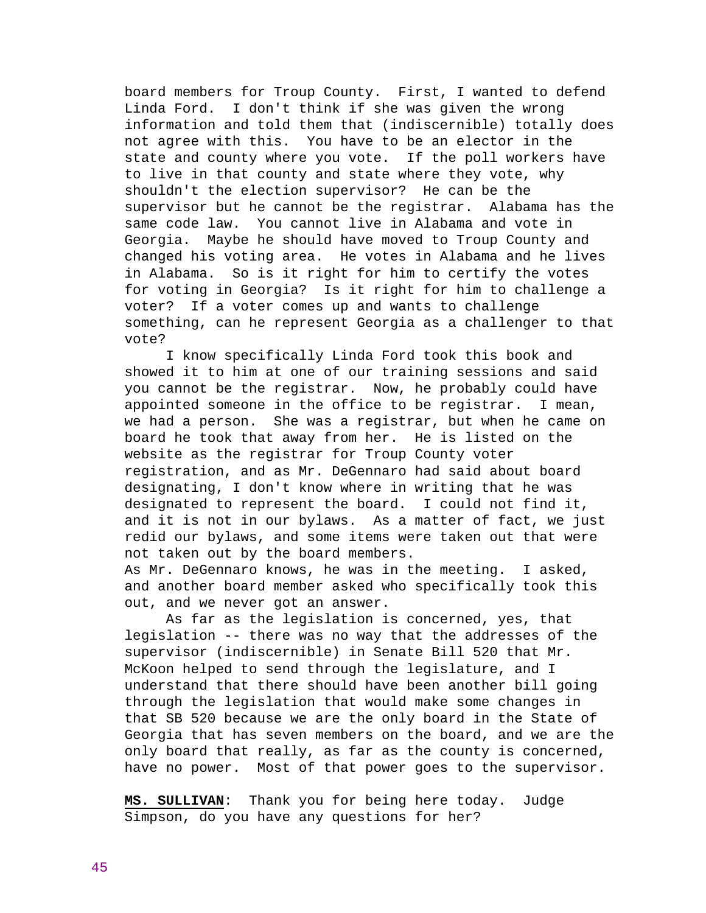board members for Troup County. First, I wanted to defend Linda Ford. I don't think if she was given the wrong information and told them that (indiscernible) totally does not agree with this. You have to be an elector in the state and county where you vote. If the poll workers have to live in that county and state where they vote, why shouldn't the election supervisor? He can be the supervisor but he cannot be the registrar. Alabama has the same code law. You cannot live in Alabama and vote in Georgia. Maybe he should have moved to Troup County and changed his voting area. He votes in Alabama and he lives in Alabama. So is it right for him to certify the votes for voting in Georgia? Is it right for him to challenge a voter? If a voter comes up and wants to challenge something, can he represent Georgia as a challenger to that vote?

 I know specifically Linda Ford took this book and showed it to him at one of our training sessions and said you cannot be the registrar. Now, he probably could have appointed someone in the office to be registrar. I mean, we had a person. She was a registrar, but when he came on board he took that away from her. He is listed on the website as the registrar for Troup County voter registration, and as Mr. DeGennaro had said about board designating, I don't know where in writing that he was designated to represent the board. I could not find it, and it is not in our bylaws. As a matter of fact, we just redid our bylaws, and some items were taken out that were not taken out by the board members.

As Mr. DeGennaro knows, he was in the meeting. I asked, and another board member asked who specifically took this out, and we never got an answer.

 As far as the legislation is concerned, yes, that legislation -- there was no way that the addresses of the supervisor (indiscernible) in Senate Bill 520 that Mr. McKoon helped to send through the legislature, and I understand that there should have been another bill going through the legislation that would make some changes in that SB 520 because we are the only board in the State of Georgia that has seven members on the board, and we are the only board that really, as far as the county is concerned, have no power. Most of that power goes to the supervisor.

**MS. SULLIVAN**: Thank you for being here today. Judge Simpson, do you have any questions for her?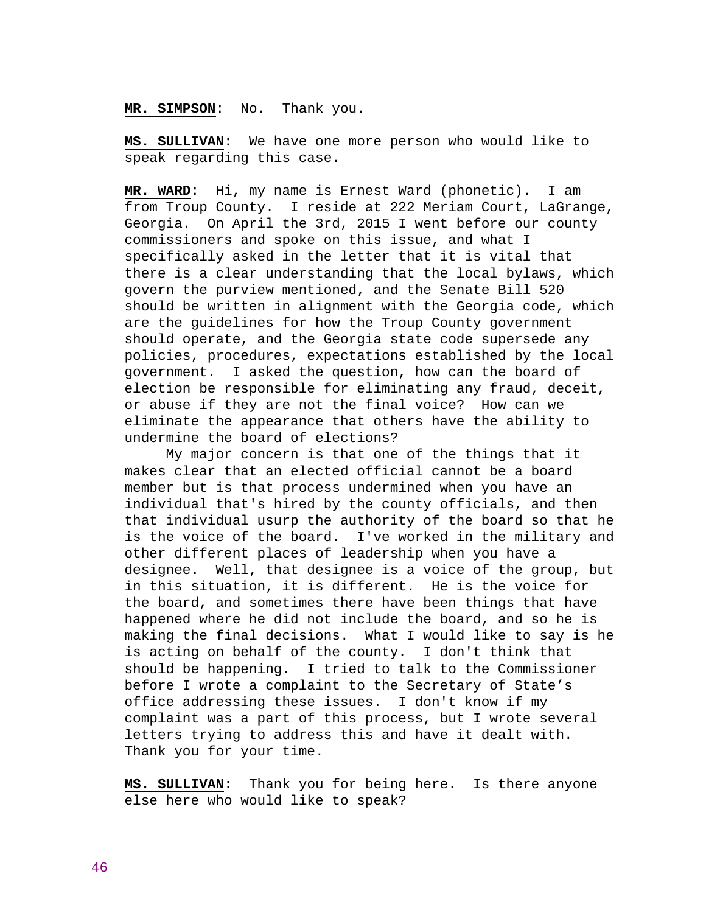# **MR. SIMPSON**: No. Thank you.

**MS. SULLIVAN**: We have one more person who would like to speak regarding this case.

**MR. WARD**: Hi, my name is Ernest Ward (phonetic). I am from Troup County. I reside at 222 Meriam Court, LaGrange, Georgia. On April the 3rd, 2015 I went before our county commissioners and spoke on this issue, and what I specifically asked in the letter that it is vital that there is a clear understanding that the local bylaws, which govern the purview mentioned, and the Senate Bill 520 should be written in alignment with the Georgia code, which are the guidelines for how the Troup County government should operate, and the Georgia state code supersede any policies, procedures, expectations established by the local government. I asked the question, how can the board of election be responsible for eliminating any fraud, deceit, or abuse if they are not the final voice? How can we eliminate the appearance that others have the ability to undermine the board of elections?

 My major concern is that one of the things that it makes clear that an elected official cannot be a board member but is that process undermined when you have an individual that's hired by the county officials, and then that individual usurp the authority of the board so that he is the voice of the board. I've worked in the military and other different places of leadership when you have a designee. Well, that designee is a voice of the group, but in this situation, it is different. He is the voice for the board, and sometimes there have been things that have happened where he did not include the board, and so he is making the final decisions. What I would like to say is he is acting on behalf of the county. I don't think that should be happening. I tried to talk to the Commissioner before I wrote a complaint to the Secretary of State's office addressing these issues. I don't know if my complaint was a part of this process, but I wrote several letters trying to address this and have it dealt with. Thank you for your time.

**MS. SULLIVAN**: Thank you for being here. Is there anyone else here who would like to speak?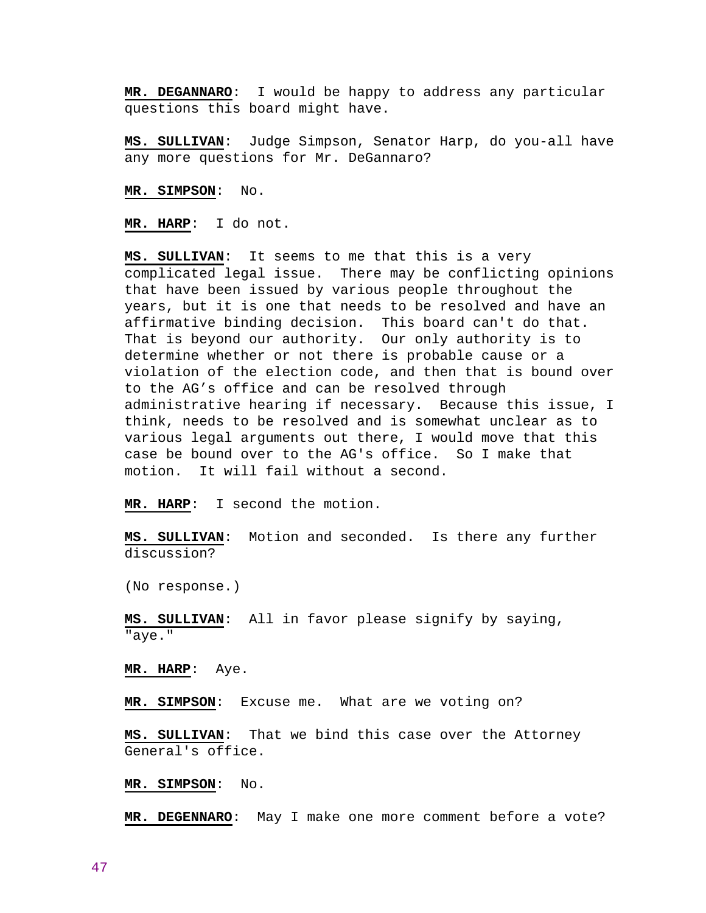**MR. DEGANNARO**: I would be happy to address any particular questions this board might have.

**MS. SULLIVAN**: Judge Simpson, Senator Harp, do you-all have any more questions for Mr. DeGannaro?

**MR. SIMPSON**: No.

**MR. HARP**: I do not.

**MS. SULLIVAN**: It seems to me that this is a very complicated legal issue. There may be conflicting opinions that have been issued by various people throughout the years, but it is one that needs to be resolved and have an affirmative binding decision. This board can't do that. That is beyond our authority. Our only authority is to determine whether or not there is probable cause or a violation of the election code, and then that is bound over to the AG's office and can be resolved through administrative hearing if necessary. Because this issue, I think, needs to be resolved and is somewhat unclear as to various legal arguments out there, I would move that this case be bound over to the AG's office. So I make that motion. It will fail without a second.

**MR. HARP**: I second the motion.

**MS. SULLIVAN**: Motion and seconded. Is there any further discussion?

(No response.)

**MS. SULLIVAN**: All in favor please signify by saying, "aye."

**MR. HARP**: Aye.

**MR. SIMPSON**: Excuse me. What are we voting on?

**MS. SULLIVAN**: That we bind this case over the Attorney General's office.

**MR. SIMPSON**: No.

**MR. DEGENNARO**: May I make one more comment before a vote?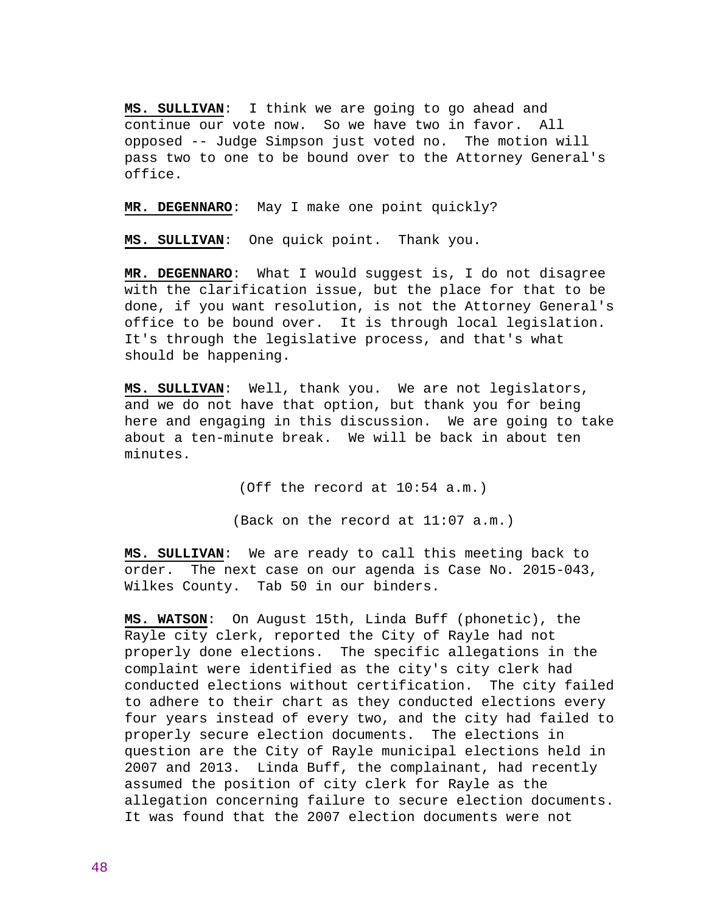**MS. SULLIVAN**: I think we are going to go ahead and continue our vote now. So we have two in favor. All opposed -- Judge Simpson just voted no. The motion will pass two to one to be bound over to the Attorney General's office.

**MR. DEGENNARO**: May I make one point quickly?

**MS. SULLIVAN**: One quick point. Thank you.

**MR. DEGENNARO**: What I would suggest is, I do not disagree with the clarification issue, but the place for that to be done, if you want resolution, is not the Attorney General's office to be bound over. It is through local legislation. It's through the legislative process, and that's what should be happening.

**MS. SULLIVAN**: Well, thank you. We are not legislators, and we do not have that option, but thank you for being here and engaging in this discussion. We are going to take about a ten-minute break. We will be back in about ten minutes.

(Off the record at 10:54 a.m.)

(Back on the record at 11:07 a.m.)

**MS. SULLIVAN**: We are ready to call this meeting back to order. The next case on our agenda is Case No. 2015-043, Wilkes County. Tab 50 in our binders.

**MS. WATSON**: On August 15th, Linda Buff (phonetic), the Rayle city clerk, reported the City of Rayle had not properly done elections. The specific allegations in the complaint were identified as the city's city clerk had conducted elections without certification. The city failed to adhere to their chart as they conducted elections every four years instead of every two, and the city had failed to properly secure election documents. The elections in question are the City of Rayle municipal elections held in 2007 and 2013. Linda Buff, the complainant, had recently assumed the position of city clerk for Rayle as the allegation concerning failure to secure election documents. It was found that the 2007 election documents were not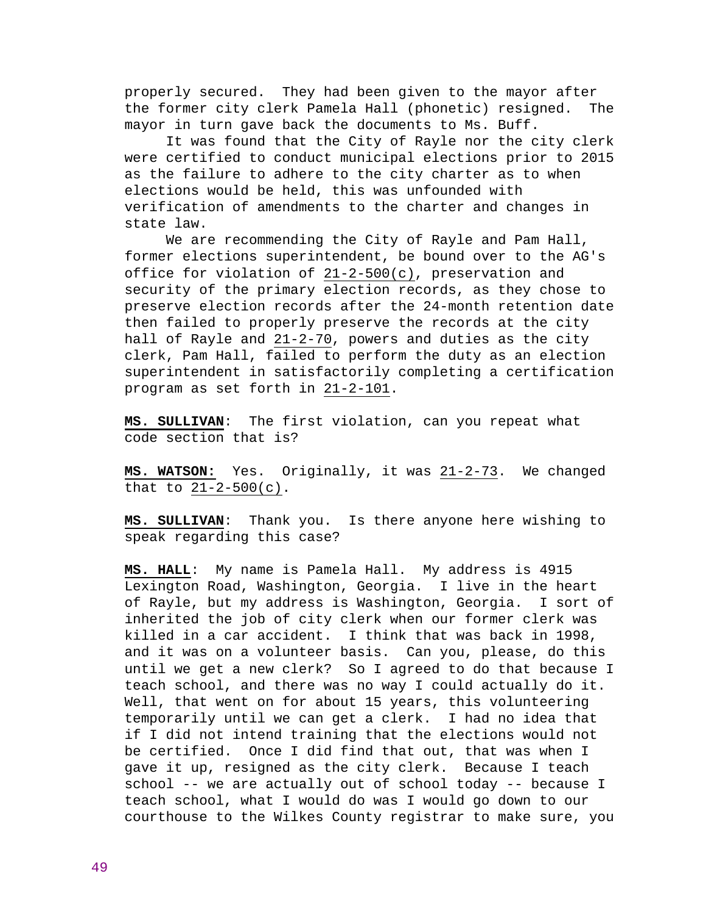properly secured. They had been given to the mayor after the former city clerk Pamela Hall (phonetic) resigned. The mayor in turn gave back the documents to Ms. Buff.

 It was found that the City of Rayle nor the city clerk were certified to conduct municipal elections prior to 2015 as the failure to adhere to the city charter as to when elections would be held, this was unfounded with verification of amendments to the charter and changes in state law.

 We are recommending the City of Rayle and Pam Hall, former elections superintendent, be bound over to the AG's office for violation of 21-2-500(c), preservation and security of the primary election records, as they chose to preserve election records after the 24-month retention date then failed to properly preserve the records at the city hall of Rayle and 21-2-70, powers and duties as the city clerk, Pam Hall, failed to perform the duty as an election superintendent in satisfactorily completing a certification program as set forth in 21-2-101.

**MS. SULLIVAN**: The first violation, can you repeat what code section that is?

**MS. WATSON:** Yes. Originally, it was 21-2-73. We changed that to 21-2-500(c).

**MS. SULLIVAN**: Thank you. Is there anyone here wishing to speak regarding this case?

**MS. HALL**: My name is Pamela Hall. My address is 4915 Lexington Road, Washington, Georgia. I live in the heart of Rayle, but my address is Washington, Georgia. I sort of inherited the job of city clerk when our former clerk was killed in a car accident. I think that was back in 1998, and it was on a volunteer basis. Can you, please, do this until we get a new clerk? So I agreed to do that because I teach school, and there was no way I could actually do it. Well, that went on for about 15 years, this volunteering temporarily until we can get a clerk. I had no idea that if I did not intend training that the elections would not be certified. Once I did find that out, that was when I gave it up, resigned as the city clerk. Because I teach school -- we are actually out of school today -- because I teach school, what I would do was I would go down to our courthouse to the Wilkes County registrar to make sure, you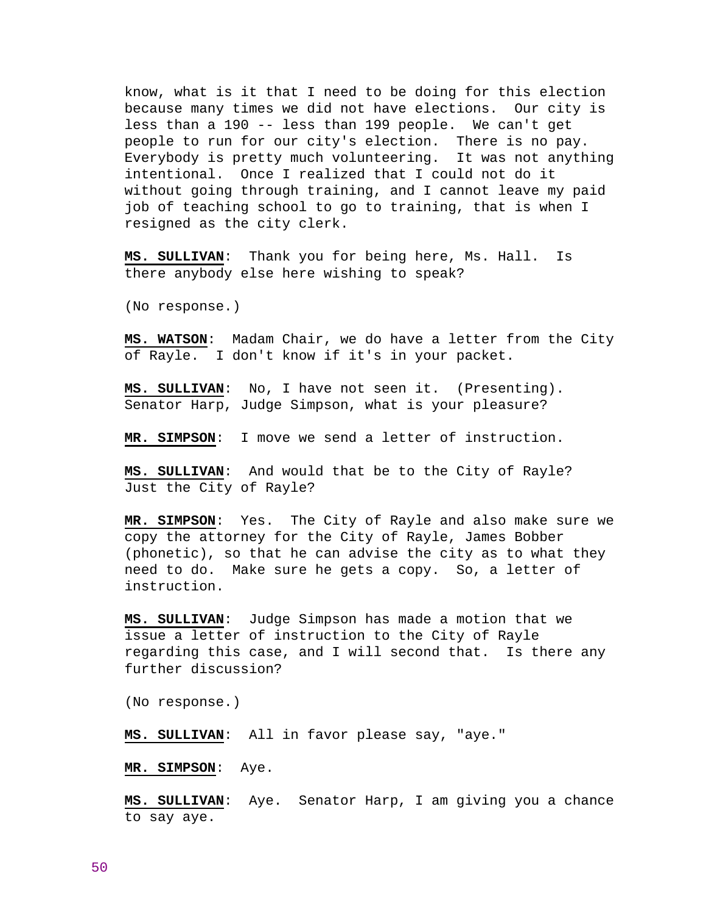know, what is it that I need to be doing for this election because many times we did not have elections. Our city is less than a 190 -- less than 199 people. We can't get people to run for our city's election. There is no pay. Everybody is pretty much volunteering. It was not anything intentional. Once I realized that I could not do it without going through training, and I cannot leave my paid job of teaching school to go to training, that is when I resigned as the city clerk.

**MS. SULLIVAN**: Thank you for being here, Ms. Hall. Is there anybody else here wishing to speak?

(No response.)

**MS. WATSON**: Madam Chair, we do have a letter from the City of Rayle. I don't know if it's in your packet.

**MS. SULLIVAN**: No, I have not seen it. (Presenting). Senator Harp, Judge Simpson, what is your pleasure?

**MR. SIMPSON**: I move we send a letter of instruction.

**MS. SULLIVAN**: And would that be to the City of Rayle? Just the City of Rayle?

**MR. SIMPSON**: Yes. The City of Rayle and also make sure we copy the attorney for the City of Rayle, James Bobber (phonetic), so that he can advise the city as to what they need to do. Make sure he gets a copy. So, a letter of instruction.

**MS. SULLIVAN**: Judge Simpson has made a motion that we issue a letter of instruction to the City of Rayle regarding this case, and I will second that. Is there any further discussion?

(No response.)

**MS. SULLIVAN**: All in favor please say, "aye."

**MR. SIMPSON**: Aye.

**MS. SULLIVAN**: Aye. Senator Harp, I am giving you a chance to say aye.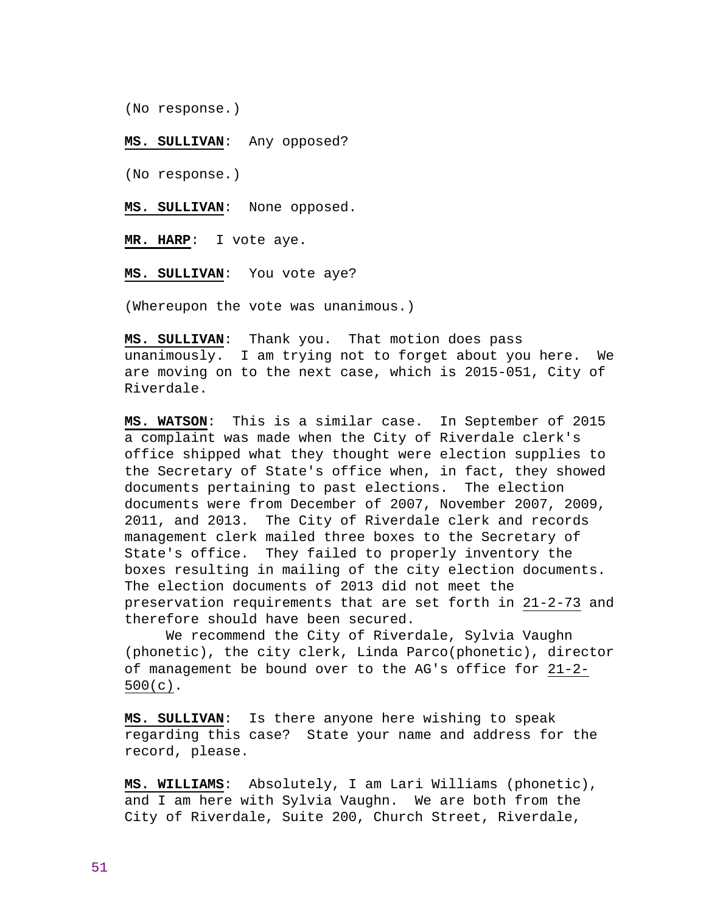(No response.)

### **MS. SULLIVAN**: Any opposed?

(No response.)

**MS. SULLIVAN**: None opposed.

**MR. HARP**: I vote aye.

**MS. SULLIVAN**: You vote aye?

(Whereupon the vote was unanimous.)

**MS. SULLIVAN**: Thank you. That motion does pass unanimously. I am trying not to forget about you here. We are moving on to the next case, which is 2015-051, City of Riverdale.

**MS. WATSON**: This is a similar case. In September of 2015 a complaint was made when the City of Riverdale clerk's office shipped what they thought were election supplies to the Secretary of State's office when, in fact, they showed documents pertaining to past elections. The election documents were from December of 2007, November 2007, 2009, 2011, and 2013. The City of Riverdale clerk and records management clerk mailed three boxes to the Secretary of State's office. They failed to properly inventory the boxes resulting in mailing of the city election documents. The election documents of 2013 did not meet the preservation requirements that are set forth in 21-2-73 and therefore should have been secured.

 We recommend the City of Riverdale, Sylvia Vaughn (phonetic), the city clerk, Linda Parco(phonetic), director of management be bound over to the AG's office for 21-2- 500(c).

**MS. SULLIVAN**: Is there anyone here wishing to speak regarding this case? State your name and address for the record, please.

**MS. WILLIAMS**: Absolutely, I am Lari Williams (phonetic), and I am here with Sylvia Vaughn. We are both from the City of Riverdale, Suite 200, Church Street, Riverdale,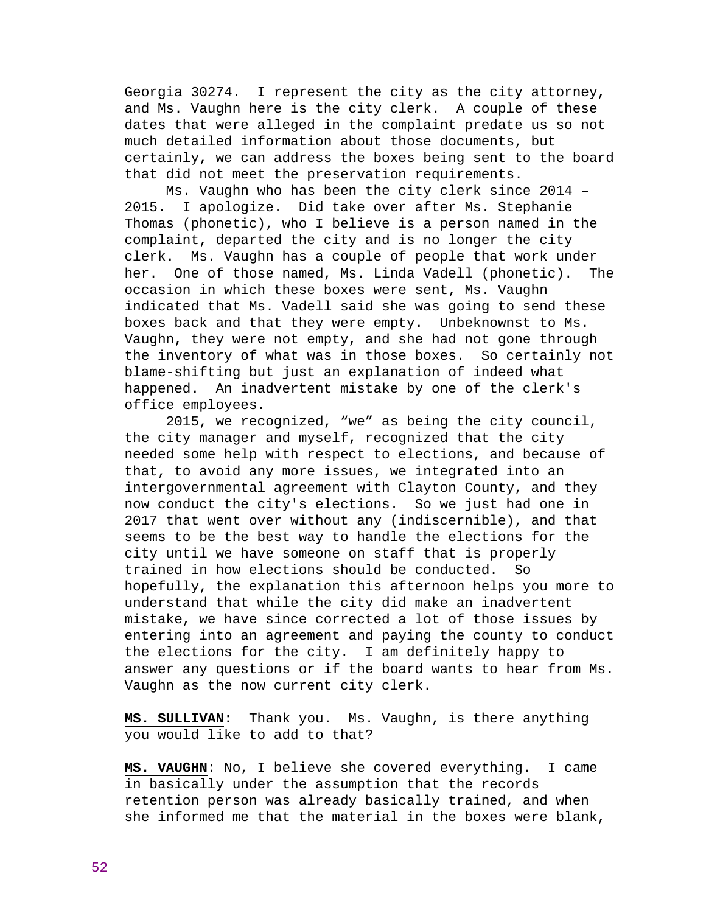Georgia 30274. I represent the city as the city attorney, and Ms. Vaughn here is the city clerk. A couple of these dates that were alleged in the complaint predate us so not much detailed information about those documents, but certainly, we can address the boxes being sent to the board that did not meet the preservation requirements.

 Ms. Vaughn who has been the city clerk since 2014 – 2015. I apologize. Did take over after Ms. Stephanie Thomas (phonetic), who I believe is a person named in the complaint, departed the city and is no longer the city clerk. Ms. Vaughn has a couple of people that work under her. One of those named, Ms. Linda Vadell (phonetic). The occasion in which these boxes were sent, Ms. Vaughn indicated that Ms. Vadell said she was going to send these boxes back and that they were empty. Unbeknownst to Ms. Vaughn, they were not empty, and she had not gone through the inventory of what was in those boxes. So certainly not blame-shifting but just an explanation of indeed what happened. An inadvertent mistake by one of the clerk's office employees.

 2015, we recognized, "we" as being the city council, the city manager and myself, recognized that the city needed some help with respect to elections, and because of that, to avoid any more issues, we integrated into an intergovernmental agreement with Clayton County, and they now conduct the city's elections. So we just had one in 2017 that went over without any (indiscernible), and that seems to be the best way to handle the elections for the city until we have someone on staff that is properly trained in how elections should be conducted. So hopefully, the explanation this afternoon helps you more to understand that while the city did make an inadvertent mistake, we have since corrected a lot of those issues by entering into an agreement and paying the county to conduct the elections for the city. I am definitely happy to answer any questions or if the board wants to hear from Ms. Vaughn as the now current city clerk.

**MS. SULLIVAN**: Thank you. Ms. Vaughn, is there anything you would like to add to that?

**MS. VAUGHN**: No, I believe she covered everything. I came in basically under the assumption that the records retention person was already basically trained, and when she informed me that the material in the boxes were blank,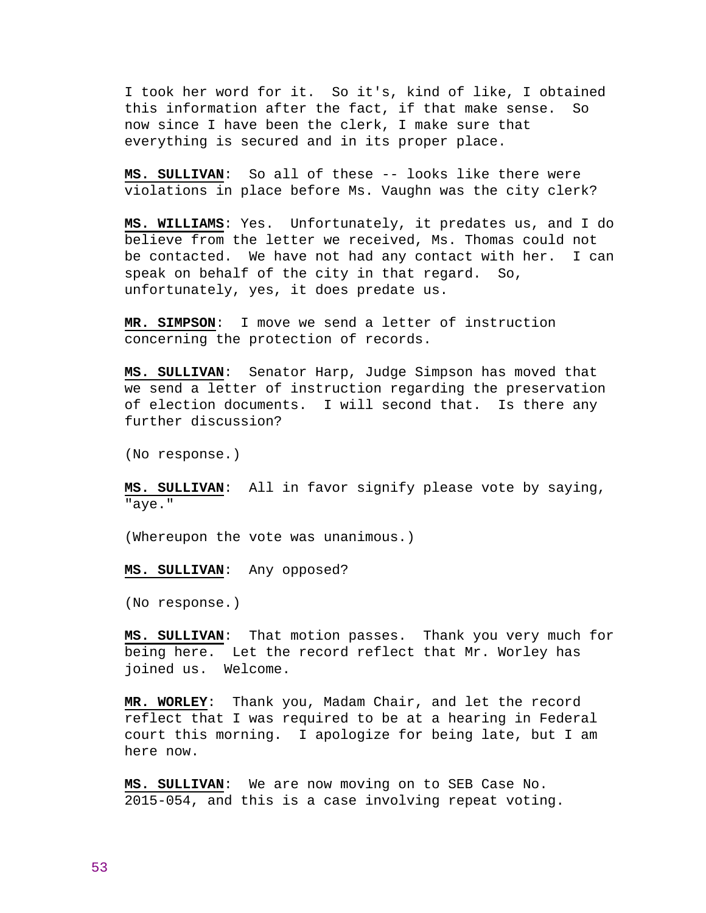I took her word for it. So it's, kind of like, I obtained this information after the fact, if that make sense. So now since I have been the clerk, I make sure that everything is secured and in its proper place.

**MS. SULLIVAN**: So all of these -- looks like there were violations in place before Ms. Vaughn was the city clerk?

**MS. WILLIAMS**: Yes. Unfortunately, it predates us, and I do believe from the letter we received, Ms. Thomas could not be contacted. We have not had any contact with her. I can speak on behalf of the city in that regard. So, unfortunately, yes, it does predate us.

**MR. SIMPSON**: I move we send a letter of instruction concerning the protection of records.

**MS. SULLIVAN**: Senator Harp, Judge Simpson has moved that we send a letter of instruction regarding the preservation of election documents. I will second that. Is there any further discussion?

(No response.)

**MS. SULLIVAN**: All in favor signify please vote by saying, "aye."

(Whereupon the vote was unanimous.)

**MS. SULLIVAN**: Any opposed?

(No response.)

**MS. SULLIVAN**: That motion passes. Thank you very much for being here. Let the record reflect that Mr. Worley has joined us. Welcome.

**MR. WORLEY**: Thank you, Madam Chair, and let the record reflect that I was required to be at a hearing in Federal court this morning. I apologize for being late, but I am here now.

**MS. SULLIVAN**: We are now moving on to SEB Case No. 2015-054, and this is a case involving repeat voting.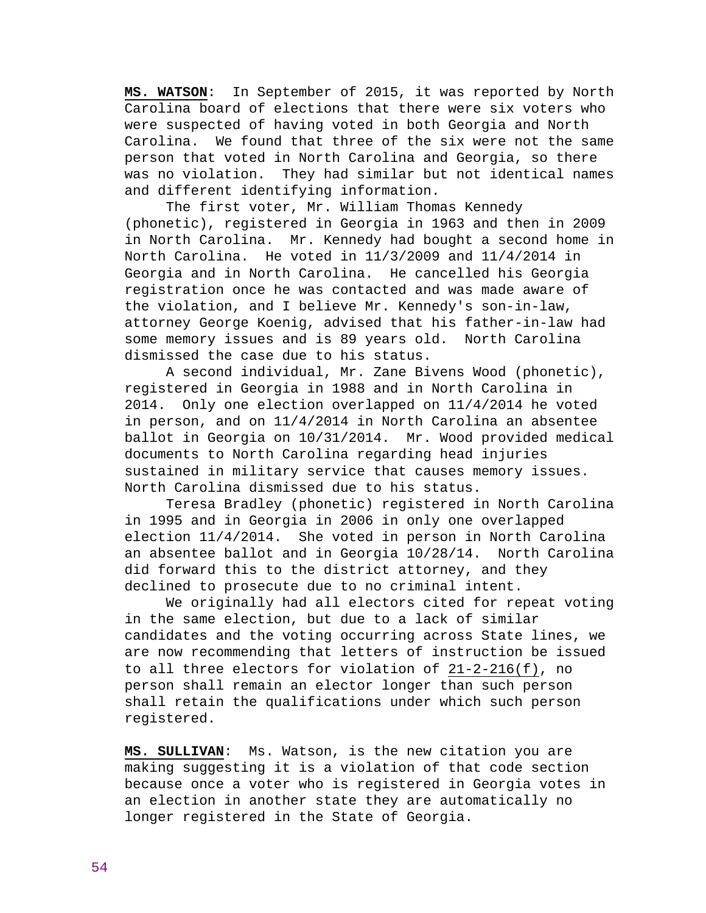**MS. WATSON**: In September of 2015, it was reported by North Carolina board of elections that there were six voters who were suspected of having voted in both Georgia and North Carolina. We found that three of the six were not the same person that voted in North Carolina and Georgia, so there was no violation. They had similar but not identical names and different identifying information.

 The first voter, Mr. William Thomas Kennedy (phonetic), registered in Georgia in 1963 and then in 2009 in North Carolina. Mr. Kennedy had bought a second home in North Carolina. He voted in 11/3/2009 and 11/4/2014 in Georgia and in North Carolina. He cancelled his Georgia registration once he was contacted and was made aware of the violation, and I believe Mr. Kennedy's son-in-law, attorney George Koenig, advised that his father-in-law had some memory issues and is 89 years old. North Carolina dismissed the case due to his status.

 A second individual, Mr. Zane Bivens Wood (phonetic), registered in Georgia in 1988 and in North Carolina in 2014. Only one election overlapped on 11/4/2014 he voted in person, and on 11/4/2014 in North Carolina an absentee ballot in Georgia on 10/31/2014. Mr. Wood provided medical documents to North Carolina regarding head injuries sustained in military service that causes memory issues. North Carolina dismissed due to his status.

 Teresa Bradley (phonetic) registered in North Carolina in 1995 and in Georgia in 2006 in only one overlapped election 11/4/2014. She voted in person in North Carolina an absentee ballot and in Georgia 10/28/14. North Carolina did forward this to the district attorney, and they declined to prosecute due to no criminal intent.

 We originally had all electors cited for repeat voting in the same election, but due to a lack of similar candidates and the voting occurring across State lines, we are now recommending that letters of instruction be issued to all three electors for violation of 21-2-216(f), no person shall remain an elector longer than such person shall retain the qualifications under which such person registered.

**MS. SULLIVAN**: Ms. Watson, is the new citation you are making suggesting it is a violation of that code section because once a voter who is registered in Georgia votes in an election in another state they are automatically no longer registered in the State of Georgia.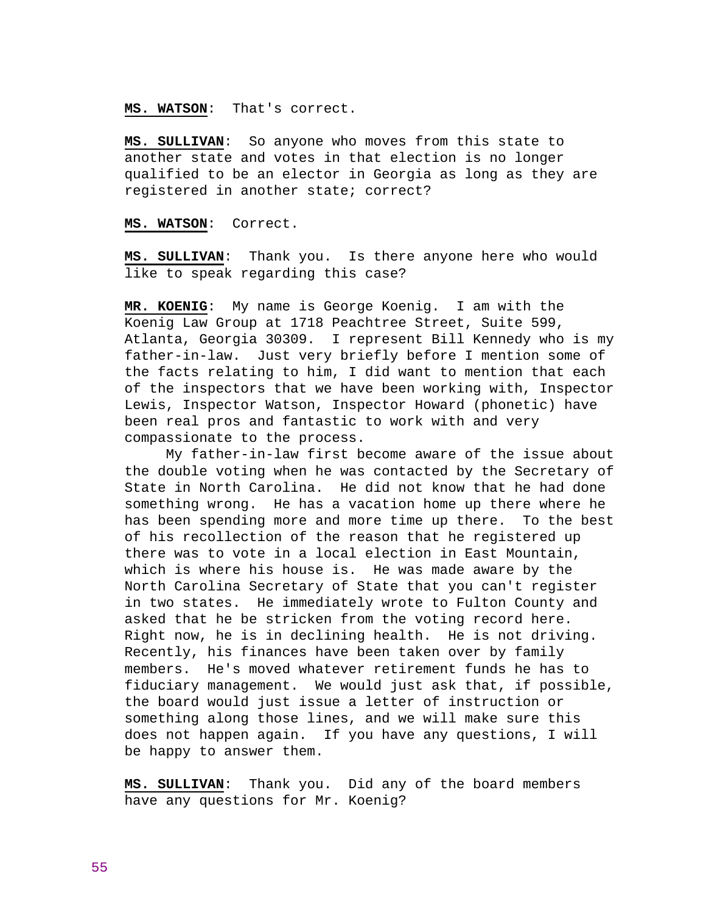**MS. WATSON**: That's correct.

**MS. SULLIVAN**: So anyone who moves from this state to another state and votes in that election is no longer qualified to be an elector in Georgia as long as they are registered in another state; correct?

**MS. WATSON**: Correct.

**MS. SULLIVAN**: Thank you. Is there anyone here who would like to speak regarding this case?

**MR. KOENIG**: My name is George Koenig. I am with the Koenig Law Group at 1718 Peachtree Street, Suite 599, Atlanta, Georgia 30309. I represent Bill Kennedy who is my father-in-law. Just very briefly before I mention some of the facts relating to him, I did want to mention that each of the inspectors that we have been working with, Inspector Lewis, Inspector Watson, Inspector Howard (phonetic) have been real pros and fantastic to work with and very compassionate to the process.

 My father-in-law first become aware of the issue about the double voting when he was contacted by the Secretary of State in North Carolina. He did not know that he had done something wrong. He has a vacation home up there where he has been spending more and more time up there. To the best of his recollection of the reason that he registered up there was to vote in a local election in East Mountain, which is where his house is. He was made aware by the North Carolina Secretary of State that you can't register in two states. He immediately wrote to Fulton County and asked that he be stricken from the voting record here. Right now, he is in declining health. He is not driving. Recently, his finances have been taken over by family members. He's moved whatever retirement funds he has to fiduciary management. We would just ask that, if possible, the board would just issue a letter of instruction or something along those lines, and we will make sure this does not happen again. If you have any questions, I will be happy to answer them.

**MS. SULLIVAN**: Thank you. Did any of the board members have any questions for Mr. Koenig?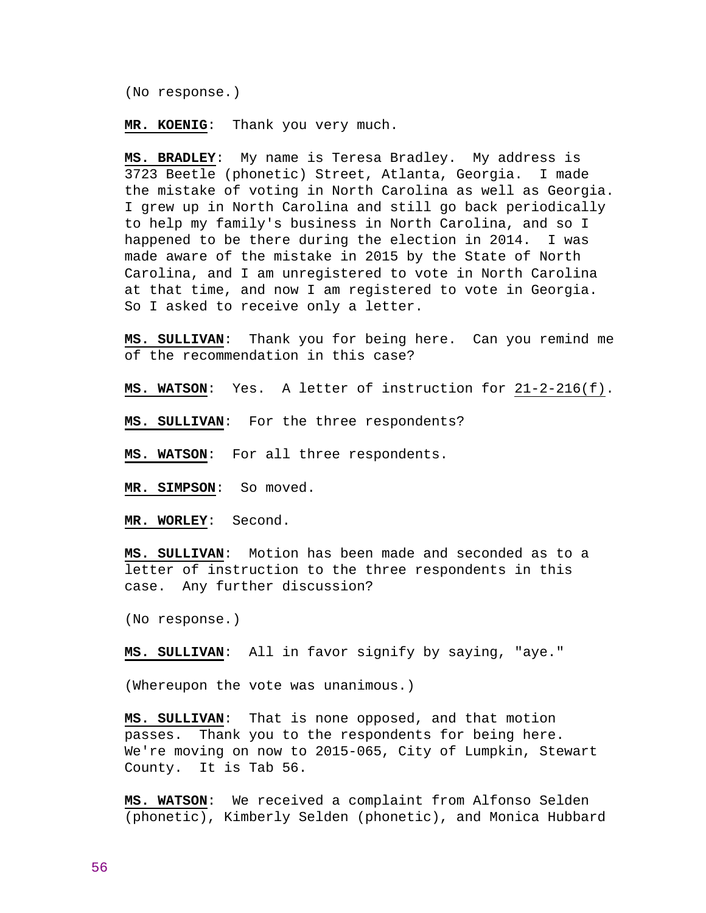(No response.)

**MR. KOENIG**: Thank you very much.

**MS. BRADLEY**: My name is Teresa Bradley. My address is 3723 Beetle (phonetic) Street, Atlanta, Georgia. I made the mistake of voting in North Carolina as well as Georgia. I grew up in North Carolina and still go back periodically to help my family's business in North Carolina, and so I happened to be there during the election in 2014. I was made aware of the mistake in 2015 by the State of North Carolina, and I am unregistered to vote in North Carolina at that time, and now I am registered to vote in Georgia. So I asked to receive only a letter.

**MS. SULLIVAN**: Thank you for being here. Can you remind me of the recommendation in this case?

**MS. WATSON**: Yes. A letter of instruction for 21-2-216(f).

**MS. SULLIVAN**: For the three respondents?

**MS. WATSON**: For all three respondents.

**MR. SIMPSON**: So moved.

**MR. WORLEY**: Second.

**MS. SULLIVAN**: Motion has been made and seconded as to a letter of instruction to the three respondents in this case. Any further discussion?

(No response.)

**MS. SULLIVAN**: All in favor signify by saying, "aye."

(Whereupon the vote was unanimous.)

**MS. SULLIVAN**: That is none opposed, and that motion passes. Thank you to the respondents for being here. We're moving on now to 2015-065, City of Lumpkin, Stewart County. It is Tab 56.

**MS. WATSON**: We received a complaint from Alfonso Selden (phonetic), Kimberly Selden (phonetic), and Monica Hubbard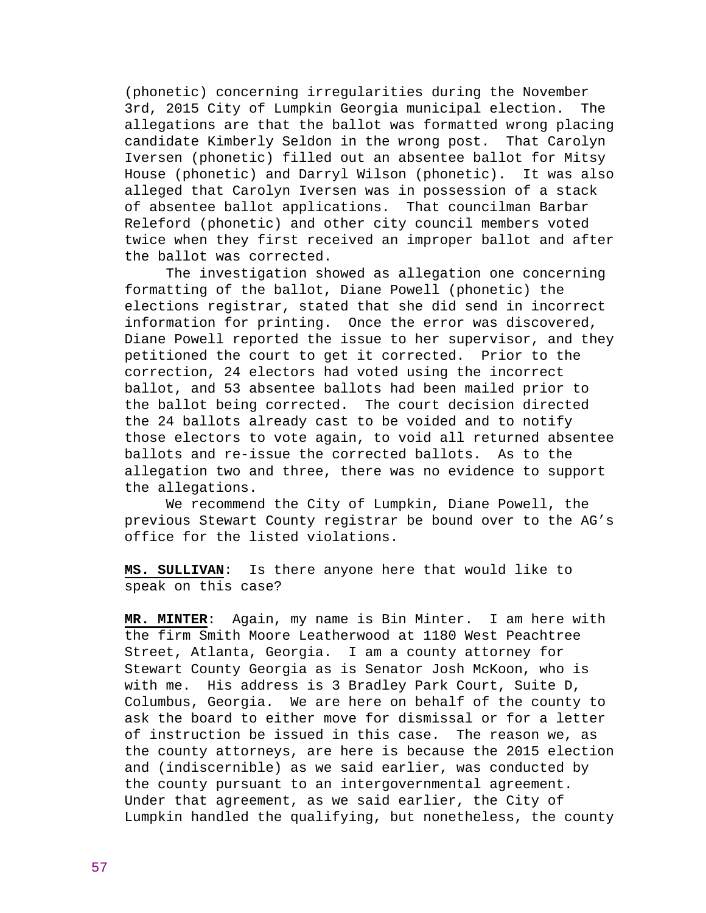(phonetic) concerning irregularities during the November 3rd, 2015 City of Lumpkin Georgia municipal election. The allegations are that the ballot was formatted wrong placing candidate Kimberly Seldon in the wrong post. That Carolyn Iversen (phonetic) filled out an absentee ballot for Mitsy House (phonetic) and Darryl Wilson (phonetic). It was also alleged that Carolyn Iversen was in possession of a stack of absentee ballot applications. That councilman Barbar Releford (phonetic) and other city council members voted twice when they first received an improper ballot and after the ballot was corrected.

 The investigation showed as allegation one concerning formatting of the ballot, Diane Powell (phonetic) the elections registrar, stated that she did send in incorrect information for printing. Once the error was discovered, Diane Powell reported the issue to her supervisor, and they petitioned the court to get it corrected. Prior to the correction, 24 electors had voted using the incorrect ballot, and 53 absentee ballots had been mailed prior to the ballot being corrected. The court decision directed the 24 ballots already cast to be voided and to notify those electors to vote again, to void all returned absentee ballots and re-issue the corrected ballots. As to the allegation two and three, there was no evidence to support the allegations.

 We recommend the City of Lumpkin, Diane Powell, the previous Stewart County registrar be bound over to the AG's office for the listed violations.

**MS. SULLIVAN**: Is there anyone here that would like to speak on this case?

**MR. MINTER**: Again, my name is Bin Minter. I am here with the firm Smith Moore Leatherwood at 1180 West Peachtree Street, Atlanta, Georgia. I am a county attorney for Stewart County Georgia as is Senator Josh McKoon, who is with me. His address is 3 Bradley Park Court, Suite D, Columbus, Georgia. We are here on behalf of the county to ask the board to either move for dismissal or for a letter of instruction be issued in this case. The reason we, as the county attorneys, are here is because the 2015 election and (indiscernible) as we said earlier, was conducted by the county pursuant to an intergovernmental agreement. Under that agreement, as we said earlier, the City of Lumpkin handled the qualifying, but nonetheless, the county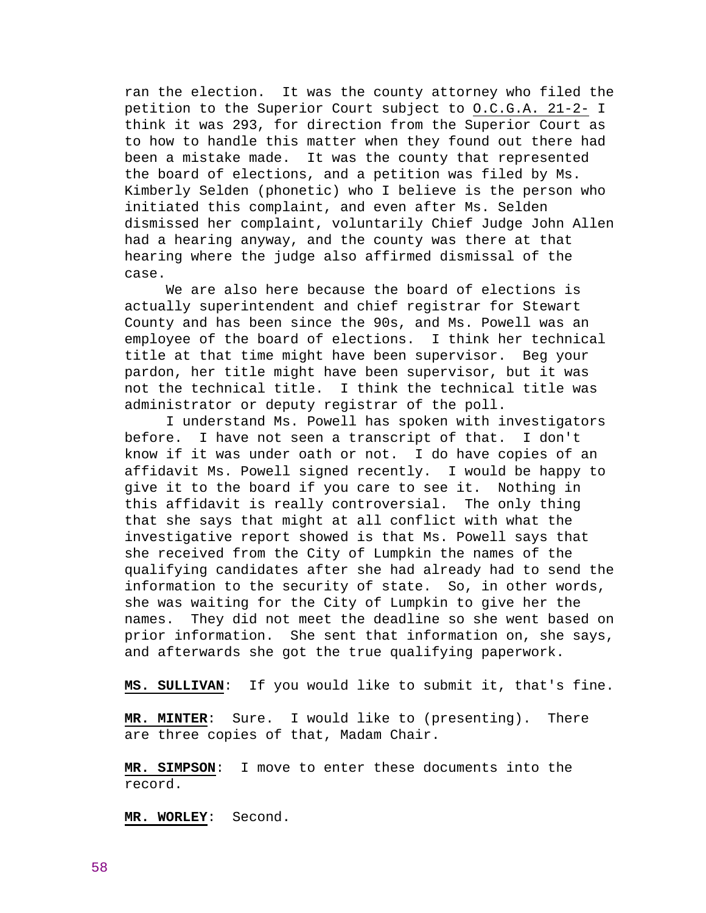ran the election. It was the county attorney who filed the petition to the Superior Court subject to O.C.G.A. 21-2- I think it was 293, for direction from the Superior Court as to how to handle this matter when they found out there had been a mistake made. It was the county that represented the board of elections, and a petition was filed by Ms. Kimberly Selden (phonetic) who I believe is the person who initiated this complaint, and even after Ms. Selden dismissed her complaint, voluntarily Chief Judge John Allen had a hearing anyway, and the county was there at that hearing where the judge also affirmed dismissal of the case.

 We are also here because the board of elections is actually superintendent and chief registrar for Stewart County and has been since the 90s, and Ms. Powell was an employee of the board of elections. I think her technical title at that time might have been supervisor. Beg your pardon, her title might have been supervisor, but it was not the technical title. I think the technical title was administrator or deputy registrar of the poll.

 I understand Ms. Powell has spoken with investigators before. I have not seen a transcript of that. I don't know if it was under oath or not. I do have copies of an affidavit Ms. Powell signed recently. I would be happy to give it to the board if you care to see it. Nothing in this affidavit is really controversial. The only thing that she says that might at all conflict with what the investigative report showed is that Ms. Powell says that she received from the City of Lumpkin the names of the qualifying candidates after she had already had to send the information to the security of state. So, in other words, she was waiting for the City of Lumpkin to give her the names. They did not meet the deadline so she went based on prior information. She sent that information on, she says, and afterwards she got the true qualifying paperwork.

**MS. SULLIVAN**: If you would like to submit it, that's fine.

**MR. MINTER**: Sure. I would like to (presenting). There are three copies of that, Madam Chair.

**MR. SIMPSON**: I move to enter these documents into the record.

**MR. WORLEY**: Second.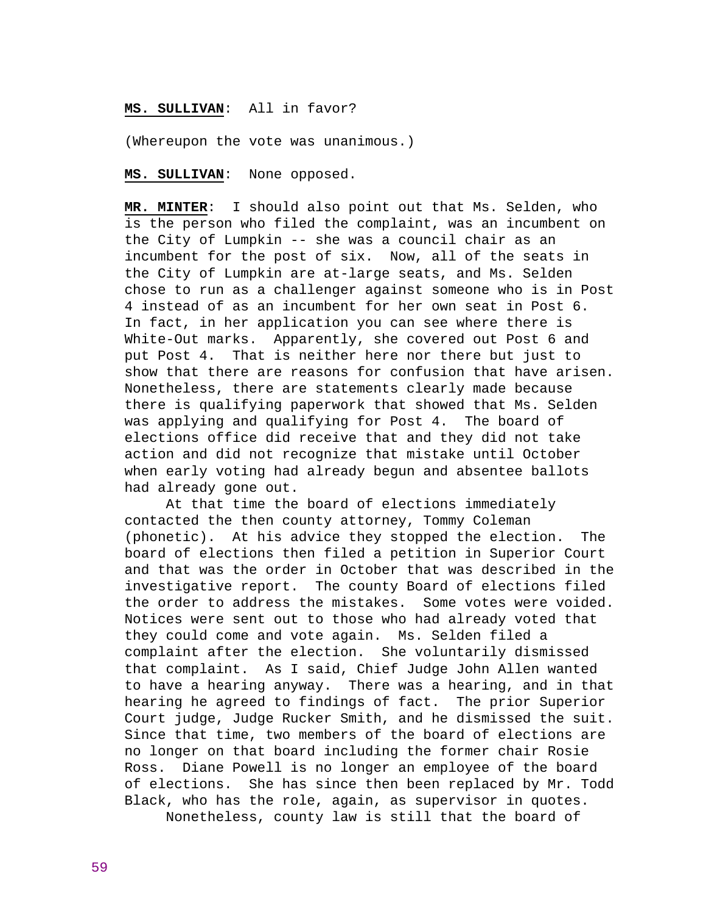# **MS. SULLIVAN**: All in favor?

(Whereupon the vote was unanimous.)

**MS. SULLIVAN**: None opposed.

**MR. MINTER**: I should also point out that Ms. Selden, who is the person who filed the complaint, was an incumbent on the City of Lumpkin -- she was a council chair as an incumbent for the post of six. Now, all of the seats in the City of Lumpkin are at-large seats, and Ms. Selden chose to run as a challenger against someone who is in Post 4 instead of as an incumbent for her own seat in Post 6. In fact, in her application you can see where there is White-Out marks. Apparently, she covered out Post 6 and put Post 4. That is neither here nor there but just to show that there are reasons for confusion that have arisen. Nonetheless, there are statements clearly made because there is qualifying paperwork that showed that Ms. Selden was applying and qualifying for Post 4. The board of elections office did receive that and they did not take action and did not recognize that mistake until October when early voting had already begun and absentee ballots had already gone out.

 At that time the board of elections immediately contacted the then county attorney, Tommy Coleman (phonetic). At his advice they stopped the election. The board of elections then filed a petition in Superior Court and that was the order in October that was described in the investigative report. The county Board of elections filed the order to address the mistakes. Some votes were voided. Notices were sent out to those who had already voted that they could come and vote again. Ms. Selden filed a complaint after the election. She voluntarily dismissed that complaint. As I said, Chief Judge John Allen wanted to have a hearing anyway. There was a hearing, and in that hearing he agreed to findings of fact. The prior Superior Court judge, Judge Rucker Smith, and he dismissed the suit. Since that time, two members of the board of elections are no longer on that board including the former chair Rosie Ross. Diane Powell is no longer an employee of the board of elections. She has since then been replaced by Mr. Todd Black, who has the role, again, as supervisor in quotes. Nonetheless, county law is still that the board of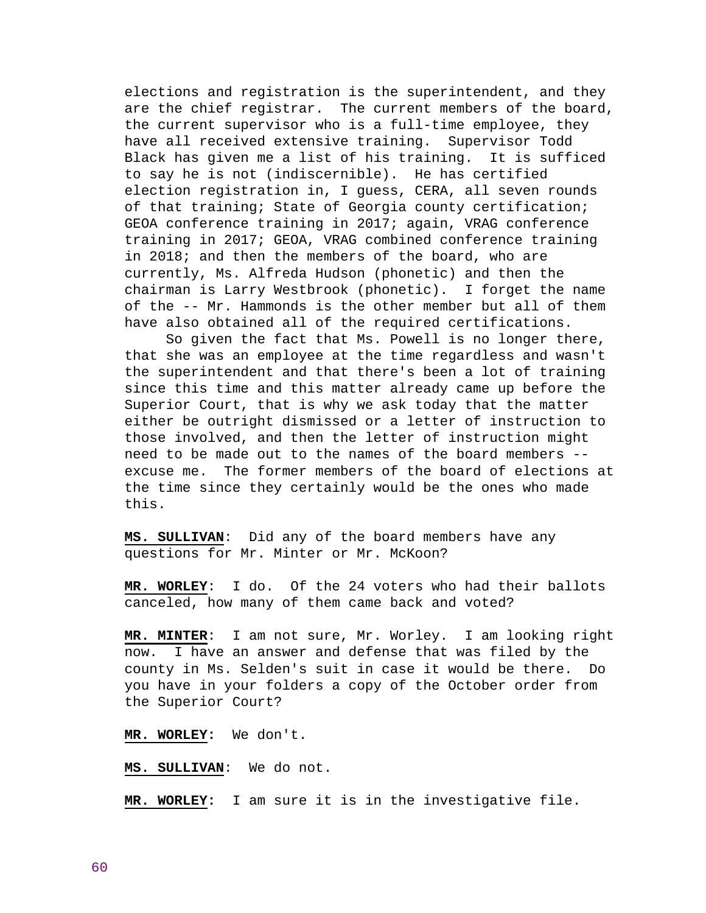elections and registration is the superintendent, and they are the chief registrar. The current members of the board, the current supervisor who is a full-time employee, they have all received extensive training. Supervisor Todd Black has given me a list of his training. It is sufficed to say he is not (indiscernible). He has certified election registration in, I guess, CERA, all seven rounds of that training; State of Georgia county certification; GEOA conference training in 2017; again, VRAG conference training in 2017; GEOA, VRAG combined conference training in 2018; and then the members of the board, who are currently, Ms. Alfreda Hudson (phonetic) and then the chairman is Larry Westbrook (phonetic). I forget the name of the -- Mr. Hammonds is the other member but all of them have also obtained all of the required certifications.

 So given the fact that Ms. Powell is no longer there, that she was an employee at the time regardless and wasn't the superintendent and that there's been a lot of training since this time and this matter already came up before the Superior Court, that is why we ask today that the matter either be outright dismissed or a letter of instruction to those involved, and then the letter of instruction might need to be made out to the names of the board members - excuse me. The former members of the board of elections at the time since they certainly would be the ones who made this.

**MS. SULLIVAN**: Did any of the board members have any questions for Mr. Minter or Mr. McKoon?

**MR. WORLEY**: I do. Of the 24 voters who had their ballots canceled, how many of them came back and voted?

**MR. MINTER**: I am not sure, Mr. Worley. I am looking right now. I have an answer and defense that was filed by the county in Ms. Selden's suit in case it would be there. Do you have in your folders a copy of the October order from the Superior Court?

**MR. WORLEY:** We don't.

**MS. SULLIVAN**: We do not.

**MR. WORLEY:** I am sure it is in the investigative file.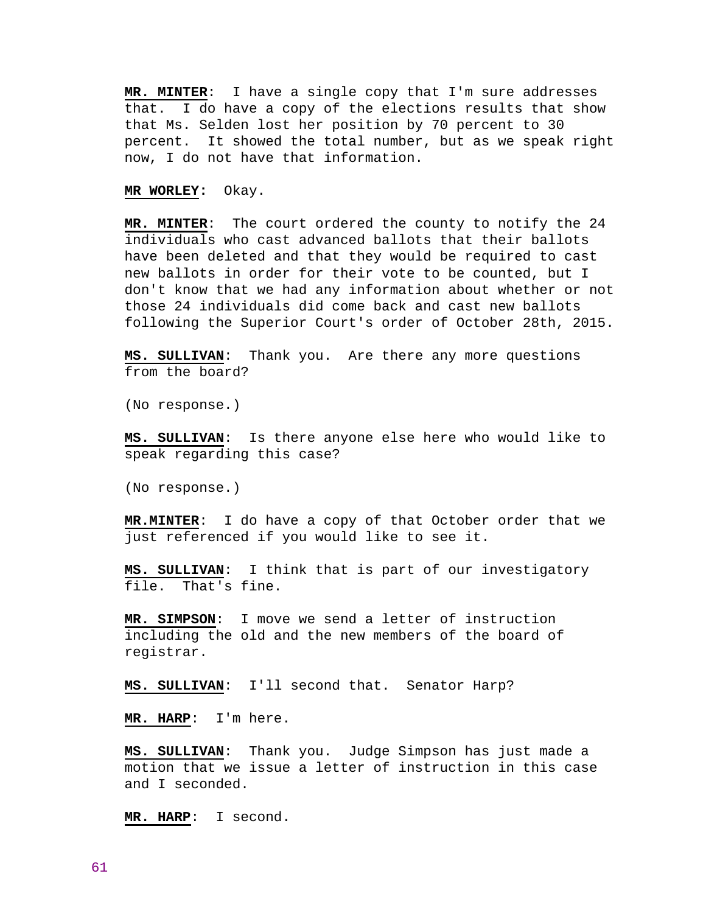**MR. MINTER**: I have a single copy that I'm sure addresses that. I do have a copy of the elections results that show that Ms. Selden lost her position by 70 percent to 30 percent. It showed the total number, but as we speak right now, I do not have that information.

**MR WORLEY:** Okay.

**MR. MINTER**: The court ordered the county to notify the 24 individuals who cast advanced ballots that their ballots have been deleted and that they would be required to cast new ballots in order for their vote to be counted, but I don't know that we had any information about whether or not those 24 individuals did come back and cast new ballots following the Superior Court's order of October 28th, 2015.

**MS. SULLIVAN**: Thank you. Are there any more questions from the board?

(No response.)

**MS. SULLIVAN**: Is there anyone else here who would like to speak regarding this case?

(No response.)

**MR.MINTER**: I do have a copy of that October order that we just referenced if you would like to see it.

**MS. SULLIVAN**: I think that is part of our investigatory file. That's fine.

**MR. SIMPSON**: I move we send a letter of instruction including the old and the new members of the board of registrar.

**MS. SULLIVAN**: I'll second that. Senator Harp?

**MR. HARP**: I'm here.

**MS. SULLIVAN**: Thank you. Judge Simpson has just made a motion that we issue a letter of instruction in this case and I seconded.

**MR. HARP**: I second.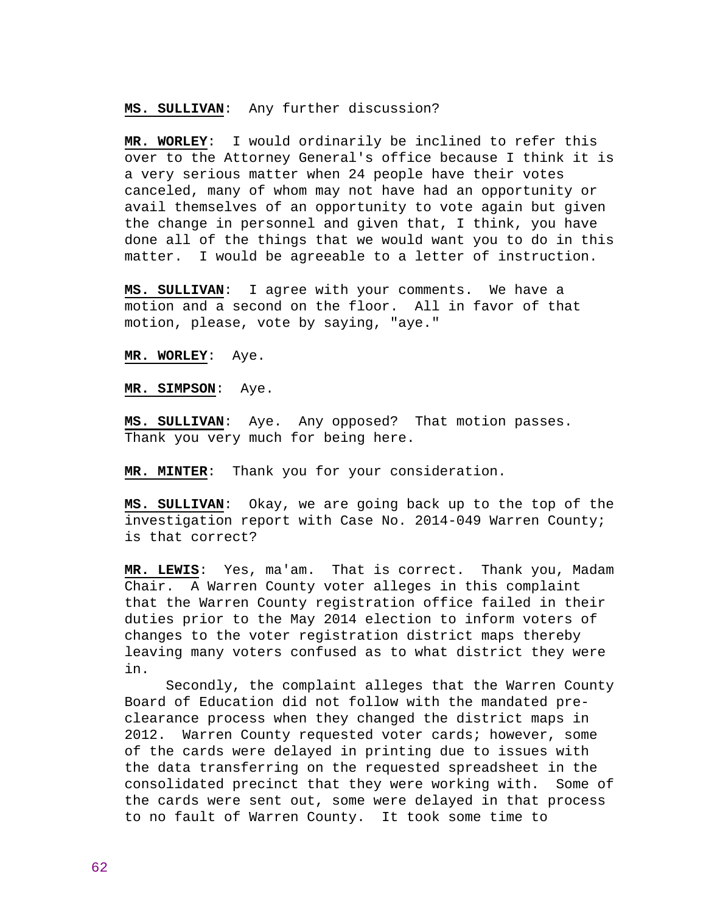**MS. SULLIVAN**: Any further discussion?

**MR. WORLEY**: I would ordinarily be inclined to refer this over to the Attorney General's office because I think it is a very serious matter when 24 people have their votes canceled, many of whom may not have had an opportunity or avail themselves of an opportunity to vote again but given the change in personnel and given that, I think, you have done all of the things that we would want you to do in this matter. I would be agreeable to a letter of instruction.

**MS. SULLIVAN**: I agree with your comments. We have a motion and a second on the floor. All in favor of that motion, please, vote by saying, "aye."

**MR. WORLEY**: Aye.

**MR. SIMPSON**: Aye.

**MS. SULLIVAN**: Aye. Any opposed? That motion passes. Thank you very much for being here.

**MR. MINTER**: Thank you for your consideration.

**MS. SULLIVAN**: Okay, we are going back up to the top of the investigation report with Case No. 2014-049 Warren County; is that correct?

**MR. LEWIS**: Yes, ma'am. That is correct. Thank you, Madam Chair. A Warren County voter alleges in this complaint that the Warren County registration office failed in their duties prior to the May 2014 election to inform voters of changes to the voter registration district maps thereby leaving many voters confused as to what district they were in.

 Secondly, the complaint alleges that the Warren County Board of Education did not follow with the mandated preclearance process when they changed the district maps in 2012. Warren County requested voter cards; however, some of the cards were delayed in printing due to issues with the data transferring on the requested spreadsheet in the consolidated precinct that they were working with. Some of the cards were sent out, some were delayed in that process to no fault of Warren County. It took some time to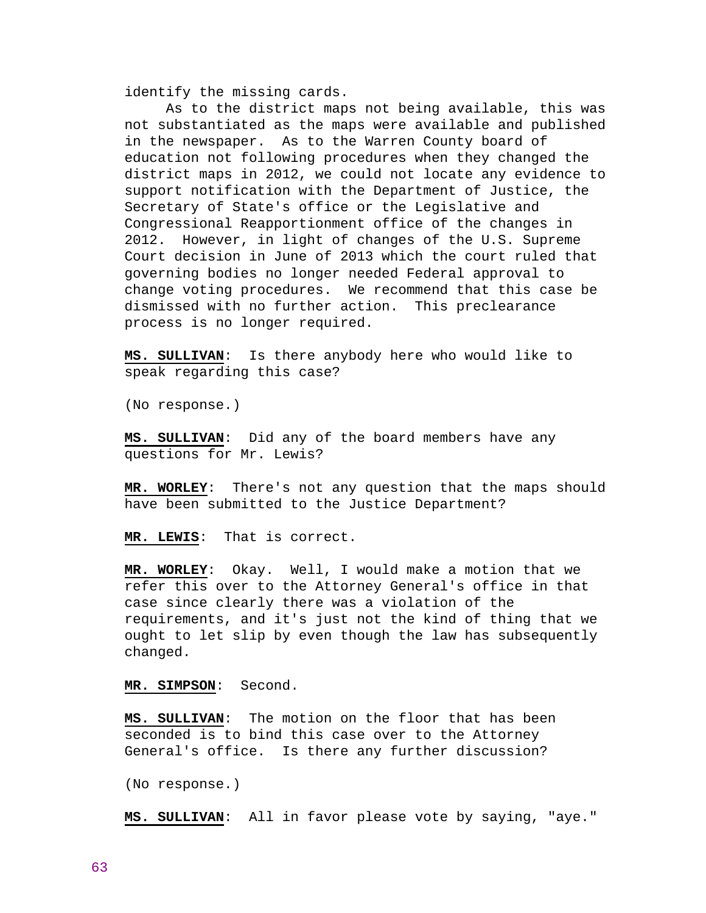identify the missing cards.

 As to the district maps not being available, this was not substantiated as the maps were available and published in the newspaper. As to the Warren County board of education not following procedures when they changed the district maps in 2012, we could not locate any evidence to support notification with the Department of Justice, the Secretary of State's office or the Legislative and Congressional Reapportionment office of the changes in 2012. However, in light of changes of the U.S. Supreme Court decision in June of 2013 which the court ruled that governing bodies no longer needed Federal approval to change voting procedures. We recommend that this case be dismissed with no further action. This preclearance process is no longer required.

**MS. SULLIVAN**: Is there anybody here who would like to speak regarding this case?

(No response.)

**MS. SULLIVAN**: Did any of the board members have any questions for Mr. Lewis?

**MR. WORLEY**: There's not any question that the maps should have been submitted to the Justice Department?

**MR. LEWIS**: That is correct.

**MR. WORLEY**: Okay. Well, I would make a motion that we refer this over to the Attorney General's office in that case since clearly there was a violation of the requirements, and it's just not the kind of thing that we ought to let slip by even though the law has subsequently changed.

**MR. SIMPSON**: Second.

**MS. SULLIVAN**: The motion on the floor that has been seconded is to bind this case over to the Attorney General's office. Is there any further discussion?

(No response.)

**MS. SULLIVAN**: All in favor please vote by saying, "aye."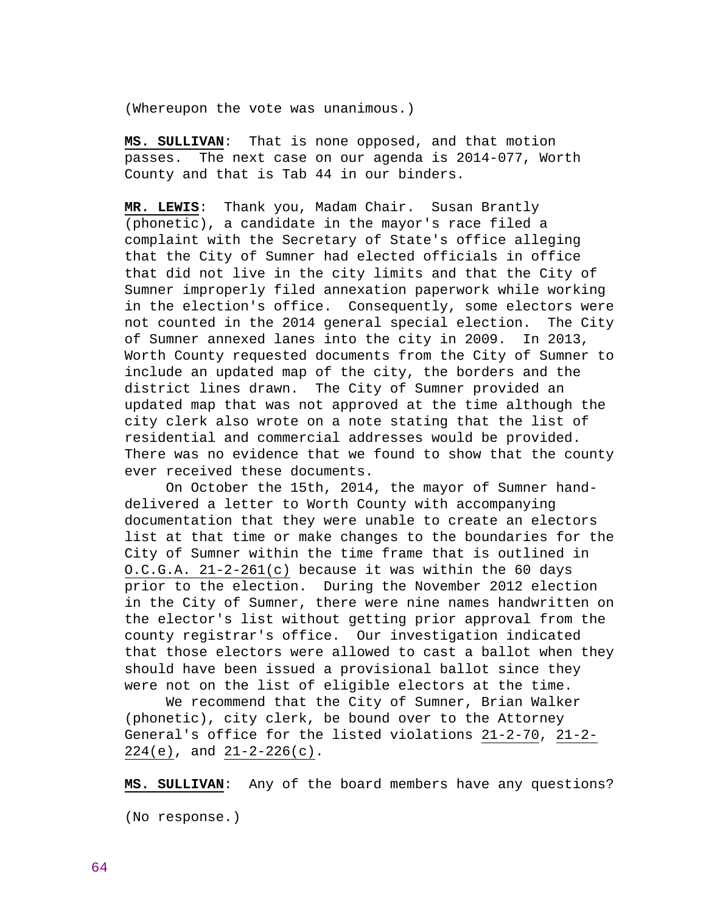(Whereupon the vote was unanimous.)

**MS. SULLIVAN**: That is none opposed, and that motion passes. The next case on our agenda is 2014-077, Worth County and that is Tab 44 in our binders.

**MR. LEWIS**: Thank you, Madam Chair. Susan Brantly (phonetic), a candidate in the mayor's race filed a complaint with the Secretary of State's office alleging that the City of Sumner had elected officials in office that did not live in the city limits and that the City of Sumner improperly filed annexation paperwork while working in the election's office. Consequently, some electors were not counted in the 2014 general special election. The City of Sumner annexed lanes into the city in 2009. In 2013, Worth County requested documents from the City of Sumner to include an updated map of the city, the borders and the district lines drawn. The City of Sumner provided an updated map that was not approved at the time although the city clerk also wrote on a note stating that the list of residential and commercial addresses would be provided. There was no evidence that we found to show that the county ever received these documents.

 On October the 15th, 2014, the mayor of Sumner handdelivered a letter to Worth County with accompanying documentation that they were unable to create an electors list at that time or make changes to the boundaries for the City of Sumner within the time frame that is outlined in O.C.G.A. 21-2-261(c) because it was within the 60 days prior to the election. During the November 2012 election in the City of Sumner, there were nine names handwritten on the elector's list without getting prior approval from the county registrar's office. Our investigation indicated that those electors were allowed to cast a ballot when they should have been issued a provisional ballot since they were not on the list of eligible electors at the time.

 We recommend that the City of Sumner, Brian Walker (phonetic), city clerk, be bound over to the Attorney General's office for the listed violations 21-2-70, 21-2- 224(e), and 21-2-226(c).

**MS. SULLIVAN**: Any of the board members have any questions?

(No response.)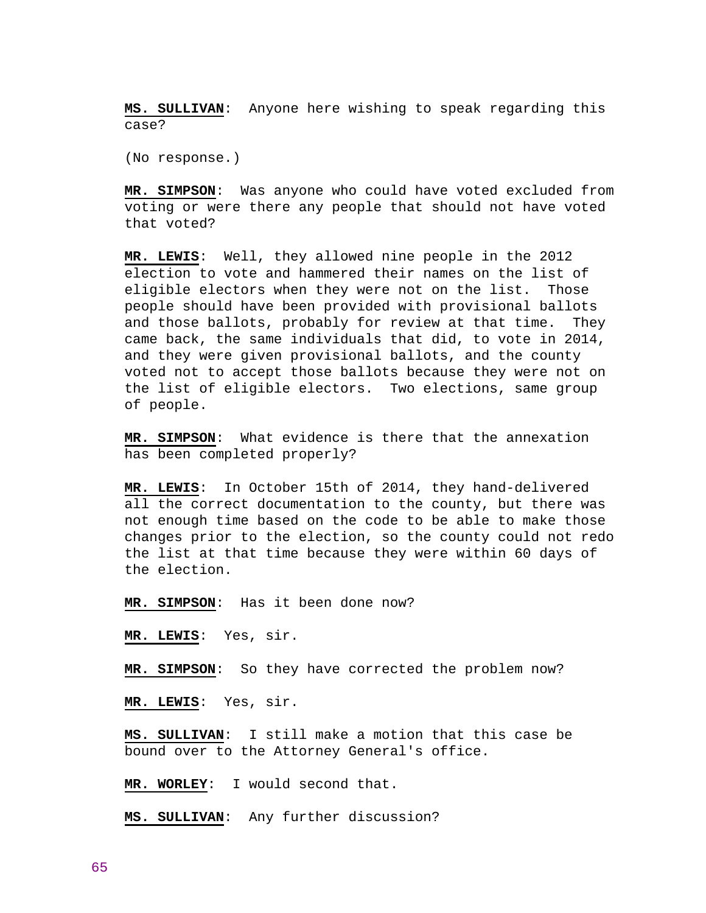**MS. SULLIVAN**: Anyone here wishing to speak regarding this case?

(No response.)

**MR. SIMPSON**: Was anyone who could have voted excluded from voting or were there any people that should not have voted that voted?

**MR. LEWIS**: Well, they allowed nine people in the 2012 election to vote and hammered their names on the list of eligible electors when they were not on the list. Those people should have been provided with provisional ballots and those ballots, probably for review at that time. They came back, the same individuals that did, to vote in 2014, and they were given provisional ballots, and the county voted not to accept those ballots because they were not on the list of eligible electors. Two elections, same group of people.

**MR. SIMPSON**: What evidence is there that the annexation has been completed properly?

**MR. LEWIS**: In October 15th of 2014, they hand-delivered all the correct documentation to the county, but there was not enough time based on the code to be able to make those changes prior to the election, so the county could not redo the list at that time because they were within 60 days of the election.

**MR. SIMPSON**: Has it been done now?

**MR. LEWIS**: Yes, sir.

**MR. SIMPSON**: So they have corrected the problem now?

**MR. LEWIS**: Yes, sir.

**MS. SULLIVAN**: I still make a motion that this case be bound over to the Attorney General's office.

**MR. WORLEY**: I would second that.

**MS. SULLIVAN**: Any further discussion?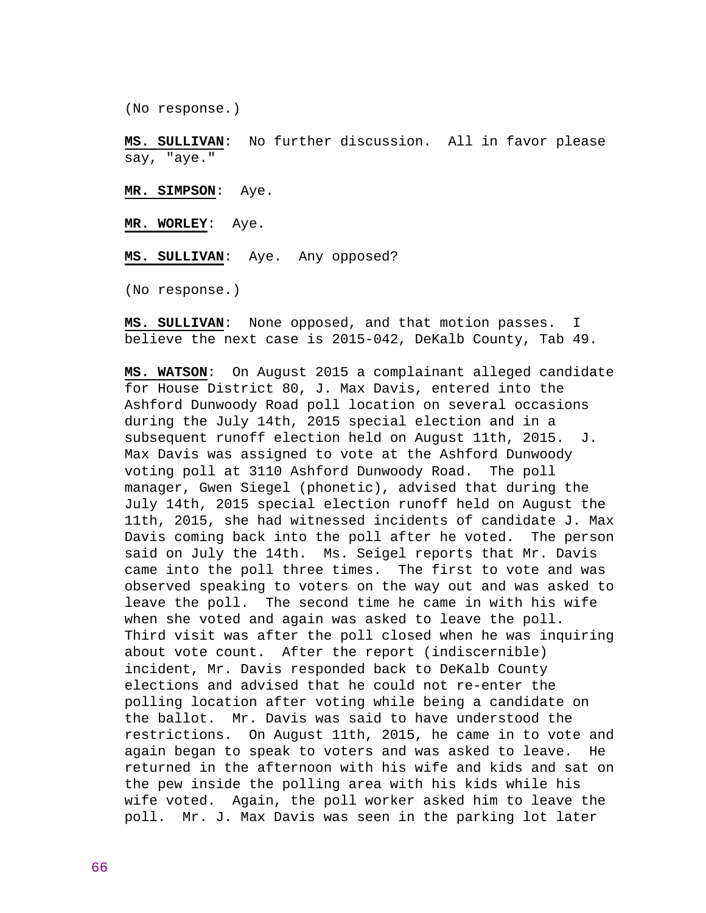(No response.)

**MS. SULLIVAN**: No further discussion. All in favor please say, "aye."

**MR. SIMPSON**: Aye.

**MR. WORLEY**: Aye.

**MS. SULLIVAN**: Aye. Any opposed?

(No response.)

**MS. SULLIVAN**: None opposed, and that motion passes. I believe the next case is 2015-042, DeKalb County, Tab 49.

**MS. WATSON**: On August 2015 a complainant alleged candidate for House District 80, J. Max Davis, entered into the Ashford Dunwoody Road poll location on several occasions during the July 14th, 2015 special election and in a subsequent runoff election held on August 11th, 2015. J. Max Davis was assigned to vote at the Ashford Dunwoody voting poll at 3110 Ashford Dunwoody Road. The poll manager, Gwen Siegel (phonetic), advised that during the July 14th, 2015 special election runoff held on August the 11th, 2015, she had witnessed incidents of candidate J. Max Davis coming back into the poll after he voted. The person said on July the 14th. Ms. Seigel reports that Mr. Davis came into the poll three times. The first to vote and was observed speaking to voters on the way out and was asked to leave the poll. The second time he came in with his wife when she voted and again was asked to leave the poll. Third visit was after the poll closed when he was inquiring about vote count. After the report (indiscernible) incident, Mr. Davis responded back to DeKalb County elections and advised that he could not re-enter the polling location after voting while being a candidate on the ballot. Mr. Davis was said to have understood the restrictions. On August 11th, 2015, he came in to vote and again began to speak to voters and was asked to leave. He returned in the afternoon with his wife and kids and sat on the pew inside the polling area with his kids while his wife voted. Again, the poll worker asked him to leave the poll. Mr. J. Max Davis was seen in the parking lot later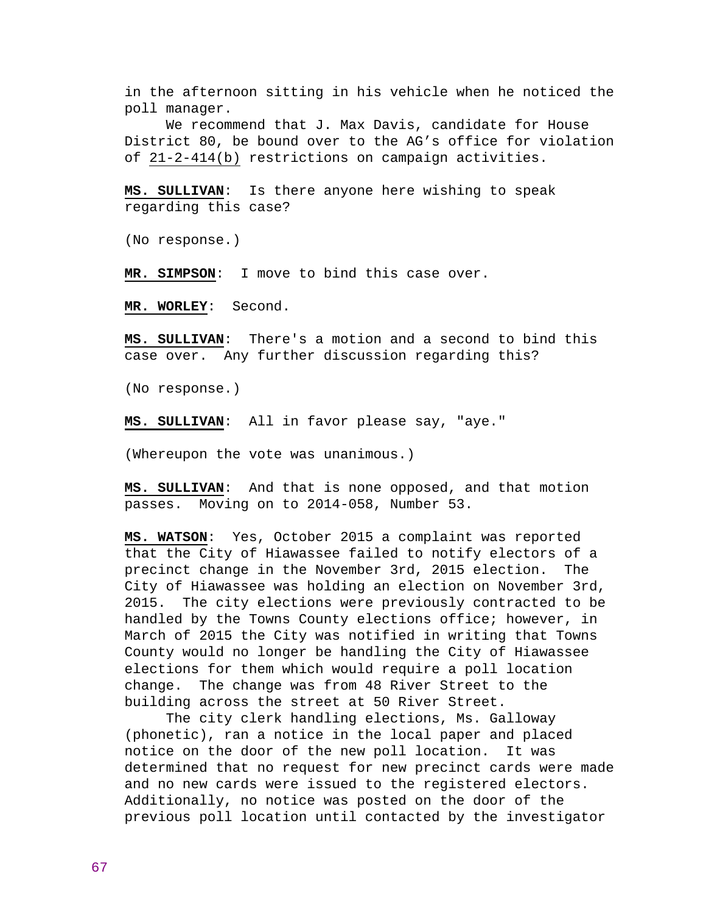in the afternoon sitting in his vehicle when he noticed the poll manager.

 We recommend that J. Max Davis, candidate for House District 80, be bound over to the AG's office for violation of 21-2-414(b) restrictions on campaign activities.

**MS. SULLIVAN**: Is there anyone here wishing to speak regarding this case?

(No response.)

**MR. SIMPSON**: I move to bind this case over.

**MR. WORLEY**: Second.

**MS. SULLIVAN**: There's a motion and a second to bind this case over. Any further discussion regarding this?

(No response.)

**MS. SULLIVAN**: All in favor please say, "aye."

(Whereupon the vote was unanimous.)

**MS. SULLIVAN**: And that is none opposed, and that motion passes. Moving on to 2014-058, Number 53.

**MS. WATSON**: Yes, October 2015 a complaint was reported that the City of Hiawassee failed to notify electors of a precinct change in the November 3rd, 2015 election. The City of Hiawassee was holding an election on November 3rd, 2015. The city elections were previously contracted to be handled by the Towns County elections office; however, in March of 2015 the City was notified in writing that Towns County would no longer be handling the City of Hiawassee elections for them which would require a poll location change. The change was from 48 River Street to the building across the street at 50 River Street.

 The city clerk handling elections, Ms. Galloway (phonetic), ran a notice in the local paper and placed notice on the door of the new poll location. It was determined that no request for new precinct cards were made and no new cards were issued to the registered electors. Additionally, no notice was posted on the door of the previous poll location until contacted by the investigator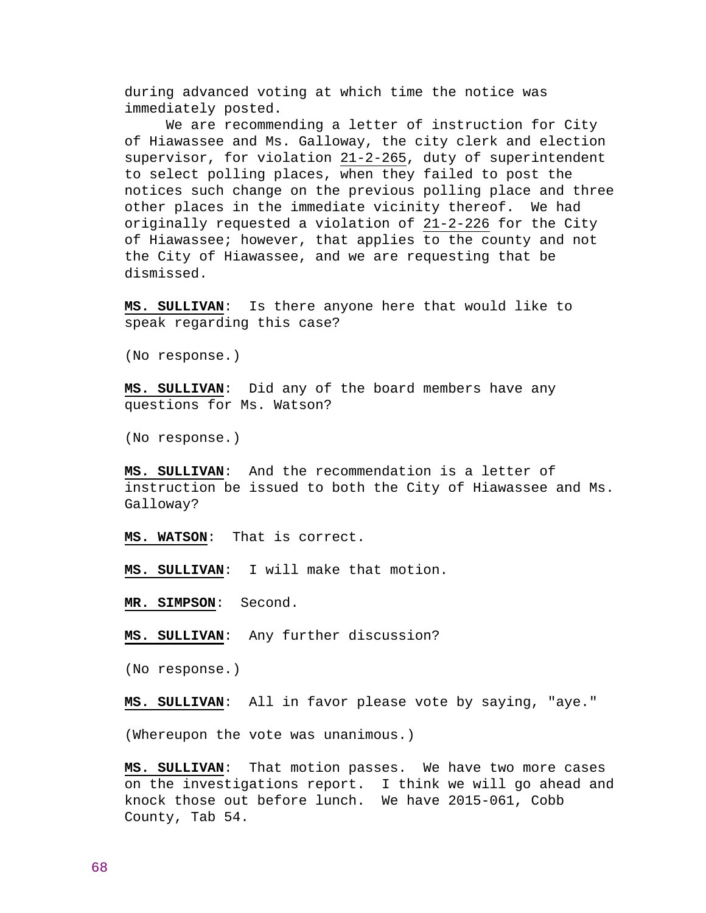during advanced voting at which time the notice was immediately posted.

 We are recommending a letter of instruction for City of Hiawassee and Ms. Galloway, the city clerk and election supervisor, for violation 21-2-265, duty of superintendent to select polling places, when they failed to post the notices such change on the previous polling place and three other places in the immediate vicinity thereof. We had originally requested a violation of 21-2-226 for the City of Hiawassee; however, that applies to the county and not the City of Hiawassee, and we are requesting that be dismissed.

**MS. SULLIVAN**: Is there anyone here that would like to speak regarding this case?

(No response.)

**MS. SULLIVAN**: Did any of the board members have any questions for Ms. Watson?

(No response.)

**MS. SULLIVAN**: And the recommendation is a letter of instruction be issued to both the City of Hiawassee and Ms. Galloway?

**MS. WATSON**: That is correct.

**MS. SULLIVAN**: I will make that motion.

**MR. SIMPSON**: Second.

**MS. SULLIVAN**: Any further discussion?

(No response.)

**MS. SULLIVAN**: All in favor please vote by saying, "aye."

(Whereupon the vote was unanimous.)

**MS. SULLIVAN**: That motion passes. We have two more cases on the investigations report. I think we will go ahead and knock those out before lunch. We have 2015-061, Cobb County, Tab 54.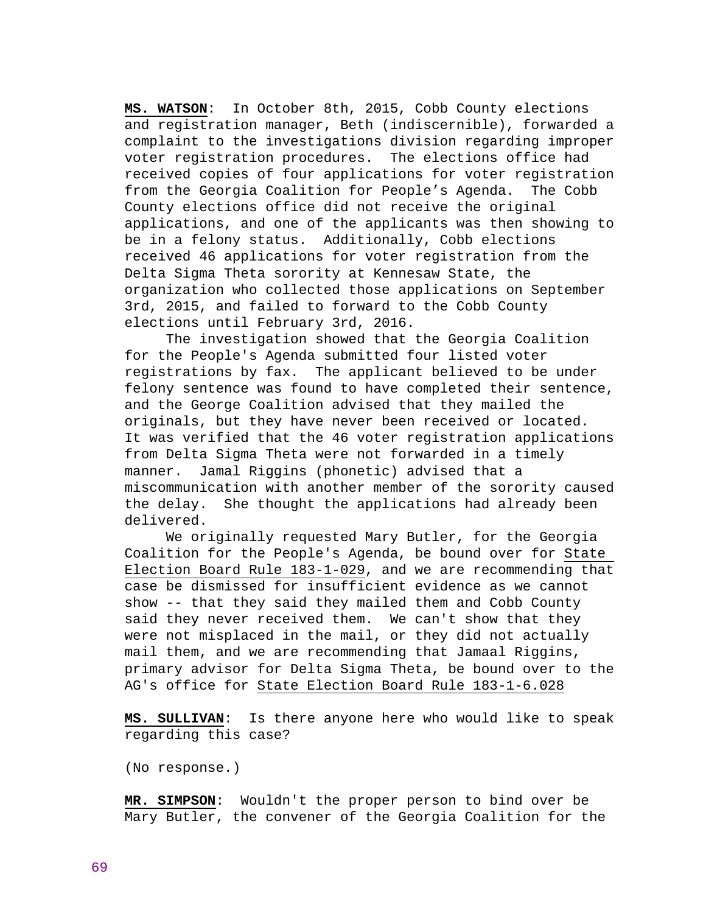**MS. WATSON**: In October 8th, 2015, Cobb County elections and registration manager, Beth (indiscernible), forwarded a complaint to the investigations division regarding improper voter registration procedures. The elections office had received copies of four applications for voter registration from the Georgia Coalition for People's Agenda. The Cobb County elections office did not receive the original applications, and one of the applicants was then showing to be in a felony status. Additionally, Cobb elections received 46 applications for voter registration from the Delta Sigma Theta sorority at Kennesaw State, the organization who collected those applications on September 3rd, 2015, and failed to forward to the Cobb County elections until February 3rd, 2016.

 The investigation showed that the Georgia Coalition for the People's Agenda submitted four listed voter registrations by fax. The applicant believed to be under felony sentence was found to have completed their sentence, and the George Coalition advised that they mailed the originals, but they have never been received or located. It was verified that the 46 voter registration applications from Delta Sigma Theta were not forwarded in a timely manner. Jamal Riggins (phonetic) advised that a miscommunication with another member of the sorority caused the delay. She thought the applications had already been delivered.

 We originally requested Mary Butler, for the Georgia Coalition for the People's Agenda, be bound over for State Election Board Rule 183-1-029, and we are recommending that case be dismissed for insufficient evidence as we cannot show -- that they said they mailed them and Cobb County said they never received them. We can't show that they were not misplaced in the mail, or they did not actually mail them, and we are recommending that Jamaal Riggins, primary advisor for Delta Sigma Theta, be bound over to the AG's office for State Election Board Rule 183-1-6.028

**MS. SULLIVAN**: Is there anyone here who would like to speak regarding this case?

(No response.)

**MR. SIMPSON**: Wouldn't the proper person to bind over be Mary Butler, the convener of the Georgia Coalition for the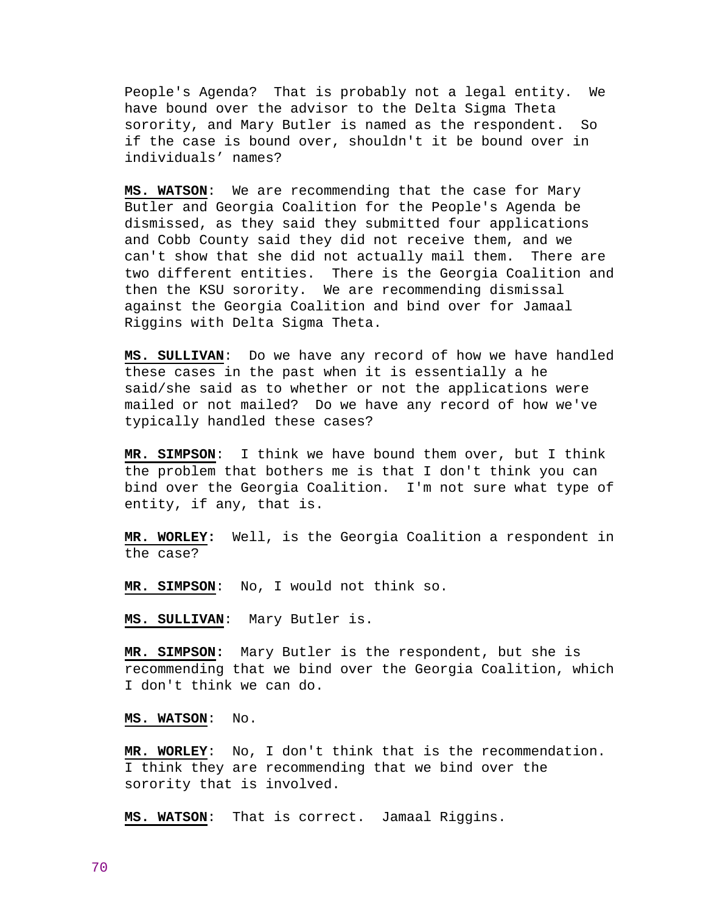People's Agenda? That is probably not a legal entity. We have bound over the advisor to the Delta Sigma Theta sorority, and Mary Butler is named as the respondent. So if the case is bound over, shouldn't it be bound over in individuals' names?

**MS. WATSON**: We are recommending that the case for Mary Butler and Georgia Coalition for the People's Agenda be dismissed, as they said they submitted four applications and Cobb County said they did not receive them, and we can't show that she did not actually mail them. There are two different entities. There is the Georgia Coalition and then the KSU sorority. We are recommending dismissal against the Georgia Coalition and bind over for Jamaal Riggins with Delta Sigma Theta.

**MS. SULLIVAN**: Do we have any record of how we have handled these cases in the past when it is essentially a he said/she said as to whether or not the applications were mailed or not mailed? Do we have any record of how we've typically handled these cases?

**MR. SIMPSON**: I think we have bound them over, but I think the problem that bothers me is that I don't think you can bind over the Georgia Coalition. I'm not sure what type of entity, if any, that is.

**MR. WORLEY:** Well, is the Georgia Coalition a respondent in the case?

**MR. SIMPSON**: No, I would not think so.

**MS. SULLIVAN**: Mary Butler is.

**MR. SIMPSON:** Mary Butler is the respondent, but she is recommending that we bind over the Georgia Coalition, which I don't think we can do.

**MS. WATSON**: No.

**MR. WORLEY**: No, I don't think that is the recommendation. I think they are recommending that we bind over the sorority that is involved.

**MS. WATSON**: That is correct. Jamaal Riggins.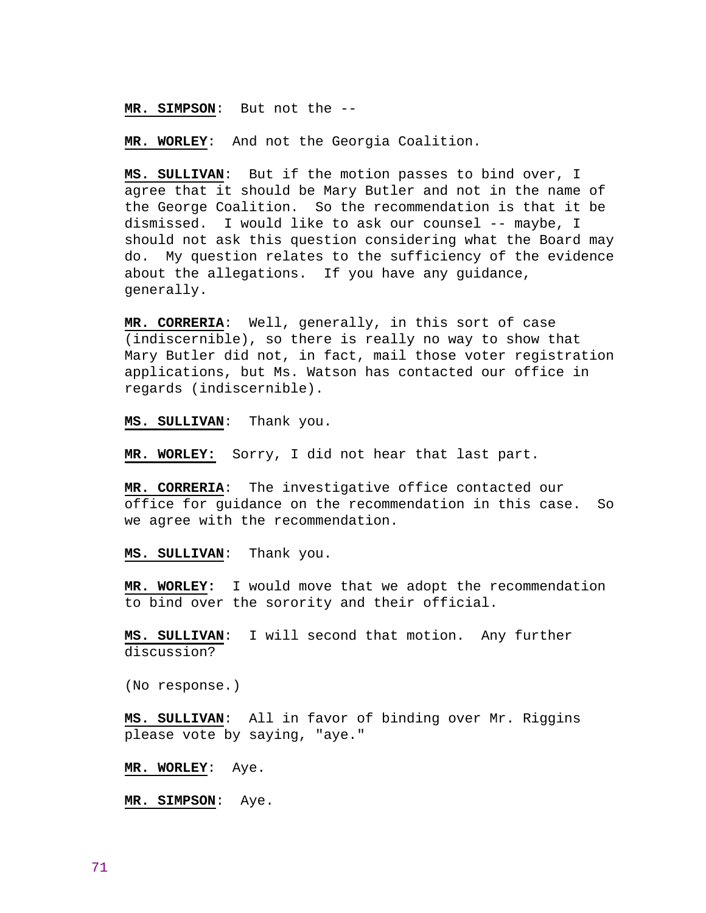## **MR. SIMPSON**: But not the --

**MR. WORLEY**: And not the Georgia Coalition.

**MS. SULLIVAN**: But if the motion passes to bind over, I agree that it should be Mary Butler and not in the name of the George Coalition. So the recommendation is that it be dismissed. I would like to ask our counsel -- maybe, I should not ask this question considering what the Board may do. My question relates to the sufficiency of the evidence about the allegations. If you have any guidance, generally.

**MR. CORRERIA**: Well, generally, in this sort of case (indiscernible), so there is really no way to show that Mary Butler did not, in fact, mail those voter registration applications, but Ms. Watson has contacted our office in regards (indiscernible).

**MS. SULLIVAN**: Thank you.

**MR. WORLEY:** Sorry, I did not hear that last part.

**MR. CORRERIA**: The investigative office contacted our office for guidance on the recommendation in this case. So we agree with the recommendation.

#### **MS. SULLIVAN**: Thank you.

**MR. WORLEY:** I would move that we adopt the recommendation to bind over the sorority and their official.

**MS. SULLIVAN**: I will second that motion. Any further discussion?

(No response.)

**MS. SULLIVAN**: All in favor of binding over Mr. Riggins please vote by saying, "aye."

**MR. WORLEY**: Aye.

**MR. SIMPSON**: Aye.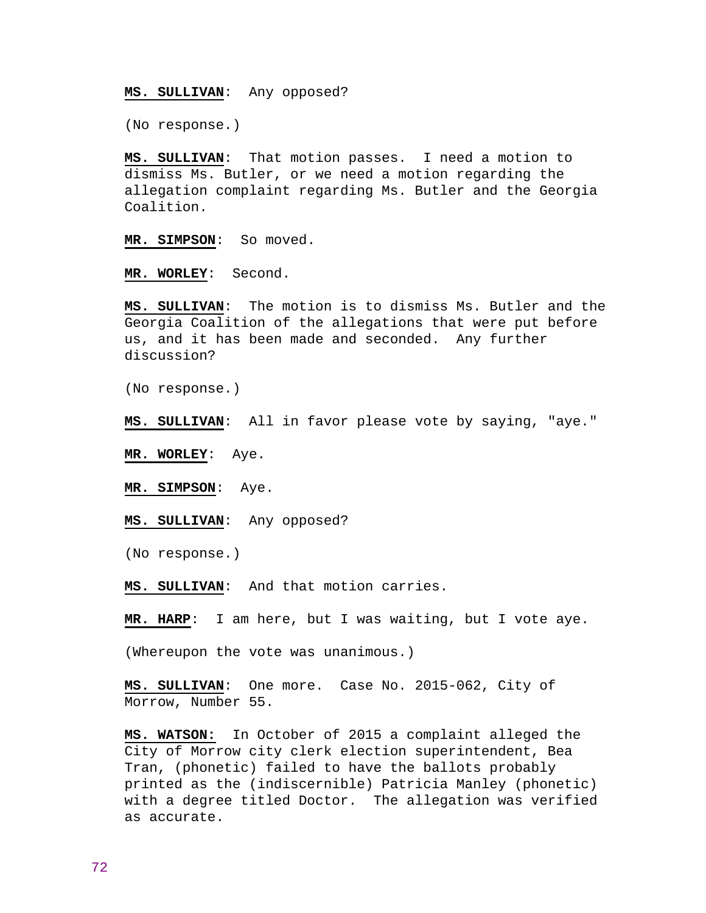## **MS. SULLIVAN**: Any opposed?

(No response.)

**MS. SULLIVAN**: That motion passes. I need a motion to dismiss Ms. Butler, or we need a motion regarding the allegation complaint regarding Ms. Butler and the Georgia Coalition.

**MR. SIMPSON**: So moved.

**MR. WORLEY**: Second.

**MS. SULLIVAN**: The motion is to dismiss Ms. Butler and the Georgia Coalition of the allegations that were put before us, and it has been made and seconded. Any further discussion?

(No response.)

**MS. SULLIVAN**: All in favor please vote by saying, "aye."

**MR. WORLEY**: Aye.

**MR. SIMPSON**: Aye.

**MS. SULLIVAN**: Any opposed?

(No response.)

**MS. SULLIVAN**: And that motion carries.

**MR. HARP**: I am here, but I was waiting, but I vote aye.

(Whereupon the vote was unanimous.)

**MS. SULLIVAN**: One more. Case No. 2015-062, City of Morrow, Number 55.

**MS. WATSON:** In October of 2015 a complaint alleged the City of Morrow city clerk election superintendent, Bea Tran, (phonetic) failed to have the ballots probably printed as the (indiscernible) Patricia Manley (phonetic) with a degree titled Doctor. The allegation was verified as accurate.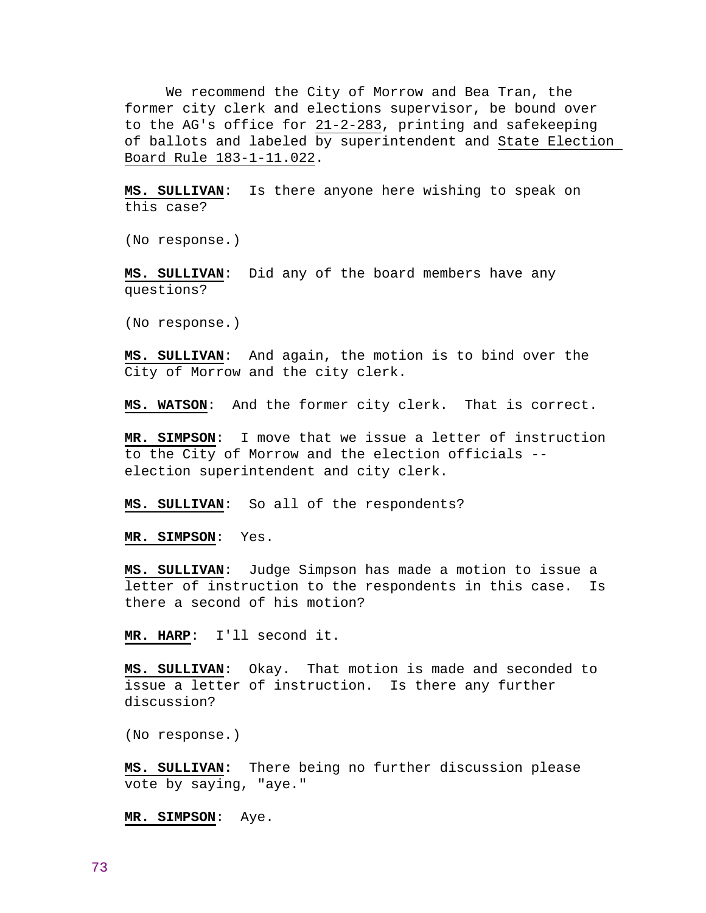We recommend the City of Morrow and Bea Tran, the former city clerk and elections supervisor, be bound over to the AG's office for 21-2-283, printing and safekeeping of ballots and labeled by superintendent and State Election Board Rule 183-1-11.022.

**MS. SULLIVAN**: Is there anyone here wishing to speak on this case?

(No response.)

**MS. SULLIVAN**: Did any of the board members have any questions?

(No response.)

**MS. SULLIVAN**: And again, the motion is to bind over the City of Morrow and the city clerk.

**MS. WATSON**: And the former city clerk. That is correct.

**MR. SIMPSON**: I move that we issue a letter of instruction to the City of Morrow and the election officials - election superintendent and city clerk.

**MS. SULLIVAN**: So all of the respondents?

**MR. SIMPSON**: Yes.

**MS. SULLIVAN**: Judge Simpson has made a motion to issue a letter of instruction to the respondents in this case. Is there a second of his motion?

**MR. HARP**: I'll second it.

**MS. SULLIVAN**: Okay. That motion is made and seconded to issue a letter of instruction. Is there any further discussion?

(No response.)

**MS. SULLIVAN:** There being no further discussion please vote by saying, "aye."

**MR. SIMPSON**: Aye.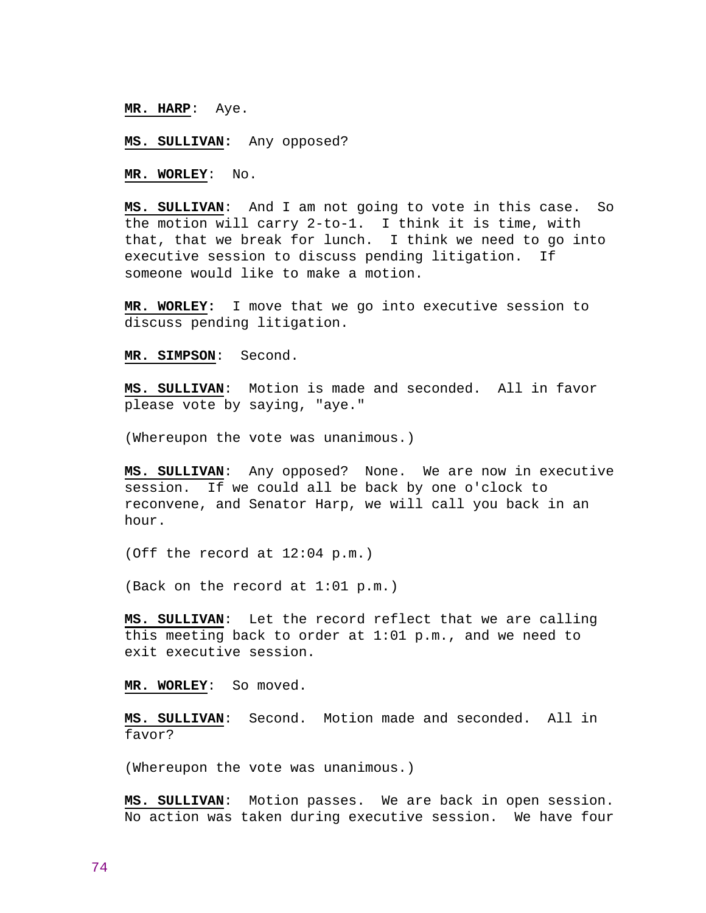## **MR. HARP**: Aye.

### **MS. SULLIVAN:** Any opposed?

**MR. WORLEY**: No.

**MS. SULLIVAN**: And I am not going to vote in this case. So the motion will carry 2-to-1. I think it is time, with that, that we break for lunch. I think we need to go into executive session to discuss pending litigation. If someone would like to make a motion.

**MR. WORLEY:** I move that we go into executive session to discuss pending litigation.

**MR. SIMPSON**: Second.

**MS. SULLIVAN**: Motion is made and seconded. All in favor please vote by saying, "aye."

(Whereupon the vote was unanimous.)

**MS. SULLIVAN**: Any opposed? None. We are now in executive session. If we could all be back by one o'clock to reconvene, and Senator Harp, we will call you back in an hour.

(Off the record at 12:04 p.m.)

(Back on the record at 1:01 p.m.)

**MS. SULLIVAN**: Let the record reflect that we are calling this meeting back to order at 1:01 p.m., and we need to exit executive session.

**MR. WORLEY**: So moved.

**MS. SULLIVAN**: Second. Motion made and seconded. All in favor?

(Whereupon the vote was unanimous.)

**MS. SULLIVAN**: Motion passes. We are back in open session. No action was taken during executive session. We have four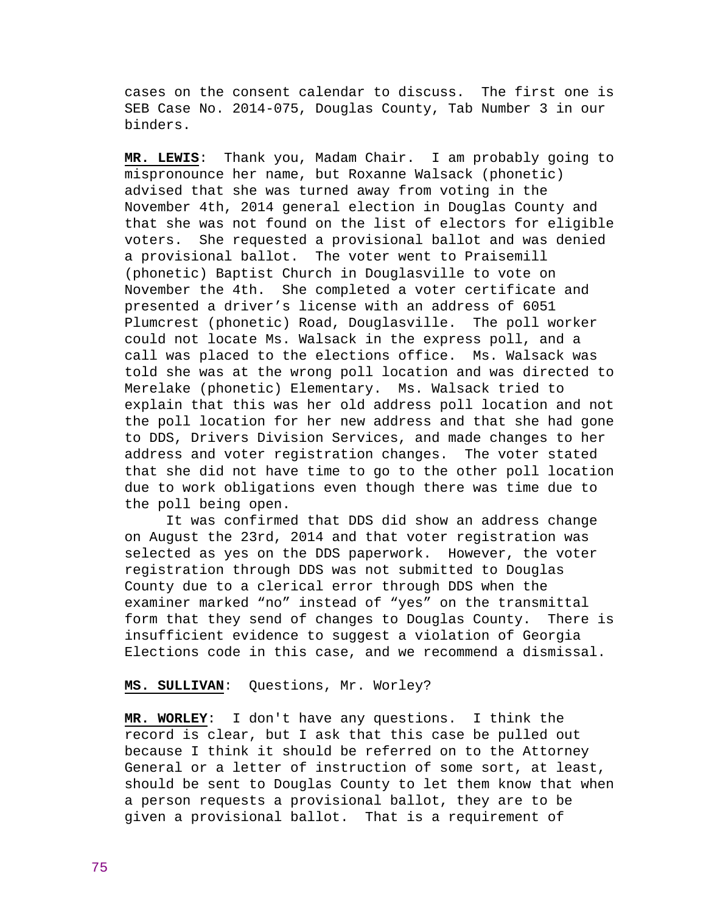cases on the consent calendar to discuss. The first one is SEB Case No. 2014-075, Douglas County, Tab Number 3 in our binders.

**MR. LEWIS**: Thank you, Madam Chair. I am probably going to mispronounce her name, but Roxanne Walsack (phonetic) advised that she was turned away from voting in the November 4th, 2014 general election in Douglas County and that she was not found on the list of electors for eligible voters. She requested a provisional ballot and was denied a provisional ballot. The voter went to Praisemill (phonetic) Baptist Church in Douglasville to vote on November the 4th. She completed a voter certificate and presented a driver's license with an address of 6051 Plumcrest (phonetic) Road, Douglasville. The poll worker could not locate Ms. Walsack in the express poll, and a call was placed to the elections office. Ms. Walsack was told she was at the wrong poll location and was directed to Merelake (phonetic) Elementary. Ms. Walsack tried to explain that this was her old address poll location and not the poll location for her new address and that she had gone to DDS, Drivers Division Services, and made changes to her address and voter registration changes. The voter stated that she did not have time to go to the other poll location due to work obligations even though there was time due to the poll being open.

 It was confirmed that DDS did show an address change on August the 23rd, 2014 and that voter registration was selected as yes on the DDS paperwork. However, the voter registration through DDS was not submitted to Douglas County due to a clerical error through DDS when the examiner marked "no" instead of "yes" on the transmittal form that they send of changes to Douglas County. There is insufficient evidence to suggest a violation of Georgia Elections code in this case, and we recommend a dismissal.

### **MS. SULLIVAN**: Questions, Mr. Worley?

**MR. WORLEY**: I don't have any questions. I think the record is clear, but I ask that this case be pulled out because I think it should be referred on to the Attorney General or a letter of instruction of some sort, at least, should be sent to Douglas County to let them know that when a person requests a provisional ballot, they are to be given a provisional ballot. That is a requirement of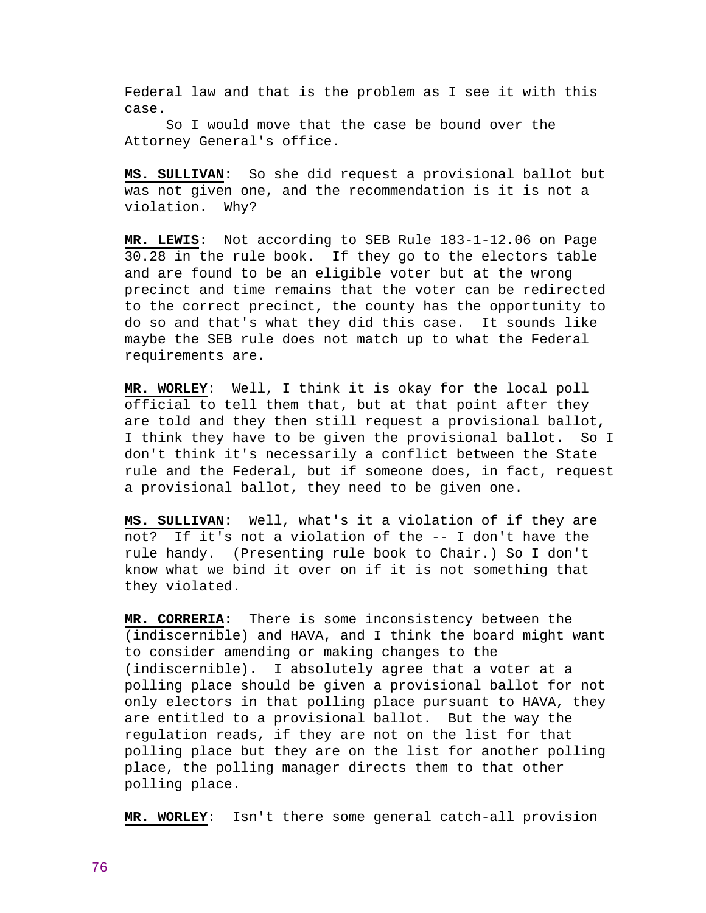Federal law and that is the problem as I see it with this case.

 So I would move that the case be bound over the Attorney General's office.

**MS. SULLIVAN**: So she did request a provisional ballot but was not given one, and the recommendation is it is not a violation. Why?

**MR. LEWIS**: Not according to SEB Rule 183-1-12.06 on Page 30.28 in the rule book. If they go to the electors table and are found to be an eligible voter but at the wrong precinct and time remains that the voter can be redirected to the correct precinct, the county has the opportunity to do so and that's what they did this case. It sounds like maybe the SEB rule does not match up to what the Federal requirements are.

**MR. WORLEY**: Well, I think it is okay for the local poll official to tell them that, but at that point after they are told and they then still request a provisional ballot, I think they have to be given the provisional ballot. So I don't think it's necessarily a conflict between the State rule and the Federal, but if someone does, in fact, request a provisional ballot, they need to be given one.

**MS. SULLIVAN**: Well, what's it a violation of if they are not? If it's not a violation of the -- I don't have the rule handy. (Presenting rule book to Chair.) So I don't know what we bind it over on if it is not something that they violated.

**MR. CORRERIA**: There is some inconsistency between the (indiscernible) and HAVA, and I think the board might want to consider amending or making changes to the (indiscernible). I absolutely agree that a voter at a polling place should be given a provisional ballot for not only electors in that polling place pursuant to HAVA, they are entitled to a provisional ballot. But the way the regulation reads, if they are not on the list for that polling place but they are on the list for another polling place, the polling manager directs them to that other polling place.

**MR. WORLEY**: Isn't there some general catch-all provision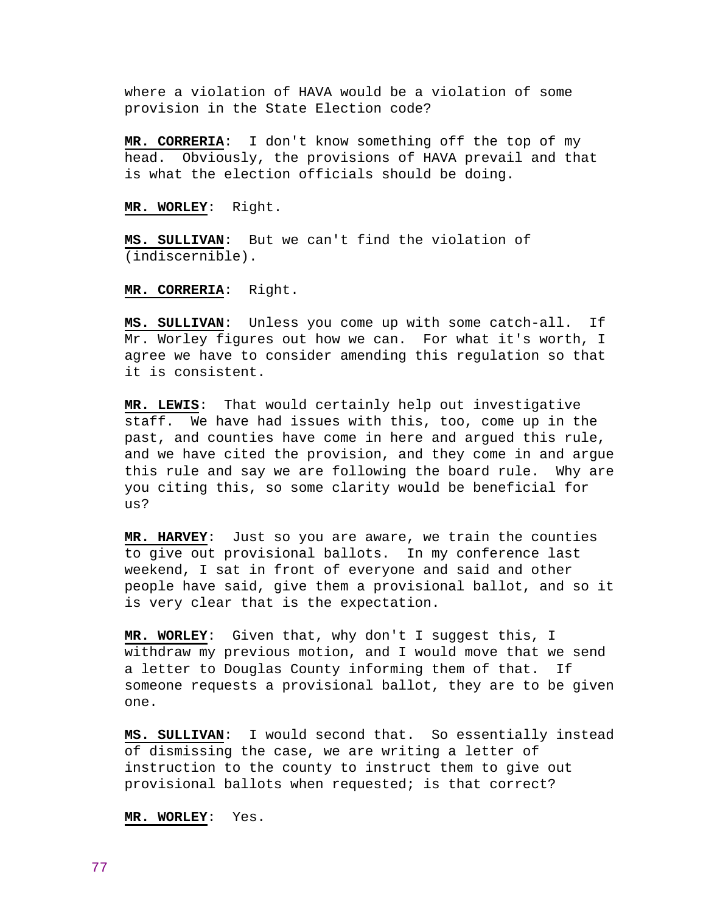where a violation of HAVA would be a violation of some provision in the State Election code?

**MR. CORRERIA**: I don't know something off the top of my head. Obviously, the provisions of HAVA prevail and that is what the election officials should be doing.

**MR. WORLEY**: Right.

**MS. SULLIVAN**: But we can't find the violation of (indiscernible).

**MR. CORRERIA**: Right.

**MS. SULLIVAN**: Unless you come up with some catch-all. If Mr. Worley figures out how we can. For what it's worth, I agree we have to consider amending this regulation so that it is consistent.

**MR. LEWIS**: That would certainly help out investigative staff. We have had issues with this, too, come up in the past, and counties have come in here and argued this rule, and we have cited the provision, and they come in and argue this rule and say we are following the board rule. Why are you citing this, so some clarity would be beneficial for us?

**MR. HARVEY**: Just so you are aware, we train the counties to give out provisional ballots. In my conference last weekend, I sat in front of everyone and said and other people have said, give them a provisional ballot, and so it is very clear that is the expectation.

**MR. WORLEY**: Given that, why don't I suggest this, I withdraw my previous motion, and I would move that we send a letter to Douglas County informing them of that. If someone requests a provisional ballot, they are to be given one.

**MS. SULLIVAN**: I would second that. So essentially instead of dismissing the case, we are writing a letter of instruction to the county to instruct them to give out provisional ballots when requested; is that correct?

**MR. WORLEY**: Yes.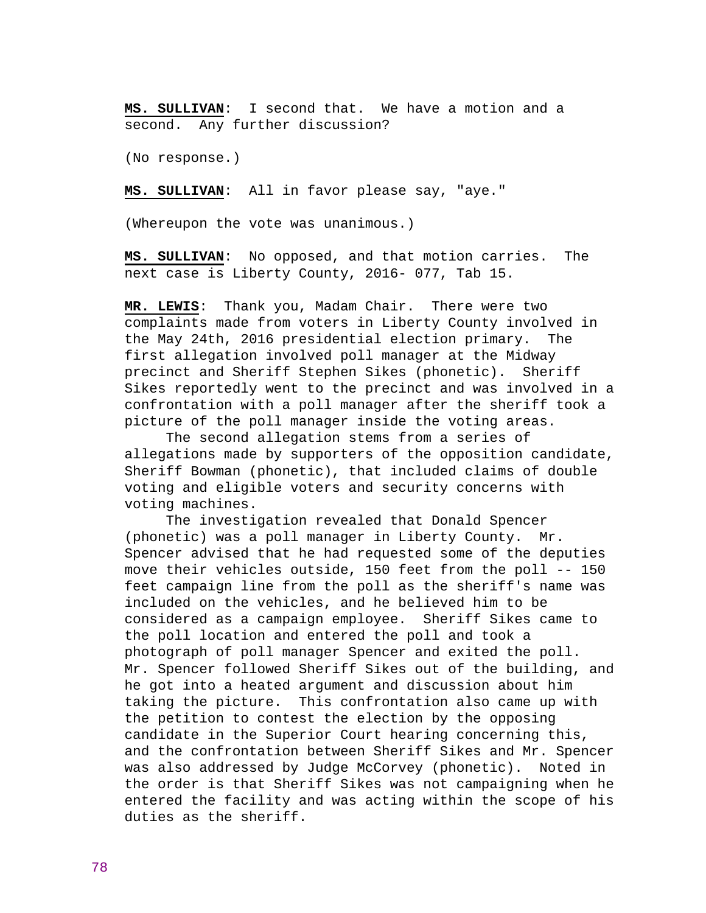**MS. SULLIVAN**: I second that. We have a motion and a second. Any further discussion?

(No response.)

**MS. SULLIVAN**: All in favor please say, "aye."

(Whereupon the vote was unanimous.)

**MS. SULLIVAN**: No opposed, and that motion carries. The next case is Liberty County, 2016- 077, Tab 15.

**MR. LEWIS**: Thank you, Madam Chair. There were two complaints made from voters in Liberty County involved in the May 24th, 2016 presidential election primary. The first allegation involved poll manager at the Midway precinct and Sheriff Stephen Sikes (phonetic). Sheriff Sikes reportedly went to the precinct and was involved in a confrontation with a poll manager after the sheriff took a picture of the poll manager inside the voting areas.

 The second allegation stems from a series of allegations made by supporters of the opposition candidate, Sheriff Bowman (phonetic), that included claims of double voting and eligible voters and security concerns with voting machines.

 The investigation revealed that Donald Spencer (phonetic) was a poll manager in Liberty County. Mr. Spencer advised that he had requested some of the deputies move their vehicles outside, 150 feet from the poll -- 150 feet campaign line from the poll as the sheriff's name was included on the vehicles, and he believed him to be considered as a campaign employee. Sheriff Sikes came to the poll location and entered the poll and took a photograph of poll manager Spencer and exited the poll. Mr. Spencer followed Sheriff Sikes out of the building, and he got into a heated argument and discussion about him taking the picture. This confrontation also came up with the petition to contest the election by the opposing candidate in the Superior Court hearing concerning this, and the confrontation between Sheriff Sikes and Mr. Spencer was also addressed by Judge McCorvey (phonetic). Noted in the order is that Sheriff Sikes was not campaigning when he entered the facility and was acting within the scope of his duties as the sheriff.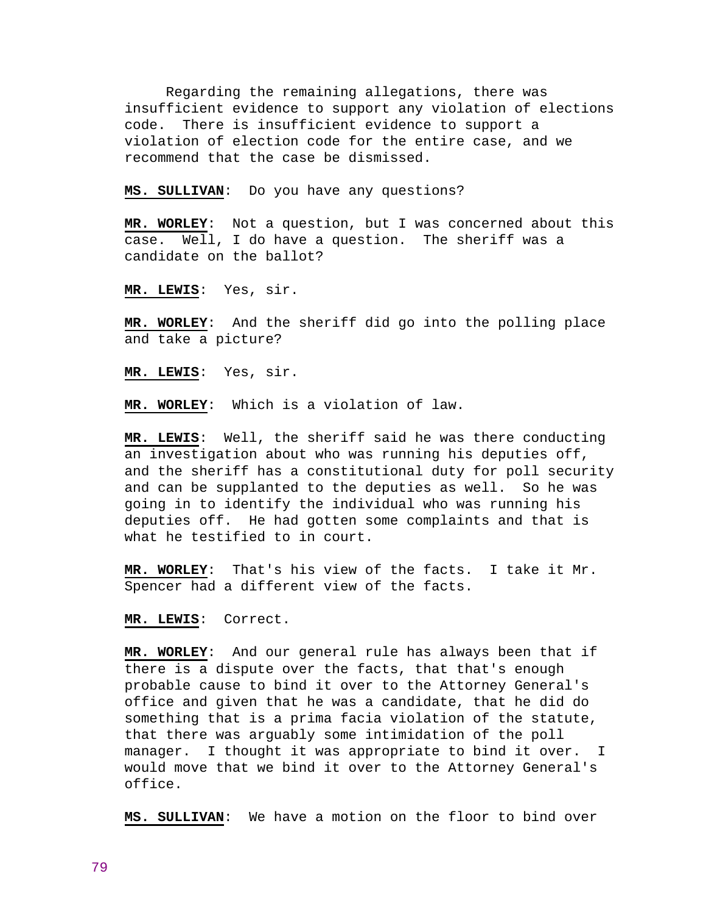Regarding the remaining allegations, there was insufficient evidence to support any violation of elections code. There is insufficient evidence to support a violation of election code for the entire case, and we recommend that the case be dismissed.

**MS. SULLIVAN**: Do you have any questions?

**MR. WORLEY**: Not a question, but I was concerned about this case. Well, I do have a question. The sheriff was a candidate on the ballot?

**MR. LEWIS**: Yes, sir.

**MR. WORLEY**: And the sheriff did go into the polling place and take a picture?

**MR. LEWIS**: Yes, sir.

**MR. WORLEY**: Which is a violation of law.

**MR. LEWIS**: Well, the sheriff said he was there conducting an investigation about who was running his deputies off, and the sheriff has a constitutional duty for poll security and can be supplanted to the deputies as well. So he was going in to identify the individual who was running his deputies off. He had gotten some complaints and that is what he testified to in court.

**MR. WORLEY**: That's his view of the facts. I take it Mr. Spencer had a different view of the facts.

**MR. LEWIS**: Correct.

**MR. WORLEY**: And our general rule has always been that if there is a dispute over the facts, that that's enough probable cause to bind it over to the Attorney General's office and given that he was a candidate, that he did do something that is a prima facia violation of the statute, that there was arguably some intimidation of the poll manager. I thought it was appropriate to bind it over. I would move that we bind it over to the Attorney General's office.

**MS. SULLIVAN**: We have a motion on the floor to bind over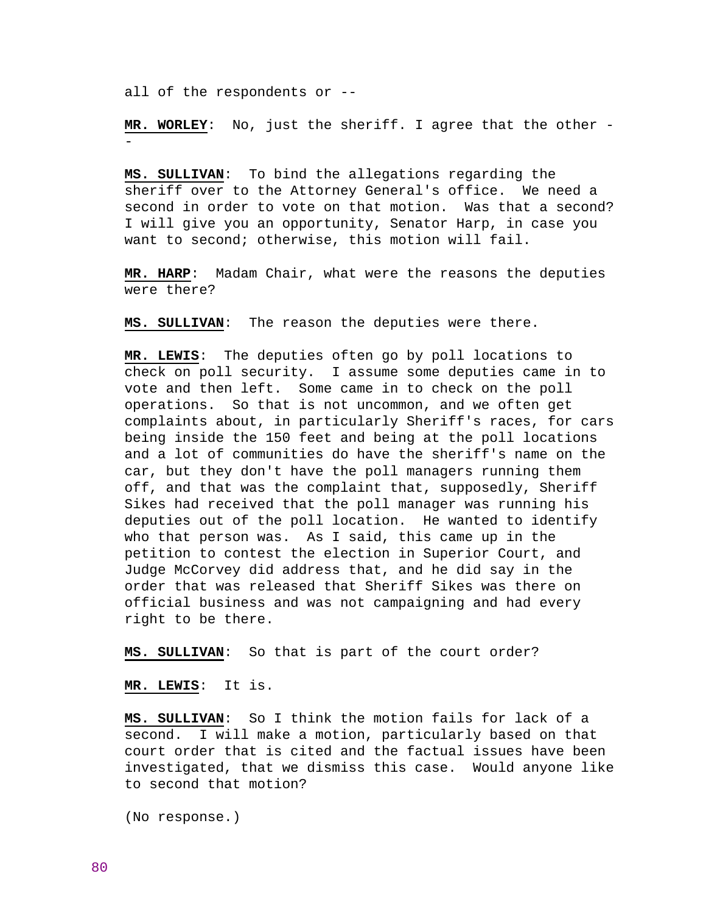all of the respondents or --

-

**MR. WORLEY**: No, just the sheriff. I agree that the other -

**MS. SULLIVAN**: To bind the allegations regarding the sheriff over to the Attorney General's office. We need a second in order to vote on that motion. Was that a second? I will give you an opportunity, Senator Harp, in case you want to second; otherwise, this motion will fail.

**MR. HARP**: Madam Chair, what were the reasons the deputies were there?

**MS. SULLIVAN**: The reason the deputies were there.

**MR. LEWIS**: The deputies often go by poll locations to check on poll security. I assume some deputies came in to vote and then left. Some came in to check on the poll operations. So that is not uncommon, and we often get complaints about, in particularly Sheriff's races, for cars being inside the 150 feet and being at the poll locations and a lot of communities do have the sheriff's name on the car, but they don't have the poll managers running them off, and that was the complaint that, supposedly, Sheriff Sikes had received that the poll manager was running his deputies out of the poll location. He wanted to identify who that person was. As I said, this came up in the petition to contest the election in Superior Court, and Judge McCorvey did address that, and he did say in the order that was released that Sheriff Sikes was there on official business and was not campaigning and had every right to be there.

**MS. SULLIVAN**: So that is part of the court order?

**MR. LEWIS**: It is.

**MS. SULLIVAN**: So I think the motion fails for lack of a second. I will make a motion, particularly based on that court order that is cited and the factual issues have been investigated, that we dismiss this case. Would anyone like to second that motion?

(No response.)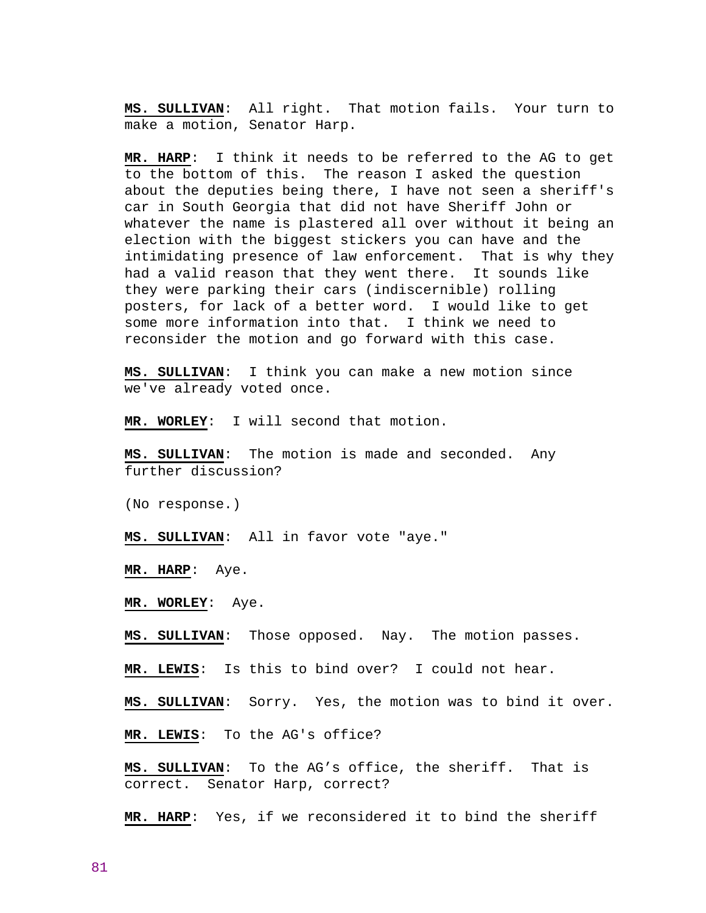**MS. SULLIVAN**: All right. That motion fails. Your turn to make a motion, Senator Harp.

**MR. HARP**: I think it needs to be referred to the AG to get to the bottom of this. The reason I asked the question about the deputies being there, I have not seen a sheriff's car in South Georgia that did not have Sheriff John or whatever the name is plastered all over without it being an election with the biggest stickers you can have and the intimidating presence of law enforcement. That is why they had a valid reason that they went there. It sounds like they were parking their cars (indiscernible) rolling posters, for lack of a better word. I would like to get some more information into that. I think we need to reconsider the motion and go forward with this case.

**MS. SULLIVAN**: I think you can make a new motion since we've already voted once.

**MR. WORLEY**: I will second that motion.

**MS. SULLIVAN**: The motion is made and seconded. Any further discussion?

(No response.)

**MS. SULLIVAN**: All in favor vote "aye."

**MR. HARP**: Aye.

**MR. WORLEY**: Aye.

**MS. SULLIVAN**: Those opposed. Nay. The motion passes.

**MR. LEWIS**: Is this to bind over? I could not hear.

**MS. SULLIVAN**: Sorry. Yes, the motion was to bind it over.

**MR. LEWIS**: To the AG's office?

**MS. SULLIVAN**: To the AG's office, the sheriff. That is correct. Senator Harp, correct?

**MR. HARP**: Yes, if we reconsidered it to bind the sheriff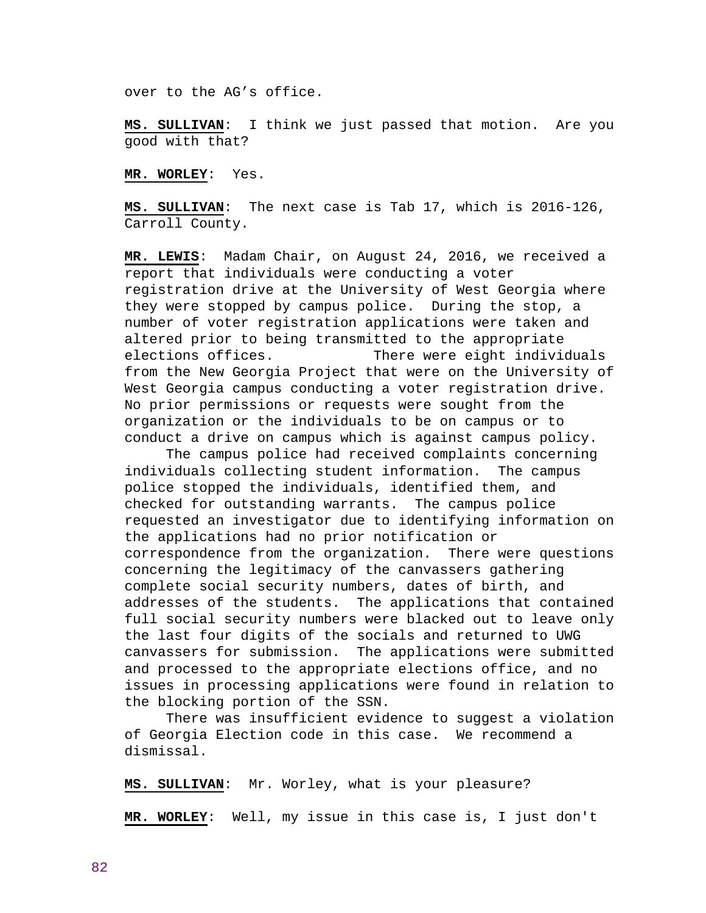over to the AG's office.

**MS. SULLIVAN**: I think we just passed that motion. Are you good with that?

**MR. WORLEY**: Yes.

**MS. SULLIVAN**: The next case is Tab 17, which is 2016-126, Carroll County.

**MR. LEWIS**: Madam Chair, on August 24, 2016, we received a report that individuals were conducting a voter registration drive at the University of West Georgia where they were stopped by campus police. During the stop, a number of voter registration applications were taken and altered prior to being transmitted to the appropriate elections offices. There were eight individuals from the New Georgia Project that were on the University of West Georgia campus conducting a voter registration drive. No prior permissions or requests were sought from the organization or the individuals to be on campus or to conduct a drive on campus which is against campus policy.

 The campus police had received complaints concerning individuals collecting student information. The campus police stopped the individuals, identified them, and checked for outstanding warrants. The campus police requested an investigator due to identifying information on the applications had no prior notification or correspondence from the organization. There were questions concerning the legitimacy of the canvassers gathering complete social security numbers, dates of birth, and addresses of the students. The applications that contained full social security numbers were blacked out to leave only the last four digits of the socials and returned to UWG canvassers for submission. The applications were submitted and processed to the appropriate elections office, and no issues in processing applications were found in relation to the blocking portion of the SSN.

 There was insufficient evidence to suggest a violation of Georgia Election code in this case. We recommend a dismissal.

**MS. SULLIVAN**: Mr. Worley, what is your pleasure?

**MR. WORLEY**: Well, my issue in this case is, I just don't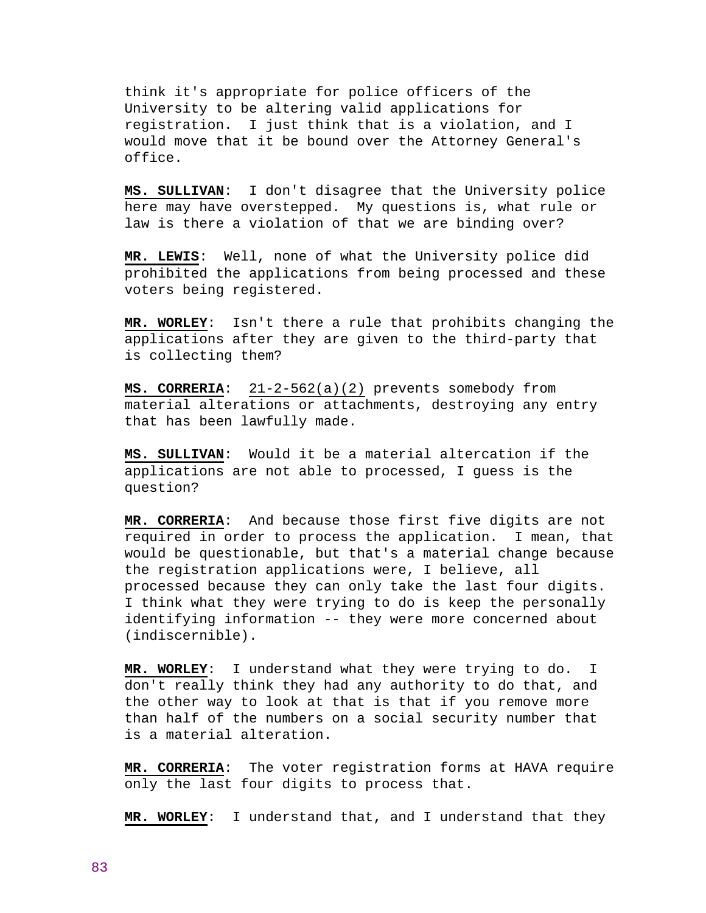think it's appropriate for police officers of the University to be altering valid applications for registration. I just think that is a violation, and I would move that it be bound over the Attorney General's office.

**MS. SULLIVAN**: I don't disagree that the University police here may have overstepped. My questions is, what rule or law is there a violation of that we are binding over?

**MR. LEWIS**: Well, none of what the University police did prohibited the applications from being processed and these voters being registered.

**MR. WORLEY**: Isn't there a rule that prohibits changing the applications after they are given to the third-party that is collecting them?

**MS. CORRERIA**: 21-2-562(a)(2) prevents somebody from material alterations or attachments, destroying any entry that has been lawfully made.

**MS. SULLIVAN**: Would it be a material altercation if the applications are not able to processed, I guess is the question?

**MR. CORRERIA**: And because those first five digits are not required in order to process the application. I mean, that would be questionable, but that's a material change because the registration applications were, I believe, all processed because they can only take the last four digits. I think what they were trying to do is keep the personally identifying information -- they were more concerned about (indiscernible).

**MR. WORLEY**: I understand what they were trying to do. I don't really think they had any authority to do that, and the other way to look at that is that if you remove more than half of the numbers on a social security number that is a material alteration.

**MR. CORRERIA**: The voter registration forms at HAVA require only the last four digits to process that.

**MR. WORLEY**: I understand that, and I understand that they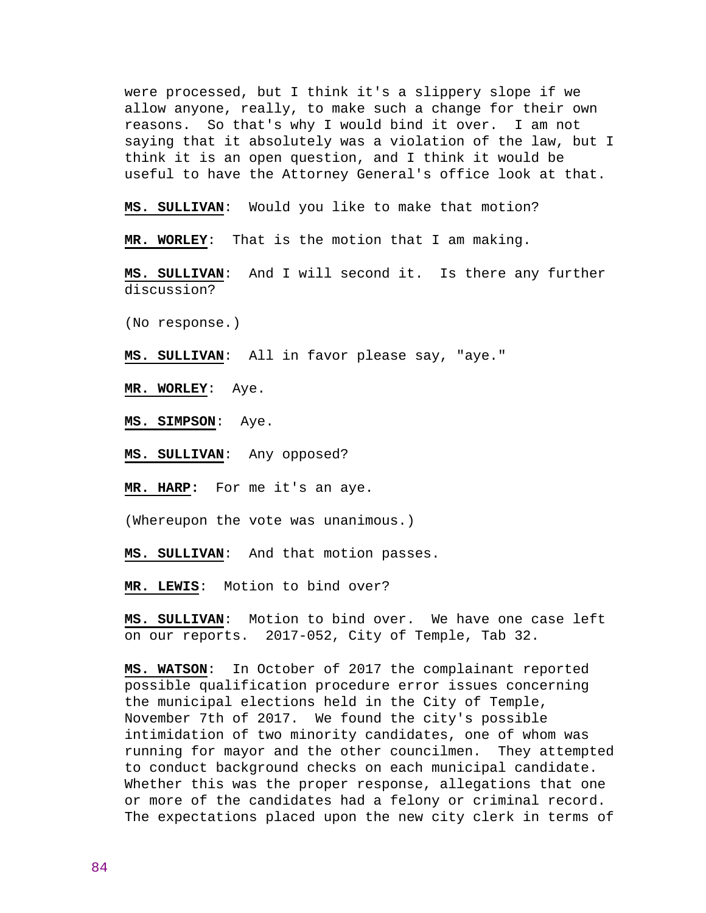were processed, but I think it's a slippery slope if we allow anyone, really, to make such a change for their own reasons. So that's why I would bind it over. I am not saying that it absolutely was a violation of the law, but I think it is an open question, and I think it would be useful to have the Attorney General's office look at that.

**MS. SULLIVAN**: Would you like to make that motion?

**MR. WORLEY**: That is the motion that I am making.

**MS. SULLIVAN**: And I will second it. Is there any further discussion?

(No response.)

**MS. SULLIVAN**: All in favor please say, "aye."

**MR. WORLEY**: Aye.

**MS. SIMPSON**: Aye.

**MS. SULLIVAN**: Any opposed?

**MR. HARP:** For me it's an aye.

(Whereupon the vote was unanimous.)

**MS. SULLIVAN**: And that motion passes.

**MR. LEWIS**: Motion to bind over?

**MS. SULLIVAN**: Motion to bind over. We have one case left on our reports. 2017-052, City of Temple, Tab 32.

**MS. WATSON**: In October of 2017 the complainant reported possible qualification procedure error issues concerning the municipal elections held in the City of Temple, November 7th of 2017. We found the city's possible intimidation of two minority candidates, one of whom was running for mayor and the other councilmen. They attempted to conduct background checks on each municipal candidate. Whether this was the proper response, allegations that one or more of the candidates had a felony or criminal record. The expectations placed upon the new city clerk in terms of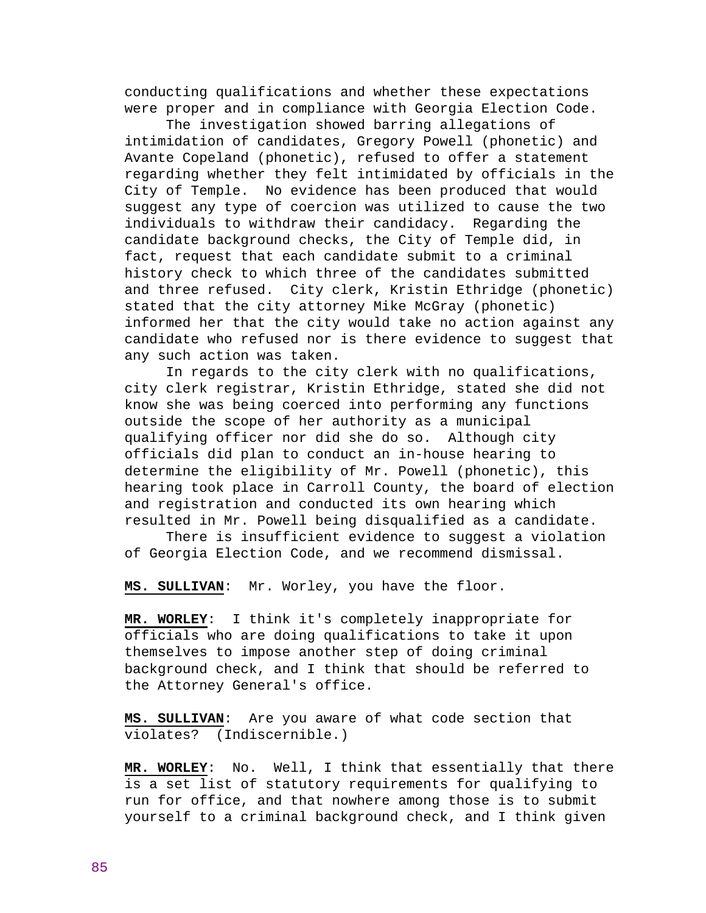conducting qualifications and whether these expectations were proper and in compliance with Georgia Election Code.

 The investigation showed barring allegations of intimidation of candidates, Gregory Powell (phonetic) and Avante Copeland (phonetic), refused to offer a statement regarding whether they felt intimidated by officials in the City of Temple. No evidence has been produced that would suggest any type of coercion was utilized to cause the two individuals to withdraw their candidacy. Regarding the candidate background checks, the City of Temple did, in fact, request that each candidate submit to a criminal history check to which three of the candidates submitted and three refused. City clerk, Kristin Ethridge (phonetic) stated that the city attorney Mike McGray (phonetic) informed her that the city would take no action against any candidate who refused nor is there evidence to suggest that any such action was taken.

 In regards to the city clerk with no qualifications, city clerk registrar, Kristin Ethridge, stated she did not know she was being coerced into performing any functions outside the scope of her authority as a municipal qualifying officer nor did she do so. Although city officials did plan to conduct an in-house hearing to determine the eligibility of Mr. Powell (phonetic), this hearing took place in Carroll County, the board of election and registration and conducted its own hearing which resulted in Mr. Powell being disqualified as a candidate.

 There is insufficient evidence to suggest a violation of Georgia Election Code, and we recommend dismissal.

**MS. SULLIVAN**: Mr. Worley, you have the floor.

**MR. WORLEY**: I think it's completely inappropriate for officials who are doing qualifications to take it upon themselves to impose another step of doing criminal background check, and I think that should be referred to the Attorney General's office.

**MS. SULLIVAN**: Are you aware of what code section that violates? (Indiscernible.)

**MR. WORLEY**: No. Well, I think that essentially that there is a set list of statutory requirements for qualifying to run for office, and that nowhere among those is to submit yourself to a criminal background check, and I think given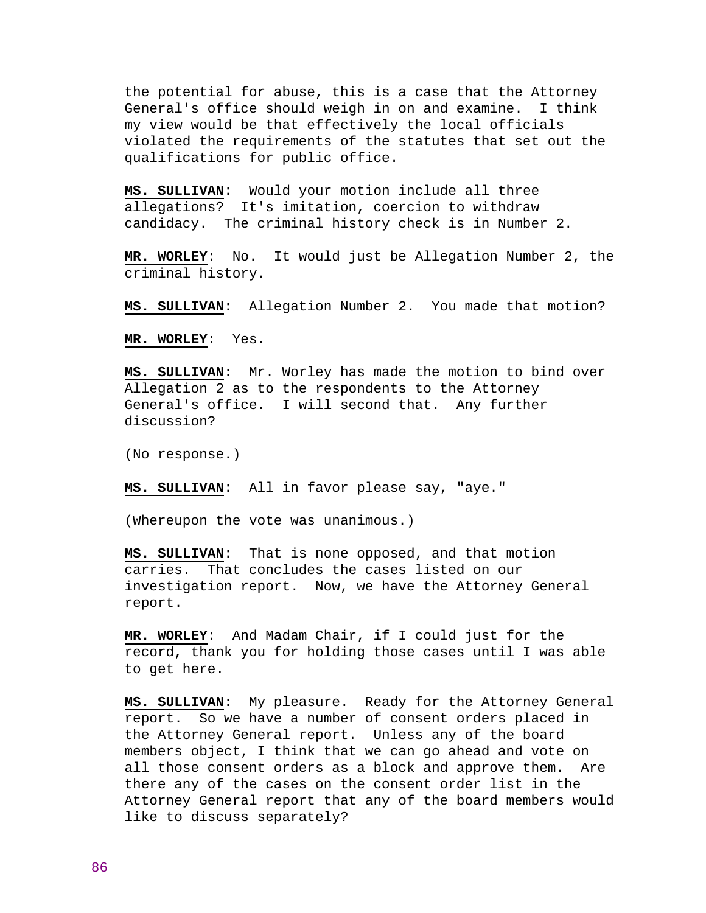the potential for abuse, this is a case that the Attorney General's office should weigh in on and examine. I think my view would be that effectively the local officials violated the requirements of the statutes that set out the qualifications for public office.

**MS. SULLIVAN**: Would your motion include all three allegations? It's imitation, coercion to withdraw candidacy. The criminal history check is in Number 2.

**MR. WORLEY**: No. It would just be Allegation Number 2, the criminal history.

**MS. SULLIVAN**: Allegation Number 2. You made that motion?

**MR. WORLEY**: Yes.

**MS. SULLIVAN**: Mr. Worley has made the motion to bind over Allegation 2 as to the respondents to the Attorney General's office. I will second that. Any further discussion?

(No response.)

**MS. SULLIVAN**: All in favor please say, "aye."

(Whereupon the vote was unanimous.)

**MS. SULLIVAN**: That is none opposed, and that motion carries. That concludes the cases listed on our investigation report. Now, we have the Attorney General report.

**MR. WORLEY**: And Madam Chair, if I could just for the record, thank you for holding those cases until I was able to get here.

**MS. SULLIVAN**: My pleasure. Ready for the Attorney General report. So we have a number of consent orders placed in the Attorney General report. Unless any of the board members object, I think that we can go ahead and vote on all those consent orders as a block and approve them. Are there any of the cases on the consent order list in the Attorney General report that any of the board members would like to discuss separately?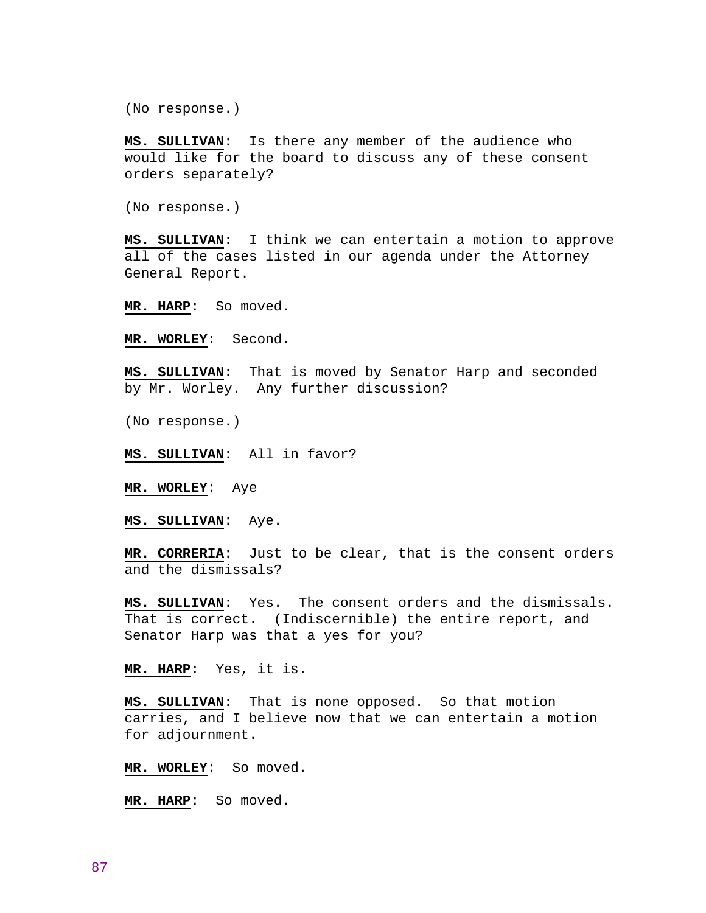(No response.)

**MS. SULLIVAN**: Is there any member of the audience who would like for the board to discuss any of these consent orders separately?

(No response.)

**MS. SULLIVAN**: I think we can entertain a motion to approve all of the cases listed in our agenda under the Attorney General Report.

**MR. HARP**: So moved.

**MR. WORLEY**: Second.

**MS. SULLIVAN**: That is moved by Senator Harp and seconded by Mr. Worley. Any further discussion?

(No response.)

**MS. SULLIVAN**: All in favor?

**MR. WORLEY**: Aye

**MS. SULLIVAN**: Aye.

**MR. CORRERIA**: Just to be clear, that is the consent orders and the dismissals?

**MS. SULLIVAN**: Yes. The consent orders and the dismissals. That is correct. (Indiscernible) the entire report, and Senator Harp was that a yes for you?

**MR. HARP**: Yes, it is.

**MS. SULLIVAN**: That is none opposed. So that motion carries, and I believe now that we can entertain a motion for adjournment.

**MR. WORLEY**: So moved.

**MR. HARP**: So moved.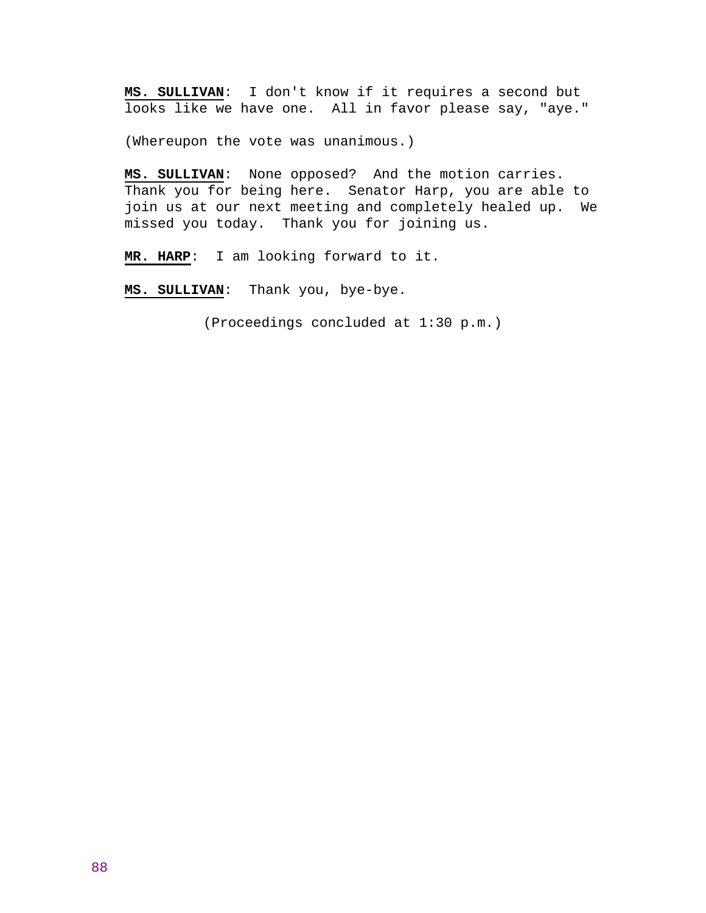**MS. SULLIVAN**: I don't know if it requires a second but looks like we have one. All in favor please say, "aye."

(Whereupon the vote was unanimous.)

**MS. SULLIVAN**: None opposed? And the motion carries. Thank you for being here. Senator Harp, you are able to join us at our next meeting and completely healed up. We missed you today. Thank you for joining us.

**MR. HARP**: I am looking forward to it.

**MS. SULLIVAN**: Thank you, bye-bye.

(Proceedings concluded at 1:30 p.m.)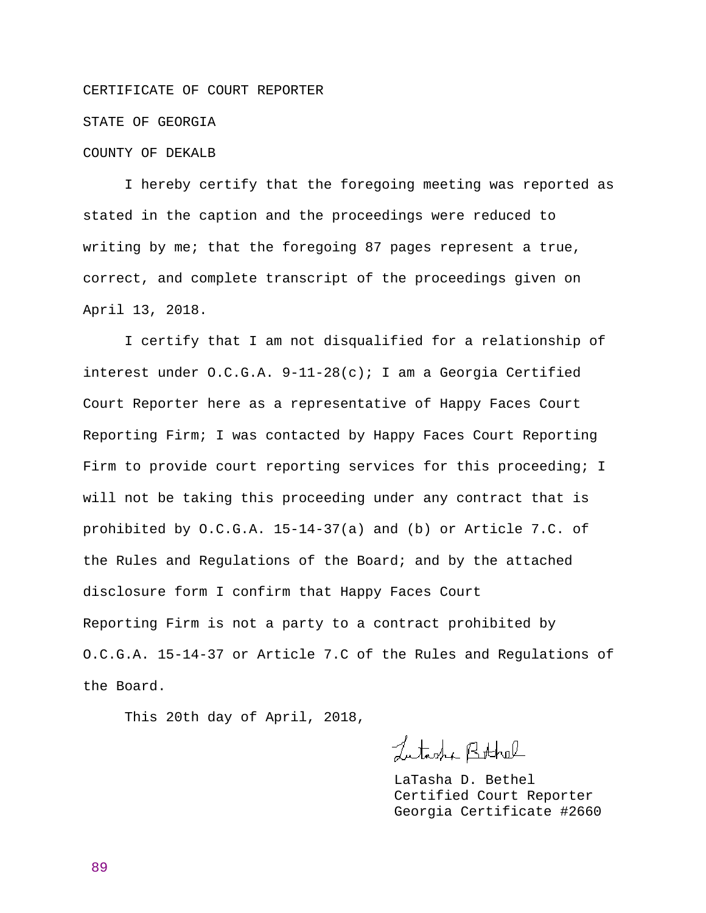#### CERTIFICATE OF COURT REPORTER

### STATE OF GEORGIA

# COUNTY OF DEKALB

 I hereby certify that the foregoing meeting was reported as stated in the caption and the proceedings were reduced to writing by me; that the foregoing 87 pages represent a true, correct, and complete transcript of the proceedings given on April 13, 2018.

 I certify that I am not disqualified for a relationship of interest under  $0.C.G.A. 9-11-28(c)$ ; I am a Georgia Certified Court Reporter here as a representative of Happy Faces Court Reporting Firm; I was contacted by Happy Faces Court Reporting Firm to provide court reporting services for this proceeding; I will not be taking this proceeding under any contract that is prohibited by O.C.G.A. 15-14-37(a) and (b) or Article 7.C. of the Rules and Regulations of the Board; and by the attached disclosure form I confirm that Happy Faces Court Reporting Firm is not a party to a contract prohibited by O.C.G.A. 15-14-37 or Article 7.C of the Rules and Regulations of the Board.

This 20th day of April, 2018,

Lutisha Bothel

 LaTasha D. Bethel Certified Court Reporter Georgia Certificate #2660

89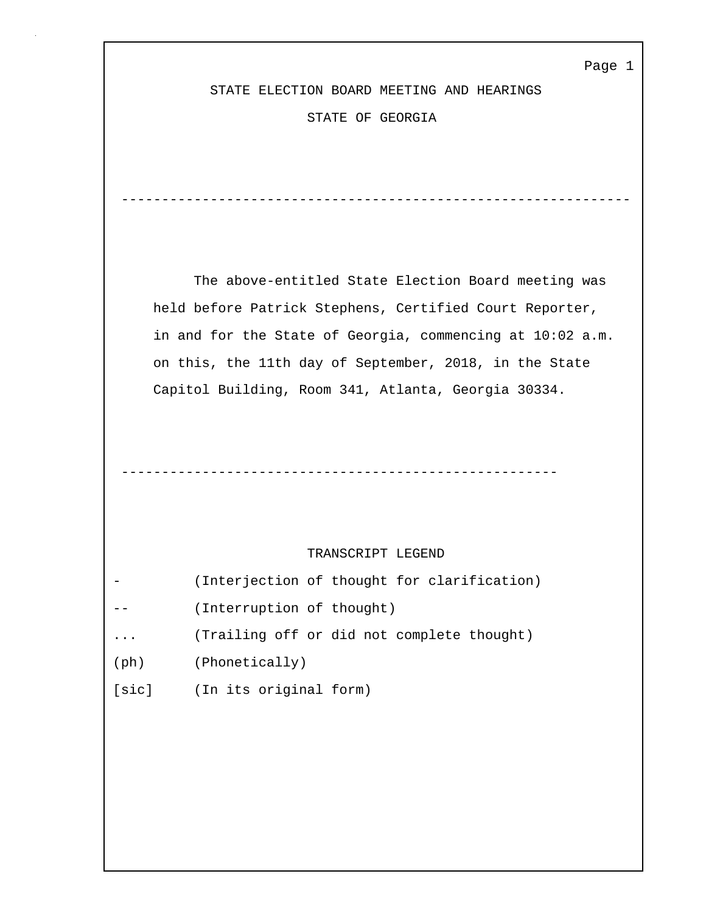Page 1

STATE ELECTION BOARD MEETING AND HEARINGS

STATE OF GEORGIA

---------------------------------------------------------------

 The above-entitled State Election Board meeting was held before Patrick Stephens, Certified Court Reporter, in and for the State of Georgia, commencing at 10:02 a.m. on this, the 11th day of September, 2018, in the State Capitol Building, Room 341, Atlanta, Georgia 30334.

# TRANSCRIPT LEGEND

| - |                           |  | (Interjection of thought for clarification) |
|---|---------------------------|--|---------------------------------------------|
|   | (Interruption of thought) |  |                                             |

- ... (Trailing off or did not complete thought)
- (ph) (Phonetically)
- [sic] (In its original form)

 <sup>------------------------------------------------------</sup>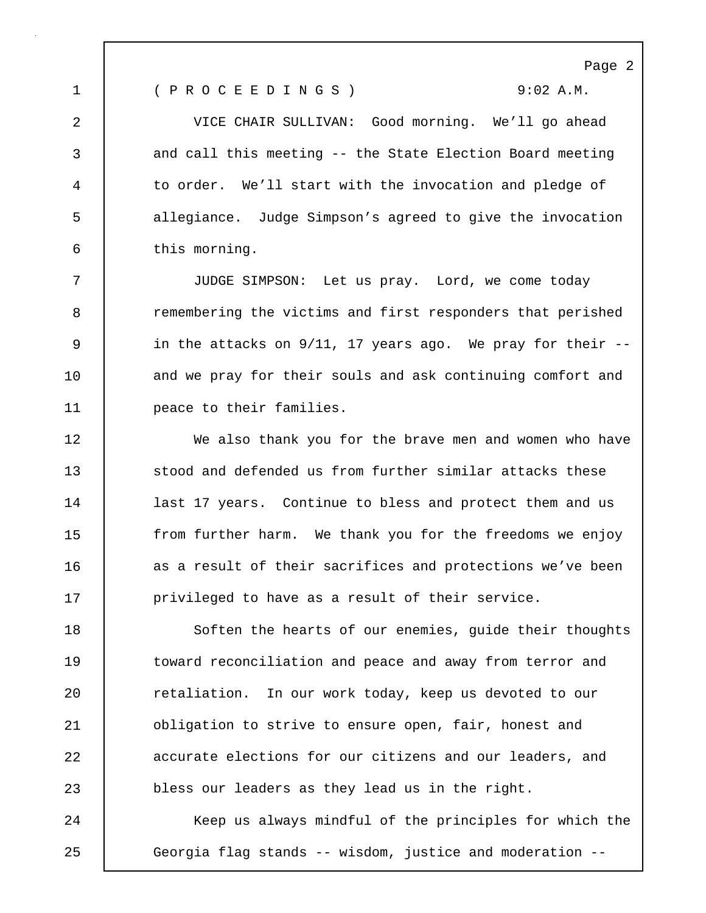Page 2

1 ( P R O C E E D I N G S ) 9:02 A.M.

2 VICE CHAIR SULLIVAN: Good morning. We'll go ahead 3 and call this meeting -- the State Election Board meeting 4 to order. We'll start with the invocation and pledge of 5 allegiance. Judge Simpson's agreed to give the invocation 6 this morning.

7 JUDGE SIMPSON: Let us pray. Lord, we come today 8 **8** remembering the victims and first responders that perished 9 | in the attacks on 9/11, 17 years ago. We pray for their --10 and we pray for their souls and ask continuing comfort and 11 | peace to their families.

12 We also thank you for the brave men and women who have **Stood and defended us from further similar attacks these** 14 | last 17 years. Continue to bless and protect them and us **from further harm.** We thank you for the freedoms we enjoy **a** as a result of their sacrifices and protections we've been **privileged to have as a result of their service.** 

18 Soften the hearts of our enemies, guide their thoughts 19 toward reconciliation and peace and away from terror and 20 Tetaliation. In our work today, keep us devoted to our 21 **b** obligation to strive to ensure open, fair, honest and 22 accurate elections for our citizens and our leaders, and 23 bless our leaders as they lead us in the right.

24 Keep us always mindful of the principles for which the 25 Georgia flag stands -- wisdom, justice and moderation --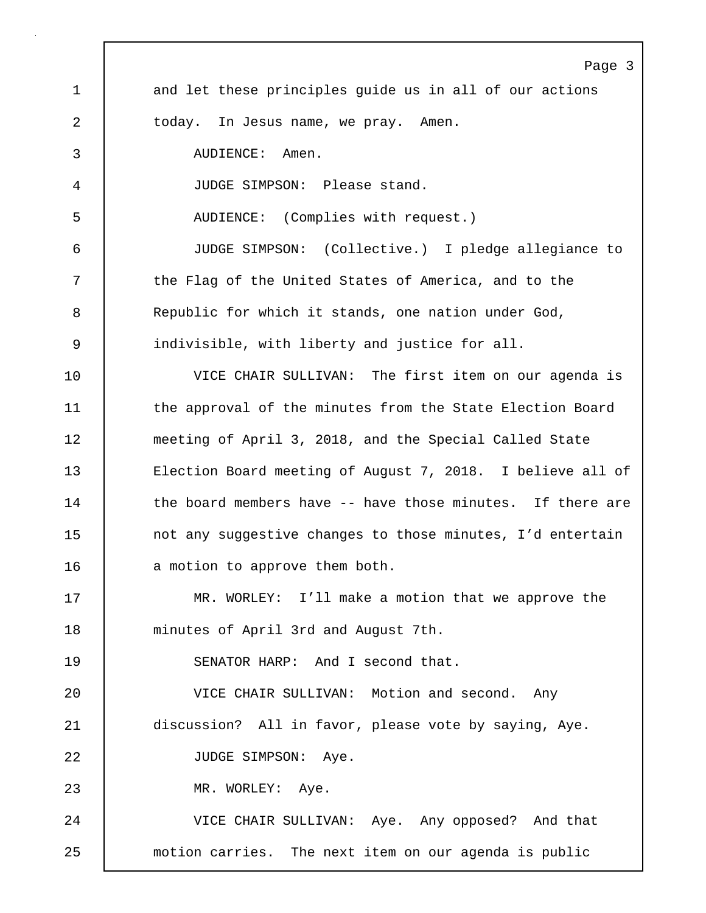Page 3 1 and let these principles quide us in all of our actions 2 today. In Jesus name, we pray. Amen. 3 AUDIENCE: Amen. 4 JUDGE SIMPSON: Please stand. 5 AUDIENCE: (Complies with request.) 6 JUDGE SIMPSON: (Collective.) I pledge allegiance to 7 T the Flag of the United States of America, and to the 8 Republic for which it stands, one nation under God, 9 indivisible, with liberty and justice for all. 10 VICE CHAIR SULLIVAN: The first item on our agenda is 11 | the approval of the minutes from the State Election Board 12 meeting of April 3, 2018, and the Special Called State 13 Election Board meeting of August 7, 2018. I believe all of 14 the board members have -- have those minutes. If there are 15 | not any suggestive changes to those minutes, I'd entertain 16 a motion to approve them both. 17 MR. WORLEY: I'll make a motion that we approve the 18 minutes of April 3rd and August 7th. 19 SENATOR HARP: And I second that. 20 VICE CHAIR SULLIVAN: Motion and second. Any 21 discussion? All in favor, please vote by saying, Aye. 22 | JUDGE SIMPSON: Aye. 23 | MR. WORLEY: Aye. 24 VICE CHAIR SULLIVAN: Aye. Any opposed? And that 25 motion carries. The next item on our agenda is public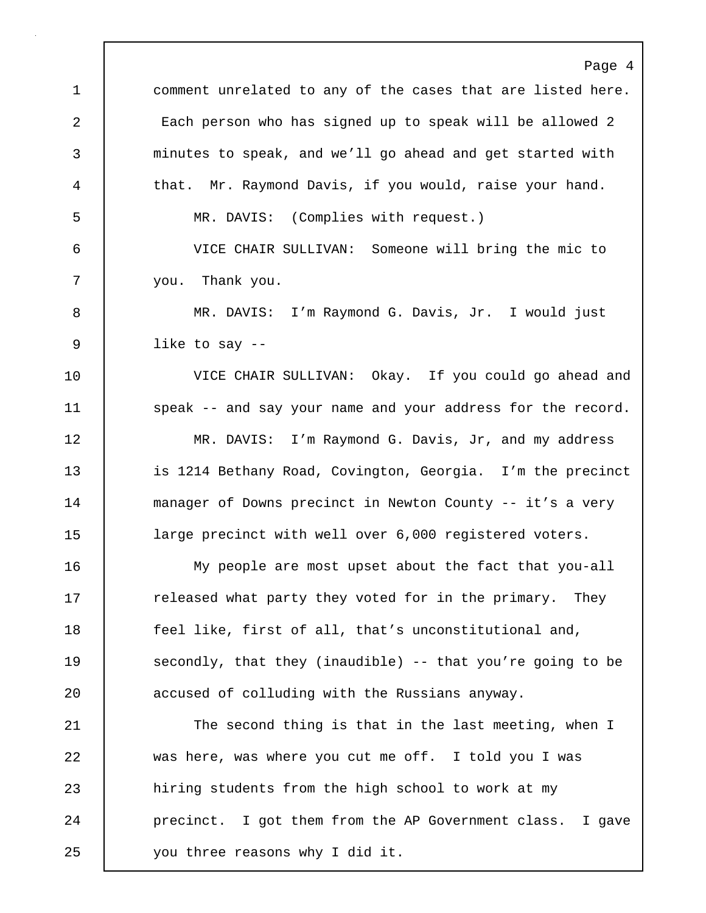Page 4 1 comment unrelated to any of the cases that are listed here. 2 Each person who has signed up to speak will be allowed 2 3 minutes to speak, and we'll go ahead and get started with 4 that. Mr. Raymond Davis, if you would, raise your hand. 5 MR. DAVIS: (Complies with request.) 6 VICE CHAIR SULLIVAN: Someone will bring the mic to 7 you. Thank you. 8 MR. DAVIS: I'm Raymond G. Davis, Jr. I would just 9 like to say -- 10 VICE CHAIR SULLIVAN: Okay. If you could go ahead and 11 speak -- and say your name and your address for the record. 12 | MR. DAVIS: I'm Raymond G. Davis, Jr, and my address 13 is 1214 Bethany Road, Covington, Georgia. I'm the precinct 14 manager of Downs precinct in Newton County -- it's a very 15 **large precinct with well over 6,000 registered voters.** 16 My people are most upset about the fact that you-all 17 The released what party they voted for in the primary. They 18 **feel like, first of all, that's unconstitutional and,** 19 **Secondly, that they (inaudible)** -- that you're going to be 20 accused of colluding with the Russians anyway. 21 The second thing is that in the last meeting, when I 22 was here, was where you cut me off. I told you I was 23 hiring students from the high school to work at my 24 **precinct.** I got them from the AP Government class. I gave 25 you three reasons why I did it.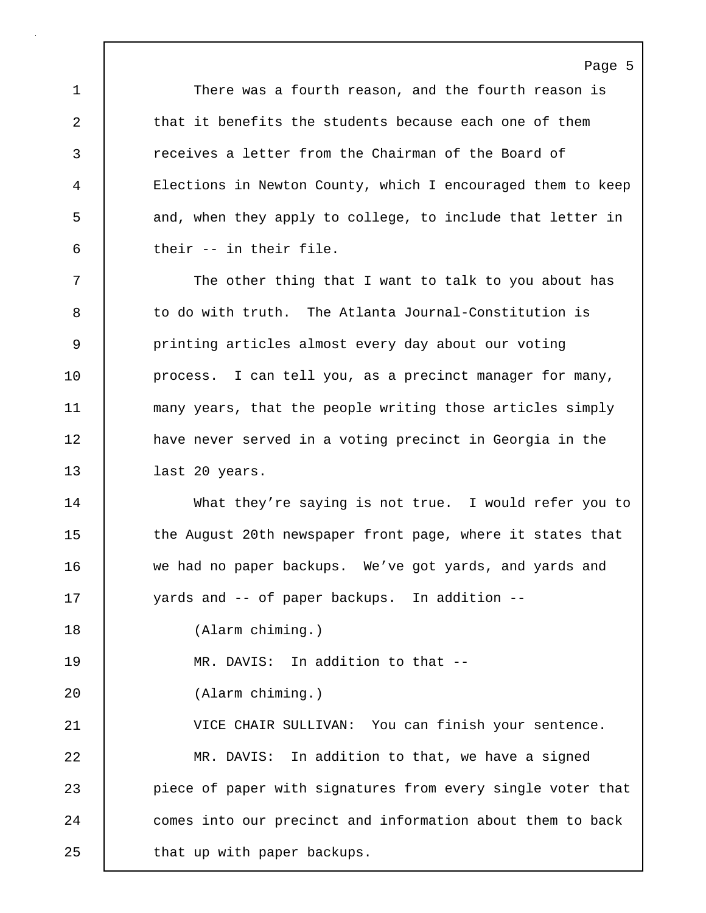1 There was a fourth reason, and the fourth reason is 2 that it benefits the students because each one of them 3 receives a letter from the Chairman of the Board of 4 Elections in Newton County, which I encouraged them to keep 5 and, when they apply to college, to include that letter in 6 their -- in their file.

Page 5

7 The other thing that I want to talk to you about has 8 to do with truth. The Atlanta Journal-Constitution is 9 printing articles almost every day about our voting 10 | process. I can tell you, as a precinct manager for many, 11 many years, that the people writing those articles simply 12 have never served in a voting precinct in Georgia in the 13 ast 20 years.

14 | What they're saying is not true. I would refer you to 15 | the August 20th newspaper front page, where it states that 16 we had no paper backups. We've got yards, and yards and 17 vards and -- of paper backups. In addition --

18 (Alarm chiming.)

19 | MR. DAVIS: In addition to that --

20 (Alarm chiming.)

21 VICE CHAIR SULLIVAN: You can finish your sentence. 22 MR. DAVIS: In addition to that, we have a signed 23 piece of paper with signatures from every single voter that 24 comes into our precinct and information about them to back 25 | that up with paper backups.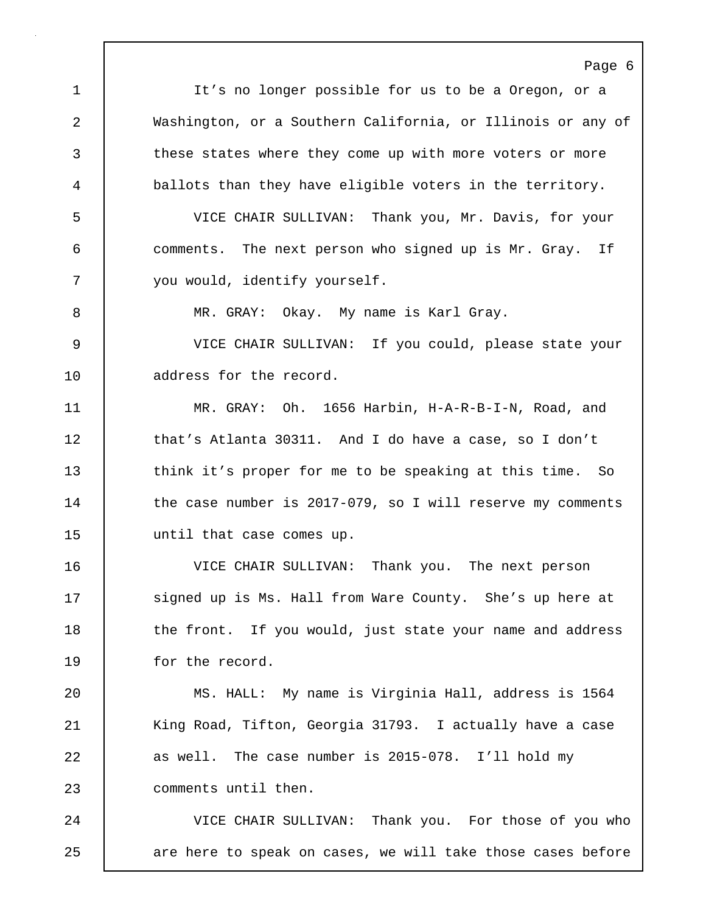Page 6 1 It's no longer possible for us to be a Oregon, or a 2 Washington, or a Southern California, or Illinois or any of 3 these states where they come up with more voters or more 4 ballots than they have eligible voters in the territory. 5 VICE CHAIR SULLIVAN: Thank you, Mr. Davis, for your 6 comments. The next person who signed up is Mr. Gray. If 7 vou would, identify yourself. 8 MR. GRAY: Okay. My name is Karl Gray. 9 VICE CHAIR SULLIVAN: If you could, please state your 10 | address for the record. 11 MR. GRAY: Oh. 1656 Harbin, H-A-R-B-I-N, Road, and 12 that's Atlanta 30311. And I do have a case, so I don't 13 think it's proper for me to be speaking at this time. So 14 the case number is 2017-079, so I will reserve my comments 15 | until that case comes up. 16 VICE CHAIR SULLIVAN: Thank you. The next person 17 Signed up is Ms. Hall from Ware County. She's up here at 18 the front. If you would, just state your name and address 19 for the record. 20 MS. HALL: My name is Virginia Hall, address is 1564 21 | King Road, Tifton, Georgia 31793. I actually have a case 22 as well. The case number is 2015-078. I'll hold my 23 comments until then. 24 VICE CHAIR SULLIVAN: Thank you. For those of you who 25 are here to speak on cases, we will take those cases before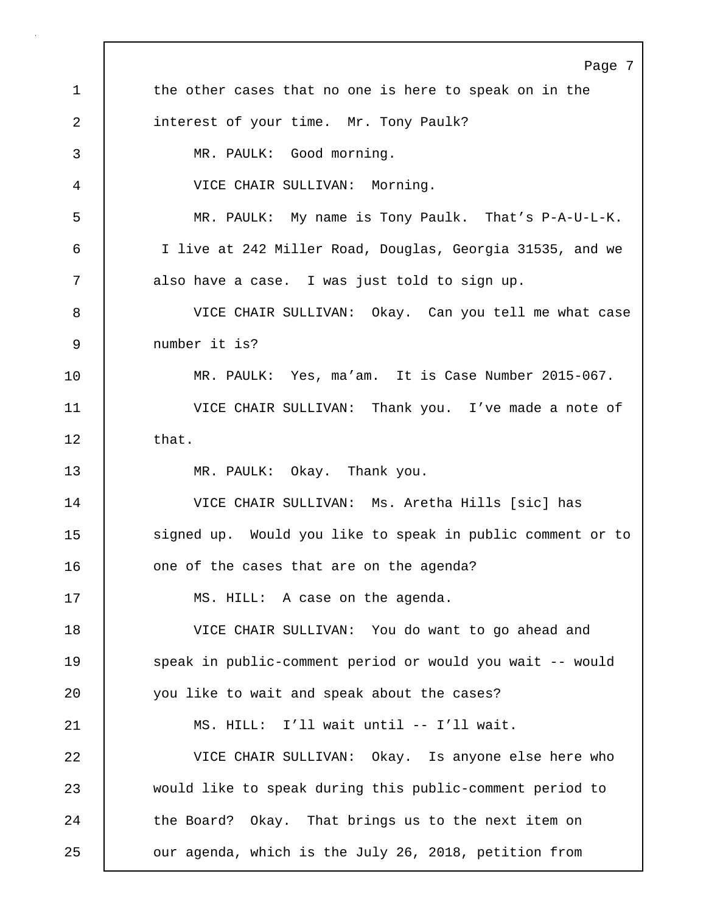Page 7 1 the other cases that no one is here to speak on in the 2 interest of your time. Mr. Tony Paulk? 3 MR. PAULK: Good morning. 4 VICE CHAIR SULLIVAN: Morning. 5 MR. PAULK: My name is Tony Paulk. That's P-A-U-L-K. 6 I live at 242 Miller Road, Douglas, Georgia 31535, and we 7 also have a case. I was just told to sign up. 8 VICE CHAIR SULLIVAN: Okay. Can you tell me what case 9 number it is? 10 MR. PAULK: Yes, ma'am. It is Case Number 2015-067. 11 VICE CHAIR SULLIVAN: Thank you. I've made a note of  $12$  that. 13 MR. PAULK: Okay. Thank you. 14 VICE CHAIR SULLIVAN: Ms. Aretha Hills [sic] has 15 | signed up. Would you like to speak in public comment or to 16 one of the cases that are on the agenda? 17 MS. HILL: A case on the agenda. 18 VICE CHAIR SULLIVAN: You do want to go ahead and 19 speak in public-comment period or would you wait -- would 20 you like to wait and speak about the cases? 21 MS. HILL: I'll wait until -- I'll wait. 22 VICE CHAIR SULLIVAN: Okay. Is anyone else here who 23 would like to speak during this public-comment period to 24 the Board? Okay. That brings us to the next item on 25 **our agenda, which is the July 26, 2018, petition from**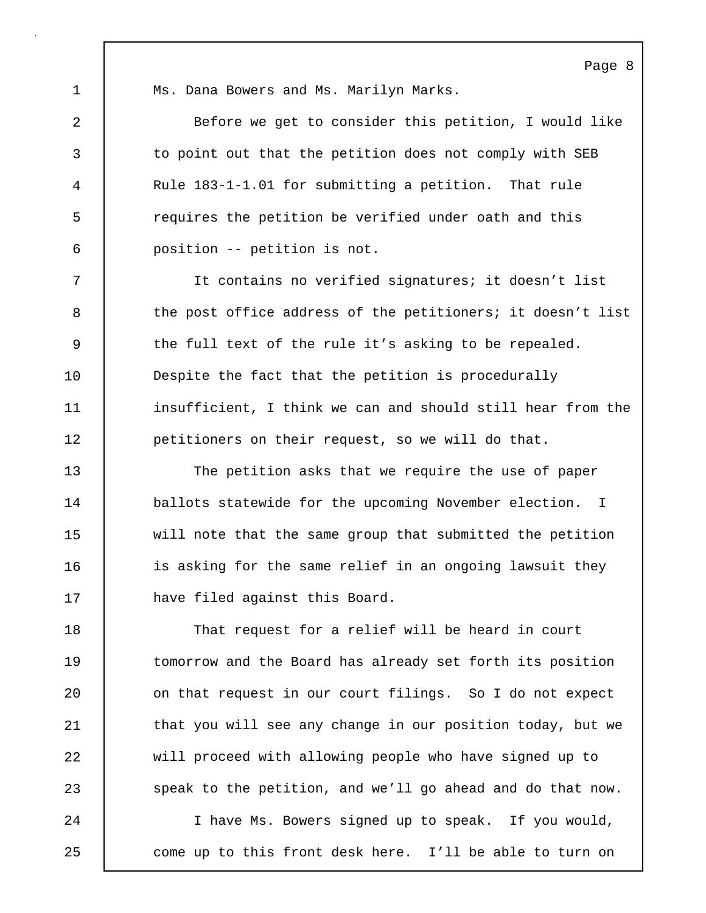1 Ms. Dana Bowers and Ms. Marilyn Marks.

2 Before we get to consider this petition, I would like 3 to point out that the petition does not comply with SEB 4 Rule 183-1-1.01 for submitting a petition. That rule 5 requires the petition be verified under oath and this 6 position -- petition is not.

7 It contains no verified signatures; it doesn't list 8 the post office address of the petitioners; it doesn't list 9 the full text of the rule it's asking to be repealed. 10 **Despite the fact that the petition is procedurally** 11 insufficient, I think we can and should still hear from the 12 petitioners on their request, so we will do that.

13 The petition asks that we require the use of paper 14 ballots statewide for the upcoming November election. I 15 will note that the same group that submitted the petition 16 **igmal is asking for the same relief in an ongoing lawsuit they** 17 have filed against this Board.

18 That request for a relief will be heard in court 19 | tomorrow and the Board has already set forth its position 20 **on that request in our court filings.** So I do not expect 21 | that you will see any change in our position today, but we 22 will proceed with allowing people who have signed up to 23 speak to the petition, and we'll go ahead and do that now. 24 I have Ms. Bowers signed up to speak. If you would, 25 come up to this front desk here. I'll be able to turn on

Page 8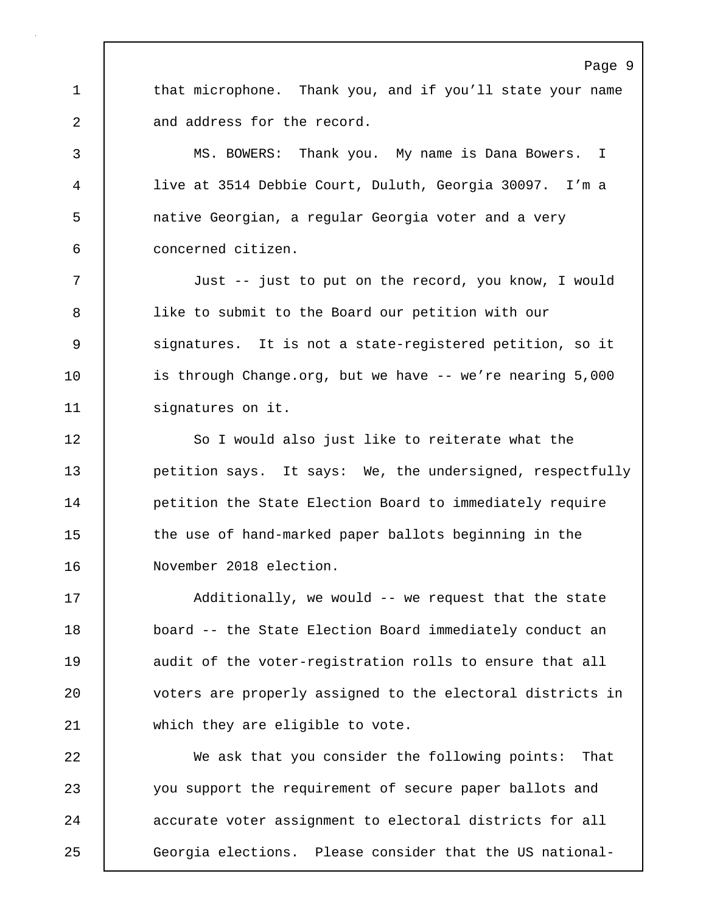1 that microphone. Thank you, and if you'll state your name 2 and address for the record.

3 MS. BOWERS: Thank you. My name is Dana Bowers. I 4 live at 3514 Debbie Court, Duluth, Georgia 30097. I'm a 5 native Georgian, a regular Georgia voter and a very 6 concerned citizen.

7 Just -- just to put on the record, you know, I would 8 | like to submit to the Board our petition with our 9 | signatures. It is not a state-registered petition, so it 10 is through Change.org, but we have -- we're nearing 5,000 11 | signatures on it.

12 So I would also just like to reiterate what the 13 **petition says.** It says: We, the undersigned, respectfully 14 **petition the State Election Board to immediately require** 15 the use of hand-marked paper ballots beginning in the 16 November 2018 election.

17 | Additionally, we would -- we request that the state 18 board -- the State Election Board immediately conduct an 19 audit of the voter-registration rolls to ensure that all 20 voters are properly assigned to the electoral districts in 21 which they are eligible to vote.

22 We ask that you consider the following points: That 23 you support the requirement of secure paper ballots and 24 accurate voter assignment to electoral districts for all 25 Georgia elections. Please consider that the US national-

#### Page 9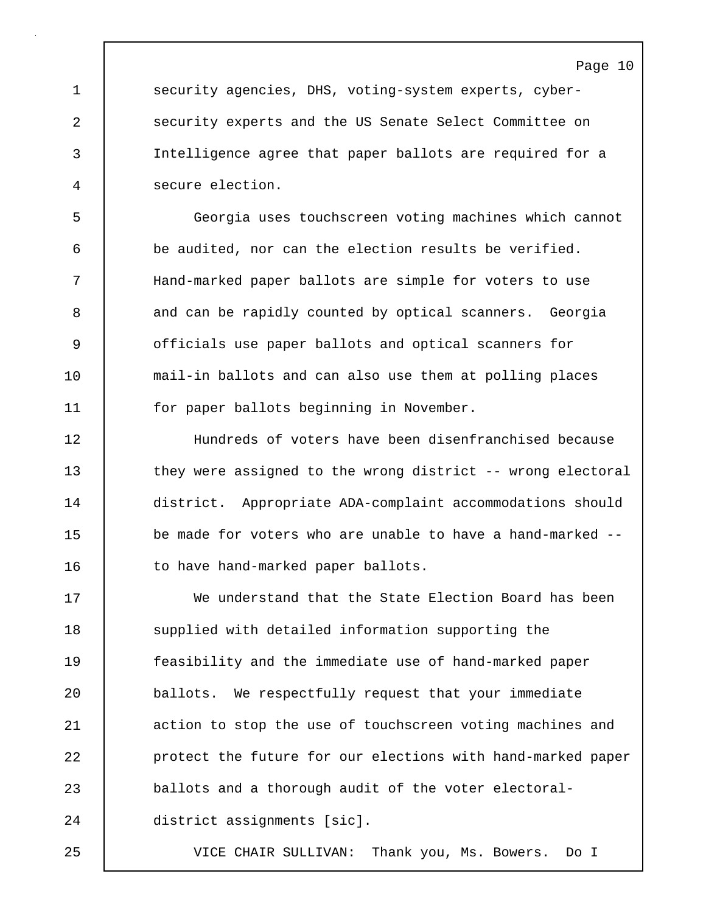Page 10

1 security agencies, DHS, voting-system experts, cyber-2 security experts and the US Senate Select Committee on 3 Intelligence agree that paper ballots are required for a 4 secure election.

5 Georgia uses touchscreen voting machines which cannot 6 be audited, nor can the election results be verified. 7 Hand-marked paper ballots are simple for voters to use 8 and can be rapidly counted by optical scanners. Georgia 9 officials use paper ballots and optical scanners for 10 mail-in ballots and can also use them at polling places 11 | for paper ballots beginning in November.

12 Hundreds of voters have been disenfranchised because 13 they were assigned to the wrong district -- wrong electoral 14 district. Appropriate ADA-complaint accommodations should 15 be made for voters who are unable to have a hand-marked --16 to have hand-marked paper ballots.

17 We understand that the State Election Board has been 18 Supplied with detailed information supporting the 19 feasibility and the immediate use of hand-marked paper 20 ballots. We respectfully request that your immediate 21 | action to stop the use of touchscreen voting machines and 22 protect the future for our elections with hand-marked paper 23 ballots and a thorough audit of the voter electoral-24 district assignments [sic].

25 VICE CHAIR SULLIVAN: Thank you, Ms. Bowers. Do I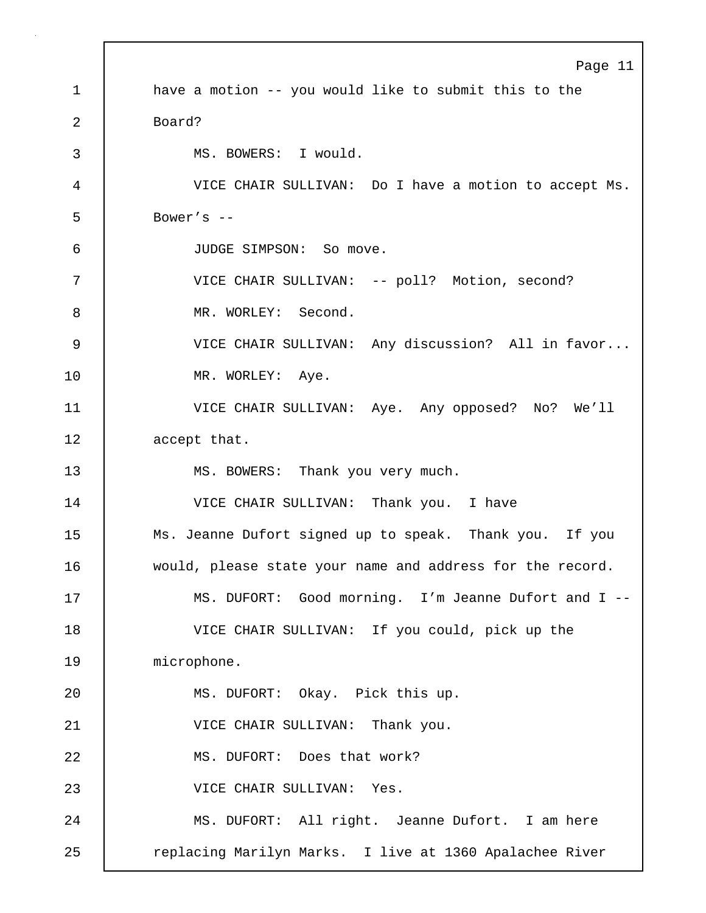Page 11 1 have a motion -- you would like to submit this to the 2 Board? 3 MS. BOWERS: I would. 4 VICE CHAIR SULLIVAN: Do I have a motion to accept Ms.  $5 \quad$  Bower's  $-$ 6 JUDGE SIMPSON: So move. 7 | VICE CHAIR SULLIVAN: -- poll? Motion, second? 8 MR. WORLEY: Second. 9 | VICE CHAIR SULLIVAN: Any discussion? All in favor... 10 | MR. WORLEY: Aye. 11 VICE CHAIR SULLIVAN: Aye. Any opposed? No? We'll 12 accept that. 13 MS. BOWERS: Thank you very much. 14 VICE CHAIR SULLIVAN: Thank you. I have 15 Ms. Jeanne Dufort signed up to speak. Thank you. If you 16 would, please state your name and address for the record. 17 MS. DUFORT: Good morning. I'm Jeanne Dufort and I -- 18 VICE CHAIR SULLIVAN: If you could, pick up the 19 | microphone. 20 | MS. DUFORT: Okay. Pick this up. 21 VICE CHAIR SULLIVAN: Thank you. 22 MS. DUFORT: Does that work? 23 VICE CHAIR SULLIVAN: Yes. 24 MS. DUFORT: All right. Jeanne Dufort. I am here 25 | replacing Marilyn Marks. I live at 1360 Apalachee River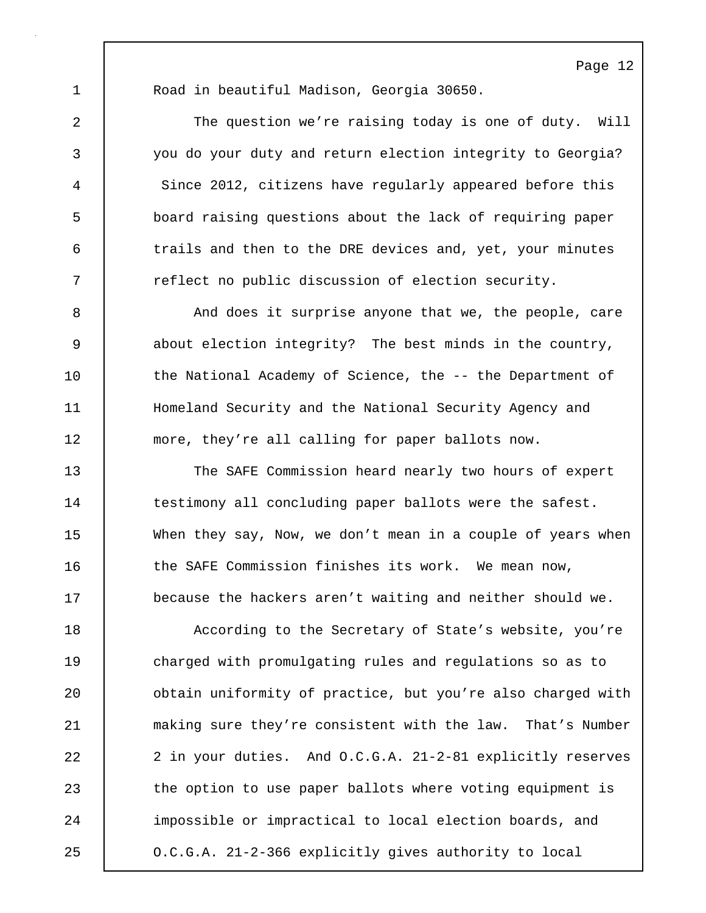Page 12

1 Road in beautiful Madison, Georgia 30650.

2 The question we're raising today is one of duty. Will 3 you do your duty and return election integrity to Georgia? 4 Since 2012, citizens have regularly appeared before this 5 board raising questions about the lack of requiring paper 6 trails and then to the DRE devices and, yet, your minutes 7 The reflect no public discussion of election security.

8 | And does it surprise anyone that we, the people, care 9 about election integrity? The best minds in the country, 10 the National Academy of Science, the -- the Department of 11 | Homeland Security and the National Security Agency and 12 more, they're all calling for paper ballots now.

13 The SAFE Commission heard nearly two hours of expert 14 testimony all concluding paper ballots were the safest. 15 When they say, Now, we don't mean in a couple of years when 16 **the SAFE Commission finishes its work.** We mean now, 17 **because the hackers aren't waiting and neither should we.** 

18 According to the Secretary of State's website, you're 19 charged with promulgating rules and regulations so as to 20 **b** obtain uniformity of practice, but you're also charged with 21 making sure they're consistent with the law. That's Number 22 2 2 in your duties. And O.C.G.A. 21-2-81 explicitly reserves 23 the option to use paper ballots where voting equipment is 24 impossible or impractical to local election boards, and 25 O.C.G.A. 21-2-366 explicitly gives authority to local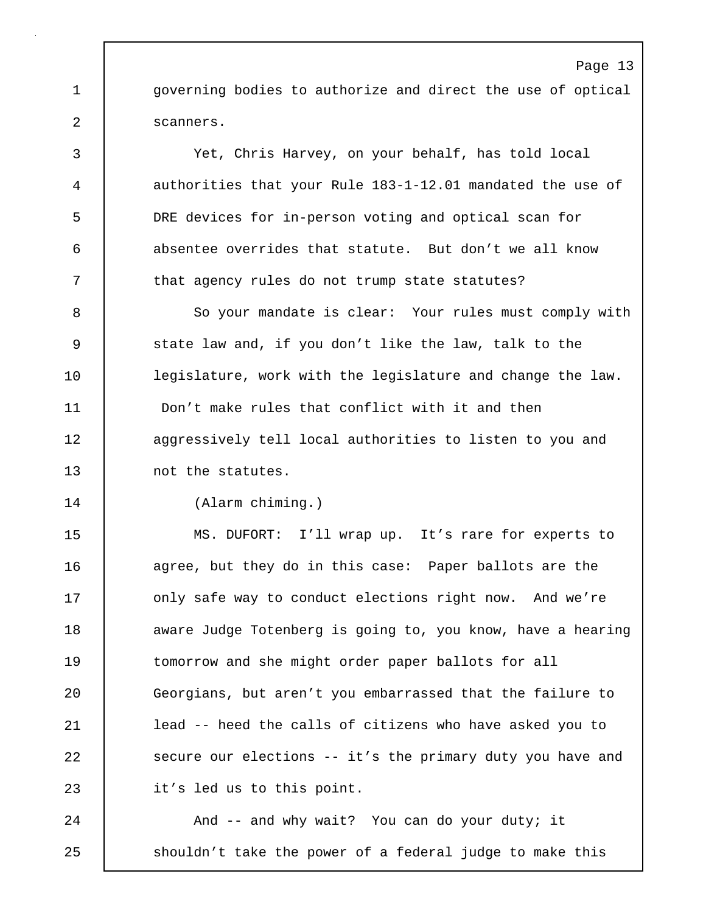1 **governing bodies to authorize and direct the use of optical** 2 | scanners.

3 Yet, Chris Harvey, on your behalf, has told local 4 authorities that your Rule 183-1-12.01 mandated the use of 5 DRE devices for in-person voting and optical scan for 6 absentee overrides that statute. But don't we all know 7 that agency rules do not trump state statutes?

8 So your mandate is clear: Your rules must comply with 9 State law and, if you don't like the law, talk to the 10 **legislature, work with the legislature and change the law.** 11 Don't make rules that conflict with it and then 12 | aggressively tell local authorities to listen to you and 13 mot the statutes.

14 (Alarm chiming.)

15 MS. DUFORT: I'll wrap up. It's rare for experts to 16 agree, but they do in this case: Paper ballots are the 17 **decisy 1** only safe way to conduct elections right now. And we're 18 **aware Judge Totenberg is going to, you know, have a hearing** 19 tomorrow and she might order paper ballots for all 20 Georgians, but aren't you embarrassed that the failure to 21 lead -- heed the calls of citizens who have asked you to 22 secure our elections -- it's the primary duty you have and 23 | it's led us to this point.

24 | And -- and why wait? You can do your duty; it 25 | shouldn't take the power of a federal judge to make this

### Page 13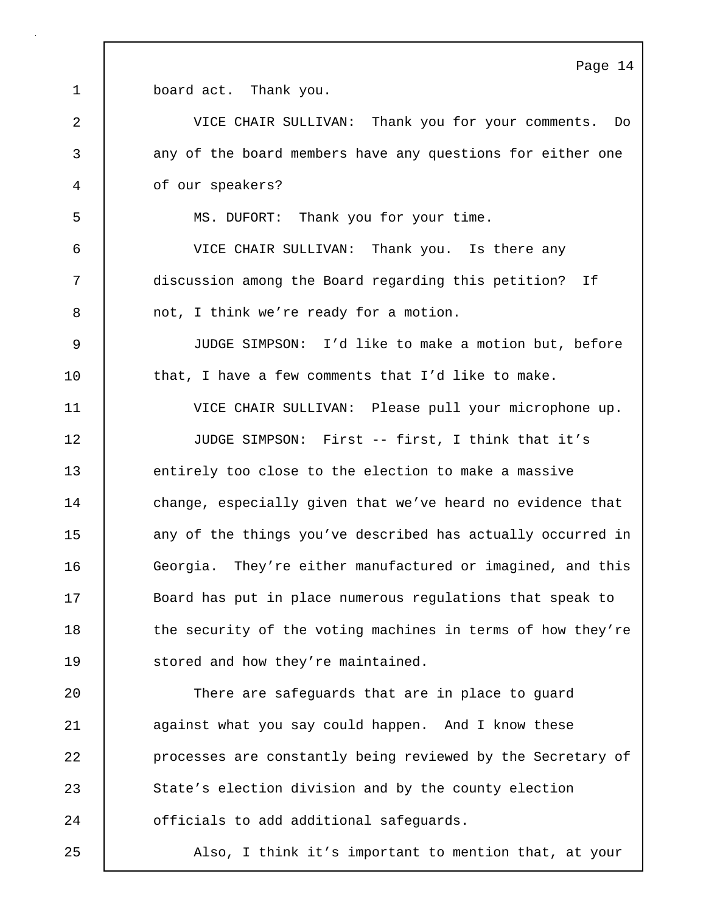Page 14

1 board act. Thank you. 2 VICE CHAIR SULLIVAN: Thank you for your comments. Do 3 any of the board members have any questions for either one 4 of our speakers? 5 MS. DUFORT: Thank you for your time. 6 VICE CHAIR SULLIVAN: Thank you. Is there any 7 discussion among the Board regarding this petition? If 8 mot, I think we're ready for a motion. 9 JUDGE SIMPSON: I'd like to make a motion but, before 10 that, I have a few comments that I'd like to make. 11 VICE CHAIR SULLIVAN: Please pull your microphone up. 12 JUDGE SIMPSON: First -- first, I think that it's 13 entirely too close to the election to make a massive 14 change, especially given that we've heard no evidence that 15 any of the things you've described has actually occurred in 16 Georgia. They're either manufactured or imagined, and this 17 Board has put in place numerous regulations that speak to 18 the security of the voting machines in terms of how they're 19 Stored and how they're maintained. 20 | There are safeguards that are in place to guard 21 against what you say could happen. And I know these 22 **processes are constantly being reviewed by the Secretary of** 23 State's election division and by the county election 24 **c** officials to add additional safeguards. 25 Also, I think it's important to mention that, at your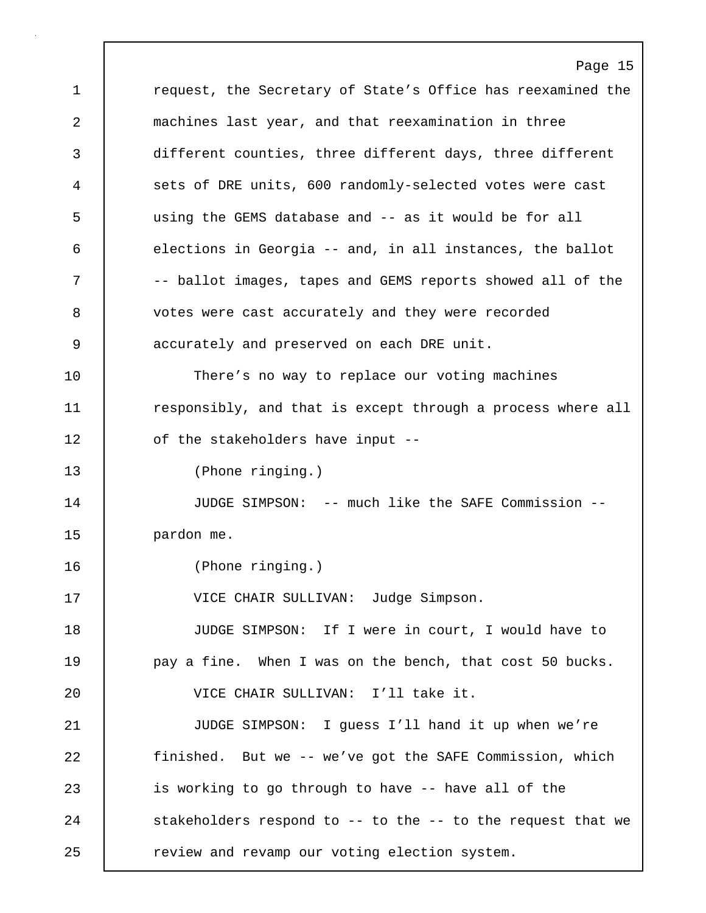Page 15 1 **1** request, the Secretary of State's Office has reexamined the 2 machines last year, and that reexamination in three 3 different counties, three different days, three different 4 sets of DRE units, 600 randomly-selected votes were cast 5 using the GEMS database and -- as it would be for all 6 elections in Georgia -- and, in all instances, the ballot 7 | The station images, tapes and GEMS reports showed all of the 8 votes were cast accurately and they were recorded 9 accurately and preserved on each DRE unit. 10 | There's no way to replace our voting machines 11 **responsibly, and that is except through a process where all** 12 of the stakeholders have input --13 (Phone ringing.) 14 JUDGE SIMPSON: -- much like the SAFE Commission -- 15 | pardon me. 16 (Phone ringing.) 17 | VICE CHAIR SULLIVAN: Judge Simpson. 18 JUDGE SIMPSON: If I were in court, I would have to 19 pay a fine. When I was on the bench, that cost 50 bucks. 20 VICE CHAIR SULLIVAN: I'll take it. 21 JUDGE SIMPSON: I guess I'll hand it up when we're 22 finished. But we -- we've got the SAFE Commission, which 23 is working to go through to have -- have all of the 24 stakeholders respond to -- to the -- to the request that we 25 **Proof** review and revamp our voting election system.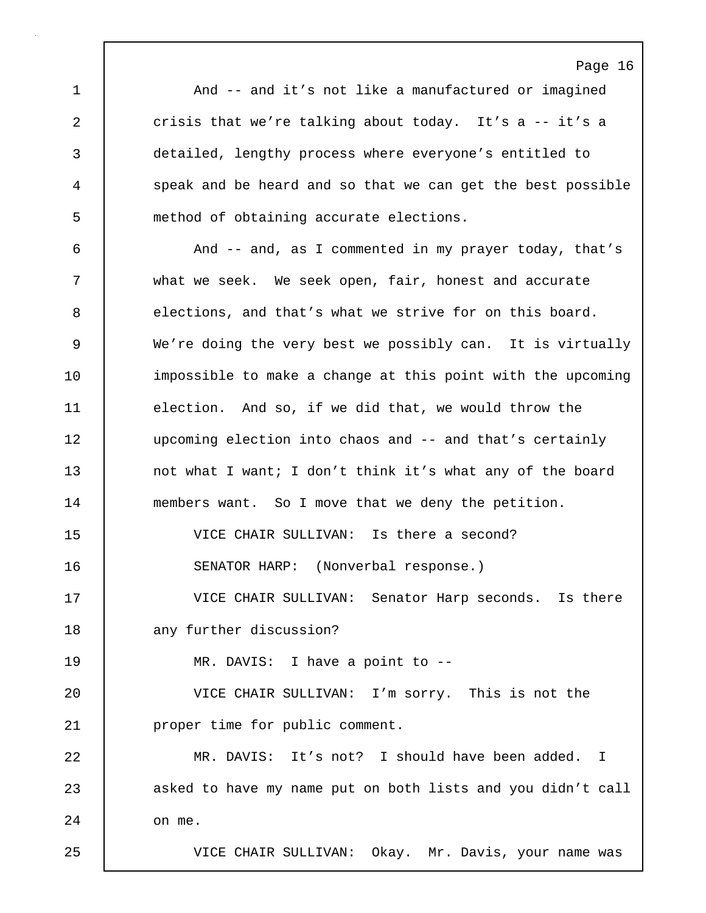Page 16 1 | And -- and it's not like a manufactured or imagined 2 crisis that we're talking about today. It's a -- it's a 3 detailed, lengthy process where everyone's entitled to 4 speak and be heard and so that we can get the best possible 5 method of obtaining accurate elections. 6 And -- and, as I commented in my prayer today, that's 7 what we seek. We seek open, fair, honest and accurate 8 elections, and that's what we strive for on this board. 9 We're doing the very best we possibly can. It is virtually 10 impossible to make a change at this point with the upcoming 11 election. And so, if we did that, we would throw the 12 upcoming election into chaos and -- and that's certainly 13 not what I want; I don't think it's what any of the board 14 members want. So I move that we deny the petition. 15 VICE CHAIR SULLIVAN: Is there a second? 16 SENATOR HARP: (Nonverbal response.) 17 VICE CHAIR SULLIVAN: Senator Harp seconds. Is there 18 any further discussion? 19 MR. DAVIS: I have a point to -- 20 VICE CHAIR SULLIVAN: I'm sorry. This is not the 21 proper time for public comment. 22 MR. DAVIS: It's not? I should have been added. I 23 asked to have my name put on both lists and you didn't call  $24$  on me. 25 VICE CHAIR SULLIVAN: Okay. Mr. Davis, your name was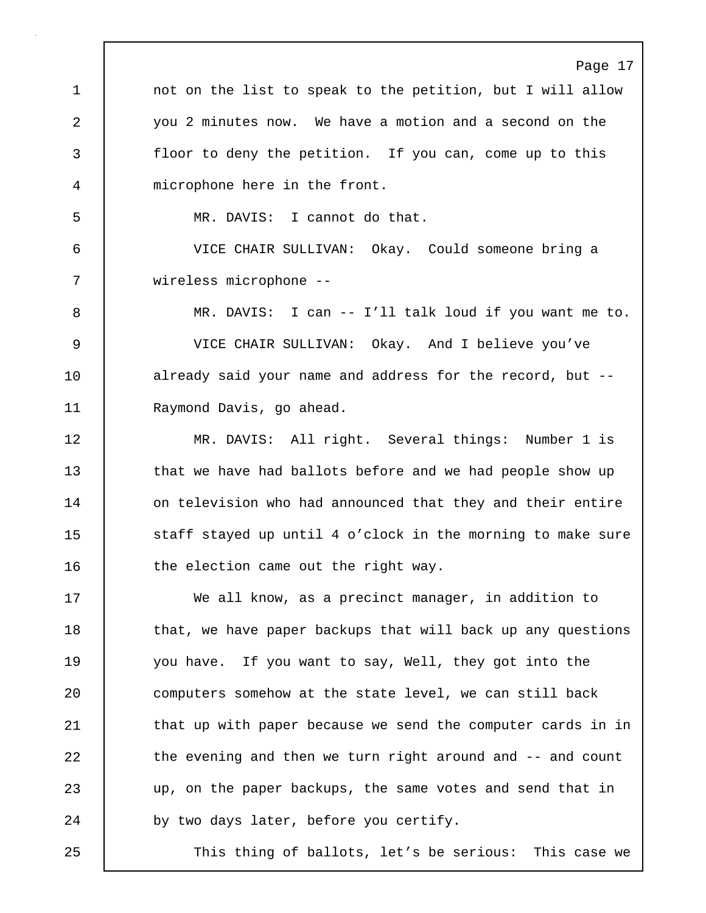Page 17 1 | not on the list to speak to the petition, but I will allow 2 you 2 minutes now. We have a motion and a second on the 3 floor to deny the petition. If you can, come up to this 4 microphone here in the front. 5 MR. DAVIS: I cannot do that. 6 VICE CHAIR SULLIVAN: Okay. Could someone bring a 7 wireless microphone -- 8 MR. DAVIS: I can -- I'll talk loud if you want me to. 9 VICE CHAIR SULLIVAN: Okay. And I believe you've 10 already said your name and address for the record, but --11 | Raymond Davis, go ahead. 12 MR. DAVIS: All right. Several things: Number 1 is 13 that we have had ballots before and we had people show up 14 on television who had announced that they and their entire 15 Staff stayed up until 4 o'clock in the morning to make sure 16 the election came out the right way. 17 We all know, as a precinct manager, in addition to 18 that, we have paper backups that will back up any questions 19 you have. If you want to say, Well, they got into the 20 computers somehow at the state level, we can still back 21 that up with paper because we send the computer cards in in 22 the evening and then we turn right around and -- and count 23 up, on the paper backups, the same votes and send that in 24 by two days later, before you certify.

25 This thing of ballots, let's be serious: This case we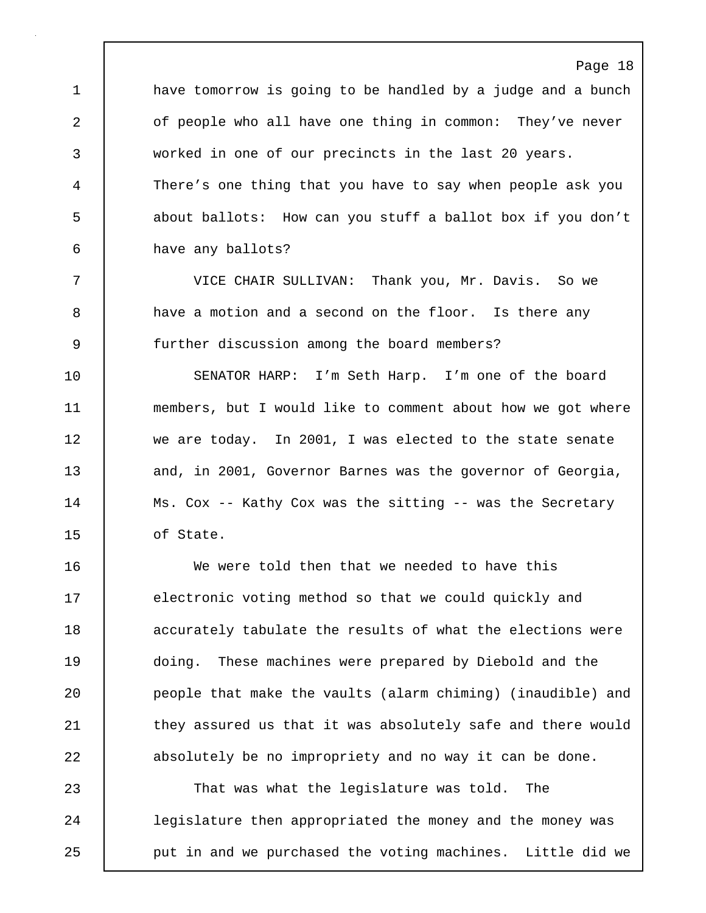1 have tomorrow is going to be handled by a judge and a bunch 2 of people who all have one thing in common: They've never 3 worked in one of our precincts in the last 20 years. 4 There's one thing that you have to say when people ask you 5 about ballots: How can you stuff a ballot box if you don't 6 have any ballots?

Page 18

7 VICE CHAIR SULLIVAN: Thank you, Mr. Davis. So we 8 a have a motion and a second on the floor. Is there any 9 further discussion among the board members?

10 SENATOR HARP: I'm Seth Harp. I'm one of the board 11 members, but I would like to comment about how we got where 12 we are today. In 2001, I was elected to the state senate 13 and, in 2001, Governor Barnes was the governor of Georgia, 14 | Ms. Cox -- Kathy Cox was the sitting -- was the Secretary 15 of State.

16 We were told then that we needed to have this 17 electronic voting method so that we could quickly and 18 | accurately tabulate the results of what the elections were 19 doing. These machines were prepared by Diebold and the 20 people that make the vaults (alarm chiming) (inaudible) and 21 they assured us that it was absolutely safe and there would 22 absolutely be no impropriety and no way it can be done.

23 That was what the legislature was told. The 24 | legislature then appropriated the money and the money was 25 **put in and we purchased the voting machines.** Little did we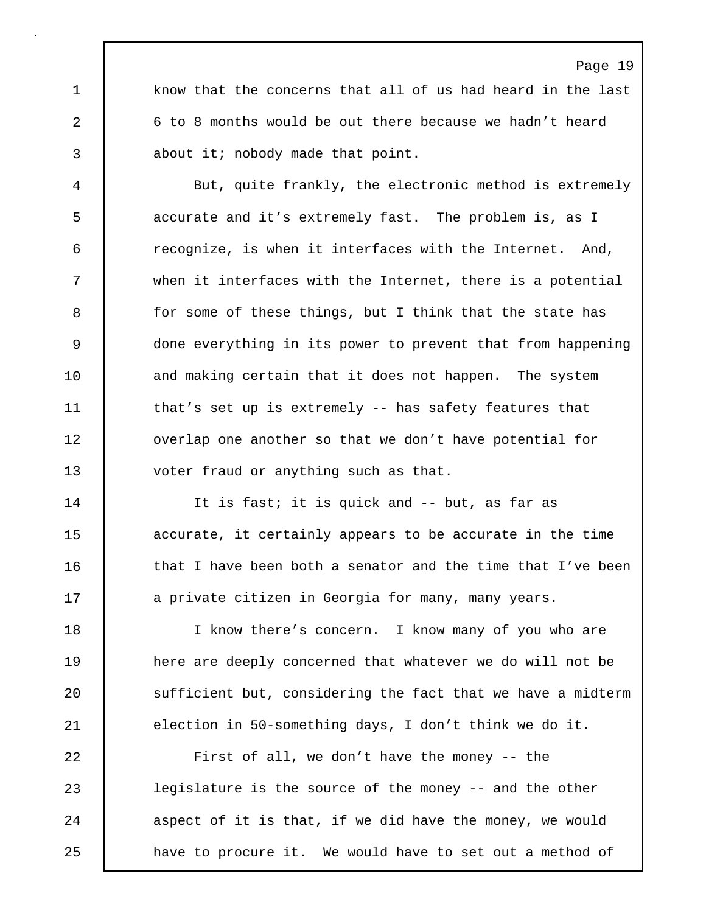1 know that the concerns that all of us had heard in the last 2 6 to 8 months would be out there because we hadn't heard 3 about it; nobody made that point.

4 But, quite frankly, the electronic method is extremely 5 accurate and it's extremely fast. The problem is, as I 6 recognize, is when it interfaces with the Internet. And, 7 when it interfaces with the Internet, there is a potential 8 for some of these things, but I think that the state has 9 done everything in its power to prevent that from happening 10 and making certain that it does not happen. The system 11 | that's set up is extremely -- has safety features that 12 | overlap one another so that we don't have potential for 13 **voter fraud or anything such as that.** 

14 It is fast; it is quick and -- but, as far as 15 **accurate, it certainly appears to be accurate in the time** 16 **that I have been both a senator and the time that I've been** 17 | a private citizen in Georgia for many, many years.

18 I know there's concern. I know many of you who are 19 **here are deeply concerned that whatever we do will not be** 20 sufficient but, considering the fact that we have a midterm 21 election in 50-something days, I don't think we do it.

22 First of all, we don't have the money -- the 23 legislature is the source of the money -- and the other 24 aspect of it is that, if we did have the money, we would 25 **have to procure it.** We would have to set out a method of

### Page 19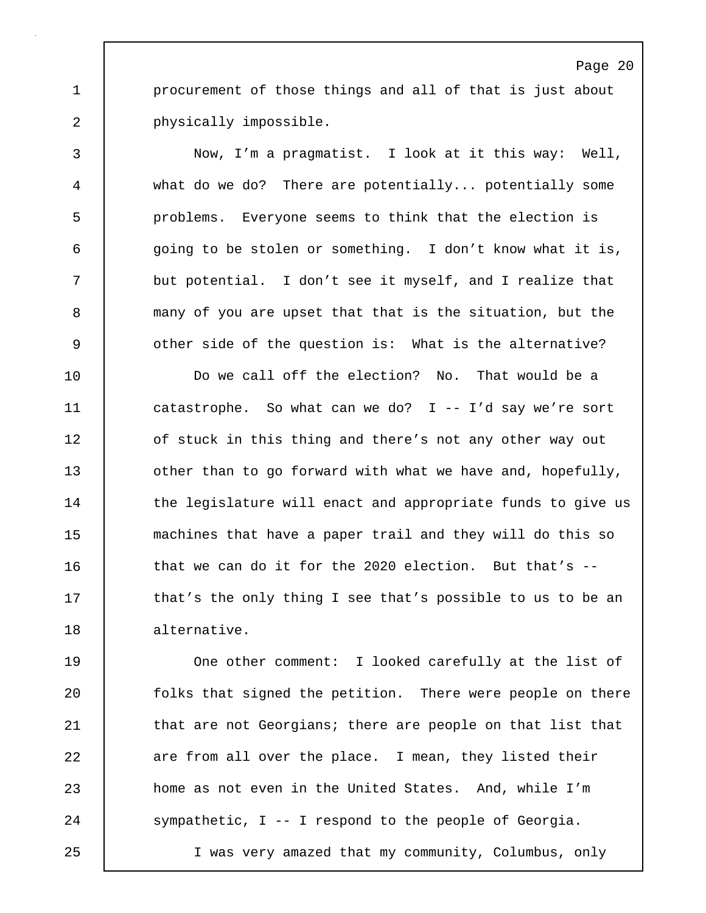1 **procurement of those things and all of that is just about** 2 **physically impossible.** 

3 Now, I'm a pragmatist. I look at it this way: Well, 4 what do we do? There are potentially... potentially some 5 problems. Everyone seems to think that the election is 6 | going to be stolen or something. I don't know what it is, 7 but potential. I don't see it myself, and I realize that 8 many of you are upset that that is the situation, but the 9 other side of the question is: What is the alternative?

10 Do we call off the election? No. That would be a 11 catastrophe. So what can we do? I -- I'd say we're sort 12 **o**f stuck in this thing and there's not any other way out 13 **b** other than to go forward with what we have and, hopefully, 14 the legislature will enact and appropriate funds to give us 15 machines that have a paper trail and they will do this so 16  $\vert$  that we can do it for the 2020 election. But that's  $-$ 17 **that's the only thing I see that's possible to us to be an** 18 alternative.

19 One other comment: I looked carefully at the list of 20 **folks** that signed the petition. There were people on there 21 **that are not Georgians; there are people on that list that** 22 | are from all over the place. I mean, they listed their 23 **home as not even in the United States.** And, while I'm 24 Sympathetic, I -- I respond to the people of Georgia.

25 I was very amazed that my community, Columbus, only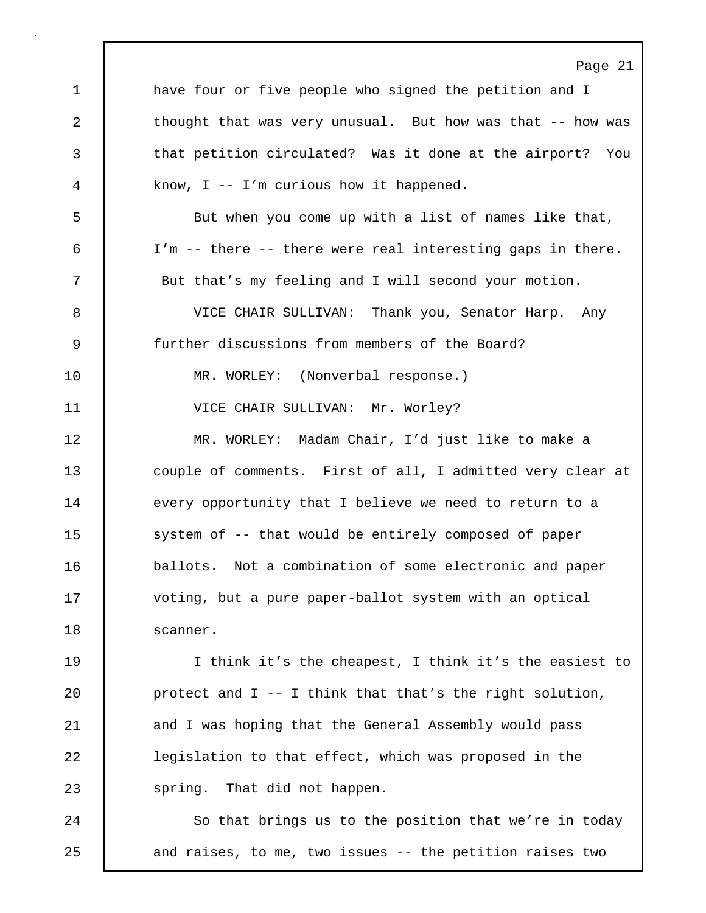Page 21 1 have four or five people who signed the petition and I 2 thought that was very unusual. But how was that -- how was 3 that petition circulated? Was it done at the airport? You 4 know, I -- I'm curious how it happened. 5 But when you come up with a list of names like that, 6 I'm -- there -- there were real interesting gaps in there. 7 | But that's my feeling and I will second your motion. 8 VICE CHAIR SULLIVAN: Thank you, Senator Harp. Any 9 further discussions from members of the Board? 10 | MR. WORLEY: (Nonverbal response.) 11 | VICE CHAIR SULLIVAN: Mr. Worley? 12 MR. WORLEY: Madam Chair, I'd just like to make a 13 couple of comments. First of all, I admitted very clear at 14 every opportunity that I believe we need to return to a 15 system of -- that would be entirely composed of paper 16 ballots. Not a combination of some electronic and paper 17 voting, but a pure paper-ballot system with an optical 18 Scanner. 19 I think it's the cheapest, I think it's the easiest to 20 **protect and I** -- I think that that's the right solution, 21 and I was hoping that the General Assembly would pass 22 legislation to that effect, which was proposed in the 23 | spring. That did not happen. 24 | So that brings us to the position that we're in today 25 and raises, to me, two issues -- the petition raises two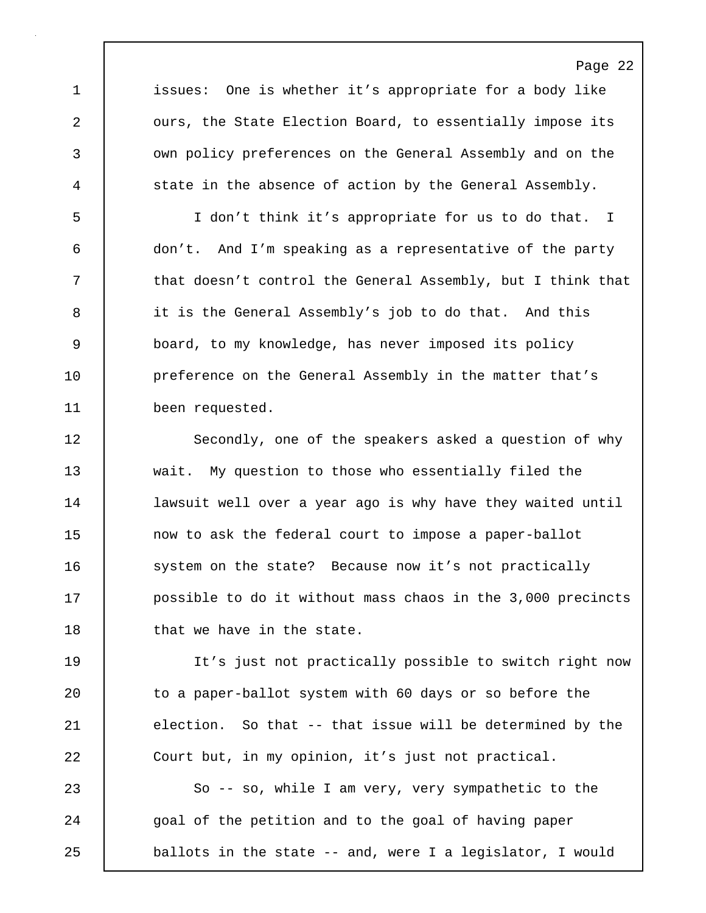1 issues: One is whether it's appropriate for a body like 2 **c** ours, the State Election Board, to essentially impose its 3 own policy preferences on the General Assembly and on the 4 state in the absence of action by the General Assembly.

5 I don't think it's appropriate for us to do that. I 6 don't. And I'm speaking as a representative of the party 7 that doesn't control the General Assembly, but I think that 8 it is the General Assembly's job to do that. And this 9 board, to my knowledge, has never imposed its policy 10 **preference on the General Assembly in the matter that's** 11 been requested.

12 Secondly, one of the speakers asked a question of why 13 wait. My question to those who essentially filed the 14 | lawsuit well over a year ago is why have they waited until 15 now to ask the federal court to impose a paper-ballot 16 system on the state? Because now it's not practically 17 **possible to do it without mass chaos in the 3,000 precincts** 18 | that we have in the state.

19 It's just not practically possible to switch right now 20 | to a paper-ballot system with 60 days or so before the 21 election. So that -- that issue will be determined by the 22 Court but, in my opinion, it's just not practical.

23 So -- so, while I am very, very sympathetic to the 24 goal of the petition and to the goal of having paper 25 ballots in the state -- and, were I a legislator, I would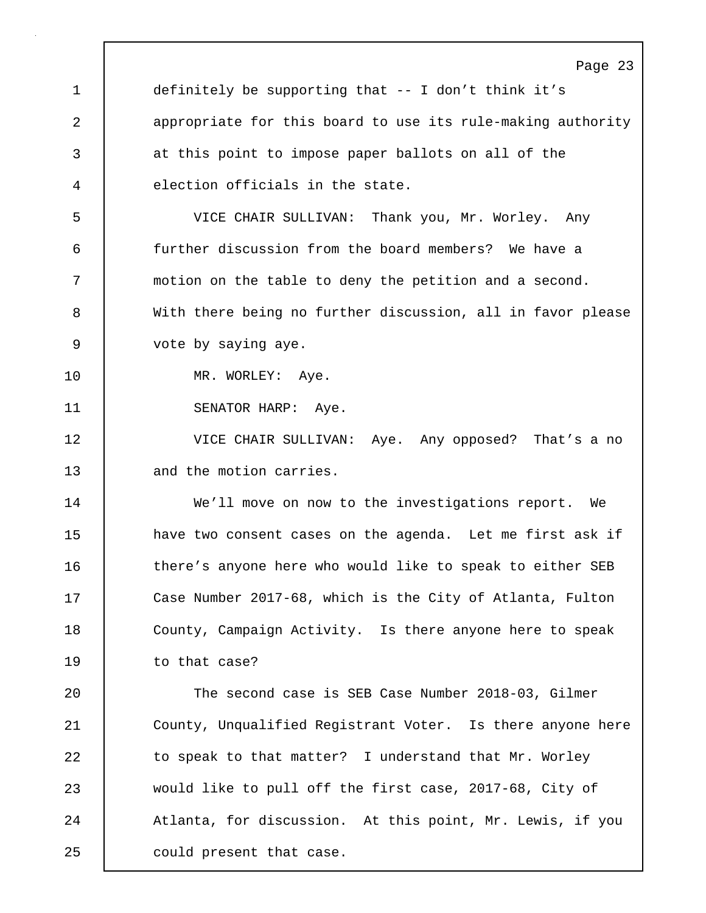Page 23 1 definitely be supporting that -- I don't think it's 2 appropriate for this board to use its rule-making authority 3 at this point to impose paper ballots on all of the 4 election officials in the state. 5 VICE CHAIR SULLIVAN: Thank you, Mr. Worley. Any 6 further discussion from the board members? We have a 7 motion on the table to deny the petition and a second. 8 With there being no further discussion, all in favor please 9 vote by saying aye. 10 | MR. WORLEY: Aye. 11 | SENATOR HARP: Aye. 12 VICE CHAIR SULLIVAN: Aye. Any opposed? That's a no 13 and the motion carries. 14 We'll move on now to the investigations report. We 15 **have two consent cases on the agenda.** Let me first ask if 16 there's anyone here who would like to speak to either SEB 17 Case Number 2017-68, which is the City of Atlanta, Fulton 18 | County, Campaign Activity. Is there anyone here to speak 19 to that case? 20 The second case is SEB Case Number 2018-03, Gilmer 21 County, Unqualified Registrant Voter. Is there anyone here 22 | to speak to that matter? I understand that Mr. Worley 23 would like to pull off the first case, 2017-68, City of 24 | Atlanta, for discussion. At this point, Mr. Lewis, if you 25 | could present that case.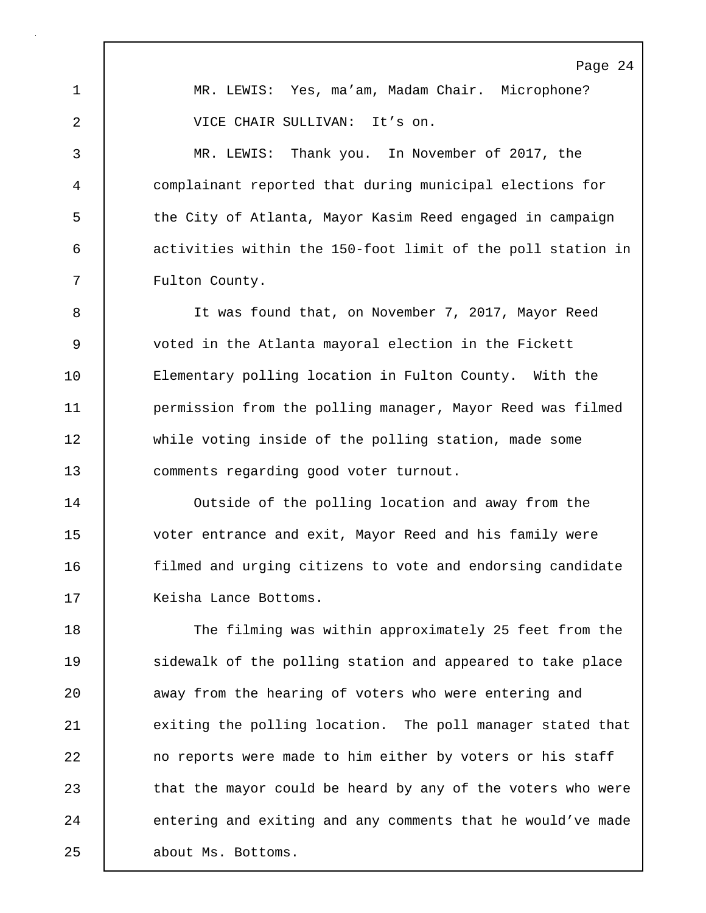Page 24 1 MR. LEWIS: Yes, ma'am, Madam Chair. Microphone? 2 VICE CHAIR SULLIVAN: It's on. 3 MR. LEWIS: Thank you. In November of 2017, the 4 complainant reported that during municipal elections for 5 the City of Atlanta, Mayor Kasim Reed engaged in campaign 6 activities within the 150-foot limit of the poll station in 7 Fulton County. 8 It was found that, on November 7, 2017, Mayor Reed 9 voted in the Atlanta mayoral election in the Fickett 10 Elementary polling location in Fulton County. With the 11 **permission from the polling manager, Mayor Reed was filmed** 

12 while voting inside of the polling station, made some 13 comments regarding good voter turnout.

14 Outside of the polling location and away from the 15 voter entrance and exit, Mayor Reed and his family were 16 **filmed and urging citizens to vote and endorsing candidate** 17 Keisha Lance Bottoms.

18 The filming was within approximately 25 feet from the 19 | sidewalk of the polling station and appeared to take place 20 **away from the hearing of voters who were entering and** 21 | exiting the polling location. The poll manager stated that 22 no reports were made to him either by voters or his staff 23 that the mayor could be heard by any of the voters who were 24 entering and exiting and any comments that he would've made 25 about Ms. Bottoms.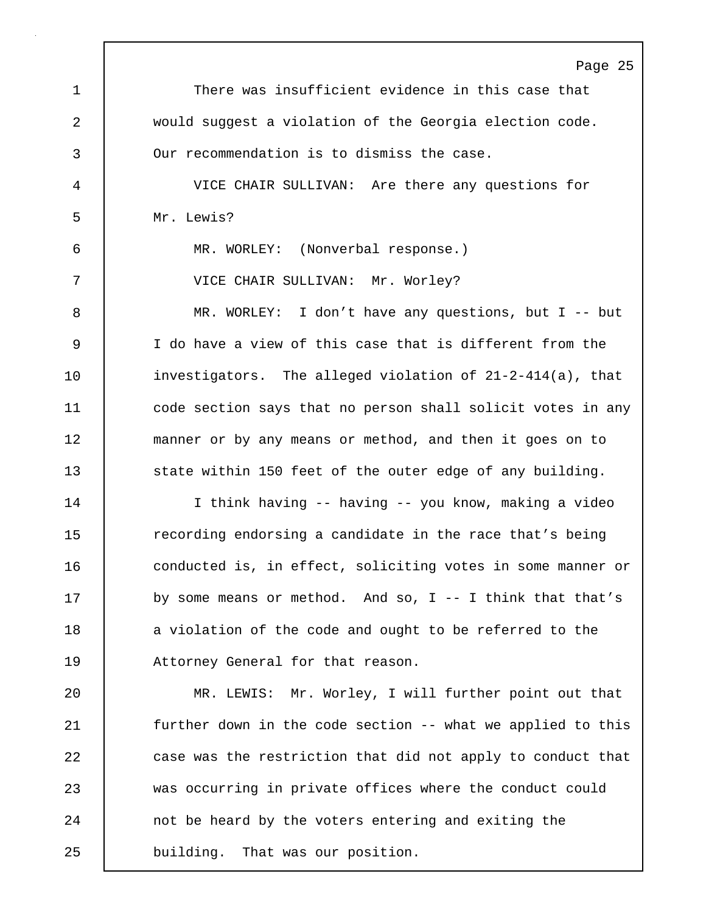Page 25 1 There was insufficient evidence in this case that 2 would suggest a violation of the Georgia election code. 3 Our recommendation is to dismiss the case. 4 VICE CHAIR SULLIVAN: Are there any questions for 5 Mr. Lewis? 6 MR. WORLEY: (Nonverbal response.) 7 VICE CHAIR SULLIVAN: Mr. Worley? 8 MR. WORLEY: I don't have any questions, but I -- but 9 I do have a view of this case that is different from the 10 investigators. The alleged violation of 21-2-414(a), that 11 code section says that no person shall solicit votes in any 12 manner or by any means or method, and then it goes on to 13 state within 150 feet of the outer edge of any building. 14 I think having -- having -- you know, making a video 15 The recording endorsing a candidate in the race that's being 16 conducted is, in effect, soliciting votes in some manner or 17 by some means or method. And so, I -- I think that that's 18 a violation of the code and ought to be referred to the 19 Attorney General for that reason. 20 | MR. LEWIS: Mr. Worley, I will further point out that 21 further down in the code section -- what we applied to this 22 case was the restriction that did not apply to conduct that 23 was occurring in private offices where the conduct could 24 not be heard by the voters entering and exiting the 25 building. That was our position.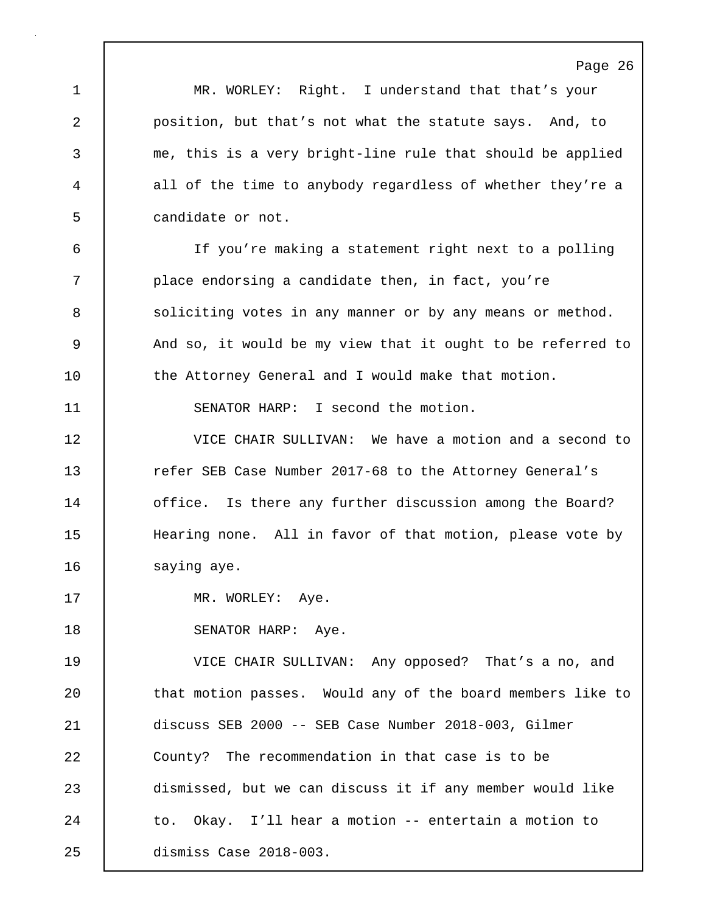Page 26 1 MR. WORLEY: Right. I understand that that's your 2 **position, but that's not what the statute says.** And, to 3 me, this is a very bright-line rule that should be applied 4 all of the time to anybody regardless of whether they're a 5 candidate or not. 6 If you're making a statement right next to a polling 7 place endorsing a candidate then, in fact, you're 8 Soliciting votes in any manner or by any means or method. 9 And so, it would be my view that it ought to be referred to 10 the Attorney General and I would make that motion. 11 | SENATOR HARP: I second the motion. 12 VICE CHAIR SULLIVAN: We have a motion and a second to 13 Tefer SEB Case Number 2017-68 to the Attorney General's 14 **office.** Is there any further discussion among the Board? 15 Hearing none. All in favor of that motion, please vote by 16 | saying aye. 17 | MR. WORLEY: Aye. 18 | SENATOR HARP: Aye. 19 VICE CHAIR SULLIVAN: Any opposed? That's a no, and 20 | that motion passes. Would any of the board members like to 21 discuss SEB 2000 -- SEB Case Number 2018-003, Gilmer 22 County? The recommendation in that case is to be 23 dismissed, but we can discuss it if any member would like 24 to. Okay. I'll hear a motion -- entertain a motion to 25 dismiss Case 2018-003.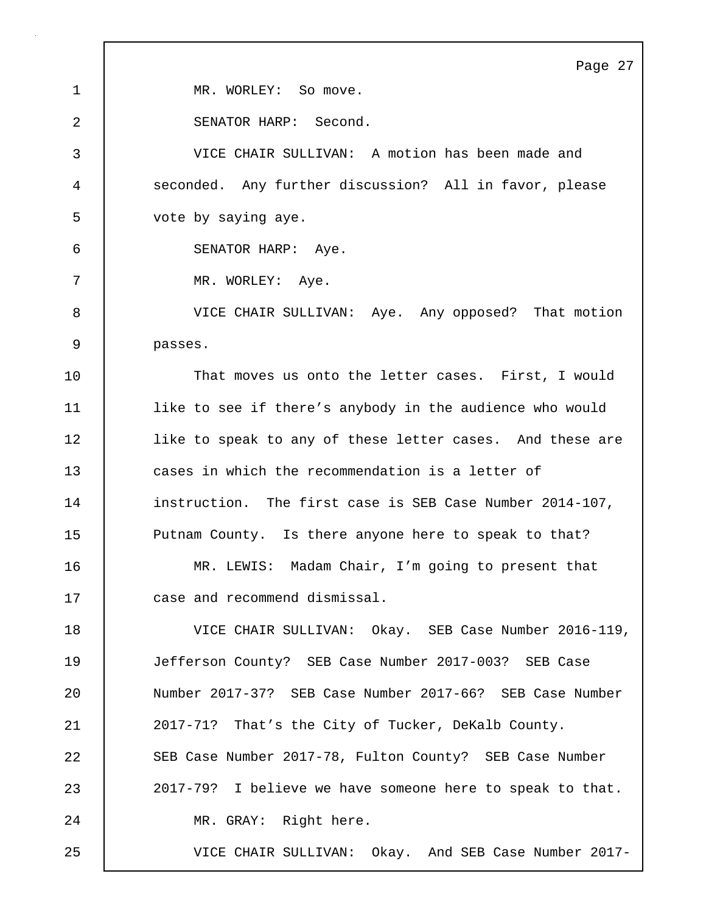Page 27 1 | MR. WORLEY: So move. 2 SENATOR HARP: Second. 3 VICE CHAIR SULLIVAN: A motion has been made and 4 seconded. Any further discussion? All in favor, please 5 vote by saying aye. 6 SENATOR HARP: Aye. 7 MR. WORLEY: Aye. 8 VICE CHAIR SULLIVAN: Aye. Any opposed? That motion 9 passes. 10 That moves us onto the letter cases. First, I would 11 like to see if there's anybody in the audience who would 12 | like to speak to any of these letter cases. And these are 13 cases in which the recommendation is a letter of 14 | instruction. The first case is SEB Case Number 2014-107, 15 | Putnam County. Is there anyone here to speak to that? 16 MR. LEWIS: Madam Chair, I'm going to present that 17 case and recommend dismissal. 18 VICE CHAIR SULLIVAN: Okay. SEB Case Number 2016-119, 19 Jefferson County? SEB Case Number 2017-003? SEB Case 20 Number 2017-37? SEB Case Number 2017-66? SEB Case Number 21 2017-71? That's the City of Tucker, DeKalb County. 22 SEB Case Number 2017-78, Fulton County? SEB Case Number 23 2017-79? I believe we have someone here to speak to that. 24 | MR. GRAY: Right here. 25 VICE CHAIR SULLIVAN: Okay. And SEB Case Number 2017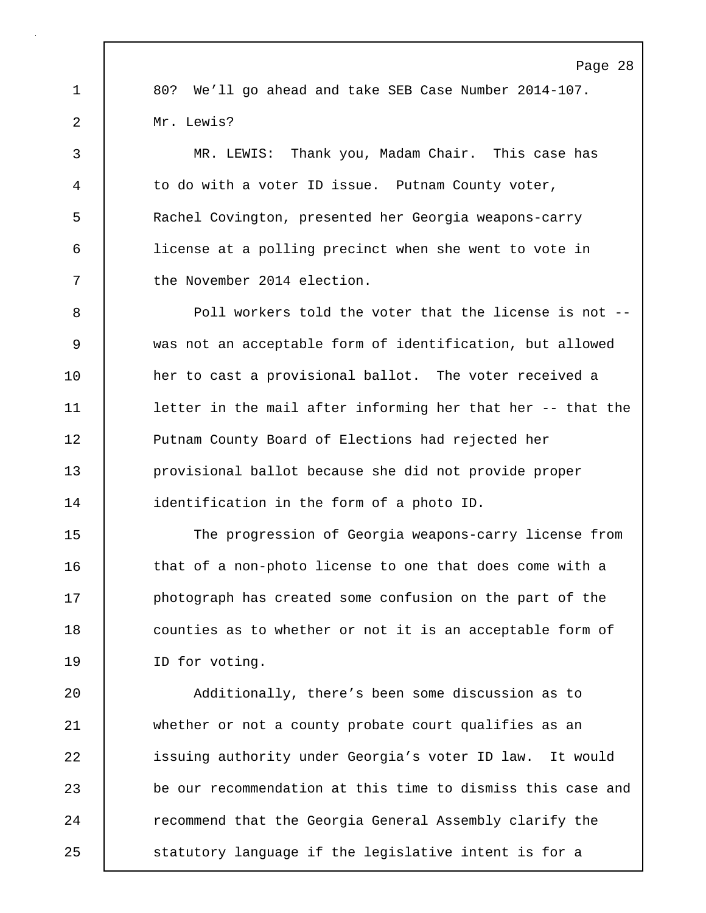1 80? We'll go ahead and take SEB Case Number 2014-107. 2 Mr. Lewis?

3 MR. LEWIS: Thank you, Madam Chair. This case has 4 to do with a voter ID issue. Putnam County voter, 5 Rachel Covington, presented her Georgia weapons-carry 6 license at a polling precinct when she went to vote in 7 the November 2014 election.

8 Poll workers told the voter that the license is not -- 9 was not an acceptable form of identification, but allowed 10 her to cast a provisional ballot. The voter received a 11 letter in the mail after informing her that her -- that the 12 **Putnam County Board of Elections had rejected her** 13 provisional ballot because she did not provide proper 14 **dentification in the form of a photo ID.** 

15 The progression of Georgia weapons-carry license from 16 that of a non-photo license to one that does come with a 17 **photograph has created some confusion on the part of the** 18 counties as to whether or not it is an acceptable form of 19 ID for voting.

20 Additionally, there's been some discussion as to 21 whether or not a county probate court qualifies as an 22 issuing authority under Georgia's voter ID law. It would 23 be our recommendation at this time to dismiss this case and 24 Tecommend that the Georgia General Assembly clarify the 25 Statutory language if the legislative intent is for a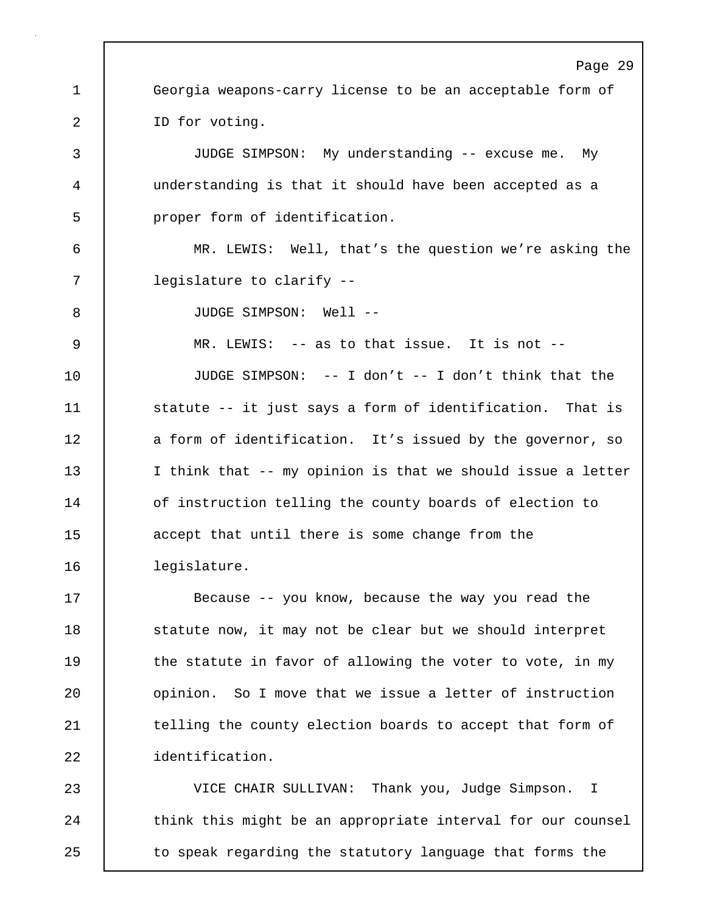Page 29 1 Georgia weapons-carry license to be an acceptable form of 2 | ID for voting. 3 JUDGE SIMPSON: My understanding -- excuse me. My 4 understanding is that it should have been accepted as a 5 | proper form of identification. 6 MR. LEWIS: Well, that's the question we're asking the 7 | legislature to clarify --8 JUDGE SIMPSON: Well --9 MR. LEWIS: -- as to that issue. It is not -- 10 JUDGE SIMPSON: -- I don't -- I don't think that the 11 | statute -- it just says a form of identification. That is 12 a form of identification. It's issued by the governor, so 13 I think that -- my opinion is that we should issue a letter 14 | of instruction telling the county boards of election to 15 accept that until there is some change from the 16 legislature. 17 Because -- you know, because the way you read the 18 statute now, it may not be clear but we should interpret 19 the statute in favor of allowing the voter to vote, in my 20 | opinion. So I move that we issue a letter of instruction 21 | telling the county election boards to accept that form of 22 identification. 23 VICE CHAIR SULLIVAN: Thank you, Judge Simpson. I

24 think this might be an appropriate interval for our counsel 25 to speak regarding the statutory language that forms the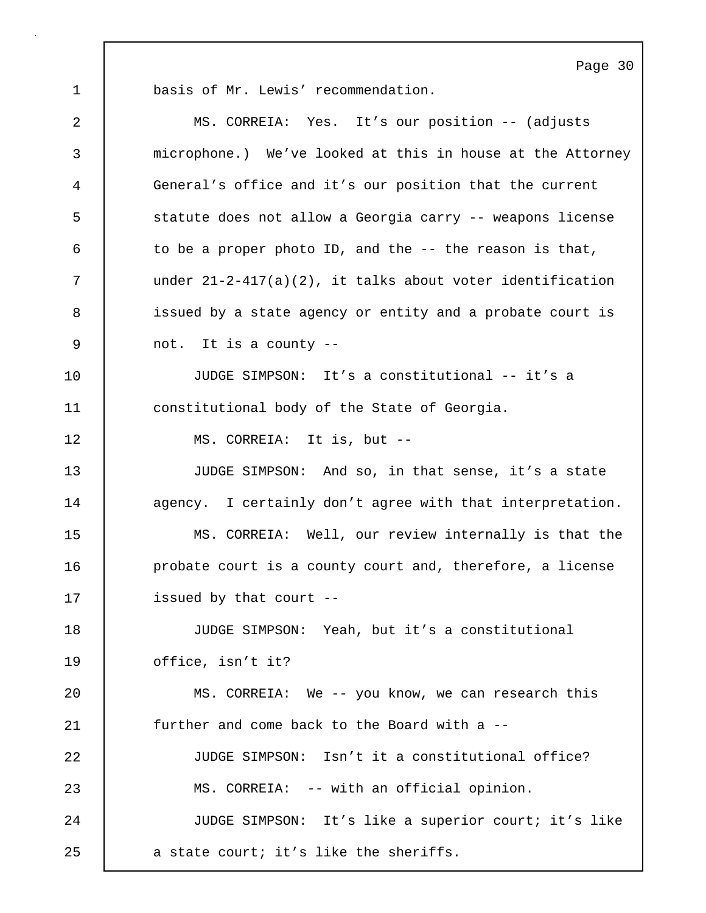1 basis of Mr. Lewis' recommendation.

| $\overline{2}$ | MS. CORREIA: Yes. It's our position -- (adjusts              |
|----------------|--------------------------------------------------------------|
| 3              | microphone.) We've looked at this in house at the Attorney   |
| $\overline{4}$ | General's office and it's our position that the current      |
| 5              | statute does not allow a Georgia carry -- weapons license    |
| 6              | to be a proper photo ID, and the -- the reason is that,      |
| 7              | under $21-2-417(a)(2)$ , it talks about voter identification |
| 8              | issued by a state agency or entity and a probate court is    |
| 9              | not. It is a county --                                       |
| 10             | JUDGE SIMPSON: It's a constitutional -- it's a               |
| 11             | constitutional body of the State of Georgia.                 |
| 12             | MS. CORREIA: It is, but --                                   |
| 13             | JUDGE SIMPSON: And so, in that sense, it's a state           |
| 14             | agency. I certainly don't agree with that interpretation.    |
| 15             | MS. CORREIA: Well, our review internally is that the         |
| 16             | probate court is a county court and, therefore, a license    |
| 17             | issued by that court --                                      |
| 18             | JUDGE SIMPSON: Yeah, but it's a constitutional               |
| 19             | office, isn't it?                                            |
| 20             | MS. CORREIA: We -- you know, we can research this            |
| 21             | further and come back to the Board with a --                 |
| 22             | JUDGE SIMPSON: Isn't it a constitutional office?             |
| 23             | MS. CORREIA: -- with an official opinion.                    |
| 24             | JUDGE SIMPSON: It's like a superior court; it's like         |
| 25             | a state court; it's like the sheriffs.                       |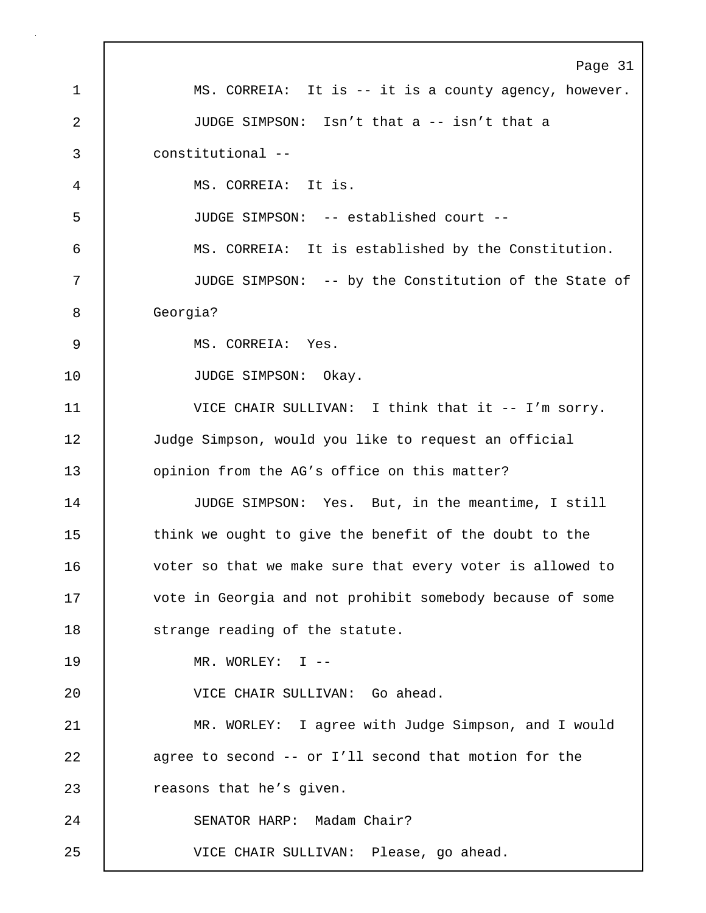Page 31 1 MS. CORREIA: It is -- it is a county agency, however. 2 JUDGE SIMPSON: Isn't that a -- isn't that a 3 constitutional -- 4 MS. CORREIA: It is. 5 JUDGE SIMPSON: -- established court -- 6 MS. CORREIA: It is established by the Constitution. 7 JUDGE SIMPSON: -- by the Constitution of the State of 8 Georgia? 9 MS. CORREIA: Yes. 10 | JUDGE SIMPSON: Okay. 11 VICE CHAIR SULLIVAN: I think that it -- I'm sorry. 12 Judge Simpson, would you like to request an official 13 **opinion from the AG's office on this matter?** 14 JUDGE SIMPSON: Yes. But, in the meantime, I still 15 think we ought to give the benefit of the doubt to the 16 voter so that we make sure that every voter is allowed to 17 vote in Georgia and not prohibit somebody because of some 18 | strange reading of the statute. 19 MR. WORLEY: I -- 20 VICE CHAIR SULLIVAN: Go ahead. 21 MR. WORLEY: I agree with Judge Simpson, and I would 22 agree to second -- or I'll second that motion for the 23 | reasons that he's given. 24 SENATOR HARP: Madam Chair? 25 VICE CHAIR SULLIVAN: Please, go ahead.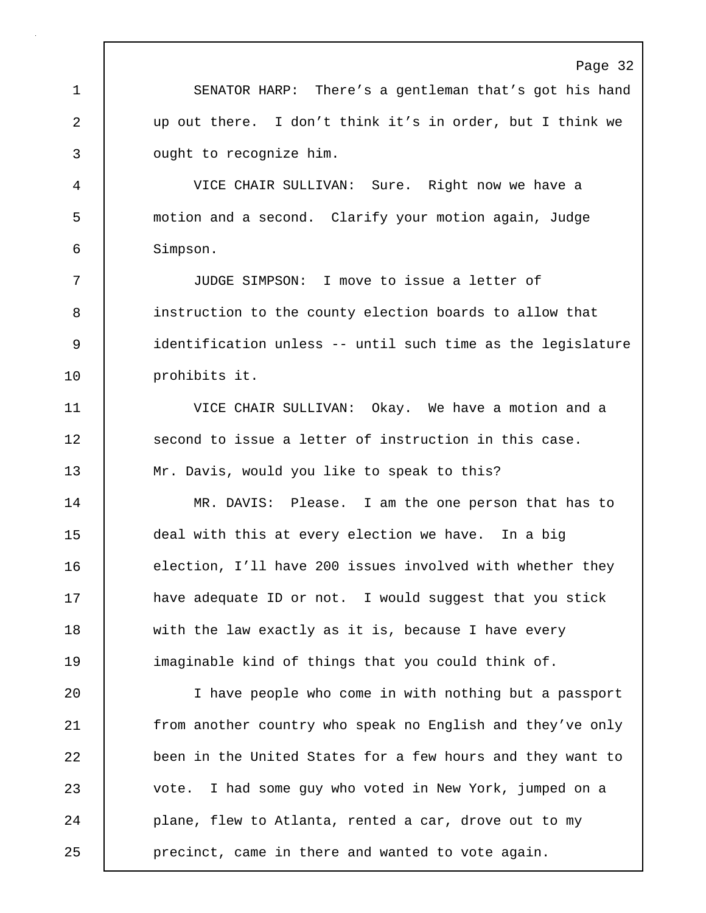Page 32 1 SENATOR HARP: There's a gentleman that's got his hand 2 up out there. I don't think it's in order, but I think we 3 **J** ought to recognize him. 4 VICE CHAIR SULLIVAN: Sure. Right now we have a 5 motion and a second. Clarify your motion again, Judge 6 Simpson. 7 JUDGE SIMPSON: I move to issue a letter of 8 instruction to the county election boards to allow that 9 identification unless -- until such time as the legislature 10 | prohibits it. 11 VICE CHAIR SULLIVAN: Okay. We have a motion and a 12 Second to issue a letter of instruction in this case. 13 Mr. Davis, would you like to speak to this? 14 MR. DAVIS: Please. I am the one person that has to 15 deal with this at every election we have. In a big 16 election, I'll have 200 issues involved with whether they 17 **have adequate ID or not.** I would suggest that you stick 18 with the law exactly as it is, because I have every 19 imaginable kind of things that you could think of. 20 I have people who come in with nothing but a passport 21 from another country who speak no English and they've only 22 been in the United States for a few hours and they want to 23 vote. I had some guy who voted in New York, jumped on a 24 **plane, flew to Atlanta, rented a car, drove out to my** 25 **precinct, came in there and wanted to vote again.**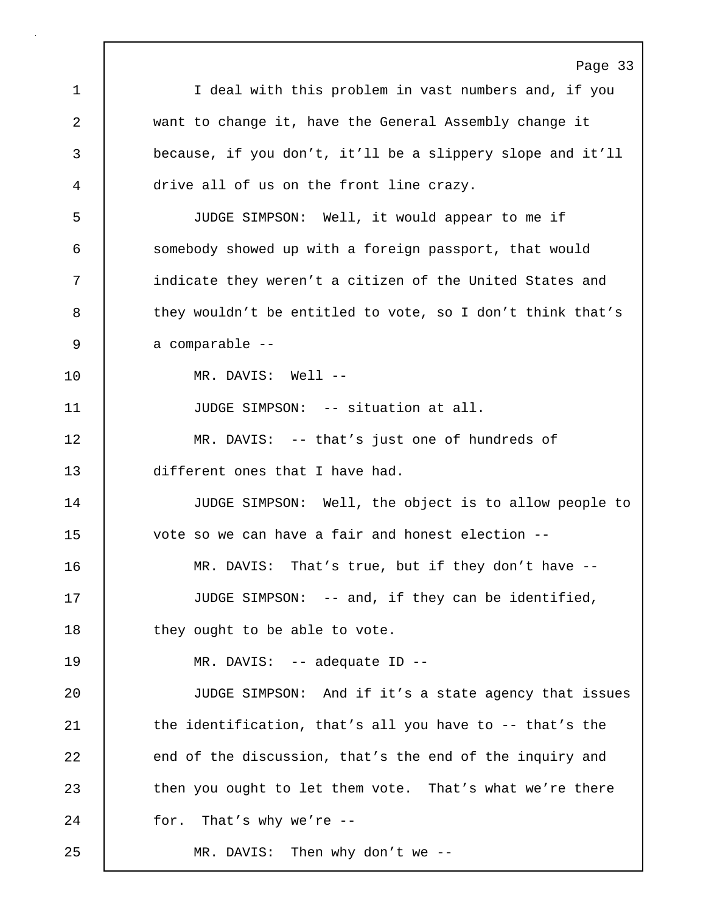Page 33 1 I deal with this problem in vast numbers and, if you 2 want to change it, have the General Assembly change it 3 because, if you don't, it'll be a slippery slope and it'll 4 drive all of us on the front line crazy. 5 JUDGE SIMPSON: Well, it would appear to me if 6 somebody showed up with a foreign passport, that would 7 | indicate they weren't a citizen of the United States and 8 they wouldn't be entitled to vote, so I don't think that's 9 a comparable --10 MR. DAVIS: Well -- 11 | JUDGE SIMPSON: -- situation at all. 12 MR. DAVIS: -- that's just one of hundreds of 13 different ones that I have had. 14 JUDGE SIMPSON: Well, the object is to allow people to 15 vote so we can have a fair and honest election -- 16 MR. DAVIS: That's true, but if they don't have -- 17 JUDGE SIMPSON: -- and, if they can be identified, 18 | they ought to be able to vote. 19 MR. DAVIS: -- adequate ID -- 20 JUDGE SIMPSON: And if it's a state agency that issues 21 | the identification, that's all you have to -- that's the 22 end of the discussion, that's the end of the inquiry and 23 then you ought to let them vote. That's what we're there 24 for. That's why we're -- 25 MR. DAVIS: Then why don't we --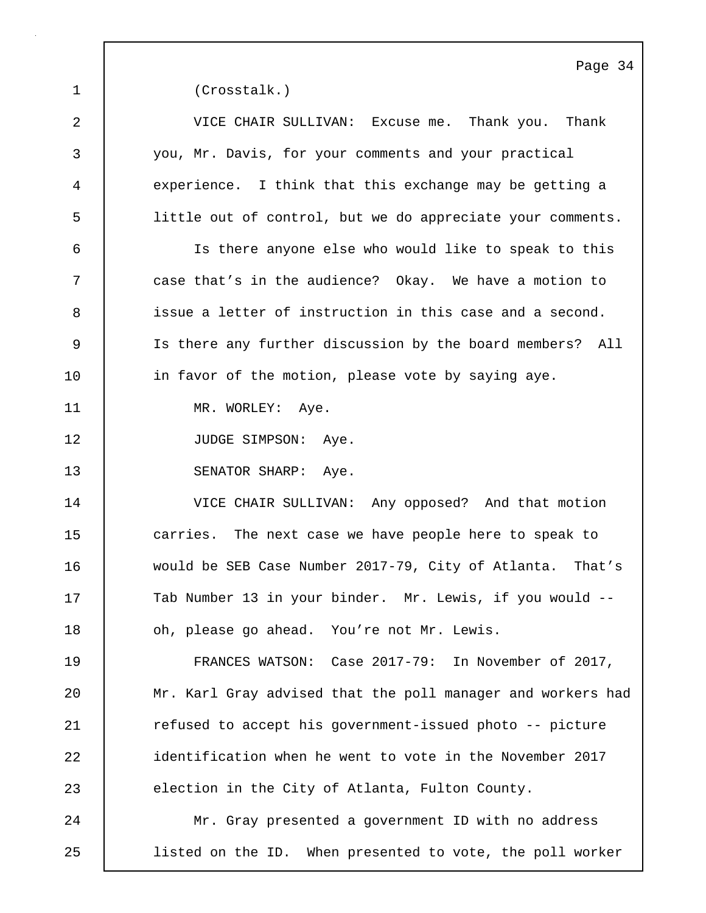1 (Crosstalk.)

2 VICE CHAIR SULLIVAN: Excuse me. Thank you. Thank 3 you, Mr. Davis, for your comments and your practical 4 experience. I think that this exchange may be getting a 5 little out of control, but we do appreciate your comments. 6 Is there anyone else who would like to speak to this 7 case that's in the audience? Okay. We have a motion to 8 issue a letter of instruction in this case and a second. 9 Is there any further discussion by the board members? All 10 in favor of the motion, please vote by saying aye. 11 | MR. WORLEY: Aye. 12 | JUDGE SIMPSON: Aye. 13 SENATOR SHARP: Aye. 14 VICE CHAIR SULLIVAN: Any opposed? And that motion 15 carries. The next case we have people here to speak to 16 would be SEB Case Number 2017-79, City of Atlanta. That's 17 Tab Number 13 in your binder. Mr. Lewis, if you would --18 **decive** oh, please go ahead. You're not Mr. Lewis. 19 FRANCES WATSON: Case 2017-79: In November of 2017, 20 Mr. Karl Gray advised that the poll manager and workers had 21 | refused to accept his government-issued photo -- picture 22 **i**dentification when he went to vote in the November 2017 23 election in the City of Atlanta, Fulton County. 24 | Mr. Gray presented a government ID with no address 25 listed on the ID. When presented to vote, the poll worker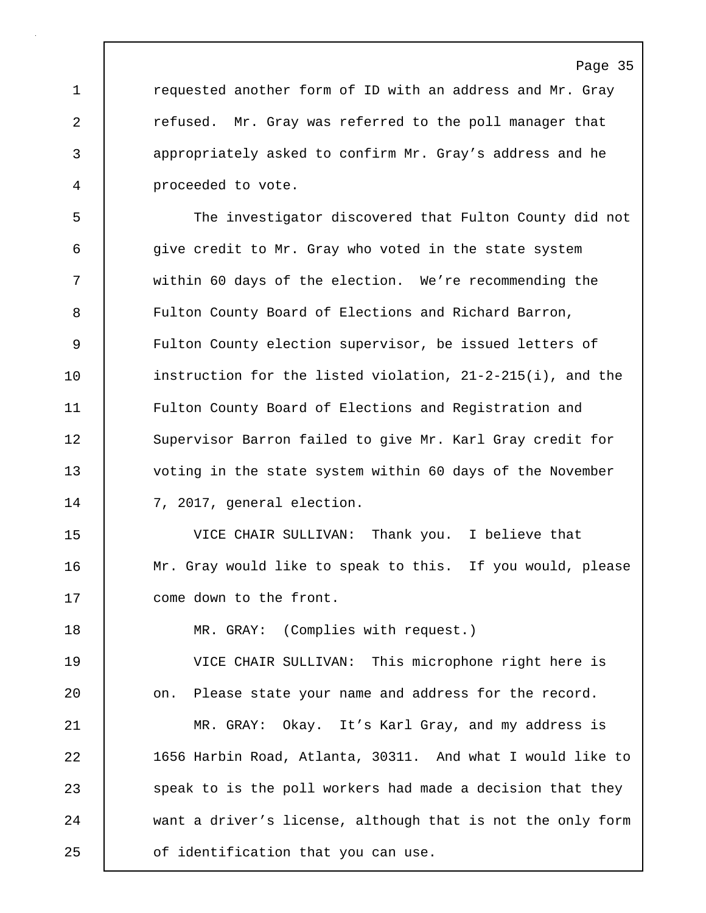1 **c**requested another form of ID with an address and Mr. Gray 2 **c** refused. Mr. Gray was referred to the poll manager that 3 appropriately asked to confirm Mr. Gray's address and he 4 proceeded to vote.

5 The investigator discovered that Fulton County did not 6 give credit to Mr. Gray who voted in the state system 7 within 60 days of the election. We're recommending the 8 Fulton County Board of Elections and Richard Barron, 9 Fulton County election supervisor, be issued letters of 10 instruction for the listed violation, 21-2-215(i), and the 11 Fulton County Board of Elections and Registration and 12 Supervisor Barron failed to give Mr. Karl Gray credit for 13 voting in the state system within 60 days of the November 14 7, 2017, general election.

15 VICE CHAIR SULLIVAN: Thank you. I believe that 16 | Mr. Gray would like to speak to this. If you would, please 17 come down to the front.

18 | MR. GRAY: (Complies with request.)

19 VICE CHAIR SULLIVAN: This microphone right here is 20 on. Please state your name and address for the record. 21 | MR. GRAY: Okay. It's Karl Gray, and my address is 22 1656 Harbin Road, Atlanta, 30311. And what I would like to 23 speak to is the poll workers had made a decision that they 24 want a driver's license, although that is not the only form 25 **o**f identification that you can use.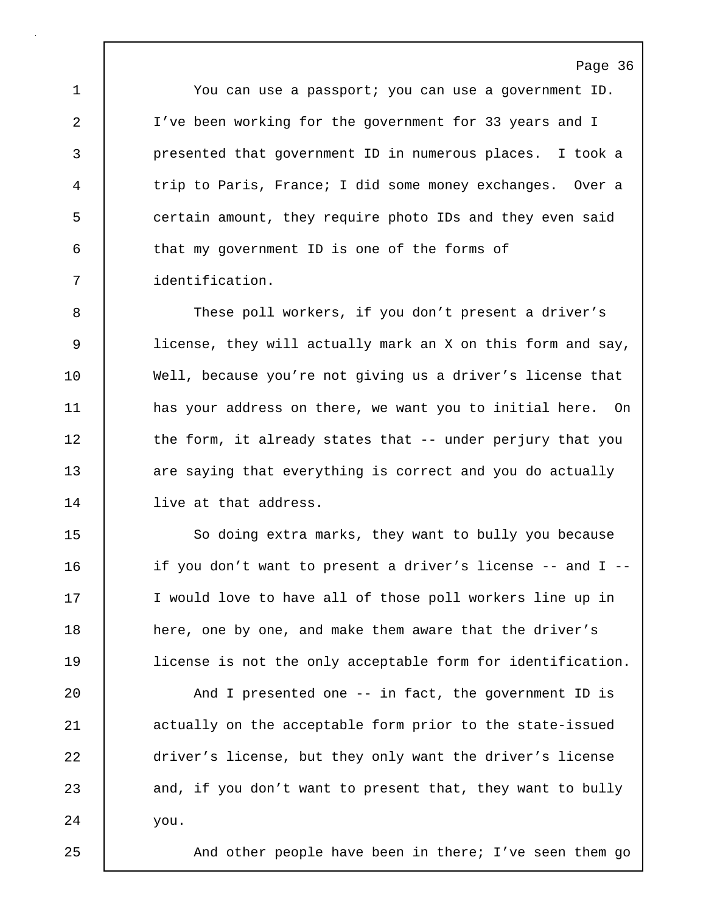1 You can use a passport; you can use a government ID. 2 I've been working for the government for 33 years and I 3 presented that government ID in numerous places. I took a 4 trip to Paris, France; I did some money exchanges. Over a 5 certain amount, they require photo IDs and they even said 6 that my government ID is one of the forms of 7 identification.

8 These poll workers, if you don't present a driver's 9 license, they will actually mark an X on this form and say, 10 Well, because you're not giving us a driver's license that 11 has your address on there, we want you to initial here. On 12 | the form, it already states that -- under perjury that you 13 are saying that everything is correct and you do actually 14 | live at that address.

15 | So doing extra marks, they want to bully you because 16 if you don't want to present a driver's license -- and I -- 17 | I would love to have all of those poll workers line up in 18 here, one by one, and make them aware that the driver's 19 license is not the only acceptable form for identification.

20 | And I presented one -- in fact, the government ID is 21 | actually on the acceptable form prior to the state-issued 22 driver's license, but they only want the driver's license 23 and, if you don't want to present that, they want to bully 24 you.

25 | And other people have been in there; I've seen them go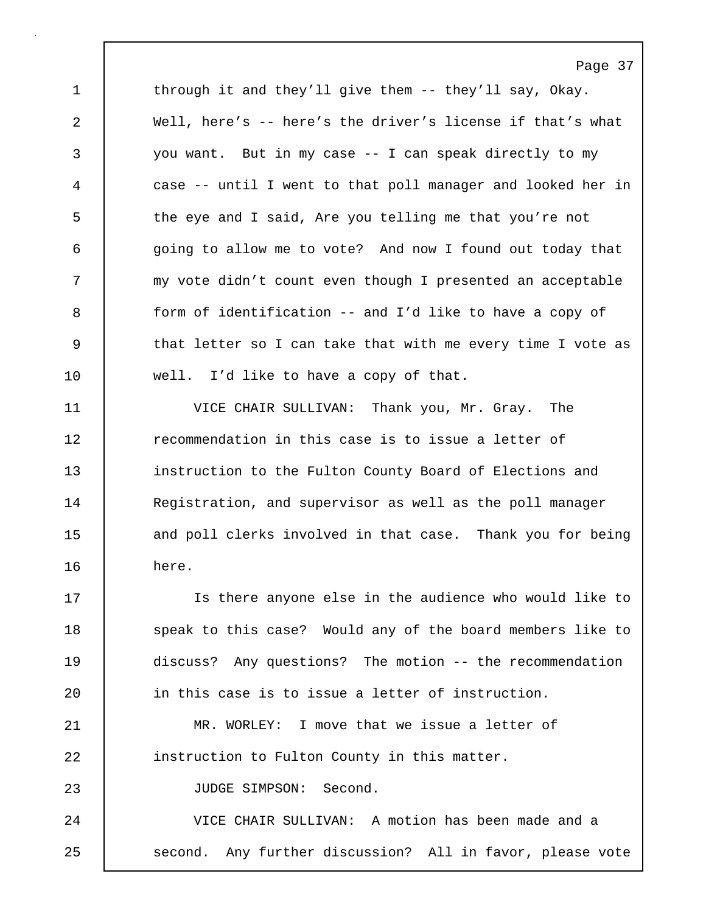1 through it and they'll give them -- they'll say, Okay. 2 Well, here's -- here's the driver's license if that's what 3 you want. But in my case -- I can speak directly to my 4 case -- until I went to that poll manager and looked her in 5 the eye and I said, Are you telling me that you're not 6 going to allow me to vote? And now I found out today that 7 my vote didn't count even though I presented an acceptable 8 form of identification -- and I'd like to have a copy of 9 | that letter so I can take that with me every time I vote as 10 well. I'd like to have a copy of that.

Page 37

11 VICE CHAIR SULLIVAN: Thank you, Mr. Gray. The 12 **The 12** recommendation in this case is to issue a letter of 13 **instruction to the Fulton County Board of Elections and** 14 Registration, and supervisor as well as the poll manager 15 and poll clerks involved in that case. Thank you for being 16 here.

17 Is there anyone else in the audience who would like to 18 | speak to this case? Would any of the board members like to 19 discuss? Any questions? The motion -- the recommendation 20 **in this case is to issue a letter of instruction.** 

21 MR. WORLEY: I move that we issue a letter of 22 instruction to Fulton County in this matter.

23 | JUDGE SIMPSON: Second.

24 | VICE CHAIR SULLIVAN: A motion has been made and a 25 | second. Any further discussion? All in favor, please vote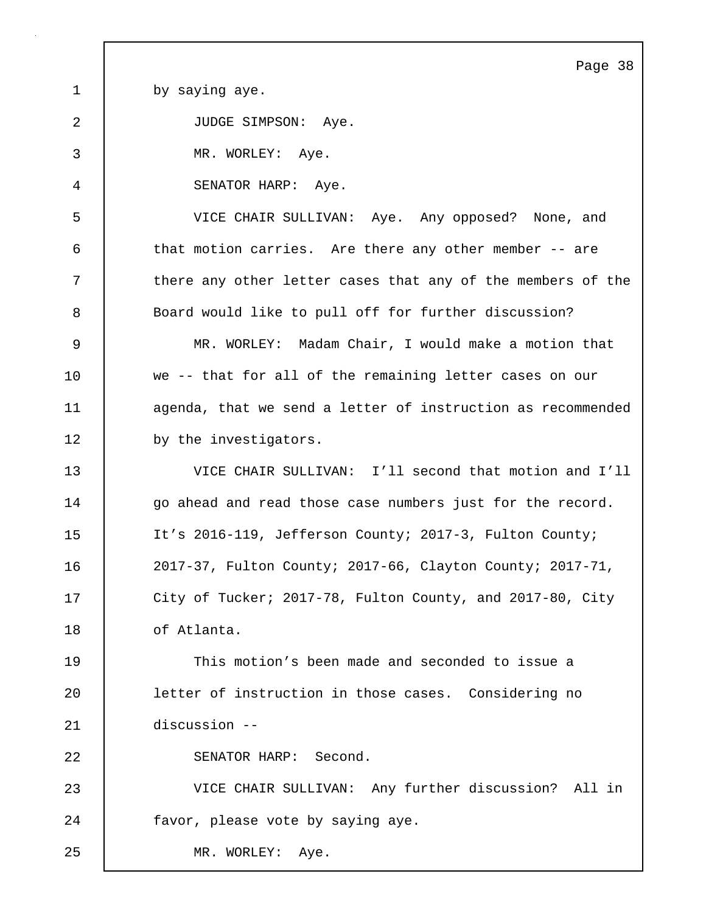Page 38 1 by saying aye. 2 JUDGE SIMPSON: Aye. 3 MR. WORLEY: Aye. 4 SENATOR HARP: Aye. 5 VICE CHAIR SULLIVAN: Aye. Any opposed? None, and 6 that motion carries. Are there any other member -- are 7 there any other letter cases that any of the members of the 8 Board would like to pull off for further discussion? 9 MR. WORLEY: Madam Chair, I would make a motion that 10 we -- that for all of the remaining letter cases on our 11 **agenda**, that we send a letter of instruction as recommended 12 by the investigators. 13 VICE CHAIR SULLIVAN: I'll second that motion and I'll 14 | go ahead and read those case numbers just for the record. 15 It's 2016-119, Jefferson County; 2017-3, Fulton County; 16 2017-37, Fulton County; 2017-66, Clayton County; 2017-71, 17 | City of Tucker; 2017-78, Fulton County, and 2017-80, City 18 of Atlanta. 19 This motion's been made and seconded to issue a 20 letter of instruction in those cases. Considering no 21 discussion -- 22 SENATOR HARP: Second. 23 VICE CHAIR SULLIVAN: Any further discussion? All in 24 **favor**, please vote by saying aye. 25 | MR. WORLEY: Aye.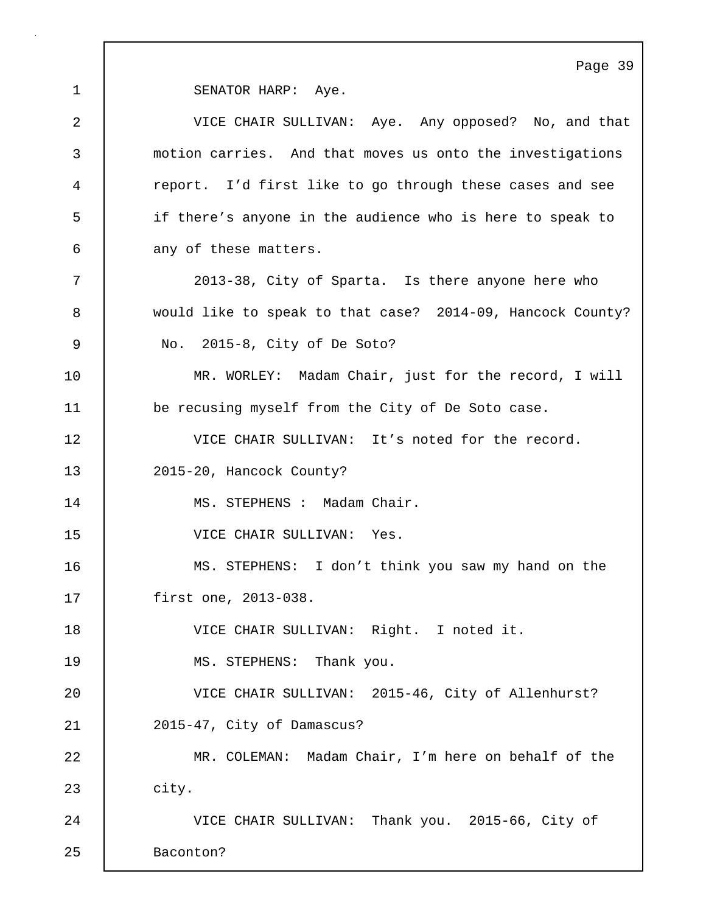1 SENATOR HARP: Aye. 2 VICE CHAIR SULLIVAN: Aye. Any opposed? No, and that 3 motion carries. And that moves us onto the investigations 4 report. I'd first like to go through these cases and see 5 if there's anyone in the audience who is here to speak to 6 any of these matters. 7 2013-38, City of Sparta. Is there anyone here who 8 would like to speak to that case? 2014-09, Hancock County? 9 No. 2015-8, City of De Soto? 10 | MR. WORLEY: Madam Chair, just for the record, I will 11 be recusing myself from the City of De Soto case. 12 VICE CHAIR SULLIVAN: It's noted for the record. 13 2015-20, Hancock County? 14 MS. STEPHENS : Madam Chair. 15 VICE CHAIR SULLIVAN: Yes. 16 MS. STEPHENS: I don't think you saw my hand on the 17 first one, 2013-038. 18 VICE CHAIR SULLIVAN: Right. I noted it. 19 MS. STEPHENS: Thank you. 20 VICE CHAIR SULLIVAN: 2015-46, City of Allenhurst? 21 2015-47, City of Damascus? 22 MR. COLEMAN: Madam Chair, I'm here on behalf of the 23 city. 24 VICE CHAIR SULLIVAN: Thank you. 2015-66, City of 25 Baconton?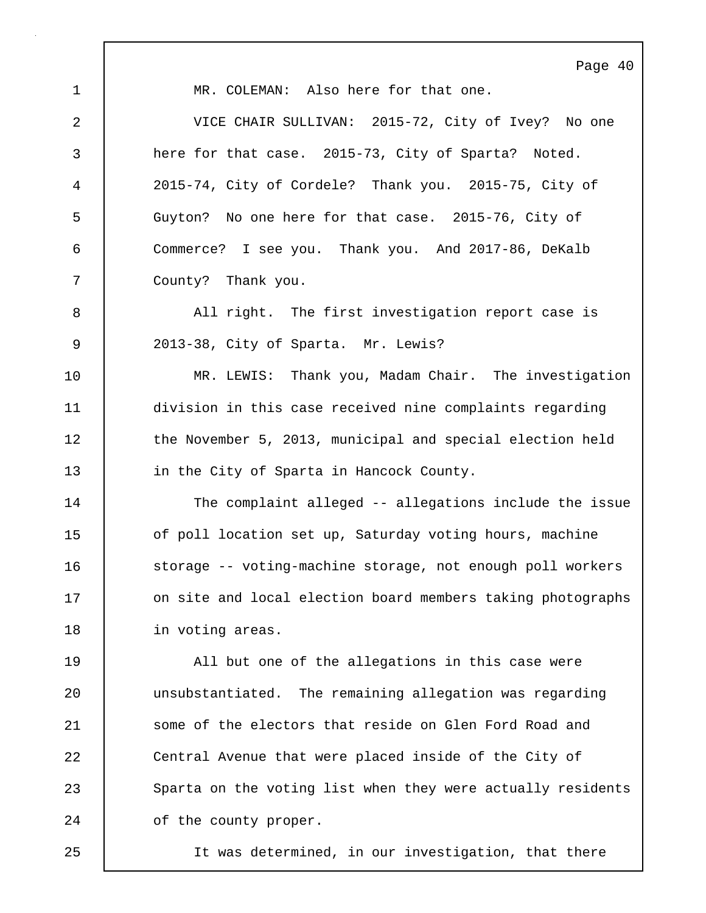Page 40 1 MR. COLEMAN: Also here for that one. 2 VICE CHAIR SULLIVAN: 2015-72, City of Ivey? No one 3 here for that case. 2015-73, City of Sparta? Noted. 4 2015-74, City of Cordele? Thank you. 2015-75, City of 5 Guyton? No one here for that case. 2015-76, City of 6 Commerce? I see you. Thank you. And 2017-86, DeKalb 7 County? Thank you. 8 | All right. The first investigation report case is 9 2013-38, City of Sparta. Mr. Lewis? 10 MR. LEWIS: Thank you, Madam Chair. The investigation 11 division in this case received nine complaints regarding 12 the November 5, 2013, municipal and special election held 13 **in the City of Sparta in Hancock County.** 14 The complaint alleged -- allegations include the issue 15 **o**f poll location set up, Saturday voting hours, machine 16 Storage -- voting-machine storage, not enough poll workers 17 **c** on site and local election board members taking photographs 18 | in voting areas. 19 All but one of the allegations in this case were 20 unsubstantiated. The remaining allegation was regarding 21 Some of the electors that reside on Glen Ford Road and 22 Central Avenue that were placed inside of the City of 23 Sparta on the voting list when they were actually residents 24 of the county proper.

25 It was determined, in our investigation, that there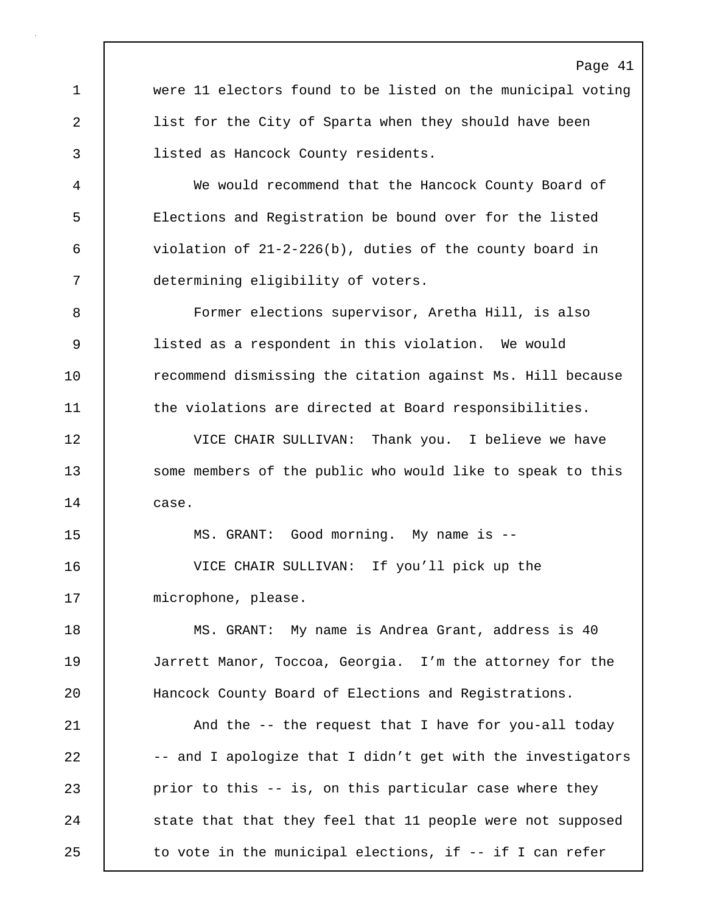Page 41 1 were 11 electors found to be listed on the municipal voting 2 list for the City of Sparta when they should have been 3 listed as Hancock County residents. 4 We would recommend that the Hancock County Board of 5 Elections and Registration be bound over for the listed 6 violation of 21-2-226(b), duties of the county board in 7 determining eligibility of voters. 8 Former elections supervisor, Aretha Hill, is also 9 listed as a respondent in this violation. We would 10 Tecommend dismissing the citation against Ms. Hill because 11 the violations are directed at Board responsibilities. 12 VICE CHAIR SULLIVAN: Thank you. I believe we have 13 Some members of the public who would like to speak to this 14 case. 15 MS. GRANT: Good morning. My name is -- 16 VICE CHAIR SULLIVAN: If you'll pick up the 17 | microphone, please. 18 | MS. GRANT: My name is Andrea Grant, address is 40 19 Jarrett Manor, Toccoa, Georgia. I'm the attorney for the 20 Hancock County Board of Elections and Registrations. 21 | And the -- the request that I have for you-all today 22 -- and I apologize that I didn't get with the investigators 23 prior to this -- is, on this particular case where they 24 state that that they feel that 11 people were not supposed 25 | to vote in the municipal elections, if -- if I can refer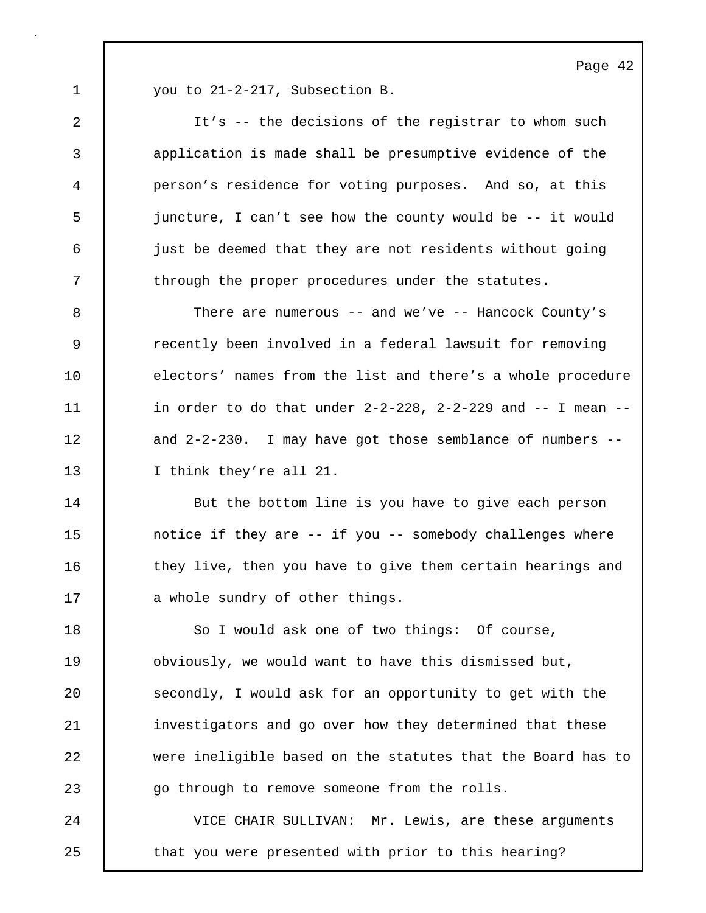1 vou to 21-2-217, Subsection B.

2 It's -- the decisions of the registrar to whom such 3 application is made shall be presumptive evidence of the 4 person's residence for voting purposes. And so, at this 5 juncture, I can't see how the county would be -- it would 6 just be deemed that they are not residents without going 7 T through the proper procedures under the statutes.

8 There are numerous -- and we've -- Hancock County's 9 **Part I** recently been involved in a federal lawsuit for removing 10 electors' names from the list and there's a whole procedure 11  $\vert$  in order to do that under 2-2-228, 2-2-229 and -- I mean --12 and 2-2-230. I may have got those semblance of numbers --13 I think they're all 21.

14 | But the bottom line is you have to give each person 15 15 notice if they are -- if you -- somebody challenges where 16 they live, then you have to give them certain hearings and 17 a whole sundry of other things.

18 | So I would ask one of two things: Of course, 19 **buding 19** obviously, we would want to have this dismissed but, 20 Secondly, I would ask for an opportunity to get with the 21 investigators and go over how they determined that these 22 were ineligible based on the statutes that the Board has to 23 go through to remove someone from the rolls.

24 | VICE CHAIR SULLIVAN: Mr. Lewis, are these arguments 25 | that you were presented with prior to this hearing?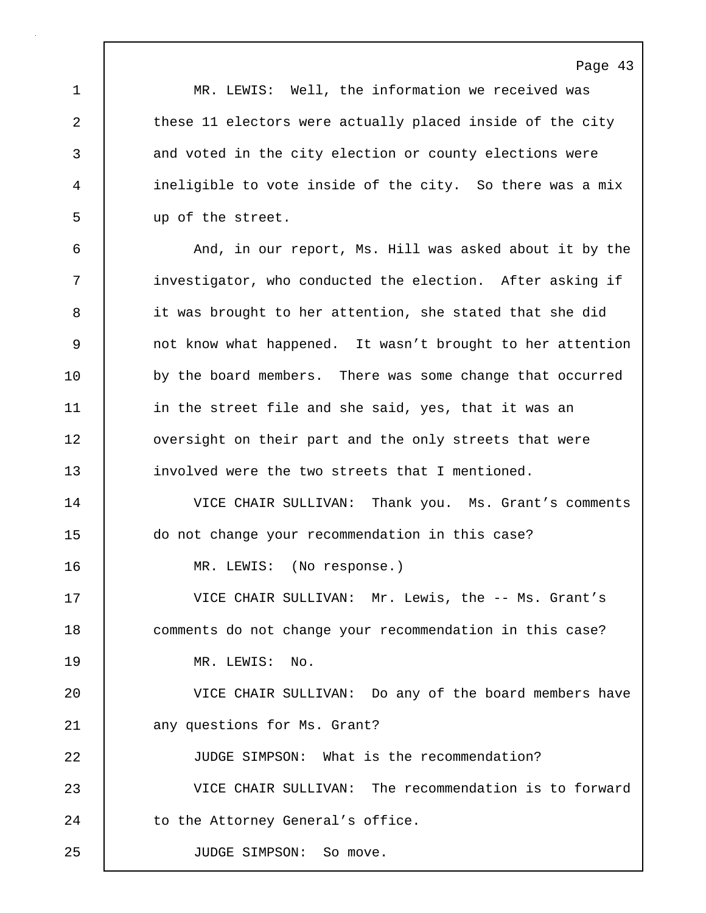|             | Page 43                                                    |
|-------------|------------------------------------------------------------|
| $\mathbf 1$ | MR. LEWIS: Well, the information we received was           |
| 2           | these 11 electors were actually placed inside of the city  |
| 3           | and voted in the city election or county elections were    |
| 4           | ineligible to vote inside of the city. So there was a mix  |
| 5           | up of the street.                                          |
| 6           | And, in our report, Ms. Hill was asked about it by the     |
| 7           | investigator, who conducted the election. After asking if  |
| 8           | it was brought to her attention, she stated that she did   |
| 9           | not know what happened. It wasn't brought to her attention |
| 10          | by the board members. There was some change that occurred  |
| 11          | in the street file and she said, yes, that it was an       |
| 12          | oversight on their part and the only streets that were     |
| 13          | involved were the two streets that I mentioned.            |
| 14          | VICE CHAIR SULLIVAN: Thank you. Ms. Grant's comments       |
| 15          | do not change your recommendation in this case?            |
| 16          | MR. LEWIS: (No response.)                                  |
| 17          | VICE CHAIR SULLIVAN: Mr. Lewis, the -- Ms. Grant's         |
| 18          | comments do not change your recommendation in this case?   |
| 19          | MR. LEWIS: No.                                             |
| 20          | VICE CHAIR SULLIVAN: Do any of the board members have      |
| 21          | any questions for Ms. Grant?                               |
| 22          | JUDGE SIMPSON: What is the recommendation?                 |
| 23          | VICE CHAIR SULLIVAN: The recommendation is to forward      |
| 24          | to the Attorney General's office.                          |
| 25          | JUDGE SIMPSON: So move.                                    |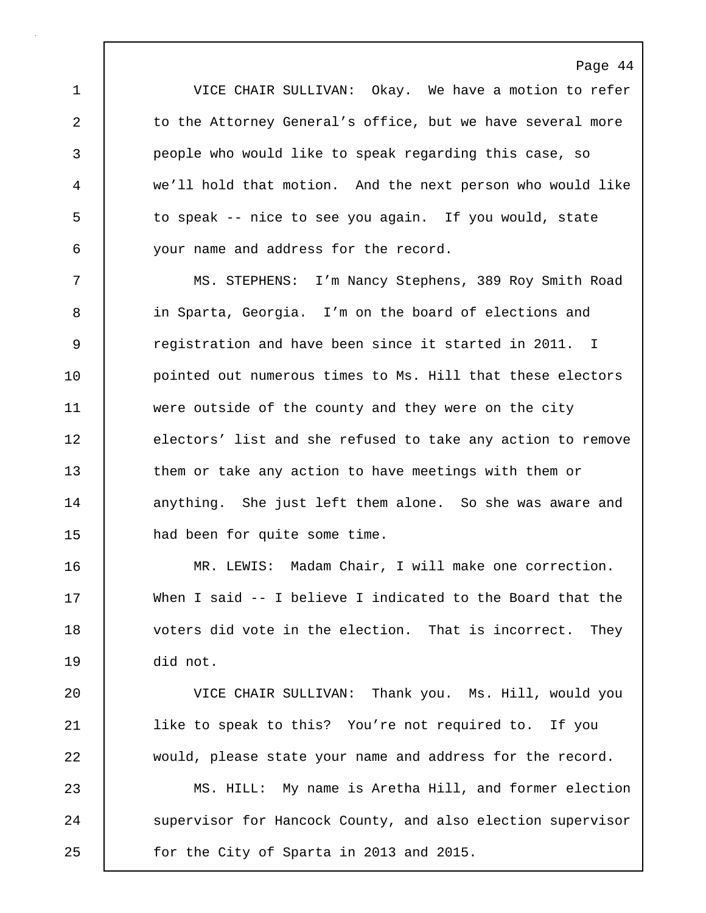1 VICE CHAIR SULLIVAN: Okay. We have a motion to refer 2 to the Attorney General's office, but we have several more 3 people who would like to speak regarding this case, so 4 we'll hold that motion. And the next person who would like 5 to speak -- nice to see you again. If you would, state 6 your name and address for the record.

7 MS. STEPHENS: I'm Nancy Stephens, 389 Roy Smith Road 8 in Sparta, Georgia. I'm on the board of elections and 9 The registration and have been since it started in 2011. I 10 | pointed out numerous times to Ms. Hill that these electors 11 were outside of the county and they were on the city 12 electors' list and she refused to take any action to remove 13 them or take any action to have meetings with them or 14 anything. She just left them alone. So she was aware and 15 | had been for quite some time.

16 MR. LEWIS: Madam Chair, I will make one correction. 17 When I said -- I believe I indicated to the Board that the 18 | voters did vote in the election. That is incorrect. They 19 did not.

20 VICE CHAIR SULLIVAN: Thank you. Ms. Hill, would you 21 | like to speak to this? You're not required to. If you 22 would, please state your name and address for the record.

23 MS. HILL: My name is Aretha Hill, and former election 24 Supervisor for Hancock County, and also election supervisor 25 **for the City of Sparta in 2013 and 2015.**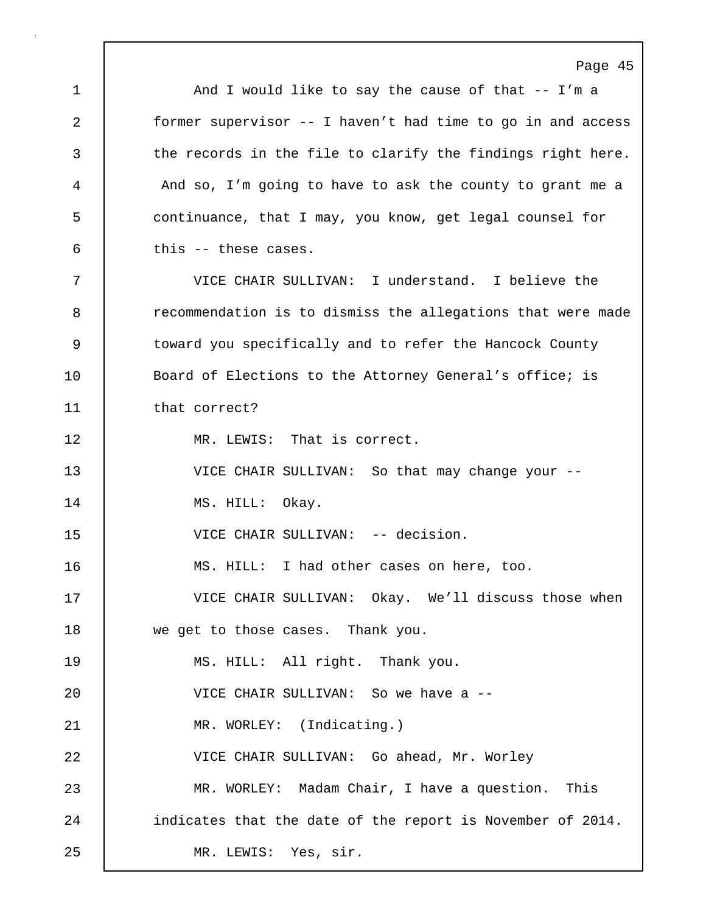Page 45 1 | And I would like to say the cause of that -- I'm a 2 former supervisor -- I haven't had time to go in and access 3 the records in the file to clarify the findings right here. 4 And so, I'm going to have to ask the county to grant me a 5 continuance, that I may, you know, get legal counsel for  $6$  this -- these cases. 7 VICE CHAIR SULLIVAN: I understand. I believe the 8 recommendation is to dismiss the allegations that were made 9 | toward you specifically and to refer the Hancock County 10 | Board of Elections to the Attorney General's office; is 11 that correct? 12 | MR. LEWIS: That is correct. 13 VICE CHAIR SULLIVAN: So that may change your -- 14 | MS. HILL: Okay. 15 VICE CHAIR SULLIVAN: -- decision. 16 MS. HILL: I had other cases on here, too. 17 VICE CHAIR SULLIVAN: Okay. We'll discuss those when 18 we get to those cases. Thank you. 19 | MS. HILL: All right. Thank you. 20 VICE CHAIR SULLIVAN: So we have a -- 21 MR. WORLEY: (Indicating.) 22 VICE CHAIR SULLIVAN: Go ahead, Mr. Worley 23 MR. WORLEY: Madam Chair, I have a question. This 24 | indicates that the date of the report is November of 2014. 25 MR. LEWIS: Yes, sir.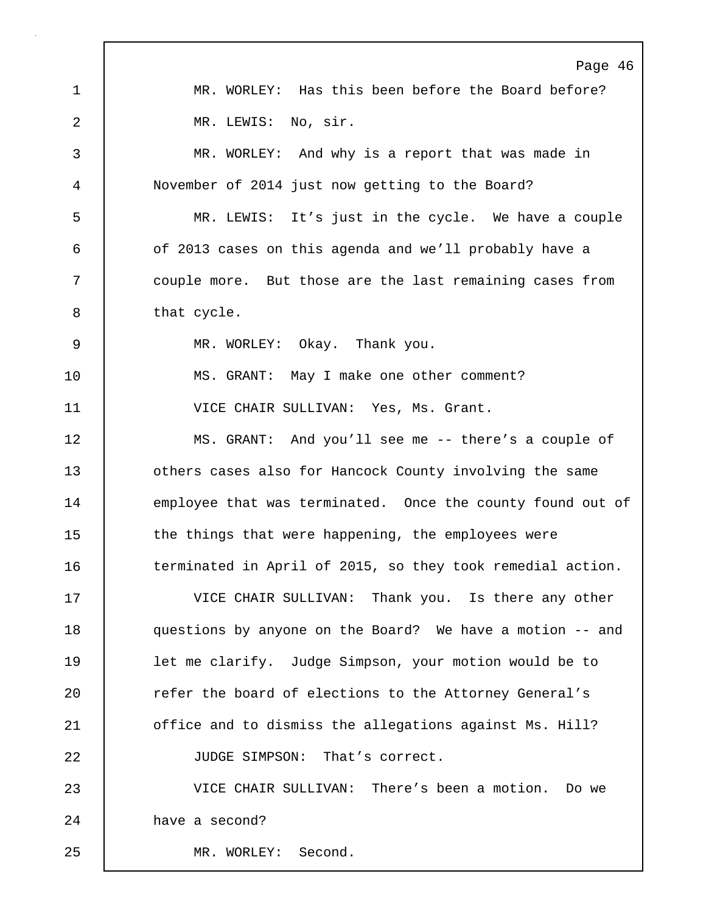Page 46 1 | MR. WORLEY: Has this been before the Board before? 2 | MR. LEWIS: No, sir. 3 MR. WORLEY: And why is a report that was made in 4 November of 2014 just now getting to the Board? 5 MR. LEWIS: It's just in the cycle. We have a couple 6 of 2013 cases on this agenda and we'll probably have a 7 | couple more. But those are the last remaining cases from 8 | that cycle. 9 MR. WORLEY: Okay. Thank you. 10 | MS. GRANT: May I make one other comment? 11 | VICE CHAIR SULLIVAN: Yes, Ms. Grant. 12 MS. GRANT: And you'll see me -- there's a couple of 13 | others cases also for Hancock County involving the same 14 employee that was terminated. Once the county found out of 15 the things that were happening, the employees were 16 terminated in April of 2015, so they took remedial action. 17 VICE CHAIR SULLIVAN: Thank you. Is there any other 18 questions by anyone on the Board? We have a motion -- and 19 | let me clarify. Judge Simpson, your motion would be to 20 **Fig.** refer the board of elections to the Attorney General's 21 | office and to dismiss the allegations against Ms. Hill? 22 JUDGE SIMPSON: That's correct. 23 VICE CHAIR SULLIVAN: There's been a motion. Do we 24 have a second? 25 MR. WORLEY: Second.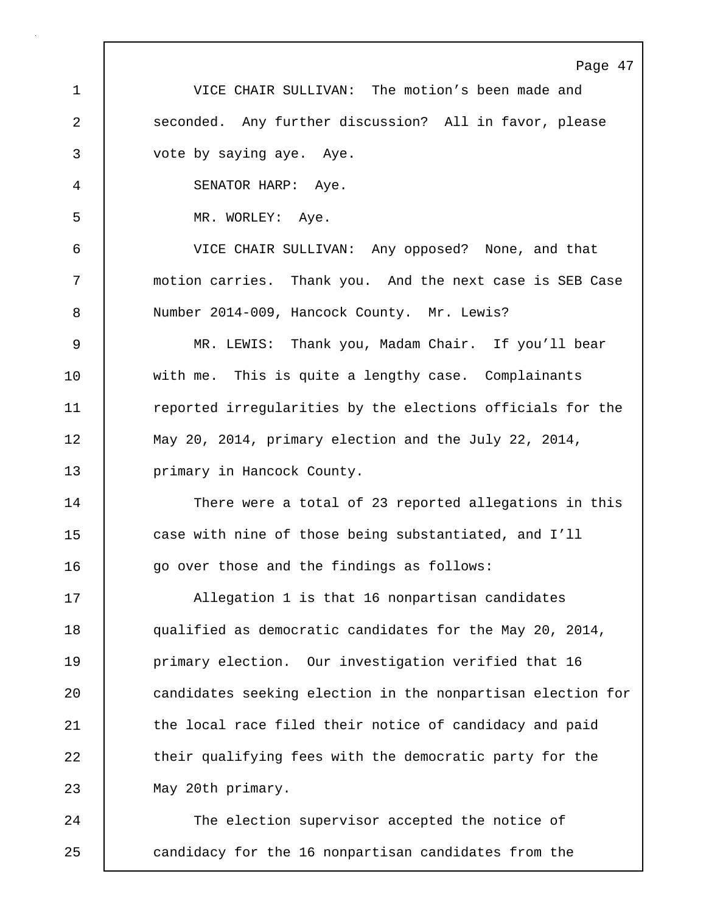Page 47 1 VICE CHAIR SULLIVAN: The motion's been made and 2 seconded. Any further discussion? All in favor, please 3 vote by saying aye. Aye. 4 SENATOR HARP: Aye. 5 MR. WORLEY: Aye. 6 VICE CHAIR SULLIVAN: Any opposed? None, and that 7 motion carries. Thank you. And the next case is SEB Case 8 Number 2014-009, Hancock County. Mr. Lewis? 9 MR. LEWIS: Thank you, Madam Chair. If you'll bear 10 with me. This is quite a lengthy case. Complainants 11 The reported irregularities by the elections officials for the 12 May 20, 2014, primary election and the July 22, 2014, 13 | primary in Hancock County. 14 There were a total of 23 reported allegations in this 15 case with nine of those being substantiated, and I'll 16 qo over those and the findings as follows: 17 Allegation 1 is that 16 nonpartisan candidates 18 qualified as democratic candidates for the May 20, 2014, 19 **primary election.** Our investigation verified that 16 20 **candidates seeking election in the nonpartisan election for** 21 | the local race filed their notice of candidacy and paid 22 their qualifying fees with the democratic party for the 23 | May 20th primary. 24 The election supervisor accepted the notice of 25 candidacy for the 16 nonpartisan candidates from the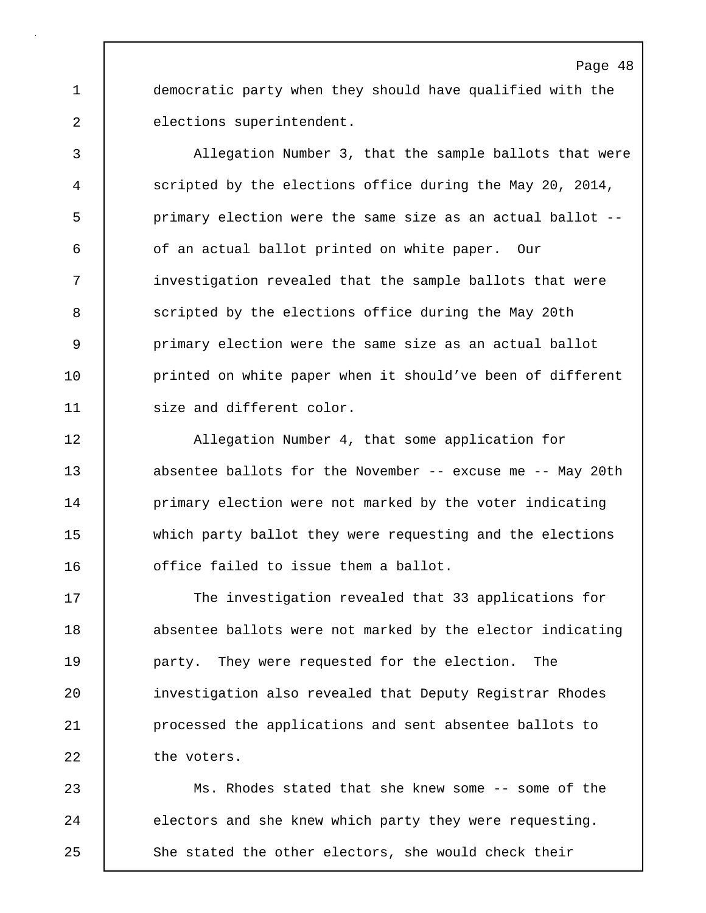1 democratic party when they should have qualified with the 2 elections superintendent.

3 Allegation Number 3, that the sample ballots that were 4 scripted by the elections office during the May 20, 2014, 5 primary election were the same size as an actual ballot -- 6 of an actual ballot printed on white paper. Our 7 | investigation revealed that the sample ballots that were 8 Scripted by the elections office during the May 20th 9 primary election were the same size as an actual ballot 10 **printed on white paper when it should've been of different** 11 | size and different color.

12 | Allegation Number 4, that some application for 13 | absentee ballots for the November -- excuse me -- May 20th 14 **primary election were not marked by the voter indicating** 15 which party ballot they were requesting and the elections 16 **deger** office failed to issue them a ballot.

17 The investigation revealed that 33 applications for 18 absentee ballots were not marked by the elector indicating 19 party. They were requested for the election. The 20 investigation also revealed that Deputy Registrar Rhodes 21 **processed the applications and sent absentee ballots to** 22 the voters.

23 Ms. Rhodes stated that she knew some -- some of the 24 electors and she knew which party they were requesting. 25 She stated the other electors, she would check their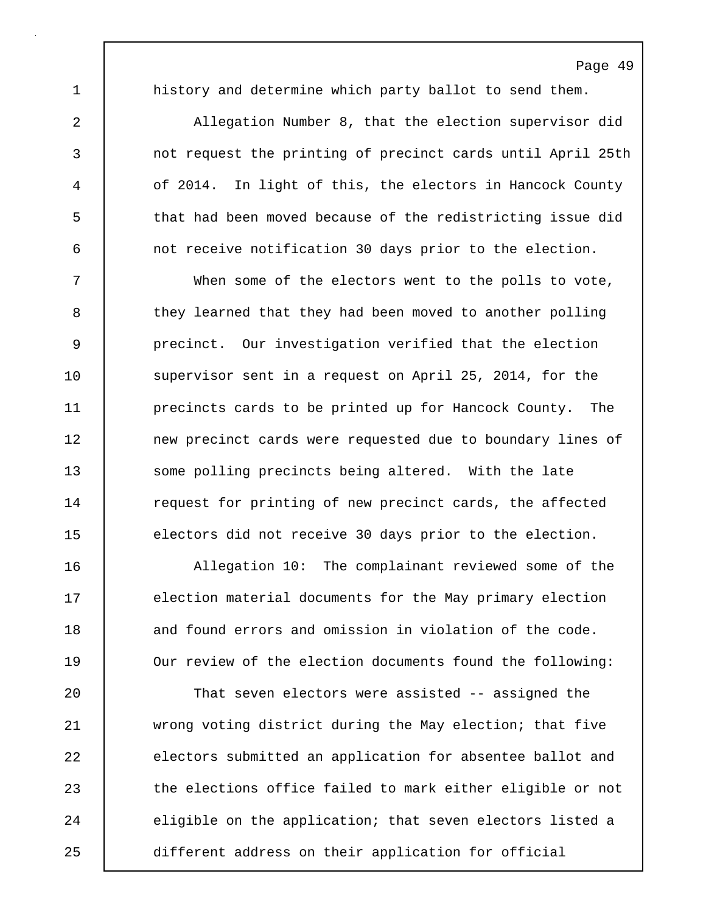1 history and determine which party ballot to send them.

2 Allegation Number 8, that the election supervisor did 3 not request the printing of precinct cards until April 25th 4 of 2014. In light of this, the electors in Hancock County 5 that had been moved because of the redistricting issue did 6 not receive notification 30 days prior to the election.

7 When some of the electors went to the polls to vote, 8 they learned that they had been moved to another polling 9 precinct. Our investigation verified that the election 10 | supervisor sent in a request on April 25, 2014, for the 11 **precincts cards to be printed up for Hancock County.** The 12 | new precinct cards were requested due to boundary lines of 13 Some polling precincts being altered. With the late 14 Tequest for printing of new precinct cards, the affected 15 electors did not receive 30 days prior to the election.

16 Allegation 10: The complainant reviewed some of the 17 election material documents for the May primary election 18 and found errors and omission in violation of the code. 19 Our review of the election documents found the following:

20 That seven electors were assisted -- assigned the 21 wrong voting district during the May election; that five 22 electors submitted an application for absentee ballot and 23 | the elections office failed to mark either eligible or not 24 eligible on the application; that seven electors listed a 25 different address on their application for official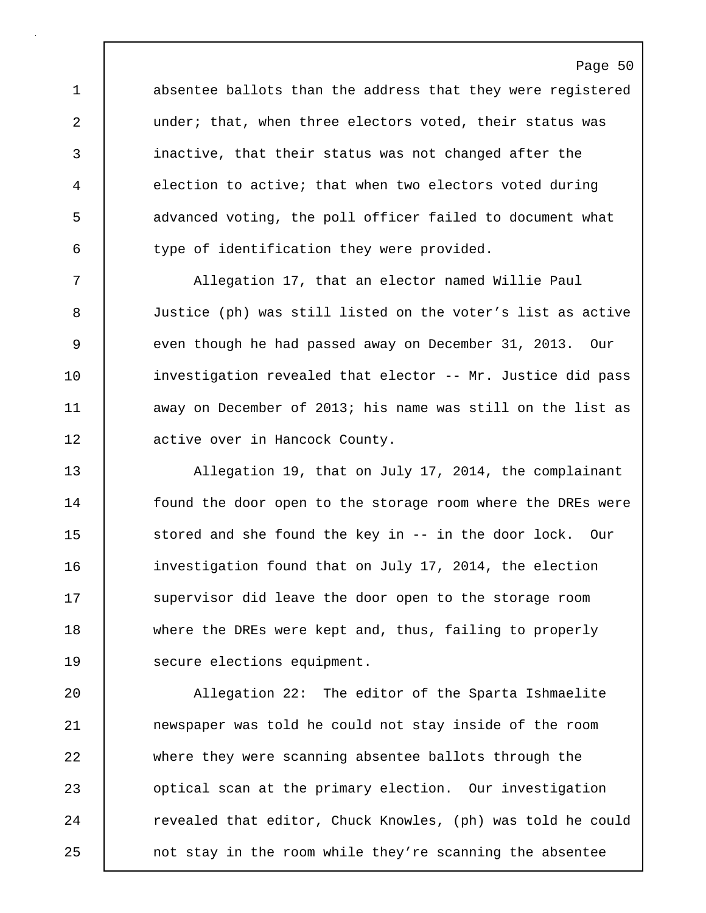1 absentee ballots than the address that they were registered 2 under; that, when three electors voted, their status was 3 inactive, that their status was not changed after the 4 election to active; that when two electors voted during 5 advanced voting, the poll officer failed to document what 6 type of identification they were provided.

7 Allegation 17, that an elector named Willie Paul 8 Justice (ph) was still listed on the voter's list as active 9 even though he had passed away on December 31, 2013. Our 10 | investigation revealed that elector -- Mr. Justice did pass 11 away on December of 2013; his name was still on the list as 12 active over in Hancock County.

13 Allegation 19, that on July 17, 2014, the complainant 14 **found the door open to the storage room where the DREs were** 15 stored and she found the key in -- in the door lock. Our 16 | investigation found that on July 17, 2014, the election 17 Supervisor did leave the door open to the storage room 18 where the DREs were kept and, thus, failing to properly 19 | secure elections equipment.

20 Allegation 22: The editor of the Sparta Ishmaelite 21 newspaper was told he could not stay inside of the room 22 where they were scanning absentee ballots through the 23 | optical scan at the primary election. Our investigation 24 Tevealed that editor, Chuck Knowles, (ph) was told he could 25 **not stay in the room while they're scanning the absentee**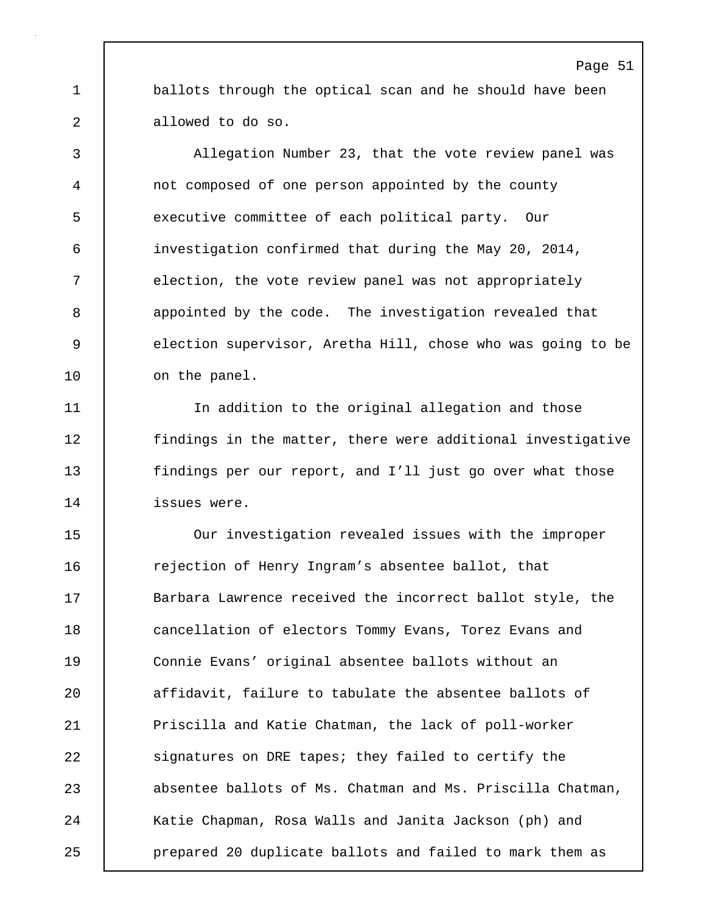1 ballots through the optical scan and he should have been 2 allowed to do so.

3 Allegation Number 23, that the vote review panel was 4 not composed of one person appointed by the county 5 executive committee of each political party. Our 6 investigation confirmed that during the May 20, 2014, 7 election, the vote review panel was not appropriately 8 appointed by the code. The investigation revealed that 9 election supervisor, Aretha Hill, chose who was going to be 10 | on the panel.

11 In addition to the original allegation and those 12 findings in the matter, there were additional investigative 13 findings per our report, and I'll just go over what those 14 issues were.

15 Our investigation revealed issues with the improper 16 Tejection of Henry Ingram's absentee ballot, that 17 Sarbara Lawrence received the incorrect ballot style, the 18 **cancellation of electors Tommy Evans, Torez Evans and** 19 Connie Evans' original absentee ballots without an 20 **a**ffidavit, failure to tabulate the absentee ballots of 21 Priscilla and Katie Chatman, the lack of poll-worker 22 Signatures on DRE tapes; they failed to certify the 23 absentee ballots of Ms. Chatman and Ms. Priscilla Chatman, 24 Katie Chapman, Rosa Walls and Janita Jackson (ph) and 25 prepared 20 duplicate ballots and failed to mark them as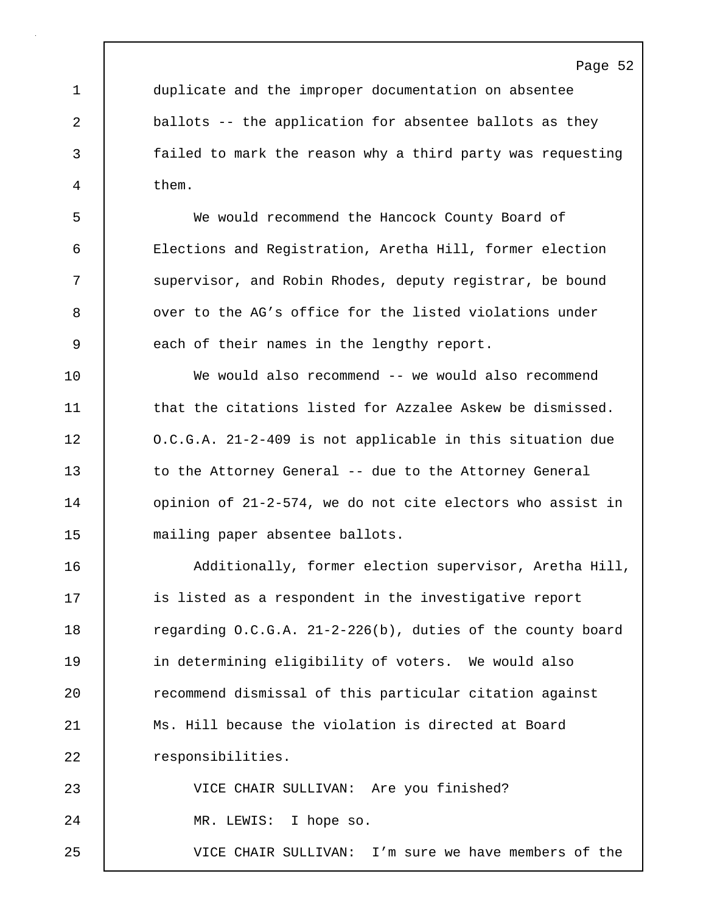1 duplicate and the improper documentation on absentee 2 ballots -- the application for absentee ballots as they 3 failed to mark the reason why a third party was requesting 4 them.

5 We would recommend the Hancock County Board of 6 Elections and Registration, Aretha Hill, former election 7 Supervisor, and Robin Rhodes, deputy registrar, be bound 8  $\blacksquare$  over to the AG's office for the listed violations under 9 each of their names in the lengthy report.

10 We would also recommend -- we would also recommend 11 **that the citations listed for Azzalee Askew be dismissed.** 12 | O.C.G.A. 21-2-409 is not applicable in this situation due 13 to the Attorney General -- due to the Attorney General 14 | opinion of 21-2-574, we do not cite electors who assist in 15 mailing paper absentee ballots.

16 | Additionally, former election supervisor, Aretha Hill, 17 **is listed as a respondent in the investigative report** 18 Tegarding O.C.G.A. 21-2-226(b), duties of the county board 19 in determining eligibility of voters. We would also 20 **c** recommend dismissal of this particular citation against 21 | Ms. Hill because the violation is directed at Board 22 | responsibilities.

23 VICE CHAIR SULLIVAN: Are you finished? 24 | MR. LEWIS: I hope so. 25 VICE CHAIR SULLIVAN: I'm sure we have members of the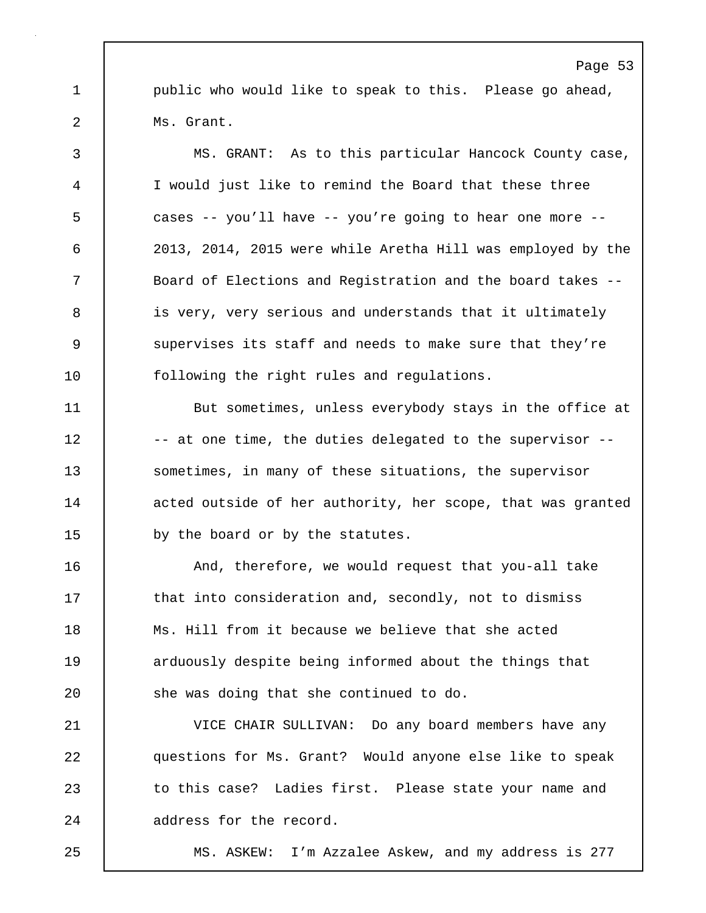1 public who would like to speak to this. Please go ahead, 2 Ms. Grant.

3 MS. GRANT: As to this particular Hancock County case, 4 I would just like to remind the Board that these three 5 cases -- you'll have -- you're going to hear one more -- 6 2013, 2014, 2015 were while Aretha Hill was employed by the 7 Board of Elections and Registration and the board takes -- 8 is very, very serious and understands that it ultimately 9 Supervises its staff and needs to make sure that they're 10 | following the right rules and regulations. 11 But sometimes, unless everybody stays in the office at

12 |  $-$  at one time, the duties delegated to the supervisor --13 Sometimes, in many of these situations, the supervisor 14 acted outside of her authority, her scope, that was granted 15 by the board or by the statutes.

16 | And, therefore, we would request that you-all take 17 that into consideration and, secondly, not to dismiss 18 Ms. Hill from it because we believe that she acted 19 **1** arduously despite being informed about the things that 20 **She was doing that she continued to do.** 

21 VICE CHAIR SULLIVAN: Do any board members have any 22 questions for Ms. Grant? Would anyone else like to speak 23 to this case? Ladies first. Please state your name and 24 address for the record.

25 MS. ASKEW: I'm Azzalee Askew, and my address is 277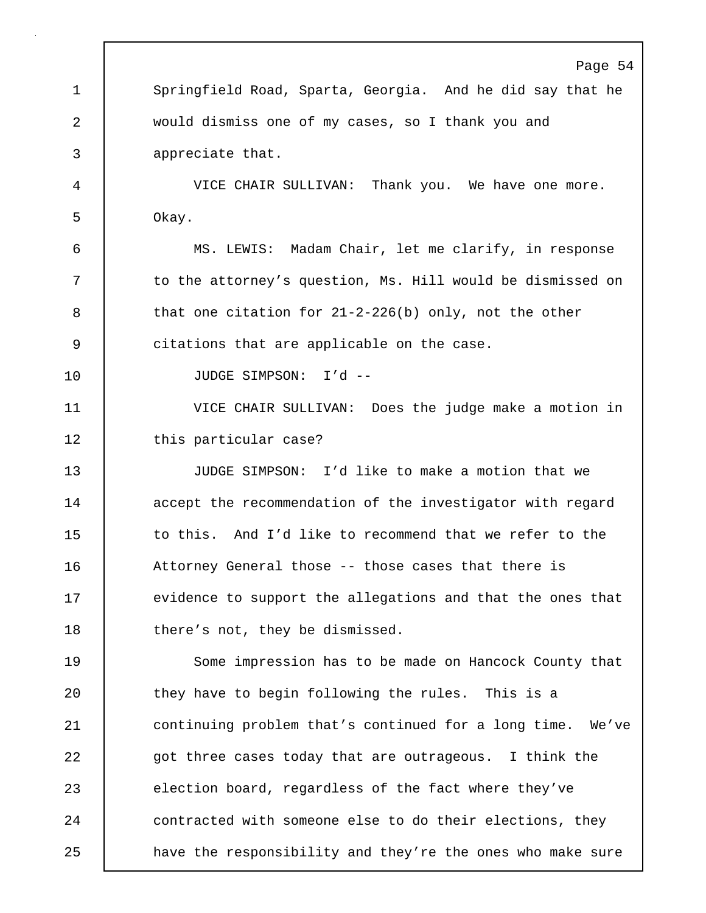Page 54 1 Springfield Road, Sparta, Georgia. And he did say that he 2 would dismiss one of my cases, so I thank you and 3 appreciate that. 4 VICE CHAIR SULLIVAN: Thank you. We have one more. 5 Okay. 6 MS. LEWIS: Madam Chair, let me clarify, in response 7 | to the attorney's question, Ms. Hill would be dismissed on 8 that one citation for 21-2-226(b) only, not the other 9 citations that are applicable on the case. 10 JUDGE SIMPSON: I'd -- 11 VICE CHAIR SULLIVAN: Does the judge make a motion in 12 | this particular case? 13 JUDGE SIMPSON: I'd like to make a motion that we 14 | accept the recommendation of the investigator with regard 15 to this. And I'd like to recommend that we refer to the 16 | Attorney General those -- those cases that there is 17 evidence to support the allegations and that the ones that 18 there's not, they be dismissed. 19 Some impression has to be made on Hancock County that 20 they have to begin following the rules. This is a 21 continuing problem that's continued for a long time. We've 22 got three cases today that are outrageous. I think the 23 election board, regardless of the fact where they've 24 contracted with someone else to do their elections, they 25 **have the responsibility and they're the ones who make sure**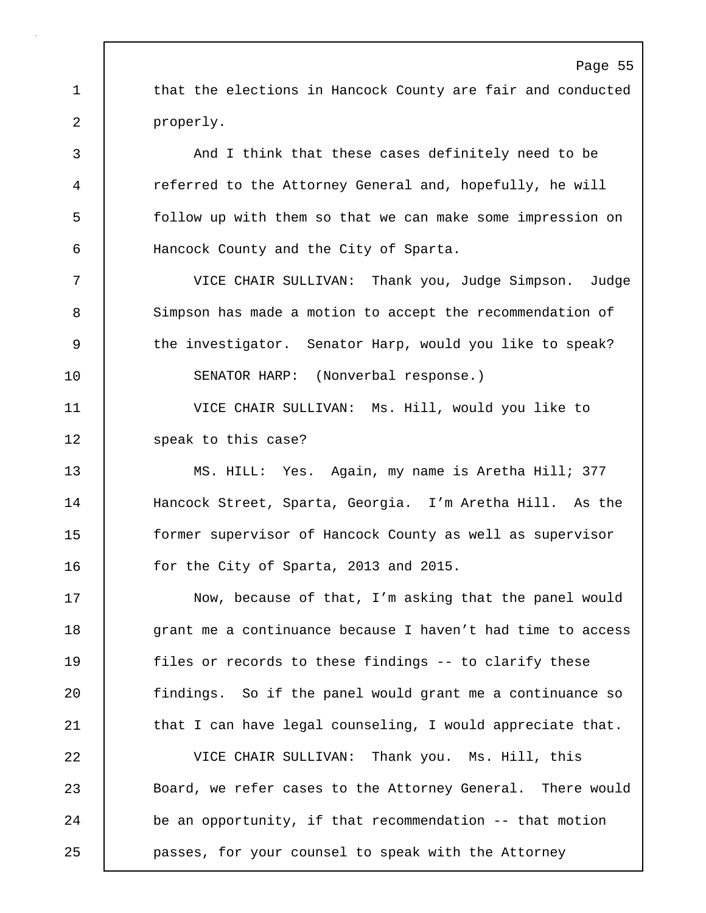1 that the elections in Hancock County are fair and conducted 2 properly. 3 And I think that these cases definitely need to be

4 referred to the Attorney General and, hopefully, he will 5 follow up with them so that we can make some impression on 6 Hancock County and the City of Sparta.

7 VICE CHAIR SULLIVAN: Thank you, Judge Simpson. Judge 8 Simpson has made a motion to accept the recommendation of 9 | the investigator. Senator Harp, would you like to speak? 10 SENATOR HARP: (Nonverbal response.)

11 VICE CHAIR SULLIVAN: Ms. Hill, would you like to

12 **Speak to this case?** 

13 MS. HILL: Yes. Again, my name is Aretha Hill; 377 14 Hancock Street, Sparta, Georgia. I'm Aretha Hill. As the 15 former supervisor of Hancock County as well as supervisor 16 **for the City of Sparta, 2013 and 2015.** 

17 Now, because of that, I'm asking that the panel would 18 | grant me a continuance because I haven't had time to access 19 files or records to these findings -- to clarify these 20 | findings. So if the panel would grant me a continuance so 21 | that I can have legal counseling, I would appreciate that.

22 VICE CHAIR SULLIVAN: Thank you. Ms. Hill, this 23 Board, we refer cases to the Attorney General. There would 24 be an opportunity, if that recommendation -- that motion 25 passes, for your counsel to speak with the Attorney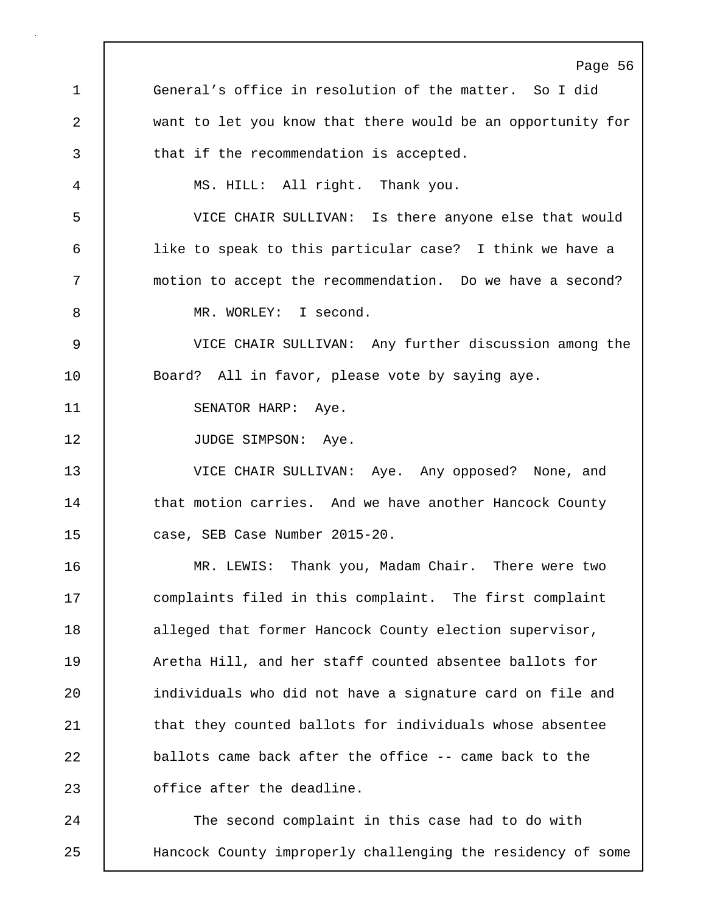Page 56 1 General's office in resolution of the matter. So I did 2 want to let you know that there would be an opportunity for 3 that if the recommendation is accepted. 4 MS. HILL: All right. Thank you. 5 VICE CHAIR SULLIVAN: Is there anyone else that would 6 like to speak to this particular case? I think we have a 7 motion to accept the recommendation. Do we have a second? 8 MR. WORLEY: I second. 9 VICE CHAIR SULLIVAN: Any further discussion among the 10 | Board? All in favor, please vote by saying aye. 11 | SENATOR HARP: Aye. 12 | JUDGE SIMPSON: Aye. 13 VICE CHAIR SULLIVAN: Aye. Any opposed? None, and 14 that motion carries. And we have another Hancock County 15 case, SEB Case Number 2015-20. 16 MR. LEWIS: Thank you, Madam Chair. There were two 17 complaints filed in this complaint. The first complaint 18 alleged that former Hancock County election supervisor, 19 **Aretha Hill, and her staff counted absentee ballots for** 20 | individuals who did not have a signature card on file and 21 **that they counted ballots for individuals whose absentee** 22 ballots came back after the office -- came back to the 23 **deta** office after the deadline. 24 The second complaint in this case had to do with 25 Hancock County improperly challenging the residency of some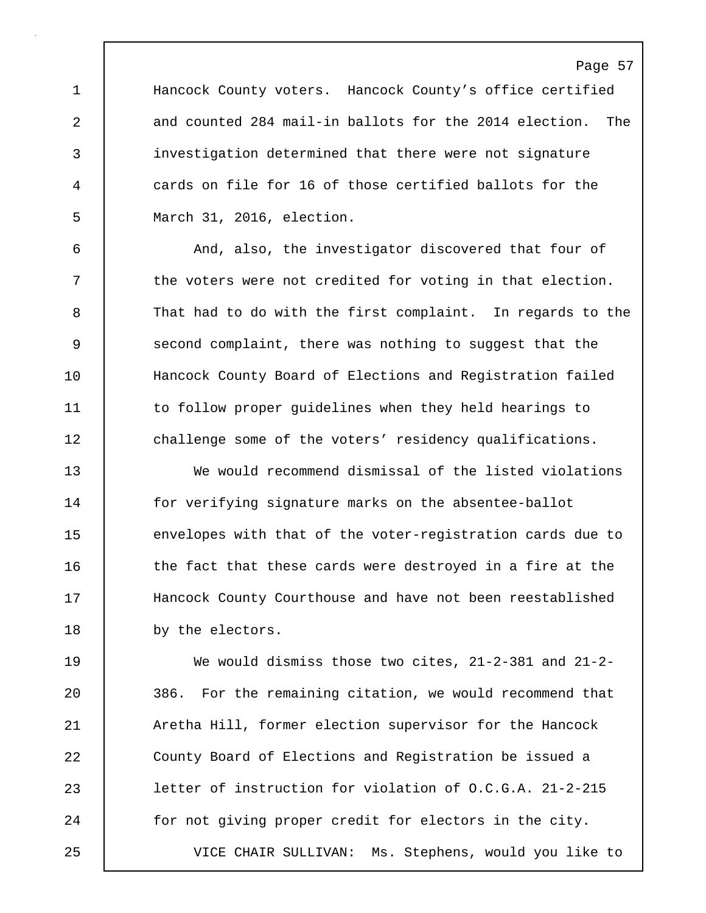1 Hancock County voters. Hancock County's office certified 2 and counted 284 mail-in ballots for the 2014 election. The 3 investigation determined that there were not signature 4 cards on file for 16 of those certified ballots for the 5 March 31, 2016, election.

6 And, also, the investigator discovered that four of 7 | the voters were not credited for voting in that election. 8 That had to do with the first complaint. In regards to the 9 Second complaint, there was nothing to suggest that the 10 | Hancock County Board of Elections and Reqistration failed 11 to follow proper guidelines when they held hearings to 12 challenge some of the voters' residency qualifications.

13 We would recommend dismissal of the listed violations 14 for verifying signature marks on the absentee-ballot 15 envelopes with that of the voter-registration cards due to 16 the fact that these cards were destroyed in a fire at the 17 | Hancock County Courthouse and have not been reestablished 18 by the electors.

19 We would dismiss those two cites, 21-2-381 and 21-2- 20 386. For the remaining citation, we would recommend that 21 Aretha Hill, former election supervisor for the Hancock 22 County Board of Elections and Registration be issued a 23 letter of instruction for violation of O.C.G.A. 21-2-215 24 for not giving proper credit for electors in the city. 25 VICE CHAIR SULLIVAN: Ms. Stephens, would you like to

#### Page 57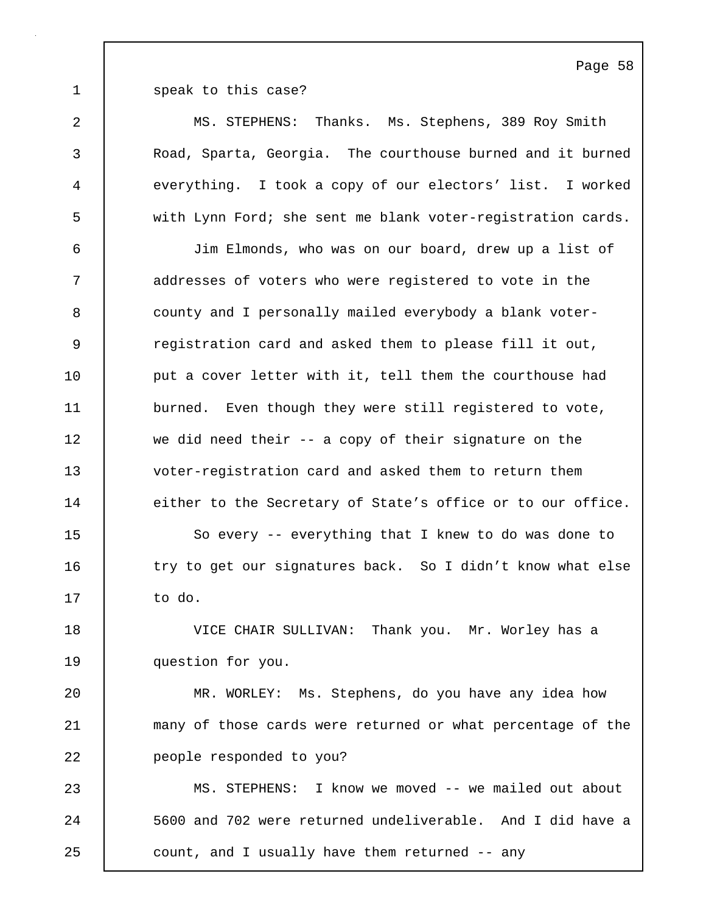1 Speak to this case?

2 MS. STEPHENS: Thanks. Ms. Stephens, 389 Roy Smith 3 Road, Sparta, Georgia. The courthouse burned and it burned 4 everything. I took a copy of our electors' list. I worked 5 with Lynn Ford; she sent me blank voter-registration cards. 6 Jim Elmonds, who was on our board, drew up a list of 7 addresses of voters who were registered to vote in the 8 | county and I personally mailed everybody a blank voter-9 The registration card and asked them to please fill it out, 10 **put a cover letter with it, tell them the courthouse had** 11 burned. Even though they were still registered to vote, 12 we did need their -- a copy of their signature on the 13 voter-registration card and asked them to return them 14 either to the Secretary of State's office or to our office. 15 | So every -- everything that I knew to do was done to 16 try to get our signatures back. So I didn't know what else 17 to do. 18 VICE CHAIR SULLIVAN: Thank you. Mr. Worley has a 19 | question for you. 20 MR. WORLEY: Ms. Stephens, do you have any idea how 21 many of those cards were returned or what percentage of the 22 | people responded to you? 23 MS. STEPHENS: I know we moved -- we mailed out about 24 5600 and 702 were returned undeliverable. And I did have a 25 count, and I usually have them returned -- any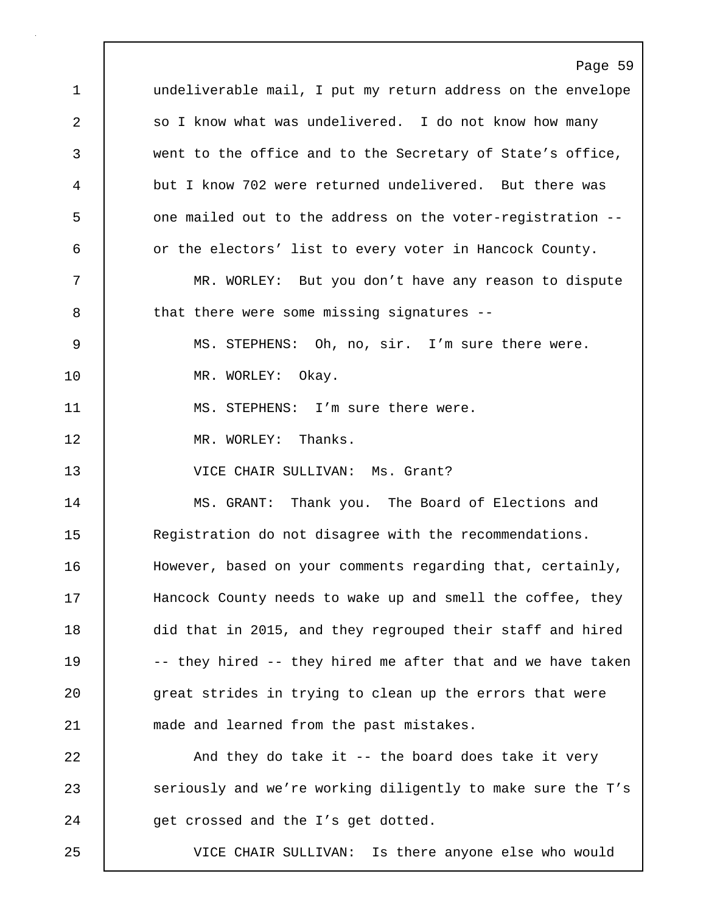Page 59 1 undeliverable mail, I put my return address on the envelope 2 | so I know what was undelivered. I do not know how many 3 went to the office and to the Secretary of State's office, 4 but I know 702 were returned undelivered. But there was 5 | one mailed out to the address on the voter-registration --6 or the electors' list to every voter in Hancock County. 7 MR. WORLEY: But you don't have any reason to dispute 8 that there were some missing signatures --9 MS. STEPHENS: Oh, no, sir. I'm sure there were. 10 | MR. WORLEY: Okay. 11 | MS. STEPHENS: I'm sure there were. 12 | MR. WORLEY: Thanks. 13 VICE CHAIR SULLIVAN: Ms. Grant? 14 | MS. GRANT: Thank you. The Board of Elections and 15 Registration do not disagree with the recommendations. 16 | However, based on your comments regarding that, certainly, 17 | Hancock County needs to wake up and smell the coffee, they 18 did that in 2015, and they regrouped their staff and hired 19 | -- they hired -- they hired me after that and we have taken 20 great strides in trying to clean up the errors that were 21 made and learned from the past mistakes. 22 And they do take it -- the board does take it very 23 Seriously and we're working diligently to make sure the T's 24 get crossed and the I's get dotted. 25 VICE CHAIR SULLIVAN: Is there anyone else who would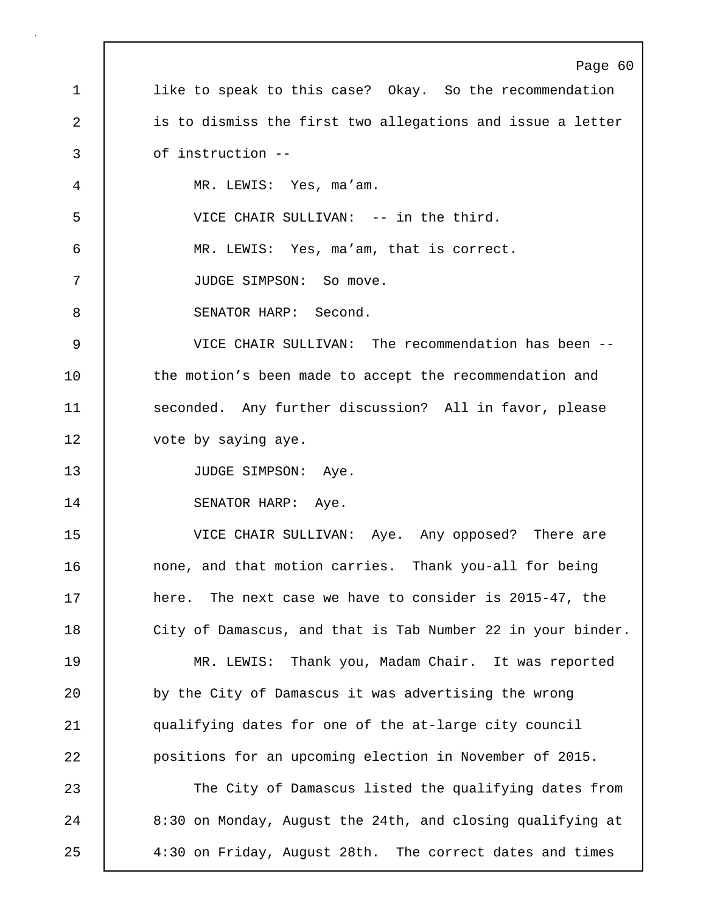Page 60 1 **like to speak to this case?** Okay. So the recommendation 2 is to dismiss the first two allegations and issue a letter 3 of instruction -- 4 MR. LEWIS: Yes, ma'am. 5 VICE CHAIR SULLIVAN: -- in the third. 6 MR. LEWIS: Yes, ma'am, that is correct. 7 | JUDGE SIMPSON: So move. 8 SENATOR HARP: Second. 9 VICE CHAIR SULLIVAN: The recommendation has been -- 10 the motion's been made to accept the recommendation and 11 Seconded. Any further discussion? All in favor, please 12 | vote by saying aye. 13 | JUDGE SIMPSON: Aye. 14 | SENATOR HARP: Aye. 15 VICE CHAIR SULLIVAN: Aye. Any opposed? There are 16 none, and that motion carries. Thank you-all for being 17 here. The next case we have to consider is 2015-47, the 18 | City of Damascus, and that is Tab Number 22 in your binder. 19 MR. LEWIS: Thank you, Madam Chair. It was reported 20 by the City of Damascus it was advertising the wrong 21 qualifying dates for one of the at-large city council 22 positions for an upcoming election in November of 2015. 23 The City of Damascus listed the qualifying dates from 24 | 8:30 on Monday, August the 24th, and closing qualifying at 25 4:30 on Friday, August 28th. The correct dates and times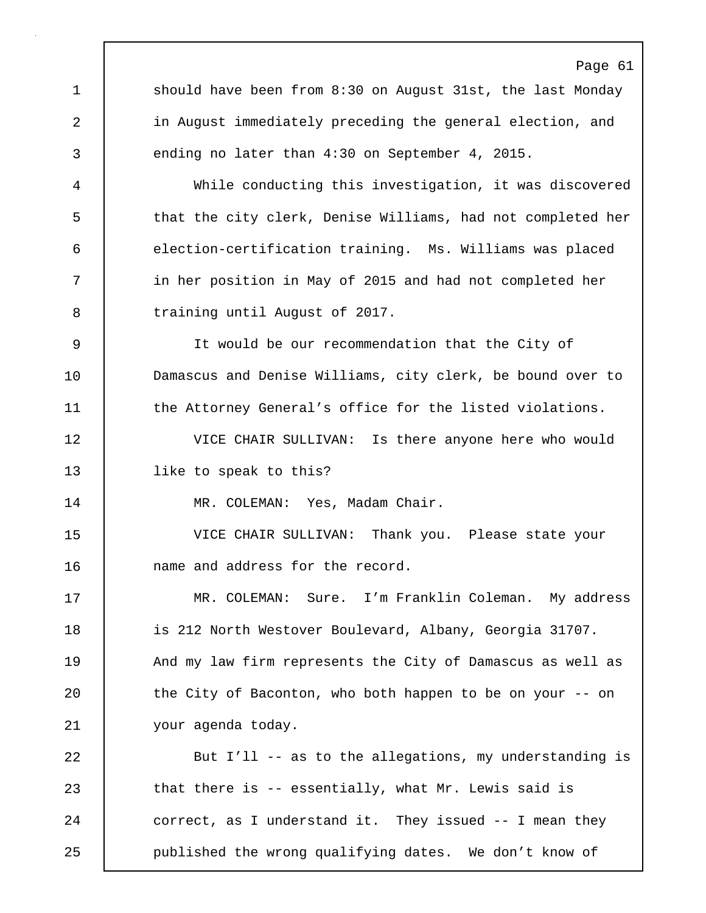1 should have been from 8:30 on August 31st, the last Monday 2 in August immediately preceding the general election, and 3 ending no later than 4:30 on September 4, 2015.

4 While conducting this investigation, it was discovered 5 that the city clerk, Denise Williams, had not completed her 6 election-certification training. Ms. Williams was placed 7 in her position in May of 2015 and had not completed her 8 **b** training until August of 2017.

9 It would be our recommendation that the City of 10 **Damascus and Denise Williams, city clerk, be bound over to** 11 | the Attorney General's office for the listed violations.

12 VICE CHAIR SULLIVAN: Is there anyone here who would 13 | like to speak to this?

14 | MR. COLEMAN: Yes, Madam Chair.

15 VICE CHAIR SULLIVAN: Thank you. Please state your 16 | name and address for the record.

17 | MR. COLEMAN: Sure. I'm Franklin Coleman. My address 18 **is 212 North Westover Boulevard, Albany, Georgia 31707.** 19 | And my law firm represents the City of Damascus as well as 20 | the City of Baconton, who both happen to be on your -- on 21 your agenda today.

22 But I'll -- as to the allegations, my understanding is 23 that there is -- essentially, what Mr. Lewis said is 24 correct, as I understand it. They issued -- I mean they 25 published the wrong qualifying dates. We don't know of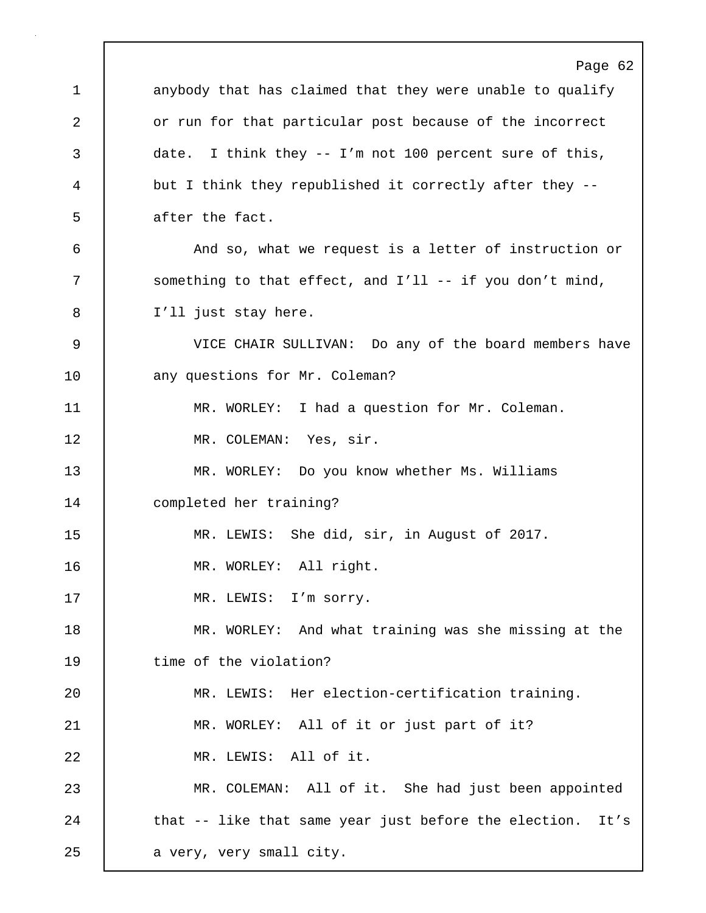Page 62 1 anybody that has claimed that they were unable to qualify 2 or run for that particular post because of the incorrect 3 date. I think they -- I'm not 100 percent sure of this, 4 but I think they republished it correctly after they -- 5 **d** after the fact. 6 And so, what we request is a letter of instruction or 7 Something to that effect, and I'll -- if you don't mind, 8 I'll just stay here. 9 VICE CHAIR SULLIVAN: Do any of the board members have 10 any questions for Mr. Coleman? 11 | MR. WORLEY: I had a question for Mr. Coleman. 12 | MR. COLEMAN: Yes, sir. 13 MR. WORLEY: Do you know whether Ms. Williams 14 completed her training? 15 MR. LEWIS: She did, sir, in August of 2017. 16 | MR. WORLEY: All right. 17 | MR. LEWIS: I'm sorry. 18 MR. WORLEY: And what training was she missing at the 19 | time of the violation? 20 MR. LEWIS: Her election-certification training. 21 | MR. WORLEY: All of it or just part of it? 22 | MR. LEWIS: All of it. 23 MR. COLEMAN: All of it. She had just been appointed 24 that -- like that same year just before the election. It's 25 | a very, very small city.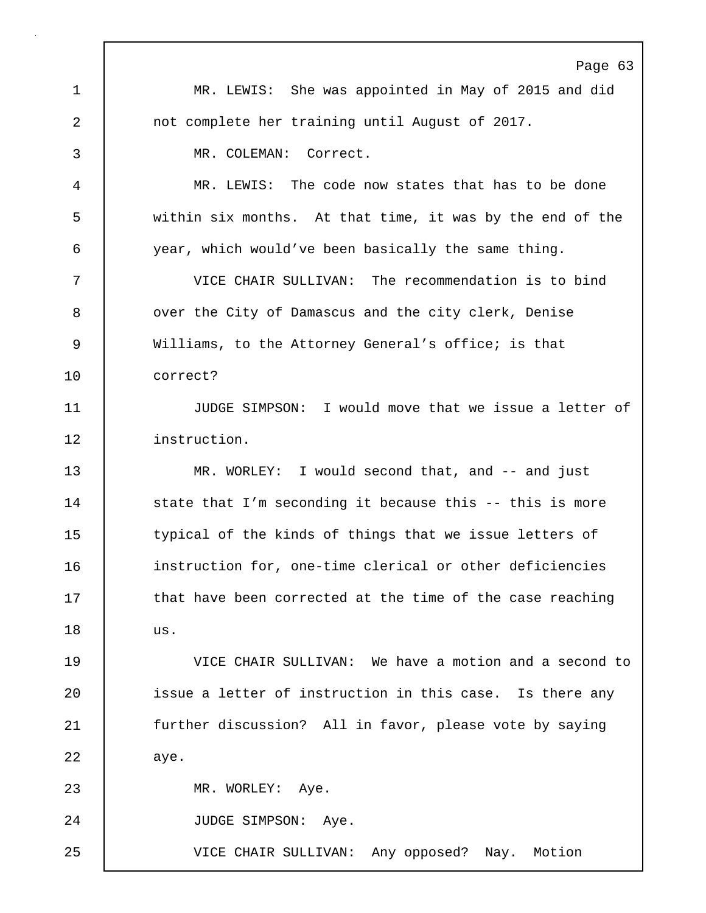Page 63 1 MR. LEWIS: She was appointed in May of 2015 and did 2 not complete her training until August of 2017. 3 MR. COLEMAN: Correct. 4 MR. LEWIS: The code now states that has to be done 5 within six months. At that time, it was by the end of the 6 year, which would've been basically the same thing. 7 VICE CHAIR SULLIVAN: The recommendation is to bind 8 | over the City of Damascus and the city clerk, Denise 9 Williams, to the Attorney General's office; is that 10 correct? 11 JUDGE SIMPSON: I would move that we issue a letter of 12 instruction. 13 WR. WORLEY: I would second that, and -- and just 14 State that I'm seconding it because this -- this is more 15 | typical of the kinds of things that we issue letters of 16 instruction for, one-time clerical or other deficiencies 17 that have been corrected at the time of the case reaching 18 us. 19 VICE CHAIR SULLIVAN: We have a motion and a second to 20 | issue a letter of instruction in this case. Is there any 21 further discussion? All in favor, please vote by saying 22 aye. 23 | MR. WORLEY: Aye. 24 | JUDGE SIMPSON: Aye. 25 VICE CHAIR SULLIVAN: Any opposed? Nay. Motion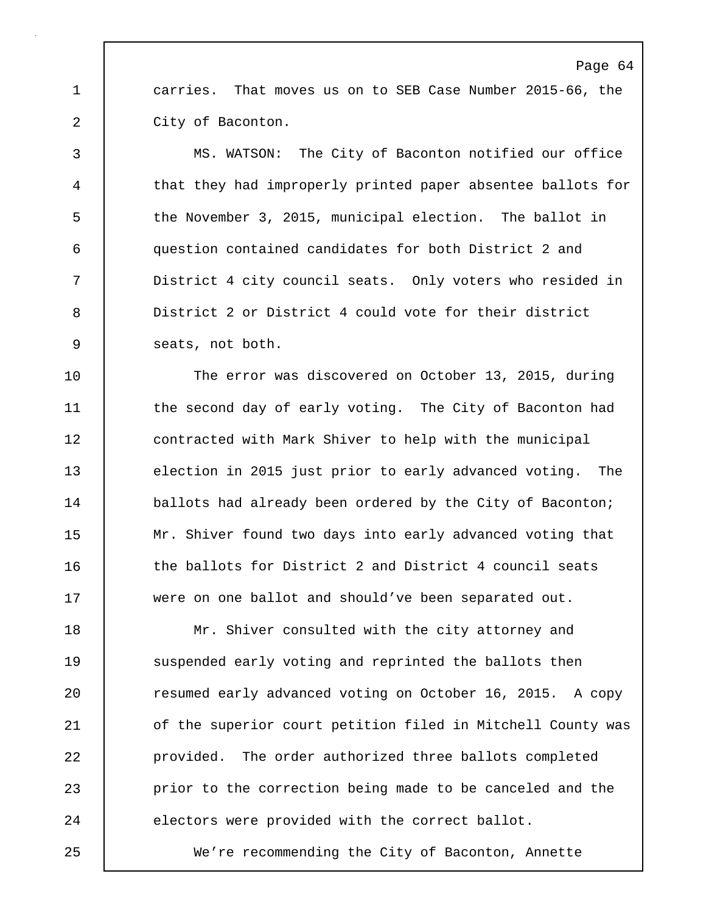1 carries. That moves us on to SEB Case Number 2015-66, the 2 City of Baconton.

3 MS. WATSON: The City of Baconton notified our office 4 that they had improperly printed paper absentee ballots for 5 the November 3, 2015, municipal election. The ballot in 6 question contained candidates for both District 2 and 7 District 4 city council seats. Only voters who resided in 8 District 2 or District 4 could vote for their district 9 seats, not both.

10 The error was discovered on October 13, 2015, during 11 the second day of early voting. The City of Baconton had 12 | contracted with Mark Shiver to help with the municipal 13 election in 2015 just prior to early advanced voting. The 14 **ballots had already been ordered by the City of Baconton;** 15 Mr. Shiver found two days into early advanced voting that 16 the ballots for District 2 and District 4 council seats 17 were on one ballot and should've been separated out.

18 | Mr. Shiver consulted with the city attorney and 19 Suspended early voting and reprinted the ballots then 20 | resumed early advanced voting on October 16, 2015. A copy 21 | of the superior court petition filed in Mitchell County was 22 **provided.** The order authorized three ballots completed 23 prior to the correction being made to be canceled and the 24 electors were provided with the correct ballot.

25 We're recommending the City of Baconton, Annette

#### Page 64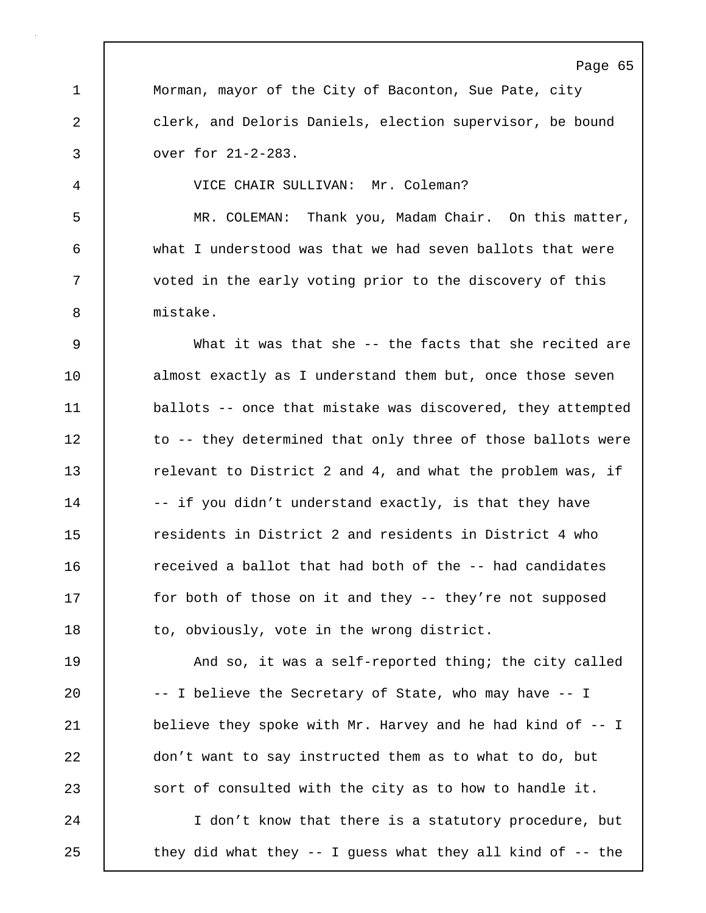Page 65 1 | Morman, mayor of the City of Baconton, Sue Pate, city 2 clerk, and Deloris Daniels, election supervisor, be bound 3 over for 21-2-283. 4 VICE CHAIR SULLIVAN: Mr. Coleman? 5 MR. COLEMAN: Thank you, Madam Chair. On this matter, 6 what I understood was that we had seven ballots that were 7 voted in the early voting prior to the discovery of this 8 mistake. 9 What it was that she -- the facts that she recited are 10 almost exactly as I understand them but, once those seven 11 ballots -- once that mistake was discovered, they attempted 12 to -- they determined that only three of those ballots were 13 **The Interpolant Constraint Common 2** and 4, and what the problem was, if 14 | -- if you didn't understand exactly, is that they have 15 **1** residents in District 2 and residents in District 4 who 16 **c** received a ballot that had both of the -- had candidates 17 for both of those on it and they -- they're not supposed 18 | to, obviously, vote in the wrong district. 19 **And so, it was a self-reported thing; the city called** 20 -- I believe the Secretary of State, who may have -- I 21 | believe they spoke with Mr. Harvey and he had kind of -- I 22 don't want to say instructed them as to what to do, but 23 sort of consulted with the city as to how to handle it. 24 I don't know that there is a statutory procedure, but 25 | they did what they -- I guess what they all kind of -- the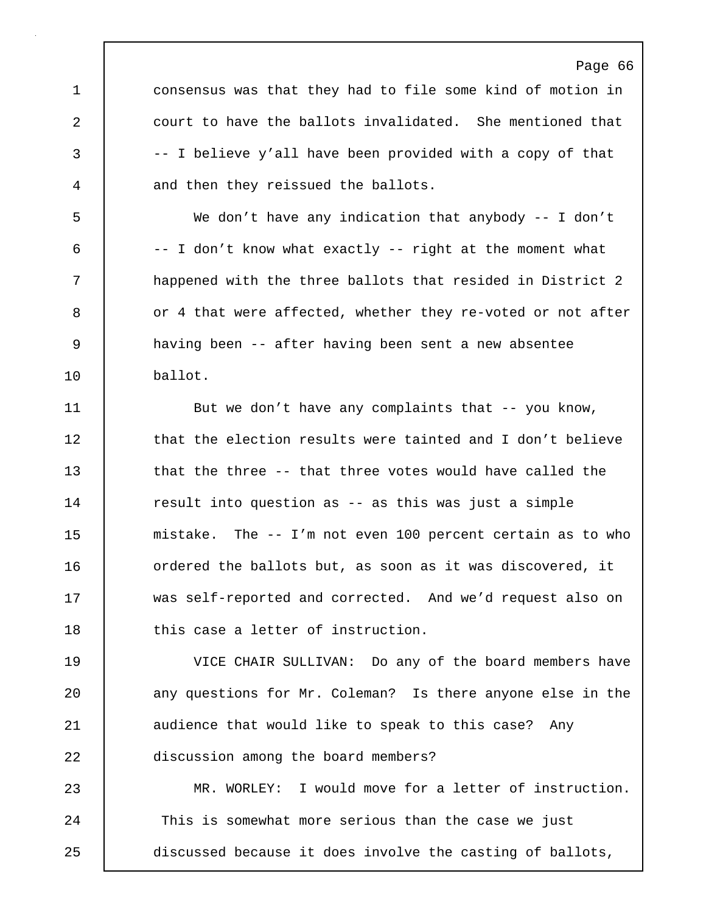1 **consensus was that they had to file some kind of motion in** 2 court to have the ballots invalidated. She mentioned that 3 -- I believe y'all have been provided with a copy of that 4 and then they reissued the ballots.

Page 66

5 We don't have any indication that anybody -- I don't 6 -- I don't know what exactly -- right at the moment what 7 happened with the three ballots that resided in District 2 8 or 4 that were affected, whether they re-voted or not after 9 having been -- after having been sent a new absentee 10 ballot.

11 | But we don't have any complaints that -- you know, 12 **that the election results were tainted and I don't believe** 13 that the three -- that three votes would have called the 14 The result into question as -- as this was just a simple 15 mistake. The -- I'm not even 100 percent certain as to who 16 | ordered the ballots but, as soon as it was discovered, it 17 was self-reported and corrected. And we'd request also on 18 this case a letter of instruction.

19 VICE CHAIR SULLIVAN: Do any of the board members have 20 any questions for Mr. Coleman? Is there anyone else in the 21 | audience that would like to speak to this case? Any 22 discussion among the board members?

23 MR. WORLEY: I would move for a letter of instruction. 24 This is somewhat more serious than the case we just 25 discussed because it does involve the casting of ballots,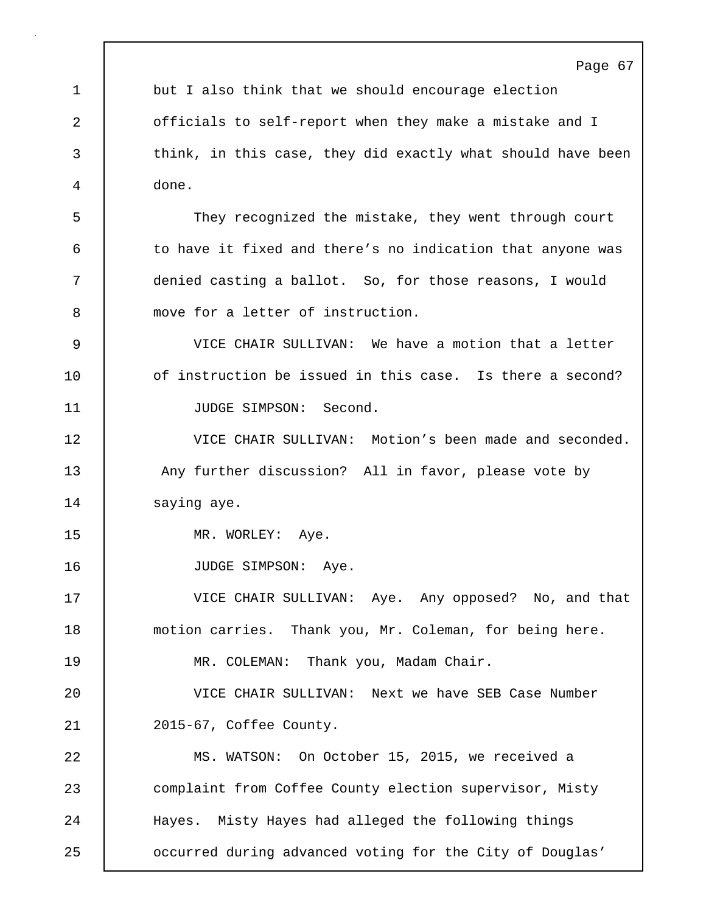Page 67 1 but I also think that we should encourage election 2 officials to self-report when they make a mistake and I 3 think, in this case, they did exactly what should have been 4 done. 5 They recognized the mistake, they went through court 6 | to have it fixed and there's no indication that anyone was 7 denied casting a ballot. So, for those reasons, I would 8 move for a letter of instruction. 9 VICE CHAIR SULLIVAN: We have a motion that a letter 10 **10** of instruction be issued in this case. Is there a second? 11 | JUDGE SIMPSON: Second. 12 VICE CHAIR SULLIVAN: Motion's been made and seconded. 13 Any further discussion? All in favor, please vote by 14 | saying aye. 15 | MR. WORLEY: Aye. 16 | JUDGE SIMPSON: Aye. 17 VICE CHAIR SULLIVAN: Aye. Any opposed? No, and that 18 motion carries. Thank you, Mr. Coleman, for being here. 19 | MR. COLEMAN: Thank you, Madam Chair. 20 VICE CHAIR SULLIVAN: Next we have SEB Case Number 21 2015-67, Coffee County. 22 MS. WATSON: On October 15, 2015, we received a 23 complaint from Coffee County election supervisor, Misty 24 Hayes. Misty Hayes had alleged the following things 25 occurred during advanced voting for the City of Douglas'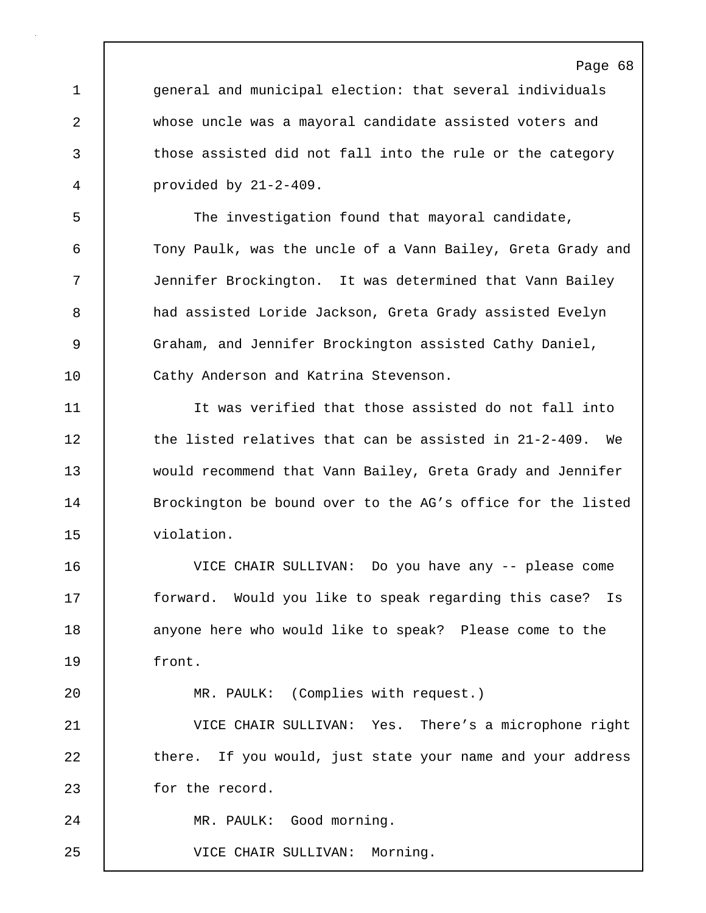1 general and municipal election: that several individuals 2 whose uncle was a mayoral candidate assisted voters and 3 those assisted did not fall into the rule or the category 4 provided by 21-2-409.

5 The investigation found that mayoral candidate, 6 Tony Paulk, was the uncle of a Vann Bailey, Greta Grady and 7 Jennifer Brockington. It was determined that Vann Bailey 8 had assisted Loride Jackson, Greta Grady assisted Evelyn 9 Graham, and Jennifer Brockington assisted Cathy Daniel, 10 Cathy Anderson and Katrina Stevenson.

11 It was verified that those assisted do not fall into 12 the listed relatives that can be assisted in 21-2-409. We 13 would recommend that Vann Bailey, Greta Grady and Jennifer 14 **Brockington be bound over to the AG's office for the listed** 15 violation.

16 VICE CHAIR SULLIVAN: Do you have any -- please come 17 | forward. Would you like to speak regarding this case? Is 18 **anyone here who would like to speak?** Please come to the 19 front.

20 MR. PAULK: (Complies with request.)

21 VICE CHAIR SULLIVAN: Yes. There's a microphone right 22 there. If you would, just state your name and your address 23 for the record.

24 MR. PAULK: Good morning.

25 VICE CHAIR SULLIVAN: Morning.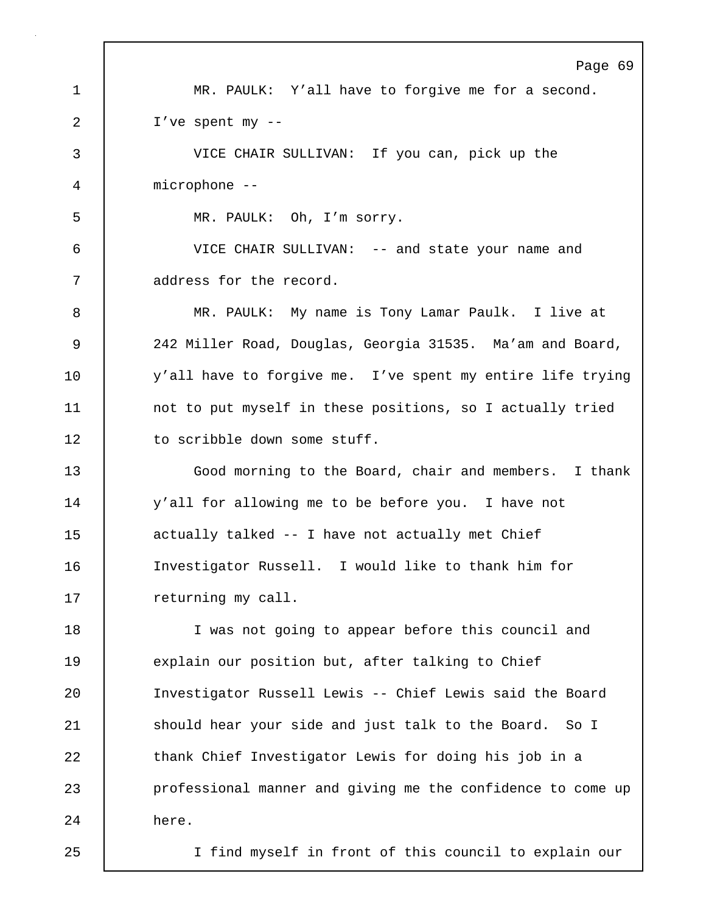Page 69 1 MR. PAULK: Y'all have to forgive me for a second. 2 I've spent my -- 3 VICE CHAIR SULLIVAN: If you can, pick up the 4 microphone -- 5 MR. PAULK: Oh, I'm sorry. 6 VICE CHAIR SULLIVAN: -- and state your name and 7 address for the record. 8 MR. PAULK: My name is Tony Lamar Paulk. I live at 9 242 Miller Road, Douglas, Georgia 31535. Ma'am and Board, 10 y'all have to forgive me. I've spent my entire life trying 11 | not to put myself in these positions, so I actually tried 12 | to scribble down some stuff. 13 Good morning to the Board, chair and members. I thank 14 y'all for allowing me to be before you. I have not 15 actually talked -- I have not actually met Chief 16 Investigator Russell. I would like to thank him for 17 | returning my call. 18 I was not going to appear before this council and 19 explain our position but, after talking to Chief 20 Investigator Russell Lewis -- Chief Lewis said the Board 21 | should hear your side and just talk to the Board. So I 22 thank Chief Investigator Lewis for doing his job in a 23 professional manner and giving me the confidence to come up 24 here. 25 I find myself in front of this council to explain our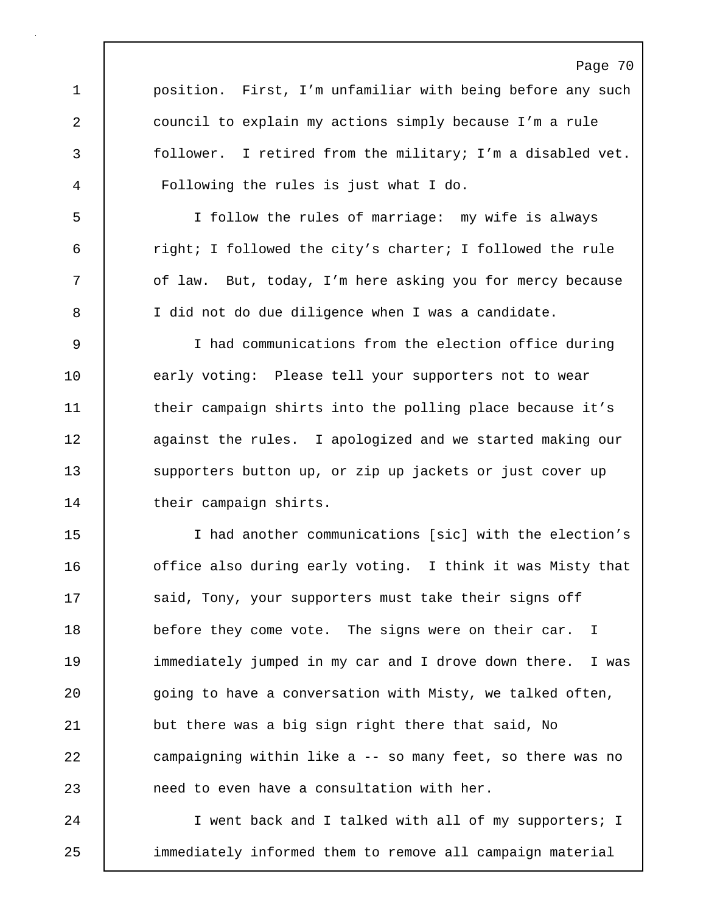Page 70 1 | position. First, I'm unfamiliar with being before any such 2 council to explain my actions simply because I'm a rule 3 follower. I retired from the military; I'm a disabled vet. 4 Following the rules is just what I do. 5 I follow the rules of marriage: my wife is always 6 right; I followed the city's charter; I followed the rule 7 | of law. But, today, I'm here asking you for mercy because 8 I did not do due diligence when I was a candidate. 9 I had communications from the election office during 10 | early voting: Please tell your supporters not to wear 11 their campaign shirts into the polling place because it's 12 **against the rules.** I apologized and we started making our 13 supporters button up, or zip up jackets or just cover up 14 | their campaign shirts. 15 I had another communications [sic] with the election's 16 **office also during early voting.** I think it was Misty that 17 | said, Tony, your supporters must take their signs off 18 before they come vote. The signs were on their car. I 19 immediately jumped in my car and I drove down there. I was 20 going to have a conversation with Misty, we talked often, 21 but there was a big sign right there that said, No 22 campaigning within like a -- so many feet, so there was no 23 **h** need to even have a consultation with her. 24 I went back and I talked with all of my supporters; I 25 immediately informed them to remove all campaign material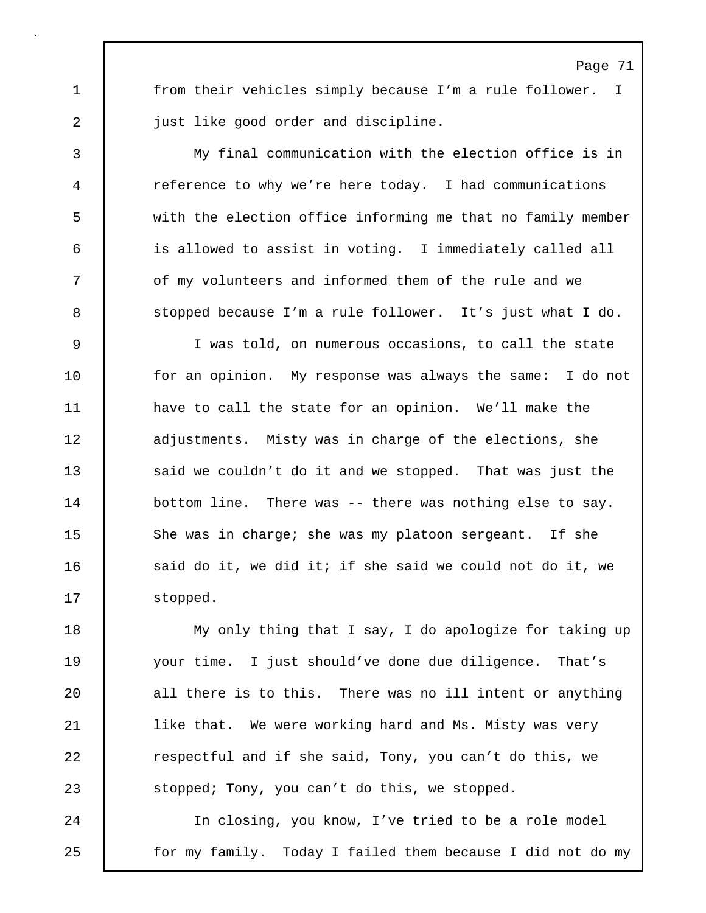1 | from their vehicles simply because I'm a rule follower. I 2 **just like good order and discipline.** 

3 My final communication with the election office is in 4 reference to why we're here today. I had communications 5 with the election office informing me that no family member 6 is allowed to assist in voting. I immediately called all 7 of my volunteers and informed them of the rule and we 8 stopped because I'm a rule follower. It's just what I do.

9 I was told, on numerous occasions, to call the state 10 | for an opinion. My response was always the same: I do not 11 | have to call the state for an opinion. We'll make the 12 adjustments. Misty was in charge of the elections, she 13 said we couldn't do it and we stopped. That was just the 14 | bottom line. There was -- there was nothing else to say. 15 She was in charge; she was my platoon sergeant. If she 16 | said do it, we did it; if she said we could not do it, we 17 | stopped.

18 My only thing that I say, I do apologize for taking up 19 your time. I just should've done due diligence. That's 20 all there is to this. There was no ill intent or anything 21 | like that. We were working hard and Ms. Misty was very 22 **Fig.** respectful and if she said, Tony, you can't do this, we 23 Stopped; Tony, you can't do this, we stopped.

24 In closing, you know, I've tried to be a role model 25 | for my family. Today I failed them because I did not do my

## Page 71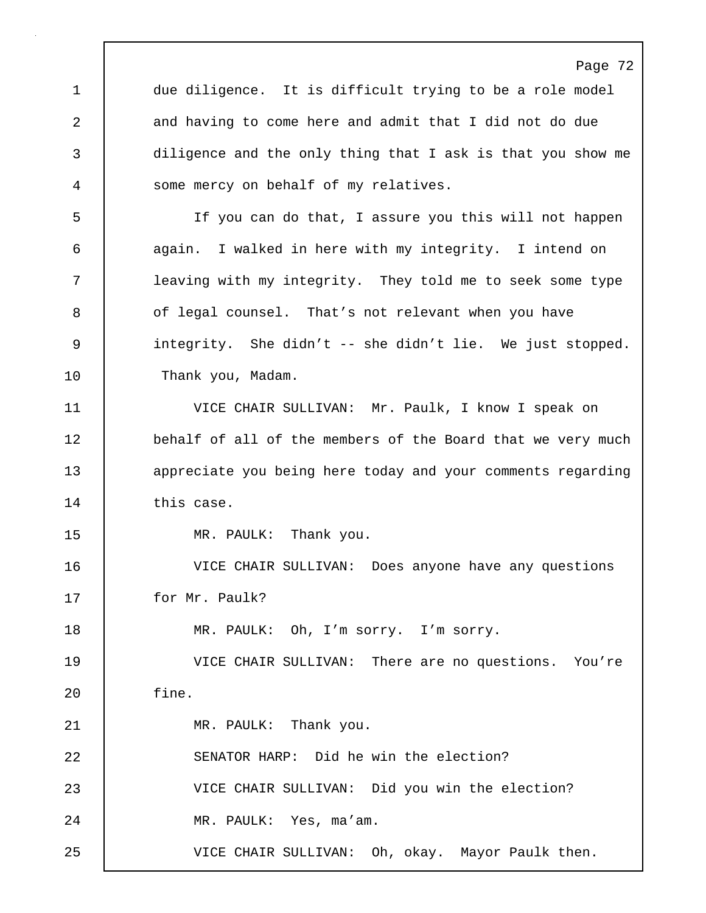Page 72 1 due diligence. It is difficult trying to be a role model 2 and having to come here and admit that I did not do due 3 diligence and the only thing that I ask is that you show me 4 some mercy on behalf of my relatives. 5 If you can do that, I assure you this will not happen 6 again. I walked in here with my integrity. I intend on 7 leaving with my integrity. They told me to seek some type 8 | of legal counsel. That's not relevant when you have 9 integrity. She didn't -- she didn't lie. We just stopped. 10 | Thank you, Madam. 11 VICE CHAIR SULLIVAN: Mr. Paulk, I know I speak on 12 behalf of all of the members of the Board that we very much 13 **appreciate you being here today and your comments regarding** 14 this case. 15 | MR. PAULK: Thank you. 16 VICE CHAIR SULLIVAN: Does anyone have any questions 17 for Mr. Paulk? 18 | MR. PAULK: Oh, I'm sorry. I'm sorry. 19 VICE CHAIR SULLIVAN: There are no questions. You're 20 fine. 21 | MR. PAULK: Thank you. 22 SENATOR HARP: Did he win the election? 23 VICE CHAIR SULLIVAN: Did you win the election? 24 | MR. PAULK: Yes, ma'am. 25 VICE CHAIR SULLIVAN: Oh, okay. Mayor Paulk then.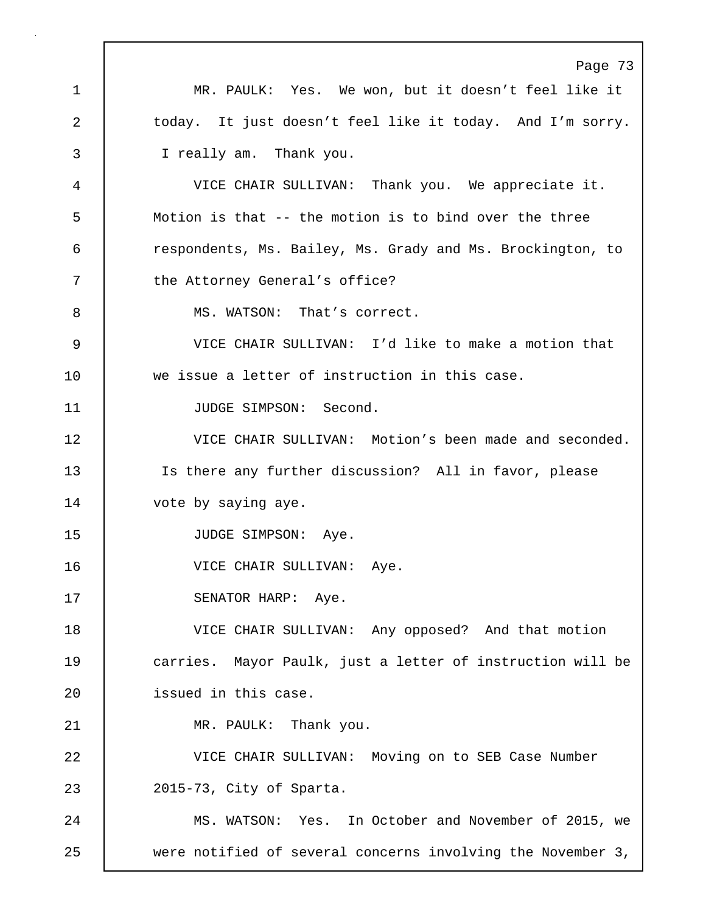Page 73 1 MR. PAULK: Yes. We won, but it doesn't feel like it 2 today. It just doesn't feel like it today. And I'm sorry. 3 I really am. Thank you. 4 VICE CHAIR SULLIVAN: Thank you. We appreciate it. 5 Motion is that -- the motion is to bind over the three 6 **6** respondents, Ms. Bailey, Ms. Grady and Ms. Brockington, to 7 the Attorney General's office? 8 MS. WATSON: That's correct. 9 VICE CHAIR SULLIVAN: I'd like to make a motion that 10 we issue a letter of instruction in this case. 11 | JUDGE SIMPSON: Second. 12 VICE CHAIR SULLIVAN: Motion's been made and seconded. 13 Is there any further discussion? All in favor, please 14 vote by saying aye. 15 | JUDGE SIMPSON: Aye. 16 | VICE CHAIR SULLIVAN: Aye. 17 | SENATOR HARP: Aye. 18 VICE CHAIR SULLIVAN: Any opposed? And that motion 19 **carries.** Mayor Paulk, just a letter of instruction will be 20 | issued in this case. 21 | MR. PAULK: Thank you. 22 VICE CHAIR SULLIVAN: Moving on to SEB Case Number 23 2015-73, City of Sparta. 24 MS. WATSON: Yes. In October and November of 2015, we 25 were notified of several concerns involving the November 3,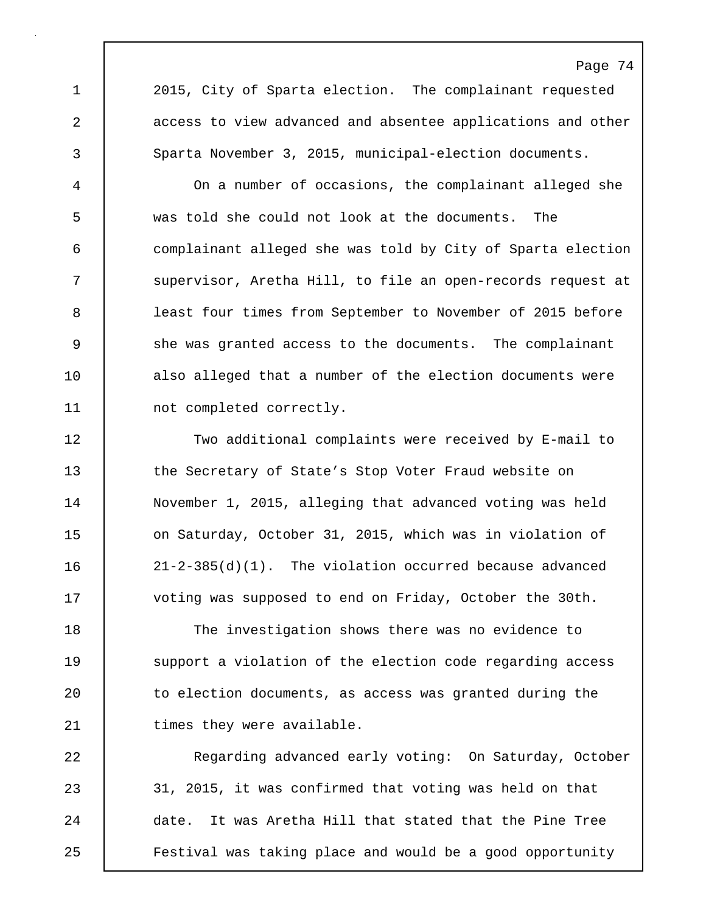1 2015, City of Sparta election. The complainant requested 2 access to view advanced and absentee applications and other 3 Sparta November 3, 2015, municipal-election documents.

4 On a number of occasions, the complainant alleged she 5 was told she could not look at the documents. The 6 complainant alleged she was told by City of Sparta election 7 Supervisor, Aretha Hill, to file an open-records request at 8 | least four times from September to November of 2015 before 9 she was granted access to the documents. The complainant 10 also alleged that a number of the election documents were 11 | not completed correctly.

12 Two additional complaints were received by E-mail to 13 the Secretary of State's Stop Voter Fraud website on 14 November 1, 2015, alleging that advanced voting was held 15 **on Saturday, October 31, 2015, which was in violation of** 16 21-2-385(d)(1). The violation occurred because advanced 17 Voting was supposed to end on Friday, October the 30th.

18 The investigation shows there was no evidence to 19 | support a violation of the election code regarding access 20 to election documents, as access was granted during the 21 | times they were available.

22 Regarding advanced early voting: On Saturday, October 23 31, 2015, it was confirmed that voting was held on that 24 date. It was Aretha Hill that stated that the Pine Tree 25 Festival was taking place and would be a good opportunity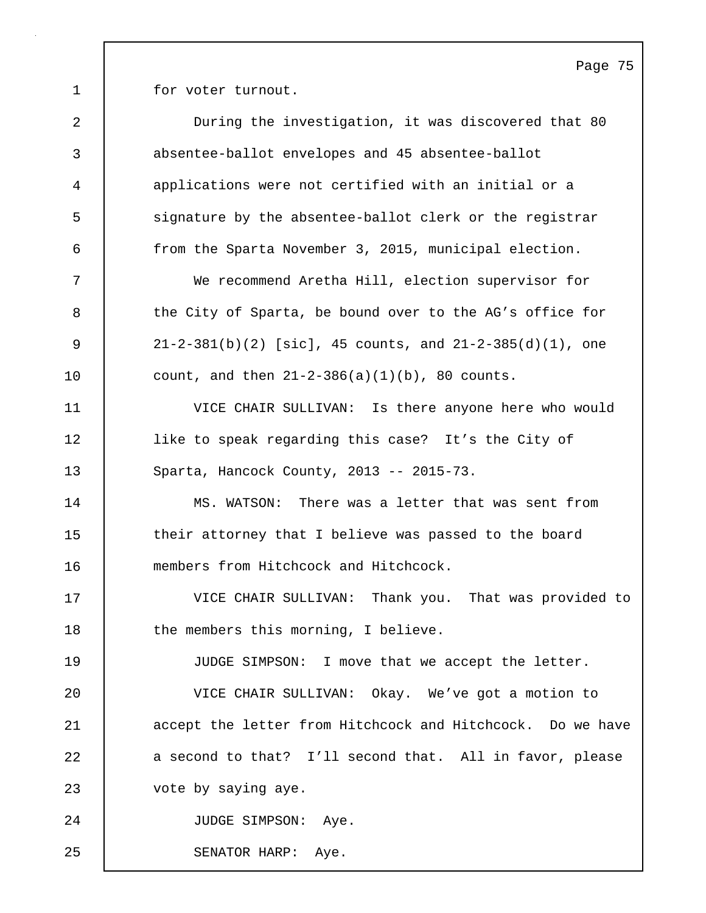1 for voter turnout.

| $\overline{a}$ | During the investigation, it was discovered that 80           |
|----------------|---------------------------------------------------------------|
| 3              | absentee-ballot envelopes and 45 absentee-ballot              |
| $\overline{4}$ | applications were not certified with an initial or a          |
| 5              | signature by the absentee-ballot clerk or the registrar       |
| 6              | from the Sparta November 3, 2015, municipal election.         |
| 7              | We recommend Aretha Hill, election supervisor for             |
| 8              | the City of Sparta, be bound over to the AG's office for      |
| 9              | $21-2-381(b)(2)$ [sic], 45 counts, and $21-2-385(d)(1)$ , one |
| 10             | count, and then $21-2-386(a)(1)(b)$ , 80 counts.              |
| 11             | VICE CHAIR SULLIVAN: Is there anyone here who would           |
| 12             | like to speak regarding this case? It's the City of           |
| 13             | Sparta, Hancock County, 2013 -- 2015-73.                      |
| 14             | MS. WATSON: There was a letter that was sent from             |
| 15             | their attorney that I believe was passed to the board         |
| 16             | members from Hitchcock and Hitchcock.                         |
| 17             | VICE CHAIR SULLIVAN: Thank you. That was provided to          |
| 18             | the members this morning, I believe.                          |
| 19             | JUDGE SIMPSON: I move that we accept the letter.              |
| 20             | VICE CHAIR SULLIVAN: Okay. We've got a motion to              |
| 21             | accept the letter from Hitchcock and Hitchcock. Do we have    |
| 22             | a second to that? I'll second that. All in favor, please      |
| 23             | vote by saying aye.                                           |
| 24             | JUDGE SIMPSON: Aye.                                           |
| 25             | Aye.<br>SENATOR HARP:                                         |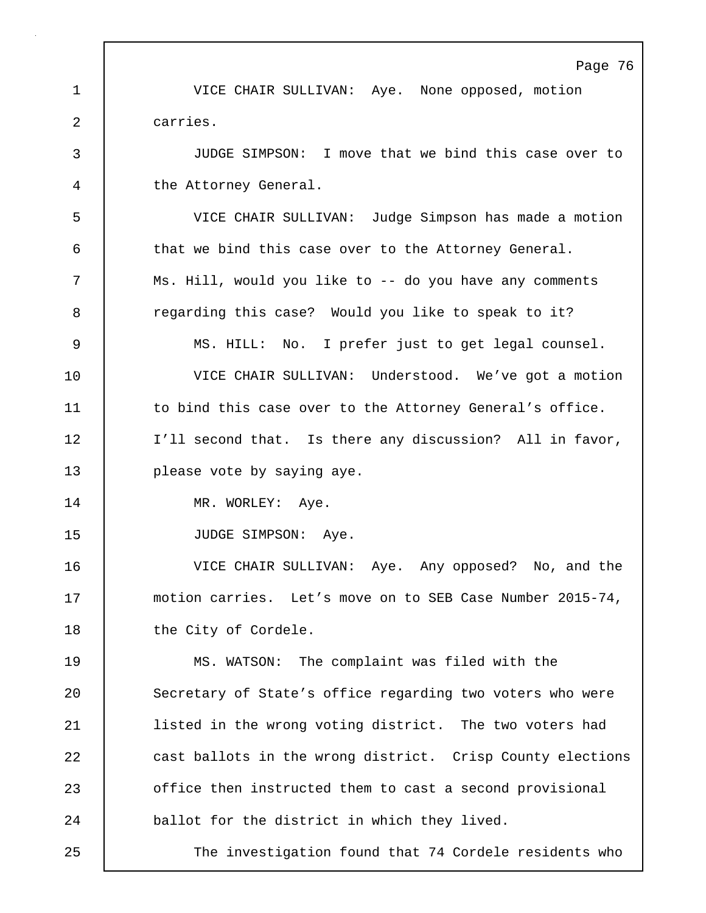Page 76 1 VICE CHAIR SULLIVAN: Aye. None opposed, motion 2 carries. 3 JUDGE SIMPSON: I move that we bind this case over to 4 the Attorney General. 5 VICE CHAIR SULLIVAN: Judge Simpson has made a motion 6 that we bind this case over to the Attorney General. 7 Ms. Hill, would you like to -- do you have any comments 8 **8** regarding this case? Would you like to speak to it? 9 MS. HILL: No. I prefer just to get legal counsel. 10 VICE CHAIR SULLIVAN: Understood. We've got a motion 11 to bind this case over to the Attorney General's office. 12 | I'll second that. Is there any discussion? All in favor, 13 | please vote by saying aye. 14 | MR. WORLEY: Aye. 15 | JUDGE SIMPSON: Aye. 16 VICE CHAIR SULLIVAN: Aye. Any opposed? No, and the 17 | motion carries. Let's move on to SEB Case Number 2015-74, 18 | the City of Cordele. 19 MS. WATSON: The complaint was filed with the 20 Secretary of State's office regarding two voters who were 21 listed in the wrong voting district. The two voters had 22 **cast ballots in the wrong district.** Crisp County elections 23 office then instructed them to cast a second provisional 24 ballot for the district in which they lived. 25 The investigation found that 74 Cordele residents who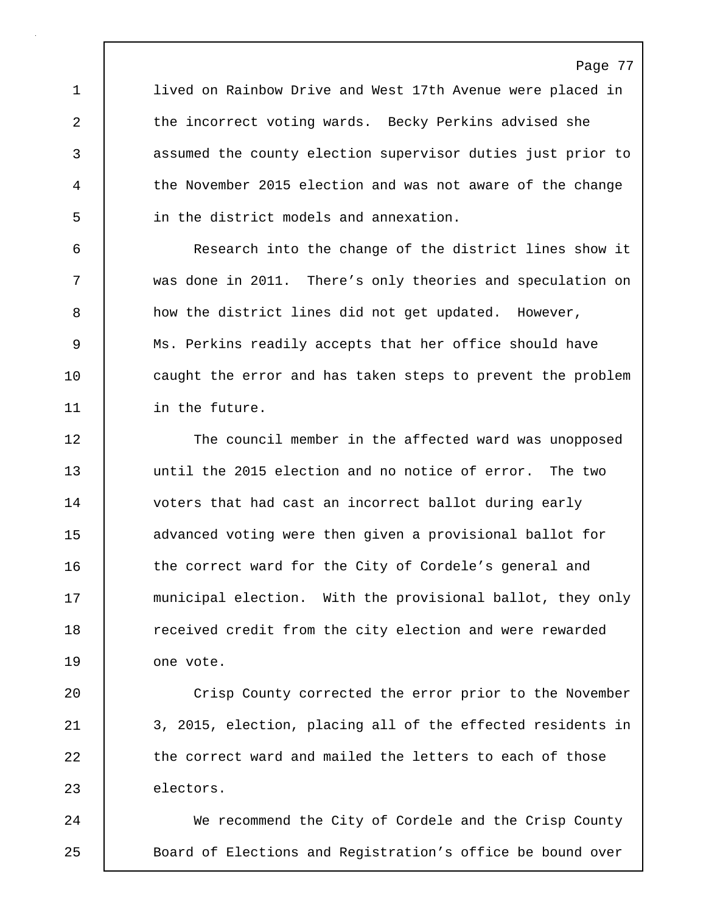1 **lived on Rainbow Drive and West 17th Avenue were placed in** 2 the incorrect voting wards. Becky Perkins advised she 3 assumed the county election supervisor duties just prior to 4 the November 2015 election and was not aware of the change 5 in the district models and annexation.

6 Research into the change of the district lines show it 7 was done in 2011. There's only theories and speculation on 8 a how the district lines did not get updated. However, 9 Ms. Perkins readily accepts that her office should have 10 caught the error and has taken steps to prevent the problem 11 in the future.

12 The council member in the affected ward was unopposed 13 until the 2015 election and no notice of error. The two 14 voters that had cast an incorrect ballot during early 15 advanced voting were then given a provisional ballot for 16 the correct ward for the City of Cordele's general and 17 municipal election. With the provisional ballot, they only 18 **The lack received credit from the city election and were rewarded** 19 | one vote.

20 Crisp County corrected the error prior to the November 21 3, 2015, election, placing all of the effected residents in 22 the correct ward and mailed the letters to each of those 23 electors.

24 We recommend the City of Cordele and the Crisp County 25 | Board of Elections and Registration's office be bound over

## Page 77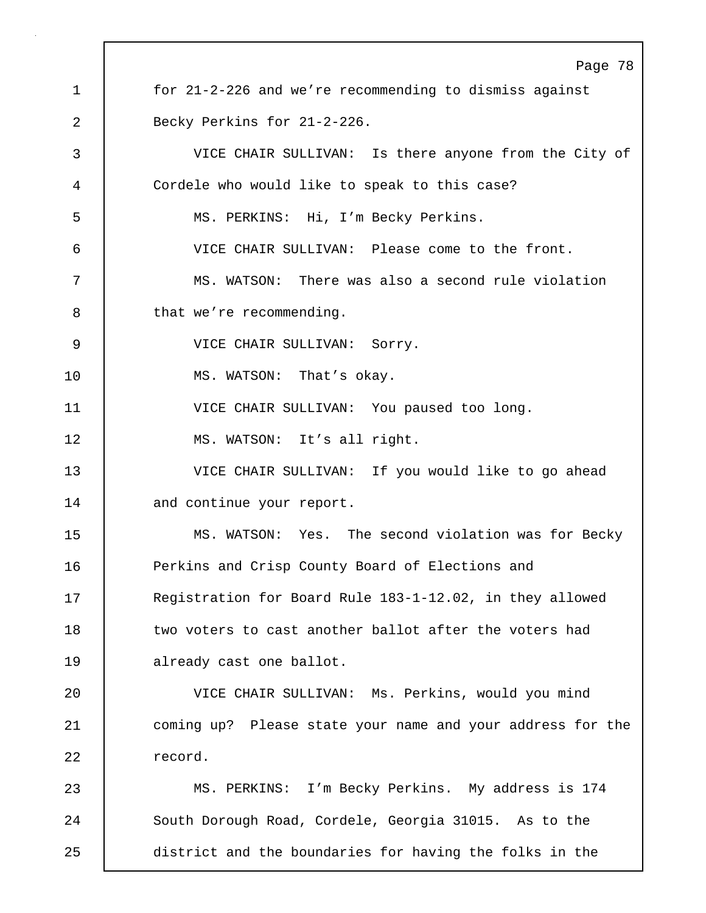Page 78 1 for 21-2-226 and we're recommending to dismiss against 2 Becky Perkins for 21-2-226. 3 VICE CHAIR SULLIVAN: Is there anyone from the City of 4 Cordele who would like to speak to this case? 5 MS. PERKINS: Hi, I'm Becky Perkins. 6 VICE CHAIR SULLIVAN: Please come to the front. 7 MS. WATSON: There was also a second rule violation 8 bthat we're recommending. 9 | VICE CHAIR SULLIVAN: Sorry. 10 MS. WATSON: That's okay. 11 VICE CHAIR SULLIVAN: You paused too long. 12 MS. WATSON: It's all right. 13 VICE CHAIR SULLIVAN: If you would like to go ahead 14 and continue your report. 15 MS. WATSON: Yes. The second violation was for Becky 16 Perkins and Crisp County Board of Elections and 17 Registration for Board Rule 183-1-12.02, in they allowed 18 | two voters to cast another ballot after the voters had 19 | already cast one ballot. 20 VICE CHAIR SULLIVAN: Ms. Perkins, would you mind 21 coming up? Please state your name and your address for the 22 record. 23 MS. PERKINS: I'm Becky Perkins. My address is 174 24 | South Dorough Road, Cordele, Georgia 31015. As to the 25 district and the boundaries for having the folks in the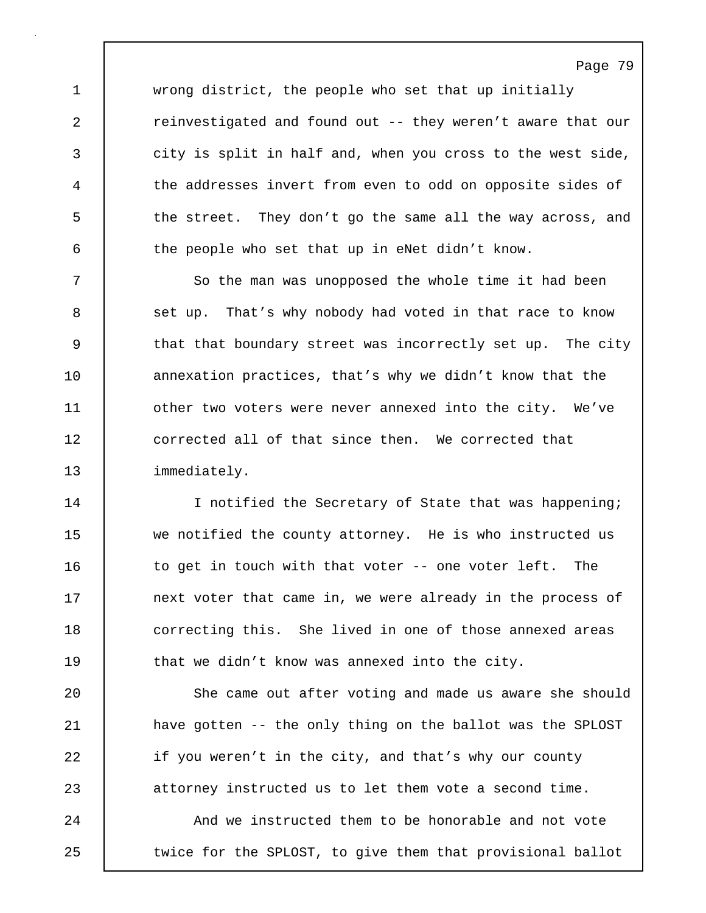1 wrong district, the people who set that up initially 2 Teinvestigated and found out -- they weren't aware that our 3 city is split in half and, when you cross to the west side, 4 the addresses invert from even to odd on opposite sides of 5 the street. They don't go the same all the way across, and  $6$  the people who set that up in eNet didn't know.

7 So the man was unopposed the whole time it had been 8 set up. That's why nobody had voted in that race to know 9 that that boundary street was incorrectly set up. The city 10 annexation practices, that's why we didn't know that the 11 | other two voters were never annexed into the city. We've 12 **dege** corrected all of that since then. We corrected that 13 | immediately.

14 | I notified the Secretary of State that was happening; 15 we notified the county attorney. He is who instructed us 16 to get in touch with that voter -- one voter left. The 17 **next voter that came in, we were already in the process of** 18 **correcting this.** She lived in one of those annexed areas 19 **that we didn't know was annexed into the city.** 

20 She came out after voting and made us aware she should 21 have gotten -- the only thing on the ballot was the SPLOST 22 if you weren't in the city, and that's why our county 23 attorney instructed us to let them vote a second time. 24 And we instructed them to be honorable and not vote 25 | twice for the SPLOST, to give them that provisional ballot

Page 79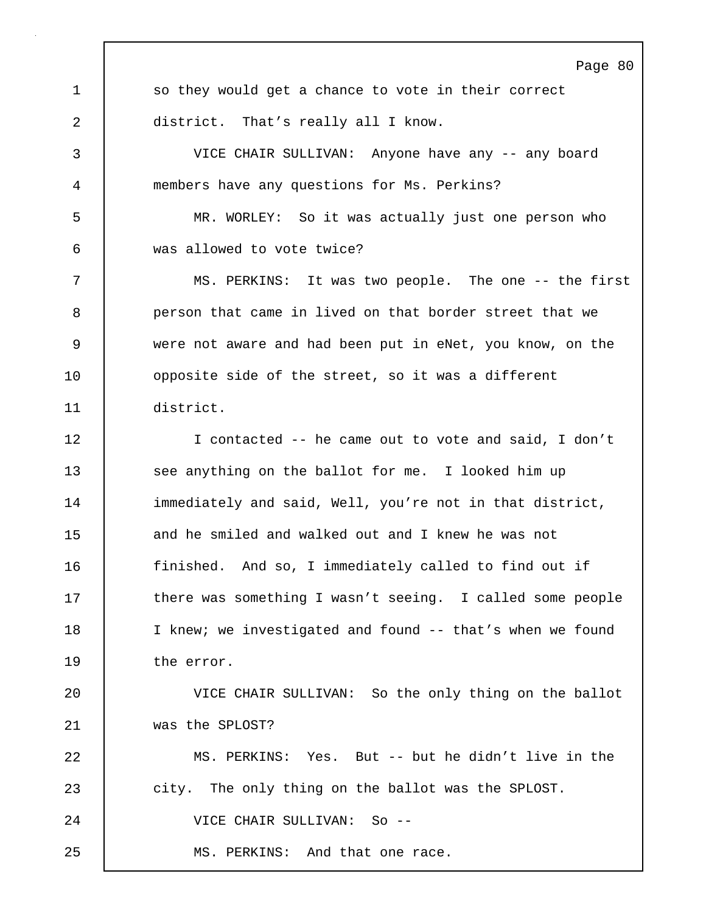Page 80 1 so they would get a chance to vote in their correct 2 district. That's really all I know. 3 VICE CHAIR SULLIVAN: Anyone have any -- any board 4 members have any questions for Ms. Perkins? 5 MR. WORLEY: So it was actually just one person who 6 was allowed to vote twice? 7 MS. PERKINS: It was two people. The one -- the first 8 person that came in lived on that border street that we 9 were not aware and had been put in eNet, you know, on the 10 **promicle** side of the street, so it was a different 11 district. 12 I contacted -- he came out to vote and said, I don't 13 see anything on the ballot for me. I looked him up 14 immediately and said, Well, you're not in that district, 15 and he smiled and walked out and I knew he was not 16 finished. And so, I immediately called to find out if 17 there was something I wasn't seeing. I called some people 18 | I knew; we investigated and found -- that's when we found 19 the error. 20 VICE CHAIR SULLIVAN: So the only thing on the ballot 21 was the SPLOST? 22 MS. PERKINS: Yes. But -- but he didn't live in the 23 city. The only thing on the ballot was the SPLOST. 24 VICE CHAIR SULLIVAN: So -- 25 MS. PERKINS: And that one race.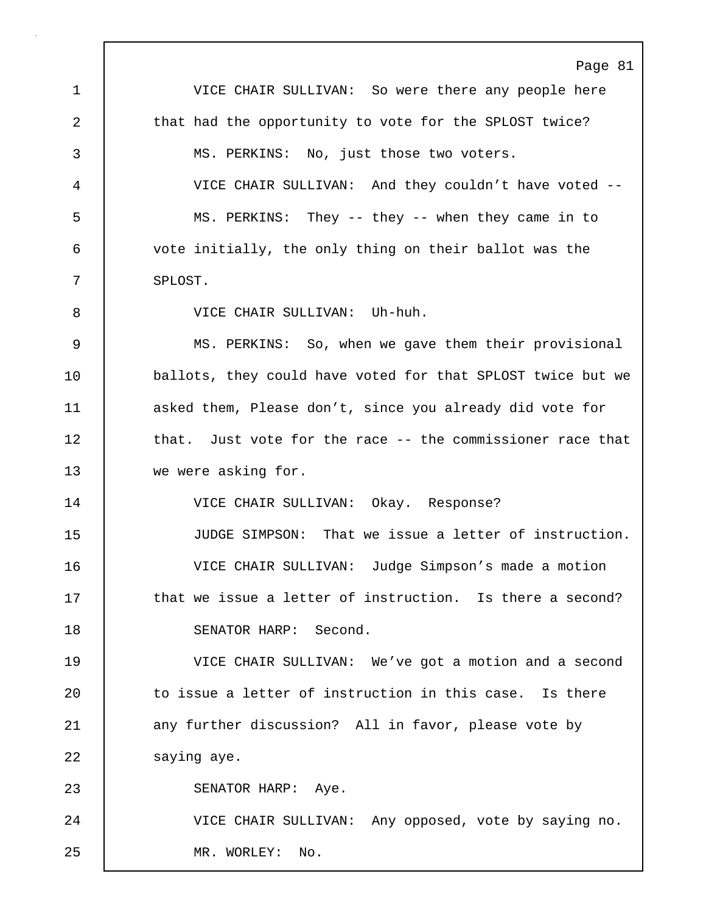Page 81 1 VICE CHAIR SULLIVAN: So were there any people here 2 that had the opportunity to vote for the SPLOST twice? 3 MS. PERKINS: No, just those two voters. 4 VICE CHAIR SULLIVAN: And they couldn't have voted -- 5 MS. PERKINS: They -- they -- when they came in to 6 vote initially, the only thing on their ballot was the 7 SPLOST. 8 VICE CHAIR SULLIVAN: Uh-huh. 9 MS. PERKINS: So, when we gave them their provisional 10 ballots, they could have voted for that SPLOST twice but we 11 asked them, Please don't, since you already did vote for 12 that. Just vote for the race -- the commissioner race that 13 we were asking for. 14 VICE CHAIR SULLIVAN: Okay. Response? 15 JUDGE SIMPSON: That we issue a letter of instruction. 16 VICE CHAIR SULLIVAN: Judge Simpson's made a motion 17 **that we issue a letter of instruction.** Is there a second? 18 SENATOR HARP: Second. 19 VICE CHAIR SULLIVAN: We've got a motion and a second 20 to issue a letter of instruction in this case. Is there 21 any further discussion? All in favor, please vote by 22 | saying aye. 23 | SENATOR HARP: Aye. 24 VICE CHAIR SULLIVAN: Any opposed, vote by saying no. 25 MR. WORLEY: No.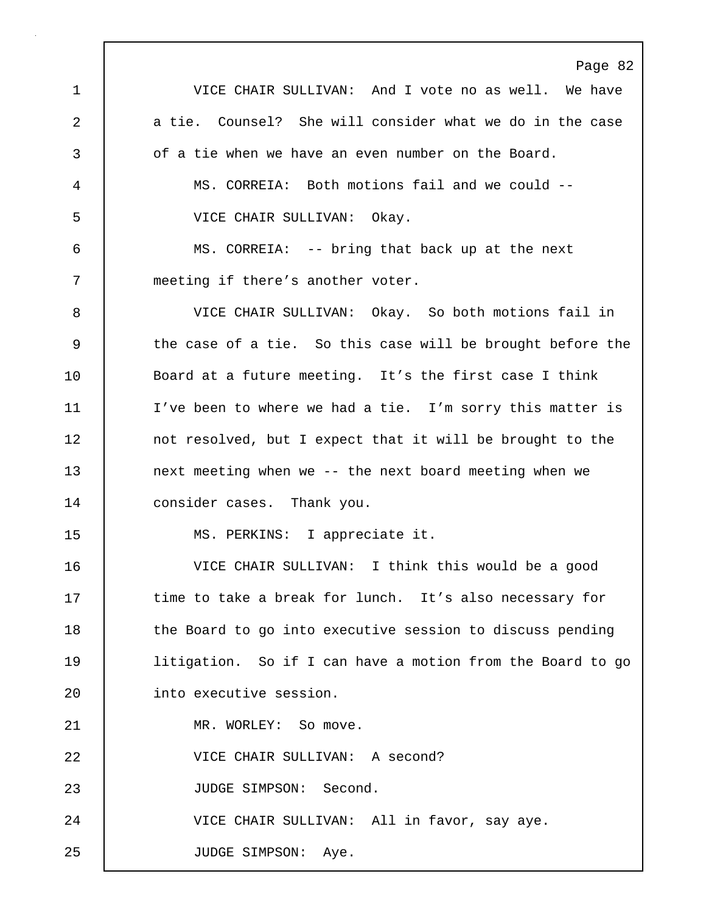Page 82 1 VICE CHAIR SULLIVAN: And I vote no as well. We have 2 a tie. Counsel? She will consider what we do in the case 3 **b** of a tie when we have an even number on the Board. 4 MS. CORREIA: Both motions fail and we could -- 5 VICE CHAIR SULLIVAN: Okay. 6 MS. CORREIA: -- bring that back up at the next 7 | meeting if there's another voter. 8 VICE CHAIR SULLIVAN: Okay. So both motions fail in 9 the case of a tie. So this case will be brought before the 10 | Board at a future meeting. It's the first case I think 11 I've been to where we had a tie. I'm sorry this matter is 12 not resolved, but I expect that it will be brought to the 13 end onext meeting when we -- the next board meeting when we 14 consider cases. Thank you. 15 MS. PERKINS: I appreciate it. 16 VICE CHAIR SULLIVAN: I think this would be a good 17 time to take a break for lunch. It's also necessary for 18 | the Board to go into executive session to discuss pending 19 | litigation. So if I can have a motion from the Board to go 20 | into executive session. 21 | MR. WORLEY: So move. 22 VICE CHAIR SULLIVAN: A second? 23 | JUDGE SIMPSON: Second. 24 | VICE CHAIR SULLIVAN: All in favor, say aye. 25 | JUDGE SIMPSON: Aye.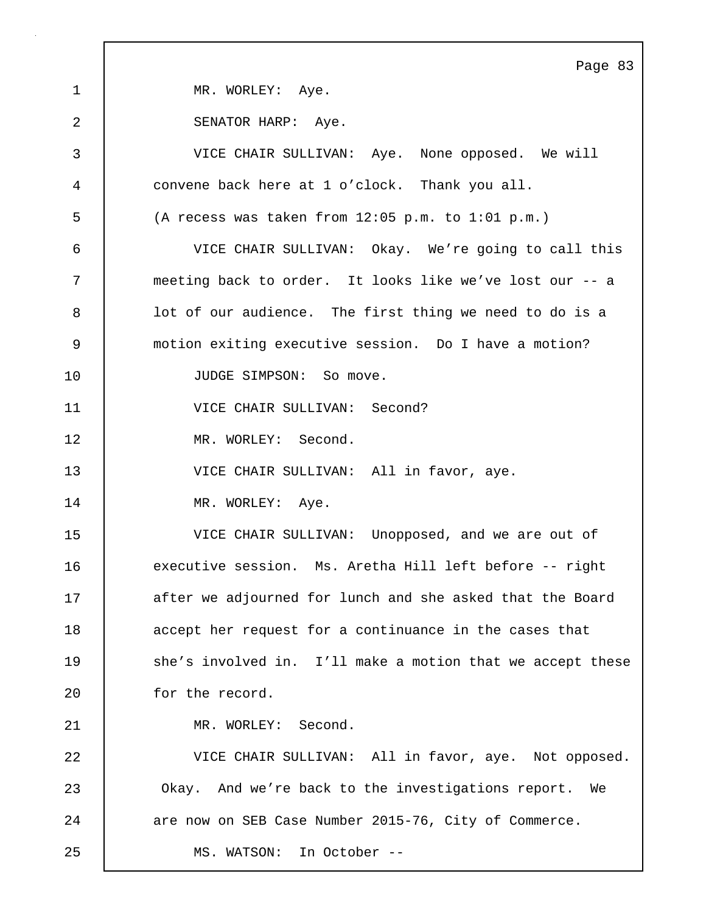Page 83 1 MR. WORLEY: Aye. 2 SENATOR HARP: Aye. 3 VICE CHAIR SULLIVAN: Aye. None opposed. We will 4 convene back here at 1 o'clock. Thank you all. 5 (A recess was taken from 12:05 p.m. to 1:01 p.m.) 6 VICE CHAIR SULLIVAN: Okay. We're going to call this 7 meeting back to order. It looks like we've lost our -- a 8 | lot of our audience. The first thing we need to do is a 9 motion exiting executive session. Do I have a motion? 10 | JUDGE SIMPSON: So move. 11 **VICE CHAIR SULLIVAN:** Second? 12 MR. WORLEY: Second. 13 VICE CHAIR SULLIVAN: All in favor, aye. 14 | MR. WORLEY: Aye. 15 VICE CHAIR SULLIVAN: Unopposed, and we are out of 16 executive session. Ms. Aretha Hill left before -- right 17 after we adjourned for lunch and she asked that the Board 18 accept her request for a continuance in the cases that 19 she's involved in. I'll make a motion that we accept these 20 | for the record. 21 | MR. WORLEY: Second. 22 VICE CHAIR SULLIVAN: All in favor, aye. Not opposed. 23 Okay. And we're back to the investigations report. We 24 are now on SEB Case Number 2015-76, City of Commerce. 25 MS. WATSON: In October --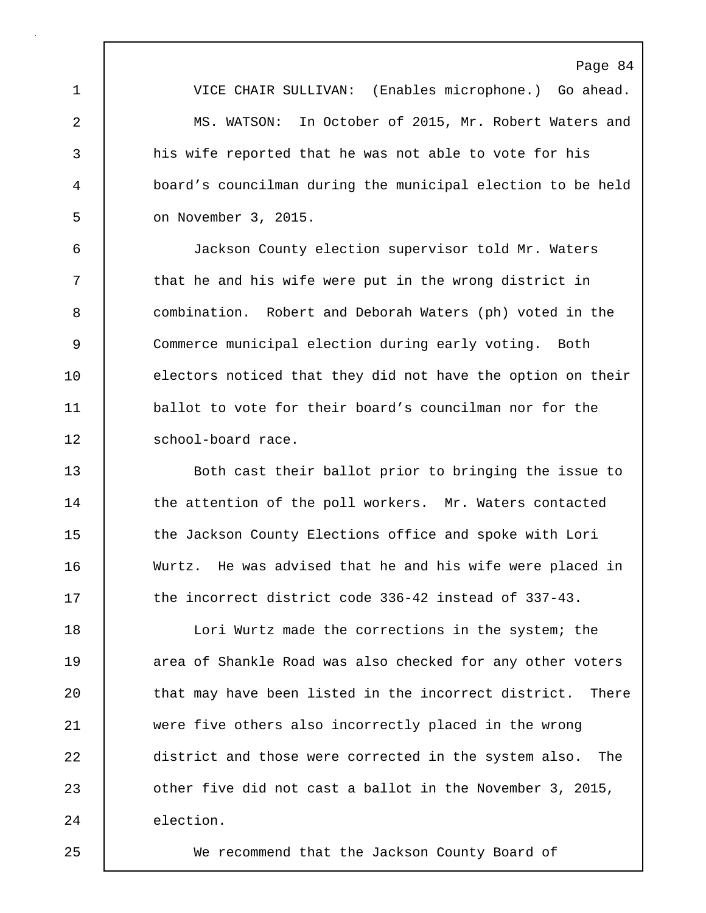Page 84 1 VICE CHAIR SULLIVAN: (Enables microphone.) Go ahead. 2 MS. WATSON: In October of 2015, Mr. Robert Waters and 3 his wife reported that he was not able to vote for his 4 board's councilman during the municipal election to be held 5 on November 3, 2015.

6 Jackson County election supervisor told Mr. Waters 7 | that he and his wife were put in the wrong district in 8 combination. Robert and Deborah Waters (ph) voted in the 9 Commerce municipal election during early voting. Both 10 electors noticed that they did not have the option on their 11 **ballot to vote for their board's councilman nor for the** 12 School-board race.

13 Both cast their ballot prior to bringing the issue to 14 the attention of the poll workers. Mr. Waters contacted 15 the Jackson County Elections office and spoke with Lori 16 Wurtz. He was advised that he and his wife were placed in 17 the incorrect district code 336-42 instead of 337-43.

18 **Lori Wurtz made the corrections in the system; the** 19 **19** area of Shankle Road was also checked for any other voters 20 that may have been listed in the incorrect district. There 21 were five others also incorrectly placed in the wrong 22 district and those were corrected in the system also. The 23 **b** other five did not cast a ballot in the November 3, 2015, 24 election.

25 We recommend that the Jackson County Board of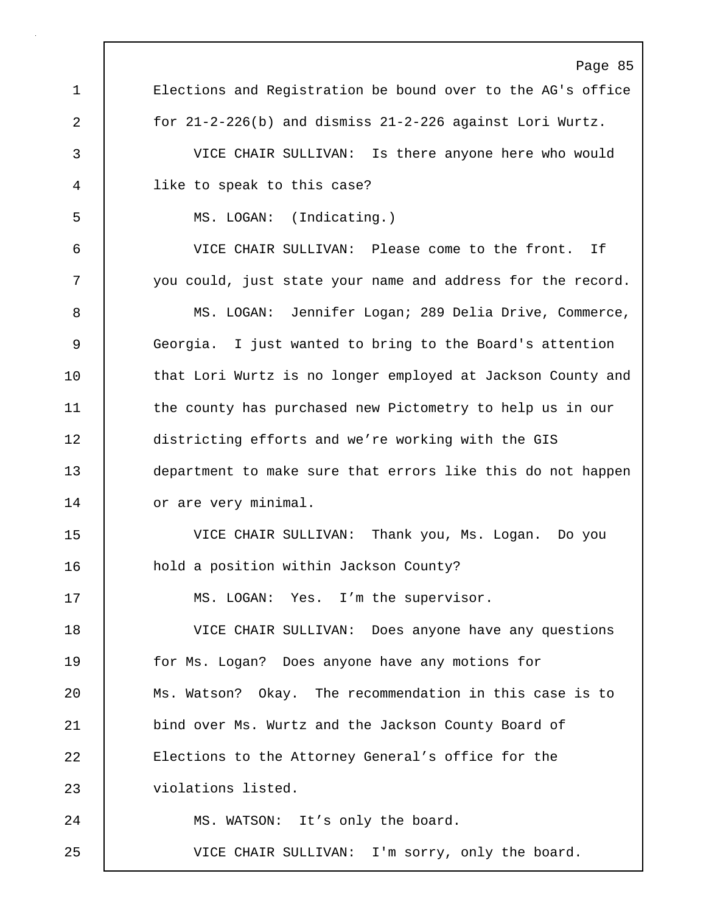Page 85 1 Elections and Registration be bound over to the AG's office 2 for 21-2-226(b) and dismiss 21-2-226 against Lori Wurtz. 3 VICE CHAIR SULLIVAN: Is there anyone here who would 4 like to speak to this case? 5 MS. LOGAN: (Indicating.) 6 VICE CHAIR SULLIVAN: Please come to the front. If 7 you could, just state your name and address for the record. 8 MS. LOGAN: Jennifer Logan; 289 Delia Drive, Commerce, 9 Georgia. I just wanted to bring to the Board's attention 10 | that Lori Wurtz is no longer employed at Jackson County and 11 the county has purchased new Pictometry to help us in our 12 districting efforts and we're working with the GIS 13 department to make sure that errors like this do not happen 14 or are very minimal. 15 VICE CHAIR SULLIVAN: Thank you, Ms. Logan. Do you 16 **hold a position within Jackson County?** 17 | MS. LOGAN: Yes. I'm the supervisor. 18 VICE CHAIR SULLIVAN: Does anyone have any questions 19 **for Ms.** Logan? Does anyone have any motions for 20 Ms. Watson? Okay. The recommendation in this case is to 21 bind over Ms. Wurtz and the Jackson County Board of 22 Elections to the Attorney General's office for the 23 violations listed. 24 | MS. WATSON: It's only the board. 25 VICE CHAIR SULLIVAN: I'm sorry, only the board.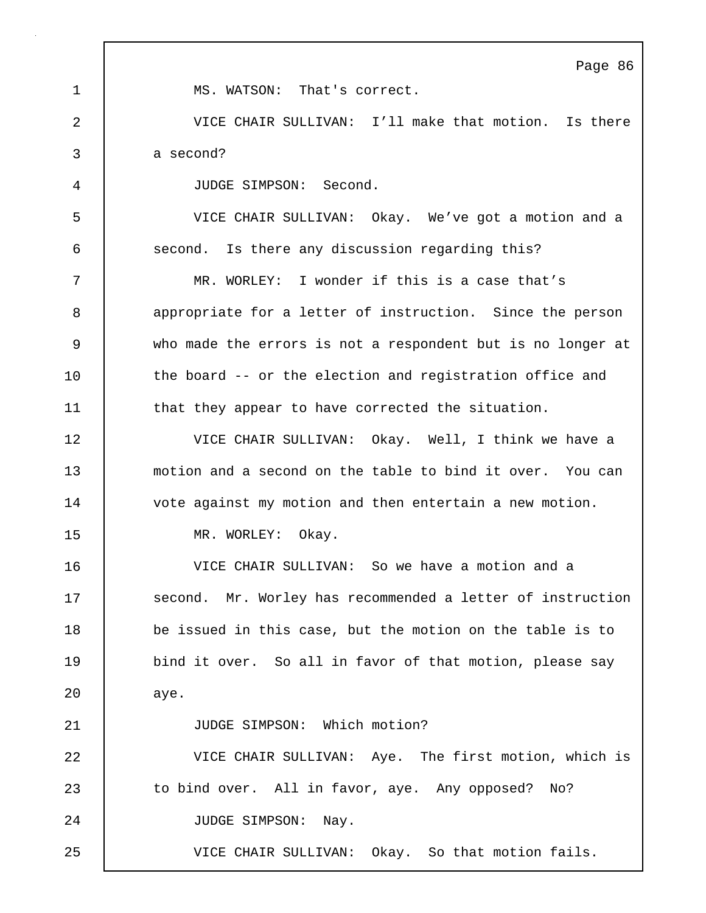|              | Page 86                                                     |
|--------------|-------------------------------------------------------------|
| $\mathbf{1}$ | MS. WATSON: That's correct.                                 |
| 2            | VICE CHAIR SULLIVAN: I'll make that motion. Is there        |
| 3            | a second?                                                   |
| 4            | JUDGE SIMPSON: Second.                                      |
| 5            | VICE CHAIR SULLIVAN: Okay. We've got a motion and a         |
| 6            | second. Is there any discussion regarding this?             |
| 7            | MR. WORLEY: I wonder if this is a case that's               |
| 8            | appropriate for a letter of instruction. Since the person   |
| $\mathsf 9$  | who made the errors is not a respondent but is no longer at |
| 10           | the board -- or the election and registration office and    |
| 11           | that they appear to have corrected the situation.           |
| 12           | VICE CHAIR SULLIVAN: Okay. Well, I think we have a          |
| 13           | motion and a second on the table to bind it over. You can   |
| 14           | vote against my motion and then entertain a new motion.     |
| 15           | MR. WORLEY:<br>Okay.                                        |
| 16           | VICE CHAIR SULLIVAN: So we have a motion and a              |
| 17           | second. Mr. Worley has recommended a letter of instruction  |
| 18           | be issued in this case, but the motion on the table is to   |
| 19           | bind it over. So all in favor of that motion, please say    |
| 20           | aye.                                                        |
| 21           | JUDGE SIMPSON: Which motion?                                |
| 22           | VICE CHAIR SULLIVAN: Aye. The first motion, which is        |
| 23           | to bind over. All in favor, aye. Any opposed? No?           |
| 24           | JUDGE SIMPSON:<br>Nay.                                      |
| 25           | VICE CHAIR SULLIVAN: Okay. So that motion fails.            |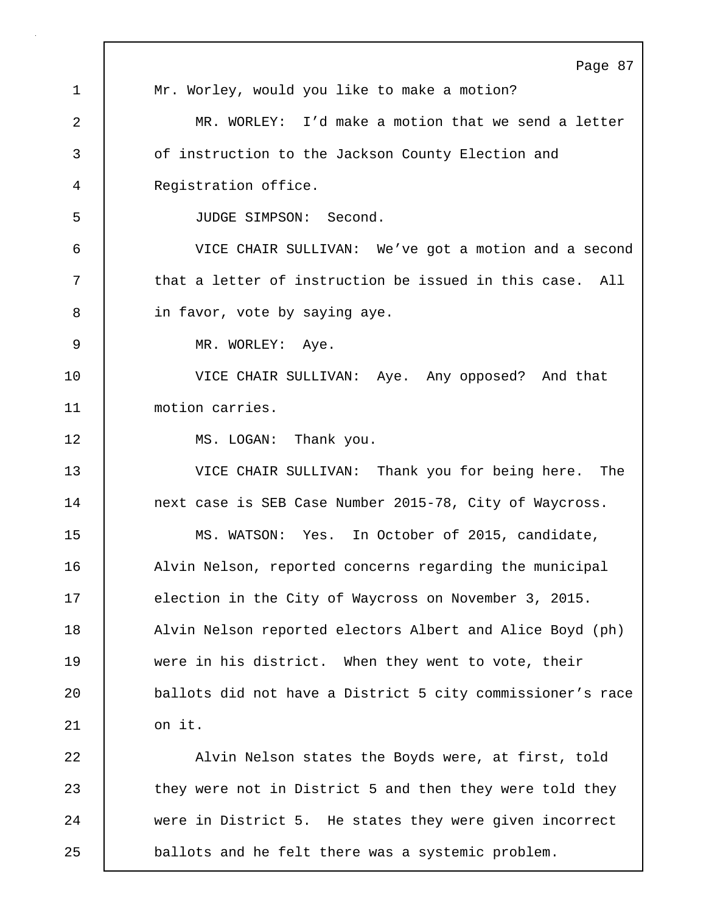|                | Page 87                                                    |
|----------------|------------------------------------------------------------|
| $\mathbf 1$    | Mr. Worley, would you like to make a motion?               |
| $\overline{2}$ | MR. WORLEY: I'd make a motion that we send a letter        |
| 3              | of instruction to the Jackson County Election and          |
| 4              | Registration office.                                       |
| 5              | JUDGE SIMPSON: Second.                                     |
| 6              | VICE CHAIR SULLIVAN: We've got a motion and a second       |
| 7              | that a letter of instruction be issued in this case. All   |
| 8              | in favor, vote by saying aye.                              |
| 9              | MR. WORLEY: Aye.                                           |
| 10             | VICE CHAIR SULLIVAN: Aye. Any opposed? And that            |
| 11             | motion carries.                                            |
| 12             | MS. LOGAN: Thank you.                                      |
| 13             | VICE CHAIR SULLIVAN: Thank you for being here. The         |
| 14             | next case is SEB Case Number 2015-78, City of Waycross.    |
| 15             | MS. WATSON: Yes. In October of 2015, candidate,            |
| 16             | Alvin Nelson, reported concerns regarding the municipal    |
| 17             | election in the City of Waycross on November 3, 2015.      |
| 18             | Alvin Nelson reported electors Albert and Alice Boyd (ph)  |
| 19             | were in his district. When they went to vote, their        |
| 20             | ballots did not have a District 5 city commissioner's race |
| 21             | on it.                                                     |
| 22             | Alvin Nelson states the Boyds were, at first, told         |
| 23             | they were not in District 5 and then they were told they   |
| 24             | were in District 5. He states they were given incorrect    |
| 25             | ballots and he felt there was a systemic problem.          |

 $\Gamma$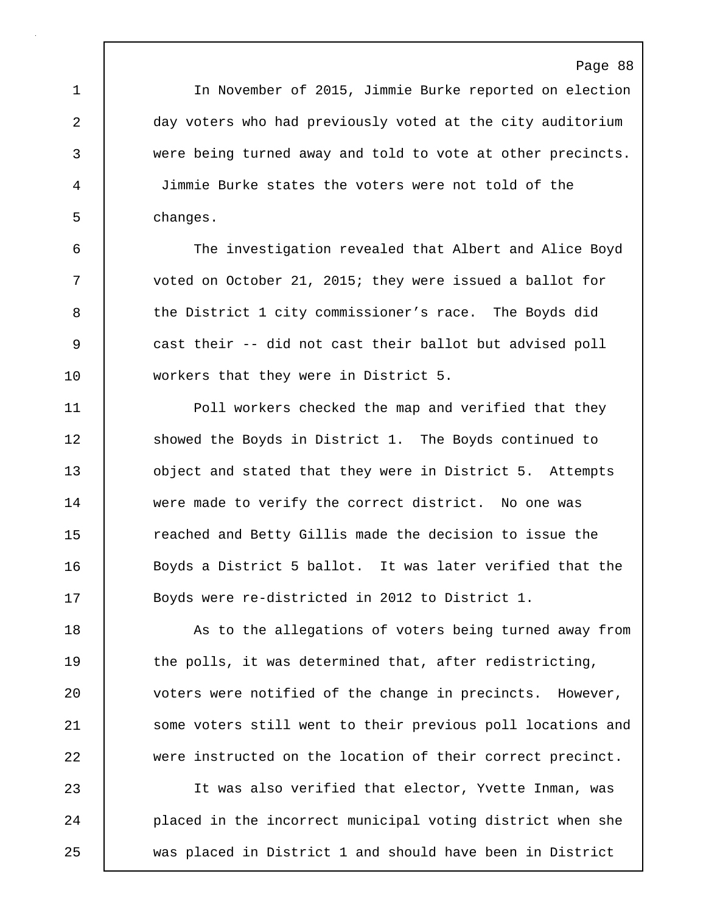1 In November of 2015, Jimmie Burke reported on election 2 day voters who had previously voted at the city auditorium 3 were being turned away and told to vote at other precincts. 4 Jimmie Burke states the voters were not told of the 5 changes.

6 The investigation revealed that Albert and Alice Boyd 7 voted on October 21, 2015; they were issued a ballot for 8 the District 1 city commissioner's race. The Boyds did 9 cast their -- did not cast their ballot but advised poll 10 workers that they were in District 5.

11 **Poll workers checked the map and verified that they** 12 Showed the Boyds in District 1. The Boyds continued to 13 **b** object and stated that they were in District 5. Attempts 14 were made to verify the correct district. No one was 15 The reached and Betty Gillis made the decision to issue the 16 | Boyds a District 5 ballot. It was later verified that the 17 | Boyds were re-districted in 2012 to District 1.

18 As to the allegations of voters being turned away from 19 the polls, it was determined that, after redistricting, 20 voters were notified of the change in precincts. However, 21 | some voters still went to their previous poll locations and 22 were instructed on the location of their correct precinct.

23 It was also verified that elector, Yvette Inman, was 24 **placed in the incorrect municipal voting district when she** 25 was placed in District 1 and should have been in District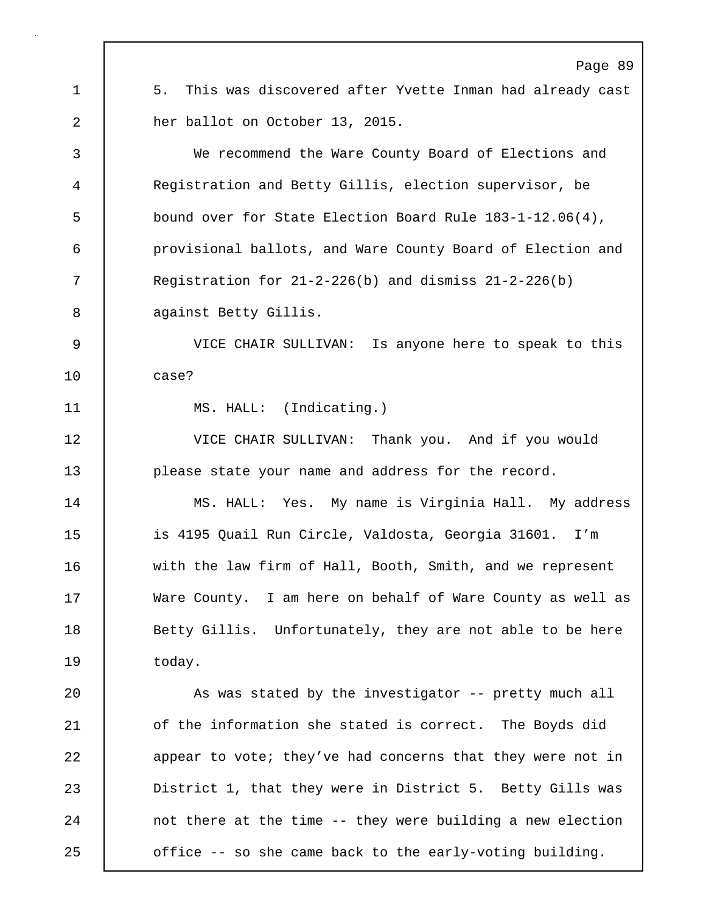Page 89 1 | 5. This was discovered after Yvette Inman had already cast 2 her ballot on October 13, 2015. 3 We recommend the Ware County Board of Elections and 4 Registration and Betty Gillis, election supervisor, be 5 bound over for State Election Board Rule 183-1-12.06(4), 6 provisional ballots, and Ware County Board of Election and 7 Registration for 21-2-226(b) and dismiss 21-2-226(b) 8 against Betty Gillis. 9 VICE CHAIR SULLIVAN: Is anyone here to speak to this 10 case? 11 MS. HALL: (Indicating.) 12 VICE CHAIR SULLIVAN: Thank you. And if you would 13 **please state your name and address for the record.** 14 MS. HALL: Yes. My name is Virginia Hall. My address 15 is 4195 Quail Run Circle, Valdosta, Georgia 31601. I'm 16 with the law firm of Hall, Booth, Smith, and we represent 17 Ware County. I am here on behalf of Ware County as well as 18 | Betty Gillis. Unfortunately, they are not able to be here 19 | today. 20 | As was stated by the investigator -- pretty much all 21 of the information she stated is correct. The Boyds did 22 appear to vote; they've had concerns that they were not in 23 District 1, that they were in District 5. Betty Gills was 24 | not there at the time -- they were building a new election 25 **o** office -- so she came back to the early-voting building.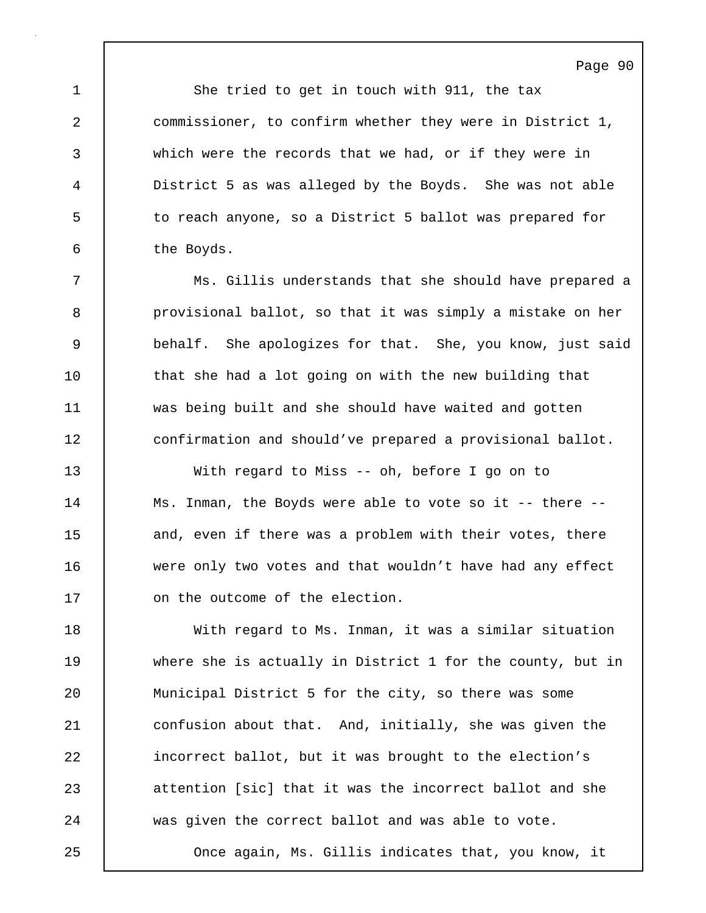1 She tried to get in touch with 911, the tax 2 commissioner, to confirm whether they were in District 1, 3 which were the records that we had, or if they were in 4 District 5 as was alleged by the Boyds. She was not able 5 to reach anyone, so a District 5 ballot was prepared for 6 the Boyds.

7 Ms. Gillis understands that she should have prepared a 8 **provisional ballot, so that it was simply a mistake on her** 9 behalf. She apologizes for that. She, you know, just said 10 that she had a lot going on with the new building that 11 was being built and she should have waited and gotten 12 confirmation and should've prepared a provisional ballot.

13 With regard to Miss -- oh, before I go on to 14 | Ms. Inman, the Boyds were able to vote so it -- there --15 and, even if there was a problem with their votes, there 16 were only two votes and that wouldn't have had any effect 17 | on the outcome of the election.

18 | With regard to Ms. Inman, it was a similar situation 19 where she is actually in District 1 for the county, but in 20 Municipal District 5 for the city, so there was some 21 confusion about that. And, initially, she was given the 22 incorrect ballot, but it was brought to the election's 23 attention [sic] that it was the incorrect ballot and she 24 was given the correct ballot and was able to vote. 25 Once again, Ms. Gillis indicates that, you know, it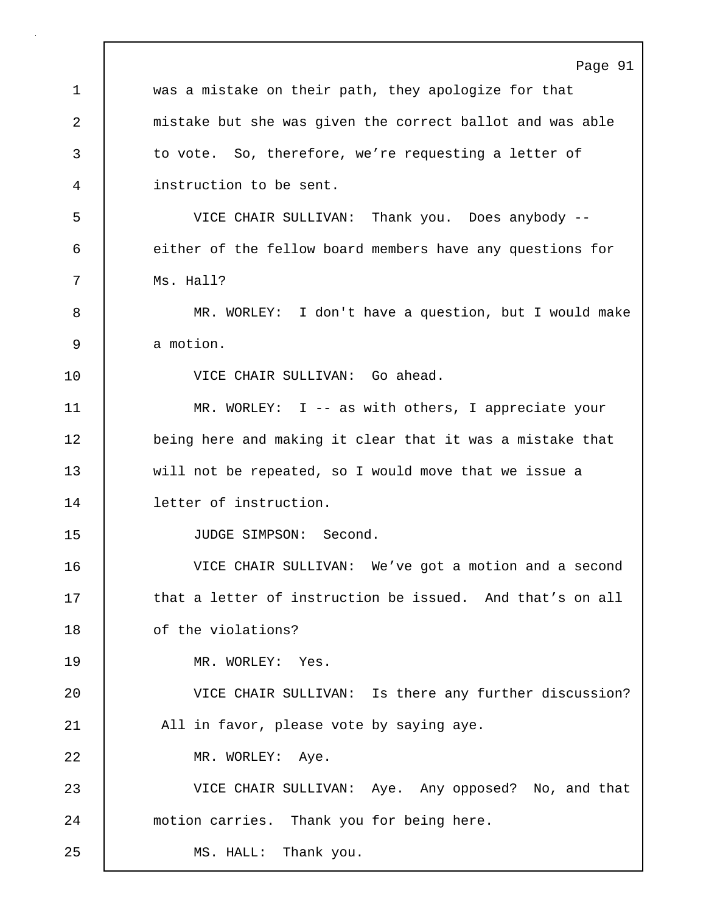Page 91 1 was a mistake on their path, they apologize for that 2 mistake but she was given the correct ballot and was able 3 to vote. So, therefore, we're requesting a letter of 4 instruction to be sent. 5 VICE CHAIR SULLIVAN: Thank you. Does anybody -- 6 either of the fellow board members have any questions for 7 | Ms. Hall? 8 MR. WORLEY: I don't have a question, but I would make 9 a motion. 10 VICE CHAIR SULLIVAN: Go ahead. 11 | MR. WORLEY: I -- as with others, I appreciate your 12 **being here and making it clear that it was a mistake that** 13 will not be repeated, so I would move that we issue a 14 letter of instruction. 15 JUDGE SIMPSON: Second. 16 VICE CHAIR SULLIVAN: We've got a motion and a second 17 **that a letter of instruction be issued.** And that's on all 18 | of the violations? 19 MR. WORLEY: Yes. 20 VICE CHAIR SULLIVAN: Is there any further discussion? 21 | All in favor, please vote by saying aye. 22 MR. WORLEY: Aye. 23 VICE CHAIR SULLIVAN: Aye. Any opposed? No, and that 24 motion carries. Thank you for being here. 25 | MS. HALL: Thank you.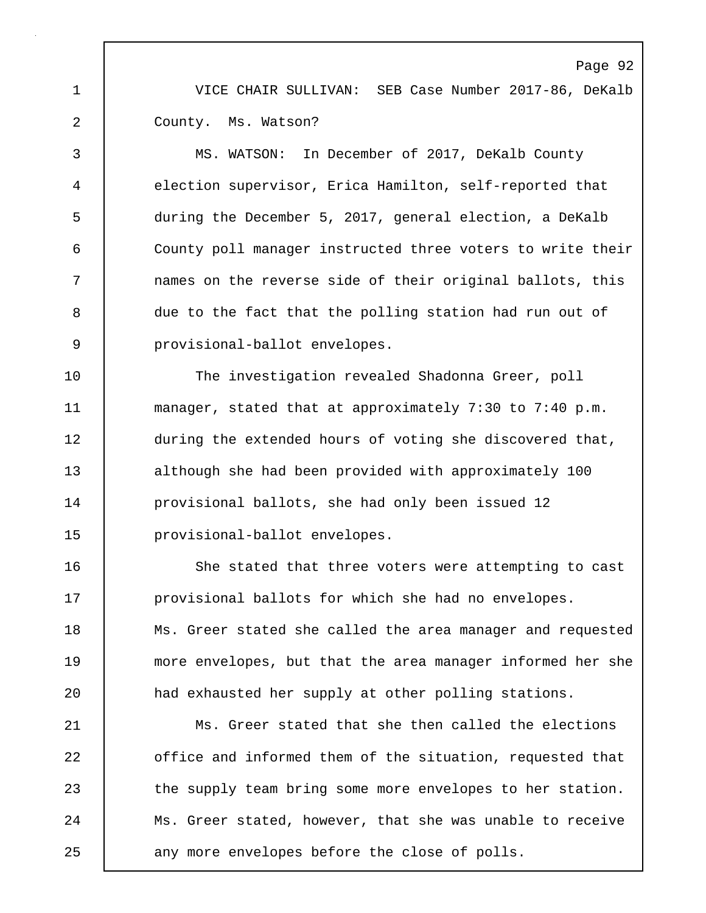1 VICE CHAIR SULLIVAN: SEB Case Number 2017-86, DeKalb 2 County. Ms. Watson?

3 MS. WATSON: In December of 2017, DeKalb County 4 election supervisor, Erica Hamilton, self-reported that 5 during the December 5, 2017, general election, a DeKalb 6 County poll manager instructed three voters to write their 7 names on the reverse side of their original ballots, this 8 due to the fact that the polling station had run out of 9 provisional-ballot envelopes.

10 The investigation revealed Shadonna Greer, poll 11 manager, stated that at approximately 7:30 to 7:40 p.m. 12 during the extended hours of voting she discovered that, 13 although she had been provided with approximately 100 14 **provisional ballots**, she had only been issued 12 15 provisional-ballot envelopes.

16 She stated that three voters were attempting to cast 17 **provisional ballots for which she had no envelopes.** 18 | Ms. Greer stated she called the area manager and requested 19 more envelopes, but that the area manager informed her she 20 **had exhausted her supply at other polling stations.** 

21 Ms. Greer stated that she then called the elections 22 **office and informed them of the situation, requested that** 23 the supply team bring some more envelopes to her station. 24 Ms. Greer stated, however, that she was unable to receive 25 any more envelopes before the close of polls.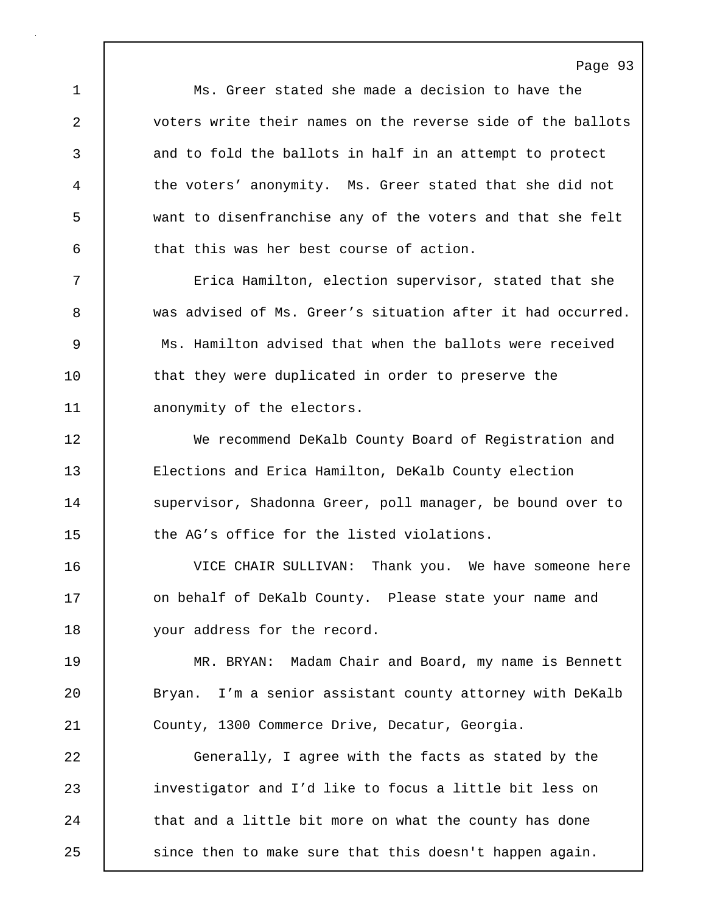1 Ms. Greer stated she made a decision to have the 2 voters write their names on the reverse side of the ballots 3 and to fold the ballots in half in an attempt to protect 4 the voters' anonymity. Ms. Greer stated that she did not 5 want to disenfranchise any of the voters and that she felt 6 that this was her best course of action.

7 Erica Hamilton, election supervisor, stated that she 8 was advised of Ms. Greer's situation after it had occurred. 9 Ms. Hamilton advised that when the ballots were received 10 | that they were duplicated in order to preserve the 11 | anonymity of the electors.

12 We recommend DeKalb County Board of Registration and 13 Elections and Erica Hamilton, DeKalb County election 14 | supervisor, Shadonna Greer, poll manager, be bound over to 15 the AG's office for the listed violations.

16 VICE CHAIR SULLIVAN: Thank you. We have someone here 17 | on behalf of DeKalb County. Please state your name and 18 | your address for the record.

19 MR. BRYAN: Madam Chair and Board, my name is Bennett 20 Sryan. I'm a senior assistant county attorney with DeKalb 21 County, 1300 Commerce Drive, Decatur, Georgia.

22 Generally, I agree with the facts as stated by the 23 investigator and I'd like to focus a little bit less on 24 that and a little bit more on what the county has done 25 | since then to make sure that this doesn't happen again.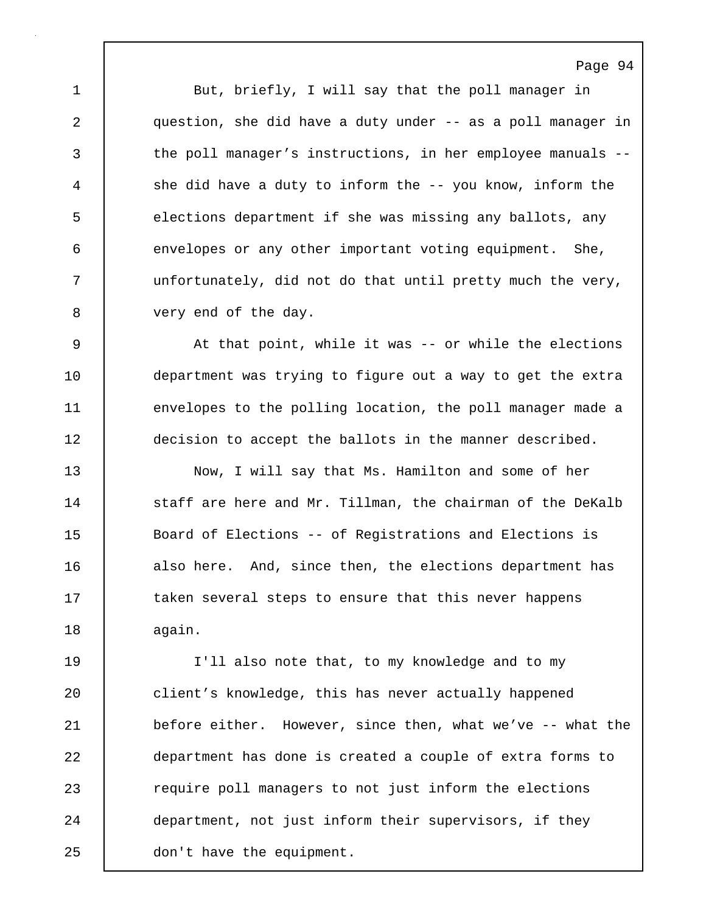1 But, briefly, I will say that the poll manager in 2 question, she did have a duty under -- as a poll manager in 3 the poll manager's instructions, in her employee manuals --4 she did have a duty to inform the -- you know, inform the 5 elections department if she was missing any ballots, any 6 envelopes or any other important voting equipment. She, 7 unfortunately, did not do that until pretty much the very, 8 very end of the day.

9 At that point, while it was -- or while the elections 10 department was trying to figure out a way to get the extra 11 envelopes to the polling location, the poll manager made a 12 decision to accept the ballots in the manner described.

13 Now, I will say that Ms. Hamilton and some of her 14 staff are here and Mr. Tillman, the chairman of the DeKalb 15 Board of Elections -- of Registrations and Elections is 16 also here. And, since then, the elections department has 17 taken several steps to ensure that this never happens 18 again.

19 I'll also note that, to my knowledge and to my 20 client's knowledge, this has never actually happened 21 before either. However, since then, what we've -- what the 22 department has done is created a couple of extra forms to 23 **Progerenge 123** require poll managers to not just inform the elections 24 department, not just inform their supervisors, if they 25 don't have the equipment.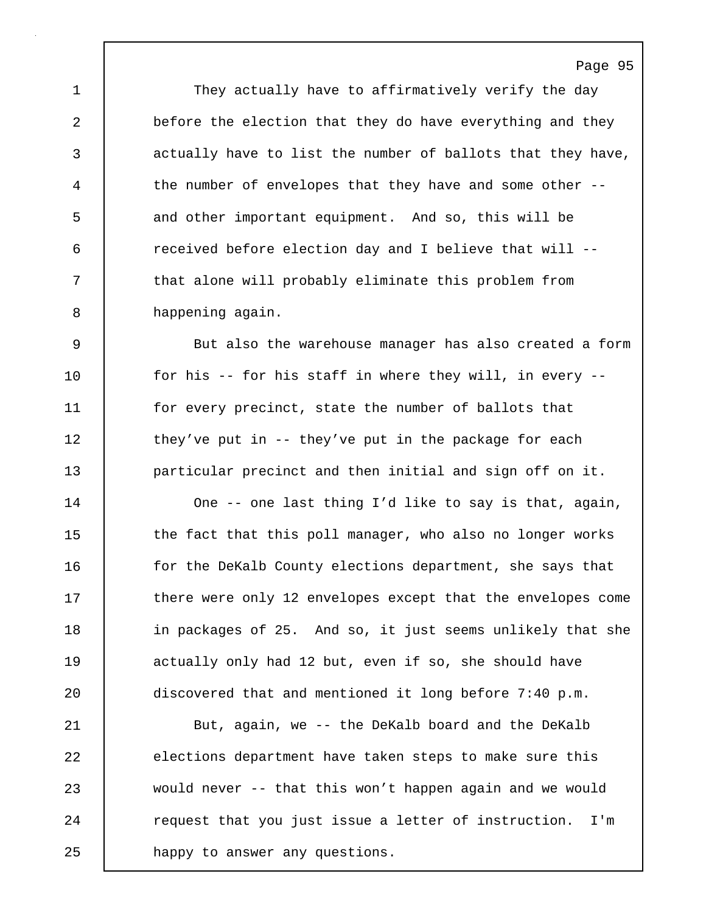1 They actually have to affirmatively verify the day 2 before the election that they do have everything and they 3 actually have to list the number of ballots that they have, 4 the number of envelopes that they have and some other -- 5 and other important equipment. And so, this will be 6 received before election day and I believe that will -- 7 | that alone will probably eliminate this problem from 8 happening again.

9 But also the warehouse manager has also created a form 10 for his -- for his staff in where they will, in every --11 for every precinct, state the number of ballots that 12 they've put in -- they've put in the package for each 13 particular precinct and then initial and sign off on it.

14 | One -- one last thing I'd like to say is that, again, 15 the fact that this poll manager, who also no longer works 16 **follow** for the DeKalb County elections department, she says that 17 there were only 12 envelopes except that the envelopes come 18 in packages of 25. And so, it just seems unlikely that she 19 | actually only had 12 but, even if so, she should have 20 discovered that and mentioned it long before 7:40 p.m.

21 | But, again, we -- the DeKalb board and the DeKalb 22 elections department have taken steps to make sure this 23 would never -- that this won't happen again and we would 24 | request that you just issue a letter of instruction. I'm 25 happy to answer any questions.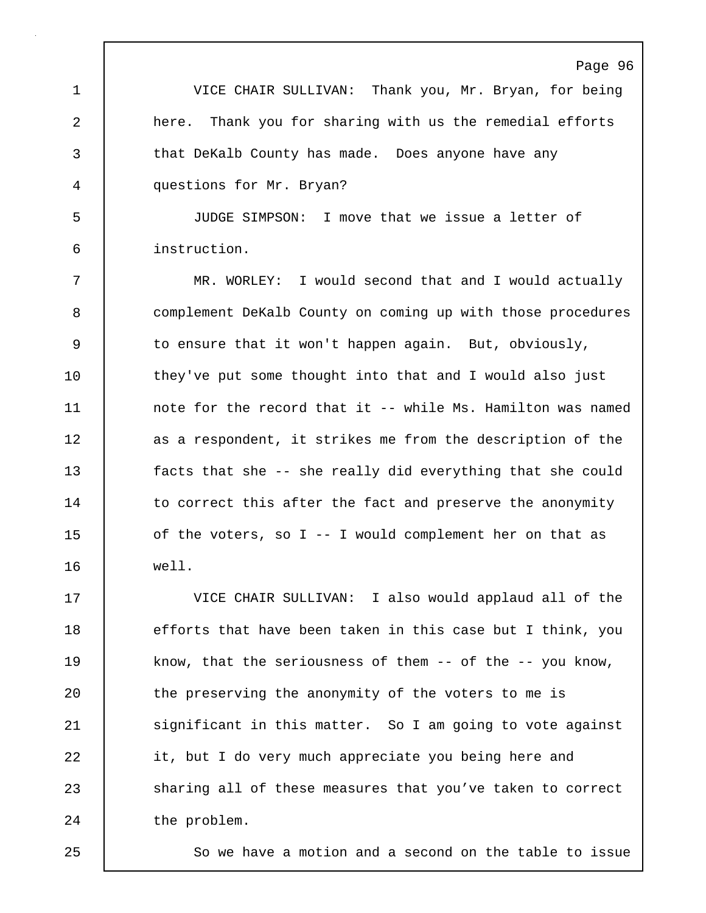1 VICE CHAIR SULLIVAN: Thank you, Mr. Bryan, for being 2 here. Thank you for sharing with us the remedial efforts 3 that DeKalb County has made. Does anyone have any 4 questions for Mr. Bryan?

5 JUDGE SIMPSON: I move that we issue a letter of 6 instruction.

7 MR. WORLEY: I would second that and I would actually 8 complement DeKalb County on coming up with those procedures 9 to ensure that it won't happen again. But, obviously, 10 | they've put some thought into that and I would also just 11 | note for the record that it -- while Ms. Hamilton was named 12 as a respondent, it strikes me from the description of the 13 facts that she -- she really did everything that she could 14 to correct this after the fact and preserve the anonymity 15 of the voters, so I -- I would complement her on that as 16 well.

17 VICE CHAIR SULLIVAN: I also would applaud all of the 18 efforts that have been taken in this case but I think, you 19 know, that the seriousness of them -- of the -- you know, 20 | the preserving the anonymity of the voters to me is 21 Significant in this matter. So I am going to vote against 22 it, but I do very much appreciate you being here and 23 Sharing all of these measures that you've taken to correct 24 the problem.

25 | So we have a motion and a second on the table to issue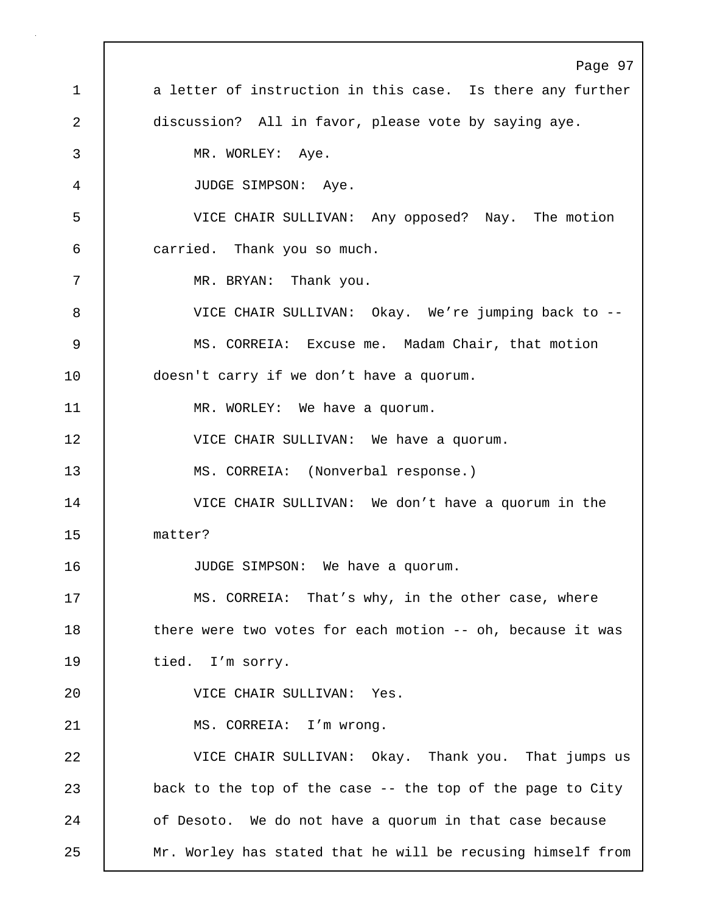Page 97 1 a letter of instruction in this case. Is there any further 2 discussion? All in favor, please vote by saying aye. 3 MR. WORLEY: Aye. 4 JUDGE SIMPSON: Aye. 5 VICE CHAIR SULLIVAN: Any opposed? Nay. The motion 6 carried. Thank you so much. 7 MR. BRYAN: Thank you. 8 VICE CHAIR SULLIVAN: Okay. We're jumping back to -- 9 MS. CORREIA: Excuse me. Madam Chair, that motion 10 doesn't carry if we don't have a quorum. 11 MR. WORLEY: We have a quorum. 12 VICE CHAIR SULLIVAN: We have a quorum. 13 | MS. CORREIA: (Nonverbal response.) 14 VICE CHAIR SULLIVAN: We don't have a quorum in the 15 matter? 16 JUDGE SIMPSON: We have a quorum. 17 | MS. CORREIA: That's why, in the other case, where 18 | there were two votes for each motion -- oh, because it was 19 tied. I'm sorry. 20 VICE CHAIR SULLIVAN: Yes. 21 | MS. CORREIA: I'm wrong. 22 VICE CHAIR SULLIVAN: Okay. Thank you. That jumps us 23 back to the top of the case -- the top of the page to City 24 of Desoto. We do not have a quorum in that case because 25 Mr. Worley has stated that he will be recusing himself from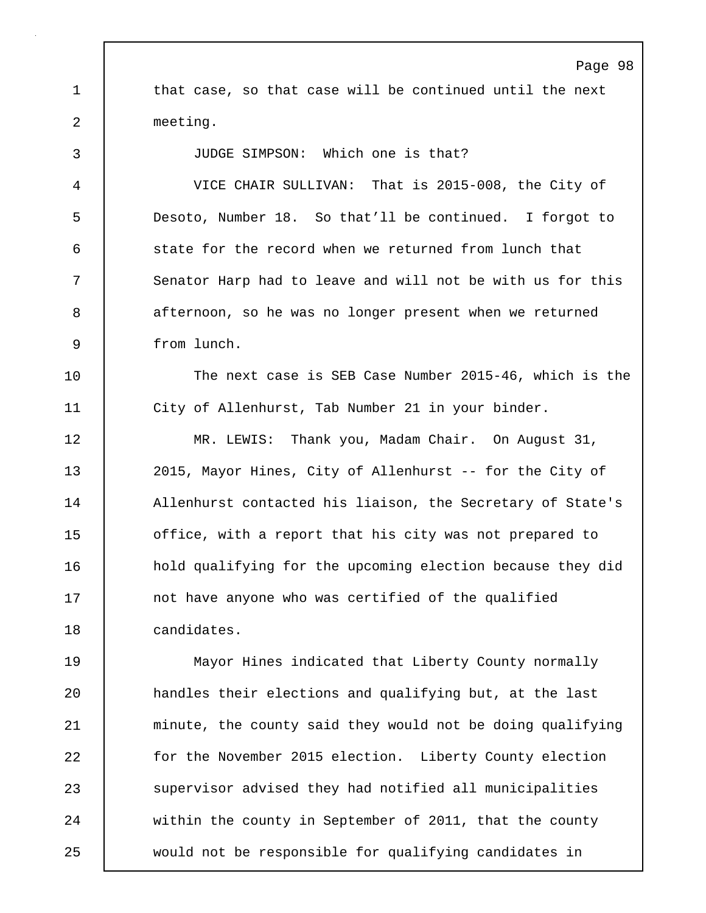Page 98 1 that case, so that case will be continued until the next 2 meeting. 3 JUDGE SIMPSON: Which one is that? 4 VICE CHAIR SULLIVAN: That is 2015-008, the City of 5 Desoto, Number 18. So that'll be continued. I forgot to 6 state for the record when we returned from lunch that 7 Senator Harp had to leave and will not be with us for this 8 afternoon, so he was no longer present when we returned 9 from lunch. 10 The next case is SEB Case Number 2015-46, which is the 11 City of Allenhurst, Tab Number 21 in your binder. 12 | MR. LEWIS: Thank you, Madam Chair. On August 31, 13 2015, Mayor Hines, City of Allenhurst -- for the City of 14 | Allenhurst contacted his liaison, the Secretary of State's 15 | office, with a report that his city was not prepared to 16 hold qualifying for the upcoming election because they did 17 not have anyone who was certified of the qualified 18 candidates. 19 Mayor Hines indicated that Liberty County normally 20 handles their elections and qualifying but, at the last 21 | minute, the county said they would not be doing qualifying 22 for the November 2015 election. Liberty County election 23 Supervisor advised they had notified all municipalities 24 within the county in September of 2011, that the county 25 would not be responsible for qualifying candidates in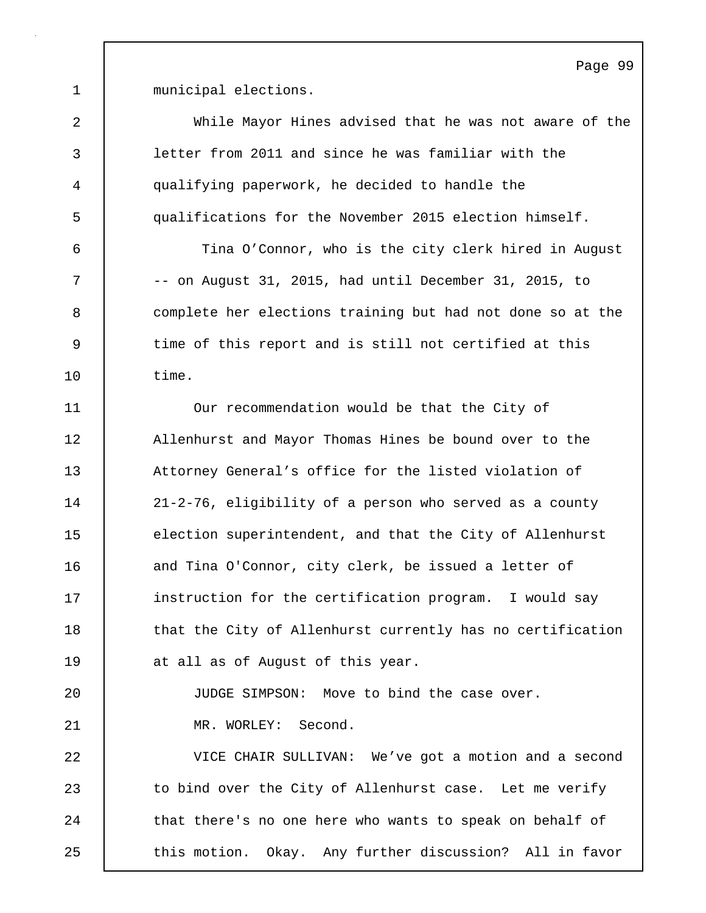1 municipal elections.

2 While Mayor Hines advised that he was not aware of the 3 letter from 2011 and since he was familiar with the 4 qualifying paperwork, he decided to handle the 5 qualifications for the November 2015 election himself. 6 Tina O'Connor, who is the city clerk hired in August 7 -- on August 31, 2015, had until December 31, 2015, to 8 complete her elections training but had not done so at the 9 time of this report and is still not certified at this 10 time. 11 Our recommendation would be that the City of 12 | Allenhurst and Mayor Thomas Hines be bound over to the 13 **Attorney General's office for the listed violation of** 14 21-2-76, eligibility of a person who served as a county 15 election superintendent, and that the City of Allenhurst 16 and Tina O'Connor, city clerk, be issued a letter of 17 instruction for the certification program. I would say 18 | that the City of Allenhurst currently has no certification 19 at all as of August of this year. 20 JUDGE SIMPSON: Move to bind the case over. 21 | MR. WORLEY: Second. 22 VICE CHAIR SULLIVAN: We've got a motion and a second 23 to bind over the City of Allenhurst case. Let me verify 24 that there's no one here who wants to speak on behalf of 25 this motion. Okay. Any further discussion? All in favor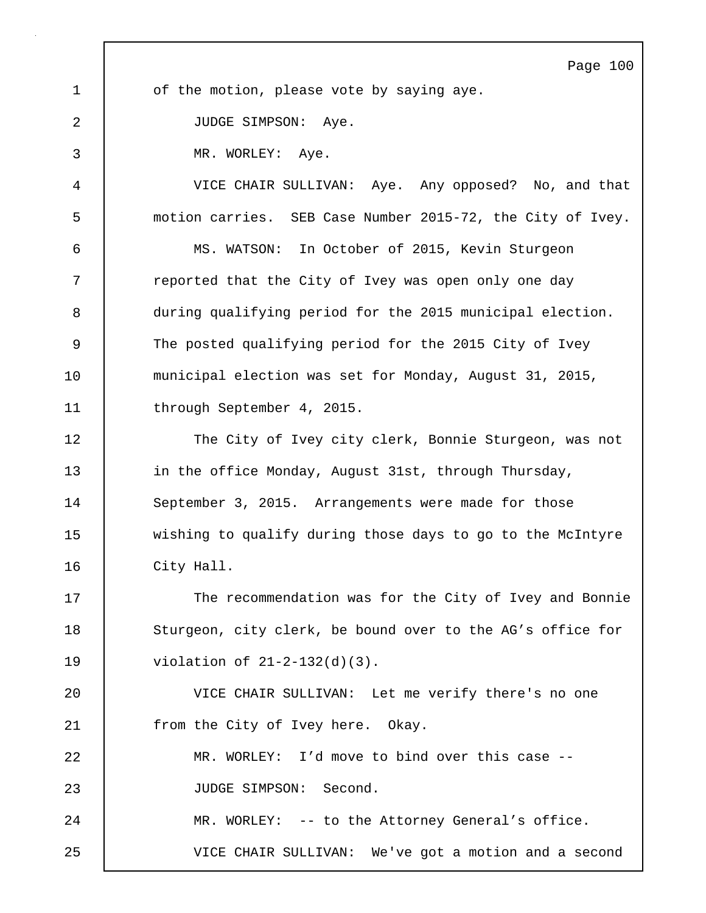Page 100 1 of the motion, please vote by saying aye. 2 JUDGE SIMPSON: Aye. 3 MR. WORLEY: Aye. 4 VICE CHAIR SULLIVAN: Aye. Any opposed? No, and that 5 motion carries. SEB Case Number 2015-72, the City of Ivey. 6 MS. WATSON: In October of 2015, Kevin Sturgeon 7 Teported that the City of Ivey was open only one day 8 during qualifying period for the 2015 municipal election. 9 The posted qualifying period for the 2015 City of Ivey 10 municipal election was set for Monday, August 31, 2015, 11 | through September 4, 2015. 12 The City of Ivey city clerk, Bonnie Sturgeon, was not 13 | in the office Monday, August 31st, through Thursday, 14 September 3, 2015. Arrangements were made for those 15 | wishing to qualify during those days to go to the McIntyre 16 | City Hall. 17 The recommendation was for the City of Ivey and Bonnie 18 Sturgeon, city clerk, be bound over to the AG's office for 19 violation of 21-2-132(d)(3). 20 VICE CHAIR SULLIVAN: Let me verify there's no one 21 From the City of Ivey here. Okay. 22 MR. WORLEY: I'd move to bind over this case -- 23 | JUDGE SIMPSON: Second. 24 MR. WORLEY: -- to the Attorney General's office. 25 VICE CHAIR SULLIVAN: We've got a motion and a second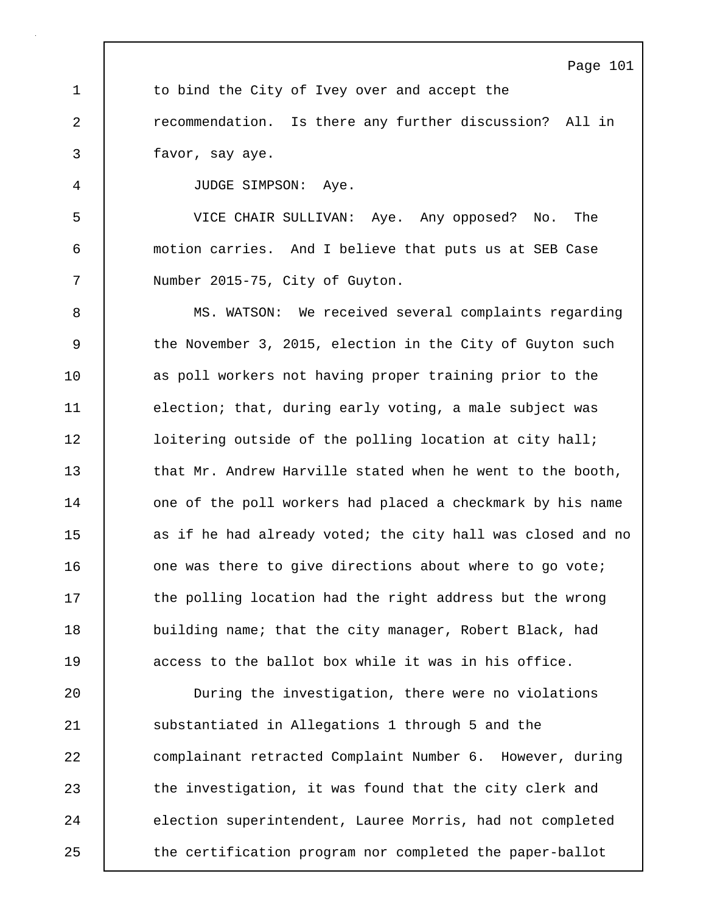Page 101 1 to bind the City of Ivey over and accept the 2 **recommendation.** Is there any further discussion? All in 3 favor, say aye. 4 JUDGE SIMPSON: Aye. 5 VICE CHAIR SULLIVAN: Aye. Any opposed? No. The 6 motion carries. And I believe that puts us at SEB Case 7 | Number 2015-75, City of Guyton. 8 MS. WATSON: We received several complaints regarding 9 the November 3, 2015, election in the City of Guyton such 10 | as poll workers not having proper training prior to the 11 | election; that, during early voting, a male subject was 12 | loitering outside of the polling location at city hall; 13 **that Mr. Andrew Harville stated when he went to the booth,** 14 | one of the poll workers had placed a checkmark by his name 15 as if he had already voted; the city hall was closed and no 16 **c** one was there to give directions about where to go vote; 17 | the polling location had the right address but the wrong

18 building name; that the city manager, Robert Black, had 19 access to the ballot box while it was in his office.

20 During the investigation, there were no violations 21 | substantiated in Allegations 1 through 5 and the 22 complainant retracted Complaint Number 6. However, during 23 the investigation, it was found that the city clerk and 24 election superintendent, Lauree Morris, had not completed 25 the certification program nor completed the paper-ballot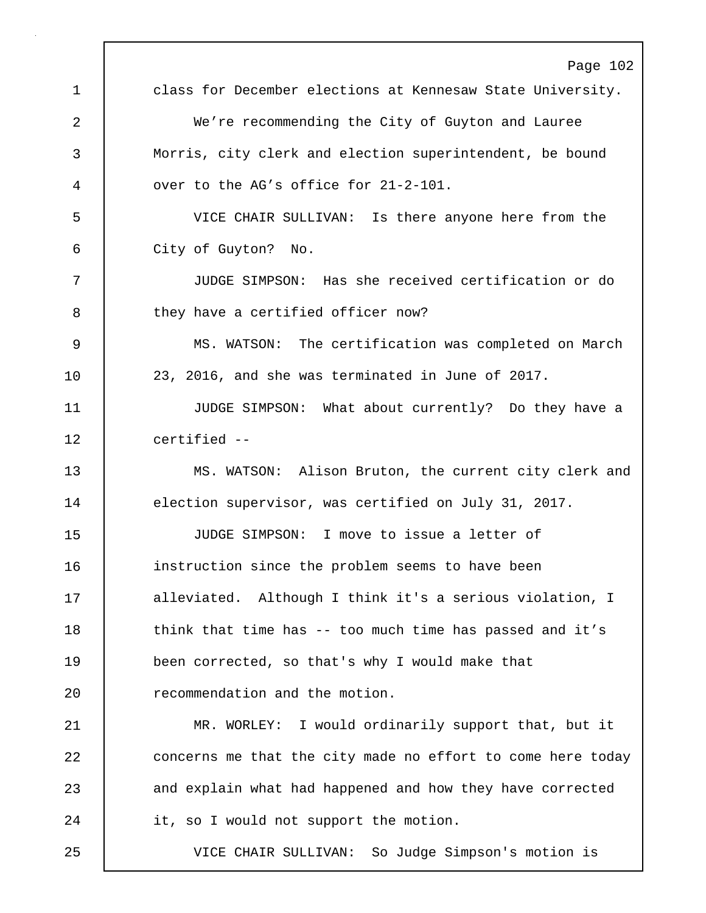|    | Page 102                                                    |
|----|-------------------------------------------------------------|
| 1  | class for December elections at Kennesaw State University.  |
| 2  | We're recommending the City of Guyton and Lauree            |
| 3  | Morris, city clerk and election superintendent, be bound    |
| 4  | over to the AG's office for 21-2-101.                       |
| 5  | VICE CHAIR SULLIVAN: Is there anyone here from the          |
| 6  | City of Guyton? No.                                         |
| 7  | JUDGE SIMPSON: Has she received certification or do         |
| 8  | they have a certified officer now?                          |
| 9  | MS. WATSON: The certification was completed on March        |
| 10 | 23, 2016, and she was terminated in June of 2017.           |
| 11 | JUDGE SIMPSON: What about currently? Do they have a         |
| 12 | certified --                                                |
| 13 | MS. WATSON: Alison Bruton, the current city clerk and       |
| 14 | election supervisor, was certified on July 31, 2017.        |
| 15 | JUDGE SIMPSON: I move to issue a letter of                  |
| 16 | instruction since the problem seems to have been            |
| 17 | alleviated. Although I think it's a serious violation, I    |
| 18 | think that time has -- too much time has passed and it's    |
| 19 | been corrected, so that's why I would make that             |
| 20 | recommendation and the motion.                              |
| 21 | MR. WORLEY: I would ordinarily support that, but it         |
| 22 | concerns me that the city made no effort to come here today |
| 23 | and explain what had happened and how they have corrected   |
| 24 | it, so I would not support the motion.                      |
| 25 | So Judge Simpson's motion is<br>VICE CHAIR SULLIVAN:        |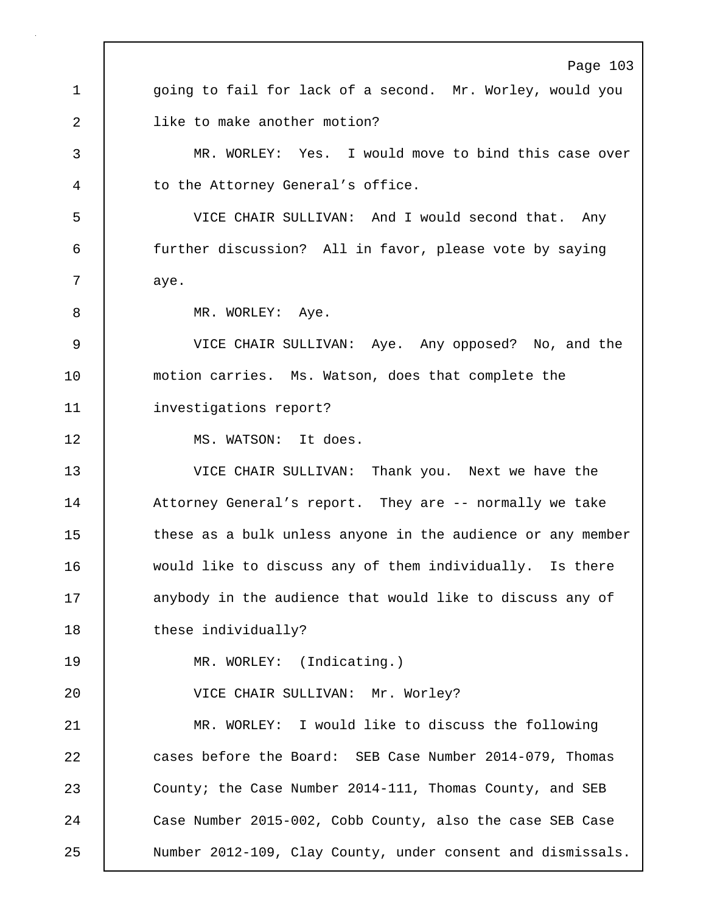Page 103 1 | going to fail for lack of a second. Mr. Worley, would you 2 | like to make another motion? 3 MR. WORLEY: Yes. I would move to bind this case over 4 | to the Attorney General's office. 5 VICE CHAIR SULLIVAN: And I would second that. Any 6 further discussion? All in favor, please vote by saying 7 | aye. 8 MR. WORLEY: Aye. 9 VICE CHAIR SULLIVAN: Aye. Any opposed? No, and the 10 motion carries. Ms. Watson, does that complete the 11 investigations report? 12 | MS. WATSON: It does. 13 VICE CHAIR SULLIVAN: Thank you. Next we have the 14 Attorney General's report. They are -- normally we take 15 these as a bulk unless anyone in the audience or any member 16 would like to discuss any of them individually. Is there 17 | anybody in the audience that would like to discuss any of 18 | these individually? 19 MR. WORLEY: (Indicating.) 20 VICE CHAIR SULLIVAN: Mr. Worley? 21 MR. WORLEY: I would like to discuss the following 22 cases before the Board: SEB Case Number 2014-079, Thomas 23 County; the Case Number 2014-111, Thomas County, and SEB 24 Case Number 2015-002, Cobb County, also the case SEB Case 25 Number 2012-109, Clay County, under consent and dismissals.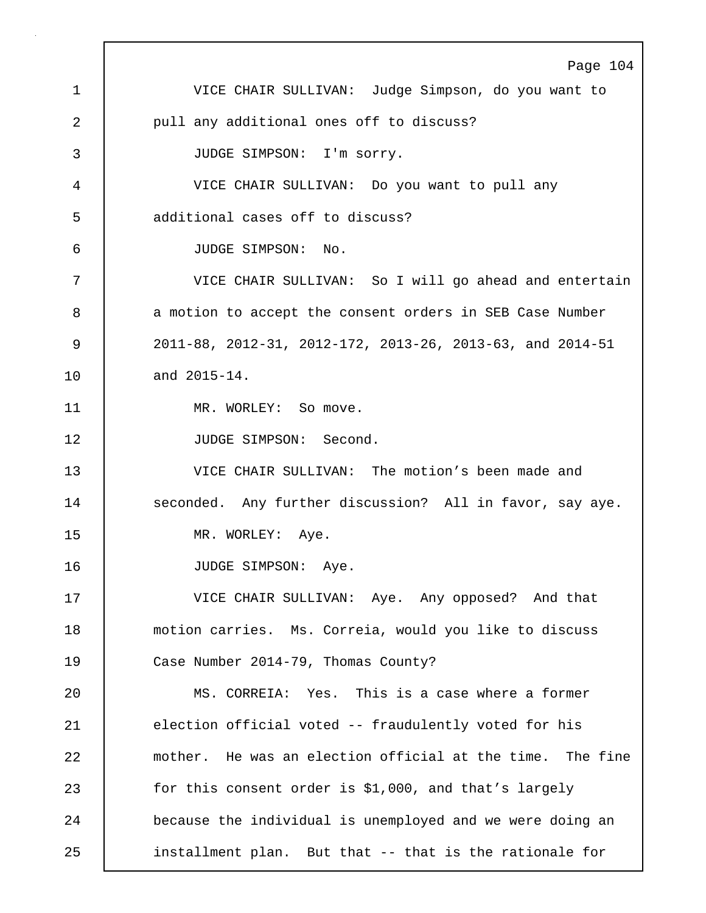Page 104 1 VICE CHAIR SULLIVAN: Judge Simpson, do you want to 2 | pull any additional ones off to discuss? 3 JUDGE SIMPSON: I'm sorry. 4 VICE CHAIR SULLIVAN: Do you want to pull any 5 additional cases off to discuss? 6 JUDGE SIMPSON: No. 7 VICE CHAIR SULLIVAN: So I will go ahead and entertain 8 a motion to accept the consent orders in SEB Case Number 9 2011-88, 2012-31, 2012-172, 2013-26, 2013-63, and 2014-51 10 and 2015-14. 11 | MR. WORLEY: So move. 12 | JUDGE SIMPSON: Second. 13 VICE CHAIR SULLIVAN: The motion's been made and 14 | seconded. Any further discussion? All in favor, say aye. 15 | MR. WORLEY: Aye. 16 | JUDGE SIMPSON: Aye. 17 VICE CHAIR SULLIVAN: Aye. Any opposed? And that 18 motion carries. Ms. Correia, would you like to discuss 19 Case Number 2014-79, Thomas County? 20 MS. CORREIA: Yes. This is a case where a former 21 election official voted -- fraudulently voted for his 22 mother. He was an election official at the time. The fine 23 for this consent order is \$1,000, and that's largely 24 **because the individual is unemployed and we were doing an** 25 installment plan. But that -- that is the rationale for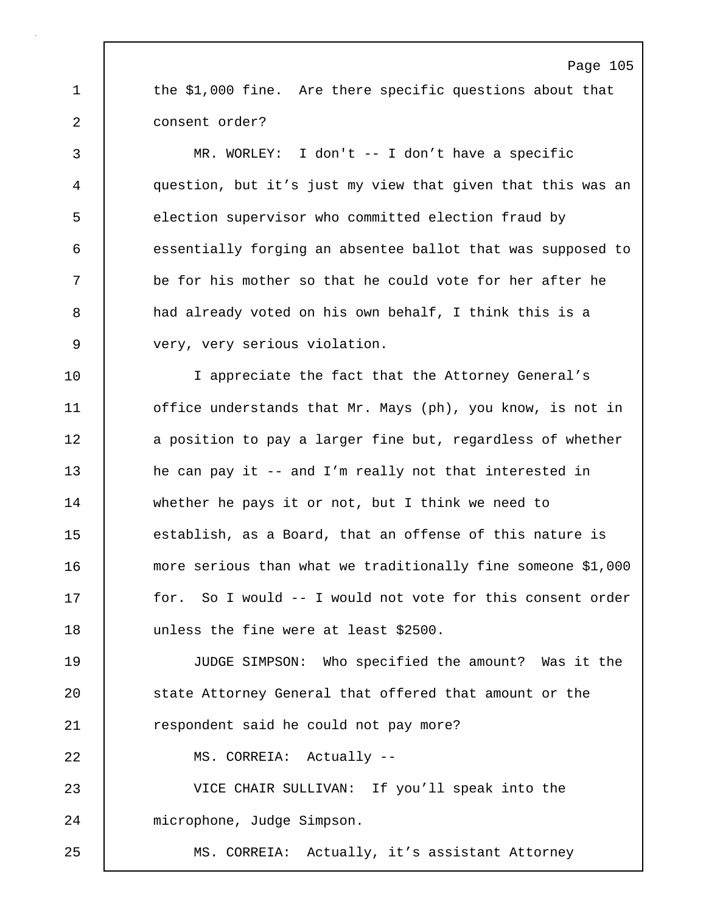1 the \$1,000 fine. Are there specific questions about that 2 consent order?

3 MR. WORLEY: I don't -- I don't have a specific 4 question, but it's just my view that given that this was an 5 election supervisor who committed election fraud by 6 essentially forging an absentee ballot that was supposed to 7 be for his mother so that he could vote for her after he 8 a had already voted on his own behalf, I think this is a 9 very, very serious violation.

10 I appreciate the fact that the Attorney General's 11 | office understands that Mr. Mays (ph), you know, is not in 12 a position to pay a larger fine but, regardless of whether 13 he can pay it -- and I'm really not that interested in 14 whether he pays it or not, but I think we need to 15 establish, as a Board, that an offense of this nature is 16 more serious than what we traditionally fine someone \$1,000 17 | for. So I would -- I would not vote for this consent order 18 unless the fine were at least \$2500.

19 JUDGE SIMPSON: Who specified the amount? Was it the 20 state Attorney General that offered that amount or the 21 | respondent said he could not pay more?

22 MS. CORREIA: Actually --

23 VICE CHAIR SULLIVAN: If you'll speak into the 24 microphone, Judge Simpson.

25 MS. CORREIA: Actually, it's assistant Attorney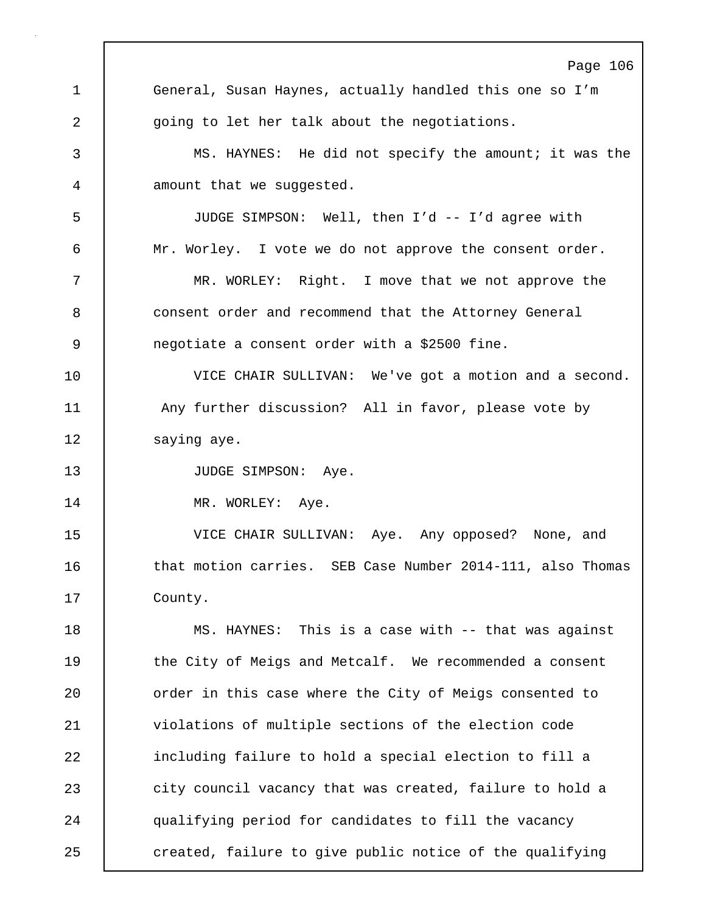Page 106 1 General, Susan Haynes, actually handled this one so I'm 2 | going to let her talk about the negotiations. 3 MS. HAYNES: He did not specify the amount; it was the 4 amount that we suggested. 5 JUDGE SIMPSON: Well, then I'd -- I'd agree with 6 Mr. Worley. I vote we do not approve the consent order. 7 MR. WORLEY: Right. I move that we not approve the 8 consent order and recommend that the Attorney General 9 negotiate a consent order with a \$2500 fine. 10 VICE CHAIR SULLIVAN: We've got a motion and a second. 11 Any further discussion? All in favor, please vote by 12 | saying aye. 13 | JUDGE SIMPSON: Aye. 14 | MR. WORLEY: Aye. 15 VICE CHAIR SULLIVAN: Aye. Any opposed? None, and 16 10 that motion carries. SEB Case Number 2014-111, also Thomas 17 | County. 18 MS. HAYNES: This is a case with -- that was against 19 the City of Meigs and Metcalf. We recommended a consent 20 **canabilisat** order in this case where the City of Meigs consented to 21 | violations of multiple sections of the election code 22 including failure to hold a special election to fill a 23 city council vacancy that was created, failure to hold a 24 qualifying period for candidates to fill the vacancy 25 created, failure to give public notice of the qualifying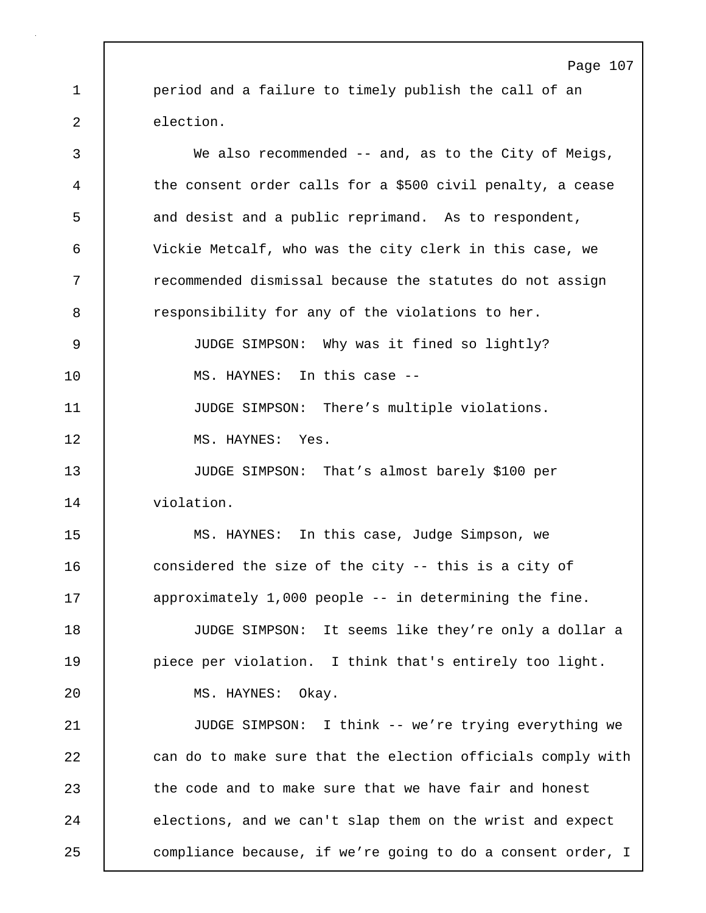1 period and a failure to timely publish the call of an 2 election.

3 We also recommended -- and, as to the City of Meigs, 4 the consent order calls for a \$500 civil penalty, a cease 5 and desist and a public reprimand. As to respondent, 6 Vickie Metcalf, who was the city clerk in this case, we 7 Tecommended dismissal because the statutes do not assign 8 **8** responsibility for any of the violations to her. 9 JUDGE SIMPSON: Why was it fined so lightly? 10 MS. HAYNES: In this case --11 **JUDGE SIMPSON:** There's multiple violations. 12 MS. HAYNES: Yes. 13 JUDGE SIMPSON: That's almost barely \$100 per 14 violation. 15 MS. HAYNES: In this case, Judge Simpson, we 16 considered the size of the city -- this is a city of 17 | approximately 1,000 people -- in determining the fine. 18 JUDGE SIMPSON: It seems like they're only a dollar a 19 **piece per violation.** I think that's entirely too light. 20 | MS. HAYNES: Okay. 21 JUDGE SIMPSON: I think -- we're trying everything we 22 can do to make sure that the election officials comply with 23 the code and to make sure that we have fair and honest 24 elections, and we can't slap them on the wrist and expect 25 compliance because, if we're going to do a consent order, I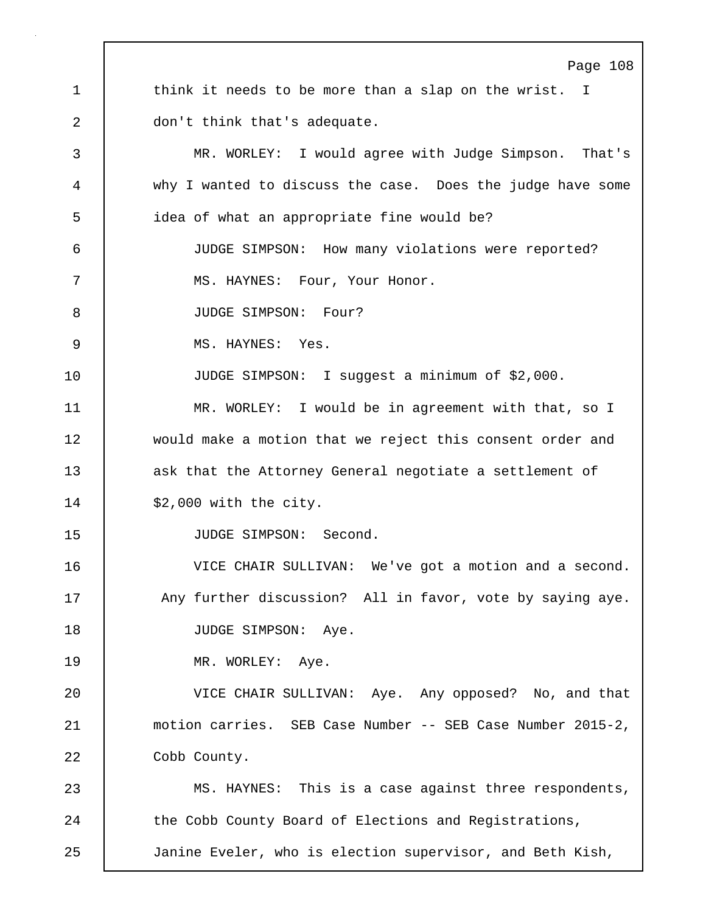Page 108 1 think it needs to be more than a slap on the wrist. I 2 don't think that's adequate. 3 MR. WORLEY: I would agree with Judge Simpson. That's 4 why I wanted to discuss the case. Does the judge have some 5 idea of what an appropriate fine would be? 6 JUDGE SIMPSON: How many violations were reported? 7 MS. HAYNES: Four, Your Honor. 8 JUDGE SIMPSON: Four? 9 MS. HAYNES: Yes. 10 JUDGE SIMPSON: I suggest a minimum of \$2,000. 11 | MR. WORLEY: I would be in agreement with that, so I 12 would make a motion that we reject this consent order and 13 ask that the Attorney General negotiate a settlement of 14 | \$2,000 with the city. 15 | JUDGE SIMPSON: Second. 16 VICE CHAIR SULLIVAN: We've got a motion and a second. 17 | Any further discussion? All in favor, vote by saying aye. 18 | JUDGE SIMPSON: Aye. 19 | MR. WORLEY: Aye. 20 VICE CHAIR SULLIVAN: Aye. Any opposed? No, and that 21 motion carries. SEB Case Number -- SEB Case Number 2015-2, 22 | Cobb County. 23 MS. HAYNES: This is a case against three respondents, 24 The Cobb County Board of Elections and Registrations, 25 Janine Eveler, who is election supervisor, and Beth Kish,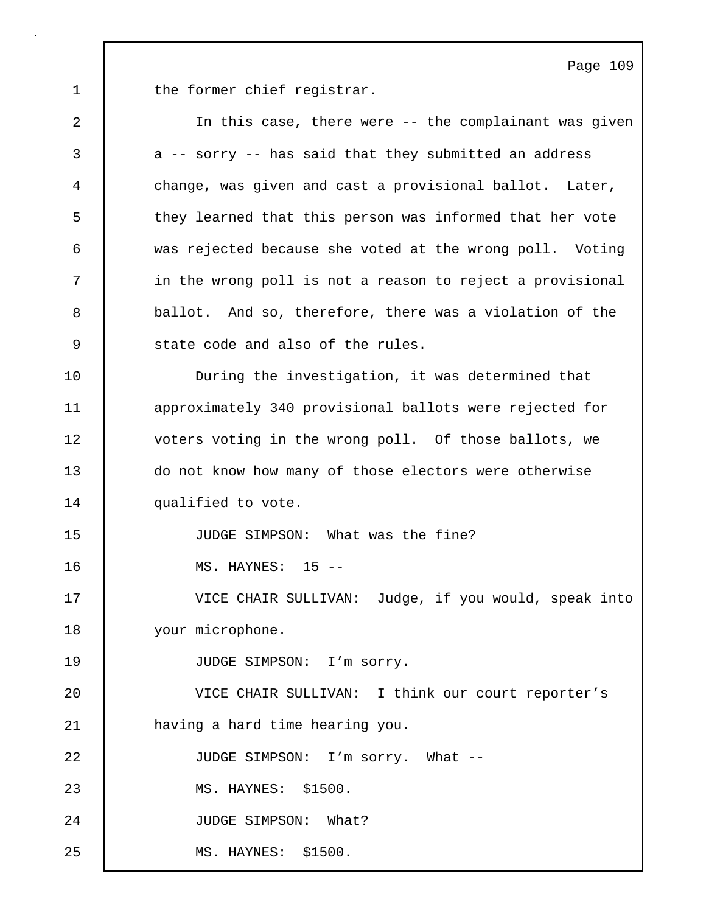1 the former chief registrar.

2 In this case, there were -- the complainant was given 3 a -- sorry -- has said that they submitted an address 4 change, was given and cast a provisional ballot. Later, 5 they learned that this person was informed that her vote 6 was rejected because she voted at the wrong poll. Voting 7 | in the wrong poll is not a reason to reject a provisional 8 ballot. And so, therefore, there was a violation of the 9 | state code and also of the rules. 10 During the investigation, it was determined that 11 approximately 340 provisional ballots were rejected for 12 voters voting in the wrong poll. Of those ballots, we 13 do not know how many of those electors were otherwise 14 | qualified to vote. 15 JUDGE SIMPSON: What was the fine? 16 MS. HAYNES: 15 -- 17 VICE CHAIR SULLIVAN: Judge, if you would, speak into 18 your microphone. 19 | JUDGE SIMPSON: I'm sorry. 20 VICE CHAIR SULLIVAN: I think our court reporter's 21 having a hard time hearing you. 22 | JUDGE SIMPSON: I'm sorry. What --23 | MS. HAYNES: \$1500. 24 | JUDGE SIMPSON: What? 25 MS. HAYNES: \$1500.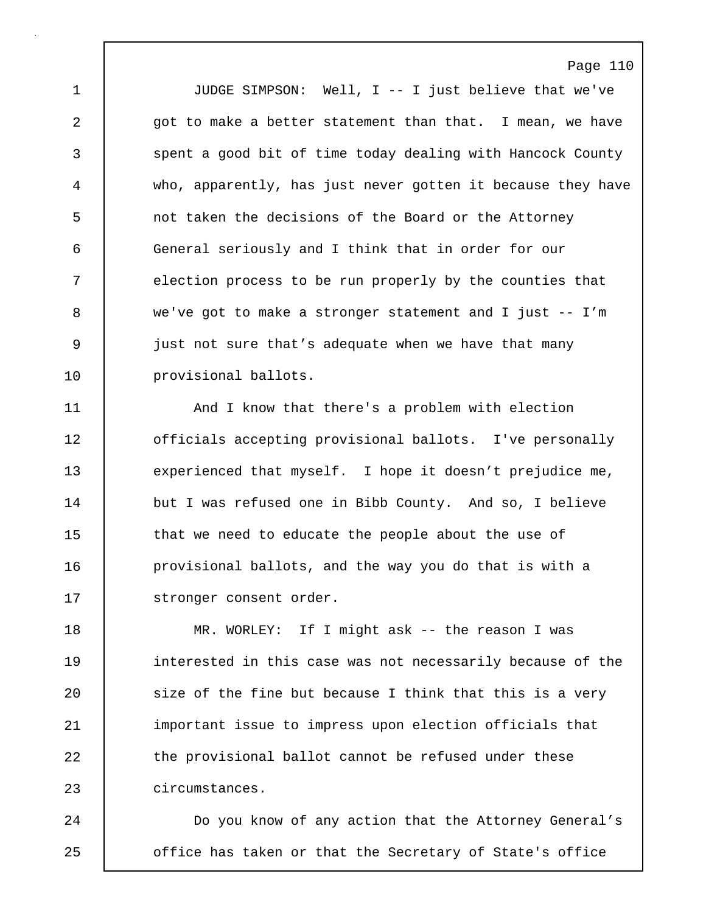1 JUDGE SIMPSON: Well, I -- I just believe that we've 2 got to make a better statement than that. I mean, we have 3 spent a good bit of time today dealing with Hancock County 4 who, apparently, has just never gotten it because they have 5 not taken the decisions of the Board or the Attorney 6 General seriously and I think that in order for our 7 election process to be run properly by the counties that 8 we've got to make a stronger statement and I just -- I'm 9 just not sure that's adequate when we have that many 10 | provisional ballots.

11 And I know that there's a problem with election 12 **decist 12** officials accepting provisional ballots. I've personally 13 experienced that myself. I hope it doesn't prejudice me, 14 but I was refused one in Bibb County. And so, I believe 15 that we need to educate the people about the use of 16 **provisional ballots, and the way you do that is with a** 17 | stronger consent order.

18 MR. WORLEY: If I might ask -- the reason I was 19 interested in this case was not necessarily because of the 20 size of the fine but because I think that this is a very 21 important issue to impress upon election officials that 22 the provisional ballot cannot be refused under these 23 circumstances.

24 | Do you know of any action that the Attorney General's 25 **o** office has taken or that the Secretary of State's office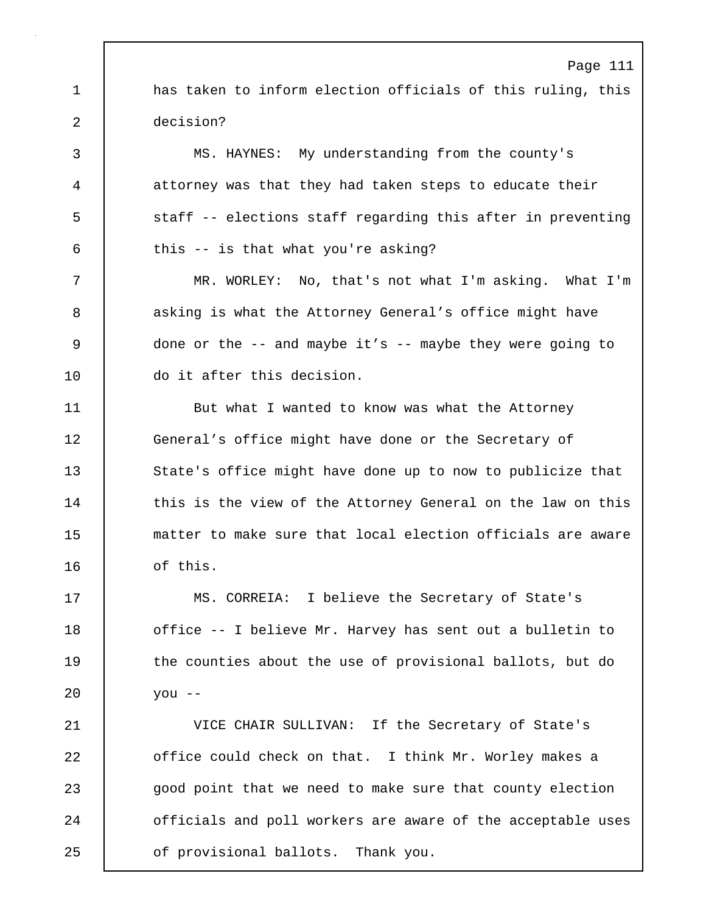1 has taken to inform election officials of this ruling, this 2 decision?

3 MS. HAYNES: My understanding from the county's 4 attorney was that they had taken steps to educate their 5 staff -- elections staff regarding this after in preventing  $6$  this  $-$  is that what you're asking?

7 MR. WORLEY: No, that's not what I'm asking. What I'm 8 asking is what the Attorney General's office might have 9 done or the -- and maybe it's -- maybe they were going to 10 do it after this decision.

11 But what I wanted to know was what the Attorney 12 General's office might have done or the Secretary of 13 State's office might have done up to now to publicize that 14 this is the view of the Attorney General on the law on this 15 matter to make sure that local election officials are aware 16 | of this.

17 MS. CORREIA: I believe the Secretary of State's 18 | office -- I believe Mr. Harvey has sent out a bulletin to 19 the counties about the use of provisional ballots, but do 20 you --

21 VICE CHAIR SULLIVAN: If the Secretary of State's 22 **office could check on that.** I think Mr. Worley makes a 23 good point that we need to make sure that county election 24 **officials and poll workers are aware of the acceptable uses** 25 **of provisional ballots.** Thank you.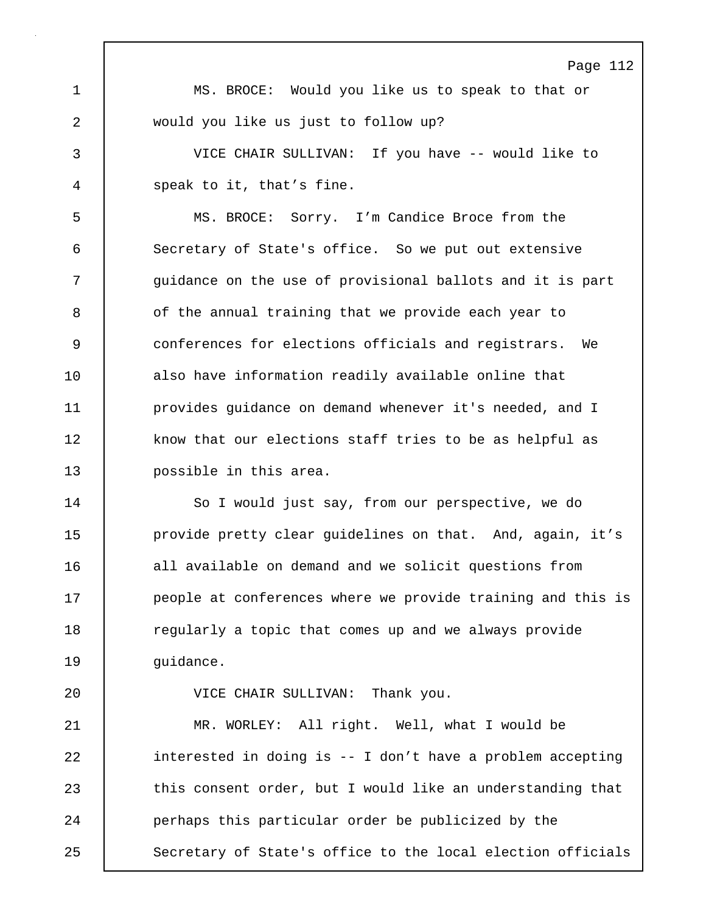Page 112 1 MS. BROCE: Would you like us to speak to that or 2 would you like us just to follow up? 3 VICE CHAIR SULLIVAN: If you have -- would like to 4 speak to it, that's fine. 5 MS. BROCE: Sorry. I'm Candice Broce from the 6 Secretary of State's office. So we put out extensive 7 | quidance on the use of provisional ballots and it is part 8 **b** of the annual training that we provide each year to 9 conferences for elections officials and registrars. We 10 | also have information readily available online that 11 **provides guidance on demand whenever it's needed, and I** 12 know that our elections staff tries to be as helpful as 13 possible in this area. 14 | So I would just say, from our perspective, we do

15 **provide pretty clear guidelines on that.** And, again, it's 16 all available on demand and we solicit questions from 17 **people at conferences where we provide training and this is** 18 The regularly a topic that comes up and we always provide 19 | quidance.

20 VICE CHAIR SULLIVAN: Thank you.

21 MR. WORLEY: All right. Well, what I would be 22 | interested in doing is -- I don't have a problem accepting 23 this consent order, but I would like an understanding that 24 | perhaps this particular order be publicized by the 25 Secretary of State's office to the local election officials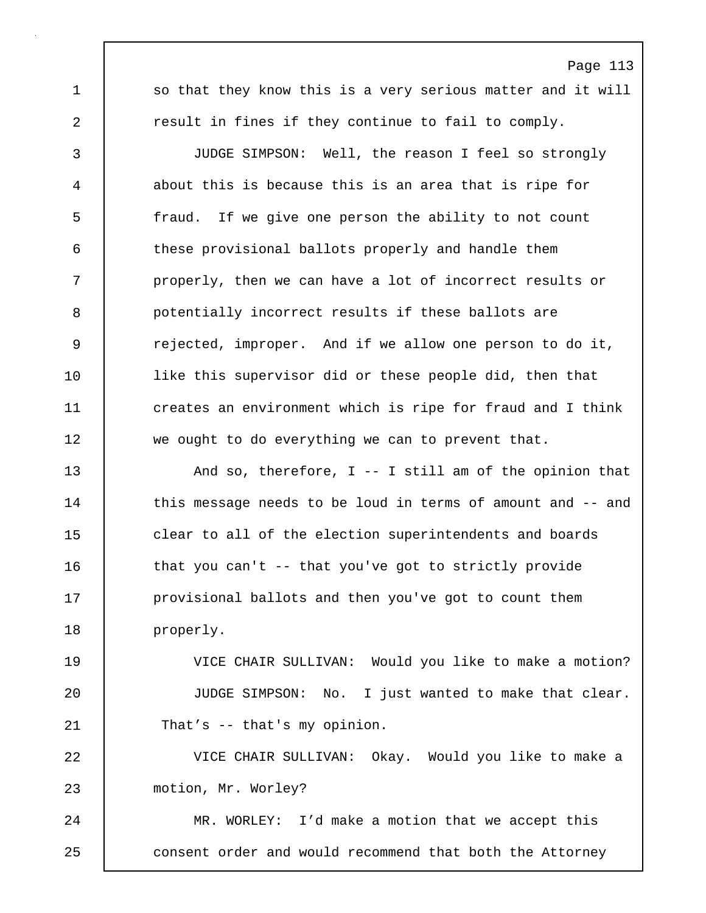1 so that they know this is a very serious matter and it will 2 **c** result in fines if they continue to fail to comply.

Page 113

3 JUDGE SIMPSON: Well, the reason I feel so strongly 4 about this is because this is an area that is ripe for 5 fraud. If we give one person the ability to not count 6 these provisional ballots properly and handle them 7 **properly, then we can have a lot of incorrect results or** 8 potentially incorrect results if these ballots are 9 erejected, improper. And if we allow one person to do it, 10 | like this supervisor did or these people did, then that 11 | creates an environment which is ripe for fraud and I think 12 we ought to do everything we can to prevent that.

13 And so, therefore, I -- I still am of the opinion that 14 this message needs to be loud in terms of amount and -- and 15 **clear to all of the election superintendents and boards** 16 that you can't -- that you've got to strictly provide 17 **provisional ballots and then you've got to count them** 18 | properly.

19 VICE CHAIR SULLIVAN: Would you like to make a motion? 20 JUDGE SIMPSON: No. I just wanted to make that clear. 21 That's -- that's my opinion.

22 VICE CHAIR SULLIVAN: Okay. Would you like to make a 23 motion, Mr. Worley?

24 MR. WORLEY: I'd make a motion that we accept this 25 consent order and would recommend that both the Attorney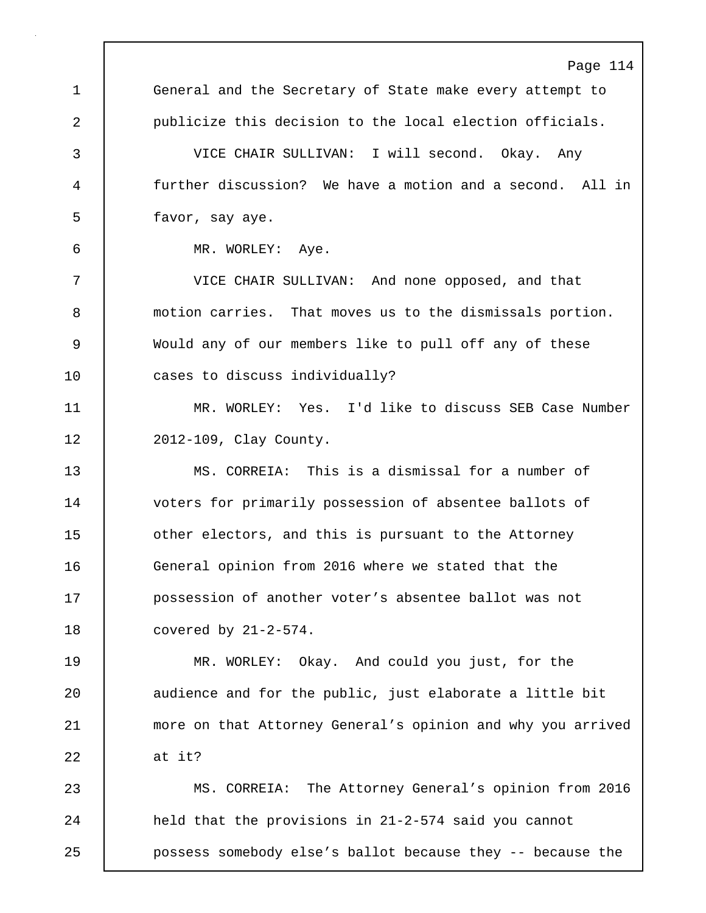Page 114 1 General and the Secretary of State make every attempt to 2 publicize this decision to the local election officials. 3 VICE CHAIR SULLIVAN: I will second. Okay. Any 4 further discussion? We have a motion and a second. All in 5 favor, say aye. 6 MR. WORLEY: Aye. 7 VICE CHAIR SULLIVAN: And none opposed, and that 8 motion carries. That moves us to the dismissals portion. 9 Would any of our members like to pull off any of these 10 cases to discuss individually? 11 MR. WORLEY: Yes. I'd like to discuss SEB Case Number 12 | 2012-109, Clay County. 13 MS. CORREIA: This is a dismissal for a number of 14 | voters for primarily possession of absentee ballots of 15 **b** other electors, and this is pursuant to the Attorney 16 General opinion from 2016 where we stated that the 17 possession of another voter's absentee ballot was not 18 covered by 21-2-574. 19 MR. WORLEY: Okay. And could you just, for the 20 | audience and for the public, just elaborate a little bit 21 more on that Attorney General's opinion and why you arrived 22 at it? 23 MS. CORREIA: The Attorney General's opinion from 2016 24 **held that the provisions in 21-2-574 said you cannot** 

25 possess somebody else's ballot because they -- because the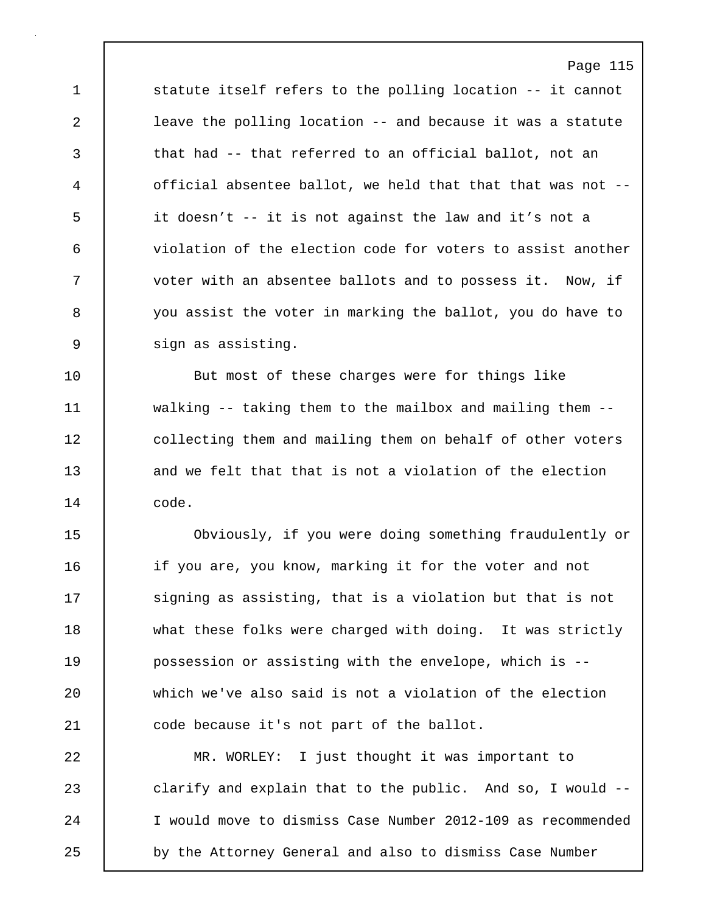1 statute itself refers to the polling location -- it cannot 2 leave the polling location -- and because it was a statute 3 that had -- that referred to an official ballot, not an 4 official absentee ballot, we held that that that was not -- 5 it doesn't -- it is not against the law and it's not a 6 violation of the election code for voters to assist another 7 voter with an absentee ballots and to possess it. Now, if 8 you assist the voter in marking the ballot, you do have to 9 sign as assisting.

10 | But most of these charges were for things like 11 walking -- taking them to the mailbox and mailing them -- 12 collecting them and mailing them on behalf of other voters 13 and we felt that that is not a violation of the election 14 code.

15 Obviously, if you were doing something fraudulently or 16 if you are, you know, marking it for the voter and not 17 Signing as assisting, that is a violation but that is not 18 what these folks were charged with doing. It was strictly 19 possession or assisting with the envelope, which is -- 20 which we've also said is not a violation of the election 21 **code because it's not part of the ballot.** 

22 MR. WORLEY: I just thought it was important to 23 clarify and explain that to the public. And so, I would --24 I would move to dismiss Case Number 2012-109 as recommended 25 by the Attorney General and also to dismiss Case Number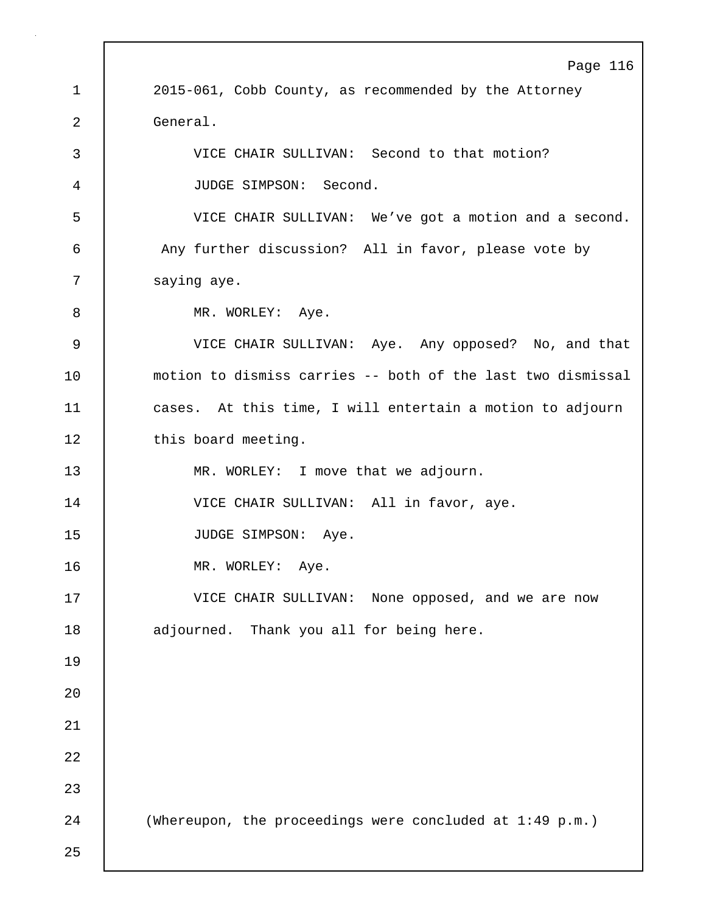Page 116 1 2015-061, Cobb County, as recommended by the Attorney 2 General. 3 VICE CHAIR SULLIVAN: Second to that motion? 4 JUDGE SIMPSON: Second. 5 VICE CHAIR SULLIVAN: We've got a motion and a second. 6 | Any further discussion? All in favor, please vote by 7 | saying aye. 8 MR. WORLEY: Aye. 9 VICE CHAIR SULLIVAN: Aye. Any opposed? No, and that 10 motion to dismiss carries -- both of the last two dismissal 11 cases. At this time, I will entertain a motion to adjourn 12 | this board meeting. 13 | MR. WORLEY: I move that we adjourn. 14 | VICE CHAIR SULLIVAN: All in favor, aye. 15 | JUDGE SIMPSON: Aye. 16 | MR. WORLEY: Aye. 17 VICE CHAIR SULLIVAN: None opposed, and we are now 18 | adjourned. Thank you all for being here. 19  $20$ 21 22 23 24 (Whereupon, the proceedings were concluded at 1:49 p.m.) 25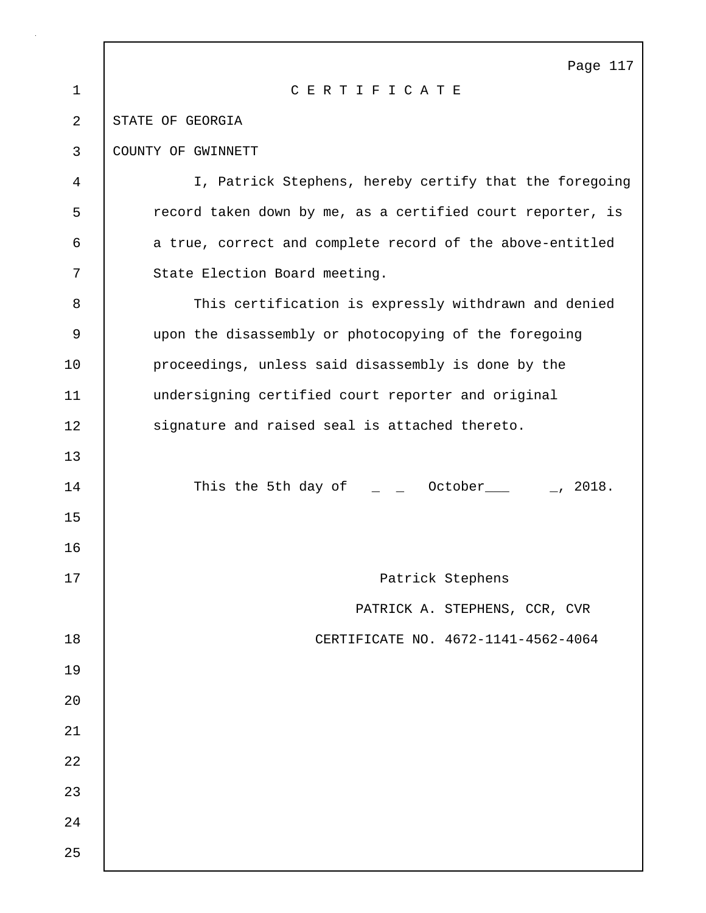|             | Page 117                                                                           |
|-------------|------------------------------------------------------------------------------------|
| $\mathbf 1$ | CERTIFICATE                                                                        |
| 2           | STATE OF GEORGIA                                                                   |
| 3           | COUNTY OF GWINNETT                                                                 |
| 4           | I, Patrick Stephens, hereby certify that the foregoing                             |
| 5           | record taken down by me, as a certified court reporter, is                         |
| 6           | a true, correct and complete record of the above-entitled                          |
| 7           | State Election Board meeting.                                                      |
| 8           | This certification is expressly withdrawn and denied                               |
| 9           | upon the disassembly or photocopying of the foregoing                              |
| 10          | proceedings, unless said disassembly is done by the                                |
| 11          | undersigning certified court reporter and original                                 |
| 12          | signature and raised seal is attached thereto.                                     |
| 13          |                                                                                    |
| 14          | This the 5th day of $\qquad \qquad = \qquad$ October ____ $\qquad \qquad$ _, 2018. |
| 15          |                                                                                    |
| 16          |                                                                                    |
| 17          | Patrick Stephens                                                                   |
|             | PATRICK A. STEPHENS, CCR, CVR                                                      |
| 18          | CERTIFICATE NO. 4672-1141-4562-4064                                                |
| 19          |                                                                                    |
| 20          |                                                                                    |
| 21          |                                                                                    |
| 22          |                                                                                    |
| 23          |                                                                                    |
| 24          |                                                                                    |
| 25          |                                                                                    |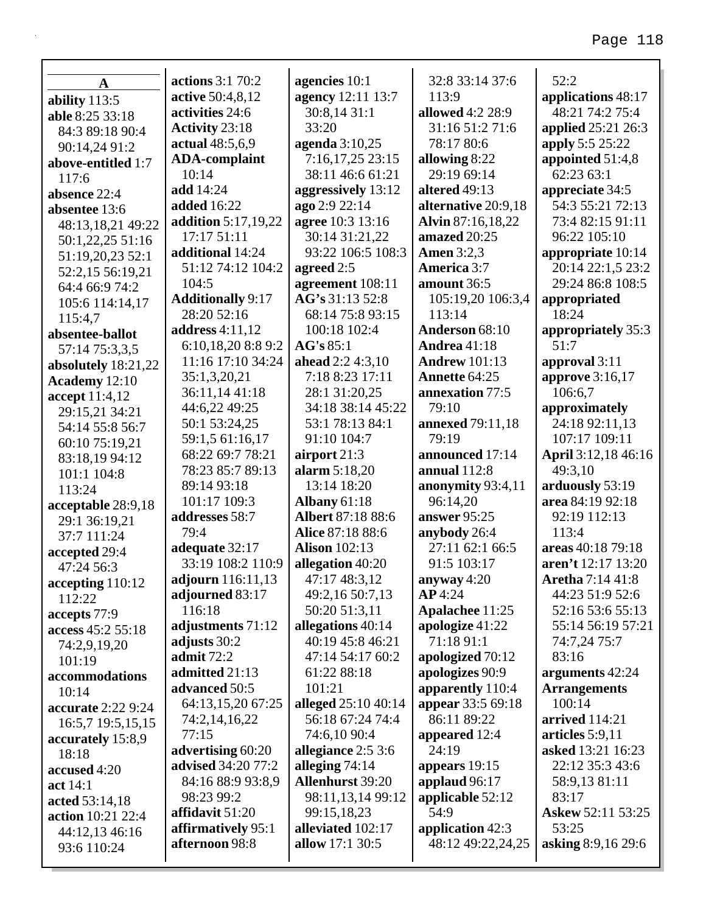|                              | <b>actions</b> 3:1 70:2       | agencies 10:1                        | 32:8 33:14 37:6              | 52:2                                  |
|------------------------------|-------------------------------|--------------------------------------|------------------------------|---------------------------------------|
| $\mathbf A$                  | active 50:4,8,12              | agency 12:11 13:7                    | 113:9                        |                                       |
| ability 113:5                | activities 24:6               | 30:8,14 31:1                         | allowed 4:2 28:9             | applications 48:17<br>48:21 74:2 75:4 |
| able 8:25 33:18              | <b>Activity 23:18</b>         | 33:20                                | 31:16 51:2 71:6              | <b>applied</b> 25:21 26:3             |
| 84:3 89:18 90:4              | actual 48:5,6,9               | agenda 3:10,25                       | 78:17 80:6                   | apply 5:5 25:22                       |
| 90:14,24 91:2                |                               |                                      |                              |                                       |
| above-entitled 1:7           | <b>ADA-complaint</b><br>10:14 | 7:16,17,25 23:15<br>38:11 46:6 61:21 | allowing 8:22<br>29:19 69:14 | appointed 51:4,8<br>62:23 63:1        |
| 117:6                        | add 14:24                     | aggressively 13:12                   | altered 49:13                | appreciate 34:5                       |
| absence 22:4                 | <b>added</b> 16:22            | ago 2:9 22:14                        | alternative 20:9,18          | 54:3 55:21 72:13                      |
| absentee 13:6                | <b>addition</b> 5:17,19,22    | agree 10:3 13:16                     | Alvin 87:16,18,22            | 73:4 82:15 91:11                      |
| 48:13,18,21 49:22            | 17:17 51:11                   | 30:14 31:21,22                       | amazed 20:25                 | 96:22 105:10                          |
| 50:1,22,25 51:16             | additional 14:24              | 93:22 106:5 108:3                    | <b>Amen</b> 3:2,3            | appropriate 10:14                     |
| 51:19,20,23 52:1             | 51:12 74:12 104:2             |                                      | <b>America 3:7</b>           | 20:14 22:1,5 23:2                     |
| 52:2,15 56:19,21             | 104:5                         | agreed 2:5<br>agreement 108:11       | amount 36:5                  | 29:24 86:8 108:5                      |
| 64:4 66:9 74:2               | <b>Additionally 9:17</b>      | AG's 31:13 52:8                      | 105:19,20 106:3,4            | appropriated                          |
| 105:6 114:14,17              | 28:20 52:16                   | 68:14 75:8 93:15                     | 113:14                       | 18:24                                 |
| 115:4,7                      | <b>address</b> 4:11,12        | 100:18 102:4                         | Anderson 68:10               | appropriately 35:3                    |
| absentee-ballot              | 6:10,18,20 8:8 9:2            | AG's 85:1                            | <b>Andrea</b> 41:18          | 51:7                                  |
| 57:14 75:3,3,5               | 11:16 17:10 34:24             | ahead 2:2 4:3,10                     | <b>Andrew 101:13</b>         | approval 3:11                         |
| absolutely 18:21,22          | 35:1,3,20,21                  | 7:18 8:23 17:11                      | Annette 64:25                | approve 3:16,17                       |
| Academy 12:10                | 36:11,14 41:18                | 28:1 31:20,25                        | annexation 77:5              | 106:6,7                               |
| accept 11:4,12               | 44:6,22 49:25                 | 34:18 38:14 45:22                    | 79:10                        | approximately                         |
| 29:15,21 34:21               | 50:1 53:24,25                 | 53:1 78:13 84:1                      | <b>annexed</b> 79:11,18      | 24:18 92:11,13                        |
| 54:14 55:8 56:7              | 59:1,5 61:16,17               | 91:10 104:7                          | 79:19                        | 107:17 109:11                         |
| 60:10 75:19,21               | 68:22 69:7 78:21              | airport 21:3                         | announced 17:14              | April 3:12,18 46:16                   |
| 83:18,19 94:12               | 78:23 85:7 89:13              | alarm 5:18,20                        | annual $112:8$               | 49:3,10                               |
| 101:1 104:8                  | 89:14 93:18                   | 13:14 18:20                          | anonymity 93:4,11            | arduously 53:19                       |
| 113:24                       | 101:17 109:3                  | <b>Albany 61:18</b>                  | 96:14,20                     | area 84:19 92:18                      |
| acceptable 28:9,18           | addresses 58:7                | <b>Albert 87:18 88:6</b>             | answer 95:25                 | 92:19 112:13                          |
| 29:1 36:19,21                | 79:4                          | Alice 87:18 88:6                     | anybody 26:4                 | 113:4                                 |
| 37:7 111:24<br>accepted 29:4 | adequate 32:17                | <b>Alison</b> 102:13                 | 27:11 62:1 66:5              | areas 40:18 79:18                     |
| 47:24 56:3                   | 33:19 108:2 110:9             | allegation 40:20                     | 91:5 103:17                  | aren't 12:17 13:20                    |
| accepting 110:12             | adjourn 116:11,13             | 47:17 48:3,12                        | anyway $4:20$                | <b>Aretha</b> 7:14 41:8               |
| 112:22                       | adjourned 83:17               | 49:2,16 50:7,13                      | AP4:24                       | 44:23 51:9 52:6                       |
| accepts 77:9                 | 116:18                        | 50:20 51:3,11                        | Apalachee 11:25              | 52:16 53:6 55:13                      |
| access 45:2 55:18            | adjustments 71:12             | allegations 40:14                    | apologize 41:22              | 55:14 56:19 57:21                     |
| 74:2,9,19,20                 | adjusts 30:2                  | 40:19 45:8 46:21                     | 71:18 91:1                   | 74:7,24 75:7                          |
| 101:19                       | admit 72:2                    | 47:14 54:17 60:2                     | apologized 70:12             | 83:16                                 |
| accommodations               | admitted 21:13                | 61:22 88:18                          | apologizes 90:9              | arguments 42:24                       |
| 10:14                        | advanced 50:5                 | 101:21                               | apparently 110:4             | <b>Arrangements</b>                   |
| accurate 2:22 9:24           | 64:13,15,20 67:25             | alleged 25:10 40:14                  | appear 33:5 69:18            | 100:14                                |
| 16:5,7 19:5,15,15            | 74:2,14,16,22                 | 56:18 67:24 74:4                     | 86:11 89:22                  | arrived 114:21                        |
| accurately 15:8,9            | 77:15                         | 74:6,10 90:4                         | appeared 12:4                | articles $5:9,11$                     |
| 18:18                        | advertising 60:20             | allegiance 2:5 3:6                   | 24:19                        | asked 13:21 16:23                     |
| accused 4:20                 | <b>advised</b> 34:20 77:2     | alleging $74:14$                     | appears $19:15$              | 22:12 35:3 43:6                       |
| act 14:1                     | 84:16 88:9 93:8,9             | <b>Allenhurst 39:20</b>              | applaud 96:17                | 58:9,13 81:11                         |
| acted 53:14,18               | 98:23 99:2                    | 98:11,13,14 99:12                    | applicable 52:12             | 83:17                                 |
| action 10:21 22:4            | affidavit $51:20$             | 99:15,18,23                          | 54:9                         | Askew 52:11 53:25                     |
| 44:12,13 46:16               | affirmatively 95:1            | alleviated 102:17                    | application 42:3             | 53:25                                 |
| 93:6 110:24                  | afternoon 98:8                | allow 17:1 30:5                      | 48:12 49:22,24,25            | asking 8:9,16 29:6                    |
|                              |                               |                                      |                              |                                       |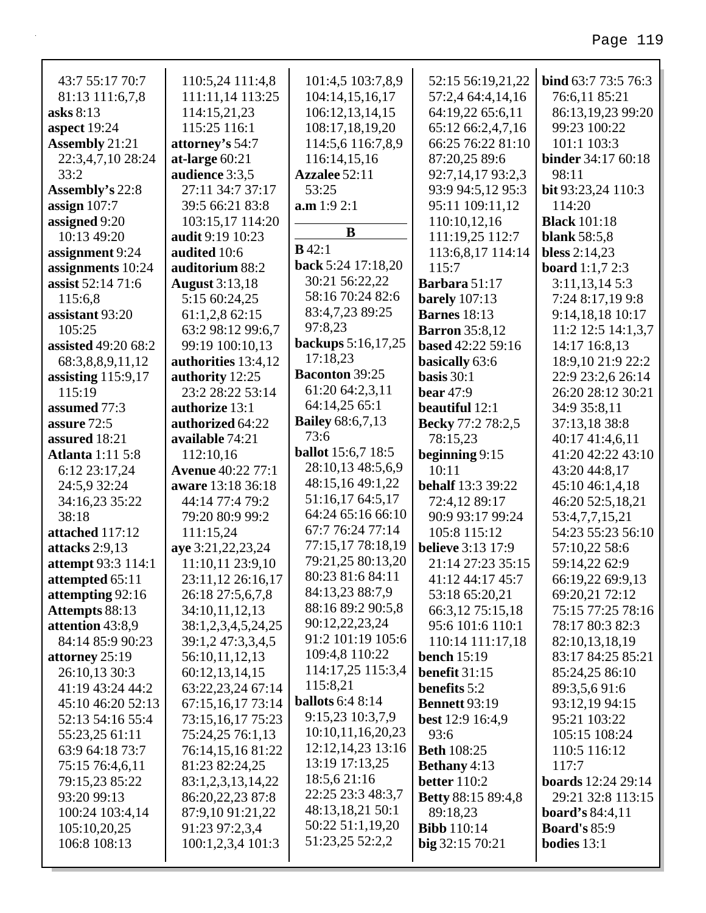| 43:7 55:17 70:7           | 110:5,24 111:4,8         | 101:4,5 103:7,8,9         | 52:15 56:19,21,22         | bind 63:7 73:5 76:3       |
|---------------------------|--------------------------|---------------------------|---------------------------|---------------------------|
| 81:13 111:6,7,8           | 111:11,14 113:25         | 104:14,15,16,17           | 57:2,4 64:4,14,16         | 76:6,11 85:21             |
| asks 8:13                 | 114:15,21,23             | 106:12,13,14,15           | 64:19,22 65:6,11          | 86:13,19,23 99:20         |
| aspect 19:24              | 115:25 116:1             | 108:17,18,19,20           | 65:12 66:2,4,7,16         | 99:23 100:22              |
| <b>Assembly 21:21</b>     | attorney's 54:7          | 114:5,6 116:7,8,9         | 66:25 76:22 81:10         | 101:1 103:3               |
| 22:3,4,7,10 28:24         | at-large $60:21$         | 116:14,15,16              | 87:20,25 89:6             | <b>binder</b> 34:17 60:18 |
| 33:2                      | audience 3:3,5           | Azzalee 52:11             | 92:7,14,17 93:2,3         | 98:11                     |
| <b>Assembly's 22:8</b>    | 27:11 34:7 37:17         | 53:25                     | 93:9 94:5,12 95:3         | bit 93:23,24 110:3        |
| assign $107:7$            | 39:5 66:21 83:8          | a.m 1:9 2:1               | 95:11 109:11,12           | 114:20                    |
| assigned 9:20             | 103:15,17 114:20         |                           | 110:10,12,16              | <b>Black</b> 101:18       |
| 10:13 49:20               | audit 9:19 10:23         | B                         | 111:19,25 112:7           | <b>blank</b> 58:5,8       |
| assignment 9:24           | audited 10:6             | $B$ 42:1                  | 113:6,8,17 114:14         | bless $2:14,23$           |
| assignments 10:24         | auditorium 88:2          | back 5:24 17:18,20        | 115:7                     | <b>board</b> 1:1,7 2:3    |
| assist 52:14 71:6         | <b>August</b> 3:13,18    | 30:21 56:22,22            | Barbara 51:17             | 3:11,13,145:3             |
| 115:6,8                   | 5:15 60:24,25            | 58:16 70:24 82:6          | <b>barely</b> 107:13      | 7:24 8:17,19 9:8          |
| assistant 93:20           | 61:1,2,8 62:15           | 83:4,7,23 89:25           | <b>Barnes</b> 18:13       | 9:14,18,18 10:17          |
| 105:25                    | 63:2 98:12 99:6,7        | 97:8,23                   | <b>Barron</b> 35:8,12     | 11:2 12:5 14:1,3,7        |
| assisted 49:20 68:2       | 99:19 100:10,13          | backups 5:16,17,25        | <b>based</b> 42:22 59:16  | 14:17 16:8,13             |
| 68:3,8,8,9,11,12          | authorities 13:4,12      | 17:18.23                  | basically 63:6            | 18:9,10 21:9 22:2         |
| assisting $115:9,17$      | authority 12:25          | <b>Baconton 39:25</b>     | basis $30:1$              | 22:9 23:2,6 26:14         |
| 115:19                    | 23:2 28:22 53:14         | 61:20 64:2,3,11           | bear $47:9$               | 26:20 28:12 30:21         |
| assumed 77:3              | authorize 13:1           | 64:14,25 65:1             | <b>beautiful</b> 12:1     | 34:9 35:8,11              |
| assure 72:5               | authorized 64:22         | <b>Bailey</b> 68:6,7,13   | Becky 77:2 78:2,5         | 37:13,18 38:8             |
| assured 18:21             | available 74:21          | 73:6                      | 78:15,23                  | 40:17 41:4,6,11           |
| <b>Atlanta</b> 1:11 5:8   | 112:10,16                | <b>ballot</b> 15:6,7 18:5 | beginning $9:15$          | 41:20 42:22 43:10         |
| 6:12 23:17,24             | <b>Avenue</b> 40:22 77:1 | 28:10,13 48:5,6,9         | 10:11                     | 43:20 44:8,17             |
| 24:5,9 32:24              | aware 13:18 36:18        | 48:15,16 49:1,22          | <b>behalf</b> 13:3 39:22  | 45:10 46:1,4,18           |
| 34:16,23 35:22            | 44:14 77:4 79:2          | 51:16,17 64:5,17          | 72:4,12 89:17             | 46:20 52:5,18,21          |
| 38:18                     | 79:20 80:9 99:2          | 64:24 65:16 66:10         | 90:9 93:17 99:24          | 53:4,7,7,15,21            |
| attached 117:12           | 111:15,24                | 67:7 76:24 77:14          | 105:8 115:12              | 54:23 55:23 56:10         |
| attacks 2:9,13            | aye 3:21,22,23,24        | 77:15,17 78:18,19         | <b>believe</b> 3:13 17:9  | 57:10,22 58:6             |
| <b>attempt</b> 93:3 114:1 | 11:10,11 23:9,10         | 79:21,25 80:13,20         | 21:14 27:23 35:15         | 59:14,22 62:9             |
| attempted 65:11           | 23:11,12 26:16,17        | 80:23 81:6 84:11          | 41:12 44:17 45:7          | 66:19,22 69:9,13          |
| attempting 92:16          | 26:18 27:5,6,7,8         | 84:13,23 88:7,9           | 53:18 65:20,21            | 69:20,21 72:12            |
| <b>Attempts 88:13</b>     | 34:10,11,12,13           | 88:16 89:2 90:5,8         | 66:3,12 75:15,18          | 75:15 77:25 78:16         |
| attention 43:8,9          | 38:1,2,3,4,5,24,25       | 90:12,22,23,24            | 95:6 101:6 110:1          | 78:17 80:3 82:3           |
| 84:14 85:9 90:23          | 39:1,2 47:3,3,4,5        | 91:2 101:19 105:6         | 110:14 111:17,18          | 82:10,13,18,19            |
| attorney 25:19            | 56:10,11,12,13           | 109:4,8 110:22            | bench $15:19$             | 83:17 84:25 85:21         |
| 26:10,13 30:3             | 60:12,13,14,15           | 114:17,25 115:3,4         | benefit $31:15$           | 85:24,25 86:10            |
| 41:19 43:24 44:2          | 63:22,23,24 67:14        | 115:8,21                  | <b>benefits</b> 5:2       | 89:3,5,691:6              |
| 45:10 46:20 52:13         | 67:15,16,17 73:14        | <b>ballots</b> 6:4 8:14   | <b>Bennett</b> 93:19      | 93:12,19 94:15            |
| 52:13 54:16 55:4          | 73:15,16,17 75:23        | 9:15,23 10:3,7,9          | <b>best</b> 12:9 16:4,9   | 95:21 103:22              |
| 55:23,25 61:11            | 75:24,25 76:1,13         | 10:10,11,16,20,23         | 93:6                      | 105:15 108:24             |
| 63:9 64:18 73:7           | 76:14,15,16 81:22        | 12:12, 14, 23 13:16       | <b>Beth 108:25</b>        | 110:5 116:12              |
| 75:15 76:4,6,11           | 81:23 82:24,25           | 13:19 17:13,25            | <b>Bethany</b> 4:13       | 117:7                     |
| 79:15,23 85:22            | 83:1,2,3,13,14,22        | 18:5,6 21:16              | <b>better</b> 110:2       | <b>boards</b> 12:24 29:14 |
| 93:20 99:13               | 86:20,22,23 87:8         | 22:25 23:3 48:3,7         | <b>Betty 88:15 89:4,8</b> | 29:21 32:8 113:15         |
| 100:24 103:4,14           | 87:9,10 91:21,22         | 48:13,18,21 50:1          | 89:18,23                  | <b>board's 84:4,11</b>    |
| 105:10,20,25              | 91:23 97:2,3,4           | 50:22 51:1,19,20          | <b>Bibb</b> 110:14        | <b>Board's 85:9</b>       |
| 106:8 108:13              | 100:1,2,3,4 101:3        | 51:23,25 52:2,2           | big 32:15 70:21           | bodies $13:1$             |
|                           |                          |                           |                           |                           |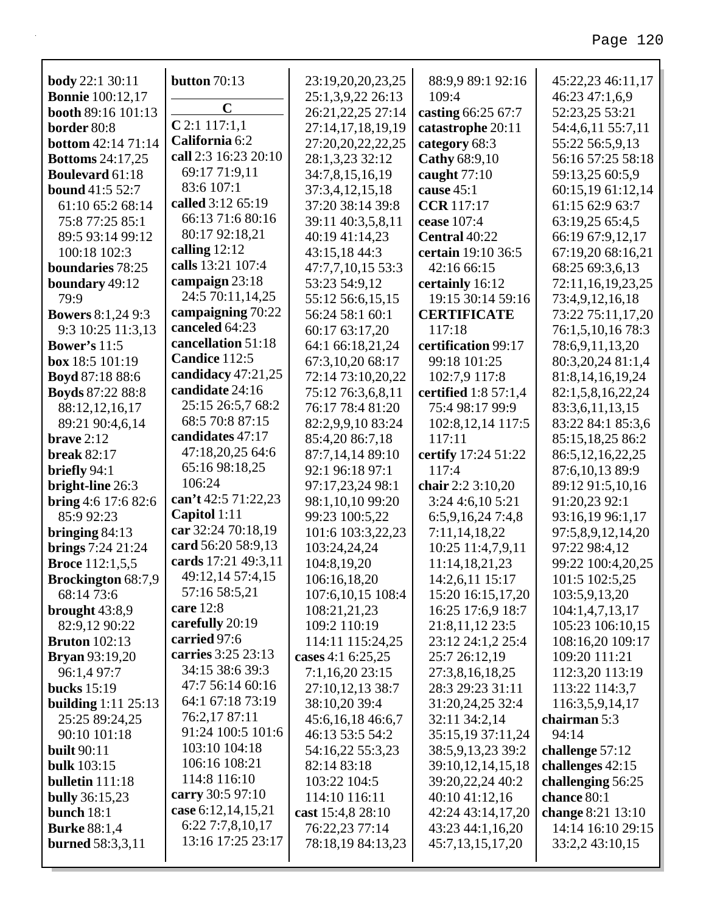| <b>body</b> 22:1 30:11                     | button 70:13                         | 23:19,20,20,23,25                     | 88:9,9 89:1 92:16               | 45:22,23 46:11,17                    |
|--------------------------------------------|--------------------------------------|---------------------------------------|---------------------------------|--------------------------------------|
| <b>Bonnie</b> 100:12,17                    | $\mathbf C$                          | 25:1,3,9,22 26:13                     | 109:4                           | 46:23 47:1,6,9                       |
| booth 89:16 101:13                         | $C$ 2:1 117:1,1                      | 26:21,22,25 27:14                     | casting 66:25 67:7              | 52:23,25 53:21                       |
| border 80:8                                | California 6:2                       | 27:14,17,18,19,19                     | catastrophe 20:11               | 54:4,6,11 55:7,11                    |
| <b>bottom</b> 42:14 71:14                  | call 2:3 16:23 20:10                 | 27:20,20,22,22,25                     | category 68:3                   | 55:22 56:5,9,13                      |
| <b>Bottoms</b> 24:17,25                    | 69:17 71:9,11                        | 28:1,3,23 32:12                       | Cathy 68:9,10                   | 56:16 57:25 58:18                    |
| <b>Boulevard 61:18</b>                     | 83:6 107:1                           | 34:7,8,15,16,19                       | caught $77:10$                  | 59:13,25 60:5,9                      |
| <b>bound</b> 41:5 52:7<br>61:10 65:2 68:14 | called 3:12 65:19                    | 37:3,4,12,15,18                       | cause 45:1<br><b>CCR</b> 117:17 | 60:15,19 61:12,14<br>61:15 62:9 63:7 |
| 75:8 77:25 85:1                            | 66:13 71:6 80:16                     | 37:20 38:14 39:8<br>39:11 40:3,5,8,11 | cease 107:4                     | 63:19,25 65:4,5                      |
| 89:5 93:14 99:12                           | 80:17 92:18,21                       | 40:19 41:14,23                        | Central 40:22                   | 66:19 67:9,12,17                     |
| 100:18 102:3                               | calling $12:12$                      | 43:15,18 44:3                         | certain 19:10 36:5              | 67:19,20 68:16,21                    |
| boundaries 78:25                           | calls 13:21 107:4                    | 47:7,7,10,15 53:3                     | 42:16 66:15                     | 68:25 69:3,6,13                      |
| boundary 49:12                             | campaign 23:18                       | 53:23 54:9,12                         | certainly 16:12                 | 72:11,16,19,23,25                    |
| 79:9                                       | 24:5 70:11,14,25                     | 55:12 56:6,15,15                      | 19:15 30:14 59:16               | 73:4,9,12,16,18                      |
| <b>Bowers 8:1,24 9:3</b>                   | campaigning 70:22                    | 56:24 58:1 60:1                       | <b>CERTIFICATE</b>              | 73:22 75:11,17,20                    |
| 9:3 10:25 11:3,13                          | canceled 64:23                       | 60:17 63:17,20                        | 117:18                          | 76:1,5,10,16 78:3                    |
| <b>Bower's 11:5</b>                        | cancellation 51:18                   | 64:1 66:18,21,24                      | certification 99:17             | 78:6,9,11,13,20                      |
| box 18:5 101:19                            | Candice 112:5                        | 67:3,10,20 68:17                      | 99:18 101:25                    | 80:3,20,24 81:1,4                    |
| <b>Boyd</b> 87:18 88:6                     | candidacy 47:21,25                   | 72:14 73:10,20,22                     | 102:7,9 117:8                   | 81:8, 14, 16, 19, 24                 |
| <b>Boyds</b> 87:22 88:8                    | candidate 24:16                      | 75:12 76:3,6,8,11                     | certified 1:8 57:1,4            | 82:1,5,8,16,22,24                    |
| 88:12,12,16,17                             | 25:15 26:5,7 68:2                    | 76:17 78:4 81:20                      | 75:4 98:17 99:9                 | 83:3,6,11,13,15                      |
| 89:21 90:4,6,14                            | 68:5 70:8 87:15                      | 82:2,9,9,10 83:24                     | 102:8, 12, 14 117:5             | 83:22 84:1 85:3,6                    |
| brave $2:12$                               | candidates 47:17                     | 85:4,20 86:7,18                       | 117:11                          | 85:15,18,25 86:2                     |
| <b>break 82:17</b>                         | 47:18,20,25 64:6                     | 87:7,14,14 89:10                      | certify 17:24 51:22             | 86:5, 12, 16, 22, 25                 |
| briefly $94:1$                             | 65:16 98:18,25                       | 92:1 96:18 97:1                       | 117:4                           | 87:6,10,13 89:9                      |
| bright-line 26:3                           | 106:24                               | 97:17,23,24 98:1                      | chair 2:2 3:10,20               | 89:12 91:5,10,16                     |
| <b>bring</b> 4:6 17:6 82:6                 | can't 42:5 71:22,23                  | 98:1,10,10 99:20                      | 3:24 4:6,10 5:21                | 91:20,23 92:1                        |
| 85:9 92:23                                 | Capitol 1:11                         | 99:23 100:5,22                        | 6:5,9,16,247:4,8                | 93:16,19 96:1,17                     |
| bringing $84:13$                           | car 32:24 70:18,19                   | 101:6 103:3,22,23                     | 7:11,14,18,22                   | 97:5,8,9,12,14,20                    |
| <b>brings</b> 7:24 21:24                   | card 56:20 58:9,13                   | 103:24,24,24                          | 10:25 11:4,7,9,11               | 97:22 98:4,12                        |
| <b>Broce</b> 112:1,5,5                     | cards 17:21 49:3,11                  | 104:8,19,20                           | 11:14,18,21,23                  | 99:22 100:4,20,25                    |
| <b>Brockington</b> 68:7,9                  | 49:12,14 57:4,15                     | 106:16,18,20                          | 14:2,6,11 15:17                 | 101:5 102:5,25                       |
| 68:14 73:6                                 | 57:16 58:5,21                        | 107:6, 10, 15 108:4                   | 15:20 16:15,17,20               | 103:5,9,13,20                        |
| brought $43:8,9$                           | care $12:8$                          | 108:21,21,23                          | 16:25 17:6,9 18:7               | 104:1,4,7,13,17                      |
| 82:9,12 90:22                              | carefully 20:19                      | 109:2 110:19                          | 21:8,11,12 23:5                 | 105:23 106:10,15                     |
| <b>Bruton</b> 102:13                       | carried 97:6                         | 114:11 115:24,25                      | 23:12 24:1,2 25:4               | 108:16,20 109:17                     |
| <b>Bryan</b> 93:19,20                      | carries 3:25 23:13                   | cases 4:1 6:25,25                     | 25:7 26:12,19                   | 109:20 111:21                        |
| 96:1,4 97:7                                | 34:15 38:6 39:3                      | 7:1,16,20 23:15                       | 27:3,8,16,18,25                 | 112:3,20 113:19                      |
| <b>bucks</b> 15:19                         | 47:7 56:14 60:16                     | 27:10,12,13 38:7                      | 28:3 29:23 31:11                | 113:22 114:3,7                       |
| building $1:11$ $25:13$                    | 64:1 67:18 73:19                     | 38:10,20 39:4                         | 31:20,24,25 32:4                | 116:3,5,9,14,17                      |
| 25:25 89:24,25                             | 76:2,17 87:11                        | 45:6,16,18 46:6,7                     | 32:11 34:2,14                   | chairman 5:3                         |
| 90:10 101:18                               | 91:24 100:5 101:6                    | 46:13 53:5 54:2                       | 35:15,19 37:11,24               | 94:14                                |
| <b>built</b> 90:11                         | 103:10 104:18                        | 54:16,22 55:3,23                      | 38:5,9,13,23 39:2               | challenge 57:12                      |
| <b>bulk</b> 103:15                         | 106:16 108:21                        | 82:14 83:18                           | 39:10,12,14,15,18               | challenges 42:15                     |
| bulletin 111:18                            | 114:8 116:10                         | 103:22 104:5                          | 39:20,22,24 40:2                | challenging 56:25                    |
| <b>bully</b> 36:15,23                      | carry 30:5 97:10                     | 114:10 116:11                         | 40:10 41:12,16                  | chance 80:1                          |
| bunch $18:1$                               | case 6:12,14,15,21                   | cast 15:4,8 28:10                     | 42:24 43:14,17,20               | change 8:21 13:10                    |
| <b>Burke</b> 88:1,4                        | 6:227:7,8,10,17<br>13:16 17:25 23:17 | 76:22,23 77:14                        | 43:23 44:1,16,20                | 14:14 16:10 29:15                    |
| <b>burned</b> 58:3,3,11                    |                                      | 78:18,19 84:13,23                     | 45:7,13,15,17,20                | 33:2,2 43:10,15                      |
|                                            |                                      |                                       |                                 |                                      |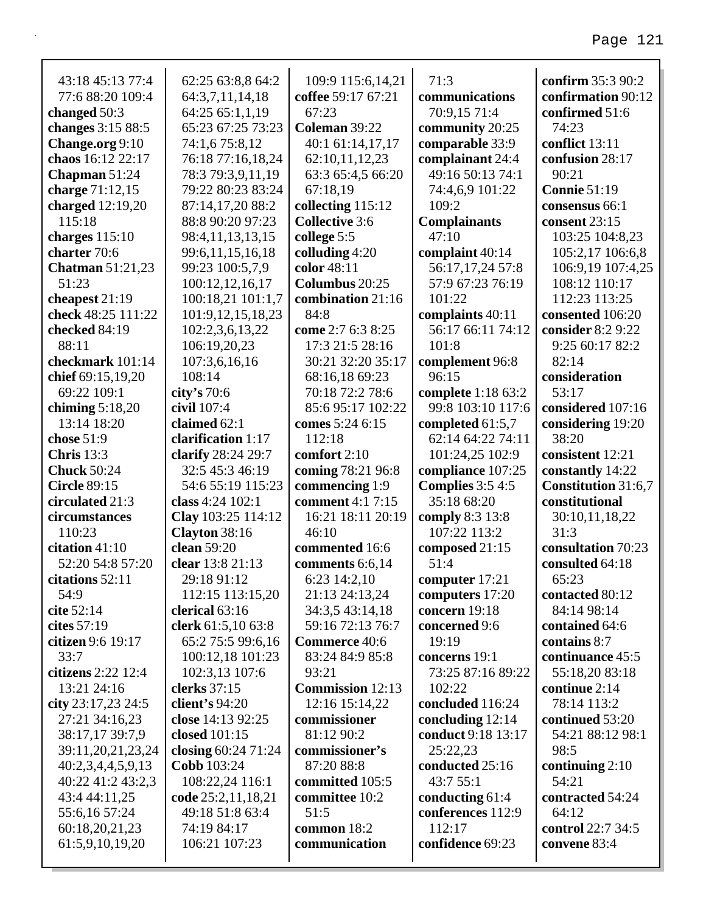#### 43:18 45:13 77:4 77:6 88:20 109:4 **changed** 50:3 **changes** 3:15 88:5 **Change.org** 9:10 **chaos** 16:12 22:17 **Chapman** 51:24 **charge** 71:12,15 **charged** 12:19,20 115:18 **charges** 115:10 **charter** 70:6 **Chatman** 51:21,23 51:23 **cheapest** 21:19 **check** 48:25 111:22 **checked** 84:19 88:11 **checkmark** 101:14 **chief** 69:15,19,20 69:22 109:1 **chiming** 5:18,20 13:14 18:20 **chose** 51:9 **Chris** 13:3 **Chuck** 50:24 **Circle** 89:15 **circulated** 21:3 **circumstances** 110:23 **citation** 41:10 52:20 54:8 57:20 **citations** 52:11 54:9 **cite** 52:14 **cites** 57:19 **citizen** 9:6 19:17 33:7 **citizens** 2:22 12:4 13:21 24:16 **city** 23:17,23 24:5 27:21 34:16,23 38:17,17 39:7,9 39:11,20,21,23,24 62:25 63:8,8 64:2 64:3,7,11,14,18 64:25 65:1,1,19 65:23 67:25 73:23 74:1,6 75:8,12 76:18 77:16,18,24 78:3 79:3,9,11,19 79:22 80:23 83:24 87:14,17,20 88:2 88:8 90:20 97:23 98:4,11,13,13,15 99:6,11,15,16,18 99:23 100:5,7,9 100:12,12,16,17 100:18,21 101:1,7 101:9,12,15,18,23 102:2,3,6,13,22 106:19,20,23 107:3,6,16,16 108:14 **city's** 70:6 **civil** 107:4 **claimed** 62:1 **clarification** 1:17 **clarify** 28:24 29:7 32:5 45:3 46:19 54:6 55:19 115:23 **class** 4:24 102:1 **Clay** 103:25 114:12 **Clayton** 38:16 **clean** 59:20 **clear** 13:8 21:13 29:18 91:12 112:15 113:15,20 **clerical** 63:16 **clerk** 61:5,10 63:8 65:2 75:5 99:6,16 100:12,18 101:23 102:3,13 107:6 **clerks** 37:15 **client's** 94:20 **close** 14:13 92:25 **closed** 101:15 **closing** 60:24 71:24 109:9 115:6,14,21 **coffee** 59:17 67:21 67:23 **Coleman** 39:22 40:1 61:14,17,17 62:10,11,12,23 63:3 65:4,5 66:20 67:18,19 **collecting** 115:12 **Collective** 3:6 **college** 5:5 **colluding** 4:20 **color** 48:11 **Columbus** 20:25 **combination** 21:16 84:8 **come** 2:7 6:3 8:25 17:3 21:5 28:16 30:21 32:20 35:17 68:16,18 69:23 70:18 72:2 78:6 85:6 95:17 102:22 **comes** 5:24 6:15 112:18 **comfort** 2:10 **coming** 78:21 96:8 **commencing** 1:9 **comment** 4:1 7:15 16:21 18:11 20:19 46:10 **commented** 16:6 **comments** 6:6,14 6:23 14:2,10 21:13 24:13,24 34:3,5 43:14,18 59:16 72:13 76:7 **Commerce** 40:6 83:24 84:9 85:8 93:21 **Commission** 12:13 12:16 15:14,22 **commissioner** 81:12 90:2 **commissioner's** 71:3 **communications** 70:9,15 71:4 **community** 20:25 **comparable** 33:9 **complainant** 24:4 49:16 50:13 74:1 74:4,6,9 101:22 109:2 **Complainants** 47:10 **complaint** 40:14 56:17,17,24 57:8 57:9 67:23 76:19 101:22 **complaints** 40:11 56:17 66:11 74:12 101:8 **complement** 96:8 96:15 **complete** 1:18 63:2 99:8 103:10 117:6 **completed** 61:5,7 62:14 64:22 74:11 101:24,25 102:9 **compliance** 107:25 **Complies** 3:5 4:5 35:18 68:20 **comply** 8:3 13:8 107:22 113:2 **composed** 21:15 51:4 **computer** 17:21 **computers** 17:20 **concern** 19:18 **concerned** 9:6 19:19 **concerns** 19:1 73:25 87:16 89:22 102:22 **concluded** 116:24 **concluding** 12:14 **conduct** 9:18 13:17 25:22,23 **confirm** 35:3 90:2 **confirmation** 90:12 **confirmed** 51:6 74:23 **conflict** 13:11 **confusion** 28:17 90:21 **Connie** 51:19 **consensus** 66:1 **consent** 23:15 103:25 104:8,23 105:2,17 106:6,8 106:9,19 107:4,25 108:12 110:17 112:23 113:25 **consented** 106:20 **consider** 8:2 9:22 9:25 60:17 82:2 82:14 **consideration** 53:17 **considered** 107:16 **considering** 19:20 38:20 **consistent** 12:21 **constantly** 14:22 **Constitution** 31:6,7 **constitutional** 30:10,11,18,22 31:3 **consultation** 70:23 **consulted** 64:18 65:23 **contacted** 80:12 84:14 98:14 **contained** 64:6 **contains** 8:7 **continuance** 45:5 55:18,20 83:18 **continue** 2:14 78:14 113:2 **continued** 53:20 54:21 88:12 98:1 98:5

87:20 88:8 **committed** 105:5 **committee** 10:2

**conducted** 25:16 43:7 55:1 **conducting** 61:4 **conferences** 112:9 **continuing** 2:10

**contracted** 54:24

**control** 22:7 34:5 **convene** 83:4

54:21

64:12

**confidence** 69:23

112:17

51:5 **common** 18:2 **communication**

40:2,3,4,4,5,9,13 40:22 41:2 43:2,3 43:4 44:11,25 55:6,16 57:24 60:18,20,21,23 61:5,9,10,19,20

**Cobb** 103:24

108:22,24 116:1 **code** 25:2,11,18,21 49:18 51:8 63:4 74:19 84:17 106:21 107:23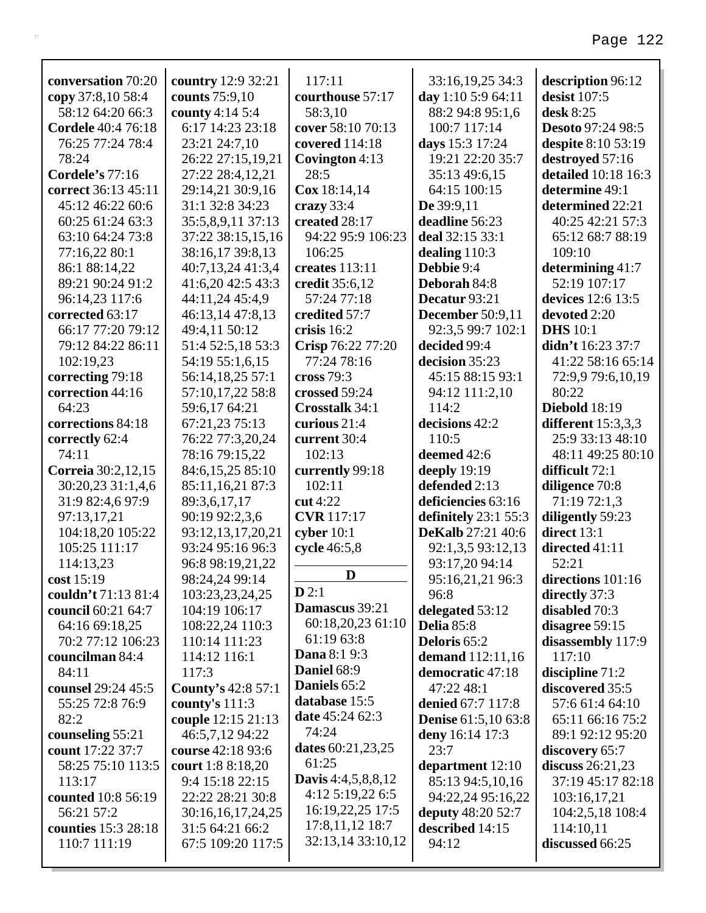| conversation 70:20        | country 12:9 32:21        | 117:11                    | 33:16,19,25 34:3           | description 96:12        |
|---------------------------|---------------------------|---------------------------|----------------------------|--------------------------|
| copy 37:8,10 58:4         | counts 75:9,10            | courthouse 57:17          | day 1:10 5:9 64:11         | desist 107:5             |
| 58:12 64:20 66:3          | county 4:14 5:4           | 58:3,10                   | 88:2 94:8 95:1,6           | desk 8:25                |
| <b>Cordele</b> 40:4 76:18 | 6:17 14:23 23:18          | cover 58:10 70:13         | 100:7 117:14               | <b>Desoto 97:24 98:5</b> |
| 76:25 77:24 78:4          | 23:21 24:7,10             | covered 114:18            | days 15:3 17:24            | despite 8:10 53:19       |
| 78:24                     | 26:22 27:15,19,21         | Covington 4:13            | 19:21 22:20 35:7           | destroyed 57:16          |
| Cordele's 77:16           | 27:22 28:4,12,21          | 28:5                      | 35:13 49:6,15              | detailed 10:18 16:3      |
| correct 36:13 45:11       | 29:14,21 30:9,16          | Cox 18:14,14              | 64:15 100:15               | determine 49:1           |
| 45:12 46:22 60:6          | 31:1 32:8 34:23           | crazy $33:4$              | De 39:9,11                 | determined 22:21         |
| 60:25 61:24 63:3          | 35:5,8,9,11 37:13         | created 28:17             | deadline 56:23             | 40:25 42:21 57:3         |
| 63:10 64:24 73:8          | 37:22 38:15,15,16         | 94:22 95:9 106:23         | deal 32:15 33:1            | 65:12 68:7 88:19         |
| 77:16,22 80:1             | 38:16,17 39:8,13          | 106:25                    | dealing $110:3$            | 109:10                   |
| 86:1 88:14,22             | 40:7,13,24 41:3,4         | creates 113:11            | Debbie 9:4                 | determining 41:7         |
| 89:21 90:24 91:2          | 41:6,20 42:5 43:3         | credit 35:6,12            | Deborah 84:8               | 52:19 107:17             |
| 96:14,23 117:6            | 44:11,24 45:4,9           | 57:24 77:18               | Decatur 93:21              | devices 12:6 13:5        |
| corrected 63:17           | 46:13,14 47:8,13          | credited 57:7             | <b>December</b> 50:9,11    | devoted 2:20             |
| 66:17 77:20 79:12         | 49:4,11 50:12             | crisis 16:2               | 92:3,5 99:7 102:1          | <b>DHS</b> 10:1          |
| 79:12 84:22 86:11         | 51:4 52:5,18 53:3         | Crisp 76:22 77:20         | decided 99:4               | didn't 16:23 37:7        |
| 102:19,23                 | 54:19 55:1,6,15           | 77:24 78:16               | decision 35:23             | 41:22 58:16 65:14        |
| correcting 79:18          | 56:14,18,25 57:1          | cross 79:3                | 45:15 88:15 93:1           | 72:9,9 79:6,10,19        |
| correction 44:16          | 57:10,17,22 58:8          | crossed 59:24             | 94:12 111:2,10             | 80:22                    |
| 64:23                     | 59:6,17 64:21             | Crosstalk 34:1            | 114:2                      | <b>Diebold</b> 18:19     |
| corrections 84:18         | 67:21,23 75:13            | curious 21:4              | decisions 42:2             | different $15:3,3,3$     |
| correctly 62:4            | 76:22 77:3,20,24          | current 30:4              | 110:5                      | 25:9 33:13 48:10         |
| 74:11                     | 78:16 79:15,22            | 102:13                    | deemed 42:6                | 48:11 49:25 80:10        |
| Correia 30:2,12,15        | 84:6,15,25 85:10          | currently 99:18           | deeply 19:19               | difficult 72:1           |
| 30:20,23 31:1,4,6         | 85:11,16,21 87:3          | 102:11                    | defended 2:13              | diligence 70:8           |
| 31:9 82:4,6 97:9          | 89:3,6,17,17              | cut $4:22$                | deficiencies 63:16         | 71:19 72:1,3             |
| 97:13,17,21               | 90:19 92:2,3,6            | <b>CVR</b> 117:17         | definitely $23:155:3$      | diligently 59:23         |
| 104:18,20 105:22          | 93:12,13,17,20,21         | cyber $10:1$              | <b>DeKalb</b> 27:21 40:6   | direct 13:1              |
| 105:25 111:17             | 93:24 95:16 96:3          | cycle 46:5,8              | 92:1,3,5 93:12,13          | directed 41:11           |
| 114:13,23                 | 96:8 98:19,21,22          |                           | 93:17,20 94:14             | 52:21                    |
| cost 15:19                | 98:24,24 99:14            | D                         | 95:16,21,21 96:3           | directions $101:16$      |
| couldn't 71:13 81:4       | 103:23,23,24,25           | D2:1                      | 96:8                       | directly 37:3            |
| council 60:21 64:7        | 104:19 106:17             | Damascus 39:21            | delegated 53:12            | disabled 70:3            |
| 64:16 69:18,25            | 108:22,24 110:3           | 60:18,20,23 61:10         | Delia 85:8                 | disagree 59:15           |
| 70:2 77:12 106:23         | 110:14 111:23             | 61:19 63:8                | Deloris 65:2               | disassembly 117:9        |
| councilman 84:4           | 114:12 116:1              | <b>Dana</b> 8:1 9:3       | demand $112:11,16$         | 117:10                   |
| 84:11                     | 117:3                     | Daniel 68:9               | democratic 47:18           | discipline $71:2$        |
| counsel 29:24 45:5        | <b>County's 42:8 57:1</b> | Daniels 65:2              | 47:22 48:1                 | discovered 35:5          |
| 55:25 72:8 76:9           | county's $111:3$          | database 15:5             | denied 67:7 117:8          | 57:6 61:4 64:10          |
| 82:2                      | couple 12:15 21:13        | date 45:24 62:3           | <b>Denise</b> 61:5,10 63:8 | 65:11 66:16 75:2         |
| counseling 55:21          | 46:5,7,12 94:22           | 74:24                     | deny 16:14 17:3            | 89:1 92:12 95:20         |
| count 17:22 37:7          | course 42:18 93:6         | dates 60:21,23,25         | 23:7                       | discovery 65:7           |
| 58:25 75:10 113:5         | court 1:8 8:18,20         | 61:25                     | department 12:10           | discuss $26:21,23$       |
| 113:17                    | 9:4 15:18 22:15           | <b>Davis</b> 4:4,5,8,8,12 | 85:13 94:5,10,16           | 37:19 45:17 82:18        |
| counted 10:8 56:19        | 22:22 28:21 30:8          | 4:12 5:19,22 6:5          | 94:22,24 95:16,22          | 103:16,17,21             |
| 56:21 57:2                | 30:16,16,17,24,25         | 16:19,22,25 17:5          | <b>deputy</b> 48:20 52:7   | 104:2,5,18 108:4         |
| counties 15:3 28:18       | 31:5 64:21 66:2           | 17:8,11,12 18:7           | described 14:15            | 114:10,11                |
| 110:7 111:19              | 67:5 109:20 117:5         | 32:13,14 33:10,12         | 94:12                      | discussed 66:25          |
|                           |                           |                           |                            |                          |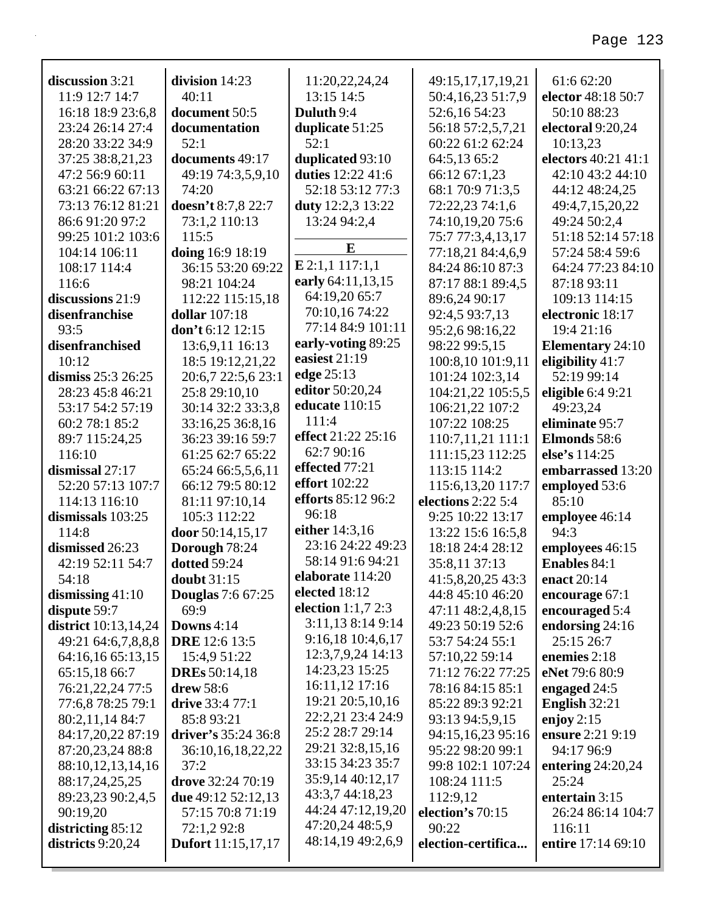| discussion 3:21             | division 14:23            | 11:20,22,24,24                       | 49:15,17,17,19,21   | 61:6 62:20              |
|-----------------------------|---------------------------|--------------------------------------|---------------------|-------------------------|
| 11:9 12:7 14:7              | 40:11                     | 13:15 14:5                           | 50:4,16,23 51:7,9   | elector 48:18 50:7      |
| 16:18 18:9 23:6,8           | document 50:5             | Duluth 9:4                           | 52:6,16 54:23       | 50:10 88:23             |
| 23:24 26:14 27:4            | documentation             | duplicate 51:25                      | 56:18 57:2,5,7,21   | electoral 9:20,24       |
| 28:20 33:22 34:9            | 52:1                      | 52:1                                 | 60:22 61:2 62:24    | 10:13,23                |
| 37:25 38:8,21,23            | documents 49:17           | duplicated 93:10                     | 64:5,13 65:2        | electors 40:21 41:1     |
| 47:2 56:9 60:11             | 49:19 74:3,5,9,10         | duties 12:22 41:6                    | 66:12 67:1,23       | 42:10 43:2 44:10        |
| 63:21 66:22 67:13           | 74:20                     | 52:18 53:12 77:3                     | 68:1 70:9 71:3,5    | 44:12 48:24,25          |
| 73:13 76:12 81:21           | doesn't 8:7,8 22:7        | <b>duty</b> 12:2,3 13:22             | 72:22,23 74:1,6     | 49:4,7,15,20,22         |
| 86:6 91:20 97:2             | 73:1,2 110:13             | 13:24 94:2,4                         | 74:10,19,20 75:6    | 49:24 50:2,4            |
| 99:25 101:2 103:6           | 115:5                     |                                      | 75:7 77:3,4,13,17   | 51:18 52:14 57:18       |
| 104:14 106:11               | doing 16:9 18:19          | E                                    | 77:18,21 84:4,6,9   | 57:24 58:4 59:6         |
| 108:17 114:4                | 36:15 53:20 69:22         | $E$ 2:1,1 117:1,1                    | 84:24 86:10 87:3    | 64:24 77:23 84:10       |
| 116:6                       | 98:21 104:24              | early 64:11,13,15                    | 87:17 88:1 89:4,5   | 87:18 93:11             |
| discussions 21:9            | 112:22 115:15,18          | 64:19,20 65:7                        | 89:6,24 90:17       | 109:13 114:15           |
| disenfranchise              | <b>dollar</b> 107:18      | 70:10,16 74:22                       | 92:4,5 93:7,13      | electronic 18:17        |
| 93:5                        | don't $6:12$ 12:15        | 77:14 84:9 101:11                    | 95:2,6 98:16,22     | 19:4 21:16              |
| disenfranchised             | 13:6,9,11 16:13           | early-voting 89:25                   | 98:22 99:5,15       | <b>Elementary</b> 24:10 |
| 10:12                       | 18:5 19:12,21,22          | easiest 21:19                        | 100:8,10 101:9,11   | eligibility 41:7        |
| dismiss 25:3 26:25          | 20:6,7 22:5,6 23:1        | edge 25:13                           | 101:24 102:3,14     | 52:19 99:14             |
| 28:23 45:8 46:21            | 25:8 29:10,10             | editor 50:20,24                      | 104:21,22 105:5,5   | eligible $6:49:21$      |
| 53:17 54:2 57:19            | 30:14 32:2 33:3,8         | educate 110:15                       | 106:21,22 107:2     | 49:23,24                |
| 60:2 78:1 85:2              | 33:16,25 36:8,16          | 111:4                                | 107:22 108:25       | eliminate 95:7          |
| 89:7 115:24,25              | 36:23 39:16 59:7          | effect 21:22 25:16                   | 110:7,11,21 111:1   | Elmonds 58:6            |
| 116:10                      | 61:25 62:7 65:22          | 62:7 90:16                           | 111:15,23 112:25    | else's 114:25           |
| dismissal 27:17             | 65:24 66:5,5,6,11         | effected 77:21                       | 113:15 114:2        | embarrassed 13:20       |
| 52:20 57:13 107:7           | 66:12 79:5 80:12          | <b>effort</b> 102:22                 | 115:6, 13, 20 117:7 | employed 53:6           |
| 114:13 116:10               | 81:11 97:10,14            | efforts 85:12 96:2                   | elections 2:22 5:4  | 85:10                   |
| dismissals 103:25           | 105:3 112:22              | 96:18                                | 9:25 10:22 13:17    | employee 46:14          |
| 114:8                       | door 50:14,15,17          | either 14:3,16                       | 13:22 15:6 16:5,8   | 94:3                    |
| dismissed 26:23             | Dorough 78:24             | 23:16 24:22 49:23                    | 18:18 24:4 28:12    | employees 46:15         |
| 42:19 52:11 54:7            | dotted 59:24              | 58:14 91:6 94:21                     | 35:8,11 37:13       | <b>Enables 84:1</b>     |
| 54:18                       | <b>doubt</b> 31:15        | elaborate 114:20                     | 41:5,8,20,25 43:3   | enact 20:14             |
| dismissing $41:10$          | <b>Douglas</b> 7:6 67:25  | elected 18:12                        | 44:8 45:10 46:20    | encourage 67:1          |
| dispute 59:7                | 69:9                      | election $1:1,7$ 2:3                 | 47:11 48:2,4,8,15   | encouraged 5:4          |
| <b>district</b> 10:13,14,24 | Downs 4:14                | 3:11,13 8:14 9:14                    | 49:23 50:19 52:6    | endorsing 24:16         |
| 49:21 64:6,7,8,8,8          | <b>DRE</b> 12:6 13:5      | 9:16,18 10:4,6,17                    | 53:7 54:24 55:1     | 25:15 26:7              |
| 64:16,16 65:13,15           | 15:4,9 51:22              | 12:3,7,9,24 14:13                    | 57:10,22 59:14      | enemies 2:18            |
| 65:15,18 66:7               | <b>DREs</b> 50:14,18      | 14:23,23 15:25                       | 71:12 76:22 77:25   | eNet 79:6 80:9          |
| 76:21,22,24 77:5            | drew 58:6                 | 16:11,12 17:16                       | 78:16 84:15 85:1    | engaged 24:5            |
| 77:6,8 78:25 79:1           | drive 33:4 77:1           | 19:21 20:5,10,16                     | 85:22 89:3 92:21    | English 32:21           |
| 80:2,11,14 84:7             | 85:8 93:21                | 22:2,21 23:4 24:9                    | 93:13 94:5,9,15     | enjoy $2:15$            |
| 84:17,20,22 87:19           | driver's 35:24 36:8       | 25:2 28:7 29:14                      | 94:15,16,23 95:16   | ensure 2:21 9:19        |
| 87:20,23,24 88:8            | 36:10,16,18,22,22         | 29:21 32:8,15,16                     | 95:22 98:20 99:1    | 94:17 96:9              |
| 88:10,12,13,14,16           | 37:2                      | 33:15 34:23 35:7                     | 99:8 102:1 107:24   | entering $24:20,24$     |
| 88:17,24,25,25              | drove 32:24 70:19         | 35:9,14 40:12,17                     | 108:24 111:5        | 25:24                   |
| 89:23,23 90:2,4,5           | due 49:12 52:12,13        | 43:3,7 44:18,23                      | 112:9,12            | entertain 3:15          |
| 90:19,20                    | 57:15 70:8 71:19          | 44:24 47:12,19,20                    | election's 70:15    | 26:24 86:14 104:7       |
| districting $85:12$         | 72:1,2 92:8               | 47:20,24 48:5,9<br>48:14,19 49:2,6,9 | 90:22               | 116:11                  |
| districts 9:20,24           | <b>Dufort</b> 11:15,17,17 |                                      | election-certifica  | entire 17:14 69:10      |
|                             |                           |                                      |                     |                         |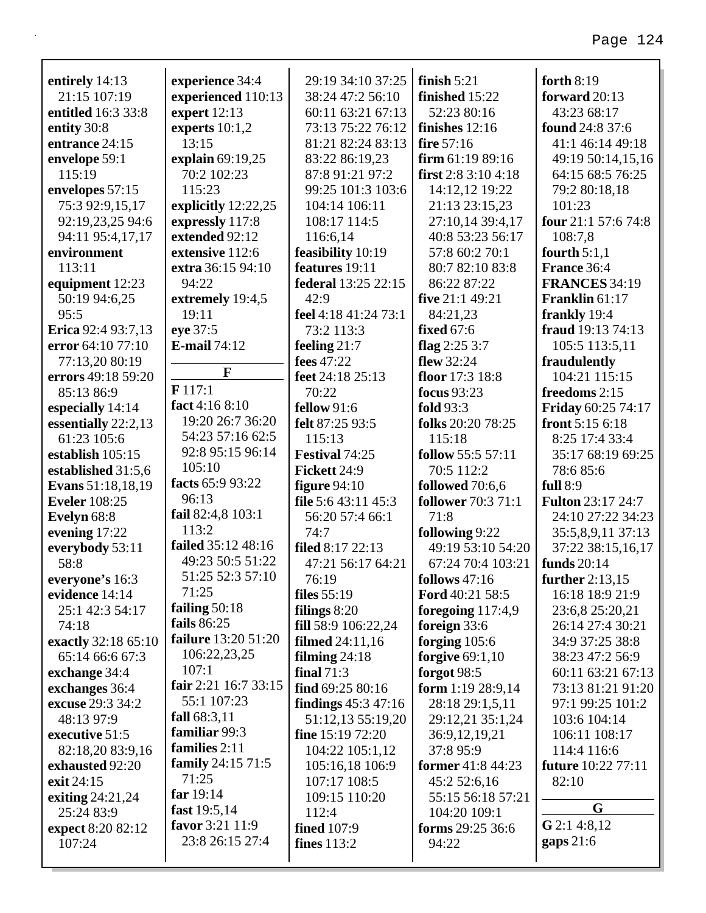| entirely 14:13       | experience 34:4            | 29:19 34:10 37:25       | finish $5:21$                    | forth $8:19$              |
|----------------------|----------------------------|-------------------------|----------------------------------|---------------------------|
| 21:15 107:19         | experienced 110:13         | 38:24 47:2 56:10        | finished 15:22                   | forward 20:13             |
| entitled 16:3 33:8   | expert $12:13$             | 60:11 63:21 67:13       | 52:23 80:16                      | 43:23 68:17               |
| entity 30:8          | experts $10:1,2$           | 73:13 75:22 76:12       | finishes $12:16$<br>fire $57:16$ | found 24:8 37:6           |
| entrance 24:15       | 13:15                      | 81:21 82:24 83:13       |                                  | 41:1 46:14 49:18          |
| envelope 59:1        | explain 69:19,25           | 83:22 86:19,23          | firm $61:1989:16$                | 49:19 50:14,15,16         |
| 115:19               | 70:2 102:23                | 87:8 91:21 97:2         | first $2:83:104:18$              | 64:15 68:5 76:25          |
| envelopes 57:15      | 115:23                     | 99:25 101:3 103:6       | 14:12,12 19:22                   | 79:2 80:18,18             |
| 75:3 92:9,15,17      | explicitly 12:22,25        | 104:14 106:11           | 21:13 23:15,23                   | 101:23                    |
| 92:19,23,25 94:6     | expressly 117:8            | 108:17 114:5            | 27:10,14 39:4,17                 | four 21:1 57:6 74:8       |
| 94:11 95:4,17,17     | extended 92:12             | 116:6,14                | 40:8 53:23 56:17                 | 108:7,8                   |
| environment          | extensive 112:6            | feasibility 10:19       | 57:8 60:2 70:1                   | fourth $5:1,1$            |
| 113:11               | extra 36:15 94:10          | features 19:11          | 80:7 82:10 83:8                  | France 36:4               |
| equipment 12:23      | 94:22                      | federal 13:25 22:15     | 86:22 87:22                      | <b>FRANCES 34:19</b>      |
| 50:19 94:6,25        | extremely 19:4,5           | 42:9                    | five 21:1 49:21                  | Franklin 61:17            |
| 95:5                 | 19:11                      | feel 4:18 41:24 73:1    | 84:21,23                         | frankly 19:4              |
| Erica 92:4 93:7,13   | eye 37:5                   | 73:2 113:3              | <b>fixed</b> 67:6                | fraud 19:13 74:13         |
| error 64:10 77:10    | <b>E-mail</b> 74:12        | feeling $21:7$          | flag $2:253:7$                   | 105:5 113:5,11            |
| 77:13,20 80:19       | $\mathbf{F}$               | fees 47:22              | flew 32:24                       | fraudulently              |
| errors 49:18 59:20   |                            | feet 24:18 25:13        | floor 17:3 18:8                  | 104:21 115:15             |
| 85:13 86:9           | F117:1                     | 70:22                   | <b>focus</b> 93:23               | freedoms 2:15             |
| especially 14:14     | fact 4:16 8:10             | fellow $91:6$           | fold 93:3                        | <b>Friday 60:25 74:17</b> |
| essentially 22:2,13  | 19:20 26:7 36:20           | felt 87:25 93:5         | folks 20:20 78:25                | front $5:156:18$          |
| 61:23 105:6          | 54:23 57:16 62:5           | 115:13                  | 115:18                           | 8:25 17:4 33:4            |
| establish 105:15     | 92:8 95:15 96:14           | Festival 74:25          | follow 55:5 57:11                | 35:17 68:19 69:25         |
| established 31:5,6   | 105:10                     | Fickett 24:9            | 70:5 112:2                       | 78:685:6                  |
| Evans 51:18,18,19    | facts 65:9 93:22           | figure $94:10$          | followed 70:6,6                  | full $8:9$                |
| <b>Eveler</b> 108:25 | 96:13                      | file 5:6 43:11 45:3     | <b>follower</b> 70:3 71:1        | <b>Fulton 23:17 24:7</b>  |
| Evelyn 68:8          | fail 82:4,8 103:1          | 56:20 57:4 66:1         | 71:8                             | 24:10 27:22 34:23         |
| evening 17:22        | 113:2                      | 74:7                    | following 9:22                   | 35:5,8,9,11 37:13         |
| everybody 53:11      | failed 35:12 48:16         | filed 8:17 22:13        | 49:19 53:10 54:20                | 37:22 38:15,16,17         |
| 58:8                 | 49:23 50:5 51:22           | 47:21 56:17 64:21       | 67:24 70:4 103:21                | <b>funds</b> 20:14        |
| everyone's 16:3      | 51:25 52:3 57:10           | 76:19                   | follows $47:16$                  | further $2:13,15$         |
| evidence 14:14       | 71:25                      | files $55:19$           | Ford 40:21 58:5                  | 16:18 18:9 21:9           |
| 25:1 42:3 54:17      | failing $50:18$            | filings $8:20$          | foregoing $117:4,9$              | 23:6,8 25:20,21           |
| 74:18                | fails 86:25                | fill 58:9 106:22,24     | foreign 33:6                     | 26:14 27:4 30:21          |
| exactly 32:18 65:10  | <b>failure</b> 13:20 51:20 | <b>filmed</b> 24:11,16  | forging $105:6$                  | 34:9 37:25 38:8           |
| 65:14 66:6 67:3      | 106:22,23,25               | filming $24:18$         | forgive $69:1,10$                | 38:23 47:2 56:9           |
| exchange 34:4        | 107:1                      | final $71:3$            | forgot $98:5$                    | 60:11 63:21 67:13         |
| exchanges 36:4       | fair 2:21 16:7 33:15       | find $69:2580:16$       | form $1:19\,28:9,14$             | 73:13 81:21 91:20         |
| excuse 29:3 34:2     | 55:1 107:23                | findings $45:3$ $47:16$ | 28:18 29:1,5,11                  | 97:1 99:25 101:2          |
| 48:13 97:9           | fall $68:3,11$             | 51:12,13 55:19,20       | 29:12,21 35:1,24                 | 103:6 104:14              |
| executive 51:5       | familiar 99:3              | fine $15:1972:20$       | 36:9, 12, 19, 21                 | 106:11 108:17             |
| 82:18,20 83:9,16     | families 2:11              | 104:22 105:1,12         | 37:8 95:9                        | 114:4 116:6               |
| exhausted 92:20      | <b>family</b> 24:15 71:5   | 105:16,18 106:9         | <b>former</b> 41:8 44:23         | <b>future</b> 10:22 77:11 |
| exit 24:15           | 71:25                      | 107:17 108:5            | 45:2 52:6,16                     | 82:10                     |
| exiting $24:21,24$   | far $19:14$                | 109:15 110:20           | 55:15 56:18 57:21                | G                         |
| 25:24 83:9           | fast $19:5,14$             | 112:4                   | 104:20 109:1                     |                           |
| expect 8:20 82:12    | favor 3:21 11:9            | <b>fined</b> 107:9      | forms 29:25 36:6                 | $G$ 2:1 4:8,12            |
| 107:24               | 23:8 26:15 27:4            | fines $113:2$           | 94:22                            | gaps $21:6$               |
|                      |                            |                         |                                  |                           |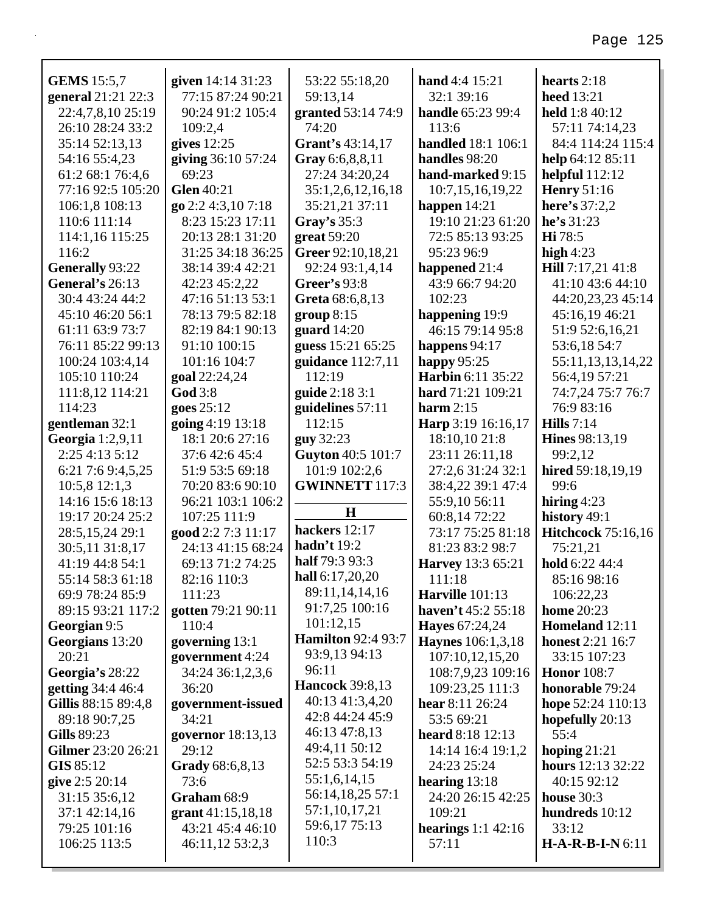| <b>GEMS</b> 15:5,7  | given 14:14 31:23   | 53:22 55:18,20            | hand 4:4 15:21            | hearts $2:18$             |
|---------------------|---------------------|---------------------------|---------------------------|---------------------------|
| general 21:21 22:3  | 77:15 87:24 90:21   | 59:13,14                  | 32:1 39:16                | <b>heed</b> 13:21         |
| 22:4,7,8,10 25:19   | 90:24 91:2 105:4    | granted 53:14 74:9        | handle 65:23 99:4         | held 1:8 40:12            |
| 26:10 28:24 33:2    | 109:2,4             | 74:20                     | 113:6                     | 57:11 74:14,23            |
| 35:14 52:13,13      | gives $12:25$       | Grant's 43:14,17          | <b>handled</b> 18:1 106:1 | 84:4 114:24 115:4         |
| 54:16 55:4,23       | giving 36:10 57:24  | Gray 6:6,8,8,11           | handles 98:20             | help $64:1285:11$         |
| 61:2 68:1 76:4,6    | 69:23               | 27:24 34:20,24            | hand-marked 9:15          | helpful $112:12$          |
| 77:16 92:5 105:20   | <b>Glen</b> 40:21   | 35:1,2,6,12,16,18         | 10:7,15,16,19,22          | <b>Henry</b> 51:16        |
| 106:1,8 108:13      | go 2:2 4:3,10 7:18  | 35:21,21 37:11            | happen $14:21$            | here's 37:2,2             |
| 110:6 111:14        | 8:23 15:23 17:11    | Gray's $35:3$             | 19:10 21:23 61:20         | he's 31:23                |
| 114:1,16 115:25     | 20:13 28:1 31:20    | great 59:20               | 72:5 85:13 93:25          | Hi 78:5                   |
| 116:2               | 31:25 34:18 36:25   | Greer 92:10,18,21         | 95:23 96:9                | high $4:23$               |
| Generally 93:22     | 38:14 39:4 42:21    | 92:24 93:1,4,14           | happened 21:4             | Hill 7:17,21 41:8         |
| General's 26:13     | 42:23 45:2,22       | Greer's 93:8              | 43:9 66:7 94:20           | 41:10 43:6 44:10          |
| 30:4 43:24 44:2     | 47:16 51:13 53:1    | Greta 68:6,8,13           | 102:23                    | 44:20,23,23 45:14         |
| 45:10 46:20 56:1    | 78:13 79:5 82:18    | group 8:15                | happening 19:9            | 45:16,19 46:21            |
| 61:11 63:9 73:7     | 82:19 84:1 90:13    | guard $14:20$             | 46:15 79:14 95:8          | 51:9 52:6,16,21           |
| 76:11 85:22 99:13   | 91:10 100:15        | guess 15:21 65:25         | happens 94:17             | 53:6,18 54:7              |
| 100:24 103:4,14     | 101:16 104:7        | guidance 112:7,11         | happy $95:25$             | 55:11,13,13,14,22         |
| 105:10 110:24       | goal 22:24,24       | 112:19                    | <b>Harbin</b> 6:11 35:22  | 56:4,19 57:21             |
| 111:8,12 114:21     | <b>God</b> 3:8      | guide 2:18 3:1            | hard 71:21 109:21         | 74:7,24 75:7 76:7         |
| 114:23              | goes 25:12          | guidelines 57:11          | harm $2:15$               | 76:9 83:16                |
| gentleman 32:1      | going 4:19 13:18    | 112:15                    | Harp 3:19 16:16,17        | Hills $7:14$              |
| Georgia 1:2,9,11    | 18:1 20:6 27:16     | <b>guy</b> 32:23          | 18:10,10 21:8             | <b>Hines</b> 98:13,19     |
| 2:254:135:12        | 37:6 42:6 45:4      | Guyton 40:5 101:7         | 23:11 26:11,18            | 99:2,12                   |
| 6:21 7:6 9:4,5,25   | 51:9 53:5 69:18     | 101:9 102:2,6             | 27:2,6 31:24 32:1         | hired 59:18,19,19         |
| $10:5,8$ 12:1,3     | 70:20 83:6 90:10    | <b>GWINNETT 117:3</b>     | 38:4,22 39:1 47:4         | 99:6                      |
| 14:16 15:6 18:13    | 96:21 103:1 106:2   |                           | 55:9,10 56:11             | hiring $4:23$             |
| 19:17 20:24 25:2    | 107:25 111:9        | $\mathbf H$               | 60:8,14 72:22             | history 49:1              |
| 28:5,15,24 29:1     | good 2:2 7:3 11:17  | hackers 12:17             | 73:17 75:25 81:18         | <b>Hitchcock</b> 75:16,16 |
| 30:5,11 31:8,17     | 24:13 41:15 68:24   | hadn't $19:2$             | 81:23 83:2 98:7           | 75:21,21                  |
| 41:19 44:8 54:1     | 69:13 71:2 74:25    | half 79:3 93:3            | <b>Harvey</b> 13:3 65:21  | hold 6:22 44:4            |
| 55:14 58:3 61:18    | 82:16 110:3         | hall 6:17,20,20           | 111:18                    | 85:16 98:16               |
| 69:9 78:24 85:9     | 111:23              | 89:11,14,14,16            | Harville $101:13$         | 106:22,23                 |
| 89:15 93:21 117:2   | gotten 79:21 90:11  | 91:7,25 100:16            | haven't 45:2 55:18        | <b>home</b> 20:23         |
| Georgian 9:5        | 110:4               | 101:12,15                 | <b>Hayes</b> 67:24,24     | Homeland 12:11            |
| Georgians 13:20     | governing 13:1      | <b>Hamilton 92:4 93:7</b> | <b>Haynes</b> 106:1,3,18  | <b>honest</b> 2:21 16:7   |
| 20:21               | government 4:24     | 93:9,13 94:13             | 107:10,12,15,20           | 33:15 107:23              |
| Georgia's 28:22     | 34:24 36:1,2,3,6    | 96:11                     | 108:7,9,23 109:16         | <b>Honor</b> 108:7        |
| getting 34:4 46:4   | 36:20               | <b>Hancock</b> 39:8,13    | 109:23,25 111:3           | honorable 79:24           |
| Gillis 88:15 89:4,8 | government-issued   | 40:13 41:3,4,20           | hear 8:11 26:24           | hope 52:24 110:13         |
| 89:18 90:7,25       | 34:21               | 42:8 44:24 45:9           | 53:5 69:21                | hopefully 20:13           |
| <b>Gills</b> 89:23  | governor 18:13,13   | 46:13 47:8,13             | heard 8:18 12:13          | 55:4                      |
| Gilmer 23:20 26:21  | 29:12               | 49:4,11 50:12             | 14:14 16:4 19:1,2         | hoping $21:21$            |
| GIS 85:12           | Grady 68:6,8,13     | 52:5 53:3 54:19           | 24:23 25:24               | hours 12:13 32:22         |
| give 2:5 20:14      | 73:6                | 55:1,6,14,15              | hearing $13:18$           | 40:15 92:12               |
| 31:15 35:6,12       | Graham 68:9         | 56:14,18,25 57:1          | 24:20 26:15 42:25         | house $30:3$              |
| 37:1 42:14,16       | grant $41:15,18,18$ | 57:1,10,17,21             | 109:21                    | hundreds 10:12            |
| 79:25 101:16        | 43:21 45:4 46:10    | 59:6,17 75:13             | hearings $1:1$ 42:16      | 33:12                     |
| 106:25 113:5        | 46:11,12 53:2,3     | 110:3                     | 57:11                     | $H-A-R-B-I-N6:11$         |
|                     |                     |                           |                           |                           |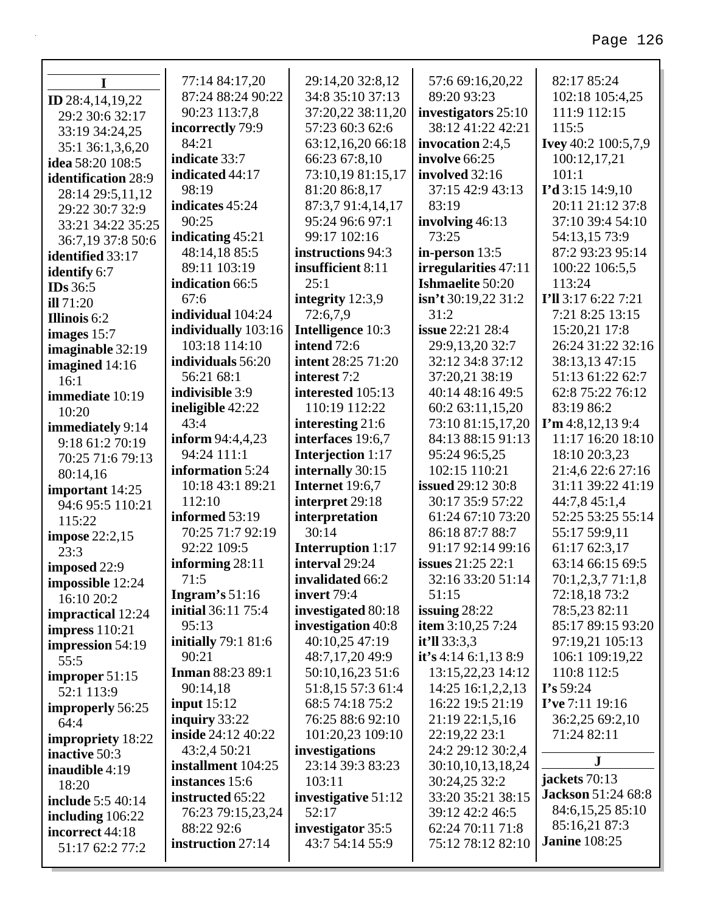| I                        | 77:14 84:17,20             | 29:14,20 32:8,12          | 57:6 69:16,20,22         | 82:17 85:24               |
|--------------------------|----------------------------|---------------------------|--------------------------|---------------------------|
| <b>ID</b> 28:4,14,19,22  | 87:24 88:24 90:22          | 34:8 35:10 37:13          | 89:20 93:23              | 102:18 105:4,25           |
| 29:2 30:6 32:17          | 90:23 113:7,8              | 37:20,22 38:11,20         | investigators 25:10      | 111:9 112:15              |
| 33:19 34:24,25           | incorrectly 79:9           | 57:23 60:3 62:6           | 38:12 41:22 42:21        | 115:5                     |
| 35:1 36:1,3,6,20         | 84:21                      | 63:12,16,20 66:18         | invocation $2:4,5$       | Ivey 40:2 100:5,7,9       |
| idea 58:20 108:5         | indicate 33:7              | 66:23 67:8,10             | involve 66:25            | 100:12,17,21              |
| identification 28:9      | indicated 44:17            | 73:10,19 81:15,17         | involved 32:16           | 101:1                     |
| 28:14 29:5,11,12         | 98:19                      | 81:20 86:8,17             | 37:15 42:9 43:13         | $I'd$ 3:15 14:9,10        |
| 29:22 30:7 32:9          | indicates 45:24            | 87:3,7 91:4,14,17         | 83:19                    | 20:11 21:12 37:8          |
| 33:21 34:22 35:25        | 90:25                      | 95:24 96:6 97:1           | involving 46:13          | 37:10 39:4 54:10          |
| 36:7,19 37:8 50:6        | indicating 45:21           | 99:17 102:16              | 73:25                    | 54:13,15 73:9             |
| identified 33:17         | 48:14,18 85:5              | instructions 94:3         | in-person $13:5$         | 87:2 93:23 95:14          |
| identify 6:7             | 89:11 103:19               | insufficient 8:11         | irregularities 47:11     | 100:22 106:5,5            |
| <b>IDs</b> 36:5          | indication 66:5            | 25:1                      | <b>Ishmaelite</b> 50:20  | 113:24                    |
| ill 71:20                | 67:6                       | integrity 12:3,9          | isn't 30:19,22 31:2      | I'll 3:17 6:22 7:21       |
| <b>Illinois</b> 6:2      | individual 104:24          | 72:6,7,9                  | 31:2                     | 7:21 8:25 13:15           |
| images $15:7$            | individually 103:16        | Intelligence 10:3         | <b>issue</b> 22:21 28:4  | 15:20,21 17:8             |
| imaginable 32:19         | 103:18 114:10              | intend 72:6               | 29:9,13,20 32:7          | 26:24 31:22 32:16         |
| imagined 14:16           | individuals 56:20          | <b>intent</b> 28:25 71:20 | 32:12 34:8 37:12         | 38:13,13 47:15            |
| 16:1                     | 56:21 68:1                 | interest 7:2              | 37:20,21 38:19           | 51:13 61:22 62:7          |
| immediate 10:19          | indivisible 3:9            | interested 105:13         | 40:14 48:16 49:5         | 62:8 75:22 76:12          |
| 10:20                    | ineligible 42:22           | 110:19 112:22             | 60:2 63:11,15,20         | 83:19 86:2                |
| immediately 9:14         | 43:4                       | interesting 21:6          | 73:10 81:15,17,20        | $\Gamma$ m 4:8,12,139:4   |
| 9:18 61:2 70:19          | <b>inform</b> 94:4,4,23    | interfaces 19:6,7         | 84:13 88:15 91:13        | 11:17 16:20 18:10         |
| 70:25 71:6 79:13         | 94:24 111:1                | <b>Interjection 1:17</b>  | 95:24 96:5,25            | 18:10 20:3,23             |
| 80:14,16                 | information 5:24           | internally 30:15          | 102:15 110:21            | 21:4,6 22:6 27:16         |
| important 14:25          | 10:18 43:1 89:21           | Internet 19:6,7           | <b>issued</b> 29:12 30:8 | 31:11 39:22 41:19         |
| 94:6 95:5 110:21         | 112:10                     | interpret 29:18           | 30:17 35:9 57:22         | 44:7,8 45:1,4             |
| 115:22                   | informed 53:19             | interpretation            | 61:24 67:10 73:20        | 52:25 53:25 55:14         |
| <b>impose</b> 22:2,15    | 70:25 71:7 92:19           | 30:14                     | 86:18 87:7 88:7          | 55:17 59:9,11             |
| 23:3                     | 92:22 109:5                | <b>Interruption</b> 1:17  | 91:17 92:14 99:16        | 61:17 62:3,17             |
| imposed 22:9             | informing 28:11            | interval 29:24            | <b>issues</b> 21:25 22:1 | 63:14 66:15 69:5          |
| impossible 12:24         | 71:5                       | invalidated 66:2          | 32:16 33:20 51:14        | 70:1,2,3,7 71:1,8         |
| 16:10 20:2               | Ingram's $51:16$           | invert $79:4$             | 51:15                    | 72:18,18 73:2             |
| impractical 12:24        | <b>initial</b> 36:11 75:4  | investigated 80:18        | issuing $28:22$          | 78:5,23 82:11             |
| impress $110:21$         | 95:13                      | investigation 40:8        | item $3:10,25$ 7:24      | 85:17 89:15 93:20         |
| impression 54:19         | <b>initially</b> 79:1 81:6 | 40:10,25 47:19            | it'll 33:3,3             | 97:19,21 105:13           |
| 55:5                     | 90:21                      | 48:7,17,20 49:9           | it's 4:14 6:1,13 8:9     | 106:1 109:19,22           |
| improper 51:15           | <b>Inman 88:23 89:1</b>    | 50:10,16,23 51:6          | 13:15,22,23 14:12        | 110:8 112:5               |
| 52:1 113:9               | 90:14,18                   | 51:8,15 57:3 61:4         | 14:25 16:1,2,2,13        | I's 59:24                 |
| improperly 56:25         | input $15:12$              | 68:5 74:18 75:2           | 16:22 19:5 21:19         | I've 7:11 19:16           |
| 64:4                     | inquiry $33:22$            | 76:25 88:6 92:10          | 21:19 22:1,5,16          | 36:2,25 69:2,10           |
| impropriety 18:22        | <b>inside</b> 24:12 40:22  | 101:20,23 109:10          | 22:19,22 23:1            | 71:24 82:11               |
| inactive 50:3            | 43:2,4 50:21               | investigations            | 24:2 29:12 30:2,4        | J                         |
| inaudible $4:19$         | installment 104:25         | 23:14 39:3 83:23          | 30:10,10,13,18,24        |                           |
| 18:20                    | instances 15:6             | 103:11                    | 30:24,25 32:2            | jackets 70:13             |
| <b>include</b> 5:5 40:14 | instructed 65:22           | investigative 51:12       | 33:20 35:21 38:15        | <b>Jackson</b> 51:24 68:8 |
| including $106:22$       | 76:23 79:15,23,24          | 52:17                     | 39:12 42:2 46:5          | 84:6,15,25 85:10          |
| incorrect 44:18          | 88:22 92:6                 | investigator 35:5         | 62:24 70:11 71:8         | 85:16,21 87:3             |
| 51:17 62:2 77:2          | instruction 27:14          | 43:7 54:14 55:9           | 75:12 78:12 82:10        | <b>Janine 108:25</b>      |
|                          |                            |                           |                          |                           |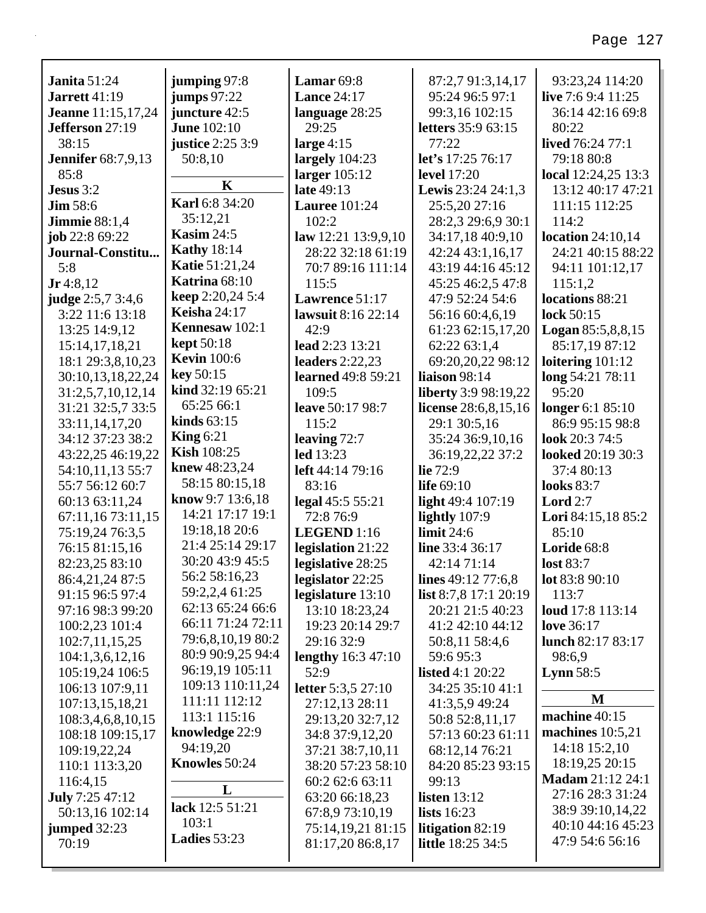| <b>Janita</b> $51:24$              | jumping 97:8          | Lamar $69:8$                                   | 87:2,7 91:3,14,17            | 93:23,24 114:20                     |
|------------------------------------|-----------------------|------------------------------------------------|------------------------------|-------------------------------------|
| <b>Jarrett</b> 41:19               | <b>jumps</b> 97:22    | <b>Lance 24:17</b>                             | 95:24 96:5 97:1              | live 7:6 9:4 11:25                  |
| <b>Jeanne</b> 11:15, 17, 24        | juncture 42:5         | language 28:25                                 | 99:3,16 102:15               | 36:14 42:16 69:8                    |
| Jefferson 27:19                    | <b>June 102:10</b>    | 29:25                                          | letters 35:9 63:15           | 80:22                               |
| 38:15                              | justice 2:25 3:9      | large $4:15$                                   | 77:22                        | lived 76:24 77:1                    |
| <b>Jennifer</b> 68:7,9,13          | 50:8,10               | largely $104:23$                               | let's 17:25 76:17            | 79:18 80:8                          |
| 85:8                               | $\mathbf K$           | larger $105:12$                                | <b>level</b> 17:20           | local $12:24,25$ $13:3$             |
| Jesus 3:2                          | Karl 6:8 34:20        | late 49:13                                     | Lewis 23:24 24:1,3           | 13:12 40:17 47:21                   |
| $\text{Jim } 58:6$                 | 35:12,21              | <b>Lauree</b> 101:24                           | 25:5,20 27:16                | 111:15 112:25                       |
| <b>Jimmie</b> 88:1,4               | <b>Kasim 24:5</b>     | 102:2                                          | 28:2,3 29:6,9 30:1           | 114:2                               |
| job 22:8 69:22                     | <b>Kathy</b> 18:14    | law $12:21$ $13:9,9,10$                        | 34:17,18 40:9,10             | location $24:10,14$                 |
| Journal-Constitu                   | <b>Katie 51:21,24</b> | 28:22 32:18 61:19                              | 42:24 43:1,16,17             | 24:21 40:15 88:22                   |
| 5:8                                | Katrina 68:10         | 70:7 89:16 111:14                              | 43:19 44:16 45:12            | 94:11 101:12,17                     |
| $Jr$ 4:8,12                        | keep 2:20,24 5:4      | 115:5                                          | 45:25 46:2,5 47:8            | 115:1,2                             |
| <b>judge</b> 2:5,7 3:4,6           | <b>Keisha</b> 24:17   | Lawrence 51:17                                 | 47:9 52:24 54:6              | locations 88:21                     |
| 3:22 11:6 13:18                    | Kennesaw 102:1        | lawsuit 8:16 22:14                             | 56:16 60:4,6,19              | lock 50:15                          |
| 13:25 14:9,12                      | <b>kept</b> 50:18     | 42:9                                           | 61:23 62:15,17,20            | <b>Logan</b> $85:5,8,8,15$          |
| 15:14,17,18,21                     | <b>Kevin</b> 100:6    | lead 2:23 13:21                                | 62:22 63:1,4                 | 85:17,19 87:12                      |
| 18:1 29:3,8,10,23                  | key 50:15             | leaders $2:22,23$<br><b>learned</b> 49:8 59:21 | 69:20,20,22 98:12            | loitering $101:12$                  |
| 30:10,13,18,22,24                  | kind 32:19 65:21      |                                                | liaison 98:14                | long 54:21 78:11<br>95:20           |
| 31:2,5,7,10,12,14                  | 65:25 66:1            | 109:5                                          | <b>liberty</b> 3:9 98:19,22  |                                     |
| 31:21 32:5,7 33:5                  | kinds $63:15$         | <b>leave</b> 50:17 98:7<br>115:2               | license $28:6,8,15,16$       | longer 6:1 85:10<br>86:9 95:15 98:8 |
| 33:11,14,17,20<br>34:12 37:23 38:2 | King $6:21$           |                                                | 29:1 30:5,16                 | look 20:3 74:5                      |
| 43:22,25 46:19,22                  | <b>Kish 108:25</b>    | leaving $72:7$<br>led 13:23                    | 35:24 36:9,10,16             | looked 20:19 30:3                   |
| 54:10,11,13 55:7                   | knew 48:23,24         | left 44:14 79:16                               | 36:19,22,22 37:2<br>lie 72:9 | 37:4 80:13                          |
| 55:7 56:12 60:7                    | 58:15 80:15,18        | 83:16                                          | life $69:10$                 | <b>looks</b> 83:7                   |
| 60:13 63:11,24                     | know 9:7 $13:6,18$    | legal 45:5 55:21                               | light 49:4 107:19            | Lord $2:7$                          |
| 67:11,16 73:11,15                  | 14:21 17:17 19:1      | 72:8 76:9                                      | lightly 107:9                | Lori 84:15,18 85:2                  |
| 75:19,24 76:3,5                    | 19:18,18 20:6         | LEGEND 1:16                                    | limit $24:6$                 | 85:10                               |
| 76:15 81:15,16                     | 21:4 25:14 29:17      | legislation 21:22                              | line 33:4 36:17              | Loride 68:8                         |
| 82:23,25 83:10                     | 30:20 43:9 45:5       | legislative 28:25                              | 42:14 71:14                  | <b>lost 83:7</b>                    |
| 86:4,21,24 87:5                    | 56:2 58:16,23         | legislator 22:25                               | lines $49:12\,77:6,8$        | lot 83:8 90:10                      |
| 91:15 96:5 97:4                    | 59:2,2,4 61:25        | legislature 13:10                              | list 8:7,8 17:1 20:19        | 113:7                               |
| 97:16 98:3 99:20                   | 62:13 65:24 66:6      | 13:10 18:23,24                                 | 20:21 21:5 40:23             | <b>loud</b> 17:8 113:14             |
| 100:2,23 101:4                     | 66:11 71:24 72:11     | 19:23 20:14 29:7                               | 41:2 42:10 44:12             | love 36:17                          |
| 102:7,11,15,25                     | 79:6,8,10,19 80:2     | 29:16 32:9                                     | 50:8,11 58:4,6               | lunch 82:17 83:17                   |
| 104:1,3,6,12,16                    | 80:9 90:9,25 94:4     | lengthy $16:3$ 47:10                           | 59:6 95:3                    | 98:6,9                              |
| 105:19,24 106:5                    | 96:19,19 105:11       | 52:9                                           | <b>listed</b> 4:1 20:22      | Lynn $58:5$                         |
| 106:13 107:9,11                    | 109:13 110:11,24      | letter 5:3,5 27:10                             | 34:25 35:10 41:1             |                                     |
| 107:13,15,18,21                    | 111:11 112:12         | 27:12,13 28:11                                 | 41:3,5,9 49:24               | M                                   |
| 108:3,4,6,8,10,15                  | 113:1 115:16          | 29:13,20 32:7,12                               | 50:8 52:8,11,17              | machine 40:15                       |
| 108:18 109:15,17                   | knowledge 22:9        | 34:8 37:9,12,20                                | 57:13 60:23 61:11            | machines $10:5,21$                  |
| 109:19,22,24                       | 94:19,20              | 37:21 38:7,10,11                               | 68:12,14 76:21               | 14:18 15:2,10                       |
| 110:1 113:3,20                     | Knowles 50:24         | 38:20 57:23 58:10                              | 84:20 85:23 93:15            | 18:19,25 20:15                      |
| 116:4,15                           |                       | 60:2 62:6 63:11                                | 99:13                        | <b>Madam 21:12 24:1</b>             |
| <b>July</b> 7:25 47:12             | L                     | 63:20 66:18,23                                 | listen $13:12$               | 27:16 28:3 31:24                    |
| 50:13,16 102:14                    | lack 12:5 51:21       | 67:8,9 73:10,19                                | <b>lists</b> 16:23           | 38:9 39:10,14,22                    |
| jumped $32:23$                     | 103:1                 | 75:14,19,21 81:15                              | litigation $82:19$           | 40:10 44:16 45:23                   |
| 70:19                              | Ladies 53:23          | 81:17,20 86:8,17                               | <b>little</b> 18:25 34:5     | 47:9 54:6 56:16                     |
|                                    |                       |                                                |                              |                                     |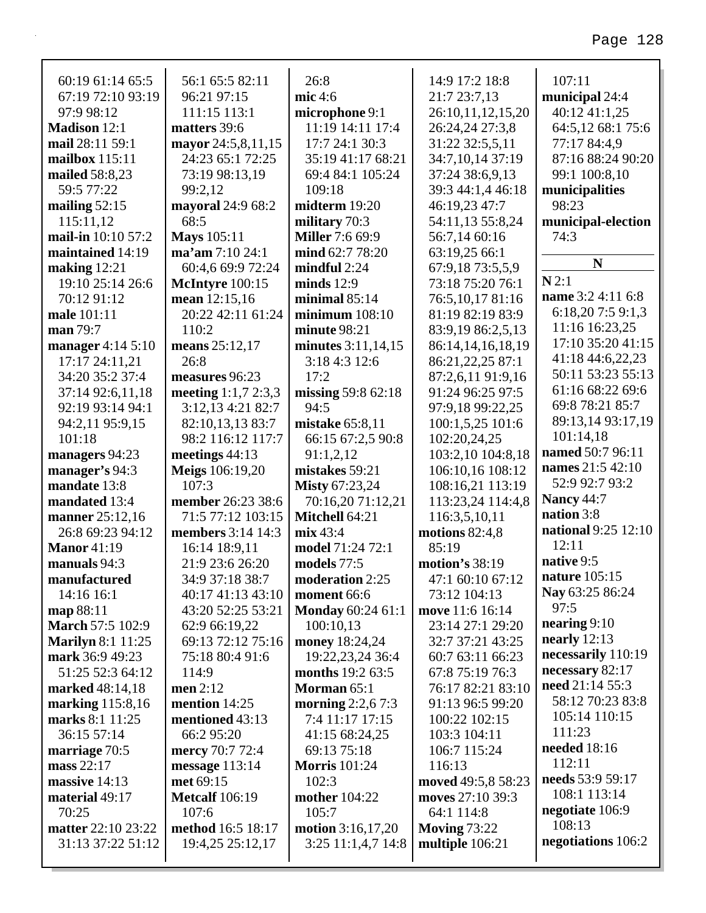| 60:19 61:14 65:5         | 56:1 65:5 82:11        | 26:8                     | 14:9 17:2 18:8      | 107:11                     |
|--------------------------|------------------------|--------------------------|---------------------|----------------------------|
| 67:19 72:10 93:19        | 96:21 97:15            | mic 4:6                  | 21:7 23:7,13        | municipal 24:4             |
| 97:9 98:12               | 111:15 113:1           | microphone 9:1           | 26:10,11,12,15,20   | 40:12 41:1,25              |
| <b>Madison 12:1</b>      | matters 39:6           | 11:19 14:11 17:4         | 26:24,24 27:3,8     | 64:5,12 68:1 75:6          |
| mail 28:11 59:1          | mayor 24:5,8,11,15     | 17:7 24:1 30:3           | 31:22 32:5.5.11     | 77:17 84:4,9               |
| mailbox $115:11$         | 24:23 65:1 72:25       | 35:19 41:17 68:21        | 34:7,10,14 37:19    | 87:16 88:24 90:20          |
| mailed 58:8,23           | 73:19 98:13,19         | 69:4 84:1 105:24         | 37:24 38:6,9,13     | 99:1 100:8,10              |
| 59:5 77:22               | 99:2,12                | 109:18                   | 39:3 44:1,4 46:18   | municipalities             |
| mailing $52:15$          | mayoral 24:9 68:2      | midterm 19:20            | 46:19,23 47:7       | 98:23                      |
| 115:11,12                | 68:5                   | military 70:3            | 54:11,13 55:8,24    | municipal-election         |
| mail-in 10:10 57:2       | <b>Mays</b> 105:11     | <b>Miller</b> 7:6 69:9   | 56:7,14 60:16       | 74:3                       |
| maintained 14:19         | ma'am 7:10 24:1        | mind 62:7 78:20          | 63:19,25 66:1       | N                          |
| making $12:21$           | 60:4,6 69:9 72:24      | $mindful$ 2:24           | 67:9,1873:5,5,9     |                            |
| 19:10 25:14 26:6         | McIntyre 100:15        | minds $12:9$             | 73:18 75:20 76:1    | N2:1                       |
| 70:12 91:12              | mean 12:15,16          | minimal $85:14$          | 76:5,10,17 81:16    | name 3:2 4:11 6:8          |
| male 101:11              | 20:22 42:11 61:24      | minimum $108:10$         | 81:19 82:19 83:9    | 6:18,207:59:1,3            |
| man 79:7                 | 110:2                  | minute 98:21             | 83:9,19 86:2,5,13   | 11:16 16:23,25             |
| manager $4:14\ 5:10$     | means 25:12,17         | minutes 3:11,14,15       | 86:14,14,16,18,19   | 17:10 35:20 41:15          |
| 17:17 24:11,21           | 26:8                   | 3:18 4:3 12:6            | 86:21,22,25 87:1    | 41:18 44:6,22,23           |
| 34:20 35:2 37:4          | measures 96:23         | 17:2                     | 87:2,6,11 91:9,16   | 50:11 53:23 55:13          |
| 37:14 92:6,11,18         | meeting $1:1,7,2:3,3$  | missing 59:8 62:18       | 91:24 96:25 97:5    | 61:16 68:22 69:6           |
| 92:19 93:14 94:1         | 3:12,13 4:21 82:7      | 94:5                     | 97:9,18 99:22,25    | 69:8 78:21 85:7            |
| 94:2,11 95:9,15          | 82:10,13,13 83:7       | mistake $65:8,11$        | 100:1,5,25 101:6    | 89:13,14 93:17,19          |
| 101:18                   | 98:2 116:12 117:7      | 66:15 67:2,5 90:8        | 102:20,24,25        | 101:14,18                  |
| managers 94:23           | meetings $44:13$       | 91:1,2,12                | 103:2,10 104:8,18   | named 50:7 96:11           |
| manager's 94:3           | <b>Meigs</b> 106:19,20 | mistakes 59:21           | 106:10,16 108:12    | names 21:5 42:10           |
| mandate 13:8             | 107:3                  | <b>Misty 67:23,24</b>    | 108:16,21 113:19    | 52:9 92:7 93:2             |
| mandated 13:4            | member 26:23 38:6      | 70:16,20 71:12,21        | 113:23,24 114:4,8   | <b>Nancy 44:7</b>          |
| manner 25:12,16          | 71:5 77:12 103:15      | Mitchell 64:21           | 116:3,5,10,11       | nation 3:8                 |
| 26:8 69:23 94:12         | members 3:14 14:3      | mix 43:4                 | motions $82:4,8$    | <b>national</b> 9:25 12:10 |
| <b>Manor</b> 41:19       | 16:14 18:9,11          | model 71:24 72:1         | 85:19               | 12:11                      |
| manuals 94:3             | 21:9 23:6 26:20        | models 77:5              | motion's 38:19      | native 9:5                 |
| manufactured             | 34:9 37:18 38:7        | moderation 2:25          | 47:1 60:10 67:12    | nature 105:15              |
| 14:16 16:1               | 40:17 41:13 43:10      | moment 66:6              | 73:12 104:13        | Nay 63:25 86:24            |
| map 88:11                | 43:20 52:25 53:21      | <b>Monday</b> 60:24 61:1 | move 11:6 16:14     | 97:5                       |
| <b>March 57:5 102:9</b>  | 62:9 66:19,22          | 100:10,13                | 23:14 27:1 29:20    | nearing $9:10$             |
| <b>Marilyn 8:1 11:25</b> | 69:13 72:12 75:16      | money 18:24,24           | 32:7 37:21 43:25    | nearly $12:13$             |
| mark 36:9 49:23          | 75:18 80:4 91:6        | 19:22,23,24 36:4         | 60:7 63:11 66:23    | necessarily 110:19         |
| 51:25 52:3 64:12         | 114:9                  | <b>months</b> 19:2 63:5  | 67:8 75:19 76:3     | necessary 82:17            |
| marked 48:14,18          | men $2:12$             | Morman 65:1              | 76:17 82:21 83:10   | need 21:14 55:3            |
| marking 115:8,16         | mention 14:25          | morning $2:2,67:3$       | 91:13 96:5 99:20    | 58:12 70:23 83:8           |
| marks 8:1 11:25          | mentioned 43:13        | 7:4 11:17 17:15          | 100:22 102:15       | 105:14 110:15              |
| 36:15 57:14              | 66:2 95:20             | 41:15 68:24,25           | 103:3 104:11        | 111:23                     |
| marriage 70:5            | mercy 70:7 72:4        | 69:13 75:18              | 106:7 115:24        | <b>needed</b> 18:16        |
| mass $22:17$             | message $113:14$       | <b>Morris</b> 101:24     | 116:13              | 112:11                     |
| massive 14:13            | met 69:15              | 102:3                    | moved 49:5,8 58:23  | needs 53:9 59:17           |
| material 49:17           | <b>Metcalf</b> 106:19  | <b>mother</b> 104:22     | moves 27:10 39:3    | 108:1 113:14               |
| 70:25                    | 107:6                  | 105:7                    | 64:1 114:8          | negotiate 106:9            |
| matter 22:10 23:22       | method 16:5 18:17      | motion $3:16,17,20$      | <b>Moving 73:22</b> | 108:13                     |
| 31:13 37:22 51:12        | 19:4,25 25:12,17       | $3:25$ 11:1,4,7 14:8     | multiple $106:21$   | negotiations 106:2         |
|                          |                        |                          |                     |                            |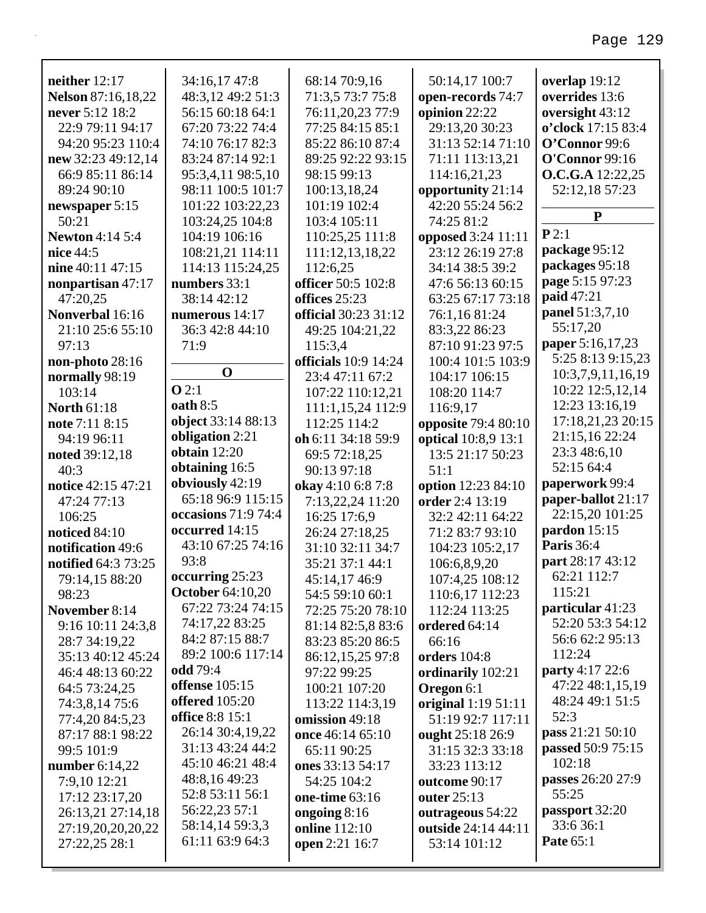| neither 12:17             | 34:16,17 47:8           | 68:14 70:9,16                          | 50:14,17 100:7                          | overlap 19:12           |
|---------------------------|-------------------------|----------------------------------------|-----------------------------------------|-------------------------|
| <b>Nelson</b> 87:16,18,22 | 48:3,12 49:2 51:3       | 71:3,5 73:7 75:8                       | open-records 74:7                       | overrides 13:6          |
| never 5:12 18:2           | 56:15 60:18 64:1        | 76:11,20,23 77:9                       | opinion 22:22                           | oversight 43:12         |
| 22:9 79:11 94:17          | 67:20 73:22 74:4        | 77:25 84:15 85:1                       | 29:13,20 30:23                          | o'clock 17:15 83:4      |
| 94:20 95:23 110:4         | 74:10 76:17 82:3        | 85:22 86:10 87:4                       | 31:13 52:14 71:10                       | O'Connor 99:6           |
| new 32:23 49:12,14        | 83:24 87:14 92:1        | 89:25 92:22 93:15                      | 71:11 113:13,21                         | <b>O'Connor</b> 99:16   |
| 66:9 85:11 86:14          | 95:3,4,11 98:5,10       | 98:15 99:13                            | 114:16,21,23                            | <b>O.C.G.A</b> 12:22,25 |
| 89:24 90:10               | 98:11 100:5 101:7       | 100:13,18,24                           | opportunity 21:14                       | 52:12,18 57:23          |
| newspaper 5:15            | 101:22 103:22,23        | 101:19 102:4                           | 42:20 55:24 56:2                        | $\mathbf{P}$            |
| 50:21                     | 103:24,25 104:8         | 103:4 105:11                           | 74:25 81:2                              |                         |
| <b>Newton 4:14 5:4</b>    | 104:19 106:16           | 110:25,25 111:8                        | opposed 3:24 11:11                      | P2:1                    |
| nice 44:5                 | 108:21,21 114:11        | 111:12,13,18,22                        | 23:12 26:19 27:8                        | package 95:12           |
| nine 40:11 47:15          | 114:13 115:24,25        | 112:6,25                               | 34:14 38:5 39:2                         | packages 95:18          |
| nonpartisan 47:17         | numbers 33:1            | officer 50:5 102:8                     | 47:6 56:13 60:15                        | page 5:15 97:23         |
| 47:20,25                  | 38:14 42:12             | offices 25:23                          | 63:25 67:17 73:18                       | paid 47:21              |
| Nonverbal 16:16           | numerous $14:17$        | <b>official</b> 30:23 31:12            | 76:1,16 81:24                           | panel 51:3,7,10         |
| 21:10 25:6 55:10          | 36:3 42:8 44:10         | 49:25 104:21,22                        | 83:3,22 86:23                           | 55:17,20                |
| 97:13                     | 71:9                    | 115:3,4                                | 87:10 91:23 97:5                        | paper 5:16,17,23        |
| non-photo $28:16$         |                         | <b>officials</b> 10:9 14:24            | 100:4 101:5 103:9                       | 5:25 8:13 9:15,23       |
| normally 98:19            | $\mathbf 0$             | 23:4 47:11 67:2                        | 104:17 106:15                           | 10:3,7,9,11,16,19       |
| 103:14                    | $O$ 2:1                 | 107:22 110:12,21                       | 108:20 114:7                            | 10:22 12:5,12,14        |
| <b>North 61:18</b>        | oath 8:5                | 111:1,15,24 112:9                      | 116:9,17                                | 12:23 13:16,19          |
| note 7:11 8:15            | object 33:14 88:13      | 112:25 114:2                           | <b>opposite</b> 79:4 80:10              | 17:18,21,23 20:15       |
| 94:19 96:11               | obligation 2:21         | oh 6:11 34:18 59:9                     | optical 10:8,9 13:1                     | 21:15,16 22:24          |
| noted 39:12,18            | obtain $12:20$          | 69:5 72:18,25                          | 13:5 21:17 50:23                        | 23:3 48:6,10            |
| 40:3                      | obtaining 16:5          | 90:13 97:18                            | 51:1                                    | 52:15 64:4              |
| notice 42:15 47:21        | obviously 42:19         | okay 4:10 6:8 7:8                      | option 12:23 84:10                      | paperwork 99:4          |
| 47:24 77:13               | 65:18 96:9 115:15       | 7:13,22,24 11:20                       | order 2:4 13:19                         | paper-ballot 21:17      |
| 106:25                    | occasions 71:9 74:4     | 16:25 17:6,9                           | 32:2 42:11 64:22                        | 22:15,20 101:25         |
| noticed 84:10             | occurred 14:15          | 26:24 27:18,25                         | 71:2 83:7 93:10                         | pardon 15:15            |
| notification 49:6         | 43:10 67:25 74:16       | 31:10 32:11 34:7                       | 104:23 105:2,17                         | <b>Paris</b> 36:4       |
| notified 64:3 73:25       | 93:8                    | 35:21 37:1 44:1                        | 106:6,8,9,20                            | part 28:17 43:12        |
| 79:14,15 88:20            | occurring 25:23         | 45:14,17 46:9                          | 107:4,25 108:12                         | 62:21 112:7             |
| 98:23                     | <b>October</b> 64:10,20 | 54:5 59:10 60:1                        | 110:6,17 112:23                         | 115:21                  |
| November 8:14             | 67:22 73:24 74:15       | 72:25 75:20 78:10                      | 112:24 113:25                           | particular 41:23        |
| 9:16 10:11 24:3,8         | 74:17,22 83:25          | 81:14 82:5,8 83:6                      | ordered 64:14                           | 52:20 53:3 54:12        |
| 28:7 34:19,22             | 84:2 87:15 88:7         | 83:23 85:20 86:5                       | 66:16                                   | 56:6 62:2 95:13         |
| 35:13 40:12 45:24         | 89:2 100:6 117:14       | 86:12,15,25 97:8                       | orders 104:8                            | 112:24                  |
| 46:4 48:13 60:22          | <b>odd</b> 79:4         | 97:22 99:25                            | ordinarily 102:21                       | party 4:17 22:6         |
| 64:5 73:24,25             | <b>offense</b> 105:15   | 100:21 107:20                          | Oregon 6:1                              | 47:22 48:1,15,19        |
| 74:3,8,14 75:6            | offered $105:20$        | 113:22 114:3,19                        | original 1:19 51:11                     | 48:24 49:1 51:5         |
| 77:4,20 84:5,23           | office 8:8 15:1         | omission 49:18                         | 51:19 92:7 117:11                       | 52:3                    |
| 87:17 88:1 98:22          | 26:14 30:4,19,22        | once 46:14 65:10                       | ought 25:18 26:9                        | pass 21:21 50:10        |
| 99:5 101:9                | 31:13 43:24 44:2        | 65:11 90:25                            | 31:15 32:3 33:18                        | passed 50:9 75:15       |
| number $6:14,22$          | 45:10 46:21 48:4        | ones 33:13 54:17                       | 33:23 113:12                            | 102:18                  |
| 7:9,10 12:21              | 48:8,16 49:23           | 54:25 104:2                            | outcome 90:17                           | passes 26:20 27:9       |
| 17:12 23:17,20            | 52:8 53:11 56:1         | one-time 63:16                         | outer 25:13                             | 55:25                   |
|                           | 56:22,23 57:1           |                                        |                                         | passport 32:20          |
| 26:13,21 27:14,18         | 58:14,14 59:3,3         | ongoing $8:16$<br><b>online</b> 112:10 | outrageous 54:22<br>outside 24:14 44:11 | 33:6 36:1               |
| 27:19,20,20,20,22         | 61:11 63:9 64:3         |                                        | 53:14 101:12                            | Pate 65:1               |
| 27:22,25 28:1             |                         | open 2:21 16:7                         |                                         |                         |
|                           |                         |                                        |                                         |                         |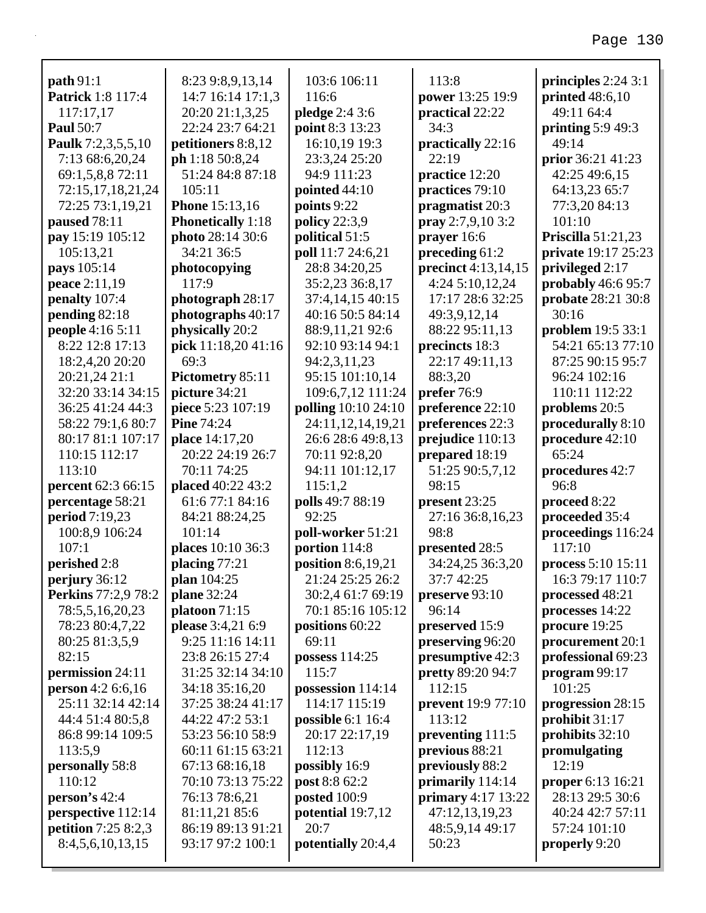| path 91:1                  | 8:23 9:8,9,13,14         | 103:6 106:11         | 113:8                     | principles $2:24$ 3:1     |
|----------------------------|--------------------------|----------------------|---------------------------|---------------------------|
| Patrick 1:8 117:4          | 14:7 16:14 17:1,3        | 116:6                | power 13:25 19:9          | printed $48:6,10$         |
| 117:17,17                  | 20:20 21:1,3,25          | pledge 2:4 3:6       | practical 22:22           | 49:11 64:4                |
| <b>Paul 50:7</b>           | 22:24 23:7 64:21         | point 8:3 13:23      | 34:3                      | printing $5:949:3$        |
| Paulk 7:2,3,5,5,10         | petitioners 8:8,12       | 16:10,19 19:3        | practically 22:16         | 49:14                     |
| 7:13 68:6,20,24            | ph 1:18 50:8,24          | 23:3,24 25:20        | 22:19                     | prior 36:21 41:23         |
| 69:1,5,8,8 72:11           | 51:24 84:8 87:18         | 94:9 111:23          | practice 12:20            | 42:25 49:6,15             |
| 72:15,17,18,21,24          | 105:11                   | pointed $44:10$      | practices 79:10           | 64:13,23 65:7             |
| 72:25 73:1,19,21           | <b>Phone</b> 15:13,16    | points 9:22          | pragmatist 20:3           | 77:3,20 84:13             |
| paused 78:11               | <b>Phonetically</b> 1:18 | policy 22:3,9        | pray 2:7,9,10 3:2         | 101:10                    |
| pay 15:19 105:12           | photo 28:14 30:6         | political 51:5       | prayer 16:6               | <b>Priscilla</b> 51:21,23 |
| 105:13,21                  | 34:21 36:5               | poll 11:7 24:6,21    | preceding 61:2            | private 19:17 25:23       |
| pays 105:14                | photocopying             | 28:8 34:20,25        | precinct 4:13,14,15       | privileged 2:17           |
| peace 2:11,19              | 117:9                    | 35:2,23 36:8,17      | 4:24 5:10,12,24           | probably $46:695:7$       |
| penalty 107:4              | photograph 28:17         | 37:4,14,15 40:15     | 17:17 28:6 32:25          | probate 28:21 30:8        |
| pending 82:18              | photographs 40:17        | 40:16 50:5 84:14     | 49:3,9,12,14              | 30:16                     |
| people 4:16 5:11           | physically 20:2          | 88:9,11,21 92:6      | 88:22 95:11,13            | <b>problem</b> 19:5 33:1  |
| 8:22 12:8 17:13            | pick 11:18,20 41:16      | 92:10 93:14 94:1     | precincts 18:3            | 54:21 65:13 77:10         |
| 18:2,4,20 20:20            | 69:3                     | 94:2,3,11,23         | 22:17 49:11,13            | 87:25 90:15 95:7          |
| 20:21,24 21:1              | Pictometry 85:11         | 95:15 101:10,14      | 88:3,20                   | 96:24 102:16              |
| 32:20 33:14 34:15          | picture 34:21            | 109:6,7,12 111:24    | prefer 76:9               | 110:11 112:22             |
| 36:25 41:24 44:3           | piece 5:23 107:19        | polling 10:10 24:10  | preference 22:10          | problems 20:5             |
| 58:22 79:1,6 80:7          | <b>Pine 74:24</b>        | 24:11,12,14,19,21    | preferences 22:3          | procedurally 8:10         |
| 80:17 81:1 107:17          | place 14:17,20           | 26:6 28:6 49:8,13    | prejudice 110:13          | procedure 42:10           |
| 110:15 112:17              | 20:22 24:19 26:7         | 70:11 92:8,20        | prepared 18:19            | 65:24                     |
| 113:10                     | 70:11 74:25              | 94:11 101:12,17      | 51:25 90:5,7,12           | procedures 42:7           |
| percent 62:3 66:15         | placed 40:22 43:2        | 115:1,2              | 98:15                     | 96:8                      |
| percentage 58:21           | 61:6 77:1 84:16          | polls 49:7 88:19     | present 23:25             | proceed 8:22              |
| period 7:19,23             | 84:21 88:24,25           | 92:25                | 27:16 36:8,16,23          | proceeded 35:4            |
| 100:8,9 106:24             | 101:14                   | poll-worker 51:21    | 98:8                      | proceedings 116:24        |
| 107:1                      | places 10:10 36:3        | portion 114:8        | presented 28:5            | 117:10                    |
| perished 2:8               | placing $77:21$          | position $8:6,19,21$ | 34:24,25 36:3,20          | process 5:10 15:11        |
| perjury 36:12              | plan 104:25              | 21:24 25:25 26:2     | 37:7 42:25                | 16:3 79:17 110:7          |
| Perkins 77:2,9 78:2        | <b>plane</b> 32:24       | 30:2,4 61:7 69:19    | preserve 93:10            | processed 48:21           |
| 78:5,5,16,20,23            | platoon $71:15$          | 70:1 85:16 105:12    | 96:14                     | processes 14:22           |
| 78:23 80:4,7,22            | please 3:4,21 6:9        | positions 60:22      | preserved 15:9            | procure 19:25             |
| 80:25 81:3,5,9             | 9:25 11:16 14:11         | 69:11                | preserving 96:20          | procurement 20:1          |
| 82:15                      | 23:8 26:15 27:4          | possess 114:25       | presumptive 42:3          | professional 69:23        |
| permission 24:11           | 31:25 32:14 34:10        | 115:7                | <b>pretty</b> 89:20 94:7  | program 99:17             |
| person 4:2 6:6,16          | 34:18 35:16,20           | possession 114:14    | 112:15                    | 101:25                    |
| 25:11 32:14 42:14          | 37:25 38:24 41:17        | 114:17 115:19        | <b>prevent</b> 19:9 77:10 | progression 28:15         |
| 44:4 51:4 80:5,8           | 44:22 47:2 53:1          | possible 6:1 16:4    | 113:12                    | prohibit 31:17            |
| 86:8 99:14 109:5           | 53:23 56:10 58:9         | 20:17 22:17,19       | preventing 111:5          | prohibits 32:10           |
| 113:5,9                    | 60:11 61:15 63:21        | 112:13               | previous 88:21            | promulgating              |
| personally 58:8            | 67:13 68:16,18           | possibly 16:9        | previously 88:2           | 12:19                     |
| 110:12                     | 70:10 73:13 75:22        | post 8:8 62:2        | primarily 114:14          | <b>proper</b> 6:13 16:21  |
| person's $42:4$            | 76:13 78:6,21            | posted 100:9         | primary $4:17$ 13:22      | 28:13 29:5 30:6           |
| perspective 112:14         | 81:11,21 85:6            | potential 19:7,12    | 47:12,13,19,23            | 40:24 42:7 57:11          |
| <b>petition</b> 7:25 8:2,3 | 86:19 89:13 91:21        | 20:7                 | 48:5,9,14 49:17           | 57:24 101:10              |
| 8:4,5,6,10,13,15           | 93:17 97:2 100:1         | potentially 20:4,4   | 50:23                     | properly 9:20             |
|                            |                          |                      |                           |                           |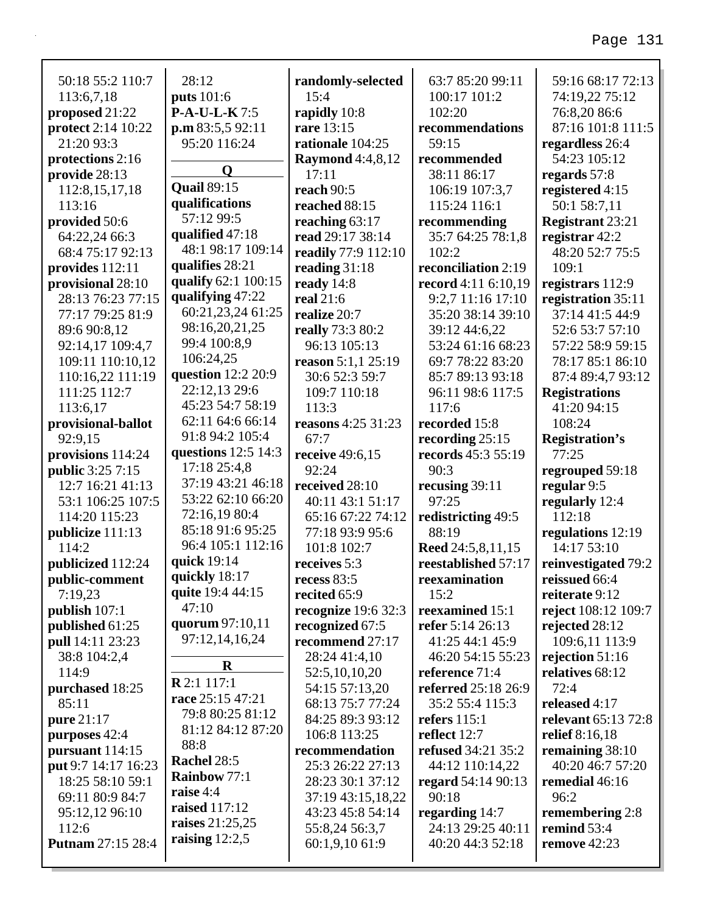| 50:18 55:2 110:7          | 28:12                             | randomly-selected             | 63:7 85:20 99:11          | 59:16 68:17 72:13               |
|---------------------------|-----------------------------------|-------------------------------|---------------------------|---------------------------------|
| 113:6,7,18                | <b>puts</b> 101:6                 | 15:4                          | 100:17 101:2              | 74:19,22 75:12                  |
| proposed 21:22            | $P-A-U-L-K7:5$                    | rapidly 10:8                  | 102:20                    | 76:8,20 86:6                    |
| <b>protect</b> 2:14 10:22 | p.m 83:5,5 92:11                  | rare 13:15                    | recommendations           | 87:16 101:8 111:5               |
| 21:20 93:3                | 95:20 116:24                      | rationale 104:25              | 59:15                     | regardless 26:4                 |
| protections 2:16          |                                   | <b>Raymond</b> 4:4,8,12       | recommended               | 54:23 105:12                    |
| provide 28:13             | $\mathbf 0$                       | 17:11                         | 38:11 86:17               | regards 57:8                    |
| 112:8, 15, 17, 18         | <b>Quail 89:15</b>                | reach 90:5                    | 106:19 107:3,7            | registered 4:15                 |
| 113:16                    | qualifications                    | reached 88:15                 | 115:24 116:1              | 50:1 58:7,11                    |
| provided 50:6             | 57:12 99:5                        | reaching 63:17                | recommending              | <b>Registrant 23:21</b>         |
| 64:22,24 66:3             | qualified 47:18                   | read 29:17 38:14              | 35:7 64:25 78:1,8         | registrar $42:2$                |
| 68:4 75:17 92:13          | 48:1 98:17 109:14                 | readily 77:9 112:10           | 102:2                     | 48:20 52:7 75:5                 |
| provides 112:11           | qualifies 28:21                   | reading $31:18$               | reconciliation 2:19       | 109:1                           |
| provisional 28:10         | qualify 62:1 100:15               | ready $14:8$                  | record 4:11 6:10,19       | registrars 112:9                |
| 28:13 76:23 77:15         | qualifying $47:22$                | real 21:6                     | 9:2,7 11:16 17:10         | registration 35:11              |
| 77:17 79:25 81:9          | 60:21,23,24 61:25                 | realize 20:7                  | 35:20 38:14 39:10         | 37:14 41:5 44:9                 |
| 89:6 90:8,12              | 98:16,20,21,25                    | <b>really</b> 73:3 80:2       | 39:12 44:6,22             | 52:6 53:7 57:10                 |
| 92:14,17 109:4,7          | 99:4 100:8,9                      | 96:13 105:13                  | 53:24 61:16 68:23         | 57:22 58:9 59:15                |
| 109:11 110:10,12          | 106:24,25                         | reason 5:1,1 25:19            | 69:7 78:22 83:20          | 78:17 85:1 86:10                |
| 110:16,22 111:19          | question 12:2 20:9                | 30:6 52:3 59:7                | 85:7 89:13 93:18          | 87:4 89:4,7 93:12               |
| 111:25 112:7              | 22:12,13 29:6                     | 109:7 110:18                  | 96:11 98:6 117:5          | <b>Registrations</b>            |
| 113:6,17                  | 45:23 54:7 58:19                  | 113:3                         | 117:6                     | 41:20 94:15                     |
| provisional-ballot        | 62:11 64:6 66:14                  | reasons 4:25 31:23            | recorded 15:8             | 108:24                          |
| 92:9,15                   | 91:8 94:2 105:4                   | 67:7                          | recording $25:15$         | <b>Registration's</b>           |
| provisions 114:24         | questions 12:5 14:3               | receive 49:6,15               | records 45:3 55:19        | 77:25                           |
| <b>public</b> 3:25 7:15   | 17:18 25:4,8                      | 92:24                         | 90:3                      | regrouped 59:18                 |
| 12:7 16:21 41:13          | 37:19 43:21 46:18                 | received 28:10                | recusing 39:11            | regular 9:5                     |
| 53:1 106:25 107:5         | 53:22 62:10 66:20                 | 40:11 43:1 51:17              | 97:25                     | regularly 12:4                  |
| 114:20 115:23             | 72:16,19 80:4<br>85:18 91:6 95:25 | 65:16 67:22 74:12             | redistricting 49:5        | 112:18                          |
| publicize 111:13          | 96:4 105:1 112:16                 | 77:18 93:9 95:6               | 88:19                     | regulations 12:19               |
| 114:2                     | quick 19:14                       | 101:8 102:7                   | Reed 24:5,8,11,15         | 14:17 53:10                     |
| publicized 112:24         | quickly 18:17                     | receives 5:3                  | reestablished 57:17       | reinvestigated 79:2             |
| public-comment<br>7:19,23 | quite 19:4 44:15                  | recess $83:5$<br>recited 65:9 | reexamination<br>15:2     | reissued 66:4<br>reiterate 9:12 |
| publish 107:1             | 47:10                             | recognize 19:6 32:3           | reexamined 15:1           | reject 108:12 109:7             |
| published 61:25           | quorum 97:10,11                   | recognized 67:5               | refer 5:14 26:13          | rejected 28:12                  |
| pull 14:11 23:23          | 97:12,14,16,24                    | recommend 27:17               | 41:25 44:1 45:9           | 109:6,11 113:9                  |
| 38:8 104:2,4              |                                   | 28:24 41:4,10                 | 46:20 54:15 55:23         | rejection $51:16$               |
| 114:9                     | $\bf R$                           | 52:5,10,10,20                 | reference 71:4            | relatives 68:12                 |
| purchased 18:25           | R 2:1 117:1                       | 54:15 57:13,20                | referred 25:18 26:9       | 72:4                            |
| 85:11                     | race 25:15 47:21                  | 68:13 75:7 77:24              | 35:2 55:4 115:3           | released 4:17                   |
| pure 21:17                | 79:8 80:25 81:12                  | 84:25 89:3 93:12              | refers $115:1$            | relevant 65:13 72:8             |
| purposes 42:4             | 81:12 84:12 87:20                 | 106:8 113:25                  | reflect 12:7              | relief 8:16,18                  |
| pursuant 114:15           | 88:8                              | recommendation                | <b>refused</b> 34:21 35:2 | remaining 38:10                 |
| put 9:7 14:17 16:23       | Rachel 28:5                       | 25:3 26:22 27:13              | 44:12 110:14,22           | 40:20 46:7 57:20                |
| 18:25 58:10 59:1          | Rainbow 77:1                      | 28:23 30:1 37:12              | regard 54:14 90:13        | remedial 46:16                  |
| 69:11 80:9 84:7           | raise 4:4                         | 37:19 43:15,18,22             | 90:18                     | 96:2                            |
| 95:12,12 96:10            | raised 117:12                     | 43:23 45:8 54:14              | regarding 14:7            | remembering 2:8                 |
| 112:6                     | raises 21:25,25                   | 55:8,24 56:3,7                | 24:13 29:25 40:11         | remind 53:4                     |
| <b>Putnam 27:15 28:4</b>  | raising $12:2,5$                  | 60:1,9,10 61:9                | 40:20 44:3 52:18          | remove 42:23                    |
|                           |                                   |                               |                           |                                 |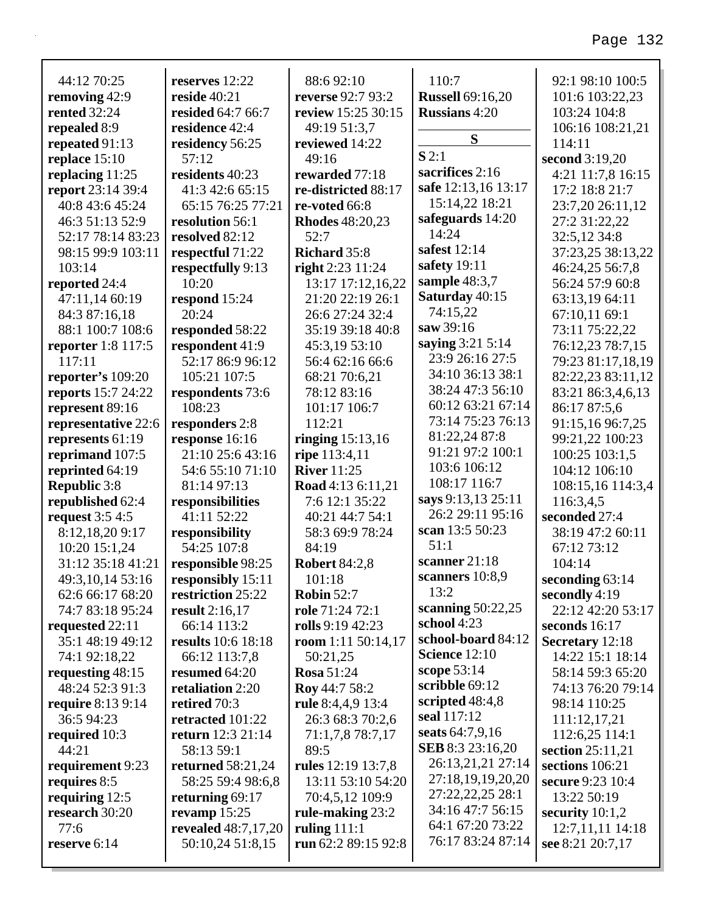#### **reserves** 12:22 **reside** 40:21 **resided** 64:7 66:7 **residence** 42:4 **residency** 56:25 57:12 **residents** 40:23 41:3 42:6 65:15 65:15 76:25 77:21 **resolution** 56:1 **resolved** 82:12 **respectful** 71:22 **respectfully** 9:13 10:20 **respond** 15:24 20:24 **responded** 58:22 **respondent** 41:9 52:17 86:9 96:12 88:6 92:10 **reverse** 92:7 93:2 **25 30:15**  $3,7$  $4:22$ 49:16 **rewarded** 77:18 **red** 88:17 **6:8 Rhodes** 48:20,23 52:7  $5:8$ *<u>r* 24:24</u> 13:17 17:12,16,22  $26:1$ 24:32:4 :18 40:8  $3:10$ 6 66:6  $6.21$ 110:7 **Russell** 69:16,20 **Russians** 4:20 **S S** 2:1 **sacrifices** 2:16 **safe** 12:13,16 13:17 15:14,22 18:21 **safeguards** 14:20 14:24 **safest** 12:14 **safety** 19:11 **sample** 48:3,7 **Saturday** 40:15 74:15,22 **saw** 39:16 **saying** 3:21 5:14 23:9 26:16 27:5 34:10 36:13 38:1 92:1 98:10 100:5 101:6 103:22,23 103:24 104:8 106:16 108:21,21 114:11 **second** 3:19,20 4:21 11:7,8 16:15 17:2 18:8 21:7 23:7,20 26:11,12 27:2 31:22,22 32:5,12 34:8 37:23,25 38:13,22 46:24,25 56:7,8 56:24 57:9 60:8 63:13,19 64:11 67:10,11 69:1 73:11 75:22,22 76:12,23 78:7,15 79:23 81:17,18,19 82:22,23 83:11,12

38:24 47:3 56:10 60:12 63:21 67:14 73:14 75:23 76:13 81:22,24 87:8 91:21 97:2 100:1 103:6 106:12 108:17 116:7 **says** 9:13,13 25:11 26:2 29:11 95:16 **scan** 13:5 50:23

51:1

13:2

**school** 4:23

**scanner** 21:18 **scanners** 10:8,9

**scanning** 50:22,25

**school-board** 84:12 **Science** 12:10 **scope** 53:14 **scribble** 69:12 **scripted** 48:4,8 **seal** 117:12 **seats** 64:7,9,16 **SEB** 8:3 23:16,20 26:13,21,21 27:14 27:18,19,19,20,20 27:22,22,25 28:1 34:16 47:7 56:15 64:1 67:20 73:22 76:17 83:24 87:14

| removing 42:9                        | reside $40:21$                         | reverse 92:7 93:2                    |
|--------------------------------------|----------------------------------------|--------------------------------------|
| <b>rented</b> 32:24                  | resided 64:7 66:7                      | review 15:25 30:15                   |
| repealed 8:9                         | residence 42:4                         | 49:19 51:3,7                         |
| repeated 91:13                       | residency 56:25                        | reviewed 14:22                       |
| replace 15:10                        | 57:12                                  | 49:16                                |
| replacing $11:25$                    | residents 40:23                        | rewarded 77:18                       |
| report 23:14 39:4                    | 41:3 42:6 65:15                        | re-districted 88:17                  |
| 40:8 43:6 45:24                      | 65:15 76:25 77:21                      | re-voted 66:8                        |
| 46:3 51:13 52:9                      | resolution 56:1                        | <b>Rhodes</b> 48:20,23               |
| 52:17 78:14 83:23                    | resolved 82:12                         | 52:7                                 |
| 98:15 99:9 103:11                    | respectful 71:22                       | Richard 35:8                         |
| 103:14                               | respectfully 9:13                      | right 2:23 11:24                     |
| reported 24:4                        | 10:20                                  | 13:17 17:12,16,22                    |
| 47:11,14 60:19                       | respond 15:24                          | 21:20 22:19 26:1                     |
| 84:3 87:16,18                        | 20:24                                  | 26:6 27:24 32:4                      |
| 88:1 100:7 108:6                     | responded 58:22                        | 35:19 39:18 40:8                     |
| reporter 1:8 117:5                   | respondent 41:9                        | 45:3,19 53:10                        |
| 117:11                               | 52:17 86:9 96:12                       | 56:4 62:16 66:6                      |
| reporter's 109:20                    | 105:21 107:5                           | 68:21 70:6,21                        |
| reports 15:7 24:22                   | respondents 73:6                       | 78:12 83:16                          |
| represent 89:16                      | 108:23                                 | 101:17 106:7                         |
| representative 22:6                  | responders 2:8                         | 112:21                               |
| represents 61:19                     | response 16:16                         | ringing $15:13,16$                   |
| reprimand 107:5                      | 21:10 25:6 43:16                       | ripe 113:4,11                        |
| reprinted 64:19                      | 54:6 55:10 71:10                       | <b>River</b> 11:25                   |
| <b>Republic 3:8</b>                  | 81:14 97:13                            | Road 4:13 6:11,21                    |
| republished 62:4                     | responsibilities                       | 7:6 12:1 35:22                       |
| request 3:5 4:5                      | 41:11 52:22                            | 40:21 44:7 54:1                      |
| 8:12,18,20 9:17                      | responsibility<br>54:25 107:8          | 58:3 69:9 78:24                      |
| 10:20 15:1,24<br>31:12 35:18 41:21   |                                        | 84:19                                |
|                                      | responsible 98:25                      | <b>Robert 84:2,8</b><br>101:18       |
| 49:3,10,14 53:16<br>62:6 66:17 68:20 | responsibly 15:11<br>restriction 25:22 | <b>Robin 52:7</b>                    |
| 74:7 83:18 95:24                     |                                        |                                      |
| requested 22:11                      | result $2:16,17$<br>66:14 113:2        | role $71:2472:1$<br>rolls 9:19 42:23 |
| 35:1 48:19 49:12                     | results 10:6 18:18                     | room $1:11\,50:14,17$                |
| 74:1 92:18,22                        | 66:12 113:7,8                          | 50:21,25                             |
| requesting 48:15                     | resumed 64:20                          | <b>Rosa 51:24</b>                    |
| 48:24 52:3 91:3                      | retaliation 2:20                       | Roy 44:7 58:2                        |
| <b>require</b> 8:13 9:14             | retired 70:3                           | rule 8:4,4,9 13:4                    |
| 36:5 94:23                           | retracted 101:22                       | 26:3 68:3 70:2,6                     |
| required 10:3                        | <b>return</b> 12:3 21:14               | 71:1,7,8 78:7,17                     |
| 44:21                                | 58:13 59:1                             | 89:5                                 |
| requirement 9:23                     | <b>returned</b> 58:21,24               | rules 12:19 13:7,8                   |
| requires 8:5                         | 58:25 59:4 98:6,8                      | 13:11 53:10 54:20                    |
| requiring $12:5$                     | returning 69:17                        | 70:4,5,12 109:9                      |
| research 30:20                       | revamp 15:25                           | rule-making 23:2                     |
| 77:6                                 | revealed 48:7,17,20                    | ruling $111:1$                       |
| reserve 6:14                         | 50:10,24 51:8,15                       | run 62:2 89:15 92:8                  |
|                                      |                                        |                                      |

44:12 70:25

83:21 86:3,4,6,13 86:17 87:5,6 91:15,16 96:7,25 99:21,22 100:23 100:25 103:1,5 104:12 106:10 108:15,16 114:3,4

116:3,4,5 **seconded** 27:4

> 38:19 47:2 60:11 67:12 73:12 104:14

22:12 42:20 53:17

**seconding** 63:14 **secondly** 4:19

**seconds** 16:17 **Secretary** 12:18 14:22 15:1 18:14 58:14 59:3 65:20 74:13 76:20 79:14 98:14 110:25 111:12,17,21 112:6,25 114:1 **section** 25:11,21 **sections** 106:21 **secure** 9:23 10:4 13:22 50:19 **security** 10:1,2 12:7,11,11 14:18 **see** 8:21 20:7,17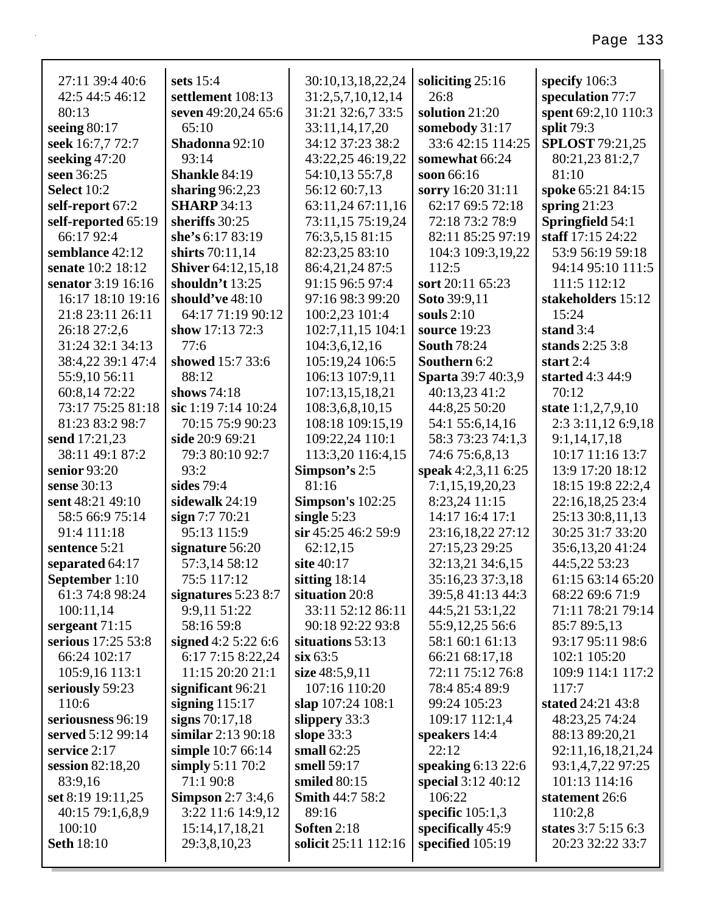| 27:11 39:4 40:6          | sets $15:4$                           | 30:10,13,18,22,24                 | soliciting $25:16$             | specify 106:3                    |
|--------------------------|---------------------------------------|-----------------------------------|--------------------------------|----------------------------------|
| 42:5 44:5 46:12          | settlement 108:13                     | 31:2,5,7,10,12,14                 | 26:8                           | speculation 77:7                 |
| 80:13                    | seven 49:20,24 65:6                   | 31:21 32:6,7 33:5                 | solution 21:20                 | spent 69:2,10 110:3              |
| seeing $80:17$           | 65:10                                 | 33:11,14,17,20                    | somebody 31:17                 | split 79:3                       |
| seek 16:7,7 72:7         | Shadonna 92:10                        | 34:12 37:23 38:2                  | 33:6 42:15 114:25              | <b>SPLOST</b> 79:21,25           |
| seeking $47:20$          | 93:14                                 | 43:22,25 46:19,22                 | somewhat 66:24                 | 80:21,23 81:2,7                  |
| seen 36:25               | <b>Shankle 84:19</b>                  | 54:10,13 55:7,8                   | soon 66:16                     | 81:10                            |
| <b>Select 10:2</b>       | sharing $96:2,23$                     | 56:12 60:7,13                     | sorry 16:20 31:11              | spoke 65:21 84:15                |
| self-report 67:2         | <b>SHARP</b> 34:13                    | 63:11,24 67:11,16                 | 62:17 69:5 72:18               | spring $21:23$                   |
| self-reported 65:19      | sheriffs 30:25                        | 73:11,15 75:19,24                 | 72:18 73:2 78:9                | Springfield 54:1                 |
| 66:17 92:4               | she's 6:17 83:19                      | 76:3,5,15 81:15                   | 82:11 85:25 97:19              | staff 17:15 24:22                |
| semblance 42:12          | shirts 70:11,14                       | 82:23,25 83:10                    | 104:3 109:3,19,22              | 53:9 56:19 59:18                 |
| senate 10:2 18:12        | <b>Shiver</b> 64:12,15,18             | 86:4,21,24 87:5                   | 112:5                          | 94:14 95:10 111:5                |
| senator 3:19 16:16       | shouldn't $13:25$                     | 91:15 96:5 97:4                   | sort 20:11 65:23               | 111:5 112:12                     |
| 16:17 18:10 19:16        | should've 48:10                       | 97:16 98:3 99:20                  | Soto 39:9,11                   | stakeholders 15:12               |
| 21:8 23:11 26:11         | 64:17 71:19 90:12                     | 100:2,23 101:4                    | souls $2:10$                   | 15:24                            |
| 26:18 27:2,6             | show $17:13\,72:3$                    | 102:7,11,15 104:1                 | source 19:23                   | stand $3:4$                      |
| 31:24 32:1 34:13         | 77:6                                  | 104:3,6,12,16                     | <b>South 78:24</b>             | stands $2:253:8$                 |
| 38:4,22 39:1 47:4        | showed 15:7 33:6                      | 105:19,24 106:5                   | Southern 6:2                   | start $2:4$                      |
| 55:9,10 56:11            | 88:12                                 | 106:13 107:9,11                   | Sparta 39:7 40:3,9             | started 4:3 44:9                 |
| 60:8,14 72:22            | shows 74:18                           | 107:13,15,18,21                   | 40:13,23 41:2                  | 70:12                            |
| 73:17 75:25 81:18        | sic 1:19 7:14 10:24                   | 108:3,6,8,10,15                   | 44:8,25 50:20                  | state $1:1,2,7,9,10$             |
| 81:23 83:2 98:7          | 70:15 75:9 90:23                      | 108:18 109:15,19                  | 54:1 55:6,14,16                | 2:3 3:11,12 6:9,18               |
| send 17:21,23            | side 20:9 69:21                       | 109:22,24 110:1                   | 58:3 73:23 74:1,3              | 9:1,14,17,18                     |
| 38:11 49:1 87:2          | 79:3 80:10 92:7                       | 113:3,20 116:4,15                 | 74:6 75:6,8,13                 | 10:17 11:16 13:7                 |
| senior 93:20             | 93:2                                  | Simpson's 2:5                     | speak 4:2,3,11 6:25            | 13:9 17:20 18:12                 |
| sense 30:13              | sides 79:4                            | 81:16                             | 7:1,15,19,20,23                | 18:15 19:8 22:2,4                |
| sent 48:21 49:10         | sidewalk 24:19                        | <b>Simpson's 102:25</b>           | 8:23,24 11:15                  | 22:16,18,25 23:4                 |
| 58:5 66:9 75:14          | sign $7:770:21$                       | single $5:23$                     | 14:17 16:4 17:1                | 25:13 30:8,11,13                 |
| 91:4 111:18              | 95:13 115:9                           | sir 45:25 46:2 59:9               | 23:16,18,22 27:12              | 30:25 31:7 33:20                 |
| sentence 5:21            | signature 56:20                       | 62:12,15                          | 27:15,23 29:25                 | 35:6,13,20 41:24                 |
| separated 64:17          | 57:3,14 58:12                         | site 40:17                        | 32:13,21 34:6,15               | 44:5,22 53:23                    |
| September 1:10           | 75:5 117:12                           | sitting $18:14$                   | 35:16,23 37:3,18               | 61:15 63:14 65:20                |
| 61:3 74:8 98:24          | signatures $5:238:7$                  | situation 20:8                    | 39:5,8 41:13 44:3              | 68:22 69:6 71:9                  |
| 100:11,14                | 9:9,11 51:22                          | 33:11 52:12 86:11                 | 44:5,21 53:1,22                | 71:11 78:21 79:14                |
| sergeant $71:15$         | 58:16 59:8                            | 90:18 92:22 93:8                  | 55:9,12,25 56:6                | 85:7 89:5,13                     |
| serious 17:25 53:8       | signed $4:25:226:6$                   | situations 53:13                  | 58:1 60:1 61:13                | 93:17 95:11 98:6                 |
| 66:24 102:17             | 6:17 7:15 8:22,24<br>11:15 20:20 21:1 | $\sin 63:5$                       | 66:21 68:17,18                 | 102:1 105:20                     |
| 105:9,16 113:1           |                                       | size $48:5,9,11$<br>107:16 110:20 | 72:11 75:12 76:8               | 109:9 114:1 117:2                |
| seriously 59:23<br>110:6 | significant 96:21                     |                                   | 78:4 85:4 89:9                 | 117:7<br>stated 24:21 43:8       |
| seriousness 96:19        | signing $115:17$<br>signs 70:17,18    | slap 107:24 108:1                 | 99:24 105:23<br>109:17 112:1,4 |                                  |
| served 5:12 99:14        | similar 2:13 90:18                    | slippery 33:3<br>slope $33:3$     |                                | 48:23,25 74:24<br>88:13 89:20,21 |
| service 2:17             | simple 10:7 66:14                     | small $62:25$                     | speakers 14:4<br>22:12         | 92:11, 16, 18, 21, 24            |
| session $82:18,20$       | simply $5:11\,70:2$                   | smell 59:17                       | speaking $6:13$ 22:6           | 93:1,4,7,22 97:25                |
| 83:9,16                  | 71:1 90:8                             | smiled $80:15$                    | special 3:12 40:12             | 101:13 114:16                    |
| set 8:19 19:11,25        | <b>Simpson</b> 2:7 3:4,6              | <b>Smith 44:7 58:2</b>            | 106:22                         | statement 26:6                   |
|                          |                                       |                                   |                                |                                  |

40:15 79:1,6,8,9

3:22 11:6 14:9,12 15:14,17,18,21 29:3,8,10,23

89:16 **Soften** 2:18

**solicit** 25:11 112:16

**specific** 105:1,3 **specifically** 45:9 **specified** 105:19

110:2,8

**states** 3:7 5:15 6:3 20:23 32:22 33:7

100:10 **Seth** 18:10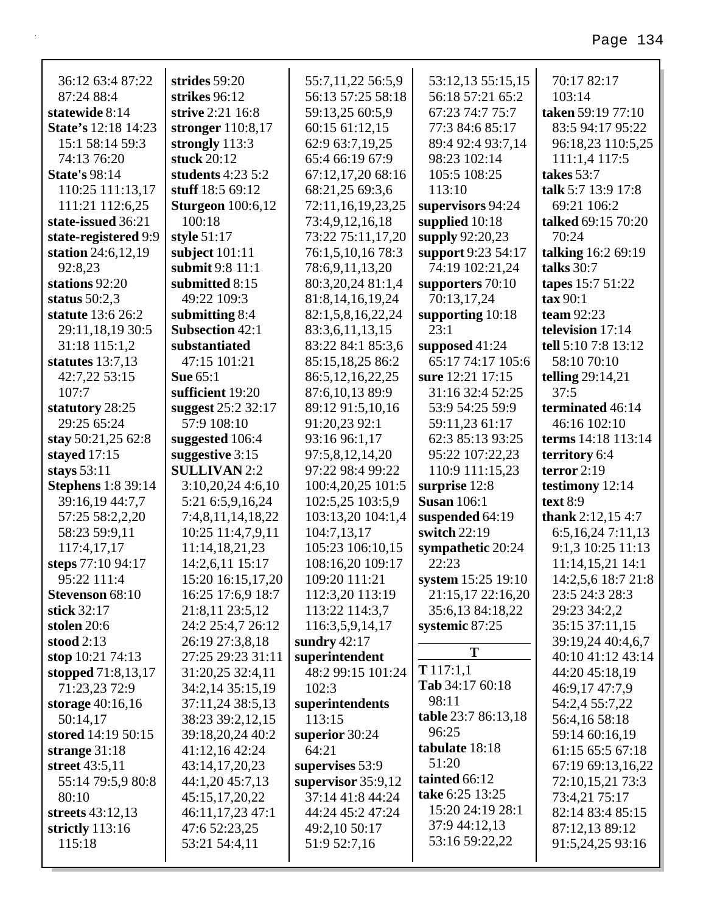| 36:12 63:4 87:22           | strides 59:20            | 55:7,11,22 56:5,9    | 53:12,13 55:15,15   | 70:17 82:17             |
|----------------------------|--------------------------|----------------------|---------------------|-------------------------|
| 87:24 88:4                 | strikes 96:12            | 56:13 57:25 58:18    | 56:18 57:21 65:2    | 103:14                  |
| statewide 8:14             | strive 2:21 16:8         | 59:13,25 60:5,9      | 67:23 74:7 75:7     | taken 59:19 77:10       |
| <b>State's 12:18 14:23</b> | stronger 110:8,17        | 60:15 61:12,15       | 77:3 84:6 85:17     | 83:5 94:17 95:22        |
| 15:1 58:14 59:3            | strongly 113:3           | 62:9 63:7,19,25      | 89:4 92:4 93:7,14   | 96:18,23 110:5,25       |
| 74:13 76:20                | stuck 20:12              | 65:4 66:19 67:9      | 98:23 102:14        | 111:1,4 117:5           |
| <b>State's 98:14</b>       | students $4:23\,5:2$     | 67:12,17,20 68:16    | 105:5 108:25        | takes 53:7              |
| 110:25 111:13,17           | stuff 18:5 69:12         | 68:21,25 69:3,6      | 113:10              | talk 5:7 13:9 17:8      |
| 111:21 112:6,25            | <b>Sturgeon</b> 100:6,12 | 72:11,16,19,23,25    | supervisors 94:24   | 69:21 106:2             |
| state-issued 36:21         | 100:18                   | 73:4,9,12,16,18      | supplied 10:18      | talked 69:15 70:20      |
| state-registered 9:9       | style 51:17              | 73:22 75:11,17,20    | supply 92:20,23     | 70:24                   |
| station 24:6,12,19         | subject $101:11$         | 76:1,5,10,16 78:3    | support 9:23 54:17  | talking 16:2 69:19      |
| 92:8,23                    | submit 9:8 11:1          | 78:6,9,11,13,20      | 74:19 102:21,24     | talks 30:7              |
| stations 92:20             | submitted 8:15           | 80:3,20,24 81:1,4    | supporters 70:10    | tapes 15:7 51:22        |
| status $50:2,3$            | 49:22 109:3              | 81:8,14,16,19,24     | 70:13,17,24         | $\tan 90:1$             |
| statute 13:6 26:2          | submitting 8:4           | 82:1,5,8,16,22,24    | supporting 10:18    | team 92:23              |
| 29:11,18,19 30:5           | <b>Subsection 42:1</b>   | 83:3,6,11,13,15      | 23:1                | television 17:14        |
| 31:18 115:1,2              | substantiated            | 83:22 84:1 85:3,6    | supposed $41:24$    | tell 5:10 7:8 13:12     |
| statutes $13:7,13$         | 47:15 101:21             | 85:15,18,25 86:2     | 65:17 74:17 105:6   | 58:10 70:10             |
| 42:7,22 53:15              | <b>Sue 65:1</b>          | 86:5, 12, 16, 22, 25 | sure 12:21 17:15    | <b>telling</b> 29:14,21 |
| 107:7                      | sufficient 19:20         | 87:6, 10, 13 89:9    | 31:16 32:4 52:25    | 37:5                    |
| statutory 28:25            | suggest 25:2 32:17       | 89:12 91:5,10,16     | 53:9 54:25 59:9     | terminated 46:14        |
| 29:25 65:24                | 57:9 108:10              | 91:20,23 92:1        | 59:11,23 61:17      | 46:16 102:10            |
| stay 50:21,25 62:8         | suggested 106:4          | 93:16 96:1,17        | 62:3 85:13 93:25    | terms 14:18 113:14      |
| stayed $17:15$             | suggestive 3:15          | 97:5,8,12,14,20      | 95:22 107:22,23     | territory 6:4           |
|                            |                          |                      |                     |                         |
| stays $53:11$              | <b>SULLIVAN2:2</b>       | 97:22 98:4 99:22     | 110:9 111:15,23     | terror $2:19$           |
| <b>Stephens</b> 1:8 39:14  | $3:10,20,24$ 4:6,10      | 100:4,20,25 101:5    | surprise 12:8       | testimony $12:14$       |
| 39:16,19 44:7,7            | 5:21 6:5,9,16,24         | 102:5,25 103:5,9     | <b>Susan</b> 106:1  | text $8:9$              |
| 57:25 58:2,2,20            | 7:4,8,11,14,18,22        | 103:13,20 104:1,4    | suspended 64:19     | thank $2:12,154:7$      |
| 58:23 59:9,11              | 10:25 11:4,7,9,11        | 104:7,13,17          | switch 22:19        | 6:5,16,247:11,13        |
| 117:4,17,17                | 11:14,18,21,23           | 105:23 106:10,15     | sympathetic 20:24   | 9:1,3 10:25 11:13       |
| steps 77:10 94:17          | 14:2,6,11 15:17          | 108:16,20 109:17     | 22:23               | 11:14,15,21 14:1        |
| 95:22 111:4                | 15:20 16:15,17,20        | 109:20 111:21        | system 15:25 19:10  | 14:2,5,6 18:7 21:8      |
| <b>Stevenson</b> 68:10     | 16:25 17:6,9 18:7        | 112:3,20 113:19      | 21:15,17 22:16,20   | 23:5 24:3 28:3          |
| stick 32:17                | 21:8,11 23:5,12          | 113:22 114:3,7       | 35:6,13 84:18,22    | 29:23 34:2,2            |
| stolen $20:6$              | 24:2 25:4,7 26:12        | 116:3,5,9,14,17      | systemic 87:25      | 35:15 37:11,15          |
| stood $2:13$               | 26:19 27:3,8,18          | sundry $42:17$       |                     | 39:19,24 40:4,6,7       |
| stop 10:21 74:13           | 27:25 29:23 31:11        | superintendent       | T                   | 40:10 41:12 43:14       |
| stopped 71:8,13,17         | 31:20,25 32:4,11         | 48:2 99:15 101:24    | T117:1,1            | 44:20 45:18,19          |
| 71:23,23 72:9              | 34:2,14 35:15,19         | 102:3                | Tab 34:17 60:18     | 46:9,17 47:7,9          |
| storage 40:16,16           | 37:11,24 38:5,13         | superintendents      | 98:11               | 54:2,4 55:7,22          |
| 50:14,17                   | 38:23 39:2,12,15         | 113:15               | table 23:7 86:13,18 | 56:4,16 58:18           |
| stored 14:19 50:15         | 39:18,20,24 40:2         | superior 30:24       | 96:25               | 59:14 60:16,19          |
| strange $31:18$            | 41:12,16 42:24           | 64:21                | tabulate 18:18      | 61:15 65:5 67:18        |
| street 43:5,11             | 43:14,17,20,23           | supervises 53:9      | 51:20               | 67:19 69:13,16,22       |
| 55:14 79:5,9 80:8          | 44:1,20 45:7,13          | supervisor $35:9,12$ | tainted 66:12       | 72:10,15,21 73:3        |
| 80:10                      | 45:15,17,20,22           | 37:14 41:8 44:24     | take 6:25 13:25     | 73:4,21 75:17           |
| streets 43:12,13           | 46:11,17,23 47:1         | 44:24 45:2 47:24     | 15:20 24:19 28:1    | 82:14 83:4 85:15        |
| strictly $113:16$          | 47:6 52:23,25            | 49:2,10 50:17        | 37:9 44:12,13       | 87:12,13 89:12          |
| 115:18                     | 53:21 54:4,11            | 51:9 52:7,16         | 53:16 59:22,22      | 91:5,24,25 93:16        |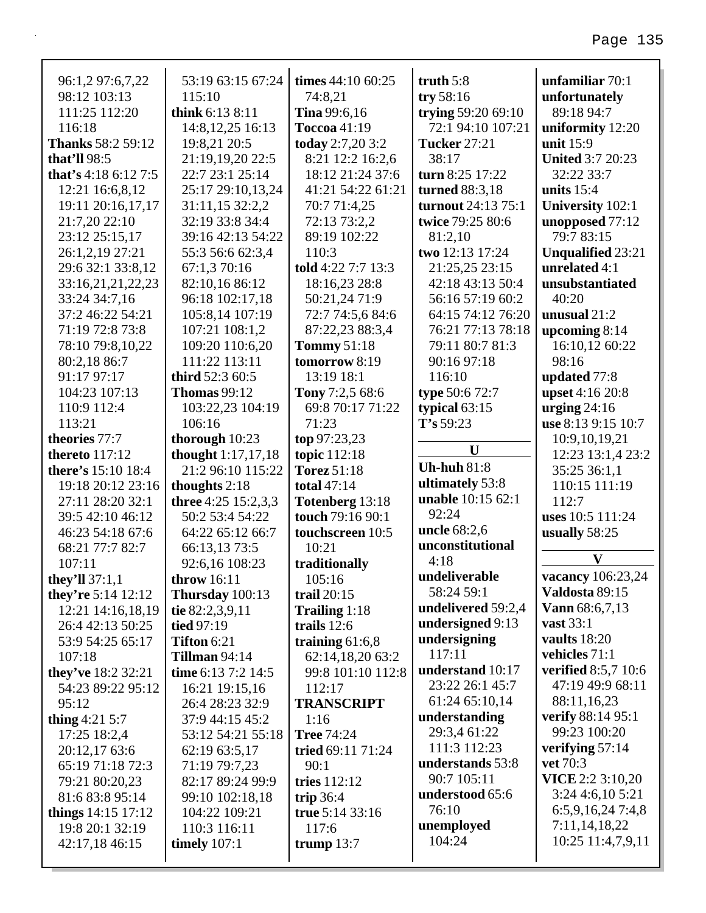| 96:1,2 97:6,7,22<br>98:12 103:13<br>111:25 112:20<br>116:18 | 53:19 63:15 67:24<br>115:10<br>think 6:13 8:11 | times 44:10 60:25<br>74:8,21<br><b>Tina</b> 99:6,16<br>Toccoa 41:19 | truth $5:8$<br>try $58:16$<br>trying 59:20 69:10<br>72:1 94:10 107:21 | unfamiliar 70:1<br>unfortunately<br>89:18 94:7 |
|-------------------------------------------------------------|------------------------------------------------|---------------------------------------------------------------------|-----------------------------------------------------------------------|------------------------------------------------|
| <b>Thanks</b> 58:2 59:12                                    | 14:8, 12, 25 16:13<br>19:8,21 20:5             | today 2:7,20 3:2                                                    | <b>Tucker 27:21</b>                                                   | uniformity 12:20<br>unit 15:9                  |
| that'll $98:5$                                              | 21:19,19,20 22:5                               | 8:21 12:2 16:2,6                                                    | 38:17                                                                 | <b>United 3:7 20:23</b>                        |
| that's $4:186:127:5$                                        | 22:7 23:1 25:14                                | 18:12 21:24 37:6                                                    | turn 8:25 17:22                                                       | 32:22 33:7                                     |
| 12:21 16:6,8,12                                             | 25:17 29:10,13,24                              | 41:21 54:22 61:21                                                   | turned 88:3,18                                                        | units $15:4$                                   |
| 19:11 20:16,17,17                                           | 31:11,15 32:2,2                                | 70:7 71:4,25                                                        | turnout 24:13 75:1                                                    | <b>University 102:1</b>                        |
| 21:7,20 22:10                                               | 32:19 33:8 34:4                                | 72:13 73:2,2                                                        | twice 79:25 80:6                                                      | unopposed 77:12                                |
| 23:12 25:15,17                                              | 39:16 42:13 54:22                              | 89:19 102:22                                                        | 81:2,10                                                               | 79:7 83:15                                     |
| 26:1,2,19 27:21                                             | 55:3 56:6 62:3,4                               | 110:3                                                               | two 12:13 17:24                                                       | <b>Unqualified 23:21</b>                       |
| 29:6 32:1 33:8,12                                           | 67:1,3 70:16                                   | told 4:22 7:7 13:3                                                  | 21:25,25 23:15                                                        | unrelated 4:1                                  |
| 33:16,21,21,22,23                                           | 82:10,16 86:12                                 | 18:16,23 28:8                                                       | 42:18 43:13 50:4                                                      | unsubstantiated                                |
| 33:24 34:7,16                                               | 96:18 102:17,18                                | 50:21,24 71:9                                                       | 56:16 57:19 60:2                                                      | 40:20                                          |
| 37:2 46:22 54:21                                            | 105:8,14 107:19                                | 72:7 74:5,6 84:6                                                    | 64:15 74:12 76:20                                                     | unusual $21:2$                                 |
| 71:19 72:8 73:8                                             | 107:21 108:1,2                                 | 87:22,23 88:3,4                                                     | 76:21 77:13 78:18                                                     | upcoming $8:14$                                |
| 78:10 79:8,10,22                                            | 109:20 110:6,20                                | <b>Tommy 51:18</b>                                                  | 79:11 80:7 81:3                                                       | 16:10,12 60:22                                 |
| 80:2,18 86:7                                                | 111:22 113:11                                  | tomorrow 8:19                                                       | 90:16 97:18                                                           | 98:16                                          |
| 91:17 97:17                                                 | third 52:3 60:5                                | 13:19 18:1                                                          | 116:10                                                                | updated 77:8                                   |
| 104:23 107:13                                               | <b>Thomas 99:12</b>                            | Tony 7:2,5 68:6                                                     | type 50:6 72:7                                                        | upset 4:16 20:8                                |
| 110:9 112:4                                                 | 103:22,23 104:19                               | 69:8 70:17 71:22                                                    | typical $63:15$                                                       | urging $24:16$                                 |
| 113:21                                                      | 106:16                                         | 71:23                                                               | T's 59:23                                                             | use 8:13 9:15 10:7                             |
| theories 77:7                                               | thorough 10:23                                 | top 97:23,23                                                        |                                                                       | 10:9,10,19,21                                  |
| <b>thereto</b> 117:12                                       | thought 1:17,17,18                             | topic 112:18                                                        | $\mathbf U$                                                           | 12:23 13:1,4 23:2                              |
| there's 15:10 18:4                                          | 21:2 96:10 115:22                              | <b>Torez 51:18</b>                                                  | <b>Uh-huh 81:8</b>                                                    | 35:25 36:1,1                                   |
| 19:18 20:12 23:16                                           | thoughts 2:18                                  | total 47:14                                                         | ultimately 53:8                                                       | 110:15 111:19                                  |
| 27:11 28:20 32:1                                            | three 4:25 $15:2,3,3$                          | Totenberg 13:18                                                     | unable 10:15 62:1                                                     | 112:7                                          |
| 39:5 42:10 46:12                                            | 50:2 53:4 54:22                                | touch 79:16 90:1                                                    | 92:24                                                                 | uses 10:5 111:24                               |
| 46:23 54:18 67:6                                            | 64:22 65:12 66:7                               | touchscreen 10:5                                                    | <b>uncle</b> 68:2,6                                                   | usually 58:25                                  |
| 68:21 77:7 82:7                                             | 66:13,13 73:5                                  | 10:21                                                               |                                                                       |                                                |
|                                                             |                                                |                                                                     | unconstitutional                                                      |                                                |
| 107:11                                                      | 92:6,16 108:23                                 | traditionally                                                       | 4:18                                                                  | $\mathbf{V}$                                   |
| they'll $37:1,1$                                            | throw 16:11                                    | 105:16                                                              | undeliverable                                                         | vacancy 106:23,24                              |
| they're $5:14$ 12:12                                        | Thursday 100:13                                | trail $20:15$                                                       | 58:24 59:1                                                            | Valdosta 89:15                                 |
| 12:21 14:16,18,19                                           | tie 82:2,3,9,11                                | Trailing 1:18                                                       | undelivered 59:2,4                                                    | <b>Vann</b> $68:6,7,13$                        |
| 26:4 42:13 50:25                                            | tied $97:19$                                   | trails $12:6$                                                       | undersigned 9:13                                                      | <b>vast</b> 33:1                               |
| 53:9 54:25 65:17                                            | <b>Tifton 6:21</b>                             | training $61:6,8$                                                   | undersigning                                                          | vaults 18:20                                   |
| 107:18                                                      | <b>Tillman 94:14</b>                           | 62:14,18,20 63:2                                                    | 117:11                                                                | vehicles 71:1                                  |
| they've 18:2 32:21                                          | time 6:13 7:2 14:5                             | 99:8 101:10 112:8                                                   | understand 10:17                                                      | <b>verified</b> 8:5,7 10:6                     |
| 54:23 89:22 95:12                                           | 16:21 19:15,16                                 | 112:17                                                              | 23:22 26:1 45:7                                                       | 47:19 49:9 68:11                               |
| 95:12                                                       | 26:4 28:23 32:9                                | <b>TRANSCRIPT</b>                                                   | 61:24 65:10,14                                                        | 88:11,16,23                                    |
| thing $4:21\,5:7$                                           | 37:9 44:15 45:2                                | 1:16                                                                | understanding                                                         | <b>verify</b> 88:14 95:1                       |
| 17:25 18:2,4                                                | 53:12 54:21 55:18                              | <b>Tree 74:24</b>                                                   | 29:3,4 61:22                                                          | 99:23 100:20                                   |
| 20:12,17 63:6                                               | 62:19 63:5,17                                  | tried 69:11 71:24                                                   | 111:3 112:23                                                          | verifying $57:14$                              |
| 65:19 71:18 72:3                                            | 71:19 79:7,23                                  | 90:1                                                                | understands 53:8                                                      | vet 70:3                                       |
| 79:21 80:20,23                                              | 82:17 89:24 99:9                               | tries 112:12                                                        | 90:7 105:11                                                           | <b>VICE</b> 2:2 3:10,20                        |
| 81:6 83:8 95:14                                             | 99:10 102:18,18                                | trip $36:4$                                                         | understood 65:6                                                       | $3:24$ 4:6,10 5:21                             |
| things $14:15$ 17:12                                        | 104:22 109:21                                  | true 5:14 33:16                                                     | 76:10                                                                 | 6:5,9,16,247:4,8                               |
| 19:8 20:1 32:19<br>42:17,18 46:15                           | 110:3 116:11<br>timely $107:1$                 | 117:6<br>trump $13:7$                                               | unemployed<br>104:24                                                  | 7:11,14,18,22<br>10:25 11:4,7,9,11             |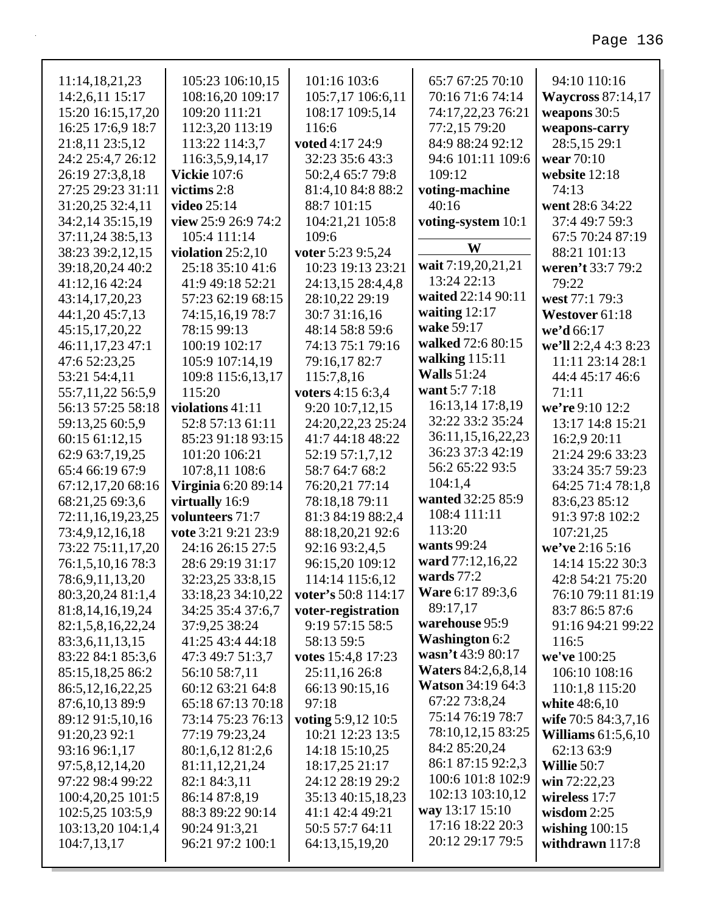| 11:14,18,21,23       | 105:23 106:10,15           | 101:16 103:6        | 65:7 67:25 70:10          | 94:10 110:16             |
|----------------------|----------------------------|---------------------|---------------------------|--------------------------|
| 14:2,6,11 15:17      | 108:16,20 109:17           | 105:7,17 106:6,11   | 70:16 71:6 74:14          | <b>Waycross 87:14,17</b> |
| 15:20 16:15,17,20    | 109:20 111:21              | 108:17 109:5,14     | 74:17,22,23 76:21         | weapons 30:5             |
| 16:25 17:6,9 18:7    | 112:3,20 113:19            | 116:6               | 77:2,15 79:20             | weapons-carry            |
| 21:8,11 23:5,12      | 113:22 114:3,7             | voted 4:17 24:9     | 84:9 88:24 92:12          | 28:5,15 29:1             |
| 24:2 25:4,7 26:12    | 116:3,5,9,14,17            | 32:23 35:6 43:3     | 94:6 101:11 109:6         | wear 70:10               |
| 26:19 27:3,8,18      | <b>Vickie</b> 107:6        | 50:2,4 65:7 79:8    | 109:12                    | website 12:18            |
| 27:25 29:23 31:11    | victims 2:8                | 81:4,10 84:8 88:2   | voting-machine            | 74:13                    |
| 31:20,25 32:4,11     | video 25:14                | 88:7 101:15         | 40:16                     | went 28:6 34:22          |
| 34:2,14 35:15,19     | view 25:9 26:9 74:2        | 104:21,21 105:8     | voting-system 10:1        | 37:4 49:7 59:3           |
| 37:11,24 38:5,13     | 105:4 111:14               | 109:6               |                           | 67:5 70:24 87:19         |
| 38:23 39:2,12,15     | violation $25:2,10$        | voter 5:23 9:5,24   | W                         | 88:21 101:13             |
| 39:18,20,24 40:2     | 25:18 35:10 41:6           | 10:23 19:13 23:21   | wait 7:19,20,21,21        | weren't 33:7 79:2        |
| 41:12,16 42:24       | 41:9 49:18 52:21           | 24:13,15 28:4,4,8   | 13:24 22:13               | 79:22                    |
| 43:14,17,20,23       | 57:23 62:19 68:15          | 28:10,22 29:19      | waited 22:14 90:11        | west 77:1 79:3           |
| 44:1,20 45:7,13      | 74:15,16,19 78:7           | 30:7 31:16,16       | waiting $12:17$           | Westover 61:18           |
| 45:15,17,20,22       | 78:15 99:13                | 48:14 58:8 59:6     | wake 59:17                | we'd 66:17               |
| 46:11,17,23 47:1     | 100:19 102:17              | 74:13 75:1 79:16    | walked 72:6 80:15         | we'll 2:2,4 4:3 8:23     |
| 47:6 52:23,25        | 105:9 107:14,19            | 79:16,17 82:7       | walking $115:11$          | 11:11 23:14 28:1         |
| 53:21 54:4,11        | 109:8 115:6,13,17          | 115:7,8,16          | <b>Walls</b> 51:24        | 44:4 45:17 46:6          |
| 55:7,11,22 56:5,9    | 115:20                     | voters 4:15 6:3,4   | want 5:7 7:18             | 71:11                    |
| 56:13 57:25 58:18    | violations $41:11$         | 9:20 10:7,12,15     | 16:13,14 17:8,19          | we're 9:10 12:2          |
| 59:13,25 60:5,9      | 52:8 57:13 61:11           | 24:20,22,23 25:24   | 32:22 33:2 35:24          | 13:17 14:8 15:21         |
| 60:15 61:12,15       | 85:23 91:18 93:15          | 41:7 44:18 48:22    | 36:11,15,16,22,23         | 16:2,9 20:11             |
| 62:9 63:7,19,25      | 101:20 106:21              | 52:19 57:1,7,12     | 36:23 37:3 42:19          | 21:24 29:6 33:23         |
| 65:4 66:19 67:9      | 107:8,11 108:6             | 58:7 64:7 68:2      | 56:2 65:22 93:5           | 33:24 35:7 59:23         |
| 67:12,17,20 68:16    | <b>Virginia 6:20 89:14</b> | 76:20,21 77:14      | 104:1,4                   | 64:25 71:4 78:1,8        |
| 68:21,25 69:3,6      | virtually 16:9             | 78:18,18 79:11      | wanted 32:25 85:9         | 83:6,23 85:12            |
| 72:11,16,19,23,25    | volunteers 71:7            | 81:3 84:19 88:2,4   | 108:4 111:11              | 91:3 97:8 102:2          |
| 73:4,9,12,16,18      | vote 3:21 9:21 23:9        | 88:18,20,21 92:6    | 113:20                    | 107:21,25                |
| 73:22 75:11,17,20    | 24:16 26:15 27:5           | 92:16 93:2,4,5      | wants 99:24               | we've 2:16 5:16          |
| 76:1,5,10,16 78:3    | 28:6 29:19 31:17           | 96:15,20 109:12     | ward 77:12,16,22          | 14:14 15:22 30:3         |
| 78:6,9,11,13,20      | 32:23,25 33:8,15           | 114:14 115:6,12     | wards $77:2$              | 42:8 54:21 75:20         |
| 80:3,20,24 81:1,4    | 33:18,23 34:10,22          | voter's 50:8 114:17 | <b>Ware 6:17 89:3,6</b>   | 76:10 79:11 81:19        |
| 81:8, 14, 16, 19, 24 | 34:25 35:4 37:6,7          | voter-registration  | 89:17,17                  | 83:7 86:5 87:6           |
| 82:1,5,8,16,22,24    | 37:9,25 38:24              | 9:19 57:15 58:5     | warehouse 95:9            | 91:16 94:21 99:22        |
| 83:3,6,11,13,15      | 41:25 43:4 44:18           | 58:13 59:5          | <b>Washington 6:2</b>     | 116:5                    |
| 83:22 84:1 85:3,6    | 47:3 49:7 51:3,7           | votes 15:4,8 17:23  | wasn't 43:9 80:17         | we've 100:25             |
| 85:15,18,25 86:2     | 56:10 58:7,11              | 25:11,16 26:8       | <b>Waters 84:2,6,8,14</b> | 106:10 108:16            |
| 86:5, 12, 16, 22, 25 | 60:12 63:21 64:8           | 66:13 90:15,16      | <b>Watson</b> 34:19 64:3  | 110:1,8 115:20           |
| 87:6,10,13 89:9      | 65:18 67:13 70:18          | 97:18               | 67:22 73:8,24             | white 48:6,10            |
| 89:12 91:5,10,16     | 73:14 75:23 76:13          | voting 5:9,12 10:5  | 75:14 76:19 78:7          | wife 70:5 84:3,7,16      |
| 91:20,23 92:1        | 77:19 79:23,24             | 10:21 12:23 13:5    | 78:10,12,15 83:25         | Williams $61:5,6,10$     |
| 93:16 96:1,17        | 80:1,6,12 81:2,6           | 14:18 15:10,25      | 84:2 85:20,24             | 62:13 63:9               |
| 97:5,8,12,14,20      | 81:11,12,21,24             | 18:17,25 21:17      | 86:1 87:15 92:2,3         | Willie 50:7              |
| 97:22 98:4 99:22     | 82:1 84:3,11               | 24:12 28:19 29:2    | 100:6 101:8 102:9         | win $72:22,23$           |
| 100:4,20,25 101:5    | 86:14 87:8,19              | 35:13 40:15,18,23   | 102:13 103:10,12          | wireless 17:7            |
| 102:5,25 103:5,9     | 88:3 89:22 90:14           | 41:1 42:4 49:21     | way 13:17 15:10           | wisdom $2:25$            |
| 103:13,20 104:1,4    | 90:24 91:3,21              | 50:5 57:7 64:11     | 17:16 18:22 20:3          | wishing $100:15$         |
| 104:7,13,17          | 96:21 97:2 100:1           | 64:13,15,19,20      | 20:12 29:17 79:5          | withdrawn 117:8          |
|                      |                            |                     |                           |                          |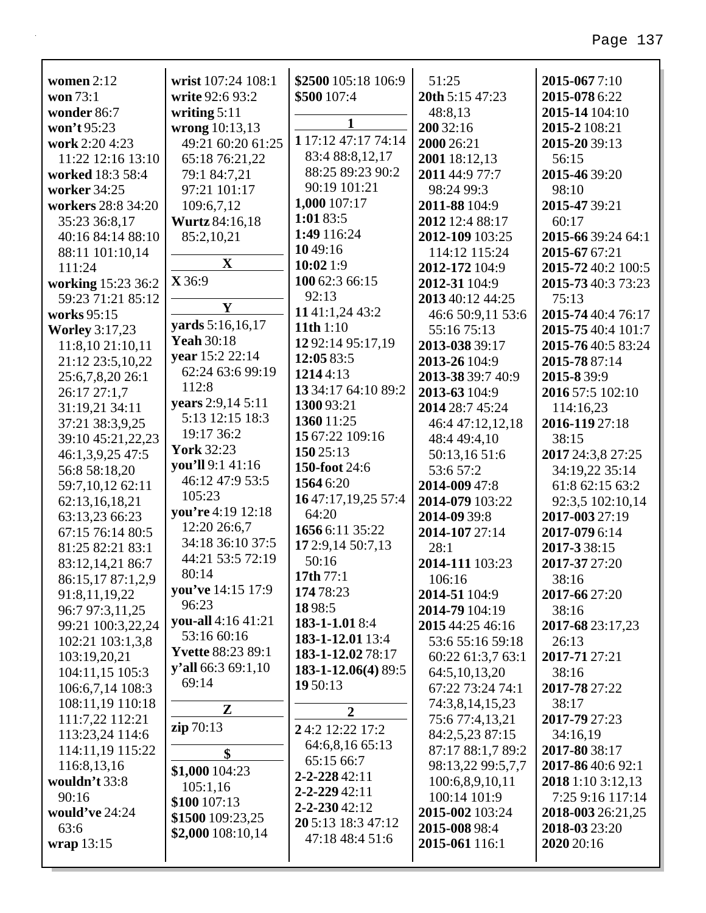| women $2:12$                            | wrist 107:24 108:1                      | \$2500 105:18 106:9 | 51:25             | 2015-0677:10       |
|-----------------------------------------|-----------------------------------------|---------------------|-------------------|--------------------|
| won 73:1                                | write 92:6 93:2                         | \$500 107:4         | 20th 5:15 47:23   | 2015-078 6:22      |
| wonder 86:7                             | writing $5:11$                          |                     | 48:8,13           | 2015-14 104:10     |
| won't 95:23                             | wrong 10:13,13                          | 1                   | 200 32:16         | 2015-2 108:21      |
| work 2:20 4:23                          | 49:21 60:20 61:25                       | 1 17:12 47:17 74:14 | 2000 26:21        | 2015-20 39:13      |
| 11:22 12:16 13:10                       | 65:18 76:21,22                          | 83:4 88:8,12,17     | 2001 18:12,13     | 56:15              |
| worked 18:3 58:4                        | 79:1 84:7,21                            | 88:25 89:23 90:2    | 2011 44:9 77:7    | 2015-46 39:20      |
| worker 34:25                            | 97:21 101:17                            | 90:19 101:21        | 98:24 99:3        | 98:10              |
| workers 28:8 34:20                      | 109:6,7,12                              | 1,000 107:17        | 2011-88 104:9     | 2015-47 39:21      |
| 35:23 36:8,17                           | <b>Wurtz</b> 84:16,18                   | 1:01 83:5           | 2012 12:4 88:17   | 60:17              |
| 40:16 84:14 88:10                       | 85:2,10,21                              | 1:49 116:24         | 2012-109 103:25   | 2015-66 39:24 64:1 |
| 88:11 101:10,14                         |                                         | 1049:16             | 114:12 115:24     | 2015-67 67:21      |
| 111:24                                  | $\mathbf{X}$                            | 10:021:9            | 2012-172 104:9    | 2015-72 40:2 100:5 |
|                                         | X 36:9                                  | 100 62:3 66:15      | 2012-31 104:9     | 2015-73 40:3 73:23 |
| working 15:23 36:2<br>59:23 71:21 85:12 |                                         | 92:13               | 2013 40:12 44:25  |                    |
|                                         | $\mathbf Y$                             | 11 41:1,24 43:2     |                   | 75:13              |
| works 95:15                             | yards 5:16,16,17                        | 11th $1:10$         | 46:6 50:9,11 53:6 | 2015-74 40:4 76:17 |
| <b>Worley 3:17,23</b>                   | <b>Yeah 30:18</b>                       | 12 92:14 95:17,19   | 55:16 75:13       | 2015-75 40:4 101:7 |
| 11:8,10 21:10,11                        | vear 15:2 22:14                         | 12:05 83:5          | 2013-038 39:17    | 2015-7640:5 83:24  |
| 21:12 23:5,10,22                        | 62:24 63:6 99:19                        | 12144:13            | 2013-26 104:9     | 2015-78 87:14      |
| 25:6,7,8,20 26:1                        | 112:8                                   | 13 34:17 64:10 89:2 | 2013-38 39:7 40:9 | 2015-839:9         |
| 26:17 27:1.7                            | years 2:9,14 5:11                       | 1300 93:21          | 2013-63 104:9     | 2016 57:5 102:10   |
| 31:19,21 34:11                          | 5:13 12:15 18:3                         |                     | 2014 28:7 45:24   | 114:16,23          |
| 37:21 38:3,9,25                         | 19:17 36:2                              | 1360 11:25          | 46:4 47:12,12,18  | 2016-119 27:18     |
| 39:10 45:21,22,23                       | <b>York 32:23</b>                       | 15 67:22 109:16     | 48:4 49:4,10      | 38:15              |
| 46:1,3,9,25 47:5                        | you'll 9:1 41:16                        | 150 25:13           | 50:13,16 51:6     | 2017 24:3,8 27:25  |
| 56:8 58:18,20                           | 46:12 47:9 53:5                         | 150-foot 24:6       | 53:6 57:2         | 34:19,22 35:14     |
| 59:7,10,12 62:11                        | 105:23                                  | 1564 6:20           | 2014-009 47:8     | 61:8 62:15 63:2    |
| 62:13,16,18,21                          | you're 4:19 12:18                       | 1647:17,19,25 57:4  | 2014-079 103:22   | 92:3,5 102:10,14   |
| 63:13,23 66:23                          | 12:20 26:6,7                            | 64:20               | 2014-09 39:8      | 2017-003 27:19     |
| 67:15 76:14 80:5                        | 34:18 36:10 37:5                        | 1656 6:11 35:22     | 2014-107 27:14    | 2017-079 6:14      |
| 81:25 82:21 83:1                        | 44:21 53:5 72:19                        | 17 2:9,14 50:7,13   | 28:1              | 2017-338:15        |
| 83:12,14,21 86:7                        | 80:14                                   | 50:16               | 2014-111 103:23   | 2017-37 27:20      |
| 86:15,17 87:1,2,9                       | you've 14:15 17:9                       | 17th 77:1           | 106:16            | 38:16              |
| 91:8,11,19,22                           | 96:23                                   | 174 78:23           | 2014-51 104:9     | 2017-66 27:20      |
| 96:7 97:3,11,25                         |                                         | 1898:5              | 2014-79 104:19    | 38:16              |
| 99:21 100:3,22,24                       | you-all 4:16 41:21                      | 183-1-1.018:4       | 2015 44:25 46:16  | 2017-68 23:17,23   |
| 102:21 103:1,3,8                        | 53:16 60:16<br><b>Yvette 88:23 89:1</b> | 183-1-12.01 13:4    | 53:6 55:16 59:18  | 26:13              |
| 103:19,20,21                            |                                         | 183-1-12.02 78:17   | 60:22 61:3,7 63:1 | 2017-71 27:21      |
| 104:11,15 105:3                         | $y'$ all 66:3 69:1,10                   | 183-1-12.06(4) 89:5 | 64:5, 10, 13, 20  | 38:16              |
| 106:6,7,14 108:3                        | 69:14                                   | 19 50:13            | 67:22 73:24 74:1  | 2017-78 27:22      |
| 108:11,19 110:18                        | ${\bf Z}$                               | 2                   | 74:3,8,14,15,23   | 38:17              |
| 111:7,22 112:21                         | zip 70:13                               | 24:2 12:22 17:2     | 75:6 77:4,13,21   | 2017-79 27:23      |
| 113:23,24 114:6                         |                                         |                     | 84:2,5,23 87:15   | 34:16,19           |
| 114:11,19 115:22                        | \$                                      | 64:6,8,16 65:13     | 87:17 88:1,7 89:2 | 2017-80 38:17      |
| 116:8,13,16                             | \$1,000 104:23                          | 65:15 66:7          | 98:13,22 99:5,7,7 | 2017-86 40:6 92:1  |
| wouldn't 33:8                           | 105:1,16                                | 2-2-228 42:11       | 100:6,8,9,10,11   | 2018 1:10 3:12,13  |
| 90:16                                   | \$100 107:13                            | 2-2-229 42:11       | 100:14 101:9      | 7:25 9:16 117:14   |
| would've 24:24                          | \$1500 109:23,25                        | 2-2-230 42:12       | 2015-002 103:24   | 2018-003 26:21,25  |
| 63:6                                    | \$2,000 108:10,14                       | 20 5:13 18:3 47:12  | 2015-008 98:4     | 2018-03 23:20      |
| wrap 13:15                              |                                         | 47:18 48:4 51:6     | 2015-061 116:1    | 2020 20:16         |
|                                         |                                         |                     |                   |                    |